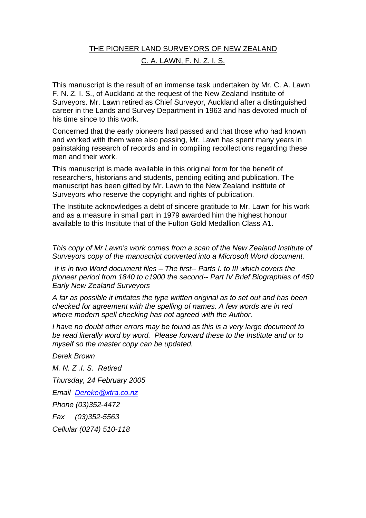# THE PIONEER LAND SURVEYORS OF NEW ZEALAND C. A. LAWN, F. N. Z. I. S.

This manuscript is the result of an immense task undertaken by Mr. C. A. Lawn F. N. Z. I. S., of Auckland at the request of the New Zealand Institute of Surveyors. Mr. Lawn retired as Chief Surveyor, Auckland after a distinguished career in the Lands and Survey Department in 1963 and has devoted much of his time since to this work.

Concerned that the early pioneers had passed and that those who had known and worked with them were also passing, Mr. Lawn has spent many years in painstaking research of records and in compiling recollections regarding these men and their work.

This manuscript is made available in this original form for the benefit of researchers, historians and students, pending editing and publication. The manuscript has been gifted by Mr. Lawn to the New Zealand institute of Surveyors who reserve the copyright and rights of publication.

The Institute acknowledges a debt of sincere gratitude to Mr. Lawn for his work and as a measure in small part in 1979 awarded him the highest honour available to this Institute that of the Fulton Gold Medallion Class A1.

*This copy of Mr Lawn's work comes from a scan of the New Zealand Institute of Surveyors copy of the manuscript converted into a Microsoft Word document.* 

 *It is in two Word document files – The first-- Parts I. to III which covers the pioneer period from 1840 to c1900 the second-- Part IV Brief Biographies of 450 Early New Zealand Surveyors* 

*A far as possible it imitates the type written original as to set out and has been checked for agreement with the spelling of names. A few words are in red where modern spell checking has not agreed with the Author.* 

*I have no doubt other errors may be found as this is a very large document to be read literally word by word. Please forward these to the Institute and or to myself so the master copy can be updated.* 

*Derek Brown* 

*M. N. Z .I. S. Retired Thursday, 24 February 2005 Email Dereke@xtra.co.nz Phone (03)352-4472 Fax (03)352-5563 Cellular (0274) 510-118*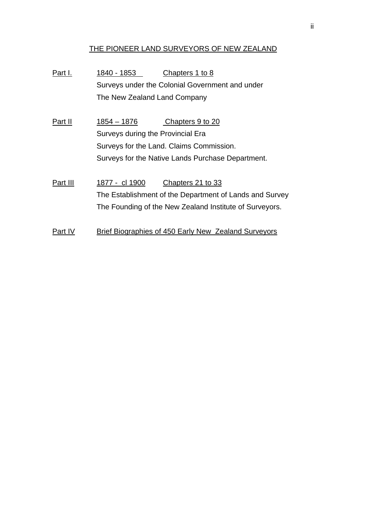## THE PIONEER LAND SURVEYORS OF NEW ZEALAND

Part I. 1840 - 1853 Chapters 1 to 8 Surveys under the Colonial Government and under The New Zealand Land Company

Part II 1854 – 1876 Chapters 9 to 20 Surveys during the Provincial Era Surveys for the Land. Claims Commission. Surveys for the Native Lands Purchase Department.

Part III 1877 - cl 1900 Chapters 21 to 33 The Establishment of the Department of Lands and Survey The Founding of the New Zealand Institute of Surveyors.

Part IV Brief Biographies of 450 Early New Zealand Surveyors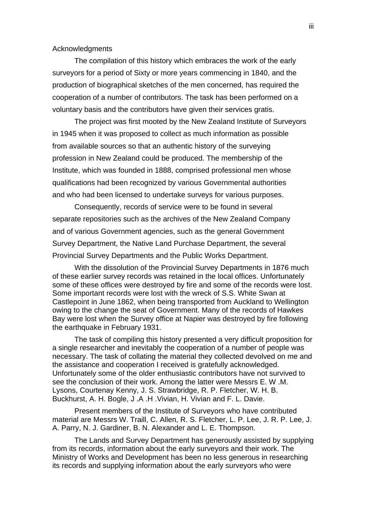Acknowledgments

The compilation of this history which embraces the work of the early surveyors for a period of Sixty or more years commencing in 1840, and the production of biographical sketches of the men concerned, has required the cooperation of a number of contributors. The task has been performed on a voluntary basis and the contributors have given their services gratis.

The project was first mooted by the New Zealand Institute of Surveyors in 1945 when it was proposed to collect as much information as possible from available sources so that an authentic history of the surveying profession in New Zealand could be produced. The membership of the Institute, which was founded in 1888, comprised professional men whose qualifications had been recognized by various Governmental authorities and who had been licensed to undertake surveys for various purposes.

Consequently, records of service were to be found in several separate repositories such as the archives of the New Zealand Company and of various Government agencies, such as the general Government Survey Department, the Native Land Purchase Department, the several Provincial Survey Departments and the Public Works Department.

With the dissolution of the Provincial Survey Departments in 1876 much of these earlier survey records was retained in the local offices. Unfortunately some of these offices were destroyed by fire and some of the records were lost. Some important records were lost with the wreck of S.S. White Swan at Castlepoint in June 1862, when being transported from Auckland to Wellington owing to the change the seat of Government. Many of the records of Hawkes Bay were lost when the Survey office at Napier was destroyed by fire following the earthquake in February 1931.

The task of compiling this history presented a very difficult proposition for a single researcher and inevitably the cooperation of a number of people was necessary. The task of collating the material they collected devolved on me and the assistance and cooperation I received is gratefully acknowledged. Unfortunately some of the older enthusiastic contributors have not survived to see the conclusion of their work. Among the latter were Messrs E. W .M. Lysons, Courtenay Kenny, J. S. Strawbridge, R. P. Fletcher, W. H. B. Buckhurst, A. H. Bogle, J .A .H .Vivian, H. Vivian and F. L. Davie.

Present members of the Institute of Surveyors who have contributed material are Messrs W. Traill, C. Allen, R. S. Fletcher, L. P. Lee, J. R. P. Lee, J. A. Parry, N. J. Gardiner, B. N. Alexander and L. E. Thompson.

The Lands and Survey Department has generously assisted by supplying from its records, information about the early surveyors and their work. The Ministry of Works and Development has been no less generous in researching its records and supplying information about the early surveyors who were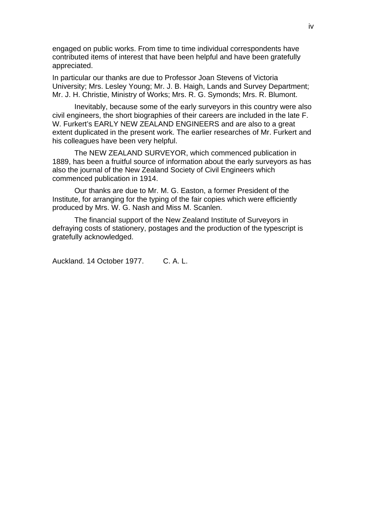engaged on public works. From time to time individual correspondents have contributed items of interest that have been helpful and have been gratefully appreciated.

In particular our thanks are due to Professor Joan Stevens of Victoria University; Mrs. Lesley Young; Mr. J. B. Haigh, Lands and Survey Department; Mr. J. H. Christie, Ministry of Works; Mrs. R. G. Symonds; Mrs. R. Blumont.

 Inevitably, because some of the early surveyors in this country were also civil engineers, the short biographies of their careers are included in the late F. W. Furkert's EARLY NEW ZEALAND ENGINEERS and are also to a great extent duplicated in the present work. The earlier researches of Mr. Furkert and his colleagues have been very helpful.

The NEW ZEALAND SURVEYOR, which commenced publication in 1889, has been a fruitful source of information about the early surveyors as has also the journal of the New Zealand Society of Civil Engineers which commenced publication in 1914.

Our thanks are due to Mr. M. G. Easton, a former President of the Institute, for arranging for the typing of the fair copies which were efficiently produced by Mrs. W. G. Nash and Miss M. Scanlen.

The financial support of the New Zealand Institute of Surveyors in defraying costs of stationery, postages and the production of the typescript is gratefully acknowledged.

Auckland. 14 October 1977. C. A. L.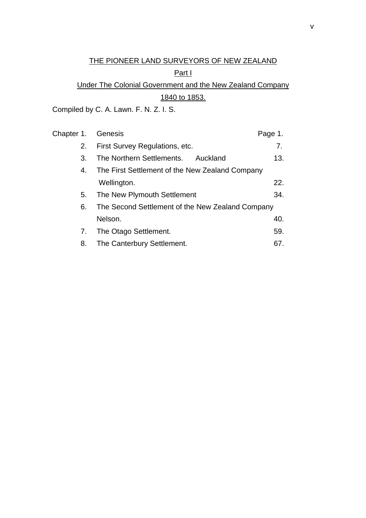# THE PIONEER LAND SURVEYORS OF NEW ZEALAND

# Part I

# Under The Colonial Government and the New Zealand Company 1840 to 1853.

Compiled by C. A. Lawn. F. N. Z. I. S.

| Chapter 1. | Genesis                                          | Page 1. |
|------------|--------------------------------------------------|---------|
| 2.         | First Survey Regulations, etc.                   | 7.      |
| 3.         | The Northern Settlements. Auckland               | 13.     |
| 4.         | The First Settlement of the New Zealand Company  |         |
|            | Wellington.                                      | 22.     |
| 5.         | The New Plymouth Settlement                      | 34.     |
| 6.         | The Second Settlement of the New Zealand Company |         |
|            | Nelson.                                          | 40.     |
| 7.         | The Otago Settlement.                            | 59.     |
| 8.         | The Canterbury Settlement.                       | 67.     |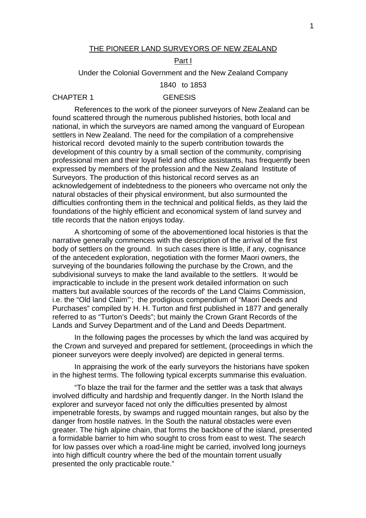#### THE PIONEER LAND SURVEYORS OF NEW ZEALAND

## Part I

Under the Colonial Government and the New Zealand Company

1840 to 1853

#### CHAPTER 1 GENESIS

References to the work of the pioneer surveyors of New Zealand can be found scattered through the numerous published histories, both local and national, in which the surveyors are named among the vanguard of European settlers in New Zealand. The need for the compilation of a comprehensive historical record devoted mainly to the superb contribution towards the development of this country by a small section of the community, comprising professional men and their loyal field and office assistants, has frequently been expressed by members of the profession and the New Zealand Institute of Surveyors. The production of this historical record serves as an acknowledgement of indebtedness to the pioneers who overcame not only the natural obstacles of their physical environment, but also surmounted the difficulties confronting them in the technical and political fields, as they laid the foundations of the highly efficient and economical system of land survey and title records that the nation enjoys today.

A shortcoming of some of the abovementioned local histories is that the narrative generally commences with the description of the arrival of the first body of settlers on the ground. In such cases there is little, if any, cognisance of the antecedent exploration, negotiation with the former Maori owners, the surveying of the boundaries following the purchase by the Crown, and the subdivisional surveys to make the land available to the settlers. It would be impracticable to include in the present work detailed information on such matters but available sources of the records of' the Land Claims Commission, i.e. the "Old land Claim"'; the prodigious compendium of "Maori Deeds and Purchases" compiled by H. H. Turton and first published in 1877 and generally referred to as "Turton's Deeds"; but mainly the Crown Grant Records of the Lands and Survey Department and of the Land and Deeds Department.

In the following pages the processes by which the land was acquired by the Crown and surveyed and prepared for settlement, (proceedings in which the pioneer surveyors were deeply involved) are depicted in general terms.

In appraising the work of the early surveyors the historians have spoken in the highest terms. The following typical excerpts summarise this evaluation.

"To blaze the trail for the farmer and the settler was a task that always involved difficulty and hardship and frequently danger. In the North Island the explorer and surveyor faced not only the difficulties presented by almost impenetrable forests, by swamps and rugged mountain ranges, but also by the danger from hostile natives. In the South the natural obstacles were even greater. The high alpine chain, that forms the backbone of the island, presented a formidable barrier to him who sought to cross from east to west. The search for low passes over which a road-line might be carried, involved long journeys into high difficult country where the bed of the mountain torrent usually presented the only practicable route."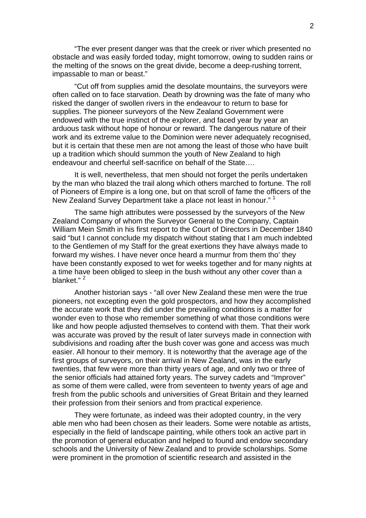"The ever present danger was that the creek or river which presented no obstacle and was easily forded today, might tomorrow, owing to sudden rains or the melting of the snows on the great divide, become a deep-rushing torrent, impassable to man or beast."

"Cut off from supplies amid the desolate mountains, the surveyors were often called on to face starvation. Death by drowning was the fate of many who risked the danger of swollen rivers in the endeavour to return to base for supplies. The pioneer surveyors of the New Zealand Government were endowed with the true instinct of the explorer, and faced year by year an arduous task without hope of honour or reward. The dangerous nature of their work and its extreme value to the Dominion were never adequately recognised, but it is certain that these men are not among the least of those who have built up a tradition which should summon the youth of New Zealand to high endeavour and cheerful self-sacrifice on behalf of the State….

It is well, nevertheless, that men should not forget the perils undertaken by the man who blazed the trail along which others marched to fortune. The roll of Pioneers of Empire is a long one, but on that scroll of fame the officers of the New Zealand Survey Department take a place not least in honour." <sup>1</sup>

The same high attributes were possessed by the surveyors of the New Zealand Company of whom the Surveyor General to the Company, Captain William Mein Smith in his first report to the Court of Directors in December 1840 said "but I cannot conclude my dispatch without stating that I am much indebted to the Gentlemen of my Staff for the great exertions they have always made to forward my wishes. I have never once heard a murmur from them tho' they have been constantly exposed to wet for weeks together and for many nights at a time have been obliged to sleep in the bush without any other cover than a blanket."<sup>2</sup>

Another historian says - "all over New Zealand these men were the true pioneers, not excepting even the gold prospectors, and how they accomplished the accurate work that they did under the prevailing conditions is a matter for wonder even to those who remember something of what those conditions were like and how people adjusted themselves to contend with them. That their work was accurate was proved by the result of later surveys made in connection with subdivisions and roading after the bush cover was gone and access was much easier. All honour to their memory. It is noteworthy that the average age of the first groups of surveyors, on their arrival in New Zealand, was in the early twenties, that few were more than thirty years of age, and only two or three of the senior officials had attained forty years. The survey cadets and "Improver" as some of them were called, were from seventeen to twenty years of age and fresh from the public schools and universities of Great Britain and they learned their profession from their seniors and from practical experience.

They were fortunate, as indeed was their adopted country, in the very able men who had been chosen as their leaders. Some were notable as artists, especially in the field of landscape painting, while others took an active part in the promotion of general education and helped to found and endow secondary schools and the University of New Zealand and to provide scholarships. Some were prominent in the promotion of scientific research and assisted in the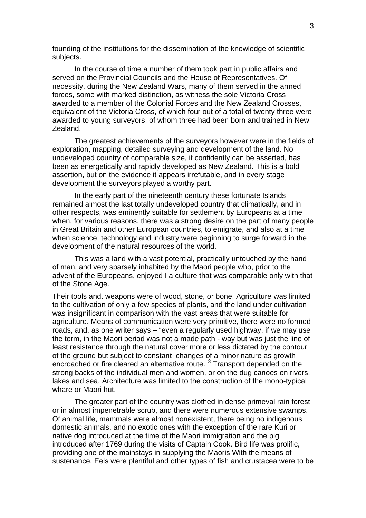founding of the institutions for the dissemination of the knowledge of scientific subjects.

In the course of time a number of them took part in public affairs and served on the Provincial Councils and the House of Representatives. Of necessity, during the New Zealand Wars, many of them served in the armed forces, some with marked distinction, as witness the sole Victoria Cross awarded to a member of the Colonial Forces and the New Zealand Crosses, equivalent of the Victoria Cross, of which four out of a total of twenty three were awarded to young surveyors, of whom three had been born and trained in New Zealand.

The greatest achievements of the surveyors however were in the fields of exploration, mapping, detailed surveying and development of the land. No undeveloped country of comparable size, it confidently can be asserted, has been as energetically and rapidly developed as New Zealand. This is a bold assertion, but on the evidence it appears irrefutable, and in every stage development the surveyors played a worthy part.

In the early part of the nineteenth century these fortunate Islands remained almost the last totally undeveloped country that climatically, and in other respects, was eminently suitable for settlement by Europeans at a time when, for various reasons, there was a strong desire on the part of many people in Great Britain and other European countries, to emigrate, and also at a time when science, technology and industry were beginning to surge forward in the development of the natural resources of the world.

This was a land with a vast potential, practically untouched by the hand of man, and very sparsely inhabited by the Maori people who, prior to the advent of the Europeans, enjoyed I a culture that was comparable only with that of the Stone Age.

Their tools and. weapons were of wood, stone, or bone. Agriculture was limited to the cultivation of only a few species of plants, and the land under cultivation was insignificant in comparison with the vast areas that were suitable for agriculture. Means of communication were very primitive, there were no formed roads, and, as one writer says – "even a regularly used highway, if we may use the term, in the Maori period was not a made path - way but was just the line of least resistance through the natural cover more or less dictated by the contour of the ground but subject to constant changes of a minor nature as growth encroached or fire cleared an alternative route.<sup>3</sup> Transport depended on the strong backs of the individual men and women, or on the dug canoes on rivers, lakes and sea. Architecture was limited to the construction of the mono-typical whare or Maori hut.

The greater part of the country was clothed in dense primeval rain forest or in almost impenetrable scrub, and there were numerous extensive swamps. Of animal life, mammals were almost nonexistent, there being no indigenous domestic animals, and no exotic ones with the exception of the rare Kuri or native dog introduced at the time of the Maori immigration and the pig introduced after 1769 during the visits of Captain Cook. Bird life was prolific, providing one of the mainstays in supplying the Maoris With the means of sustenance. Eels were plentiful and other types of fish and crustacea were to be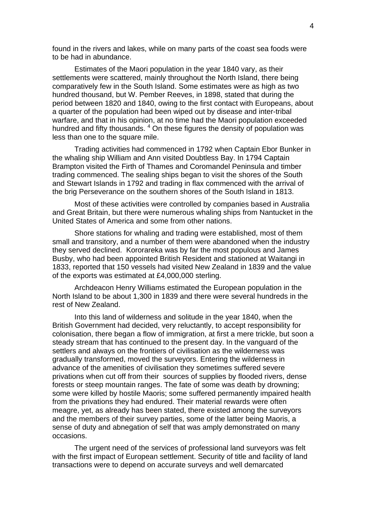found in the rivers and lakes, while on many parts of the coast sea foods were to be had in abundance.

Estimates of the Maori population in the year 1840 vary, as their settlements were scattered, mainly throughout the North Island, there being comparatively few in the South Island. Some estimates were as high as two hundred thousand, but W. Pember Reeves, in 1898, stated that during the period between 1820 and 1840, owing to the first contact with Europeans, about a quarter of the population had been wiped out by disease and inter-tribal warfare, and that in his opinion, at no time had the Maori population exceeded hundred and fifty thousands. <sup>4</sup> On these figures the density of population was less than one to the square mile.

Trading activities had commenced in 1792 when Captain Ebor Bunker in the whaling ship William and Ann visited Doubtless Bay. In 1794 Captain Brampton visited the Firth of Thames and Coromandel Peninsula and timber trading commenced. The sealing ships began to visit the shores of the South and Stewart Islands in 1792 and trading in flax commenced with the arrival of the brig Perseverance on the southern shores of the South Island in 1813.

Most of these activities were controlled by companies based in Australia and Great Britain, but there were numerous whaling ships from Nantucket in the United States of America and some from other nations.

Shore stations for whaling and trading were established, most of them small and transitory, and a number of them were abandoned when the industry they served declined. Kororareka was by far the most populous and James Busby, who had been appointed British Resident and stationed at Waitangi in 1833, reported that 150 vessels had visited New Zealand in 1839 and the value of the exports was estimated at £4,000,000 sterling.

Archdeacon Henry Williams estimated the European population in the North Island to be about 1,300 in 1839 and there were several hundreds in the rest of New Zealand.

Into this land of wilderness and solitude in the year 1840, when the British Government had decided, very reluctantly, to accept responsibility for colonisation, there began a flow of immigration, at first a mere trickle, but soon a steady stream that has continued to the present day. In the vanguard of the settlers and always on the frontiers of civilisation as the wilderness was gradually transformed, moved the surveyors. Entering the wilderness in advance of the amenities of civilisation they sometimes suffered severe privations when cut off from their sources of supplies by flooded rivers, dense forests or steep mountain ranges. The fate of some was death by drowning; some were killed by hostile Maoris; some suffered permanently impaired health from the privations they had endured. Their material rewards were often meagre, yet, as already has been stated, there existed among the surveyors and the members of their survey parties, some of the latter being Maoris, a sense of duty and abnegation of self that was amply demonstrated on many occasions.

The urgent need of the services of professional land surveyors was felt with the first impact of European settlement. Security of title and facility of land transactions were to depend on accurate surveys and well demarcated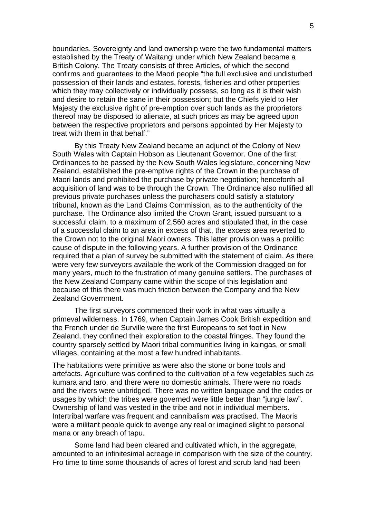boundaries. Sovereignty and land ownership were the two fundamental matters established by the Treaty of Waitangi under which New Zealand became a British Colony. The Treaty consists of three Articles, of which the second confirms and guarantees to the Maori people "the full exclusive and undisturbed possession of their lands and estates, forests, fisheries and other properties which they may collectively or individually possess, so long as it is their wish and desire to retain the sane in their possession; but the Chiefs yield to Her Majesty the exclusive right of pre-emption over such lands as the proprietors thereof may be disposed to alienate, at such prices as may be agreed upon between the respective proprietors and persons appointed by Her Majesty to treat with them in that behalf."

By this Treaty New Zealand became an adjunct of the Colony of New South Wales with Captain Hobson as Lieutenant Governor. One of the first Ordinances to be passed by the New South Wales legislature, concerning New Zealand, established the pre-emptive rights of the Crown in the purchase of Maori lands and prohibited the purchase by private negotiation; henceforth all acquisition of land was to be through the Crown. The Ordinance also nullified all previous private purchases unless the purchasers could satisfy a statutory tribunal, known as the Land Claims Commission, as to the authenticity of the purchase. The Ordinance also limited the Crown Grant, issued pursuant to a successful claim, to a maximum of 2,560 acres and stipulated that, in the case of a successful claim to an area in excess of that, the excess area reverted to the Crown not to the original Maori owners. This latter provision was a prolific cause of dispute in the following years. A further provision of the Ordinance required that a plan of survey be submitted with the statement of claim. As there were very few surveyors available the work of the Commission dragged on for many years, much to the frustration of many genuine settlers. The purchases of the New Zealand Company came within the scope of this legislation and because of this there was much friction between the Company and the New Zealand Government.

The first surveyors commenced their work in what was virtually a primeval wilderness. In 1769, when Captain James Cook British expedition and the French under de Surville were the first Europeans to set foot in New Zealand, they confined their exploration to the coastal fringes. They found the country sparsely settled by Maori tribal communities living in kaingas, or small villages, containing at the most a few hundred inhabitants.

The habitations were primitive as were also the stone or bone tools and artefacts. Agriculture was confined to the cultivation of a few vegetables such as kumara and taro, and there were no domestic animals. There were no roads and the rivers were unbridged. There was no written language and the codes or usages by which the tribes were governed were little better than "jungle law". Ownership of land was vested in the tribe and not in individual members. Intertribal warfare was frequent and cannibalism was practised. The Maoris were a militant people quick to avenge any real or imagined slight to personal mana or any breach of tapu.

Some land had been cleared and cultivated which, in the aggregate, amounted to an infinitesimal acreage in comparison with the size of the country. Fro time to time some thousands of acres of forest and scrub land had been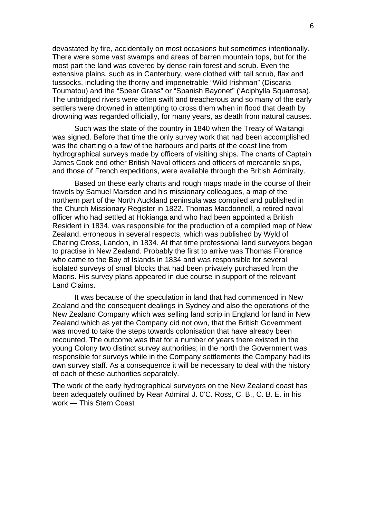devastated by fire, accidentally on most occasions but sometimes intentionally. There were some vast swamps and areas of barren mountain tops, but for the most part the land was covered by dense rain forest and scrub. Even the extensive plains, such as in Canterbury, were clothed with tall scrub, flax and tussocks, including the thorny and impenetrable "Wild Irishman" (Discaria Toumatou) and the "Spear Grass" or "Spanish Bayonet" ('Aciphylla Squarrosa). The unbridged rivers were often swift and treacherous and so many of the early settlers were drowned in attempting to cross them when in flood that death by drowning was regarded officially, for many years, as death from natural causes.

Such was the state of the country in 1840 when the Treaty of Waitangi was signed. Before that time the only survey work that had been accomplished was the charting o a few of the harbours and parts of the coast line from hydrographical surveys made by officers of visiting ships. The charts of Captain James Cook end other British Naval officers and officers of mercantile ships, and those of French expeditions, were available through the British Admiralty.

Based on these early charts and rough maps made in the course of their travels by Samuel Marsden and his missionary colleagues, a map of the northern part of the North Auckland peninsula was compiled and published in the Church Missionary Register in 1822. Thomas Macdonnell, a retired naval officer who had settled at Hokianga and who had been appointed a British Resident in 1834, was responsible for the production of a compiled map of New Zealand, erroneous in several respects, which was published by Wyld of Charing Cross, Landon, in 1834. At that time professional land surveyors began to practise in New Zealand. Probably the first to arrive was Thomas Florance who came to the Bay of Islands in 1834 and was responsible for several isolated surveys of small blocks that had been privately purchased from the Maoris. His survey plans appeared in due course in support of the relevant Land Claims.

It was because of the speculation in land that had commenced in New Zealand and the consequent dealings in Sydney and also the operations of the New Zealand Company which was selling land scrip in England for land in New Zealand which as yet the Company did not own, that the British Government was moved to take the steps towards colonisation that have already been recounted. The outcome was that for a number of years there existed in the young Colony two distinct survey authorities; in the north the Government was responsible for surveys while in the Company settlements the Company had its own survey staff. As a consequence it will be necessary to deal with the history of each of these authorities separately.

The work of the early hydrographical surveyors on the New Zealand coast has been adequately outlined by Rear Admiral J. 0'C. Ross, C. B., C. B. E. in his work — This Stern Coast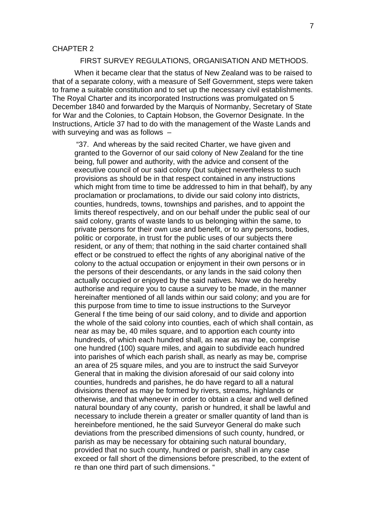#### CHAPTER 2

## FIRST SURVEY REGULATIONS, ORGANISATION AND METHODS.

When it became clear that the status of New Zealand was to be raised to that of a separate colony, with a measure of Self Government, steps were taken to frame a suitable constitution and to set up the necessary civil establishments. The Royal Charter and its incorporated Instructions was promulgated on 5 December 1840 and forwarded by the Marquis of Normanby, Secretary of State for War and the Colonies, to Captain Hobson, the Governor Designate. In the Instructions, Article 37 had to do with the management of the Waste Lands and with surveving and was as follows -

"37. And whereas by the said recited Charter, we have given and granted to the Governor of our said colony of New Zealand for the tine being, full power and authority, with the advice and consent of the executive council of our said colony (but subject nevertheless to such provisions as should be in that respect contained in any instructions which might from time to time be addressed to him in that behalf), by any proclamation or proclamations, to divide our said colony into districts, counties, hundreds, towns, townships and parishes, and to appoint the limits thereof respectively, and on our behalf under the public seal of our said colony, grants of waste lands to us belonging within the same, to private persons for their own use and benefit, or to any persons, bodies, politic or corporate, in trust for the public uses of our subjects there resident, or any of them; that nothing in the said charter contained shall effect or be construed to effect the rights of any aboriginal native of the colony to the actual occupation or enjoyment in their own persons or in the persons of their descendants, or any lands in the said colony then actually occupied or enjoyed by the said natives. Now we do hereby authorise and require you to cause a survey to be made, in the manner hereinafter mentioned of all lands within our said colony; and you are for this purpose from time to time to issue instructions to the Surveyor General f the time being of our said colony, and to divide and apportion the whole of the said colony into counties, each of which shall contain, as near as may be, 40 miles square, and to apportion each county into hundreds, of which each hundred shall, as near as may be, comprise one hundred (100) square miles, and again to subdivide each hundred into parishes of which each parish shall, as nearly as may be, comprise an area of 25 square miles, and you are to instruct the said Surveyor General that in making the division aforesaid of our said colony into counties, hundreds and parishes, he do have regard to all a natural divisions thereof as may be formed by rivers, streams, highlands or otherwise, and that whenever in order to obtain a clear and well defined natural boundary of any county, parish or hundred, it shall be lawful and necessary to include therein a greater or smaller quantity of land than is hereinbefore mentioned, he the said Surveyor General do make such deviations from the prescribed dimensions of such county, hundred, or parish as may be necessary for obtaining such natural boundary, provided that no such county, hundred or parish, shall in any case exceed or fall short of the dimensions before prescribed, to the extent of re than one third part of such dimensions. "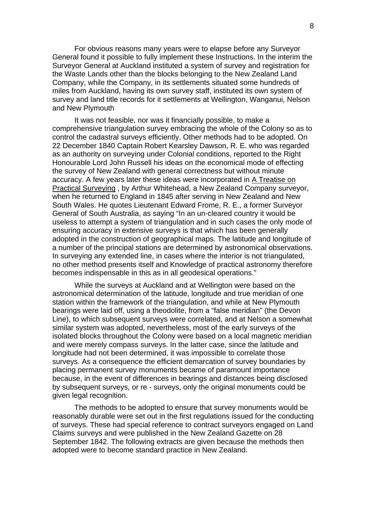For obvious reasons many years were to elapse before any Surveyor General found it possible to fully implement these Instructions. In the interim the Surveyor General at Auckland instituted a system of survey and registration for the Waste Lands other than the blocks belonging to the New Zealand Land Company, while the Company, in its settlements situated some hundreds of miles from Auckland, having its own survey staff, instituted its own system of survey and land title records for it settlements at Wellington, Wanganui, Nelson and New Plymouth

It was not feasible, nor was it financially possible, to make a comprehensive triangulation survey embracing the whole of the Colony so as to control the cadastral surveys efficiently. Other methods had to be adopted. On 22 December 1840 Captain Robert Kearsley Dawson, R. E. who was regarded as an authority on surveying under Colonial conditions, reported to the Right Honourable Lord John Russell his ideas on the economical mode of effecting the survey of New Zealand with general correctness but without minute accuracy. A few years later these ideas were incorporated in A Treatise on Practical Surveying , by Arthur Whitehead, a New Zealand Company surveyor, when he returned to England in 1845 after serving in New Zealand and New South Wales. He quotes Lieutenant Edward Frome, R. E., a former Surveyor General of South Australia, as saying "In an un-cleared country it would be useless to attempt a system of triangulation and in such cases the only mode of ensuring accuracy in extensive surveys is that which has been generally adopted in the construction of geographical maps. The latitude and longitude of a number of the principal stations are determined by astronomical observations. In surveying any extended line, in cases where the interior is not triangulated, no other method presents itself and Knowledge of practical astronomy therefore becomes indispensable in this as in all geodesical operations."

While the surveys at Auckland and at Wellington were based on the astronomical determination of the latitude, longitude and true meridian of one station within the framework of the triangulation, and while at New Plymouth bearings were laid off, using a theodolite, from a "false meridian" (the Devon Line), to which subsequent surveys were correlated, and at Nelson a somewhat similar system was adopted, nevertheless, most of the early surveys of the isolated blocks throughout the Colony were based on a local magnetic meridian and were merely compass surveys. In the latter case, since the latitude and longitude had not been determined, it was impossible to correlate those surveys. As a consequence the efficient demarcation of survey boundaries by placing permanent survey monuments became of paramount importance because, in the event of differences in bearings and distances being disclosed by subsequent surveys, or re - surveys, only the original monuments could be given legal recognition.

The methods to be adopted to ensure that survey monuments would be reasonably durable were set out in the first regulations issued for the conducting of surveys. These had special reference to contract surveyors engaged on Land Claims surveys and were published in the New Zealand Gazette on 28 September 1842. The following extracts are given because the methods then adopted were to become standard practice in New Zealand.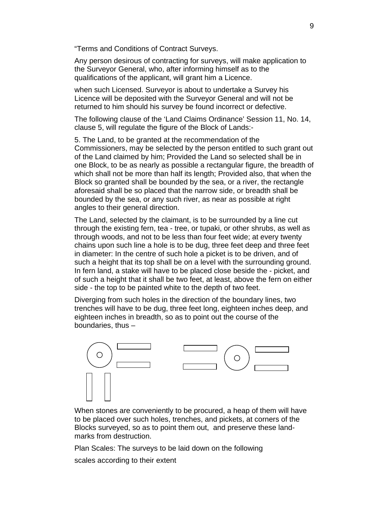"Terms and Conditions of Contract Surveys.

Any person desirous of contracting for surveys, will make application to the Surveyor General, who, after informing himself as to the qualifications of the applicant, will grant him a Licence.

when such Licensed. Surveyor is about to undertake a Survey his Licence will be deposited with the Surveyor General and will not be returned to him should his survey be found incorrect or defective.

The following clause of the 'Land Claims Ordinance' Session 11, No. 14, clause 5, will regulate the figure of the Block of Lands:-

5. The Land, to be granted at the recommendation of the Commissioners, may be selected by the person entitled to such grant out of the Land claimed by him; Provided the Land so selected shall be in one Block, to be as nearly as possible a rectangular figure, the breadth of which shall not be more than half its length; Provided also, that when the Block so granted shall be bounded by the sea, or a river, the rectangle aforesaid shall be so placed that the narrow side, or breadth shall be bounded by the sea, or any such river, as near as possible at right angles to their general direction.

The Land, selected by the claimant, is to be surrounded by a line cut through the existing fern, tea - tree, or tupaki, or other shrubs, as well as through woods, and not to be less than four feet wide; at every twenty chains upon such line a hole is to be dug, three feet deep and three feet in diameter: In the centre of such hole a picket is to be driven, and of such a height that its top shall be on a level with the surrounding ground. In fern land, a stake will have to be placed close beside the - picket, and of such a height that it shall be two feet, at least, above the fern on either side - the top to be painted white to the depth of two feet.

Diverging from such holes in the direction of the boundary lines, two trenches will have to be dug, three feet long, eighteen inches deep, and eighteen inches in breadth, so as to point out the course of the boundaries, thus –



When stones are conveniently to be procured, a heap of them will have to be placed over such holes, trenches, and pickets, at corners of the Blocks surveyed, so as to point them out, and preserve these landmarks from destruction.

Plan Scales: The surveys to be laid down on the following

scales according to their extent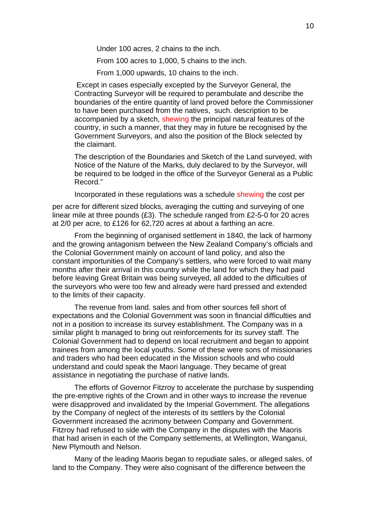Under 100 acres, 2 chains to the inch.

From 100 acres to 1,000, 5 chains to the inch.

From 1,000 upwards, 10 chains to the inch.

 Except in cases especially excepted by the Surveyor General, the Contracting Surveyor will be required to perambulate and describe the boundaries of the entire quantity of land proved before the Commissioner to have been purchased from the natives, such. description to be accompanied by a sketch, shewing the principal natural features of the country, in such a manner, that they may in future be recognised by the Government Surveyors, and also the position of the Block selected by the claimant.

The description of the Boundaries and Sketch of the Land surveyed, with Notice of the Nature of the Marks, duly declared to by the Surveyor, will be required to be lodged in the office of the Surveyor General as a Public Record."

Incorporated in these regulations was a schedule shewing the cost per

per acre for different sized blocks, averaging the cutting and surveying of one linear mile at three pounds (£3). The schedule ranged from £2-5-0 for 20 acres at 2/0 per acre, to £126 for 62,720 acres at about a farthing an acre.

From the beginning of organised settlement in 1840, the lack of harmony and the growing antagonism between the New Zealand Company's officials and the Colonial Government mainly on account of land policy, and also the constant importunities of the Company's settlers, who were forced to wait many months after their arrival in this country while the land for which they had paid before leaving Great Britain was being surveyed, all added to the difficulties of the surveyors who were too few and already were hard pressed and extended to the limits of their capacity.

The revenue from land. sales and from other sources fell short of expectations and the Colonial Government was soon in financial difficulties and not in a position to increase its survey establishment. The Company was in a similar plight b managed to bring out reinforcements for its survey staff. The Colonial Government had to depend on local recruitment and began to appoint trainees from among the local youths. Some of these were sons of missionaries and traders who had been educated in the Mission schools and who could understand and could speak the Maori language. They became of great assistance in negotiating the purchase of native lands.

The efforts of Governor Fitzroy to accelerate the purchase by suspending the pre-emptive rights of the Crown and in other ways to increase the revenue were disapproved and invalidated by the Imperial Government. The allegations by the Company of neglect of the interests of its settlers by the Colonial Government increased the acrimony between Company and Government. Fitzroy had refused to side with the Company in the disputes with the Maoris that had arisen in each of the Company settlements, at Wellington, Wanganui, New Plymouth and Nelson.

Many of the leading Maoris began to repudiate sales, or alleged sales, of land to the Company. They were also cognisant of the difference between the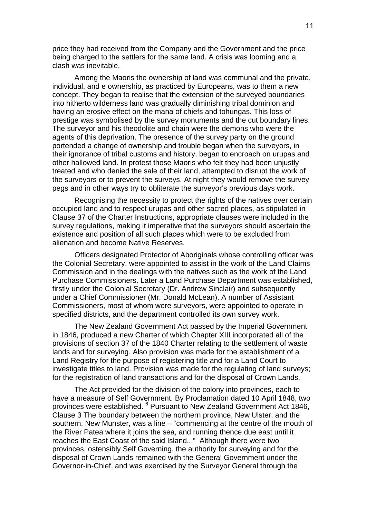price they had received from the Company and the Government and the price being charged to the settlers for the same land. A crisis was looming and a clash was inevitable.

Among the Maoris the ownership of land was communal and the private, individual, and e ownership, as practiced by Europeans, was to them a new concept. They began to realise that the extension of the surveyed boundaries into hitherto wilderness land was gradually diminishing tribal dominion and having an erosive effect on the mana of chiefs and tohungas. This loss of prestige was symbolised by the survey monuments and the cut boundary lines. The surveyor and his theodolite and chain were the demons who were the agents of this deprivation. The presence of the survey party on the ground portended a change of ownership and trouble began when the surveyors, in their ignorance of tribal customs and history, began to encroach on urupas and other hallowed land. In protest those Maoris who felt they had been unjustly treated and who denied the sale of their land, attempted to disrupt the work of the surveyors or to prevent the surveys. At night they would remove the survey pegs and in other ways try to obliterate the surveyor's previous days work.

Recognising the necessity to protect the rights of the natives over certain occupied land and to respect urupas and other sacred places, as stipulated in Clause 37 of the Charter Instructions, appropriate clauses were included in the survey regulations, making it imperative that the surveyors should ascertain the existence and position of all such places which were to be excluded from alienation and become Native Reserves.

Officers designated Protector of Aboriginals whose controlling officer was the Colonial Secretary, were appointed to assist in the work of the Land Claims Commission and in the dealings with the natives such as the work of the Land Purchase Commissioners. Later a Land Purchase Department was established, firstly under the Colonial Secretary (Dr. Andrew Sinclair) and subsequently under a Chief Commissioner (Mr. Donald McLean). A number of Assistant Commissioners, most of whom were surveyors, were appointed to operate in specified districts, and the department controlled its own survey work.

The New Zealand Government Act passed by the Imperial Government in 1846, produced a new Charter of which Chapter XIII incorporated all of the provisions of section 37 of the 1840 Charter relating to the settlement of waste lands and for surveying. Also provision was made for the establishment of a Land Registry for the purpose of registering title and for a Land Court to investigate titles to land. Provision was made for the regulating of land surveys; for the registration of land transactions and for the disposal of Crown Lands.

The Act provided for the division of the colony into provinces, each to have a measure of Self Government. By Proclamation dated 10 April 1848, two provinces were established. <sup>6</sup> Pursuant to New Zealand Government Act 1846, Clause 3 The boundary between the northern province, New Ulster, and the southern, New Munster, was a line – "commencing at the centre of the mouth of the River Patea where it joins the sea, and running thence due east until it reaches the East Coast of the said Island..." Although there were two provinces, ostensibly Self Governing, the authority for surveying and for the disposal of Crown Lands remained with the General Government under the Governor-in-Chief, and was exercised by the Surveyor General through the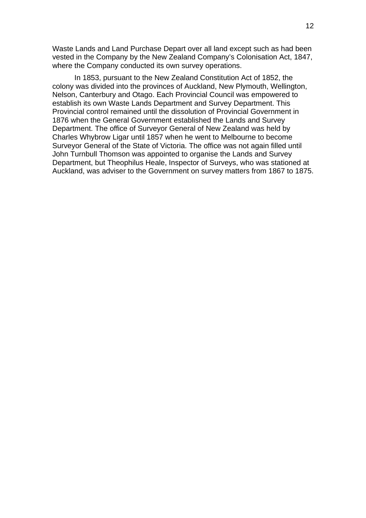Waste Lands and Land Purchase Depart over all land except such as had been vested in the Company by the New Zealand Company's Colonisation Act, 1847, where the Company conducted its own survey operations.

In 1853, pursuant to the New Zealand Constitution Act of 1852, the colony was divided into the provinces of Auckland, New Plymouth, Wellington, Nelson, Canterbury and Otago. Each Provincial Council was empowered to establish its own Waste Lands Department and Survey Department. This Provincial control remained until the dissolution of Provincial Government in 1876 when the General Government established the Lands and Survey Department. The office of Surveyor General of New Zealand was held by Charles Whybrow Ligar until 1857 when he went to Melbourne to become Surveyor General of the State of Victoria. The office was not again filled until John Turnbull Thomson was appointed to organise the Lands and Survey Department, but Theophilus Heale, Inspector of Surveys, who was stationed at Auckland, was adviser to the Government on survey matters from 1867 to 1875.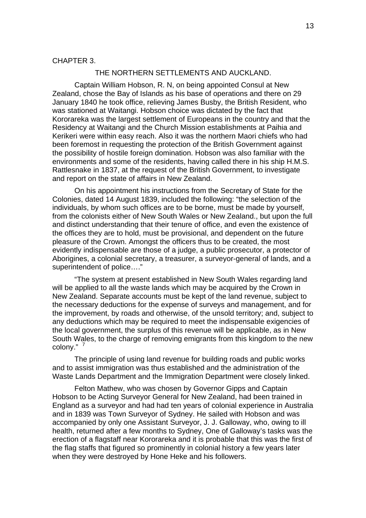#### CHAPTER 3.

#### THE NORTHERN SETTLEMENTS AND AUCKLAND.

Captain William Hobson, R. N, on being appointed Consul at New Zealand, chose the Bay of Islands as his base of operations and there on 29 January 1840 he took office, relieving James Busby, the British Resident, who was stationed at Waitangi. Hobson choice was dictated by the fact that Kororareka was the largest settlement of Europeans in the country and that the Residency at Waitangi and the Church Mission establishments at Paihia and Kerikeri were within easy reach. Also it was the northern Maori chiefs who had been foremost in requesting the protection of the British Government against the possibility of hostile foreign domination. Hobson was also familiar with the environments and some of the residents, having called there in his ship H.M.S. Rattlesnake in 1837, at the request of the British Government, to investigate and report on the state of affairs in New Zealand.

On his appointment his instructions from the Secretary of State for the Colonies, dated 14 August 1839, included the following: "the selection of the individuals, by whom such offices are to be borne, must be made by yourself, from the colonists either of New South Wales or New Zealand., but upon the full and distinct understanding that their tenure of office, and even the existence of the offices they are to hold, must be provisional, and dependent on the future pleasure of the Crown. Amongst the officers thus to be created, the most evidently indispensable are those of a judge, a public prosecutor, a protector of Aborigines, a colonial secretary, a treasurer, a surveyor-general of lands, and a superintendent of police…."

"The system at present established in New South Wales regarding land will be applied to all the waste lands which may be acquired by the Crown in New Zealand. Separate accounts must be kept of the land revenue, subject to the necessary deductions for the expense of surveys and management, and for the improvement, by roads and otherwise, of the unsold territory; and, subject to any deductions which may be required to meet the indispensable exigencies of the local government, the surplus of this revenue will be applicable, as in New South Wales, to the charge of removing emigrants from this kingdom to the new colony."<sup>7</sup>

The principle of using land revenue for building roads and public works and to assist immigration was thus established and the administration of the Waste Lands Department and the Immigration Department were closely linked.

Felton Mathew, who was chosen by Governor Gipps and Captain Hobson to be Acting Surveyor General for New Zealand, had been trained in England as a surveyor and had had ten years of colonial experience in Australia and in 1839 was Town Surveyor of Sydney. He sailed with Hobson and was accompanied by only one Assistant Surveyor, J. J. Galloway, who, owing to ill health, returned after a few months to Sydney, One of Galloway's tasks was the erection of a flagstaff near Kororareka and it is probable that this was the first of the flag staffs that figured so prominently in colonial history a few years later when they were destroyed by Hone Heke and his followers.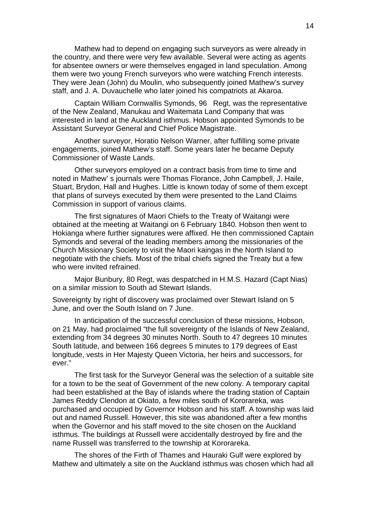Mathew had to depend on engaging such surveyors as were already in the country, and there were very few available. Several were acting as agents for absentee owners or were themselves engaged in land speculation. Among them were two young French surveyors who were watching French interests. They were Jean (John) du Moulin, who subsequently joined Mathew's survey staff, and J. A. Duvauchelle who later joined his compatriots at Akaroa.

Captain William Cornwallis Symonds, 96 Regt, was the representative of the New Zealand, Manukau and Waitemata Land Company that was interested in land at the Auckland isthmus. Hobson appointed Symonds to be Assistant Surveyor General and Chief Police Magistrate.

Another surveyor, Horatio Nelson Warner, after fulfilling some private engagements, joined Mathew's staff. Some years later he became Deputy Commissioner of Waste Lands.

Other surveyors employed on a contract basis from time to time and noted in Mathew' s journals were Thomas Florance, John Campbell, J. Haile, Stuart, Brydon, Hall and Hughes. Little is known today of some of them except that plans of surveys executed by them were presented to the Land Claims Commission in support of various claims.

The first signatures of Maori Chiefs to the Treaty of Waitangi were obtained at the meeting at Waitangi on 6 February 1840. Hobson then went to Hokianga where further signatures were affixed. He then commissioned Captain Symonds and several of the leading members among the missionaries of the Church Missionary Society to visit the Maori kaingas in the North Island to negotiate with the chiefs. Most of the tribal chiefs signed the Treaty but a few who were invited refrained.

Major Bunbury, 80 Regt, was despatched in H.M.S. Hazard (Capt Nias) on a similar mission to South ad Stewart Islands.

Sovereignty by right of discovery was proclaimed over Stewart Island on 5 June, and over the South Island on 7 June.

In anticipation of the successful conclusion of these missions, Hobson, on 21 May, had proclaimed "the full sovereignty of the Islands of New Zealand, extending from 34 degrees 30 minutes North. South to 47 degrees 10 minutes South latitude, and between 166 degrees 5 minutes to 179 degrees of East longitude, vests in Her Majesty Queen Victoria, her heirs and successors, for ever."

The first task for the Surveyor General was the selection of a suitable site for a town to be the seat of Government of the new colony. A temporary capital had been established at the Bay of islands where the trading station of Captain James Reddy Clendon at Okiato, a few miles south of Kororareka, was purchased and occupied by Governor Hobson and his staff. A township was laid out and named Russell. However, this site was abandoned after a few months when the Governor and his staff moved to the site chosen on the Auckland isthmus. The buildings at Russell were accidentally destroyed by fire and the name Russell was transferred to the township at Kororareka.

The shores of the Firth of Thames and Hauraki Gulf were explored by Mathew and ultimately a site on the Auckland isthmus was chosen which had all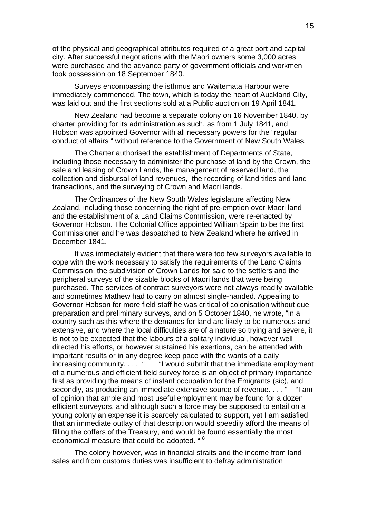of the physical and geographical attributes required of a great port and capital city. After successful negotiations with the Maori owners some 3,000 acres were purchased and the advance party of government officials and workmen took possession on 18 September 1840.

Surveys encompassing the isthmus and Waitemata Harbour were immediately commenced. The town, which is today the heart of Auckland City, was laid out and the first sections sold at a Public auction on 19 April 1841.

New Zealand had become a separate colony on 16 November 1840, by charter providing for its administration as such, as from 1 July 1841, and Hobson was appointed Governor with all necessary powers for the "regular conduct of affairs " without reference to the Government of New South Wales.

The Charter authorised the establishment of Departments of State, including those necessary to administer the purchase of land by the Crown, the sale and leasing of Crown Lands, the management of reserved land, the collection and disbursal of land revenues, the recording of land titles and land transactions, and the surveying of Crown and Maori lands.

The Ordinances of the New South Wales legislature affecting New Zealand, including those concerning the right of pre-emption over Maori land and the establishment of a Land Claims Commission, were re-enacted by Governor Hobson. The Colonial Office appointed William Spain to be the first Commissioner and he was despatched to New Zealand where he arrived in December 1841.

It was immediately evident that there were too few surveyors available to cope with the work necessary to satisfy the requirements of the Land Claims Commission, the subdivision of Crown Lands for sale to the settlers and the peripheral surveys of the sizable blocks of Maori lands that were being purchased. The services of contract surveyors were not always readily available and sometimes Mathew had to carry on almost single-handed. Appealing to Governor Hobson for more field staff he was critical of colonisation without due preparation and preliminary surveys, and on 5 October 1840, he wrote, "in a country such as this where the demands for land are likely to be numerous and extensive, and where the local difficulties are of a nature so trying and severe, it is not to be expected that the labours of a solitary individual, however well directed his efforts, or however sustained his exertions, can be attended with important results or in any degree keep pace with the wants of a daily increasing community. . . . " "I would submit that the immediate employment of a numerous and efficient field survey force is an object of primary importance first as providing the means of instant occupation for the Emigrants (sic), and secondly, as producing an immediate extensive source of revenue.... " "I am of opinion that ample and most useful employment may be found for a dozen efficient surveyors, and although such a force may be supposed to entail on a young colony an expense it is scarcely calculated to support, yet I am satisfied that an immediate outlay of that description would speedily afford the means of filling the coffers of the Treasury, and would be found essentially the most economical measure that could be adopted. "<sup>8</sup>

The colony however, was in financial straits and the income from land sales and from customs duties was insufficient to defray administration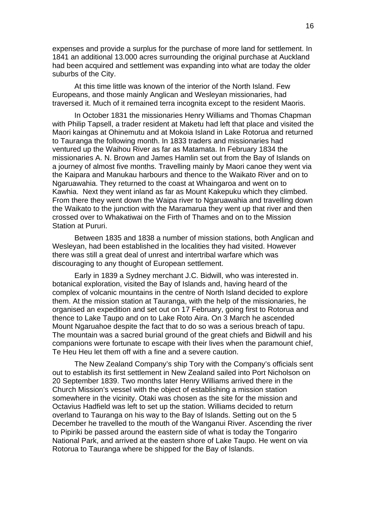expenses and provide a surplus for the purchase of more land for settlement. In 1841 an additional 13.000 acres surrounding the original purchase at Auckland had been acquired and settlement was expanding into what are today the older suburbs of the City.

At this time little was known of the interior of the North Island. Few Europeans, and those mainly Anglican and Wesleyan missionaries, had traversed it. Much of it remained terra incognita except to the resident Maoris.

In October 1831 the missionaries Henry Williams and Thomas Chapman with Philip Tapsell, a trader resident at Maketu had left that place and visited the Maori kaingas at Ohinemutu and at Mokoia Island in Lake Rotorua and returned to Tauranga the following month. In 1833 traders and missionaries had ventured up the Waihou River as far as Matamata. In February 1834 the missionaries A. N. Brown and James Hamlin set out from the Bay of Islands on a journey of almost five months. Travelling mainly by Maori canoe they went via the Kaipara and Manukau harbours and thence to the Waikato River and on to Ngaruawahia. They returned to the coast at Whaingaroa and went on to Kawhia. Next they went inland as far as Mount Kakepuku which they climbed. From there they went down the Waipa river to Ngaruawahia and travelling down the Waikato to the junction with the Maramarua they went up that river and then crossed over to Whakatiwai on the Firth of Thames and on to the Mission Station at Pururi.

Between 1835 and 1838 a number of mission stations, both Anglican and Wesleyan, had been established in the localities they had visited. However there was still a great deal of unrest and intertribal warfare which was discouraging to any thought of European settlement.

Early in 1839 a Sydney merchant J.C. Bidwill, who was interested in. botanical exploration, visited the Bay of Islands and, having heard of the complex of volcanic mountains in the centre of North Island decided to explore them. At the mission station at Tauranga, with the help of the missionaries, he organised an expedition and set out on 17 February, going first to Rotorua and thence to Lake Taupo and on to Lake Roto Aira. On 3 March he ascended Mount Ngaruahoe despite the fact that to do so was a serious breach of tapu. The mountain was a sacred burial ground of the great chiefs and Bidwill and his companions were fortunate to escape with their lives when the paramount chief, Te Heu Heu let them off with a fine and a severe caution.

The New Zealand Company's ship Tory with the Company's officials sent out to establish its first settlement in New Zealand sailed into Port Nicholson on 20 September 1839. Two months later Henry Williams arrived there in the Church Mission's vessel with the object of establishing a mission station somewhere in the vicinity. Otaki was chosen as the site for the mission and Octavius Hadfield was left to set up the station. Williams decided to return overland to Tauranga on his way to the Bay of Islands. Setting out on the 5 December he travelled to the mouth of the Wanganui River. Ascending the river to Pipiriki be passed around the eastern side of what is today the Tongariro National Park, and arrived at the eastern shore of Lake Taupo. He went on via Rotorua to Tauranga where be shipped for the Bay of Islands.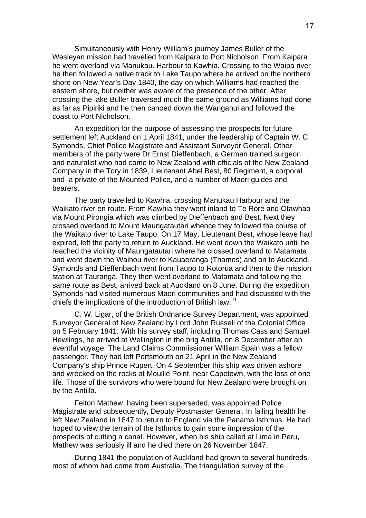Simultaneously with Henry William's journey James Buller of the Wesleyan mission had travelled from Kaipara to Port Nicholson. From Kaipara he went overland via Manukau. Harbour to Kawhia. Crossing to the Waipa river he then followed a native track to Lake Taupo where he arrived on the northern shore on New Year's Day 1840, the day on which Williams had reached the eastern shore, but neither was aware of the presence of the other. After crossing the lake Buller traversed much the same ground as Williams had done as far as Pipiriki and he then canoed down the Wanganui and followed the coast to Port Nicholson.

An expedition for the purpose of assessing the prospects for future settlement left Auckland on 1 April 1841, under the leadership of Captain W. C. Symonds, Chief Police Magistrate and Assistant Surveyor General. Other members of the party were Dr Ernst Dieffenbach, a German trained surgeon and naturalist who had come to New Zealand with officials of the New Zealand Company in the Tory in 1839, Lieutenant Abel Best, 80 Regiment, a corporal and a private of the Mounted Police, and a number of Maori guides and bearers.

The party travelled to Kawhia, crossing Manukau Harbour and the Waikato river en route. From Kawhia they went inland to Te Rore and Otawhao via Mount Pirongia which was climbed by Dieffenbach and Best. Next they crossed overland to Mount Maungatautari whence they followed the course of the Waikato river to Lake Taupo. On 17 May, Lieutenant Best, whose leave had expired, left the party to return to Auckland. He went down the Waikato until he reached the vicinity of Maungatautari where he crossed overland to Matamata and went down the Waihou river to Kauaeranga (Thames) and on to Auckland. Symonds and Dieffenbach went from Taupo to Rotorua and then to the mission station at Tauranga. They then went overland to Matamata and following the same route as Best, arrived back at Auckland on 8 June. During the expedition Symonds had visited numerous Maori communities and had discussed with the chiefs the implications of the introduction of British law. <sup>9</sup>

C. W. Ligar, of the British Ordnance Survey Department, was appointed Surveyor General of New Zealand by Lord John Russell of the Colonial Office on 5 February 1841. With his survey staff, including Thomas Cass and Samuel Hewlings, he arrived at Wellington in the brig Antilla, on 8 December after an eventful voyage. The Land Claims Commissioner William Spain was a fellow passenger. They had left Portsmouth on 21 April in the New Zealand Company's ship Prince Rupert. On 4 September this ship was driven ashore and wrecked on the rocks at Mouille Point, near Capetown, with the loss of one life. Those of the survivors who were bound for New Zealand were brought on by the Antilla.

Felton Mathew, having been superseded, was appointed Police Magistrate and subsequently, Deputy Postmaster General. In failing health he left New Zealand in 1847 to return to England via the Panama Isthmus. He had hoped to view the terrain of the Isthmus to gain some impression of the prospects of cutting a canal. However, when his ship called at Lima in Peru, Mathew was seriously ill and he died there on 26 November 1847.

During 1841 the population of Auckland had grown to several hundreds, most of whom had come from Australia. The triangulation survey of the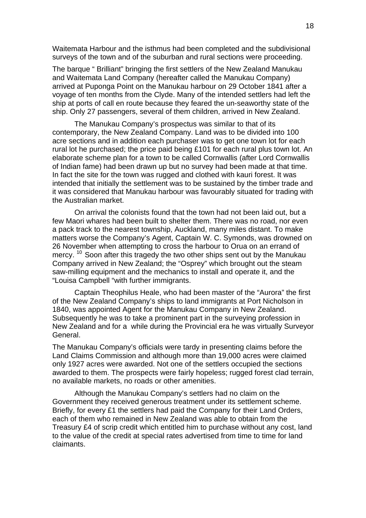Waitemata Harbour and the isthmus had been completed and the subdivisional surveys of the town and of the suburban and rural sections were proceeding.

The barque " Brilliant" bringing the first settlers of the New Zealand Manukau and Waitemata Land Company (hereafter called the Manukau Company) arrived at Puponga Point on the Manukau harbour on 29 October 1841 after a voyage of ten months from the Clyde. Many of the intended settlers had left the ship at ports of call en route because they feared the un-seaworthy state of the ship. Only 27 passengers, several of them children, arrived in New Zealand.

The Manukau Company's prospectus was similar to that of its contemporary, the New Zealand Company. Land was to be divided into 100 acre sections and in addition each purchaser was to get one town lot for each rural lot he purchased; the price paid being £101 for each rural plus town lot. An elaborate scheme plan for a town to be called Cornwallis (after Lord Cornwallis of Indian fame) had been drawn up but no survey had been made at that time. In fact the site for the town was rugged and clothed with kauri forest. It was intended that initially the settlement was to be sustained by the timber trade and it was considered that Manukau harbour was favourably situated for trading with the Australian market.

On arrival the colonists found that the town had not been laid out, but a few Maori whares had been built to shelter them. There was no road, nor even a pack track to the nearest township, Auckland, many miles distant. To make matters worse the Company's Agent, Captain W. C. Symonds, was drowned on 26 November when attempting to cross the harbour to Orua on an errand of mercy. <sup>10</sup> Soon after this tragedy the two other ships sent out by the Manukau Company arrived in New Zealand; the "Osprey" which brought out the steam saw-milling equipment and the mechanics to install and operate it, and the "Louisa Campbell "with further immigrants.

Captain Theophilus Heale, who had been master of the "Aurora" the first of the New Zealand Company's ships to land immigrants at Port Nicholson in 1840, was appointed Agent for the Manukau Company in New Zealand. Subsequently he was to take a prominent part in the surveying profession in New Zealand and for a while during the Provincial era he was virtually Surveyor General.

The Manukau Company's officials were tardy in presenting claims before the Land Claims Commission and although more than 19,000 acres were claimed only 1927 acres were awarded. Not one of the settlers occupied the sections awarded to them. The prospects were fairly hopeless; rugged forest clad terrain, no available markets, no roads or other amenities.

Although the Manukau Company's settlers had no claim on the Government they received generous treatment under its settlement scheme. Briefly, for every £1 the settlers had paid the Company for their Land Orders, each of them who remained in New Zealand was able to obtain from the Treasury £4 of scrip credit which entitled him to purchase without any cost, land to the value of the credit at special rates advertised from time to time for land claimants.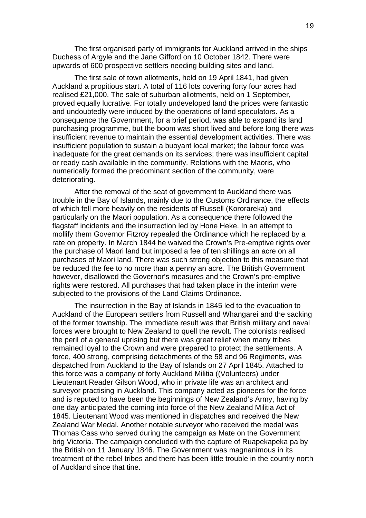The first organised party of immigrants for Auckland arrived in the ships Duchess of Argyle and the Jane Gifford on 10 October 1842. There were upwards of 600 prospective settlers needing building sites and land.

The first sale of town allotments, held on 19 April 1841, had given Auckland a propitious start. A total of 116 lots covering forty four acres had realised £21,000. The sale of suburban allotments, held on 1 September, proved equally lucrative. For totally undeveloped land the prices were fantastic and undoubtedly were induced by the operations of land speculators. As a consequence the Government, for a brief period, was able to expand its land purchasing programme, but the boom was short lived and before long there was insufficient revenue to maintain the essential development activities. There was insufficient population to sustain a buoyant local market; the labour force was inadequate for the great demands on its services; there was insufficient capital or ready cash available in the community. Relations with the Maoris, who numerically formed the predominant section of the community, were deteriorating.

After the removal of the seat of government to Auckland there was trouble in the Bay of Islands, mainly due to the Customs Ordinance, the effects of which fell more heavily on the residents of Russell (Kororareka) and particularly on the Maori population. As a consequence there followed the flagstaff incidents and the insurrection led by Hone Heke. In an attempt to mollify them Governor Fitzroy repealed the Ordinance which he replaced by a rate on property. In March 1844 he waived the Crown's Pre-emptive rights over the purchase of Maori land but imposed a fee of ten shillings an acre on all purchases of Maori land. There was such strong objection to this measure that be reduced the fee to no more than a penny an acre. The British Government however, disallowed the Governor's measures and the Crown's pre-emptive rights were restored. All purchases that had taken place in the interim were subjected to the provisions of the Land Claims Ordinance.

The insurrection in the Bay of Islands in 1845 led to the evacuation to Auckland of the European settlers from Russell and Whangarei and the sacking of the former township. The immediate result was that British military and naval forces were brought to New Zealand to quell the revolt. The colonists realised the peril of a general uprising but there was great relief when many tribes remained loyal to the Crown and were prepared to protect the settlements. A force, 400 strong, comprising detachments of the 58 and 96 Regiments, was dispatched from Auckland to the Bay of Islands on 27 April 1845. Attached to this force was a company of forty Auckland Militia ((Volunteers) under Lieutenant Reader Gilson Wood, who in private life was an architect and surveyor practising in Auckland. This company acted as pioneers for the force and is reputed to have been the beginnings of New Zealand's Army, having by one day anticipated the coming into force of the New Zealand Militia Act of 1845. Lieutenant Wood was mentioned in dispatches and received the New Zealand War Medal. Another notable surveyor who received the medal was Thomas Cass who served during the campaign as Mate on the Government brig Victoria. The campaign concluded with the capture of Ruapekapeka pa by the British on 11 January 1846. The Government was magnanimous in its treatment of the rebel tribes and there has been little trouble in the country north of Auckland since that tine.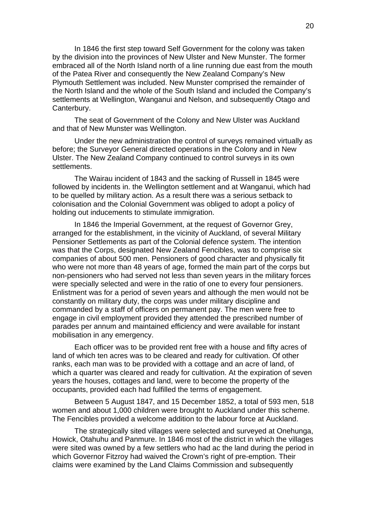In 1846 the first step toward Self Government for the colony was taken by the division into the provinces of New Ulster and New Munster. The former embraced all of the North Island north of a line running due east from the mouth of the Patea River and consequently the New Zealand Company's New Plymouth Settlement was included. New Munster comprised the remainder of the North Island and the whole of the South Island and included the Company's settlements at Wellington, Wanganui and Nelson, and subsequently Otago and Canterbury.

The seat of Government of the Colony and New Ulster was Auckland and that of New Munster was Wellington.

Under the new administration the control of surveys remained virtually as before; the Surveyor General directed operations in the Colony and in New Ulster. The New Zealand Company continued to control surveys in its own settlements.

The Wairau incident of 1843 and the sacking of Russell in 1845 were followed by incidents in. the Wellington settlement and at Wanganui, which had to be quelled by military action. As a result there was a serious setback to colonisation and the Colonial Government was obliged to adopt a policy of holding out inducements to stimulate immigration.

In 1846 the Imperial Government, at the request of Governor Grey, arranged for the establishment, in the vicinity of Auckland, of several Military Pensioner Settlements as part of the Colonial defence system. The intention was that the Corps, designated New Zealand Fencibles, was to comprise six companies of about 500 men. Pensioners of good character and physically fit who were not more than 48 years of age, formed the main part of the corps but non-pensioners who had served not less than seven years in the military forces were specially selected and were in the ratio of one to every four pensioners. Enlistment was for a period of seven years and although the men would not be constantly on military duty, the corps was under military discipline and commanded by a staff of officers on permanent pay. The men were free to engage in civil employment provided they attended the prescribed number of parades per annum and maintained efficiency and were available for instant mobilisation in any emergency.

Each officer was to be provided rent free with a house and fifty acres of land of which ten acres was to be cleared and ready for cultivation. Of other ranks, each man was to be provided with a cottage and an acre of land, of which a quarter was cleared and ready for cultivation. At the expiration of seven years the houses, cottages and land, were to become the property of the occupants, provided each had fulfilled the terms of engagement.

Between 5 August 1847, and 15 December 1852, a total of 593 men, 518 women and about 1,000 children were brought to Auckland under this scheme. The Fencibles provided a welcome addition to the labour force at Auckland.

The strategically sited villages were selected and surveyed at Onehunga, Howick, Otahuhu and Panmure. In 1846 most of the district in which the villages were sited was owned by a few settlers who had ac the land during the period in which Governor Fitzroy had waived the Crown's right of pre-emption. Their claims were examined by the Land Claims Commission and subsequently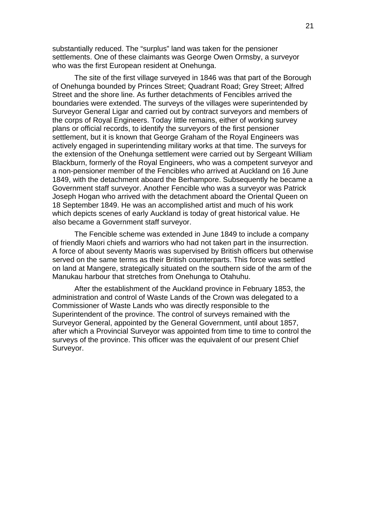substantially reduced. The "surplus" land was taken for the pensioner settlements. One of these claimants was George Owen Ormsby, a surveyor who was the first European resident at Onehunga.

The site of the first village surveyed in 1846 was that part of the Borough of Onehunga bounded by Princes Street; Quadrant Road; Grey Street; Alfred Street and the shore line. As further detachments of Fencibles arrived the boundaries were extended. The surveys of the villages were superintended by Surveyor General Ligar and carried out by contract surveyors and members of the corps of Royal Engineers. Today little remains, either of working survey plans or official records, to identify the surveyors of the first pensioner settlement, but it is known that George Graham of the Royal Engineers was actively engaged in superintending military works at that time. The surveys for the extension of the Onehunga settlement were carried out by Sergeant William Blackburn, formerly of the Royal Engineers, who was a competent surveyor and a non-pensioner member of the Fencibles who arrived at Auckland on 16 June 1849, with the detachment aboard the Berhampore. Subsequently he became a Government staff surveyor. Another Fencible who was a surveyor was Patrick Joseph Hogan who arrived with the detachment aboard the Oriental Queen on 18 September 1849. He was an accomplished artist and much of his work which depicts scenes of early Auckland is today of great historical value. He also became a Government staff surveyor.

The Fencible scheme was extended in June 1849 to include a company of friendly Maori chiefs and warriors who had not taken part in the insurrection. A force of about seventy Maoris was supervised by British officers but otherwise served on the same terms as their British counterparts. This force was settled on land at Mangere, strategically situated on the southern side of the arm of the Manukau harbour that stretches from Onehunga to Otahuhu.

After the establishment of the Auckland province in February 1853, the administration and control of Waste Lands of the Crown was delegated to a Commissioner of Waste Lands who was directly responsible to the Superintendent of the province. The control of surveys remained with the Surveyor General, appointed by the General Government, until about 1857, after which a Provincial Surveyor was appointed from time to time to control the surveys of the province. This officer was the equivalent of our present Chief Surveyor.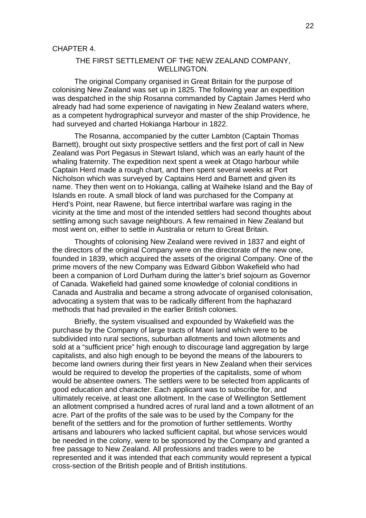## THE FIRST SETTLEMENT OF THE NEW ZEALAND COMPANY, WELLINGTON.

The original Company organised in Great Britain for the purpose of colonising New Zealand was set up in 1825. The following year an expedition was despatched in the ship Rosanna commanded by Captain James Herd who already had had some experience of navigating in New Zealand waters where, as a competent hydrographical surveyor and master of the ship Providence, he had surveyed and charted Hokianga Harbour in 1822.

The Rosanna, accompanied by the cutter Lambton (Captain Thomas Barnett), brought out sixty prospective settlers and the first port of call in New Zealand was Port Pegasus in Stewart Island, which was an early haunt of the whaling fraternity. The expedition next spent a week at Otago harbour while Captain Herd made a rough chart, and then spent several weeks at Port Nicholson which was surveyed by Captains Herd and Barnett and given its name. They then went on to Hokianga, calling at Waiheke Island and the Bay of Islands en route. A small block of land was purchased for the Company at Herd's Point, near Rawene, but fierce intertribal warfare was raging in the vicinity at the time and most of the intended settlers had second thoughts about settling among such savage neighbours. A few remained in New Zealand but most went on, either to settle in Australia or return to Great Britain.

Thoughts of colonising New Zealand were revived in 1837 and eight of the directors of the original Company were on the directorate of the new one, founded in 1839, which acquired the assets of the original Company. One of the prime movers of the new Company was Edward Gibbon Wakefield who had been a companion of Lord Durham during the latter's brief sojourn as Governor of Canada. Wakefield had gained some knowledge of colonial conditions in Canada and Australia and became a strong advocate of organised colonisation, advocating a system that was to be radically different from the haphazard methods that had prevailed in the earlier British colonies.

Briefly, the system visualised and expounded by Wakefield was the purchase by the Company of large tracts of Maori land which were to be subdivided into rural sections, suburban allotments and town allotments and sold at a "sufficient price" high enough to discourage land aggregation by large capitalists, and also high enough to be beyond the means of the labourers to become land owners during their first years in New Zealand when their services would be required to develop the properties of the capitalists, some of whom would be absentee owners. The settlers were to be selected from applicants of good education and character. Each applicant was to subscribe for, and ultimately receive, at least one allotment. In the case of Wellington Settlement an allotment comprised a hundred acres of rural land and a town allotment of an acre. Part of the profits of the sale was to be used by the Company for the benefit of the settlers and for the promotion of further settlements. Worthy artisans and labourers who lacked sufficient capital, but whose services would be needed in the colony, were to be sponsored by the Company and granted a free passage to New Zealand. All professions and trades were to be represented and it was intended that each community would represent a typical cross-section of the British people and of British institutions.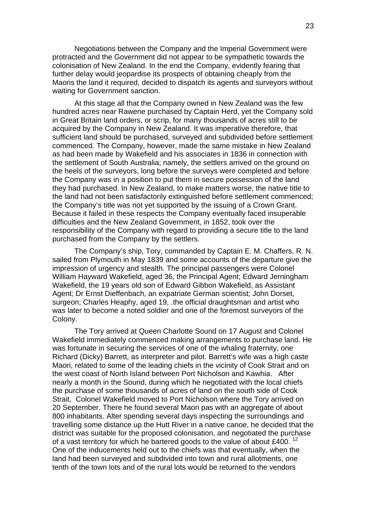Negotiations between the Company and the Imperial Government were protracted and the Government did not appear to be sympathetic towards the colonisation of New Zealand. In the end the Company, evidently fearing that further delay would jeopardise its prospects of obtaining cheaply from the Maoris the land it required, decided to dispatch its agents and surveyors without waiting for Government sanction.

At this stage all that the Company owned in New Zealand was the few hundred acres near Rawene purchased by Captain Herd, yet the Company sold in Great Britain land orders, or scrip, for many thousands of acres still to be acquired by the Company in New Zealand. It was imperative therefore, that sufficient land should be purchased, surveyed and subdivided before settlement commenced. The Company, however, made the same mistake in New Zealand as had been made by Wakefield and his associates in 1836 in connection with the settlement of South Australia; namely, the settlers arrived on the ground on the heels of the surveyors, long before the surveys were completed and before the Company was in a position to put them in secure possession of the land they had purchased. In New Zealand, to make matters worse, the native title to the land had not been satisfactorily extinguished before settlement commenced; the Company's title was not yet supported by the issuing of a Crown Grant. Because it failed in these respects the Company eventually faced insuperable difficulties and the New Zealand Government, in 1852, took over the responsibility of the Company with regard to providing a secure title to the land purchased from the Company by the settlers.

The Company's ship, Tory, commanded by Captain E. M. Chaffers, R. N. sailed from Plymouth in May 1839 and some accounts of the departure give the impression of urgency and stealth. The principal passengers were Colonel William Hayward Wakefield, aged 36, the Principal Agent; Edward Jerningham Wakefield, the 19 years old son of Edward Gibbon Wakefield, as Assistant Agent; Dr Ernst Dieffenbach, an expatriate German scientist; John Dorset, surgeon; Charles Heaphy, aged 19, .the official draughtsman and artist who was later to become a noted soldier and one of the foremost surveyors of the Colony.

The Tory arrived at Queen Charlotte Sound on 17 August and Colonel Wakefield immediately commenced making arrangements to purchase land. He was fortunate in securing the services of one of the whaling fraternity, one Richard (Dicky) Barrett, as interpreter and pilot. Barrett's wife was a high caste Maori, related to some of the leading chiefs in the vicinity of Cook Strait and on the west coast of North Island between Port Nicholson and Kawhia. After nearly a month in the Sound, during which he negotiated with the local chiefs the purchase of some thousands of acres of land on the south side of Cook Strait, Colonel Wakefield moved to Port Nicholson where the Tory arrived on 20 September. There he found several Maori pas with an aggregate of about 800 inhabitants. Alter spending several days inspecting the surroundings and travelling some distance up the Hutt River in a native canoe, he decided that the district was suitable for the proposed colonisation, and negotiated the purchase of a vast territory for which he bartered goods to the value of about £400.  $^{12}$ One of the inducements held out to the chiefs was that eventually, when the land had been surveyed and subdivided into town and rural allotments, one tenth of the town lots and of the rural lots would be returned to the vendors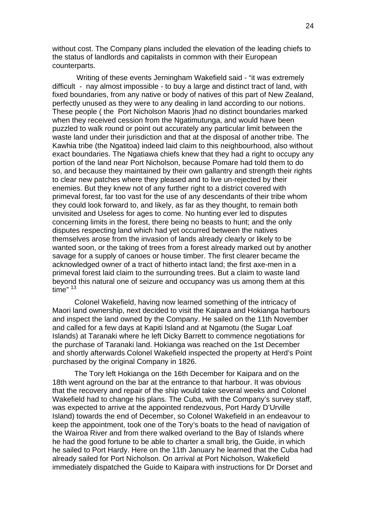without cost. The Company plans included the elevation of the leading chiefs to the status of landlords and capitalists in common with their European counterparts.

 Writing of these events Jerningham Wakefield said - "it was extremely difficult - nay almost impossible - to buy a large and distinct tract of land, with fixed boundaries, from any native or body of natives of this part of New Zealand, perfectly unused as they were to any dealing in land according to our notions. These people ( the Port Nicholson Maoris )had no distinct boundaries marked when they received cession from the Ngatimutunga, and would have been puzzled to walk round or point out accurately any particular limit between the waste land under their jurisdiction and that at the disposal of another tribe. The Kawhia tribe (the Ngatitoa) indeed laid claim to this neighbourhood, also without exact boundaries. The Ngatiawa chiefs knew that they had a right to occupy any portion of the land near Port Nicholson, because Pomare had told them to do so, and because they maintained by their own gallantry and strength their rights to clear new patches where they pleased and to live un-rejected by their enemies. But they knew not of any further right to a district covered with primeval forest, far too vast for the use of any descendants of their tribe whom they could look forward to, and likely, as far as they thought, to remain both unvisited and Useless for ages to come. No hunting ever led to disputes concerning limits in the forest, there being no beasts to hunt; and the only disputes respecting land which had yet occurred between the natives themselves arose from the invasion of lands already clearly or likely to be wanted soon, or the taking of trees from a forest already marked out by another savage for a supply of canoes or house timber. The first clearer became the acknowledged owner of a tract of hitherto intact land; the first axe-men in a primeval forest laid claim to the surrounding trees. But a claim to waste land beyond this natural one of seizure and occupancy was us among them at this time"  $13$ 

Colonel Wakefield, having now learned something of the intricacy of Maori land ownership, next decided to visit the Kaipara and Hokianga harbours and inspect the land owned by the Company. He sailed on the 11th November and called for a few days at Kapiti Island and at Ngamotu (the Sugar Loaf Islands) at Taranaki where he left Dicky Barrett to commence negotiations for the purchase of Taranaki land. Hokianga was reached on the 1st December and shortly afterwards Colonel Wakefield inspected the property at Herd's Point purchased by the original Company in 1826.

The Tory left Hokianga on the 16th December for Kaipara and on the 18th went aground on the bar at the entrance to that harbour. It was obvious that the recovery and repair of the ship would take several weeks and Colonel Wakefield had to change his plans. The Cuba, with the Company's survey staff, was expected to arrive at the appointed rendezvous, Port Hardy D'Urville Island) towards the end of December, so Colonel Wakefield in an endeavour to keep the appointment, took one of the Tory's boats to the head of navigation of the Wairoa River and from there walked overland to the Bay of Islands where he had the good fortune to be able to charter a small brig, the Guide, in which he sailed to Port Hardy. Here on the 11th January he learned that the Cuba had already sailed for Port Nicholson. On arrival at Port Nicholson, Wakefield immediately dispatched the Guide to Kaipara with instructions for Dr Dorset and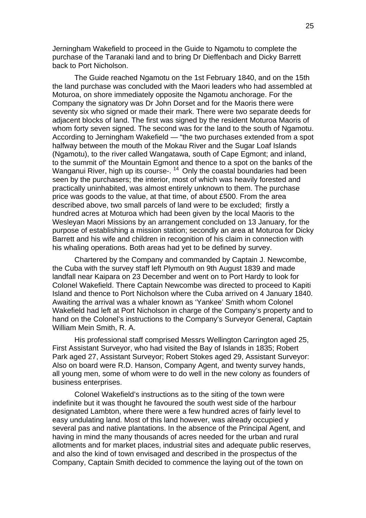Jerningham Wakefield to proceed in the Guide to Ngamotu to complete the purchase of the Taranaki land and to bring Dr Dieffenbach and Dicky Barrett back to Port Nicholson.

The Guide reached Ngamotu on the 1st February 1840, and on the 15th the land purchase was concluded with the Maori leaders who had assembled at Moturoa, on shore immediately opposite the Ngamotu anchorage. For the Company the signatory was Dr John Dorset and for the Maoris there were seventy six who signed or made their mark. There were two separate deeds for adjacent blocks of land. The first was signed by the resident Moturoa Maoris of whom forty seven signed. The second was for the land to the south of Ngamotu. According to Jerningham Wakefield — "the two purchases extended from a spot halfway between the mouth of the Mokau River and the Sugar Loaf Islands (Ngamotu), to the river called Wangatawa, south of Cape Egmont; and inland, to the summit of' the Mountain Egmont and thence to a spot on the banks of the Wanganui River, high up its course-.<sup>14</sup> Only the coastal boundaries had been seen by the purchasers; the interior, most of which was heavily forested and practically uninhabited, was almost entirely unknown to them. The purchase price was goods to the value, at that time, of about £500. From the area described above, two small parcels of land were to be excluded; firstly a hundred acres at Moturoa which had been given by the local Maoris to the Wesleyan Maori Missions by an arrangement concluded on 13 January, for the purpose of establishing a mission station; secondly an area at Moturoa for Dicky Barrett and his wife and children in recognition of his claim in connection with his whaling operations. Both areas had yet to be defined by survey.

Chartered by the Company and commanded by Captain J. Newcombe, the Cuba with the survey staff left Plymouth on 9th August 1839 and made landfall near Kaipara on 23 December and went on to Port Hardy to look for Colonel Wakefield. There Captain Newcombe was directed to proceed to Kapiti Island and thence to Port Nicholson where the Cuba arrived on 4 January 1840. Awaiting the arrival was a whaler known as 'Yankee' Smith whom Colonel Wakefield had left at Port Nicholson in charge of the Company's property and to hand on the Colonel's instructions to the Company's Surveyor General, Captain William Mein Smith, R. A.

His professional staff comprised Messrs Wellington Carrington aged 25, First Assistant Surveyor, who had visited the Bay of Islands in 1835; Robert Park aged 27, Assistant Surveyor; Robert Stokes aged 29, Assistant Surveyor: Also on board were R.D. Hanson, Company Agent, and twenty survey hands, all young men, some of whom were to do well in the new colony as founders of business enterprises.

Colonel Wakefield's instructions as to the siting of the town were indefinite but it was thought he favoured the south west side of the harbour designated Lambton, where there were a few hundred acres of fairly level to easy undulating land. Most of this land however, was already occupied y several pas and native plantations. In the absence of the Principal Agent, and having in mind the many thousands of acres needed for the urban and rural allotments and for market places, industrial sites and adequate public reserves, and also the kind of town envisaged and described in the prospectus of the Company, Captain Smith decided to commence the laying out of the town on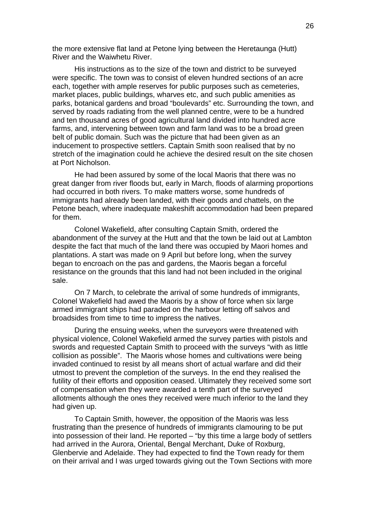the more extensive flat land at Petone lying between the Heretaunga (Hutt) River and the Waiwhetu River.

His instructions as to the size of the town and district to be surveyed were specific. The town was to consist of eleven hundred sections of an acre each, together with ample reserves for public purposes such as cemeteries, market places, public buildings, wharves etc, and such public amenities as parks, botanical gardens and broad "boulevards" etc. Surrounding the town, and served by roads radiating from the well planned centre, were to be a hundred and ten thousand acres of good agricultural land divided into hundred acre farms, and, intervening between town and farm land was to be a broad green belt of public domain. Such was the picture that had been given as an inducement to prospective settlers. Captain Smith soon realised that by no stretch of the imagination could he achieve the desired result on the site chosen at Port Nicholson.

He had been assured by some of the local Maoris that there was no great danger from river floods but, early in March, floods of alarming proportions had occurred in both rivers. To make matters worse, some hundreds of immigrants had already been landed, with their goods and chattels, on the Petone beach, where inadequate makeshift accommodation had been prepared for them.

Colonel Wakefield, after consulting Captain Smith, ordered the abandonment of the survey at the Hutt and that the town be laid out at Lambton despite the fact that much of the land there was occupied by Maori homes and plantations. A start was made on 9 April but before long, when the survey began to encroach on the pas and gardens, the Maoris began a forceful resistance on the grounds that this land had not been included in the original sale.

On 7 March, to celebrate the arrival of some hundreds of immigrants, Colonel Wakefield had awed the Maoris by a show of force when six large armed immigrant ships had paraded on the harbour letting off salvos and broadsides from time to time to impress the natives.

During the ensuing weeks, when the surveyors were threatened with physical violence, Colonel Wakefield armed the survey parties with pistols and swords and requested Captain Smith to proceed with the surveys "with as little collision as possible". The Maoris whose homes and cultivations were being invaded continued to resist by all means short of actual warfare and did their utmost to prevent the completion of the surveys. In the end they realised the futility of their efforts and opposition ceased. Ultimately they received some sort of compensation when they were awarded a tenth part of the surveyed allotments although the ones they received were much inferior to the land they had given up.

To Captain Smith, however, the opposition of the Maoris was less frustrating than the presence of hundreds of immigrants clamouring to be put into possession of their land. He reported – "by this time a large body of settlers had arrived in the Aurora, Oriental, Bengal Merchant, Duke of Roxburg, Glenbervie and Adelaide. They had expected to find the Town ready for them on their arrival and I was urged towards giving out the Town Sections with more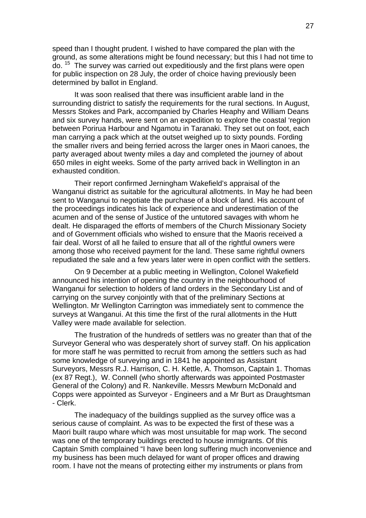speed than I thought prudent. I wished to have compared the plan with the ground, as some alterations might be found necessary; but this I had not time to do. 15 The survey was carried out expeditiously and the first plans were open for public inspection on 28 July, the order of choice having previously been determined by ballot in England.

It was soon realised that there was insufficient arable land in the surrounding district to satisfy the requirements for the rural sections. In August, Messrs Stokes and Park, accompanied by Charles Heaphy and William Deans and six survey hands, were sent on an expedition to explore the coastal 'region between Porirua Harbour and Ngamotu in Taranaki. They set out on foot, each man carrying a pack which at the outset weighed up to sixty pounds. Fording the smaller rivers and being ferried across the larger ones in Maori canoes, the party averaged about twenty miles a day and completed the journey of about 650 miles in eight weeks. Some of the party arrived back in Wellington in an exhausted condition.

Their report confirmed Jerningham Wakefield's appraisal of the Wanganui district as suitable for the agricultural allotments. In May he had been sent to Wanganui to negotiate the purchase of a block of land. His account of the proceedings indicates his lack of experience and underestimation of the acumen and of the sense of Justice of the untutored savages with whom he dealt. He disparaged the efforts of members of the Church Missionary Society and of Government officials who wished to ensure that the Maoris received a fair deal. Worst of all he failed to ensure that all of the rightful owners were among those who received payment for the land. These same rightful owners repudiated the sale and a few years later were in open conflict with the settlers.

On 9 December at a public meeting in Wellington, Colonel Wakefield announced his intention of opening the country in the neighbourhood of Wanganui for selection to holders of land orders in the Secondary List and of carrying on the survey conjointly with that of the preliminary Sections at Wellington. Mr Wellington Carrington was immediately sent to commence the surveys at Wanganui. At this time the first of the rural allotments in the Hutt Valley were made available for selection.

The frustration of the hundreds of settlers was no greater than that of the Surveyor General who was desperately short of survey staff. On his application for more staff he was permitted to recruit from among the settlers such as had some knowledge of surveying and in 1841 he appointed as Assistant Surveyors, Messrs R.J. Harrison, C. H. Kettle, A. Thomson, Captain 1. Thomas (ex 87 Regt.), W. Connell (who shortly afterwards was appointed Postmaster General of the Colony) and R. Nankeville. Messrs Mewburn McDonald and Copps were appointed as Surveyor - Engineers and a Mr Burt as Draughtsman - Clerk.

The inadequacy of the buildings supplied as the survey office was a serious cause of complaint. As was to be expected the first of these was a Maori built raupo whare which was most unsuitable for map work. The second was one of the temporary buildings erected to house immigrants. Of this Captain Smith complained "I have been long suffering much inconvenience and my business has been much delayed for want of proper offices and drawing room. I have not the means of protecting either my instruments or plans from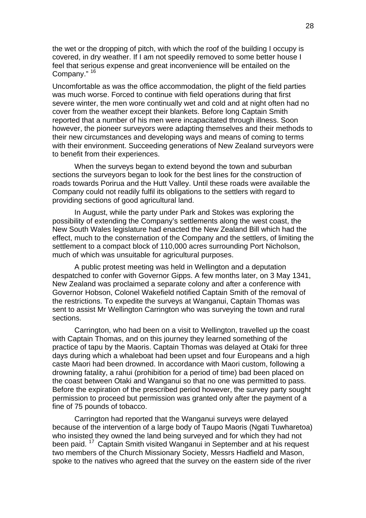the wet or the dropping of pitch, with which the roof of the building I occupy is covered, in dry weather. If I am not speedily removed to some better house I feel that serious expense and great inconvenience will be entailed on the Company." <sup>16</sup>

Uncomfortable as was the office accommodation, the plight of the field parties was much worse. Forced to continue with field operations during that first severe winter, the men wore continually wet and cold and at night often had no cover from the weather except their blankets. Before long Captain Smith reported that a number of his men were incapacitated through illness. Soon however, the pioneer surveyors were adapting themselves and their methods to their new circumstances and developing ways and means of coming to terms with their environment. Succeeding generations of New Zealand surveyors were to benefit from their experiences.

When the surveys began to extend beyond the town and suburban sections the surveyors began to look for the best lines for the construction of roads towards Porirua and the Hutt Valley. Until these roads were available the Company could not readily fulfil its obligations to the settlers with regard to providing sections of good agricultural land.

In August, while the party under Park and Stokes was exploring the possibility of extending the Company's settlements along the west coast, the New South Wales legislature had enacted the New Zealand Bill which had the effect, much to the consternation of the Company and the settlers, of limiting the settlement to a compact block of 110,000 acres surrounding Port Nicholson, much of which was unsuitable for agricultural purposes.

A public protest meeting was held in Wellington and a deputation despatched to confer with Governor Gipps. A few months later, on 3 May 1341, New Zealand was proclaimed a separate colony and after a conference with Governor Hobson, Colonel Wakefield notified Captain Smith of the removal of the restrictions. To expedite the surveys at Wanganui, Captain Thomas was sent to assist Mr Wellington Carrington who was surveying the town and rural sections.

Carrington, who had been on a visit to Wellington, travelled up the coast with Captain Thomas, and on this journey they learned something of the practice of tapu by the Maoris. Captain Thomas was delayed at Otaki for three days during which a whaleboat had been upset and four Europeans and a high caste Maori had been drowned. In accordance with Maori custom, following a drowning fatality, a rahui (prohibition for a period of time) bad been placed on the coast between Otaki and Wanganui so that no one was permitted to pass. Before the expiration of the prescribed period however, the survey party sought permission to proceed but permission was granted only after the payment of a fine of 75 pounds of tobacco.

Carrington had reported that the Wanganui surveys were delayed because of the intervention of a large body of Taupo Maoris (Ngati Tuwharetoa) who insisted they owned the land being surveyed and for which they had not been paid. 17 Captain Smith visited Wanganui in September and at his request two members of the Church Missionary Society, Messrs Hadfield and Mason, spoke to the natives who agreed that the survey on the eastern side of the river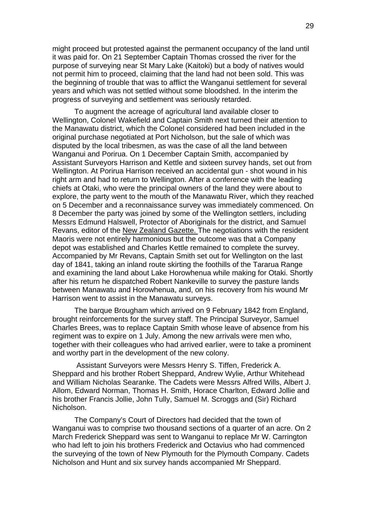might proceed but protested against the permanent occupancy of the land until it was paid for. On 21 September Captain Thomas crossed the river for the purpose of surveying near St Mary Lake (Kaitoki) but a body of natives would not permit him to proceed, claiming that the land had not been sold. This was the beginning of trouble that was to afflict the Wanganui settlement for several years and which was not settled without some bloodshed. In the interim the progress of surveying and settlement was seriously retarded.

To augment the acreage of agricultural land available closer to Wellington, Colonel Wakefield and Captain Smith next turned their attention to the Manawatu district, which the Colonel considered had been included in the original purchase negotiated at Port Nicholson, but the sale of which was disputed by the local tribesmen, as was the case of all the land between Wanganui and Porirua. On 1 December Captain Smith, accompanied by Assistant Surveyors Harrison and Kettle and sixteen survey hands, set out from Wellington. At Porirua Harrison received an accidental gun - shot wound in his right arm and had to return to Wellington. After a conference with the leading chiefs at Otaki, who were the principal owners of the land they were about to explore, the party went to the mouth of the Manawatu River, which they reached on 5 December and a reconnaissance survey was immediately commenced. On 8 December the party was joined by some of the Wellington settlers, including Messrs Edmund Halswell, Protector of Aboriginals for the district, and Samuel Revans, editor of the New Zealand Gazette. The negotiations with the resident Maoris were not entirely harmonious but the outcome was that a Company depot was established and Charles Kettle remained to complete the survey. Accompanied by Mr Revans, Captain Smith set out for Wellington on the last day of 1841, taking an inland route skirting the foothills of the Tararua Range and examining the land about Lake Horowhenua while making for Otaki. Shortly after his return he dispatched Robert Nankeville to survey the pasture lands between Manawatu and Horowhenua, and, on his recovery from his wound Mr Harrison went to assist in the Manawatu surveys.

The barque Brougham which arrived on 9 February 1842 from England, brought reinforcements for the survey staff. The Principal Surveyor, Samuel Charles Brees, was to replace Captain Smith whose leave of absence from his regiment was to expire on 1 July. Among the new arrivals were men who, together with their colleagues who had arrived earlier, were to take a prominent and worthy part in the development of the new colony.

 Assistant Surveyors were Messrs Henry S. Tiffen, Frederick A. Sheppard and his brother Robert Sheppard, Andrew Wylie, Arthur Whitehead and William Nicholas Searanke. The Cadets were Messrs Alfred Wills, Albert J. Allom, Edward Norman, Thomas H. Smith, Horace Charlton, Edward Jollie and his brother Francis Jollie, John Tully, Samuel M. Scroggs and (Sir) Richard Nicholson.

The Company's Court of Directors had decided that the town of Wanganui was to comprise two thousand sections of a quarter of an acre. On 2 March Frederick Sheppard was sent to Wanganui to replace Mr W. Carrington who had left to join his brothers Frederick and Octavius who had commenced the surveying of the town of New Plymouth for the Plymouth Company. Cadets Nicholson and Hunt and six survey hands accompanied Mr Sheppard.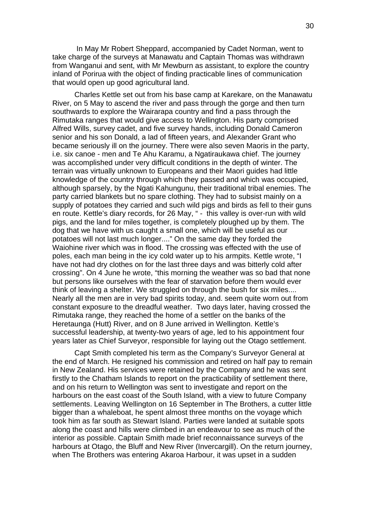In May Mr Robert Sheppard, accompanied by Cadet Norman, went to take charge of the surveys at Manawatu and Captain Thomas was withdrawn from Wanganui and sent, with Mr Mewburn as assistant, to explore the country inland of Porirua with the object of finding practicable lines of communication that would open up good agricultural land.

Charles Kettle set out from his base camp at Karekare, on the Manawatu River, on 5 May to ascend the river and pass through the gorge and then turn southwards to explore the Wairarapa country and find a pass through the Rimutaka ranges that would give access to Wellington. His party comprised Alfred Wills, survey cadet, and five survey hands, including Donald Cameron senior and his son Donald, a lad of fifteen years, and Alexander Grant who became seriously ill on the journey. There were also seven Maoris in the party, i.e. six canoe - men and Te Ahu Karamu, a Ngatiraukawa chief. The journey was accomplished under very difficult conditions in the depth of winter. The terrain was virtually unknown to Europeans and their Maori guides had little knowledge of the country through which they passed and which was occupied, although sparsely, by the Ngati Kahungunu, their traditional tribal enemies. The party carried blankets but no spare clothing. They had to subsist mainly on a supply of potatoes they carried and such wild pigs and birds as fell to their guns en route. Kettle's diary records, for 26 May, " - this valley is over-run with wild pigs, and the land for miles together, is completely ploughed up by them. The dog that we have with us caught a small one, which will be useful as our potatoes will not last much longer...." On the same day they forded the Waiohine river which was in flood. The crossing was effected with the use of poles, each man being in the icy cold water up to his armpits. Kettle wrote, "I have not had dry clothes on for the last three days and was bitterly cold after crossing". On 4 June he wrote, "this morning the weather was so bad that none but persons like ourselves with the fear of starvation before them would ever think of leaving a shelter. We struggled on through the bush for six miles.... Nearly all the men are in very bad spirits today, and. seem quite worn out from constant exposure to the dreadful weather. Two days later, having crossed the Rimutaka range, they reached the home of a settler on the banks of the Heretaunga (Hutt) River, and on 8 June arrived in Wellington. Kettle's successful leadership, at twenty-two years of age, led to his appointment four years later as Chief Surveyor, responsible for laying out the Otago settlement.

Capt Smith completed his term as the Company's Surveyor General at the end of March. He resigned his commission and retired on half pay to remain in New Zealand. His services were retained by the Company and he was sent firstly to the Chatham Islands to report on the practicability of settlement there, and on his return to Wellington was sent to investigate and report on the harbours on the east coast of the South Island, with a view to future Company settlements. Leaving Wellington on 16 September in The Brothers, a cutter little bigger than a whaleboat, he spent almost three months on the voyage which took him as far south as Stewart Island. Parties were landed at suitable spots along the coast and hills were climbed in an endeavour to see as much of the interior as possible. Captain Smith made brief reconnaissance surveys of the harbours at Otago, the Bluff and New River (Invercargill). On the return journey, when The Brothers was entering Akaroa Harbour, it was upset in a sudden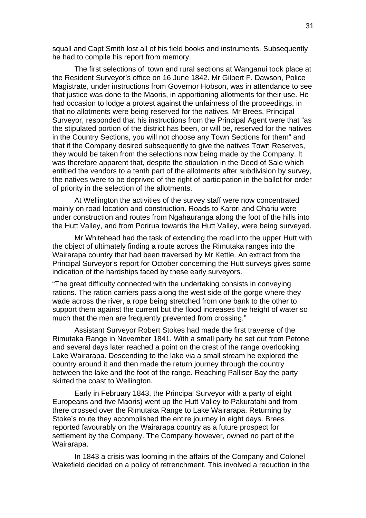squall and Capt Smith lost all of his field books and instruments. Subsequently he had to compile his report from memory.

The first selections of' town and rural sections at Wanganui took place at the Resident Surveyor's office on 16 June 1842. Mr Gilbert F. Dawson, Police Magistrate, under instructions from Governor Hobson, was in attendance to see that justice was done to the Maoris, in apportioning allotments for their use. He had occasion to lodge a protest against the unfairness of the proceedings, in that no allotments were being reserved for the natives. Mr Brees, Principal Surveyor, responded that his instructions from the Principal Agent were that "as the stipulated portion of the district has been, or will be, reserved for the natives in the Country Sections, you will not choose any Town Sections for them" and that if the Company desired subsequently to give the natives Town Reserves, they would be taken from the selections now being made by the Company. It was therefore apparent that, despite the stipulation in the Deed of Sale which entitled the vendors to a tenth part of the allotments after subdivision by survey, the natives were to be deprived of the right of participation in the ballot for order of priority in the selection of the allotments.

At Wellington the activities of the survey staff were now concentrated mainly on road location and construction. Roads to Karori and Ohariu were under construction and routes from Ngahauranga along the foot of the hills into the Hutt Valley, and from Porirua towards the Hutt Valley, were being surveyed.

Mr Whitehead had the task of extending the road into the upper Hutt with the object of ultimately finding a route across the Rimutaka ranges into the Wairarapa country that had been traversed by Mr Kettle. An extract from the Principal Surveyor's report for October concerning the Hutt surveys gives some indication of the hardships faced by these early surveyors.

"The great difficulty connected with the undertaking consists in conveying rations. The ration carriers pass along the west side of the gorge where they wade across the river, a rope being stretched from one bank to the other to support them against the current but the flood increases the height of water so much that the men are frequently prevented from crossing."

Assistant Surveyor Robert Stokes had made the first traverse of the Rimutaka Range in November 1841. With a small party he set out from Petone and several days later reached a point on the crest of the range overlooking Lake Wairarapa. Descending to the lake via a small stream he explored the country around it and then made the return journey through the country between the lake and the foot of the range. Reaching Palliser Bay the party skirted the coast to Wellington.

Early in February 1843, the Principal Surveyor with a party of eight Europeans and five Maoris) went up the Hutt Valley to Pakuratahi and from there crossed over the Rimutaka Range to Lake Wairarapa. Returning by Stoke's route they accomplished the entire journey in eight days. Brees reported favourably on the Wairarapa country as a future prospect for settlement by the Company. The Company however, owned no part of the Wairarapa.

In 1843 a crisis was looming in the affairs of the Company and Colonel Wakefield decided on a policy of retrenchment. This involved a reduction in the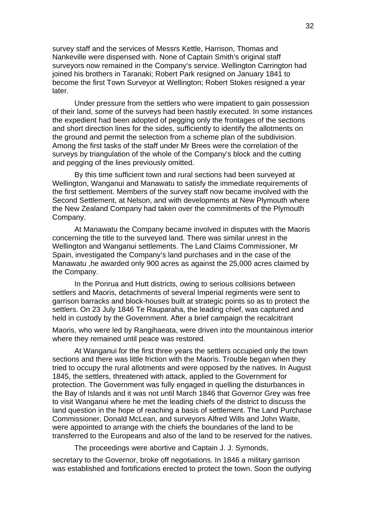survey staff and the services of Messrs Kettle, Harrison, Thomas and Nankeville were dispensed with. None of Captain Smith's original staff surveyors now remained in the Company's service. Wellington Carrington had joined his brothers in Taranaki; Robert Park resigned on January 1841 to become the first Town Surveyor at Wellington; Robert Stokes resigned a year later.

Under pressure from the settlers who were impatient to gain possession of their land, some of the surveys had been hastily executed. In some instances the expedient had been adopted of pegging only the frontages of the sections and short direction lines for the sides, sufficiently to identify the allotments on the ground and permit the selection from a scheme plan of the subdivision. Among the first tasks of the staff under Mr Brees were the correlation of the surveys by triangulation of the whole of the Company's block and the cutting and pegging of the lines previously omitted.

By this time sufficient town and rural sections had been surveyed at Wellington, Wanganui and Manawatu to satisfy the immediate requirements of the first settlement. Members of the survey staff now became involved with the Second Settlement, at Nelson, and with developments at New Plymouth where the New Zealand Company had taken over the commitments of the Plymouth Company.

At Manawatu the Company became involved in disputes with the Maoris concerning the title to the surveyed land. There was similar unrest in the Wellington and Wanganui settlements. The Land Claims Commissioner, Mr Spain, investigated the Company's land purchases and in the case of the Manawatu ,he awarded only 900 acres as against the 25,000 acres claimed by the Company.

In the Porirua and Hutt districts, owing to serious collisions between settlers and Maoris, detachments of several Imperial regiments were sent to garrison barracks and block-houses built at strategic points so as to protect the settlers. On 23 July 1846 Te Rauparaha, the leading chief, was captured and held in custody by the Government. After a brief campaign the recalcitrant

Maoris, who were led by Rangihaeata, were driven into the mountainous interior where they remained until peace was restored.

At Wanganui for the first three years the settlers occupied only the town sections and there was little friction with the Maoris. Trouble began when they tried to occupy the rural allotments and were opposed by the natives. In August 1845, the settlers, threatened with attack, applied to the Government for protection. The Government was fully engaged in quelling the disturbances in the Bay of Islands and it was not until March 1846 that Governor Grey was free to visit Wanganui where he met the leading chiefs of the district to discuss the land question in the hope of reaching a basis of settlement. The Land Purchase Commissioner, Donald McLean, and surveyors Alfred Wills and John Waite, were appointed to arrange with the chiefs the boundaries of the land to be transferred to the Europeans and also of the land to be reserved for the natives.

The proceedings were abortive and Captain J. J. Symonds,

secretary to the Governor, broke off negotiations. In 1846 a military garrison was established and fortifications erected to protect the town. Soon the outlying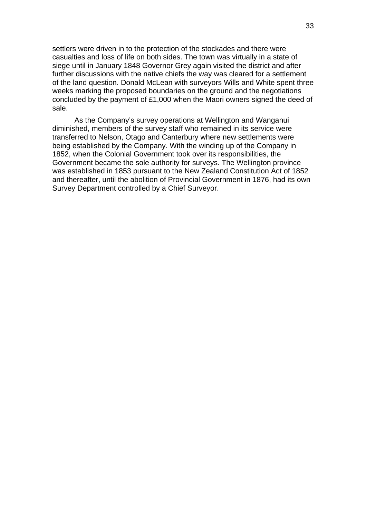settlers were driven in to the protection of the stockades and there were casualties and loss of life on both sides. The town was virtually in a state of siege until in January 1848 Governor Grey again visited the district and after further discussions with the native chiefs the way was cleared for a settlement of the land question. Donald McLean with surveyors Wills and White spent three weeks marking the proposed boundaries on the ground and the negotiations concluded by the payment of £1,000 when the Maori owners signed the deed of sale.

As the Company's survey operations at Wellington and Wanganui diminished, members of the survey staff who remained in its service were transferred to Nelson, Otago and Canterbury where new settlements were being established by the Company. With the winding up of the Company in 1852, when the Colonial Government took over its responsibilities, the Government became the sole authority for surveys. The Wellington province was established in 1853 pursuant to the New Zealand Constitution Act of 1852 and thereafter, until the abolition of Provincial Government in 1876, had its own Survey Department controlled by a Chief Surveyor.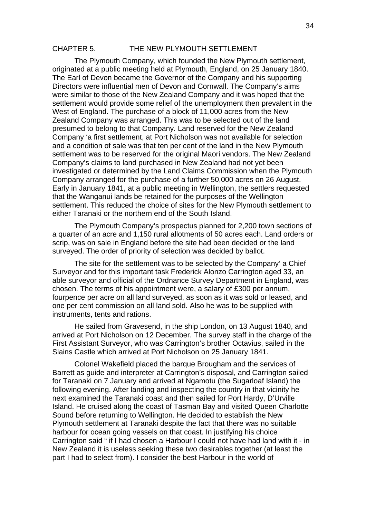### CHAPTER 5. THE NEW PLYMOUTH SETTLEMENT

The Plymouth Company, which founded the New Plymouth settlement, originated at a public meeting held at Plymouth, England, on 25 January 1840. The Earl of Devon became the Governor of the Company and his supporting Directors were influential men of Devon and Cornwall. The Company's aims were similar to those of the New Zealand Company and it was hoped that the settlement would provide some relief of the unemployment then prevalent in the West of England. The purchase of a block of 11,000 acres from the New Zealand Company was arranged. This was to be selected out of the land presumed to belong to that Company. Land reserved for the New Zealand Company 'a first settlement, at Port Nicholson was not available for selection and a condition of sale was that ten per cent of the land in the New Plymouth settlement was to be reserved for the original Maori vendors. The New Zealand Company's claims to land purchased in New Zealand had not yet been investigated or determined by the Land Claims Commission when the Plymouth Company arranged for the purchase of a further 50,000 acres on 26 August. Early in January 1841, at a public meeting in Wellington, the settlers requested that the Wanganui lands be retained for the purposes of the Wellington settlement. This reduced the choice of sites for the New Plymouth settlement to either Taranaki or the northern end of the South Island.

The Plymouth Company's prospectus planned for 2,200 town sections of a quarter of an acre and 1,150 rural allotments of 50 acres each. Land orders or scrip, was on sale in England before the site had been decided or the land surveyed. The order of priority of selection was decided by ballot.

The site for the settlement was to be selected by the Company' a Chief Surveyor and for this important task Frederick Alonzo Carrington aged 33, an able surveyor and official of the Ordnance Survey Department in England, was chosen. The terms of his appointment were, a salary of £300 per annum, fourpence per acre on all land surveyed, as soon as it was sold or leased, and one per cent commission on all land sold. Also he was to be supplied with instruments, tents and rations.

He sailed from Gravesend, in the ship London, on 13 August 1840, and arrived at Port Nicholson on 12 December. The survey staff in the charge of the First Assistant Surveyor, who was Carrington's brother Octavius, sailed in the Slains Castle which arrived at Port Nicholson on 25 January 1841.

Colonel Wakefield placed the barque Brougham and the services of Barrett as guide and interpreter at Carrington's disposal, and Carrington sailed for Taranaki on 7 January and arrived at Ngamotu (the Sugarloaf Island) the following evening. After landing and inspecting the country in that vicinity he next examined the Taranaki coast and then sailed for Port Hardy, D'Urville Island. He cruised along the coast of Tasman Bay and visited Queen Charlotte Sound before returning to Wellington. He decided to establish the New Plymouth settlement at Taranaki despite the fact that there was no suitable harbour for ocean going vessels on that coast. In justifying his choice Carrington said " if I had chosen a Harbour I could not have had land with it - in New Zealand it is useless seeking these two desirables together (at least the part I had to select from). I consider the best Harbour in the world of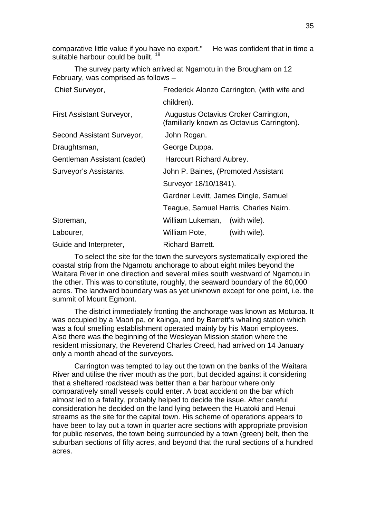comparative little value if you have no export." He was confident that in time a suitable harbour could be built.<sup>18</sup>

The survey party which arrived at Ngamotu in the Brougham on 12 February, was comprised as follows –

| Chief Surveyor,             | Frederick Alonzo Carrington, (with wife and                                        |
|-----------------------------|------------------------------------------------------------------------------------|
|                             | children).                                                                         |
| First Assistant Surveyor,   | Augustus Octavius Croker Carrington,<br>(familiarly known as Octavius Carrington). |
| Second Assistant Surveyor,  | John Rogan.                                                                        |
| Draughtsman,                | George Duppa.                                                                      |
| Gentleman Assistant (cadet) | Harcourt Richard Aubrey.                                                           |
| Surveyor's Assistants.      | John P. Baines, (Promoted Assistant                                                |
|                             | Surveyor 18/10/1841).                                                              |
|                             | Gardner Levitt, James Dingle, Samuel                                               |
|                             | Teague, Samuel Harris, Charles Nairn.                                              |
| Storeman,                   | William Lukeman,<br>(with wife).                                                   |
| Labourer,                   | William Pote,<br>(with wife).                                                      |
| Guide and Interpreter,      | <b>Richard Barrett.</b>                                                            |

To select the site for the town the surveyors systematically explored the coastal strip from the Ngamotu anchorage to about eight miles beyond the Waitara River in one direction and several miles south westward of Ngamotu in the other. This was to constitute, roughly, the seaward boundary of the 60,000 acres. The landward boundary was as yet unknown except for one point, i.e. the summit of Mount Egmont.

The district immediately fronting the anchorage was known as Moturoa. It was occupied by a Maori pa, or kainga, and by Barrett's whaling station which was a foul smelling establishment operated mainly by his Maori employees. Also there was the beginning of the Wesleyan Mission station where the resident missionary, the Reverend Charles Creed, had arrived on 14 January only a month ahead of the surveyors.

Carrington was tempted to lay out the town on the banks of the Waitara River and utilise the river mouth as the port, but decided against it considering that a sheltered roadstead was better than a bar harbour where only comparatively small vessels could enter. A boat accident on the bar which almost led to a fatality, probably helped to decide the issue. After careful consideration he decided on the land lying between the Huatoki and Henui streams as the site for the capital town. His scheme of operations appears to have been to lay out a town in quarter acre sections with appropriate provision for public reserves, the town being surrounded by a town (green) belt, then the suburban sections of fifty acres, and beyond that the rural sections of a hundred acres.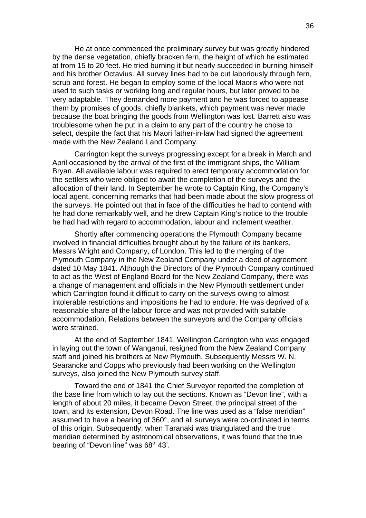He at once commenced the preliminary survey but was greatly hindered by the dense vegetation, chiefly bracken fern, the height of which he estimated at from 15 to 20 feet. He tried burning it but nearly succeeded in burning himself and his brother Octavius. All survey lines had to be cut laboriously through fern, scrub and forest. He began to employ some of the local Maoris who were not used to such tasks or working long and regular hours, but later proved to be very adaptable. They demanded more payment and he was forced to appease them by promises of goods, chiefly blankets, which payment was never made because the boat bringing the goods from Wellington was lost. Barrett also was troublesome when he put in a claim to any part of the country he chose to select, despite the fact that his Maori father-in-law had signed the agreement made with the New Zealand Land Company.

Carrington kept the surveys progressing except for a break in March and April occasioned by the arrival of the first of the immigrant ships, the William Bryan. All available labour was required to erect temporary accommodation for the settlers who were obliged to await the completion of the surveys and the allocation of their land. In September he wrote to Captain King, the Company's local agent, concerning remarks that had been made about the slow progress of the surveys. He pointed out that in face of the difficulties he had to contend with he had done remarkably well, and he drew Captain King's notice to the trouble he had had with regard to accommodation, labour and inclement weather.

Shortly after commencing operations the Plymouth Company became involved in financial difficulties brought about by the failure of its bankers, Messrs Wright and Company, of London. This led to the merging of the Plymouth Company in the New Zealand Company under a deed of agreement dated 10 May 1841. Although the Directors of the Plymouth Company continued to act as the West of England Board for the New Zealand Company, there was a change of management and officials in the New Plymouth settlement under which Carrington found it difficult to carry on the surveys owing to almost intolerable restrictions and impositions he had to endure. He was deprived of a reasonable share of the labour force and was not provided with suitable accommodation. Relations between the surveyors and the Company officials were strained.

At the end of September 1841, Wellington Carrington who was engaged in laying out the town of Wanganui, resigned from the New Zealand Company staff and joined his brothers at New Plymouth. Subsequently Messrs W. N. Searancke and Copps who previously had been working on the Wellington surveys, also joined the New Plymouth survey staff.

Toward the end of 1841 the Chief Surveyor reported the completion of the base line from which to lay out the sections. Known as "Devon line", with a length of about 20 miles, it became Devon Street, the principal street of the town, and its extension, Devon Road. The line was used as a "false meridian" assumed to have a bearing of 360°, and all surveys were co-ordinated in terms of this origin. Subsequently, when Taranaki was triangulated and the true meridian determined by astronomical observations, it was found that the true bearing of "Devon line" was  $68^{\circ}$  43'.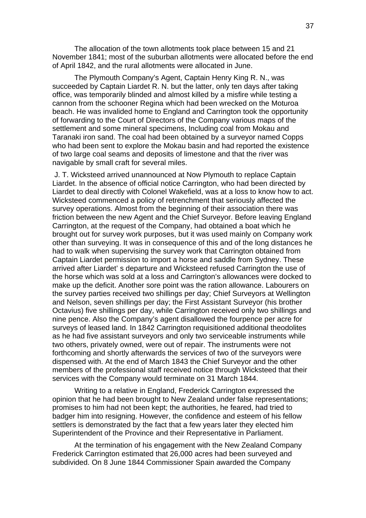The allocation of the town allotments took place between 15 and 21 November 1841; most of the suburban allotments were allocated before the end of April 1842, and the rural allotments were allocated in June.

The Plymouth Company's Agent, Captain Henry King R. N., was succeeded by Captain Liardet R. N. but the latter, only ten days after taking office, was temporarily blinded and almost killed by a misfire while testing a cannon from the schooner Regina which had been wrecked on the Moturoa beach. He was invalided home to England and Carrington took the opportunity of forwarding to the Court of Directors of the Company various maps of the settlement and some mineral specimens, Including coal from Mokau and Taranaki iron sand. The coal had been obtained by a surveyor named Copps who had been sent to explore the Mokau basin and had reported the existence of two large coal seams and deposits of limestone and that the river was navigable by small craft for several miles.

 J. T. Wicksteed arrived unannounced at Now Plymouth to replace Captain Liardet. In the absence of official notice Carrington, who had been directed by Liardet to deal directly with Colonel Wakefield, was at a loss to know how to act. Wicksteed commenced a policy of retrenchment that seriously affected the survey operations. Almost from the beginning of their association there was friction between the new Agent and the Chief Surveyor. Before leaving England Carrington, at the request of the Company, had obtained a boat which he brought out for survey work purposes, but it was used mainly on Company work other than surveying. It was in consequence of this and of the long distances he had to walk when supervising the survey work that Carrington obtained from Captain Liardet permission to import a horse and saddle from Sydney. These arrived after Liardet' s departure and Wicksteed refused Carrington the use of the horse which was sold at a loss and Carrington's allowances were docked to make up the deficit. Another sore point was the ration allowance. Labourers on the survey parties received two shillings per day; Chief Surveyors at Wellington and Nelson, seven shillings per day; the First Assistant Surveyor (his brother Octavius) five shillings per day, while Carrington received only two shillings and nine pence. Also the Company's agent disallowed the fourpence per acre for surveys of leased land. In 1842 Carrington requisitioned additional theodolites as he had five assistant surveyors and only two serviceable instruments while two others, privately owned, were out of repair. The instruments were not forthcoming and shortly afterwards the services of two of the surveyors were dispensed with. At the end of March 1843 the Chief Surveyor and the other members of the professional staff received notice through Wicksteed that their services with the Company would terminate on 31 March 1844.

Writing to a relative in England, Frederick Carrington expressed the opinion that he had been brought to New Zealand under false representations; promises to him had not been kept; the authorities, he feared, had tried to badger him into resigning. However, the confidence and esteem of his fellow settlers is demonstrated by the fact that a few years later they elected him Superintendent of the Province and their Representative in Parliament.

At the termination of his engagement with the New Zealand Company Frederick Carrington estimated that 26,000 acres had been surveyed and subdivided. On 8 June 1844 Commissioner Spain awarded the Company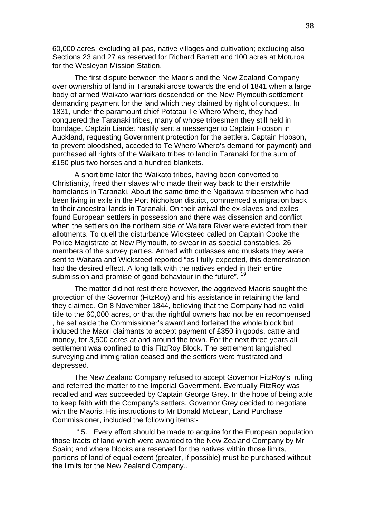60,000 acres, excluding all pas, native villages and cultivation; excluding also Sections 23 and 27 as reserved for Richard Barrett and 100 acres at Moturoa for the Wesleyan Mission Station.

The first dispute between the Maoris and the New Zealand Company over ownership of land in Taranaki arose towards the end of 1841 when a large body of armed Waikato warriors descended on the New Plymouth settlement demanding payment for the land which they claimed by right of conquest. In 1831, under the paramount chief Potatau Te Whero Whero, they had conquered the Taranaki tribes, many of whose tribesmen they still held in bondage. Captain Liardet hastily sent a messenger to Captain Hobson in Auckland, requesting Government protection for the settlers. Captain Hobson, to prevent bloodshed, acceded to Te Whero Whero's demand for payment) and purchased all rights of the Waikato tribes to land in Taranaki for the sum of £150 plus two horses and a hundred blankets.

A short time later the Waikato tribes, having been converted to Christianity, freed their slaves who made their way back to their erstwhile homelands in Taranaki. About the same time the Ngatiawa tribesmen who had been living in exile in the Port Nicholson district, commenced a migration back to their ancestral lands in Taranaki. On their arrival the ex-slaves and exiles found European settlers in possession and there was dissension and conflict when the settlers on the northern side of Waitara River were evicted from their allotments. To quell the disturbance Wicksteed called on Captain Cooke the Police Magistrate at New Plymouth, to swear in as special constables, 26 members of the survey parties. Armed with cutlasses and muskets they were sent to Waitara and Wicksteed reported "as I fully expected, this demonstration had the desired effect. A long talk with the natives ended in their entire submission and promise of good behaviour in the future". <sup>19</sup>

The matter did not rest there however, the aggrieved Maoris sought the protection of the Governor (FitzRoy) and his assistance in retaining the land they claimed. On 8 November 1844, believing that the Company had no valid title to the 60,000 acres, or that the rightful owners had not be en recompensed , he set aside the Commissioner's award and forfeited the whole block but induced the Maori claimants to accept payment of £350 in goods, cattle and money, for 3,500 acres at and around the town. For the next three years all settlement was confined to this FitzRoy Block. The settlement languished, surveying and immigration ceased and the settlers were frustrated and depressed.

The New Zealand Company refused to accept Governor FitzRoy's ruling and referred the matter to the Imperial Government. Eventually FitzRoy was recalled and was succeeded by Captain George Grey. In the hope of being able to keep faith with the Company's settlers, Governor Grey decided to negotiate with the Maoris. His instructions to Mr Donald McLean, Land Purchase Commissioner, included the following items:-

 " 5. Every effort should be made to acquire for the European population those tracts of land which were awarded to the New Zealand Company by Mr Spain; and where blocks are reserved for the natives within those limits, portions of land of equal extent (greater, if possible) must be purchased without the limits for the New Zealand Company..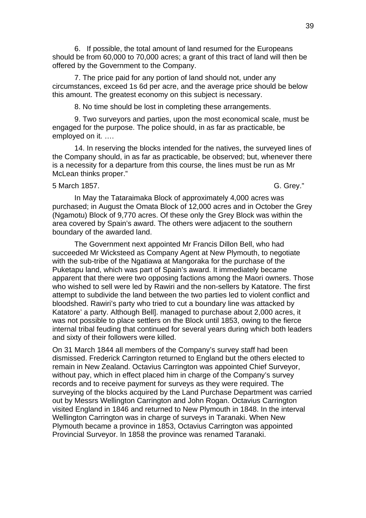6. If possible, the total amount of land resumed for the Europeans should be from 60,000 to 70,000 acres; a grant of this tract of land will then be offered by the Government to the Company.

7. The price paid for any portion of land should not, under any circumstances, exceed 1s 6d per acre, and the average price should be below this amount. The greatest economy on this subject is necessary.

8. No time should be lost in completing these arrangements.

9. Two surveyors and parties, upon the most economical scale, must be engaged for the purpose. The police should, in as far as practicable, be employed on it. ….

14. In reserving the blocks intended for the natives, the surveyed lines of the Company should, in as far as practicable, be observed; but, whenever there is a necessity for a departure from this course, the lines must be run as Mr McLean thinks proper."

### 5 March 1857. G. Grey."

In May the Tataraimaka Block of approximately 4,000 acres was purchased; in August the Omata Block of 12,000 acres and in October the Grey (Ngamotu) Block of 9,770 acres. Of these only the Grey Block was within the area covered by Spain's award. The others were adjacent to the southern boundary of the awarded land.

The Government next appointed Mr Francis Dillon Bell, who had succeeded Mr Wicksteed as Company Agent at New Plymouth, to negotiate with the sub-tribe of the Ngatiawa at Mangoraka for the purchase of the Puketapu land, which was part of Spain's award. It immediately became apparent that there were two opposing factions among the Maori owners. Those who wished to sell were led by Rawiri and the non-sellers by Katatore. The first attempt to subdivide the land between the two parties led to violent conflict and bloodshed. Rawiri's party who tried to cut a boundary line was attacked by Katatore' a party. Although Bell]. managed to purchase about 2,000 acres, it was not possible to place settlers on the Block until 1853, owing to the fierce internal tribal feuding that continued for several years during which both leaders and sixty of their followers were killed.

On 31 March 1844 all members of the Company's survey staff had been dismissed. Frederick Carrington returned to England but the others elected to remain in New Zealand. Octavius Carrington was appointed Chief Surveyor, without pay, which in effect placed him in charge of the Company's survey records and to receive payment for surveys as they were required. The surveying of the blocks acquired by the Land Purchase Department was carried out by Messrs Wellington Carrington and John Rogan. Octavius Carrington visited England in 1846 and returned to New Plymouth in 1848. In the interval Wellington Carrington was in charge of surveys in Taranaki. When New Plymouth became a province in 1853, Octavius Carrington was appointed Provincial Surveyor. In 1858 the province was renamed Taranaki.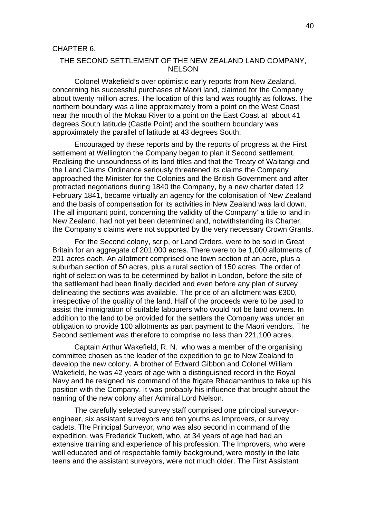# THE SECOND SETTLEMENT OF THE NEW ZEALAND LAND COMPANY, NELSON

Colonel Wakefield's over optimistic early reports from New Zealand, concerning his successful purchases of Maori land, claimed for the Company about twenty million acres. The location of this land was roughly as follows. The northern boundary was a line approximately from a point on the West Coast near the mouth of the Mokau River to a point on the East Coast at about 41 degrees South latitude (Castle Point) and the southern boundary was approximately the parallel of latitude at 43 degrees South.

Encouraged by these reports and by the reports of progress at the First settlement at Wellington the Company began to plan it Second settlement. Realising the unsoundness of its land titles and that the Treaty of Waitangi and the Land Claims Ordinance seriously threatened its claims the Company approached the Minister for the Colonies and the British Government and after protracted negotiations during 1840 the Company, by a new charter dated 12 February 1841, became virtually an agency for the colonisation of New Zealand and the basis of compensation for its activities in New Zealand was laid down. The all important point, concerning the validity of the Company' a title to land in New Zealand, had not yet been determined and, notwithstanding its Charter, the Company's claims were not supported by the very necessary Crown Grants.

For the Second colony, scrip, or Land Orders, were to be sold in Great Britain for an aggregate of 201,000 acres. There were to be 1,000 allotments of 201 acres each. An allotment comprised one town section of an acre, plus a suburban section of 50 acres, plus a rural section of 150 acres. The order of right of selection was to be determined by ballot in London, before the site of the settlement had been finally decided and even before any plan of survey delineating the sections was available. The price of an allotment was £300, irrespective of the quality of the land. Half of the proceeds were to be used to assist the immigration of suitable labourers who would not be land owners. In addition to the land to be provided for the settlers the Company was under an obligation to provide 100 allotments as part payment to the Maori vendors. The Second settlement was therefore to comprise no less than 221,100 acres.

Captain Arthur Wakefield, R. N. who was a member of the organising committee chosen as the leader of the expedition to go to New Zealand to develop the new colony. A brother of Edward Gibbon and Colonel William Wakefield, he was 42 years of age with a distinguished record in the Royal Navy and he resigned his command of the frigate Rhadamanthus to take up his position with the Company. It was probably his influence that brought about the naming of the new colony after Admiral Lord Nelson.

The carefully selected survey staff comprised one principal surveyorengineer, six assistant surveyors and ten youths as Improvers, or survey cadets. The Principal Surveyor, who was also second in command of the expedition, was Frederick Tuckett, who, at 34 years of age had had an extensive training and experience of his profession. The Improvers, who were well educated and of respectable family background, were mostly in the late teens and the assistant surveyors, were not much older. The First Assistant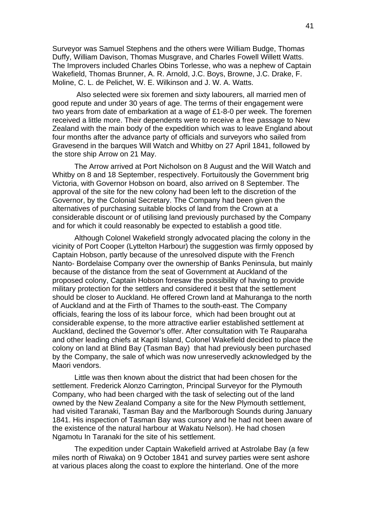Surveyor was Samuel Stephens and the others were William Budge, Thomas Duffy, William Davison, Thomas Musgrave, and Charles Fowell Willett Watts. The Improvers included Charles Obins Torlesse, who was a nephew of Captain Wakefield, Thomas Brunner, A. R. Arnold, J.C. Boys, Browne, J.C. Drake, F. Moline, C. L. de Pelichet, W. E. Wilkinson and J. W. A. Watts.

 Also selected were six foremen and sixty labourers, all married men of good repute and under 30 years of age. The terms of their engagement were two years from date of embarkation at a wage of £1-8-0 per week. The foremen received a little more. Their dependents were to receive a free passage to New Zealand with the main body of the expedition which was to leave England about four months after the advance party of officials and surveyors who sailed from Gravesend in the barques Will Watch and Whitby on 27 April 1841, followed by the store ship Arrow on 21 May.

The Arrow arrived at Port Nicholson on 8 August and the Will Watch and Whitby on 8 and 18 September, respectively. Fortuitously the Government brig Victoria, with Governor Hobson on board, also arrived on 8 September. The approval of the site for the new colony had been left to the discretion of the Governor, by the Colonial Secretary. The Company had been given the alternatives of purchasing suitable blocks of land from the Crown at a considerable discount or of utilising land previously purchased by the Company and for which it could reasonably be expected to establish a good title.

Although Colonel Wakefield strongly advocated placing the colony in the vicinity of Port Cooper (Lyttelton Harbour) the suggestion was firmly opposed by Captain Hobson, partly because of the unresolved dispute with the French Nanto- Bordelaise Company over the ownership of Banks Peninsula, but mainly because of the distance from the seat of Government at Auckland of the proposed colony, Captain Hobson foresaw the possibility of having to provide military protection for the settlers and considered it best that the settlement should be closer to Auckland. He offered Crown land at Mahuranga to the north of Auckland and at the Firth of Thames to the south-east. The Company officials, fearing the loss of its labour force, which had been brought out at considerable expense, to the more attractive earlier established settlement at Auckland, declined the Governor's offer. After consultation with Te Rauparaha and other leading chiefs at Kapiti Island, Colonel Wakefield decided to place the colony on land at Blind Bay (Tasman Bay) that had previously been purchased by the Company, the sale of which was now unreservedly acknowledged by the Maori vendors.

Little was then known about the district that had been chosen for the settlement. Frederick Alonzo Carrington, Principal Surveyor for the Plymouth Company, who had been charged with the task of selecting out of the land owned by the New Zealand Company a site for the New Plymouth settlement, had visited Taranaki, Tasman Bay and the Marlborough Sounds during January 1841. His inspection of Tasman Bay was cursory and he had not been aware of the existence of the natural harbour at Wakatu Nelson). He had chosen Ngamotu In Taranaki for the site of his settlement.

The expedition under Captain Wakefield arrived at Astrolabe Bay (a few miles north of Riwaka) on 9 October 1841 and survey parties were sent ashore at various places along the coast to explore the hinterland. One of the more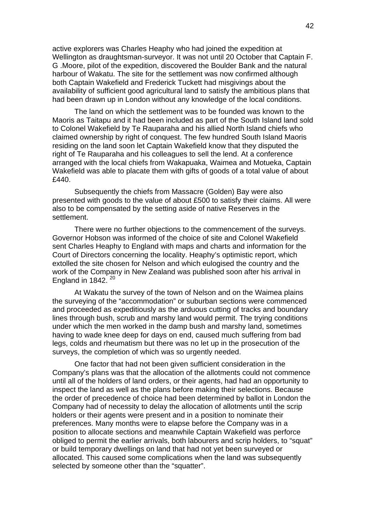active explorers was Charles Heaphy who had joined the expedition at Wellington as draughtsman-surveyor. It was not until 20 October that Captain F. G .Moore, pilot of the expedition, discovered the Boulder Bank and the natural harbour of Wakatu. The site for the settlement was now confirmed although both Captain Wakefield and Frederick Tuckett had misgivings about the availability of sufficient good agricultural land to satisfy the ambitious plans that had been drawn up in London without any knowledge of the local conditions.

The land on which the settlement was to be founded was known to the Maoris as Taitapu and it had been included as part of the South Island land sold to Colonel Wakefield by Te Rauparaha and his allied North Island chiefs who claimed ownership by right of conquest. The few hundred South Island Maoris residing on the land soon let Captain Wakefield know that they disputed the right of Te Rauparaha and his colleagues to sell the lend. At a conference arranged with the local chiefs from Wakapuaka, Waimea and Motueka, Captain Wakefield was able to placate them with gifts of goods of a total value of about £440.

Subsequently the chiefs from Massacre (Golden) Bay were also presented with goods to the value of about £500 to satisfy their claims. All were also to be compensated by the setting aside of native Reserves in the settlement.

There were no further objections to the commencement of the surveys. Governor Hobson was informed of the choice of site and Colonel Wakefield sent Charles Heaphy to England with maps and charts and information for the Court of Directors concerning the locality. Heaphy's optimistic report, which extolled the site chosen for Nelson and which eulogised the country and the work of the Company in New Zealand was published soon after his arrival in England in 1842.  $20^{20}$ 

At Wakatu the survey of the town of Nelson and on the Waimea plains the surveying of the "accommodation" or suburban sections were commenced and proceeded as expeditiously as the arduous cutting of tracks and boundary lines through bush, scrub and marshy land would permit. The trying conditions under which the men worked in the damp bush and marshy land, sometimes having to wade knee deep for days on end, caused much suffering from bad legs, colds and rheumatism but there was no let up in the prosecution of the surveys, the completion of which was so urgently needed.

One factor that had not been given sufficient consideration in the Company's plans was that the allocation of the allotments could not commence until all of the holders of land orders, or their agents, had had an opportunity to inspect the land as well as the plans before making their selections. Because the order of precedence of choice had been determined by ballot in London the Company had of necessity to delay the allocation of allotments until the scrip holders or their agents were present and in a position to nominate their preferences. Many months were to elapse before the Company was in a position to allocate sections and meanwhile Captain Wakefield was perforce obliged to permit the earlier arrivals, both labourers and scrip holders, to "squat" or build temporary dwellings on land that had not yet been surveyed or allocated. This caused some complications when the land was subsequently selected by someone other than the "squatter".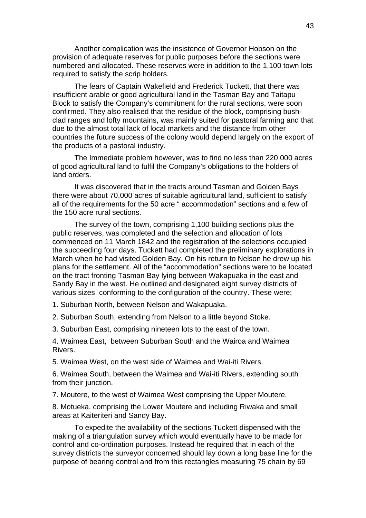Another complication was the insistence of Governor Hobson on the provision of adequate reserves for public purposes before the sections were numbered and allocated. These reserves were in addition to the 1,100 town lots required to satisfy the scrip holders.

The fears of Captain Wakefield and Frederick Tuckett, that there was insufficient arable or good agricultural land in the Tasman Bay and Taitapu Block to satisfy the Company's commitment for the rural sections, were soon confirmed. They also realised that the residue of the block, comprising bushclad ranges and lofty mountains, was mainly suited for pastoral farming and that due to the almost total lack of local markets and the distance from other countries the future success of the colony would depend largely on the export of the products of a pastoral industry.

The Immediate problem however, was to find no less than 220,000 acres of good agricultural land to fulfil the Company's obligations to the holders of land orders.

It was discovered that in the tracts around Tasman and Golden Bays there were about 70,000 acres of suitable agricultural land, sufficient to satisfy all of the requirements for the 50 acre " accommodation" sections and a few of the 150 acre rural sections.

The survey of the town, comprising 1,100 building sections plus the public reserves, was completed and the selection and allocation of lots commenced on 11 March 1842 and the registration of the selections occupied the succeeding four days. Tuckett had completed the preliminary explorations in March when he had visited Golden Bay. On his return to Nelson he drew up his plans for the settlement. All of the "accommodation" sections were to be located on the tract fronting Tasman Bay lying between Wakapuaka in the east and Sandy Bay in the west. He outlined and designated eight survey districts of various sizes conforming to the configuration of the country. These were;

1. Suburban North, between Nelson and Wakapuaka.

2. Suburban South, extending from Nelson to a little beyond Stoke.

3. Suburban East, comprising nineteen lots to the east of the town.

4. Waimea East, between Suburban South and the Wairoa and Waimea Rivers.

5. Waimea West, on the west side of Waimea and Wai-iti Rivers.

6. Waimea South, between the Waimea and Wai-iti Rivers, extending south from their junction.

7. Moutere, to the west of Waimea West comprising the Upper Moutere.

8. Motueka, comprising the Lower Moutere and including Riwaka and small areas at Kaiteriteri and Sandy Bay.

To expedite the availability of the sections Tuckett dispensed with the making of a triangulation survey which would eventually have to be made for control and co-ordination purposes. Instead he required that in each of the survey districts the surveyor concerned should lay down a long base line for the purpose of bearing control and from this rectangles measuring 75 chain by 69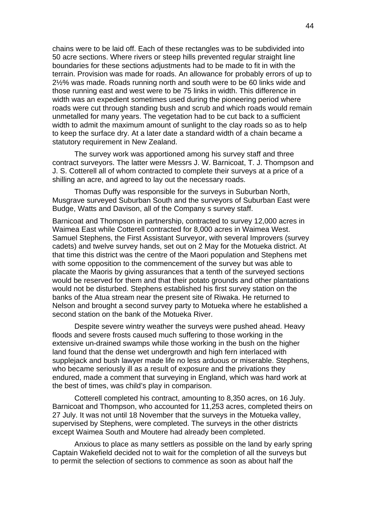chains were to be laid off. Each of these rectangles was to be subdivided into 50 acre sections. Where rivers or steep hills prevented regular straight line boundaries for these sections adjustments had to be made to fit in with the terrain. Provision was made for roads. An allowance for probably errors of up to 2½% was made. Roads running north and south were to be 60 links wide and those running east and west were to be 75 links in width. This difference in width was an expedient sometimes used during the pioneering period where roads were cut through standing bush and scrub and which roads would remain unmetalled for many years. The vegetation had to be cut back to a sufficient width to admit the maximum amount of sunlight to the clay roads so as to help to keep the surface dry. At a later date a standard width of a chain became a statutory requirement in New Zealand.

The survey work was apportioned among his survey staff and three contract surveyors. The latter were Messrs J. W. Barnicoat, T. J. Thompson and J. S. Cotterell all of whom contracted to complete their surveys at a price of a shilling an acre, and agreed to lay out the necessary roads.

Thomas Duffy was responsible for the surveys in Suburban North, Musgrave surveyed Suburban South and the surveyors of Suburban East were Budge, Watts and Davison, all of the Company s survey staff.

Barnicoat and Thompson in partnership, contracted to survey 12,000 acres in Waimea East while Cotterell contracted for 8,000 acres in Waimea West. Samuel Stephens, the First Assistant Surveyor, with several Improvers (survey cadets) and twelve survey hands, set out on 2 May for the Motueka district. At that time this district was the centre of the Maori population and Stephens met with some opposition to the commencement of the survey but was able to placate the Maoris by giving assurances that a tenth of the surveyed sections would be reserved for them and that their potato grounds and other plantations would not be disturbed. Stephens established his first survey station on the banks of the Atua stream near the present site of Riwaka. He returned to Nelson and brought a second survey party to Motueka where he established a second station on the bank of the Motueka River.

Despite severe wintry weather the surveys were pushed ahead. Heavy floods and severe frosts caused much suffering to those working in the extensive un-drained swamps while those working in the bush on the higher land found that the dense wet undergrowth and high fern interlaced with supplejack and bush lawyer made life no less arduous or miserable. Stephens, who became seriously ill as a result of exposure and the privations they endured, made a comment that surveying in England, which was hard work at the best of times, was child's play in comparison.

Cotterell completed his contract, amounting to 8,350 acres, on 16 July. Barnicoat and Thompson, who accounted for 11,253 acres, completed theirs on 27 July. It was not until 18 November that the surveys in the Motueka valley, supervised by Stephens, were completed. The surveys in the other districts except Waimea South and Moutere had already been completed.

Anxious to place as many settlers as possible on the land by early spring Captain Wakefield decided not to wait for the completion of all the surveys but to permit the selection of sections to commence as soon as about half the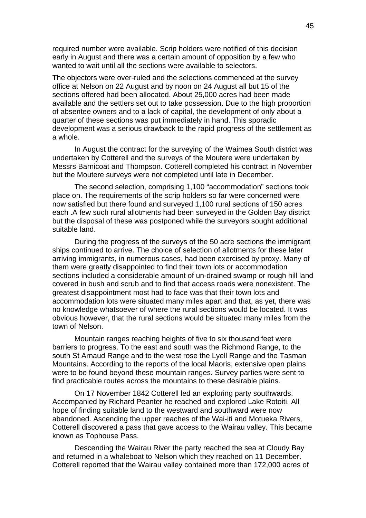required number were available. Scrip holders were notified of this decision early in August and there was a certain amount of opposition by a few who wanted to wait until all the sections were available to selectors.

The objectors were over-ruled and the selections commenced at the survey office at Nelson on 22 August and by noon on 24 August all but 15 of the sections offered had been allocated. About 25,000 acres had been made available and the settlers set out to take possession. Due to the high proportion of absentee owners and to a lack of capital, the development of only about a quarter of these sections was put immediately in hand. This sporadic development was a serious drawback to the rapid progress of the settlement as a whole.

In August the contract for the surveying of the Waimea South district was undertaken by Cotterell and the surveys of the Moutere were undertaken by Messrs Barnicoat and Thompson. Cotterell completed his contract in November but the Moutere surveys were not completed until late in December.

The second selection, comprising 1,100 "accommodation" sections took place on. The requirements of the scrip holders so far were concerned were now satisfied but there found and surveyed 1,100 rural sections of 150 acres each .A few such rural allotments had been surveyed in the Golden Bay district but the disposal of these was postponed while the surveyors sought additional suitable land.

During the progress of the surveys of the 50 acre sections the immigrant ships continued to arrive. The choice of selection of allotments for these later arriving immigrants, in numerous cases, had been exercised by proxy. Many of them were greatly disappointed to find their town lots or accommodation sections included a considerable amount of un-drained swamp or rough hill land covered in bush and scrub and to find that access roads were nonexistent. The greatest disappointment most had to face was that their town lots and accommodation lots were situated many miles apart and that, as yet, there was no knowledge whatsoever of where the rural sections would be located. It was obvious however, that the rural sections would be situated many miles from the town of Nelson.

Mountain ranges reaching heights of five to six thousand feet were barriers to progress. To the east and south was the Richmond Range, to the south St Arnaud Range and to the west rose the Lyell Range and the Tasman Mountains. According to the reports of the local Maoris, extensive open plains were to be found beyond these mountain ranges. Survey parties were sent to find practicable routes across the mountains to these desirable plains.

On 17 November 1842 Cotterell led an exploring party southwards. Accompanied by Richard Peanter he reached and explored Lake Rotoiti. All hope of finding suitable land to the westward and southward were now abandoned. Ascending the upper reaches of the Wai-iti and Motueka Rivers, Cotterell discovered a pass that gave access to the Wairau valley. This became known as Tophouse Pass.

Descending the Wairau River the party reached the sea at Cloudy Bay and returned in a whaleboat to Nelson which they reached on 11 December. Cotterell reported that the Wairau valley contained more than 172,000 acres of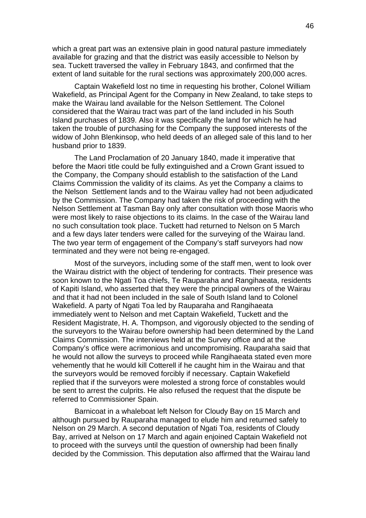which a great part was an extensive plain in good natural pasture immediately available for grazing and that the district was easily accessible to Nelson by sea. Tuckett traversed the valley in February 1843, and confirmed that the extent of land suitable for the rural sections was approximately 200,000 acres.

Captain Wakefield lost no time in requesting his brother, Colonel William Wakefield, as Principal Agent for the Company in New Zealand, to take steps to make the Wairau land available for the Nelson Settlement. The Colonel considered that the Wairau tract was part of the land included in his South Island purchases of 1839. Also it was specifically the land for which he had taken the trouble of purchasing for the Company the supposed interests of the widow of John Blenkinsop, who held deeds of an alleged sale of this land to her husband prior to 1839.

The Land Proclamation of 20 January 1840, made it imperative that before the Maori title could be fully extinguished and a Crown Grant issued to the Company, the Company should establish to the satisfaction of the Land Claims Commission the validity of its claims. As yet the Company a claims to the Nelson Settlement lands and to the Wairau valley had not been adjudicated by the Commission. The Company had taken the risk of proceeding with the Nelson Settlement at Tasman Bay only after consultation with those Maoris who were most likely to raise objections to its claims. In the case of the Wairau land no such consultation took place. Tuckett had returned to Nelson on 5 March and a few days later tenders were called for the surveying of the Wairau land. The two year term of engagement of the Company's staff surveyors had now terminated and they were not being re-engaged.

Most of the surveyors, including some of the staff men, went to look over the Wairau district with the object of tendering for contracts. Their presence was soon known to the Ngati Toa chiefs, Te Rauparaha and Rangihaeata, residents of Kapiti Island, who asserted that they were the principal owners of the Wairau and that it had not been included in the sale of South Island land to Colonel Wakefield. A party of Ngati Toa led by Rauparaha and Rangihaeata immediately went to Nelson and met Captain Wakefield, Tuckett and the Resident Magistrate, H. A. Thompson, and vigorously objected to the sending of the surveyors to the Wairau before ownership had been determined by the Land Claims Commission. The interviews held at the Survey office and at the Company's office were acrimonious and uncompromising. Rauparaha said that he would not allow the surveys to proceed while Rangihaeata stated even more vehemently that he would kill Cotterell if he caught him in the Wairau and that the surveyors would be removed forcibly if necessary. Captain Wakefield replied that if the surveyors were molested a strong force of constables would be sent to arrest the culprits. He also refused the request that the dispute be referred to Commissioner Spain.

Barnicoat in a whaleboat left Nelson for Cloudy Bay on 15 March and although pursued by Rauparaha managed to elude him and returned safely to Nelson on 29 March. A second deputation of Ngati Toa, residents of Cloudy Bay, arrived at Nelson on 17 March and again enjoined Captain Wakefield not to proceed with the surveys until the question of ownership had been finally decided by the Commission. This deputation also affirmed that the Wairau land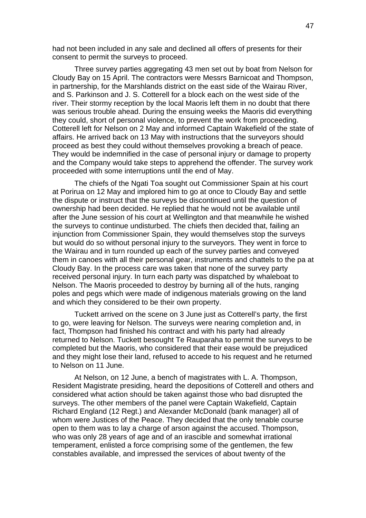had not been included in any sale and declined all offers of presents for their consent to permit the surveys to proceed.

Three survey parties aggregating 43 men set out by boat from Nelson for Cloudy Bay on 15 April. The contractors were Messrs Barnicoat and Thompson, in partnership, for the Marshlands district on the east side of the Wairau River, and S. Parkinson and J. S. Cotterell for a block each on the west side of the river. Their stormy reception by the local Maoris left them in no doubt that there was serious trouble ahead. During the ensuing weeks the Maoris did everything they could, short of personal violence, to prevent the work from proceeding. Cotterell left for Nelson on 2 May and informed Captain Wakefield of the state of affairs. He arrived back on 13 May with instructions that the surveyors should proceed as best they could without themselves provoking a breach of peace. They would be indemnified in the case of personal injury or damage to property and the Company would take steps to apprehend the offender. The survey work proceeded with some interruptions until the end of May.

The chiefs of the Ngati Toa sought out Commissioner Spain at his court at Porirua on 12 May and implored him to go at once to Cloudy Bay and settle the dispute or instruct that the surveys be discontinued until the question of ownership had been decided. He replied that he would not be available until after the June session of his court at Wellington and that meanwhile he wished the surveys to continue undisturbed. The chiefs then decided that, failing an injunction from Commissioner Spain, they would themselves stop the surveys but would do so without personal injury to the surveyors. They went in force to the Wairau and in turn rounded up each of the survey parties and conveyed them in canoes with all their personal gear, instruments and chattels to the pa at Cloudy Bay. In the process care was taken that none of the survey party received personal injury. In turn each party was dispatched by whaleboat to Nelson. The Maoris proceeded to destroy by burning all of the huts, ranging poles and pegs which were made of indigenous materials growing on the land and which they considered to be their own property.

Tuckett arrived on the scene on 3 June just as Cotterell's party, the first to go, were leaving for Nelson. The surveys were nearing completion and, in fact, Thompson had finished his contract and with his party had already returned to Nelson. Tuckett besought Te Rauparaha to permit the surveys to be completed but the Maoris, who considered that their ease would be prejudiced and they might lose their land, refused to accede to his request and he returned to Nelson on 11 June.

At Nelson, on 12 June, a bench of magistrates with L. A. Thompson, Resident Magistrate presiding, heard the depositions of Cotterell and others and considered what action should be taken against those who bad disrupted the surveys. The other members of the panel were Captain Wakefield, Captain Richard England (12 Regt.) and Alexander McDonald (bank manager) all of whom were Justices of the Peace. They decided that the only tenable course open to them was to lay a charge of arson against the accused. Thompson, who was only 28 years of age and of an irascible and somewhat irrational temperament, enlisted a force comprising some of the gentlemen, the few constables available, and impressed the services of about twenty of the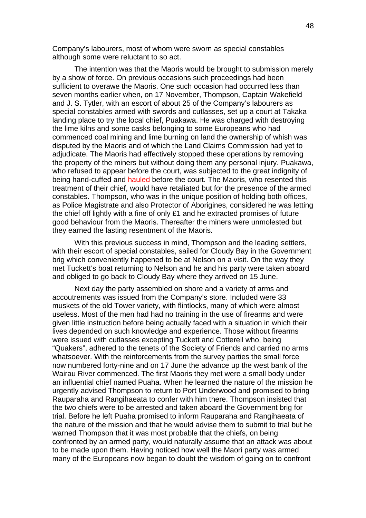Company's labourers, most of whom were sworn as special constables although some were reluctant to so act.

The intention was that the Maoris would be brought to submission merely by a show of force. On previous occasions such proceedings had been sufficient to overawe the Maoris. One such occasion had occurred less than seven months earlier when, on 17 November, Thompson, Captain Wakefield and J. S. Tytler, with an escort of about 25 of the Company's labourers as special constables armed with swords and cutlasses, set up a court at Takaka landing place to try the local chief, Puakawa. He was charged with destroying the lime kilns and some casks belonging to some Europeans who had commenced coal mining and lime burning on land the ownership of whish was disputed by the Maoris and of which the Land Claims Commission had yet to adjudicate. The Maoris had effectively stopped these operations by removing the property of the miners but without doing them any personal injury. Puakawa, who refused to appear before the court, was subjected to the great indignity of being hand-cuffed and hauled before the court. The Maoris, who resented this treatment of their chief, would have retaliated but for the presence of the armed constables. Thompson, who was in the unique position of holding both offices, as Police Magistrate and also Protector of Aborigines, considered he was letting the chief off lightly with a fine of only £1 and he extracted promises of future good behaviour from the Maoris. Thereafter the miners were unmolested but they earned the lasting resentment of the Maoris.

With this previous success in mind, Thompson and the leading settlers, with their escort of special constables, sailed for Cloudy Bay in the Government brig which conveniently happened to be at Nelson on a visit. On the way they met Tuckett's boat returning to Nelson and he and his party were taken aboard and obliged to go back to Cloudy Bay where they arrived on 15 June.

Next day the party assembled on shore and a variety of arms and accoutrements was issued from the Company's store. Included were 33 muskets of the old Tower variety, with flintlocks, many of which were almost useless. Most of the men had had no training in the use of firearms and were given little instruction before being actually faced with a situation in which their lives depended on such knowledge and experience. Those without firearms were issued with cutlasses excepting Tuckett and Cotterell who, being "Quakers", adhered to the tenets of the Society of Friends and carried no arms whatsoever. With the reinforcements from the survey parties the small force now numbered forty-nine and on 17 June the advance up the west bank of the Wairau River commenced. The first Maoris they met were a small body under an influential chief named Puaha. When he learned the nature of the mission he urgently advised Thompson to return to Port Underwood and promised to bring Rauparaha and Rangihaeata to confer with him there. Thompson insisted that the two chiefs were to be arrested and taken aboard the Government brig for trial. Before he left Puaha promised to inform Rauparaha and Rangihaeata of the nature of the mission and that he would advise them to submit to trial but he warned Thompson that it was most probable that the chiefs, on being confronted by an armed party, would naturally assume that an attack was about to be made upon them. Having noticed how well the Maori party was armed many of the Europeans now began to doubt the wisdom of going on to confront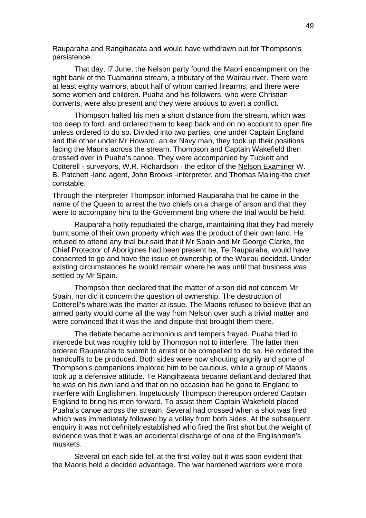Rauparaha and Rangihaeata and would have withdrawn but for Thompson's persistence.

That day, l7 June, the Nelson party found the Maori encampment on the right bank of the Tuamarina stream, a tributary of the Wairau river. There were at least eighty warriors, about half of whom carried firearms, and there were some women and children. Puaha and his followers, who were Christian converts, were also present and they were anxious to avert a conflict.

Thompson halted his men a short distance from the stream, which was too deep to ford, and ordered them to keep back and on no account to open fire unless ordered to do so. Divided into two parties, one under Captain England and the other under Mr Howard, an ex Navy man, they took up their positions facing the Maoris across the stream. Thompson and Captain Wakefield then crossed over in Puaha's canoe. They were accompanied by Tuckett and Cotterell - surveyors, W.R. Richardson - the editor of the Nelson Examiner W. B. Patchett -land agent, John Brooks -interpreter, and Thomas Maling-the chief constable.

Through the interpreter Thompson informed Rauparaha that he came in the name of the Queen to arrest the two chiefs on a charge of arson and that they were to accompany him to the Government brig where the trial would be held.

Rauparaha hotly repudiated the charge, maintaining that they had merely burnt some of their own property which was the product of their own land. He refused to attend any trial but said that if Mr Spain and Mr George Clarke, the Chief Protector of Aborigines had been present he, Te Rauparaha, would have consented to go and have the issue of ownership of the Wairau decided. Under existing circumstances he would remain where he was until that business was settled by Mr Spain.

Thompson then declared that the matter of arson did not concern Mr Spain, nor did it concern the question of ownership. The destruction of Cotterell's whare was the matter at issue. The Maoris refused to believe that an armed party would come all the way from Nelson over such a trivial matter and were convinced that it was the land dispute that brought them there.

The debate became acrimonious and tempers frayed. Puaha tried to intercede but was roughly told by Thompson not to interfere. The latter then ordered Rauparaha to submit to arrest or be compelled to do so. He ordered the handcuffs to be produced. Both sides were now shouting angrily and some of Thompson's companions implored him to be cautious, while a group of Maoris took up a defensive attitude. Te Rangihaeata became defiant and declared that he was on his own land and that on no occasion had he gone to England to interfere with Englishmen. Impetuously Thompson thereupon ordered Captain England to bring his men forward. To assist them Captain Wakefield placed Puaha's canoe across the stream. Several had crossed when a shot was fired which was immediately followed by a volley from both sides. At the subsequent enquiry it was not definitely established who fired the first shot but the weight of evidence was that it was an accidental discharge of one of the Englishmen's muskets.

Several on each side fell at the first volley but it was soon evident that the Maoris held a decided advantage. The war hardened warriors were more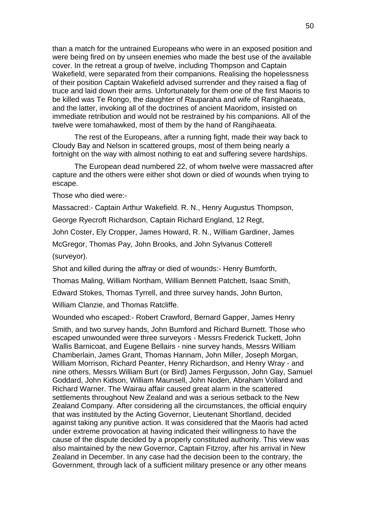than a match for the untrained Europeans who were in an exposed position and were being fired on by unseen enemies who made the best use of the available cover. In the retreat a group of twelve, including Thompson and Captain Wakefield, were separated from their companions. Realising the hopelessness of their position Captain Wakefield advised surrender and they raised a flag of truce and laid down their arms. Unfortunately for them one of the first Maoris to be killed was Te Rongo, the daughter of Rauparaha and wife of Rangihaeata, and the latter, invoking all of the doctrines of ancient Maoridom, insisted on immediate retribution and would not be restrained by his companions. All of the twelve were tomahawked, most of them by the hand of Rangihaeata.

The rest of the Europeans, after a running fight, made their way back to Cloudy Bay and Nelson in scattered groups, most of them being nearly a fortnight on the way with almost nothing to eat and suffering severe hardships.

The European dead numbered 22, of whom twelve were massacred after capture and the others were either shot down or died of wounds when trying to escape.

Those who died were:-

Massacred:- Captain Arthur Wakefield. R. N., Henry Augustus Thompson,

George Ryecroft Richardson, Captain Richard England, 12 Regt,

John Coster, Ely Cropper, James Howard, R. N., William Gardiner, James

McGregor, Thomas Pay, John Brooks, and John Sylvanus Cotterell (surveyor).

Shot and killed during the affray or died of wounds:- Henry Bumforth,

Thomas Maling, William Northam, William Bennett Patchett, Isaac Smith,

Edward Stokes, Thomas Tyrrell, and three survey hands, John Burton,

William Clanzie, and Thomas Ratcliffe.

Wounded who escaped:- Robert Crawford, Bernard Gapper, James Henry

Smith, and two survey hands, John Bumford and Richard Burnett. Those who escaped unwounded were three surveyors - Messrs Frederick Tuckett, John Wallis Barnicoat, and Eugene Bellairs - nine survey hands, Messrs William Chamberlain, James Grant, Thomas Hannam, John Miller, Joseph Morgan, William Morrison, Richard Peanter, Henry Richardson, and Henry Wray - and nine others, Messrs William Burt (or Bird) James Fergusson, John Gay, Samuel Goddard, John Kidson, William Maunsell, John Noden, Abraham Vollard and Richard Warner. The Wairau affair caused great alarm in the scattered settlements throughout New Zealand and was a serious setback to the New Zealand Company. After considering all the circumstances, the official enquiry that was instituted by the Acting Governor, Lieutenant Shortland, decided against taking any punitive action. It was considered that the Maoris had acted under extreme provocation at having indicated their willingness to have the cause of the dispute decided by a properly constituted authority. This view was also maintained by the new Governor, Captain Fitzroy, after his arrival in New Zealand in December. In any case had the decision been to the contrary, the Government, through lack of a sufficient military presence or any other means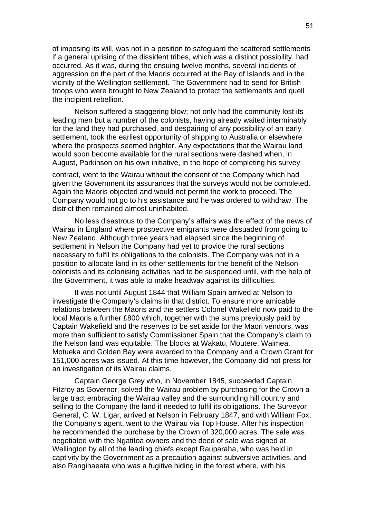of imposing its will, was not in a position to safeguard the scattered settlements if a general uprising of the dissident tribes, which was a distinct possibility, had occurred. As it was, during the ensuing twelve months, several incidents of aggression on the part of the Maoris occurred at the Bay of Islands and in the vicinity of the Wellington settlement. The Government had to send for British troops who were brought to New Zealand to protect the settlements and quell the incipient rebellion.

Nelson suffered a staggering blow; not only had the community lost its leading men but a number of the colonists, having already waited interminably for the land they had purchased, and despairing of any possibility of an early settlement, took the earliest opportunity of shipping to Australia or elsewhere where the prospects seemed brighter. Any expectations that the Wairau land would soon become available for the rural sections were dashed when, in August, Parkinson on his own initiative, in the hope of completing his survey

contract, went to the Wairau without the consent of the Company which had given the Government its assurances that the surveys would not be completed. Again the Maoris objected and would not permit the work to proceed. The Company would not go to his assistance and he was ordered to withdraw. The district then remained almost uninhabited.

No less disastrous to the Company's affairs was the effect of the news of Wairau in England where prospective emigrants were dissuaded from going to New Zealand. Although three years had elapsed since the beginning of settlement in Nelson the Company had yet to provide the rural sections necessary to fulfil its obligations to the colonists. The Company was not in a position to allocate land in its other settlements for the benefit of the Nelson colonists and its colonising activities had to be suspended until, with the help of the Government, it was able to make headway against its difficulties.

It was not until August 1844 that William Spain arrived at Nelson to investigate the Company's claims in that district. To ensure more amicable relations between the Maoris and the settlers Colonel Wakefield now paid to the local Maoris a further £800 which, together with the sums previously paid by Captain Wakefield and the reserves to be set aside for the Maori vendors, was more than sufficient to satisfy Commissioner Spain that the Company's claim to the Nelson land was equitable. The blocks at Wakatu, Moutere, Waimea, Motueka and Golden Bay were awarded to the Company and a Crown Grant for 151,000 acres was issued. At this time however, the Company did not press for an investigation of its Wairau claims.

Captain George Grey who, in November 1845, succeeded Captain Fitzroy as Governor, solved the Wairau problem by purchasing for the Crown a large tract embracing the Wairau valley and the surrounding hill country and selling to the Company the land it needed to fulfil its obligations. The Surveyor General, C. W. Ligar, arrived at Nelson in February 1847, and with William Fox, the Company's agent, went to the Wairau via Top House. After his inspection he recommended the purchase by the Crown of 320,000 acres. The sale was negotiated with the Ngatitoa owners and the deed of sale was signed at Wellington by all of the leading chiefs except Rauparaha, who was held in captivity by the Government as a precaution against subversive activities, and also Rangihaeata who was a fugitive hiding in the forest where, with his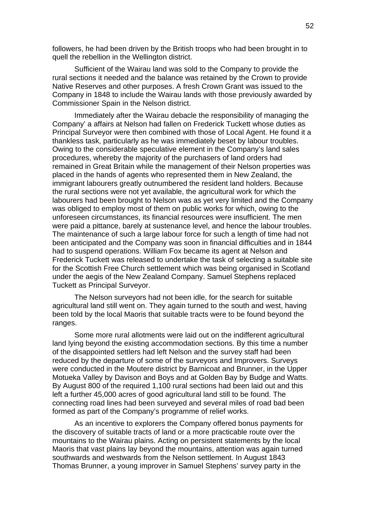followers, he had been driven by the British troops who had been brought in to quell the rebellion in the Wellington district.

Sufficient of the Wairau land was sold to the Company to provide the rural sections it needed and the balance was retained by the Crown to provide Native Reserves and other purposes. A fresh Crown Grant was issued to the Company in 1848 to include the Wairau lands with those previously awarded by Commissioner Spain in the Nelson district.

Immediately after the Wairau debacle the responsibility of managing the Company' a affairs at Nelson had fallen on Frederick Tuckett whose duties as Principal Surveyor were then combined with those of Local Agent. He found it a thankless task, particularly as he was immediately beset by labour troubles. Owing to the considerable speculative element in the Company's land sales procedures, whereby the majority of the purchasers of land orders had remained in Great Britain while the management of their Nelson properties was placed in the hands of agents who represented them in New Zealand, the immigrant labourers greatly outnumbered the resident land holders. Because the rural sections were not yet available, the agricultural work for which the labourers had been brought to Nelson was as yet very limited and the Company was obliged to employ most of them on public works for which, owing to the unforeseen circumstances, its financial resources were insufficient. The men were paid a pittance, barely at sustenance level, and hence the labour troubles. The maintenance of such a large labour force for such a length of time had not been anticipated and the Company was soon in financial difficulties and in 1844 had to suspend operations. William Fox became its agent at Nelson and Frederick Tuckett was released to undertake the task of selecting a suitable site for the Scottish Free Church settlement which was being organised in Scotland under the aegis of the New Zealand Company. Samuel Stephens replaced Tuckett as Principal Surveyor.

The Nelson surveyors had not been idle, for the search for suitable agricultural land still went on. They again turned to the south and west, having been told by the local Maoris that suitable tracts were to be found beyond the ranges.

Some more rural allotments were laid out on the indifferent agricultural land lying beyond the existing accommodation sections. By this time a number of the disappointed settlers had left Nelson and the survey staff had been reduced by the departure of some of the surveyors and Improvers. Surveys were conducted in the Moutere district by Barnicoat and Brunner, in the Upper Motueka Valley by Davison and Boys and at Golden Bay by Budge and Watts. By August 800 of the required 1,100 rural sections had been laid out and this left a further 45,000 acres of good agricultural land still to be found. The connecting road lines had been surveyed and several miles of road bad been formed as part of the Company's programme of relief works.

As an incentive to explorers the Company offered bonus payments for the discovery of suitable tracts of land or a more practicable route over the mountains to the Wairau plains. Acting on persistent statements by the local Maoris that vast plains lay beyond the mountains, attention was again turned southwards and westwards from the Nelson settlement. In August 1843 Thomas Brunner, a young improver in Samuel Stephens' survey party in the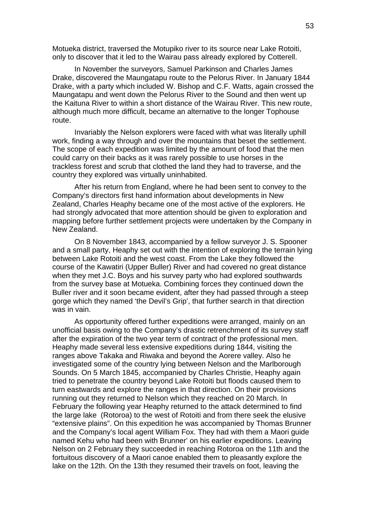Motueka district, traversed the Motupiko river to its source near Lake Rotoiti, only to discover that it led to the Wairau pass already explored by Cotterell.

In November the surveyors, Samuel Parkinson and Charles James Drake, discovered the Maungatapu route to the Pelorus River. In January 1844 Drake, with a party which included W. Bishop and C.F. Watts, again crossed the Maungatapu and went down the Pelorus River to the Sound and then went up the Kaituna River to within a short distance of the Wairau River. This new route, although much more difficult, became an alternative to the longer Tophouse route.

Invariably the Nelson explorers were faced with what was literally uphill work, finding a way through and over the mountains that beset the settlement. The scope of each expedition was limited by the amount of food that the men could carry on their backs as it was rarely possible to use horses in the trackless forest and scrub that clothed the land they had to traverse, and the country they explored was virtually uninhabited.

After his return from England, where he had been sent to convey to the Company's directors first hand information about developments in New Zealand, Charles Heaphy became one of the most active of the explorers. He had strongly advocated that more attention should be given to exploration and mapping before further settlement projects were undertaken by the Company in New Zealand.

On 8 November 1843, accompanied by a fellow surveyor J. S. Spooner and a small party, Heaphy set out with the intention of exploring the terrain lying between Lake Rotoiti and the west coast. From the Lake they followed the course of the Kawatiri (Upper Buller) River and had covered no great distance when they met J.C. Boys and his survey party who had explored southwards from the survey base at Motueka. Combining forces they continued down the Buller river and it soon became evident, after they had passed through a steep gorge which they named 'the Devil's Grip', that further search in that direction was in vain.

As opportunity offered further expeditions were arranged, mainly on an unofficial basis owing to the Company's drastic retrenchment of its survey staff after the expiration of the two year term of contract of the professional men. Heaphy made several less extensive expeditions during 1844, visiting the ranges above Takaka and Riwaka and beyond the Aorere valley. Also he investigated some of the country lying between Nelson and the Marlborough Sounds. On 5 March 1845, accompanied by Charles Christie, Heaphy again tried to penetrate the country beyond Lake Rotoiti but floods caused them to turn eastwards and explore the ranges in that direction. On their provisions running out they returned to Nelson which they reached on 20 March. In February the following year Heaphy returned to the attack determined to find the large lake (Rotoroa) to the west of Rotoiti and from there seek the elusive "extensive plains". On this expedition he was accompanied by Thomas Brunner and the Company's local agent William Fox. They had with them a Maori guide named Kehu who had been with Brunner' on his earlier expeditions. Leaving Nelson on 2 February they succeeded in reaching Rotoroa on the 11th and the fortuitous discovery of a Maori canoe enabled them to pleasantly explore the lake on the 12th. On the 13th they resumed their travels on foot, leaving the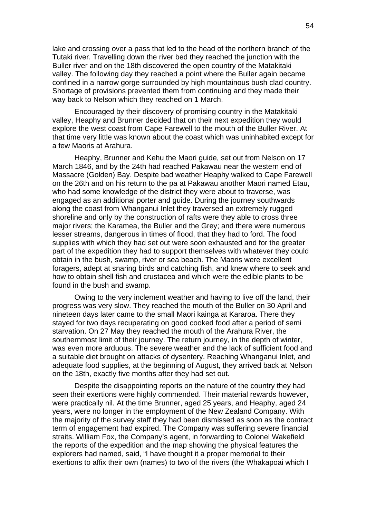lake and crossing over a pass that led to the head of the northern branch of the Tutaki river. Travelling down the river bed they reached the junction with the Buller river and on the 18th discovered the open country of the Matakitaki valley. The following day they reached a point where the Buller again became confined in a narrow gorge surrounded by high mountainous bush clad country. Shortage of provisions prevented them from continuing and they made their way back to Nelson which they reached on 1 March.

Encouraged by their discovery of promising country in the Matakitaki valley, Heaphy and Brunner decided that on their next expedition they would explore the west coast from Cape Farewell to the mouth of the Buller River. At that time very little was known about the coast which was uninhabited except for a few Maoris at Arahura.

Heaphy, Brunner and Kehu the Maori guide, set out from Nelson on 17 March 1846, and by the 24th had reached Pakawau near the western end of Massacre (Golden) Bay. Despite bad weather Heaphy walked to Cape Farewell on the 26th and on his return to the pa at Pakawau another Maori named Etau, who had some knowledge of the district they were about to traverse, was engaged as an additional porter and guide. During the journey southwards along the coast from Whanganui Inlet they traversed an extremely rugged shoreline and only by the construction of rafts were they able to cross three major rivers; the Karamea, the Buller and the Grey; and there were numerous lesser streams, dangerous in times of flood, that they had to ford. The food supplies with which they had set out were soon exhausted and for the greater part of the expedition they had to support themselves with whatever they could obtain in the bush, swamp, river or sea beach. The Maoris were excellent foragers, adept at snaring birds and catching fish, and knew where to seek and how to obtain shell fish and crustacea and which were the edible plants to be found in the bush and swamp.

Owing to the very inclement weather and having to live off the land, their progress was very slow. They reached the mouth of the Buller on 30 April and nineteen days later came to the small Maori kainga at Kararoa. There they stayed for two days recuperating on good cooked food after a period of semi starvation. On 27 May they reached the mouth of the Arahura River, the southernmost limit of their journey. The return journey, in the depth of winter, was even more arduous. The severe weather and the lack of sufficient food and a suitable diet brought on attacks of dysentery. Reaching Whanganui Inlet, and adequate food supplies, at the beginning of August, they arrived back at Nelson on the 18th, exactly five months after they had set out.

Despite the disappointing reports on the nature of the country they had seen their exertions were highly commended. Their material rewards however, were practically nil. At the time Brunner, aged 25 years, and Heaphy, aged 24 years, were no longer in the employment of the New Zealand Company. With the majority of the survey staff they had been dismissed as soon as the contract term of engagement had expired. The Company was suffering severe financial straits. William Fox, the Company's agent, in forwarding to Colonel Wakefield the reports of the expedition and the map showing the physical features the explorers had named, said, "I have thought it a proper memorial to their exertions to affix their own (names) to two of the rivers (the Whakapoai which I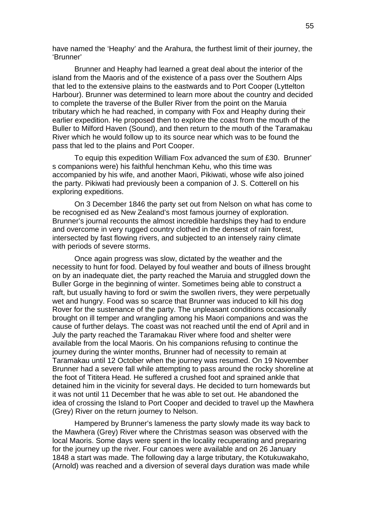have named the 'Heaphy' and the Arahura, the furthest limit of their journey, the 'Brunner'

Brunner and Heaphy had learned a great deal about the interior of the island from the Maoris and of the existence of a pass over the Southern Alps that led to the extensive plains to the eastwards and to Port Cooper (Lyttelton Harbour). Brunner was determined to learn more about the country and decided to complete the traverse of the Buller River from the point on the Maruia tributary which he had reached, in company with Fox and Heaphy during their earlier expedition. He proposed then to explore the coast from the mouth of the Buller to Milford Haven (Sound), and then return to the mouth of the Taramakau River which he would follow up to its source near which was to be found the pass that led to the plains and Port Cooper.

To equip this expedition William Fox advanced the sum of £30. Brunner' s companions were) his faithful henchman Kehu, who this time was accompanied by his wife, and another Maori, Pikiwati, whose wife also joined the party. Pikiwati had previously been a companion of J. S. Cotterell on his exploring expeditions.

On 3 December 1846 the party set out from Nelson on what has come to be recognised ed as New Zealand's most famous journey of exploration. Brunner's journal recounts the almost incredible hardships they had to endure and overcome in very rugged country clothed in the densest of rain forest, intersected by fast flowing rivers, and subjected to an intensely rainy climate with periods of severe storms.

Once again progress was slow, dictated by the weather and the necessity to hunt for food. Delayed by foul weather and bouts of illness brought on by an inadequate diet, the party reached the Maruia and struggled down the Buller Gorge in the beginning of winter. Sometimes being able to construct a raft, but usually having to ford or swim the swollen rivers, they were perpetually wet and hungry. Food was so scarce that Brunner was induced to kill his dog Rover for the sustenance of the party. The unpleasant conditions occasionally brought on ill temper and wrangling among his Maori companions and was the cause of further delays. The coast was not reached until the end of April and in July the party reached the Taramakau River where food and shelter were available from the local Maoris. On his companions refusing to continue the journey during the winter months, Brunner had of necessity to remain at Taramakau until 12 October when the journey was resumed. On 19 November Brunner had a severe fall while attempting to pass around the rocky shoreline at the foot of Tititera Head. He suffered a crushed foot and sprained ankle that detained him in the vicinity for several days. He decided to turn homewards but it was not until 11 December that he was able to set out. He abandoned the idea of crossing the Island to Port Cooper and decided to travel up the Mawhera (Grey) River on the return journey to Nelson.

Hampered by Brunner's lameness the party slowly made its way back to the Mawhera (Grey) River where the Christmas season was observed with the local Maoris. Some days were spent in the locality recuperating and preparing for the journey up the river. Four canoes were available and on 26 January 1848 a start was made. The following day a large tributary, the Kotukuwakaho, (Arnold) was reached and a diversion of several days duration was made while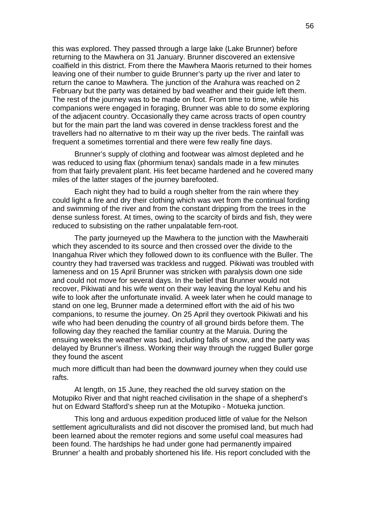this was explored. They passed through a large lake (Lake Brunner) before returning to the Mawhera on 31 January. Brunner discovered an extensive coalfield in this district. From there the Mawhera Maoris returned to their homes leaving one of their number to guide Brunner's party up the river and later to return the canoe to Mawhera. The junction of the Arahura was reached on 2 February but the party was detained by bad weather and their guide left them. The rest of the journey was to be made on foot. From time to time, while his companions were engaged in foraging, Brunner was able to do some exploring of the adjacent country. Occasionally they came across tracts of open country but for the main part the land was covered in dense trackless forest and the travellers had no alternative to m their way up the river beds. The rainfall was frequent a sometimes torrential and there were few really fine days.

Brunner's supply of clothing and footwear was almost depleted and he was reduced to using flax (phormium tenax) sandals made in a few minutes from that fairly prevalent plant. His feet became hardened and he covered many miles of the latter stages of the journey barefooted.

Each night they had to build a rough shelter from the rain where they could light a fire and dry their clothing which was wet from the continual fording and swimming of the river and from the constant dripping from the trees in the dense sunless forest. At times, owing to the scarcity of birds and fish, they were reduced to subsisting on the rather unpalatable fern-root.

The party journeyed up the Mawhera to the junction with the Mawheraiti which they ascended to its source and then crossed over the divide to the Inangahua River which they followed down to its confluence with the Buller. The country they had traversed was trackless and rugged. Pikiwati was troubled with lameness and on 15 April Brunner was stricken with paralysis down one side and could not move for several days. In the belief that Brunner would not recover, Pikiwati and his wife went on their way leaving the loyal Kehu and his wife to look after the unfortunate invalid. A week later when he could manage to stand on one leg, Brunner made a determined effort with the aid of his two companions, to resume the journey. On 25 April they overtook Pikiwati and his wife who had been denuding the country of all ground birds before them. The following day they reached the familiar country at the Maruia. During the ensuing weeks the weather was bad, including falls of snow, and the party was delayed by Brunner's illness. Working their way through the rugged Buller gorge they found the ascent

much more difficult than had been the downward journey when they could use rafts.

At length, on 15 June, they reached the old survey station on the Motupiko River and that night reached civilisation in the shape of a shepherd's hut on Edward Stafford's sheep run at the Motupiko - Motueka junction.

This long and arduous expedition produced little of value for the Nelson settlement agriculturalists and did not discover the promised land, but much had been learned about the remoter regions and some useful coal measures had been found. The hardships he had under gone had permanently impaired Brunner' a health and probably shortened his life. His report concluded with the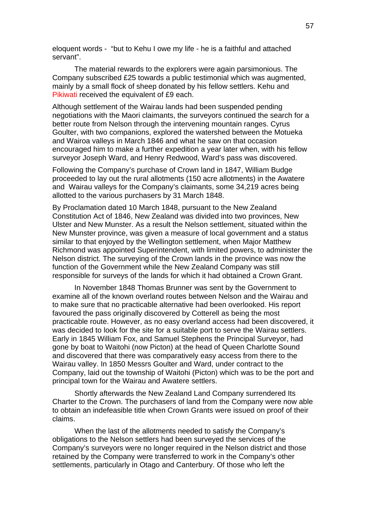eloquent words - "but to Kehu I owe my life - he is a faithful and attached servant".

The material rewards to the explorers were again parsimonious. The Company subscribed £25 towards a public testimonial which was augmented, mainly by a small flock of sheep donated by his fellow settlers. Kehu and Pikiwati received the equivalent of £9 each.

Although settlement of the Wairau lands had been suspended pending negotiations with the Maori claimants, the surveyors continued the search for a better route from Nelson through the intervening mountain ranges. Cyrus Goulter, with two companions, explored the watershed between the Motueka and Wairoa valleys in March 1846 and what he saw on that occasion encouraged him to make a further expedition a year later when, with his fellow surveyor Joseph Ward, and Henry Redwood, Ward's pass was discovered.

Following the Company's purchase of Crown land in 1847, William Budge proceeded to lay out the rural allotments (150 acre allotments) in the Awatere and Wairau valleys for the Company's claimants, some 34,219 acres being allotted to the various purchasers by 31 March 1848.

By Proclamation dated 10 March 1848, pursuant to the New Zealand Constitution Act of 1846, New Zealand was divided into two provinces, New Ulster and New Munster. As a result the Nelson settlement, situated within the New Munster province, was given a measure of local government and a status similar to that enjoyed by the Wellington settlement, when Major Matthew Richmond was appointed Superintendent, with limited powers, to administer the Nelson district. The surveying of the Crown lands in the province was now the function of the Government while the New Zealand Company was still responsible for surveys of the lands for which it had obtained a Crown Grant.

In November 1848 Thomas Brunner was sent by the Government to examine all of the known overland routes between Nelson and the Wairau and to make sure that no practicable alternative had been overlooked. His report favoured the pass originally discovered by Cotterell as being the most practicable route. However, as no easy overland access had been discovered, it was decided to look for the site for a suitable port to serve the Wairau settlers. Early in 1845 William Fox, and Samuel Stephens the Principal Surveyor, had gone by boat to Waitohi (now Picton) at the head of Queen Charlotte Sound and discovered that there was comparatively easy access from there to the Wairau valley. In 1850 Messrs Goulter and Ward, under contract to the Company, laid out the township of Waitohi (Picton) which was to be the port and principal town for the Wairau and Awatere settlers.

Shortly afterwards the New Zealand Land Company surrendered Its Charter to the Crown. The purchasers of land from the Company were now able to obtain an indefeasible title when Crown Grants were issued on proof of their claims.

When the last of the allotments needed to satisfy the Company's obligations to the Nelson settlers had been surveyed the services of the Company's surveyors were no longer required in the Nelson district and those retained by the Company were transferred to work in the Company's other settlements, particularly in Otago and Canterbury. Of those who left the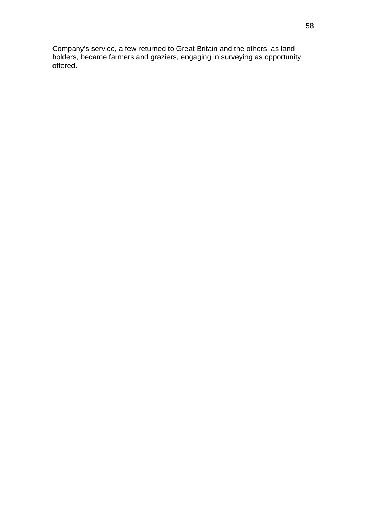Company's service, a few returned to Great Britain and the others, as land holders, became farmers and graziers, engaging in surveying as opportunity offered.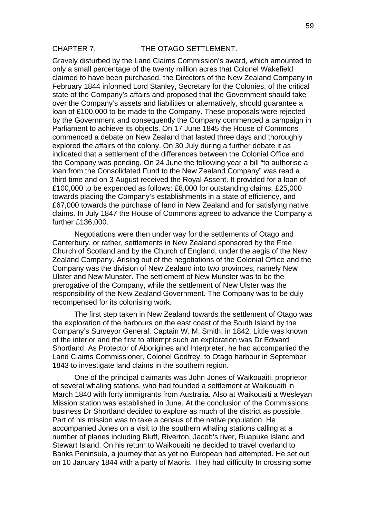## CHAPTER 7. THE OTAGO SETTLEMENT.

Gravely disturbed by the Land Claims Commission's award, which amounted to only a small percentage of the twenty million acres that Colonel Wakefield claimed to have been purchased, the Directors of the New Zealand Company in February 1844 informed Lord Stanley, Secretary for the Colonies, of the critical state of the Company's affairs and proposed that the Government should take over the Company's assets and liabilities or alternatively, should guarantee a loan of £100,000 to be made to the Company. These proposals were rejected by the Government and consequently the Company commenced a campaign in Parliament to achieve its objects. On 17 June 1845 the House of Commons commenced a debate on New Zealand that lasted three days and thoroughly explored the affairs of the colony. On 30 July during a further debate it as indicated that a settlement of the differences between the Colonial Office and the Company was pending. On 24 June the following year a bill "to authorise a loan from the Consolidated Fund to the New Zealand Company" was read a third time and on 3 August received the Royal Assent. It provided for a loan of £100,000 to be expended as follows: £8,000 for outstanding claims, £25,000 towards placing the Company's establishments in a state of efficiency, and £67,000 towards the purchase of land in New Zealand and for satisfying native claims. In July 1847 the House of Commons agreed to advance the Company a further £136,000.

Negotiations were then under way for the settlements of Otago and Canterbury, or rather, settlements in New Zealand sponsored by the Free Church of Scotland and by the Church of England, under the aegis of the New Zealand Company. Arising out of the negotiations of the Colonial Office and the Company was the division of New Zealand into two provinces, namely New Ulster and New Munster. The settlement of New Munster was to be the prerogative of the Company, while the settlement of New Ulster was the responsibility of the New Zealand Government. The Company was to be duly recompensed for its colonising work.

The first step taken in New Zealand towards the settlement of Otago was the exploration of the harbours on the east coast of the South Island by the Company's Surveyor General, Captain W. M. Smith, in 1842. Little was known of the interior and the first to attempt such an exploration was Dr Edward Shortland. As Protector of Aborigines and Interpreter, he had accompanied the Land Claims Commissioner, Colonel Godfrey, to Otago harbour in September 1843 to investigate land claims in the southern region.

One of the principal claimants was John Jones of Waikouaiti, proprietor of several whaling stations, who had founded a settlement at Waikouaiti in March 1840 with forty immigrants from Australia. Also at Waikouaiti a Wesleyan Mission station was established in June. At the conclusion of the Commissions business Dr Shortland decided to explore as much of the district as possible. Part of his mission was to take a census of the native population. He accompanied Jones on a visit to the southern whaling stations calling at a number of planes including Bluff, Riverton, Jacob's river, Ruapuke Island and Stewart Island. On his return to Waikouaiti he decided to travel overland to Banks Peninsula, a journey that as yet no European had attempted. He set out on 10 January 1844 with a party of Maoris. They had difficulty In crossing some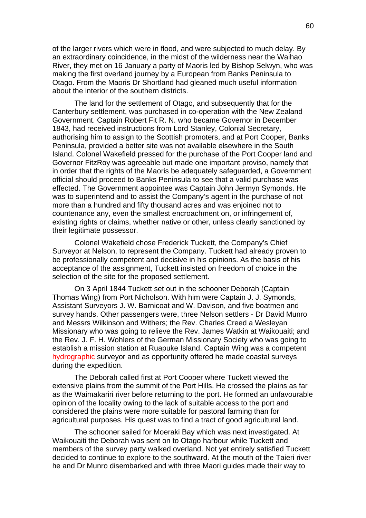of the larger rivers which were in flood, and were subjected to much delay. By an extraordinary coincidence, in the midst of the wilderness near the Waihao River, they met on 16 January a party of Maoris led by Bishop Selwyn, who was making the first overland journey by a European from Banks Peninsula to Otago. From the Maoris Dr Shortland had gleaned much useful information about the interior of the southern districts.

The land for the settlement of Otago, and subsequently that for the Canterbury settlement, was purchased in co-operation with the New Zealand Government. Captain Robert Fit R. N. who became Governor in December 1843, had received instructions from Lord Stanley, Colonial Secretary, authorising him to assign to the Scottish promoters, and at Port Cooper, Banks Peninsula, provided a better site was not available elsewhere in the South Island. Colonel Wakefield pressed for the purchase of the Port Cooper land and Governor FitzRoy was agreeable but made one important proviso, namely that in order that the rights of the Maoris be adequately safeguarded, a Government official should proceed to Banks Peninsula to see that a valid purchase was effected. The Government appointee was Captain John Jermyn Symonds. He was to superintend and to assist the Company's agent in the purchase of not more than a hundred and fifty thousand acres and was enjoined not to countenance any, even the smallest encroachment on, or infringement of, existing rights or claims, whether native or other, unless clearly sanctioned by their legitimate possessor.

Colonel Wakefield chose Frederick Tuckett, the Company's Chief Surveyor at Nelson, to represent the Company. Tuckett had already proven to be professionally competent and decisive in his opinions. As the basis of his acceptance of the assignment, Tuckett insisted on freedom of choice in the selection of the site for the proposed settlement.

On 3 April 1844 Tuckett set out in the schooner Deborah (Captain Thomas Wing) from Port Nicholson. With him were Captain J. J. Symonds, Assistant Surveyors J. W. Barnicoat and W. Davison, and five boatmen and survey hands. Other passengers were, three Nelson settlers - Dr David Munro and Messrs Wilkinson and Withers; the Rev. Charles Creed a Wesleyan Missionary who was going to relieve the Rev. James Watkin at Waikouaiti; and the Rev. J. F. H. Wohlers of the German Missionary Society who was going to establish a mission station at Ruapuke Island. Captain Wing was a competent hydrographic surveyor and as opportunity offered he made coastal surveys during the expedition.

The Deborah called first at Port Cooper where Tuckett viewed the extensive plains from the summit of the Port Hills. He crossed the plains as far as the Waimakariri river before returning to the port. He formed an unfavourable opinion of the locality owing to the lack of suitable access to the port and considered the plains were more suitable for pastoral farming than for agricultural purposes. His quest was to find a tract of good agricultural land.

The schooner sailed for Moeraki Bay which was next investigated. At Waikouaiti the Deborah was sent on to Otago harbour while Tuckett and members of the survey party walked overland. Not yet entirely satisfied Tuckett decided to continue to explore to the southward. At the mouth of the Taieri river he and Dr Munro disembarked and with three Maori guides made their way to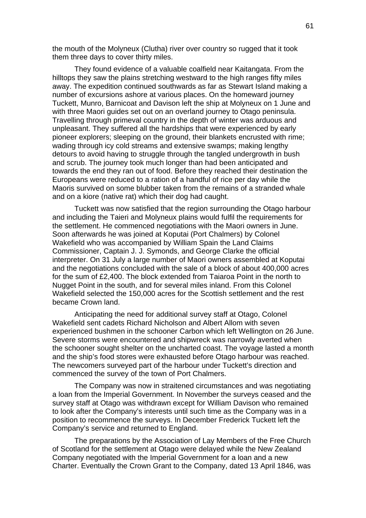the mouth of the Molyneux (Clutha) river over country so rugged that it took them three days to cover thirty miles.

They found evidence of a valuable coalfield near Kaitangata. From the hilltops they saw the plains stretching westward to the high ranges fifty miles away. The expedition continued southwards as far as Stewart Island making a number of excursions ashore at various places. On the homeward journey Tuckett, Munro, Barnicoat and Davison left the ship at Molyneux on 1 June and with three Maori guides set out on an overland journey to Otago peninsula. Travelling through primeval country in the depth of winter was arduous and unpleasant. They suffered all the hardships that were experienced by early pioneer explorers; sleeping on the ground, their blankets encrusted with rime; wading through icy cold streams and extensive swamps; making lengthy detours to avoid having to struggle through the tangled undergrowth in bush and scrub. The journey took much longer than had been anticipated and towards the end they ran out of food. Before they reached their destination the Europeans were reduced to a ration of a handful of rice per day while the Maoris survived on some blubber taken from the remains of a stranded whale and on a kiore (native rat) which their dog had caught.

Tuckett was now satisfied that the region surrounding the Otago harbour and including the Taieri and Molyneux plains would fulfil the requirements for the settlement. He commenced negotiations with the Maori owners in June. Soon afterwards he was joined at Koputai (Port Chalmers) by Colonel Wakefield who was accompanied by William Spain the Land Claims Commissioner, Captain J. J. Symonds, and George Clarke the official interpreter. On 31 July a large number of Maori owners assembled at Koputai and the negotiations concluded with the sale of a block of about 400,000 acres for the sum of £2,400. The block extended from Taiaroa Point in the north to Nugget Point in the south, and for several miles inland. From this Colonel Wakefield selected the 150,000 acres for the Scottish settlement and the rest became Crown land.

Anticipating the need for additional survey staff at Otago, Colonel Wakefield sent cadets Richard Nicholson and Albert Allom with seven experienced bushmen in the schooner Carbon which left Wellington on 26 June. Severe storms were encountered and shipwreck was narrowly averted when the schooner sought shelter on the uncharted coast. The voyage lasted a month and the ship's food stores were exhausted before Otago harbour was reached. The newcomers surveyed part of the harbour under Tuckett's direction and commenced the survey of the town of Port Chalmers.

The Company was now in straitened circumstances and was negotiating a loan from the Imperial Government. In November the surveys ceased and the survey staff at Otago was withdrawn except for William Davison who remained to look after the Company's interests until such time as the Company was in a position to recommence the surveys. In December Frederick Tuckett left the Company's service and returned to England.

The preparations by the Association of Lay Members of the Free Church of Scotland for the settlement at Otago were delayed while the New Zealand Company negotiated with the Imperial Government for a loan and a new Charter. Eventually the Crown Grant to the Company, dated 13 April 1846, was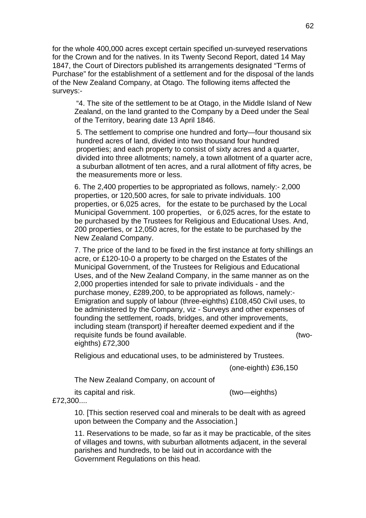for the whole 400,000 acres except certain specified un-surveyed reservations for the Crown and for the natives. In its Twenty Second Report, dated 14 May 1847, the Court of Directors published its arrangements designated "Terms of Purchase" for the establishment of a settlement and for the disposal of the lands of the New Zealand Company, at Otago. The following items affected the surveys:-

"4. The site of the settlement to be at Otago, in the Middle Island of New Zealand, on the land granted to the Company by a Deed under the Seal of the Territory, bearing date 13 April 1846.

5. The settlement to comprise one hundred and forty—four thousand six hundred acres of land, divided into two thousand four hundred properties; and each property to consist of sixty acres and a quarter, divided into three allotments; namely, a town allotment of a quarter acre, a suburban allotment of ten acres, and a rural allotment of fifty acres, be the measurements more or less.

6. The 2,400 properties to be appropriated as follows, namely:- 2,000 properties, or 120,500 acres, for sale to private individuals. 100 properties, or 6,025 acres, for the estate to be purchased by the Local Municipal Government. 100 properties, or 6,025 acres, for the estate to be purchased by the Trustees for Religious and Educational Uses. And, 200 properties, or 12,050 acres, for the estate to be purchased by the New Zealand Company.

7. The price of the land to be fixed in the first instance at forty shillings an acre, or £120-10-0 a property to be charged on the Estates of the Municipal Government, of the Trustees for Religious and Educational Uses, and of the New Zealand Company, in the same manner as on the 2,000 properties intended for sale to private individuals - and the purchase money, £289,200, to be appropriated as follows, namely:- Emigration and supply of labour (three-eighths) £108,450 Civil uses, to be administered by the Company, viz - Surveys and other expenses of founding the settlement, roads, bridges, and other improvements, including steam (transport) if hereafter deemed expedient and if the requisite funds be found available. (twoeighths) £72,300

Religious and educational uses, to be administered by Trustees.

(one-eighth) £36,150

The New Zealand Company, on account of

its capital and risk. (two—eighths)

£72,300....

10. [This section reserved coal and minerals to be dealt with as agreed upon between the Company and the Association.]

11. Reservations to be made, so far as it may be practicable, of the sites of villages and towns, with suburban allotments adjacent, in the several parishes and hundreds, to be laid out in accordance with the Government Regulations on this head.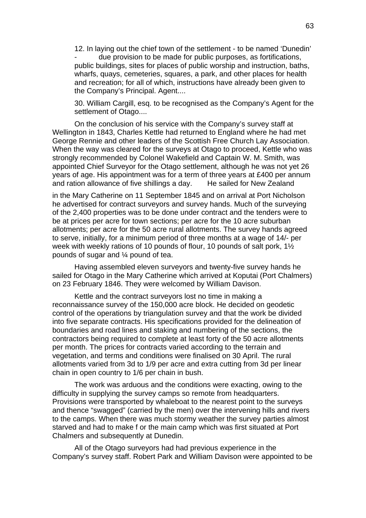12. In laying out the chief town of the settlement - to be named 'Dunedin' due provision to be made for public purposes, as fortifications, public buildings, sites for places of public worship and instruction, baths, wharfs, quays, cemeteries, squares, a park, and other places for health and recreation; for all of which, instructions have already been given to the Company's Principal. Agent....

30. William Cargill, esq. to be recognised as the Company's Agent for the settlement of Otago....

On the conclusion of his service with the Company's survey staff at Wellington in 1843, Charles Kettle had returned to England where he had met George Rennie and other leaders of the Scottish Free Church Lay Association. When the way was cleared for the surveys at Otago to proceed, Kettle who was strongly recommended by Colonel Wakefield and Captain W. M. Smith, was appointed Chief Surveyor for the Otago settlement, although he was not yet 26 years of age. His appointment was for a term of three years at £400 per annum and ration allowance of five shillings a day. He sailed for New Zealand

in the Mary Catherine on 11 September 1845 and on arrival at Port Nicholson he advertised for contract surveyors and survey hands. Much of the surveying of the 2,400 properties was to be done under contract and the tenders were to be at prices per acre for town sections; per acre for the 10 acre suburban allotments; per acre for the 50 acre rural allotments. The survey hands agreed to serve, initially, for a minimum period of three months at a wage of 14/- per week with weekly rations of 10 pounds of flour, 10 pounds of salt pork, 1½ pounds of sugar and ¼ pound of tea.

Having assembled eleven surveyors and twenty-five survey hands he sailed for Otago in the Mary Catherine which arrived at Koputai (Port Chalmers) on 23 February 1846. They were welcomed by William Davison.

Kettle and the contract surveyors lost no time in making a reconnaissance survey of the 150,000 acre block. He decided on geodetic control of the operations by triangulation survey and that the work be divided into five separate contracts. His specifications provided for the delineation of boundaries and road lines and staking and numbering of the sections, the contractors being required to complete at least forty of the 50 acre allotments per month. The prices for contracts varied according to the terrain and vegetation, and terms and conditions were finalised on 30 April. The rural allotments varied from 3d to 1/9 per acre and extra cutting from 3d per linear chain in open country to 1/6 per chain in bush.

The work was arduous and the conditions were exacting, owing to the difficulty in supplying the survey camps so remote from headquarters. Provisions were transported by whaleboat to the nearest point to the surveys and thence "swagged" (carried by the men) over the intervening hills and rivers to the camps. When there was much stormy weather the survey parties almost starved and had to make f or the main camp which was first situated at Port Chalmers and subsequently at Dunedin.

All of the Otago surveyors had had previous experience in the Company's survey staff. Robert Park and William Davison were appointed to be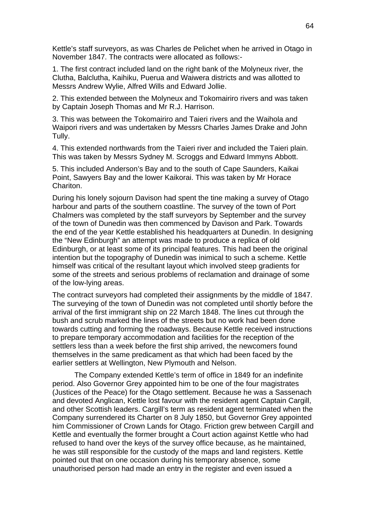Kettle's staff surveyors, as was Charles de Pelichet when he arrived in Otago in November 1847. The contracts were allocated as follows:-

1. The first contract included land on the right bank of the Molyneux river, the Clutha, Balclutha, Kaihiku, Puerua and Waiwera districts and was allotted to Messrs Andrew Wylie, Alfred Wills and Edward Jollie.

2. This extended between the Molyneux and Tokomairiro rivers and was taken by Captain Joseph Thomas and Mr R.J. Harrison.

3. This was between the Tokomairiro and Taieri rivers and the Waihola and Waipori rivers and was undertaken by Messrs Charles James Drake and John Tully.

4. This extended northwards from the Taieri river and included the Taieri plain. This was taken by Messrs Sydney M. Scroggs and Edward Immyns Abbott.

5. This included Anderson's Bay and to the south of Cape Saunders, Kaikai Point, Sawyers Bay and the lower Kaikorai. This was taken by Mr Horace Chariton.

During his lonely sojourn Davison had spent the tine making a survey of Otago harbour and parts of the southern coastline. The survey of the town of Port Chalmers was completed by the staff surveyors by September and the survey of the town of Dunedin was then commenced by Davison and Park. Towards the end of the year Kettle established his headquarters at Dunedin. In designing the "New Edinburgh" an attempt was made to produce a replica of old Edinburgh, or at least some of its principal features. This had been the original intention but the topography of Dunedin was inimical to such a scheme. Kettle himself was critical of the resultant layout which involved steep gradients for some of the streets and serious problems of reclamation and drainage of some of the low-lying areas.

The contract surveyors had completed their assignments by the middle of 1847. The surveying of the town of Dunedin was not completed until shortly before the arrival of the first immigrant ship on 22 March 1848. The lines cut through the bush and scrub marked the lines of the streets but no work had been done towards cutting and forming the roadways. Because Kettle received instructions to prepare temporary accommodation and facilities for the reception of the settlers less than a week before the first ship arrived, the newcomers found themselves in the same predicament as that which had been faced by the earlier settlers at Wellington, New Plymouth and Nelson.

The Company extended Kettle's term of office in 1849 for an indefinite period. Also Governor Grey appointed him to be one of the four magistrates (Justices of the Peace) for the Otago settlement. Because he was a Sassenach and devoted Anglican, Kettle lost favour with the resident agent Captain Cargill, and other Scottish leaders. Cargill's term as resident agent terminated when the Company surrendered its Charter on 8 July 1850, but Governor Grey appointed him Commissioner of Crown Lands for Otago. Friction grew between Cargill and Kettle and eventually the former brought a Court action against Kettle who had refused to hand over the keys of the survey office because, as he maintained, he was still responsible for the custody of the maps and land registers. Kettle pointed out that on one occasion during his temporary absence, some unauthorised person had made an entry in the register and even issued a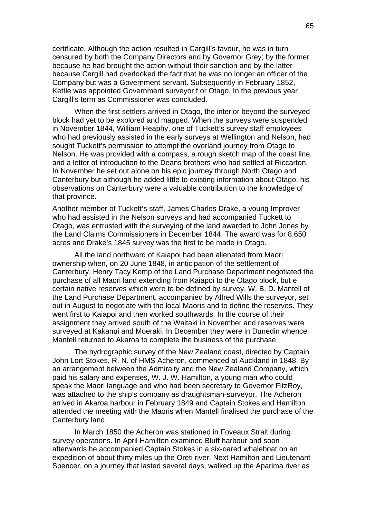certificate. Although the action resulted in Cargill's favour, he was in turn censured by both the Company Directors and by Governor Grey; by the former because he had brought the action without their sanction and by the latter because Cargill had overlooked the fact that he was no longer an officer of the Company but was a Government servant. Subsequently in February 1852, Kettle was appointed Government surveyor f or Otago. In the previous year Cargill's term as Commissioner was concluded.

When the first settlers arrived in Otago, the interior beyond the surveyed block had yet to be explored and mapped. When the surveys were suspended in November 1844, William Heaphy, one of Tuckett's survey staff employees who had previously assisted in the early surveys at Wellington and Nelson, had sought Tuckett's permission to attempt the overland journey from Otago to Nelson. He was provided with a compass, a rough sketch map of the coast line, and a letter of introduction to the Deans brothers who had settled at Riccarton. In November he set out alone on his epic journey through North Otago and Canterbury but although he added little to existing information about Otago, his observations on Canterbury were a valuable contribution to the knowledge of that province.

Another member of Tuckett's staff, James Charles Drake, a young Improver who had assisted in the Nelson surveys and had accompanied Tuckett to Otago, was entrusted with the surveying of the land awarded to John Jones by the Land Claims Commissioners in December 1844. The award was for 8,650 acres and Drake's 1845 survey was the first to be made in Otago.

All the land northward of Kaiapoi had been alienated from Maori ownership when, on 20 June 1848, in anticipation of the settlement of Canterbury, Henry Tacy Kemp of the Land Purchase Department negotiated the purchase of all Maori land extending from Kaiapoi to the Otago block, but e certain native reserves which were to be defined by survey. W. B. D. Mantell of the Land Purchase Department, accompanied by Alfred Wills the surveyor, set out in August to negotiate with the local Maoris and to define the reserves. They went first to Kaiapoi and then worked southwards. In the course of their assignment they arrived south of the Waitaki in November and reserves were surveyed at Kakanui and Moeraki. In December they were in Dunedin whence Mantell returned to Akaroa to complete the business of the purchase.

The hydrographic survey of the New Zealand coast, directed by Captain John Lort Stokes, R. N. of HMS Acheron, commenced at Auckland in 1848. By an arrangement between the Admiralty and the New Zealand Company, which paid his salary and expenses, W. J. W. Hamilton, a young man who could speak the Maori language and who had been secretary to Governor FitzRoy, was attached to the ship's company as draughtsman-surveyor. The Acheron arrived in Akaroa harbour in February 1849 and Captain Stokes and Hamilton attended the meeting with the Maoris when Mantell finalised the purchase of the Canterbury land.

In March 1850 the Acheron was stationed in Foveaux Strait during survey operations. In April Hamilton examined Bluff harbour and soon afterwards he accompanied Captain Stokes in a six-oared whaleboat on an expedition of about thirty miles up the Oreti river. Next Hamilton and Lieutenant Spencer, on a journey that lasted several days, walked up the Aparima river as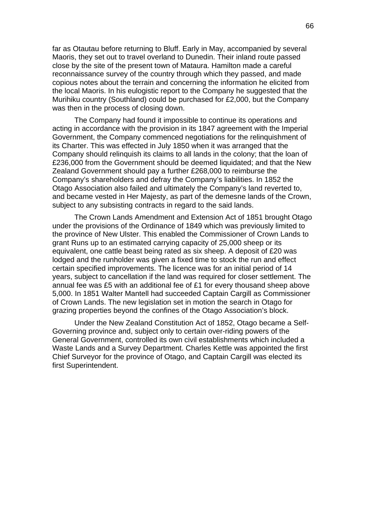far as Otautau before returning to Bluff. Early in May, accompanied by several Maoris, they set out to travel overland to Dunedin. Their inland route passed close by the site of the present town of Mataura. Hamilton made a careful reconnaissance survey of the country through which they passed, and made copious notes about the terrain and concerning the information he elicited from the local Maoris. In his eulogistic report to the Company he suggested that the Murihiku country (Southland) could be purchased for £2,000, but the Company was then in the process of closing down.

The Company had found it impossible to continue its operations and acting in accordance with the provision in its 1847 agreement with the Imperial Government, the Company commenced negotiations for the relinquishment of its Charter. This was effected in July 1850 when it was arranged that the Company should relinquish its claims to all lands in the colony; that the loan of £236,000 from the Government should be deemed liquidated; and that the New Zealand Government should pay a further £268,000 to reimburse the Company's shareholders and defray the Company's liabilities. In 1852 the Otago Association also failed and ultimately the Company's land reverted to, and became vested in Her Majesty, as part of the demesne lands of the Crown, subject to any subsisting contracts in regard to the said lands.

The Crown Lands Amendment and Extension Act of 1851 brought Otago under the provisions of the Ordinance of 1849 which was previously limited to the province of New Ulster. This enabled the Commissioner of Crown Lands to grant Runs up to an estimated carrying capacity of 25,000 sheep or its equivalent, one cattle beast being rated as six sheep. A deposit of £20 was lodged and the runholder was given a fixed time to stock the run and effect certain specified improvements. The licence was for an initial period of 14 years, subject to cancellation if the land was required for closer settlement. The annual fee was £5 with an additional fee of £1 for every thousand sheep above 5,000. In 1851 Walter Mantell had succeeded Captain Cargill as Commissioner of Crown Lands. The new legislation set in motion the search in Otago for grazing properties beyond the confines of the Otago Association's block.

Under the New Zealand Constitution Act of 1852, Otago became a Self-Governing province and, subject only to certain over-riding powers of the General Government, controlled its own civil establishments which included a Waste Lands and a Survey Department. Charles Kettle was appointed the first Chief Surveyor for the province of Otago, and Captain Cargill was elected its first Superintendent.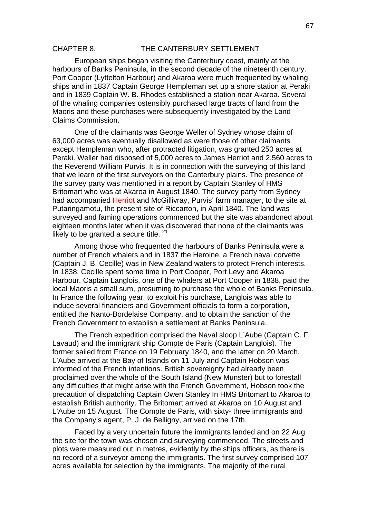### CHAPTER 8. THE CANTERBURY SETTLEMENT

European ships began visiting the Canterbury coast, mainly at the harbours of Banks Peninsula, in the second decade of the nineteenth century. Port Cooper (Lyttelton Harbour) and Akaroa were much frequented by whaling ships and in 1837 Captain George Hempleman set up a shore station at Peraki and in 1839 Captain W. B. Rhodes established a station near Akaroa. Several of the whaling companies ostensibly purchased large tracts of land from the Maoris and these purchases were subsequently investigated by the Land Claims Commission.

One of the claimants was George Weller of Sydney whose claim of 63,000 acres was eventually disallowed as were those of other claimants except Hempleman who, after protracted litigation, was granted 250 acres at Peraki. Weller had disposed of 5,000 acres to James Herriot and 2,560 acres to the Reverend William Purvis. It is in connection with the surveying of this land that we learn of the first surveyors on the Canterbury plains. The presence of the survey party was mentioned in a report by Captain Stanley of HMS Britomart who was at Akaroa in August 1840. The survey party from Sydney had accompanied Herriot and McGillivray, Purvis' farm manager, to the site at Putaringamotu, the present site of Riccarton, in April 1840. The land was surveyed and faming operations commenced but the site was abandoned about eighteen months later when it was discovered that none of the claimants was likely to be granted a secure title.  $21$ 

Among those who frequented the harbours of Banks Peninsula were a number of French whalers and in 1837 the Heroine, a French naval corvette (Captain J. B. Cecille) was in New Zealand waters to protect French interests. In 1838, Cecille spent some time in Port Cooper, Port Levy and Akaroa Harbour. Captain Langlois, one of the whalers at Port Cooper in 1838, paid the local Maoris a small sum, presuming to purchase the whole of Banks Peninsula. In France the following year, to exploit his purchase, Langlois was able to induce several financiers and Government officials to form a corporation, entitled the Nanto-Bordelaise Company, and to obtain the sanction of the French Government to establish a settlement at Banks Peninsula.

The French expedition comprised the Naval sloop L'Aube (Captain C. F. Lavaud) and the immigrant ship Compte de Paris (Captain Langlois). The former sailed from France on 19 February 1840, and the latter on 20 March. L'Aube arrived at the Bay of Islands on 11 July and Captain Hobson was informed of the French intentions. British sovereignty had already been proclaimed over the whole of the South Island (New Munster) but to forestall any difficulties that might arise with the French Government, Hobson took the precaution of dispatching Captain Owen Stanley In HMS Britomart to Akaroa to establish British authority. The Britomart arrived at Akaroa on 10 August and L'Aube on 15 August. The Compte de Paris, with sixty- three immigrants and the Company's agent, P. J. de Belligny, arrived on the 17th.

Faced by a very uncertain future the immigrants landed and on 22 Aug the site for the town was chosen and surveying commenced. The streets and plots were measured out in metres, evidently by the ships officers, as there is no record of a surveyor among the immigrants. The first survey comprised 107 acres available for selection by the immigrants. The majority of the rural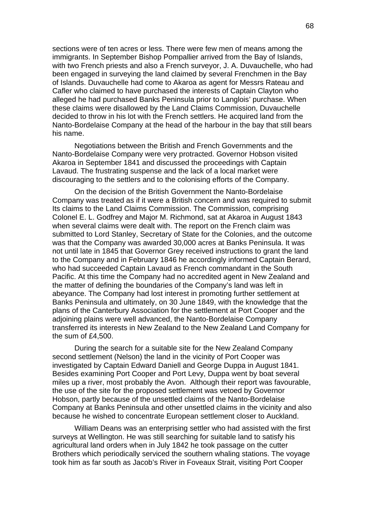sections were of ten acres or less. There were few men of means among the immigrants. In September Bishop Pompallier arrived from the Bay of Islands, with two French priests and also a French surveyor, J. A. Duvauchelle, who had been engaged in surveying the land claimed by several Frenchmen in the Bay of Islands. Duvauchelle had come to Akaroa as agent for Messrs Rateau and Cafler who claimed to have purchased the interests of Captain Clayton who alleged he had purchased Banks Peninsula prior to Langlois' purchase. When these claims were disallowed by the Land Claims Commission, Duvauchelle decided to throw in his lot with the French settlers. He acquired land from the Nanto-Bordelaise Company at the head of the harbour in the bay that still bears his name.

Negotiations between the British and French Governments and the Nanto-Bordelaise Company were very protracted. Governor Hobson visited Akaroa in September 1841 and discussed the proceedings with Captain Lavaud. The frustrating suspense and the lack of a local market were discouraging to the settlers and to the colonising efforts of the Company.

On the decision of the British Government the Nanto-Bordelaise Company was treated as if it were a British concern and was required to submit Its claims to the Land Claims Commission. The Commission, comprising Colonel E. L. Godfrey and Major M. Richmond, sat at Akaroa in August 1843 when several claims were dealt with. The report on the French claim was submitted to Lord Stanley, Secretary of State for the Colonies, and the outcome was that the Company was awarded 30,000 acres at Banks Peninsula. It was not until late in 1845 that Governor Grey received instructions to grant the land to the Company and in February 1846 he accordingly informed Captain Berard, who had succeeded Captain Lavaud as French commandant in the South Pacific. At this time the Company had no accredited agent in New Zealand and the matter of defining the boundaries of the Company's land was left in abeyance. The Company had lost interest in promoting further settlement at Banks Peninsula and ultimately, on 30 June 1849, with the knowledge that the plans of the Canterbury Association for the settlement at Port Cooper and the adjoining plains were well advanced, the Nanto-Bordelaise Company transferred its interests in New Zealand to the New Zealand Land Company for the sum of £4,500.

During the search for a suitable site for the New Zealand Company second settlement (Nelson) the land in the vicinity of Port Cooper was investigated by Captain Edward Daniell and George Duppa in August 1841. Besides examining Port Cooper and Port Levy, Duppa went by boat several miles up a river, most probably the Avon. Although their report was favourable, the use of the site for the proposed settlement was vetoed by Governor Hobson, partly because of the unsettled claims of the Nanto-Bordelaise Company at Banks Peninsula and other unsettled claims in the vicinity and also because he wished to concentrate European settlement closer to Auckland.

William Deans was an enterprising settler who had assisted with the first surveys at Wellington. He was still searching for suitable land to satisfy his agricultural land orders when in July 1842 he took passage on the cutter Brothers which periodically serviced the southern whaling stations. The voyage took him as far south as Jacob's River in Foveaux Strait, visiting Port Cooper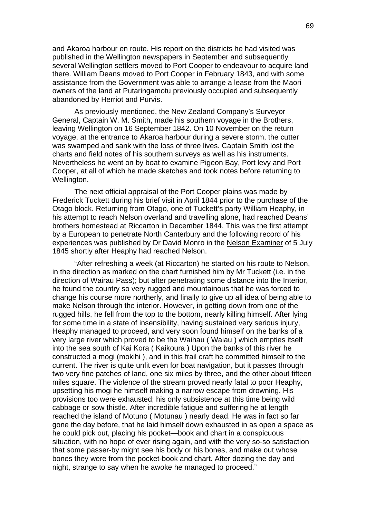and Akaroa harbour en route. His report on the districts he had visited was published in the Wellington newspapers in September and subsequently several Wellington settlers moved to Port Cooper to endeavour to acquire land there. William Deans moved to Port Cooper in February 1843, and with some assistance from the Government was able to arrange a lease from the Maori owners of the land at Putaringamotu previously occupied and subsequently abandoned by Herriot and Purvis.

As previously mentioned, the New Zealand Company's Surveyor General, Captain W. M. Smith, made his southern voyage in the Brothers, leaving Wellington on 16 September 1842. On 10 November on the return voyage, at the entrance to Akaroa harbour during a severe storm, the cutter was swamped and sank with the loss of three lives. Captain Smith lost the charts and field notes of his southern surveys as well as his instruments. Nevertheless he went on by boat to examine Pigeon Bay, Port levy and Port Cooper, at all of which he made sketches and took notes before returning to Wellington.

The next official appraisal of the Port Cooper plains was made by Frederick Tuckett during his brief visit in April 1844 prior to the purchase of the Otago block. Returning from Otago, one of Tuckett's party William Heaphy, in his attempt to reach Nelson overland and travelling alone, had reached Deans' brothers homestead at Riccarton in December 1844. This was the first attempt by a European to penetrate North Canterbury and the following record of his experiences was published by Dr David Monro in the Nelson Examiner of 5 July 1845 shortly after Heaphy had reached Nelson.

"After refreshing a week (at Riccarton) he started on his route to Nelson, in the direction as marked on the chart furnished him by Mr Tuckett (i.e. in the direction of Wairau Pass); but after penetrating some distance into the Interior, he found the country so very rugged and mountainous that he was forced to change his course more northerly, and finally to give up all idea of being able to make Nelson through the interior. However, in getting down from one of the rugged hills, he fell from the top to the bottom, nearly killing himself. After lying for some time in a state of insensibility, having sustained very serious injury, Heaphy managed to proceed, and very soon found himself on the banks of a very large river which proved to be the Waihau ( Waiau ) which empties itself into the sea south of Kai Kora ( Kaikoura ) Upon the banks of this river he constructed a mogi (mokihi ), and in this frail craft he committed himself to the current. The river is quite unfit even for boat navigation, but it passes through two very fine patches of land, one six miles by three, and the other about fifteen miles square. The violence of the stream proved nearly fatal to poor Heaphy, upsetting his mogi he himself making a narrow escape from drowning. His provisions too were exhausted; his only subsistence at this time being wild cabbage or sow thistle. After incredible fatigue and suffering he at length reached the island of Motuno ( Motunau ) nearly dead. He was in fact so far gone the day before, that he laid himself down exhausted in as open a space as he could pick out, placing his pocket—book and chart in a conspicuous situation, with no hope of ever rising again, and with the very so-so satisfaction that some passer-by might see his body or his bones, and make out whose bones they were from the pocket-book and chart. After dozing the day and night, strange to say when he awoke he managed to proceed."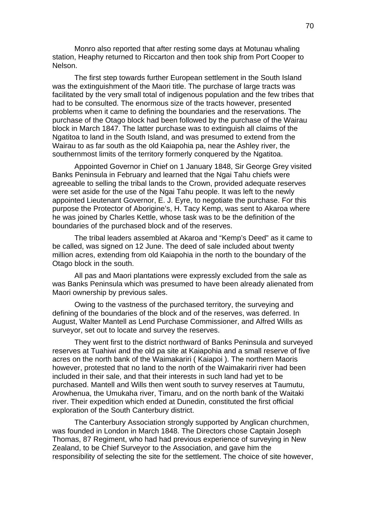Monro also reported that after resting some days at Motunau whaling station, Heaphy returned to Riccarton and then took ship from Port Cooper to Nelson.

The first step towards further European settlement in the South Island was the extinguishment of the Maori title. The purchase of large tracts was facilitated by the very small total of indigenous population and the few tribes that had to be consulted. The enormous size of the tracts however, presented problems when it came to defining the boundaries and the reservations. The purchase of the Otago block had been followed by the purchase of the Wairau block in March 1847. The latter purchase was to extinguish all claims of the Ngatitoa to land in the South Island, and was presumed to extend from the Wairau to as far south as the old Kaiapohia pa, near the Ashley river, the southernmost limits of the territory formerly conquered by the Ngatitoa.

Appointed Governor in Chief on 1 January 1848, Sir George Grey visited Banks Peninsula in February and learned that the Ngai Tahu chiefs were agreeable to selling the tribal lands to the Crown, provided adequate reserves were set aside for the use of the Ngai Tahu people. It was left to the newly appointed Lieutenant Governor, E. J. Eyre, to negotiate the purchase. For this purpose the Protector of Aborigine's, H. Tacy Kemp, was sent to Akaroa where he was joined by Charles Kettle, whose task was to be the definition of the boundaries of the purchased block and of the reserves.

The tribal leaders assembled at Akaroa and "Kemp's Deed" as it came to be called, was signed on 12 June. The deed of sale included about twenty million acres, extending from old Kaiapohia in the north to the boundary of the Otago block in the south.

All pas and Maori plantations were expressly excluded from the sale as was Banks Peninsula which was presumed to have been already alienated from Maori ownership by previous sales.

Owing to the vastness of the purchased territory, the surveying and defining of the boundaries of the block and of the reserves, was deferred. In August, Walter Mantell as Lend Purchase Commissioner, and Alfred Wills as surveyor, set out to locate and survey the reserves.

They went first to the district northward of Banks Peninsula and surveyed reserves at Tuahiwi and the old pa site at Kaiapohia and a small reserve of five acres on the north bank of the Waimakariri ( Kaiapoi ). The northern Maoris however, protested that no land to the north of the Waimakariri river had been included in their sale, and that their interests in such land had yet to be purchased. Mantell and Wills then went south to survey reserves at Taumutu, Arowhenua, the Umukaha river, Timaru, and on the north bank of the Waitaki river. Their expedition which ended at Dunedin, constituted the first official exploration of the South Canterbury district.

The Canterbury Association strongly supported by Anglican churchmen, was founded in London in March 1848. The Directors chose Captain Joseph Thomas, 87 Regiment, who had had previous experience of surveying in New Zealand, to be Chief Surveyor to the Association, and gave him the responsibility of selecting the site for the settlement. The choice of site however,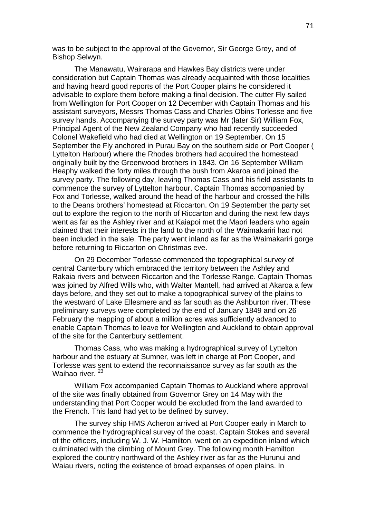was to be subject to the approval of the Governor, Sir George Grey, and of Bishop Selwyn.

The Manawatu, Wairarapa and Hawkes Bay districts were under consideration but Captain Thomas was already acquainted with those localities and having heard good reports of the Port Cooper plains he considered it advisable to explore them before making a final decision. The cutter Fly sailed from Wellington for Port Cooper on 12 December with Captain Thomas and his assistant surveyors, Messrs Thomas Cass and Charles Obins Torlesse and five survey hands. Accompanying the survey party was Mr (later Sir) William Fox, Principal Agent of the New Zealand Company who had recently succeeded Colonel Wakefield who had died at Wellington on 19 September. On 15 September the Fly anchored in Purau Bay on the southern side or Port Cooper ( Lyttelton Harbour) where the Rhodes brothers had acquired the homestead originally built by the Greenwood brothers in 1843. On 16 September William Heaphy walked the forty miles through the bush from Akaroa and joined the survey party. The following day, leaving Thomas Cass and his field assistants to commence the survey of Lyttelton harbour, Captain Thomas accompanied by Fox and Torlesse, walked around the head of the harbour and crossed the hills to the Deans brothers' homestead at Riccarton. On 19 September the party set out to explore the region to the north of Riccarton and during the next few days went as far as the Ashley river and at Kaiapoi met the Maori leaders who again claimed that their interests in the land to the north of the Waimakariri had not been included in the sale. The party went inland as far as the Waimakariri gorge before returning to Riccarton on Christmas eve.

On 29 December Torlesse commenced the topographical survey of central Canterbury which embraced the territory between the Ashley and Rakaia rivers and between Riccarton and the Torlesse Range. Captain Thomas was joined by Alfred Wills who, with Walter Mantell, had arrived at Akaroa a few days before, and they set out to make a topographical survey of the plains to the westward of Lake Ellesmere and as far south as the Ashburton river. These preliminary surveys were completed by the end of January 1849 and on 26 February the mapping of about a million acres was sufficiently advanced to enable Captain Thomas to leave for Wellington and Auckland to obtain approval of the site for the Canterbury settlement.

Thomas Cass, who was making a hydrographical survey of Lyttelton harbour and the estuary at Sumner, was left in charge at Port Cooper, and Torlesse was sent to extend the reconnaissance survey as far south as the Waihao river.<sup>23</sup>

William Fox accompanied Captain Thomas to Auckland where approval of the site was finally obtained from Governor Grey on 14 May with the understanding that Port Cooper would be excluded from the land awarded to the French. This land had yet to be defined by survey.

The survey ship HMS Acheron arrived at Port Cooper early in March to commence the hydrographical survey of the coast. Captain Stokes and several of the officers, including W. J. W. Hamilton, went on an expedition inland which culminated with the climbing of Mount Grey. The following month Hamilton explored the country northward of the Ashley river as far as the Hurunui and Waiau rivers, noting the existence of broad expanses of open plains. In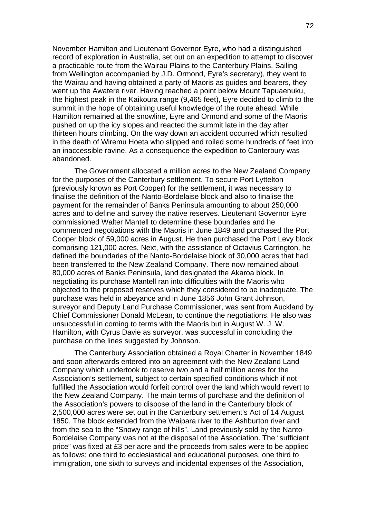November Hamilton and Lieutenant Governor Eyre, who had a distinguished record of exploration in Australia, set out on an expedition to attempt to discover a practicable route from the Wairau Plains to the Canterbury Plains. Sailing from Wellington accompanied by J.D. Ormond, Eyre's secretary), they went to the Wairau and having obtained a party of Maoris as guides and bearers, they went up the Awatere river. Having reached a point below Mount Tapuaenuku, the highest peak in the Kaikoura range (9,465 feet), Eyre decided to climb to the summit in the hope of obtaining useful knowledge of the route ahead. While Hamilton remained at the snowline, Eyre and Ormond and some of the Maoris pushed on up the icy slopes and reacted the summit late in the day after thirteen hours climbing. On the way down an accident occurred which resulted in the death of Wiremu Hoeta who slipped and roiled some hundreds of feet into an inaccessible ravine. As a consequence the expedition to Canterbury was abandoned.

The Government allocated a million acres to the New Zealand Company for the purposes of the Canterbury settlement. To secure Port Lyttelton (previously known as Port Cooper) for the settlement, it was necessary to finalise the definition of the Nanto-Bordelaise block and also to finalise the payment for the remainder of Banks Peninsula amounting to about 250,000 acres and to define and survey the native reserves. Lieutenant Governor Eyre commissioned Walter Mantell to determine these boundaries and he commenced negotiations with the Maoris in June 1849 and purchased the Port Cooper block of 59,000 acres in August. He then purchased the Port Levy block comprising 121,000 acres. Next, with the assistance of Octavius Carrington, he defined the boundaries of the Nanto-Bordelaise block of 30,000 acres that had been transferred to the New Zealand Company. There now remained about 80,000 acres of Banks Peninsula, land designated the Akaroa block. In negotiating its purchase Mantell ran into difficulties with the Maoris who objected to the proposed reserves which they considered to be inadequate. The purchase was held in abeyance and in June 1856 John Grant Johnson, surveyor and Deputy Land Purchase Commissioner, was sent from Auckland by Chief Commissioner Donald McLean, to continue the negotiations. He also was unsuccessful in coming to terms with the Maoris but in August W. J. W. Hamilton, with Cyrus Davie as surveyor, was successful in concluding the purchase on the lines suggested by Johnson.

The Canterbury Association obtained a Royal Charter in November 1849 and soon afterwards entered into an agreement with the New Zealand Land Company which undertook to reserve two and a half million acres for the Association's settlement, subject to certain specified conditions which if not fulfilled the Association would forfeit control over the land which would revert to the New Zealand Company. The main terms of purchase and the definition of the Association's powers to dispose of the land in the Canterbury block of 2,500,000 acres were set out in the Canterbury settlement's Act of 14 August 1850. The block extended from the Waipara river to the Ashburton river and from the sea to the "Snowy range of hills". Land previously sold by the Nanto-Bordelaise Company was not at the disposal of the Association. The "sufficient price" was fixed at £3 per acre and the proceeds from sales were to be applied as follows; one third to ecclesiastical and educational purposes, one third to immigration, one sixth to surveys and incidental expenses of the Association,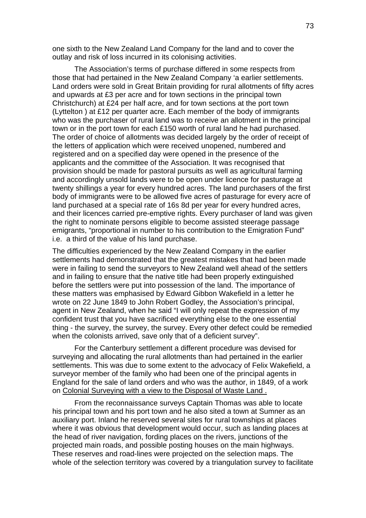one sixth to the New Zealand Land Company for the land and to cover the outlay and risk of loss incurred in its colonising activities.

The Association's terms of purchase differed in some respects from those that had pertained in the New Zealand Company 'a earlier settlements. Land orders were sold in Great Britain providing for rural allotments of fifty acres and upwards at £3 per acre and for town sections in the principal town Christchurch) at £24 per half acre, and for town sections at the port town (Lyttelton ) at £12 per quarter acre. Each member of the body of immigrants who was the purchaser of rural land was to receive an allotment in the principal town or in the port town for each £150 worth of rural land he had purchased. The order of choice of allotments was decided largely by the order of receipt of the letters of application which were received unopened, numbered and registered and on a specified day were opened in the presence of the applicants and the committee of the Association. It was recognised that provision should be made for pastoral pursuits as well as agricultural farming and accordingly unsold lands were to be open under licence for pasturage at twenty shillings a year for every hundred acres. The land purchasers of the first body of immigrants were to be allowed five acres of pasturage for every acre of land purchased at a special rate of 16s 8d per year for every hundred acres, and their licences carried pre-emptive rights. Every purchaser of land was given the right to nominate persons eligible to become assisted steerage passage emigrants, "proportional in number to his contribution to the Emigration Fund" i.e. a third of the value of his land purchase.

The difficulties experienced by the New Zealand Company in the earlier settlements had demonstrated that the greatest mistakes that had been made were in failing to send the surveyors to New Zealand well ahead of the settlers and in failing to ensure that the native title had been properly extinguished before the settlers were put into possession of the land. The importance of these matters was emphasised by Edward Gibbon Wakefield in a letter he wrote on 22 June 1849 to John Robert Godley, the Association's principal, agent in New Zealand, when he said "I will only repeat the expression of my confident trust that you have sacrificed everything else to the one essential thing - the survey, the survey, the survey. Every other defect could be remedied when the colonists arrived, save only that of a deficient survey".

For the Canterbury settlement a different procedure was devised for surveying and allocating the rural allotments than had pertained in the earlier settlements. This was due to some extent to the advocacy of Felix Wakefield, a surveyor member of the family who had been one of the principal agents in England for the sale of land orders and who was the author, in 1849, of a work on Colonial Surveying with a view to the Disposal of Waste Land .

From the reconnaissance surveys Captain Thomas was able to locate his principal town and his port town and he also sited a town at Sumner as an auxiliary port. Inland he reserved several sites for rural townships at places where it was obvious that development would occur, such as landing places at the head of river navigation, fording places on the rivers, junctions of the projected main roads, and possible posting houses on the main highways. These reserves and road-lines were projected on the selection maps. The whole of the selection territory was covered by a triangulation survey to facilitate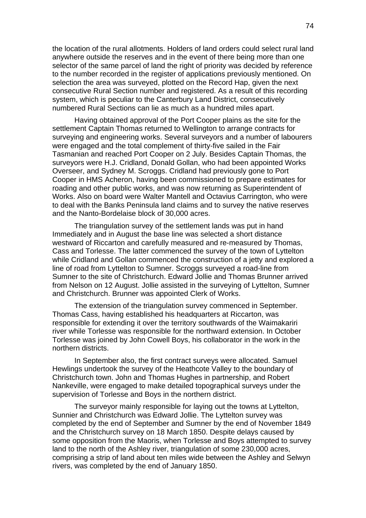the location of the rural allotments. Holders of land orders could select rural land anywhere outside the reserves and in the event of there being more than one selector of the same parcel of land the right of priority was decided by reference to the number recorded in the register of applications previously mentioned. On selection the area was surveyed, plotted on the Record Hap, given the next consecutive Rural Section number and registered. As a result of this recording system, which is peculiar to the Canterbury Land District, consecutively numbered Rural Sections can lie as much as a hundred miles apart.

Having obtained approval of the Port Cooper plains as the site for the settlement Captain Thomas returned to Wellington to arrange contracts for surveying and engineering works. Several surveyors and a number of labourers were engaged and the total complement of thirty-five sailed in the Fair Tasmanian and reached Port Cooper on 2 July. Besides Captain Thomas, the surveyors were H.J. Cridland, Donald Gollan, who had been appointed Works Overseer, and Sydney M. Scroggs. Cridland had previously gone to Port Cooper in HMS Acheron, having been commissioned to prepare estimates for roading and other public works, and was now returning as Superintendent of Works. Also on board were Walter Mantell and Octavius Carrington, who were to deal with the Banks Peninsula land claims and to survey the native reserves and the Nanto-Bordelaise block of 30,000 acres.

The triangulation survey of the settlement lands was put in hand Immediately and in August the base line was selected a short distance westward of Riccarton and carefully measured and re-measured by Thomas, Cass and Torlesse. The latter commenced the survey of the town of Lyttelton while Cridland and Gollan commenced the construction of a jetty and explored a line of road from Lyttelton to Sumner. Scroggs surveyed a road-line from Sumner to the site of Christchurch. Edward Jollie and Thomas Brunner arrived from Nelson on 12 August. Jollie assisted in the surveying of Lyttelton, Sumner and Christchurch. Brunner was appointed Clerk of Works.

The extension of the triangulation survey commenced in September. Thomas Cass, having established his headquarters at Riccarton, was responsible for extending it over the territory southwards of the Waimakariri river while Torlesse was responsible for the northward extension. In October Torlesse was joined by John Cowell Boys, his collaborator in the work in the northern districts.

In September also, the first contract surveys were allocated. Samuel Hewlings undertook the survey of the Heathcote Valley to the boundary of Christchurch town. John and Thomas Hughes in partnership, and Robert Nankeville, were engaged to make detailed topographical surveys under the supervision of Torlesse and Boys in the northern district.

The surveyor mainly responsible for laying out the towns at Lyttelton, Sunnier and Christchurch was Edward Jollie. The Lyttelton survey was completed by the end of September and Sumner by the end of November 1849 and the Christchurch survey on 18 March 1850. Despite delays caused by some opposition from the Maoris, when Torlesse and Boys attempted to survey land to the north of the Ashley river, triangulation of some 230,000 acres, comprising a strip of land about ten miles wide between the Ashley and Selwyn rivers, was completed by the end of January 1850.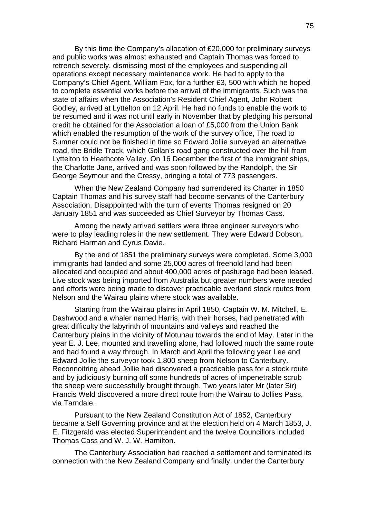By this time the Company's allocation of £20,000 for preliminary surveys and public works was almost exhausted and Captain Thomas was forced to retrench severely, dismissing most of the employees and suspending all operations except necessary maintenance work. He had to apply to the Company's Chief Agent, William Fox, for a further £3, 500 with which he hoped to complete essential works before the arrival of the immigrants. Such was the state of affairs when the Association's Resident Chief Agent, John Robert Godley, arrived at Lyttelton on 12 April. He had no funds to enable the work to be resumed and it was not until early in November that by pledging his personal credit he obtained for the Association a loan of £5,000 from the Union Bank which enabled the resumption of the work of the survey office, The road to Sumner could not be finished in time so Edward Jollie surveyed an alternative road, the Bridle Track, which Gollan's road gang constructed over the hill from Lyttelton to Heathcote Valley. On 16 December the first of the immigrant ships, the Charlotte Jane, arrived and was soon followed by the Randolph, the Sir George Seymour and the Cressy, bringing a total of 773 passengers.

When the New Zealand Company had surrendered its Charter in 1850 Captain Thomas and his survey staff had become servants of the Canterbury Association. Disappointed with the turn of events Thomas resigned on 20 January 1851 and was succeeded as Chief Surveyor by Thomas Cass.

Among the newly arrived settlers were three engineer surveyors who were to play leading roles in the new settlement. They were Edward Dobson, Richard Harman and Cyrus Davie.

By the end of 1851 the preliminary surveys were completed. Some 3,000 immigrants had landed and some 25,000 acres of freehold land had been allocated and occupied and about 400,000 acres of pasturage had been leased. Live stock was being imported from Australia but greater numbers were needed and efforts were being made to discover practicable overland stock routes from Nelson and the Wairau plains where stock was available.

Starting from the Wairau plains in April 1850, Captain W. M. Mitchell, E. Dashwood and a whaler named Harris, with their horses, had penetrated with great difficulty the labyrinth of mountains and valleys and reached the Canterbury plains in the vicinity of Motunau towards the end of May. Later in the year E. J. Lee, mounted and travelling alone, had followed much the same route and had found a way through. In March and April the following year Lee and Edward Jollie the surveyor took 1,800 sheep from Nelson to Canterbury. Reconnoitring ahead Jollie had discovered a practicable pass for a stock route and by judiciously burning off some hundreds of acres of impenetrable scrub the sheep were successfully brought through. Two years later Mr (later Sir) Francis Weld discovered a more direct route from the Wairau to Jollies Pass, via Tarndale.

Pursuant to the New Zealand Constitution Act of 1852, Canterbury became a Self Governing province and at the election held on 4 March 1853, J. E. Fitzgerald was elected Superintendent and the twelve Councillors included Thomas Cass and W. J. W. Hamilton.

The Canterbury Association had reached a settlement and terminated its connection with the New Zealand Company and finally, under the Canterbury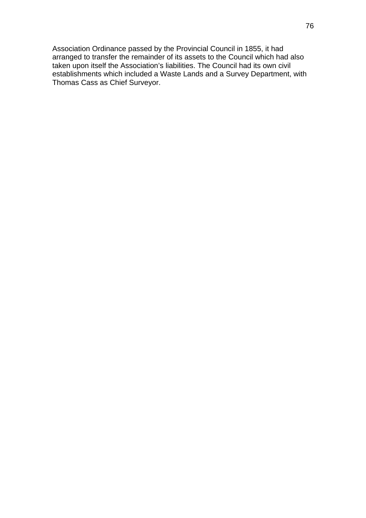Association Ordinance passed by the Provincial Council in 1855, it had arranged to transfer the remainder of its assets to the Council which had also taken upon itself the Association's liabilities. The Council had its own civil establishments which included a Waste Lands and a Survey Department, with Thomas Cass as Chief Surveyor.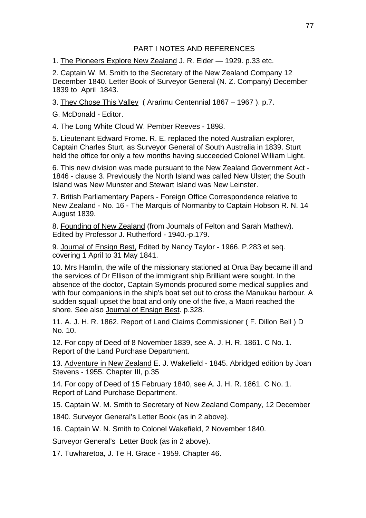## PART I NOTES AND REFERENCES

1. The Pioneers Explore New Zealand J. R. Elder — 1929. p.33 etc.

2. Captain W. M. Smith to the Secretary of the New Zealand Company 12 December 1840. Letter Book of Surveyor General (N. Z. Company) December 1839 to April 1843.

3. They Chose This Valley ( Ararimu Centennial 1867 – 1967 ). p.7.

G. McDonald - Editor.

4. The Long White Cloud W. Pember Reeves - 1898.

5. Lieutenant Edward Frome. R. E. replaced the noted Australian explorer, Captain Charles Sturt, as Surveyor General of South Australia in 1839. Sturt held the office for only a few months having succeeded Colonel William Light.

6. This new division was made pursuant to the New Zealand Government Act - 1846 - clause 3. Previously the North Island was called New Ulster; the South Island was New Munster and Stewart Island was New Leinster.

7. British Parliamentary Papers - Foreign Office Correspondence relative to New Zealand - No. 16 - The Marquis of Normanby to Captain Hobson R. N. 14 August 1839.

8. Founding of New Zealand (from Journals of Felton and Sarah Mathew). Edited by Professor J. Rutherford - 1940.-p.179.

9. Journal of Ensign Best, Edited by Nancy Taylor - 1966. P.283 et seq. covering 1 April to 31 May 1841.

10. Mrs Hamlin, the wife of the missionary stationed at Orua Bay became ill and the services of Dr Ellison of the immigrant ship Brilliant were sought. In the absence of the doctor, Captain Symonds procured some medical supplies and with four companions in the ship's boat set out to cross the Manukau harbour. A sudden squall upset the boat and only one of the five, a Maori reached the shore. See also Journal of Ensign Best. p.328.

11. A. J. H. R. 1862. Report of Land Claims Commissioner ( F. Dillon Bell ) D No. 10.

12. For copy of Deed of 8 November 1839, see A. J. H. R. 1861. C No. 1. Report of the Land Purchase Department.

13. Adventure in New Zealand E. J. Wakefield - 1845. Abridged edition by Joan Stevens - 1955. Chapter III, p.35

14. For copy of Deed of 15 February 1840, see A. J. H. R. 1861. C No. 1. Report of Land Purchase Department.

15. Captain W. M. Smith to Secretary of New Zealand Company, 12 December

1840. Surveyor General's Letter Book (as in 2 above).

16. Captain W. N. Smith to Colonel Wakefield, 2 November 1840.

Surveyor General's Letter Book (as in 2 above).

17. Tuwharetoa, J. Te H. Grace - 1959. Chapter 46.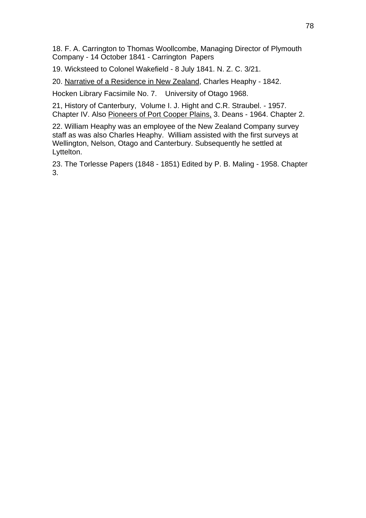18. F. A. Carrington to Thomas Woollcombe, Managing Director of Plymouth Company - 14 October 1841 - Carrington Papers

19. Wicksteed to Colonel Wakefield - 8 July 1841. N. Z. C. 3/21.

20. Narrative of a Residence in New Zealand, Charles Heaphy - 1842.

Hocken Library Facsimile No. 7. University of Otago 1968.

21, History of Canterbury, Volume I. J. Hight and C.R. Straubel. - 1957. Chapter IV. Also Pioneers of Port Cooper Plains, 3. Deans - 1964. Chapter 2.

22. William Heaphy was an employee of the New Zealand Company survey staff as was also Charles Heaphy. William assisted with the first surveys at Wellington, Nelson, Otago and Canterbury. Subsequently he settled at Lyttelton.

23. The Torlesse Papers (1848 - 1851) Edited by P. B. Maling - 1958. Chapter 3.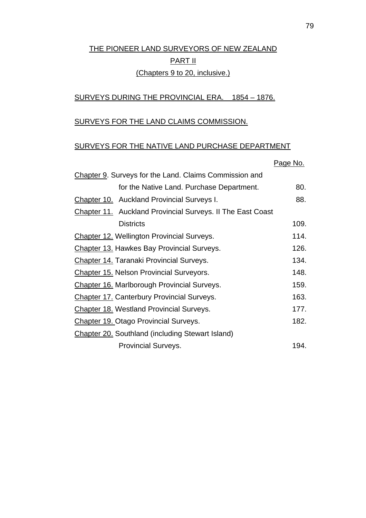# THE PIONEER LAND SURVEYORS OF NEW ZEALAND PART II (Chapters 9 to 20, inclusive.)

## SURVEYS DURING THE PROVINCIAL ERA. 1854 – 1876.

#### SURVEYS FOR THE LAND CLAIMS COMMISSION.

## SURVEYS FOR THE NATIVE LAND PURCHASE DEPARTMENT

|                                                            | Page No. |
|------------------------------------------------------------|----------|
| Chapter 9. Surveys for the Land. Claims Commission and     |          |
| for the Native Land. Purchase Department.                  | 80.      |
| Chapter 10. Auckland Provincial Surveys I.                 | 88.      |
| Chapter 11. Auckland Provincial Surveys. II The East Coast |          |
| <b>Districts</b>                                           | 109.     |
| <b>Chapter 12. Wellington Provincial Surveys.</b>          | 114.     |
| Chapter 13. Hawkes Bay Provincial Surveys.                 | 126.     |
| <b>Chapter 14. Taranaki Provincial Surveys.</b>            | 134.     |
| Chapter 15. Nelson Provincial Surveyors.                   | 148.     |
| <b>Chapter 16. Marlborough Provincial Surveys.</b>         | 159.     |
| <b>Chapter 17. Canterbury Provincial Surveys.</b>          | 163.     |
| <b>Chapter 18. Westland Provincial Surveys.</b>            | 177.     |
| <b>Chapter 19. Otago Provincial Surveys.</b>               | 182.     |
| <b>Chapter 20.</b> Southland (including Stewart Island)    |          |
| <b>Provincial Surveys.</b>                                 | 194.     |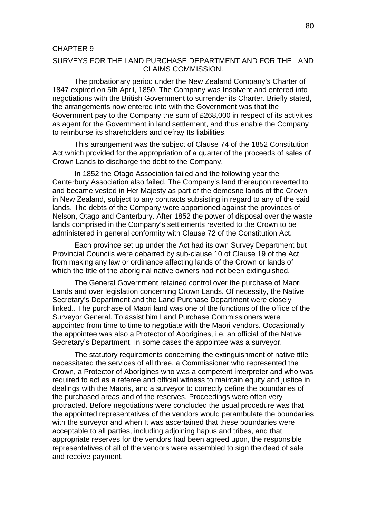#### CHAPTER 9

### SURVEYS FOR THE LAND PURCHASE DEPARTMENT AND FOR THE LAND CLAIMS COMMISSION.

The probationary period under the New Zealand Company's Charter of 1847 expired on 5th April, 1850. The Company was Insolvent and entered into negotiations with the British Government to surrender its Charter. Briefly stated, the arrangements now entered into with the Government was that the Government pay to the Company the sum of £268,000 in respect of its activities as agent for the Government in land settlement, and thus enable the Company to reimburse its shareholders and defray Its liabilities.

This arrangement was the subject of Clause 74 of the 1852 Constitution Act which provided for the appropriation of a quarter of the proceeds of sales of Crown Lands to discharge the debt to the Company.

In 1852 the Otago Association failed and the following year the Canterbury Association also failed. The Company's land thereupon reverted to and became vested in Her Majesty as part of the demesne lands of the Crown in New Zealand, subject to any contracts subsisting in regard to any of the said lands. The debts of the Company were apportioned against the provinces of Nelson, Otago and Canterbury. After 1852 the power of disposal over the waste lands comprised in the Company's settlements reverted to the Crown to be administered in general conformity with Clause 72 of the Constitution Act.

Each province set up under the Act had its own Survey Department but Provincial Councils were debarred by sub-clause 10 of Clause 19 of the Act from making any law or ordinance affecting lands of the Crown or lands of which the title of the aboriginal native owners had not been extinguished.

The General Government retained control over the purchase of Maori Lands and over legislation concerning Crown Lands. Of necessity, the Native Secretary's Department and the Land Purchase Department were closely linked.. The purchase of Maori land was one of the functions of the office of the Surveyor General. To assist him Land Purchase Commissioners were appointed from time to time to negotiate with the Maori vendors. Occasionally the appointee was also a Protector of Aborigines, i.e. an official of the Native Secretary's Department. In some cases the appointee was a surveyor.

The statutory requirements concerning the extinguishment of native title necessitated the services of all three, a Commissioner who represented the Crown, a Protector of Aborigines who was a competent interpreter and who was required to act as a referee and official witness to maintain equity and justice in dealings with the Maoris, and a surveyor to correctly define the boundaries of the purchased areas and of the reserves. Proceedings were often very protracted. Before negotiations were concluded the usual procedure was that the appointed representatives of the vendors would perambulate the boundaries with the surveyor and when It was ascertained that these boundaries were acceptable to all parties, including adjoining hapus and tribes, and that appropriate reserves for the vendors had been agreed upon, the responsible representatives of all of the vendors were assembled to sign the deed of sale and receive payment.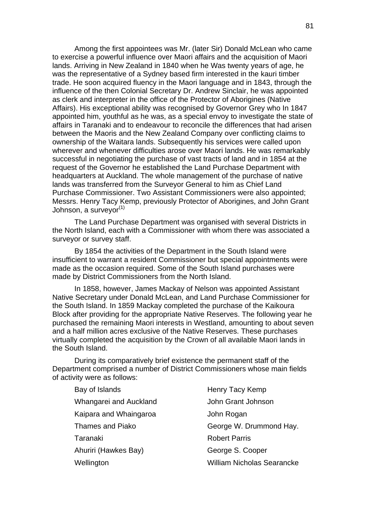Among the first appointees was Mr. (later Sir) Donald McLean who came to exercise a powerful influence over Maori affairs and the acquisition of Maori lands. Arriving in New Zealand in 1840 when he Was twenty years of age, he was the representative of a Sydney based firm interested in the kauri timber trade. He soon acquired fluency in the Maori language and in 1843, through the influence of the then Colonial Secretary Dr. Andrew Sinclair, he was appointed as clerk and interpreter in the office of the Protector of Aborigines (Native Affairs). His exceptional ability was recognised by Governor Grey who In 1847 appointed him, youthful as he was, as a special envoy to investigate the state of affairs in Taranaki and to endeavour to reconcile the differences that had arisen between the Maoris and the New Zealand Company over conflicting claims to ownership of the Waitara lands. Subsequently his services were called upon wherever and whenever difficulties arose over Maori lands. He was remarkably successful in negotiating the purchase of vast tracts of land and in 1854 at the request of the Governor he established the Land Purchase Department with headquarters at Auckland. The whole management of the purchase of native lands was transferred from the Surveyor General to him as Chief Land Purchase Commissioner. Two Assistant Commissioners were also appointed; Messrs. Henry Tacy Kemp, previously Protector of Aborigines, and John Grant Johnson, a surveyor<sup>(1)</sup>

The Land Purchase Department was organised with several Districts in the North Island, each with a Commissioner with whom there was associated a surveyor or survey staff.

By 1854 the activities of the Department in the South Island were insufficient to warrant a resident Commissioner but special appointments were made as the occasion required. Some of the South Island purchases were made by District Commissioners from the North Island.

 In 1858, however, James Mackay of Nelson was appointed Assistant Native Secretary under Donald McLean, and Land Purchase Commissioner for the South Island. In 1859 Mackay completed the purchase of the Kaikoura Block after providing for the appropriate Native Reserves. The following year he purchased the remaining Maori interests in Westland, amounting to about seven and a half million acres exclusive of the Native Reserves. These purchases virtually completed the acquisition by the Crown of all available Maori lands in the South Island.

During its comparatively brief existence the permanent staff of the Department comprised a number of District Commissioners whose main fields of activity were as follows:

| Bay of Islands          |
|-------------------------|
| Whangarei and Auckland  |
| Kaipara and Whaingaroa  |
| <b>Thames and Piako</b> |
| Taranaki                |
| Ahuriri (Hawkes Bay)    |
| Wellington              |

of Islands **Henry Tacy Kemp** John Grant Johnson John Rogan George W. Drummond Hay. **Robert Parris** George S. Cooper William Nicholas Searancke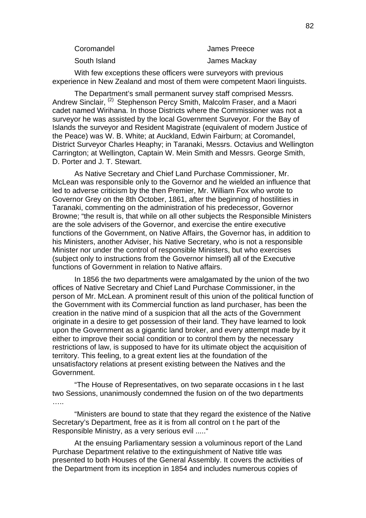| Coromandel   | James Preece |
|--------------|--------------|
| South Island | James Mackay |

With few exceptions these officers were surveyors with previous experience in New Zealand and most of them were competent Maori linguists.

The Department's small permanent survey staff comprised Messrs. Andrew Sinclair, <sup>(2)</sup> Stephenson Percy Smith, Malcolm Fraser, and a Maori cadet named Wirihana. In those Districts where the Commissioner was not a surveyor he was assisted by the local Government Surveyor. For the Bay of Islands the surveyor and Resident Magistrate (equivalent of modern Justice of the Peace) was W. B. White; at Auckland, Edwin Fairburn; at Coromandel, District Surveyor Charles Heaphy; in Taranaki, Messrs. Octavius and Wellington Carrington; at Wellington, Captain W. Mein Smith and Messrs. George Smith, D. Porter and J. T. Stewart.

As Native Secretary and Chief Land Purchase Commissioner, Mr. McLean was responsible only to the Governor and he wielded an influence that led to adverse criticism by the then Premier, Mr. William Fox who wrote to Governor Grey on the 8th October, 1861, after the beginning of hostilities in Taranaki, commenting on the administration of his predecessor, Governor Browne; "the result is, that while on all other subjects the Responsible Ministers are the sole advisers of the Governor, and exercise the entire executive functions of the Government, on Native Affairs, the Governor has, in addition to his Ministers, another Adviser, his Native Secretary, who is not a responsible Minister nor under the control of responsible Ministers, but who exercises (subject only to instructions from the Governor himself) all of the Executive functions of Government in relation to Native affairs.

In 1856 the two departments were amalgamated by the union of the two offices of Native Secretary and Chief Land Purchase Commissioner, in the person of Mr. McLean. A prominent result of this union of the political function of the Government with its Commercial function as land purchaser, has been the creation in the native mind of a suspicion that all the acts of the Government originate in a desire to get possession of their land. They have learned to look upon the Government as a gigantic land broker, and every attempt made by it either to improve their social condition or to control them by the necessary restrictions of law, is supposed to have for its ultimate object the acquisition of territory. This feeling, to a great extent lies at the foundation of the unsatisfactory relations at present existing between the Natives and the Government.

"The House of Representatives, on two separate occasions in t he last two Sessions, unanimously condemned the fusion on of the two departments ……

"Ministers are bound to state that they regard the existence of the Native Secretary's Department, free as it is from all control on t he part of the Responsible Ministry, as a very serious evil ....."

At the ensuing Parliamentary session a voluminous report of the Land Purchase Department relative to the extinguishment of Native title was presented to both Houses of the General Assembly. It covers the activities of the Department from its inception in 1854 and includes numerous copies of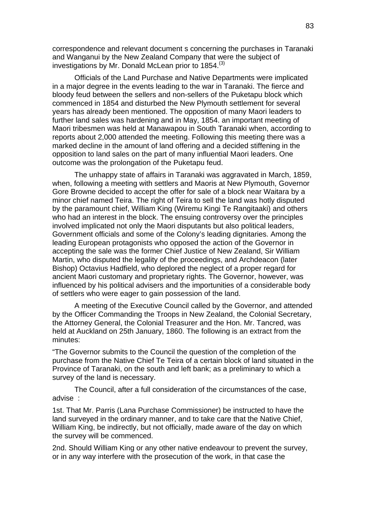correspondence and relevant document s concerning the purchases in Taranaki and Wanganui by the New Zealand Company that were the subject of investigations by Mr. Donald McLean prior to  $1854<sup>(3)</sup>$ 

Officials of the Land Purchase and Native Departments were implicated in a major degree in the events leading to the war in Taranaki. The fierce and bloody feud between the sellers and non-sellers of the Puketapu block which commenced in 1854 and disturbed the New Plymouth settlement for several years has already been mentioned. The opposition of many Maori leaders to further land sales was hardening and in May, 1854. an important meeting of Maori tribesmen was held at Manawapou in South Taranaki when, according to reports about 2,000 attended the meeting. Following this meeting there was a marked decline in the amount of land offering and a decided stiffening in the opposition to land sales on the part of many influential Maori leaders. One outcome was the prolongation of the Puketapu feud.

The unhappy state of affairs in Taranaki was aggravated in March, 1859, when, following a meeting with settlers and Maoris at New Plymouth, Governor Gore Browne decided to accept the offer for sale of a block near Waitara by a minor chief named Teira. The right of Teira to sell the land was hotly disputed by the paramount chief, William King (Wiremu Kingi Te Rangitaaki) and others who had an interest in the block. The ensuing controversy over the principles involved implicated not only the Maori disputants but also political leaders, Government officials and some of the Colony's leading dignitaries. Among the leading European protagonists who opposed the action of the Governor in accepting the sale was the former Chief Justice of New Zealand, Sir William Martin, who disputed the legality of the proceedings, and Archdeacon (later Bishop) Octavius Hadfield, who deplored the neglect of a proper regard for ancient Maori customary and proprietary rights. The Governor, however, was influenced by his political advisers and the importunities of a considerable body of settlers who were eager to gain possession of the land.

A meeting of the Executive Council called by the Governor, and attended by the Officer Commanding the Troops in New Zealand, the Colonial Secretary, the Attorney General, the Colonial Treasurer and the Hon. Mr. Tancred, was held at Auckland on 25th January, 1860. The following is an extract from the minutes:

"The Governor submits to the Council the question of the completion of the purchase from the Native Chief Te Teira of a certain block of land situated in the Province of Taranaki, on the south and left bank; as a preliminary to which a survey of the land is necessary.

The Council, after a full consideration of the circumstances of the case, advise :

1st. That Mr. Parris (Lana Purchase Commissioner) be instructed to have the land surveyed in the ordinary manner, and to take care that the Native Chief, William King, be indirectly, but not officially, made aware of the day on which the survey will be commenced.

2nd. Should William King or any other native endeavour to prevent the survey, or in any way interfere with the prosecution of the work, in that case the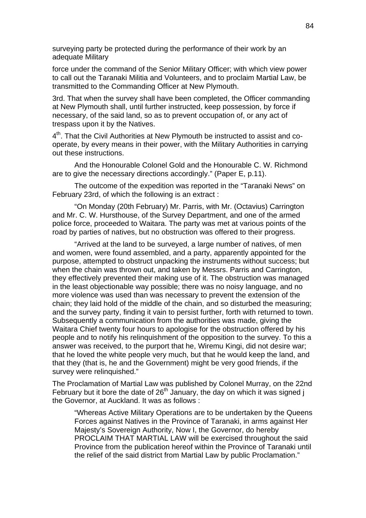surveying party be protected during the performance of their work by an adequate Military

force under the command of the Senior Military Officer; with which view power to call out the Taranaki Militia and Volunteers, and to proclaim Martial Law, be transmitted to the Commanding Officer at New Plymouth.

3rd. That when the survey shall have been completed, the Officer commanding at New Plymouth shall, until further instructed, keep possession, by force if necessary, of the said land, so as to prevent occupation of, or any act of trespass upon it by the Natives.

 $4<sup>th</sup>$ . That the Civil Authorities at New Plymouth be instructed to assist and cooperate, by every means in their power, with the Military Authorities in carrying out these instructions.

And the Honourable Colonel Gold and the Honourable C. W. Richmond are to give the necessary directions accordingly." (Paper E, p.11).

The outcome of the expedition was reported in the "Taranaki News" on February 23rd, of which the following is an extract :

"On Monday (20th February) Mr. Parris, with Mr. (Octavius) Carrington and Mr. C. W. Hursthouse, of the Survey Department, and one of the armed police force, proceeded to Waitara. The party was met at various points of the road by parties of natives, but no obstruction was offered to their progress.

"Arrived at the land to be surveyed, a large number of natives, of men and women, were found assembled, and a party, apparently appointed for the purpose, attempted to obstruct unpacking the instruments without success; but when the chain was thrown out, and taken by Messrs. Parris and Carrington, they effectively prevented their making use of it. The obstruction was managed in the least objectionable way possible; there was no noisy language, and no more violence was used than was necessary to prevent the extension of the chain; they laid hold of the middle of the chain, and so disturbed the measuring; and the survey party, finding it vain to persist further, forth with returned to town. Subsequently a communication from the authorities was made, giving the Waitara Chief twenty four hours to apologise for the obstruction offered by his people and to notify his relinquishment of the opposition to the survey. To this a answer was received, to the purport that he, Wiremu Kingi, did not desire war; that he loved the white people very much, but that he would keep the land, and that they (that is, he and the Government) might be very good friends, if the survey were relinquished."

The Proclamation of Martial Law was published by Colonel Murray, on the 22nd February but it bore the date of  $26<sup>th</sup>$  January, the day on which it was signed j the Governor, at Auckland. It was as follows :

"Whereas Active Military Operations are to be undertaken by the Queens Forces against Natives in the Province of Taranaki, in arms against Her Majesty's Sovereign Authority, Now I, the Governor, do hereby PROCLAIM THAT MARTIAL LAW will be exercised throughout the said Province from the publication hereof within the Province of Taranaki until the relief of the said district from Martial Law by public Proclamation."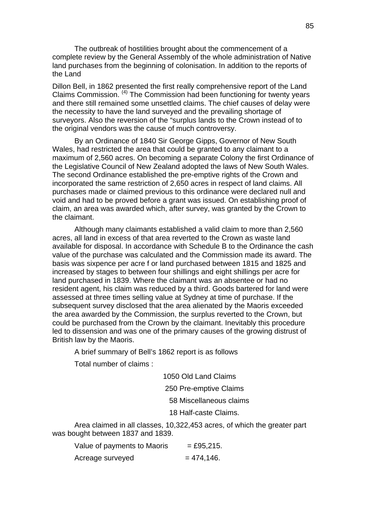The outbreak of hostilities brought about the commencement of a complete review by the General Assembly of the whole administration of Native land purchases from the beginning of colonisation. In addition to the reports of the Land

Dillon Bell, in 1862 presented the first really comprehensive report of the Land Claims Commission. (4) The Commission had been functioning for twenty years and there still remained some unsettled claims. The chief causes of delay were the necessity to have the land surveyed and the prevailing shortage of surveyors. Also the reversion of the "surplus lands to the Crown instead of to the original vendors was the cause of much controversy.

By an Ordinance of 1840 Sir George Gipps, Governor of New South Wales, had restricted the area that could be granted to any claimant to a maximum of 2,560 acres. On becoming a separate Colony the first Ordinance of the Legislative Council of New Zealand adopted the laws of New South Wales. The second Ordinance established the pre-emptive rights of the Crown and incorporated the same restriction of 2,650 acres in respect of land claims. All purchases made or claimed previous to this ordinance were declared null and void and had to be proved before a grant was issued. On establishing proof of claim, an area was awarded which, after survey, was granted by the Crown to the claimant.

Although many claimants established a valid claim to more than 2,560 acres, all land in excess of that area reverted to the Crown as waste land available for disposal. In accordance with Schedule B to the Ordinance the cash value of the purchase was calculated and the Commission made its award. The basis was sixpence per acre f or land purchased between 1815 and 1825 and increased by stages to between four shillings and eight shillings per acre for land purchased in 1839. Where the claimant was an absentee or had no resident agent, his claim was reduced by a third. Goods bartered for land were assessed at three times selling value at Sydney at time of purchase. If the subsequent survey disclosed that the area alienated by the Maoris exceeded the area awarded by the Commission, the surplus reverted to the Crown, but could be purchased from the Crown by the claimant. Inevitably this procedure led to dissension and was one of the primary causes of the growing distrust of British law by the Maoris.

A brief summary of Bell's 1862 report is as follows

Total number of claims :

1050 Old Land Claims

250 Pre-emptive Claims

58 Miscellaneous claims

18 Half-caste Claims.

Area claimed in all classes, 10,322,453 acres, of which the greater part was bought between 1837 and 1839.

| Value of payments to Maoris | $=$ £95,215.  |
|-----------------------------|---------------|
| Acreage surveyed            | $= 474, 146.$ |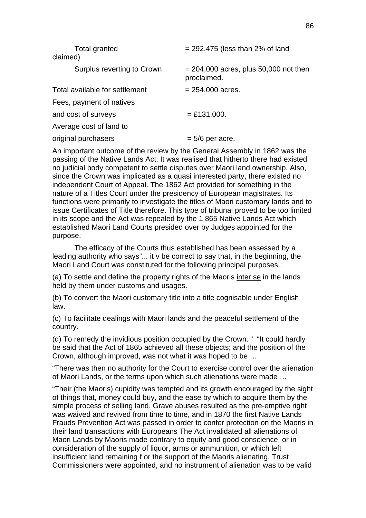| <b>Total granted</b><br>claimed) | $= 292,475$ (less than 2% of land                      |
|----------------------------------|--------------------------------------------------------|
| Surplus reverting to Crown       | $= 204,000$ acres, plus 50,000 not then<br>proclaimed. |
| Total available for settlement   | $= 254,000$ acres.                                     |
| Fees, payment of natives         |                                                        |
| and cost of surveys              | $=$ £131,000.                                          |
| Average cost of land to          |                                                        |
| original purchasers              | $= 5/6$ per acre.                                      |
|                                  |                                                        |

An important outcome of the review by the General Assembly in 1862 was the passing of the Native Lands Act. It was realised that hitherto there had existed no judicial body competent to settle disputes over Maori land ownership. Also, since the Crown was implicated as a quasi interested party, there existed no independent Court of Appeal. The 1862 Act provided for something in the nature of a Titles Court under the presidency of European magistrates. Its functions were primarily to investigate the titles of Maori customary lands and to issue Certificates of Title therefore. This type of tribunal proved to be too limited in its scope and the Act was repealed by the 1 865 Native Lands Act which established Maori Land Courts presided over by Judges appointed for the purpose.

The efficacy of the Courts thus established has been assessed by a leading authority who says"... it v be correct to say that, in the beginning, the Maori Land Court was constituted for the following principal purposes :

(a) To settle and define the property rights of the Maoris inter se in the lands held by them under customs and usages.

(b) To convert the Maori customary title into a title cognisable under English law.

(c) To facilitate dealings with Maori lands and the peaceful settlement of the country.

(d) To remedy the invidious position occupied by the Crown. " "It could hardly be said that the Act of 1865 achieved all these objects; and the position of the Crown, although improved, was not what it was hoped to be …

"There was then no authority for the Court to exercise control over the alienation of Maori Lands, or the terms upon which such alienations were made …

"Their (the Maoris) cupidity was tempted and its growth encouraged by the sight of things that, money could buy, and the ease by which to acquire them by the simple process of selling land. Grave abuses resulted as the pre-emptive right was waived and revived from time to time, and in 1870 the first Native Lands Frauds Prevention Act was passed in order to confer protection on the Maoris in their land transactions with Europeans The Act invalidated all alienations of Maori Lands by Maoris made contrary to equity and good conscience, or in consideration of the supply of liquor, arms or ammunition, or which left insufficient land remaining f or the support of the Maoris alienating. Trust Commissioners were appointed, and no instrument of alienation was to be valid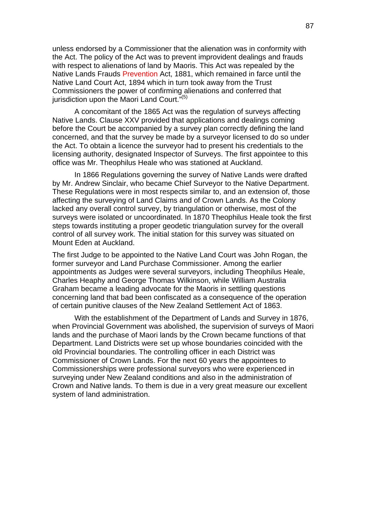unless endorsed by a Commissioner that the alienation was in conformity with the Act. The policy of the Act was to prevent improvident dealings and frauds with respect to alienations of land by Maoris. This Act was repealed by the Native Lands Frauds Prevention Act, 1881, which remained in farce until the Native Land Court Act, 1894 which in turn took away from the Trust Commissioners the power of confirming alienations and conferred that iurisdiction upon the Maori Land Court. $\mathbf{r}^{(5)}$ 

A concomitant of the 1865 Act was the regulation of surveys affecting Native Lands. Clause XXV provided that applications and dealings coming before the Court be accompanied by a survey plan correctly defining the land concerned, and that the survey be made by a surveyor licensed to do so under the Act. To obtain a licence the surveyor had to present his credentials to the licensing authority, designated Inspector of Surveys. The first appointee to this office was Mr. Theophilus Heale who was stationed at Auckland.

In 1866 Regulations governing the survey of Native Lands were drafted by Mr. Andrew Sinclair, who became Chief Surveyor to the Native Department. These Regulations were in most respects similar to, and an extension of, those affecting the surveying of Land Claims and of Crown Lands. As the Colony lacked any overall control survey, by triangulation or otherwise, most of the surveys were isolated or uncoordinated. In 1870 Theophilus Heale took the first steps towards instituting a proper geodetic triangulation survey for the overall control of all survey work. The initial station for this survey was situated on Mount Eden at Auckland.

The first Judge to be appointed to the Native Land Court was John Rogan, the former surveyor and Land Purchase Commissioner. Among the earlier appointments as Judges were several surveyors, including Theophilus Heale, Charles Heaphy and George Thomas Wilkinson, while William Australia Graham became a leading advocate for the Maoris in settling questions concerning land that bad been confiscated as a consequence of the operation of certain punitive clauses of the New Zealand Settlement Act of 1863.

With the establishment of the Department of Lands and Survey in 1876, when Provincial Government was abolished, the supervision of surveys of Maori lands and the purchase of Maori lands by the Crown became functions of that Department. Land Districts were set up whose boundaries coincided with the old Provincial boundaries. The controlling officer in each District was Commissioner of Crown Lands. For the next 60 years the appointees to Commissionerships were professional surveyors who were experienced in surveying under New Zealand conditions and also in the administration of Crown and Native lands. To them is due in a very great measure our excellent system of land administration.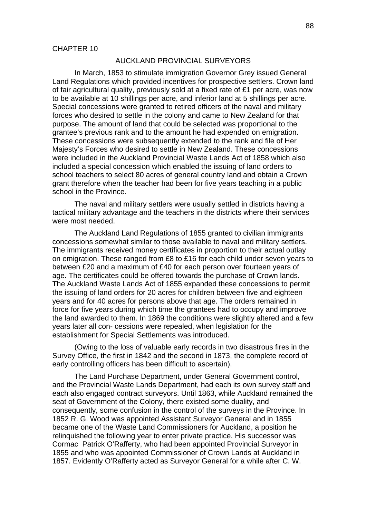#### AUCKLAND PROVINCIAL SURVEYORS

In March, 1853 to stimulate immigration Governor Grey issued General Land Regulations which provided incentives for prospective settlers. Crown land of fair agricultural quality, previously sold at a fixed rate of £1 per acre, was now to be available at 10 shillings per acre, and inferior land at 5 shillings per acre. Special concessions were granted to retired officers of the naval and military forces who desired to settle in the colony and came to New Zealand for that purpose. The amount of land that could be selected was proportional to the grantee's previous rank and to the amount he had expended on emigration. These concessions were subsequently extended to the rank and file of Her Majesty's Forces who desired to settle in New Zealand. These concessions were included in the Auckland Provincial Waste Lands Act of 1858 which also included a special concession which enabled the issuing of land orders to school teachers to select 80 acres of general country land and obtain a Crown grant therefore when the teacher had been for five years teaching in a public school in the Province.

The naval and military settlers were usually settled in districts having a tactical military advantage and the teachers in the districts where their services were most needed.

The Auckland Land Regulations of 1855 granted to civilian immigrants concessions somewhat similar to those available to naval and military settlers. The immigrants received money certificates in proportion to their actual outlay on emigration. These ranged from £8 to £16 for each child under seven years to between £20 and a maximum of £40 for each person over fourteen years of age. The certificates could be offered towards the purchase of Crown lands. The Auckland Waste Lands Act of 1855 expanded these concessions to permit the issuing of land orders for 20 acres for children between five and eighteen years and for 40 acres for persons above that age. The orders remained in force for five years during which time the grantees had to occupy and improve the land awarded to them. In 1869 the conditions were slightly altered and a few years later all con- cessions were repealed, when legislation for the establishment for Special Settlements was introduced.

(Owing to the loss of valuable early records in two disastrous fires in the Survey Office, the first in 1842 and the second in 1873, the complete record of early controlling officers has been difficult to ascertain).

The Land Purchase Department, under General Government control, and the Provincial Waste Lands Department, had each its own survey staff and each also engaged contract surveyors. Until 1863, while Auckland remained the seat of Government of the Colony, there existed some duality, and consequently, some confusion in the control of the surveys in the Province. In 1852 R. G. Wood was appointed Assistant Surveyor General and in 1855 became one of the Waste Land Commissioners for Auckland, a position he relinquished the following year to enter private practice. His successor was Cormac Patrick O'Rafferty, who had been appointed Provincial Surveyor in 1855 and who was appointed Commissioner of Crown Lands at Auckland in 1857. Evidently O'Rafferty acted as Surveyor General for a while after C. W.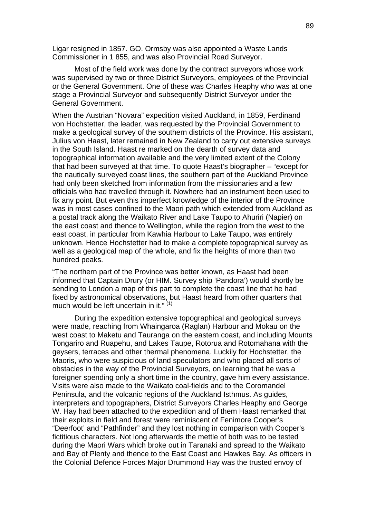Ligar resigned in 1857. GO. Ormsby was also appointed a Waste Lands Commissioner in 1 855, and was also Provincial Road Surveyor.

Most of the field work was done by the contract surveyors whose work was supervised by two or three District Surveyors, employees of the Provincial or the General Government. One of these was Charles Heaphy who was at one stage a Provincial Surveyor and subsequently District Surveyor under the General Government.

When the Austrian "Novara" expedition visited Auckland, in 1859, Ferdinand von Hochstetter, the leader, was requested by the Provincial Government to make a geological survey of the southern districts of the Province. His assistant, Julius von Haast, later remained in New Zealand to carry out extensive surveys in the South Island. Haast re marked on the dearth of survey data and topographical information available and the very limited extent of the Colony that had been surveyed at that time. To quote Haast's biographer – "except for the nautically surveyed coast lines, the southern part of the Auckland Province had only been sketched from information from the missionaries and a few officials who had travelled through it. Nowhere had an instrument been used to fix any point. But even this imperfect knowledge of the interior of the Province was in most cases confined to the Maori path which extended from Auckland as a postal track along the Waikato River and Lake Taupo to Ahuriri (Napier) on the east coast and thence to Wellington, while the region from the west to the east coast, in particular from Kawhia Harbour to Lake Taupo, was entirely unknown. Hence Hochstetter had to make a complete topographical survey as well as a geological map of the whole, and fix the heights of more than two hundred peaks.

"The northern part of the Province was better known, as Haast had been informed that Captain Drury (or HIM. Survey ship 'Pandora') would shortly be sending to London a map of this part to complete the coast line that he had fixed by astronomical observations, but Haast heard from other quarters that much would be left uncertain in it."<sup>(1)</sup>

During the expedition extensive topographical and geological surveys were made, reaching from Whaingaroa (Raglan) Harbour and Mokau on the west coast to Maketu and Tauranga on the eastern coast, and including Mounts Tongariro and Ruapehu, and Lakes Taupe, Rotorua and Rotomahana with the geysers, terraces and other thermal phenomena. Luckily for Hochstetter, the Maoris, who were suspicious of land speculators and who placed all sorts of obstacles in the way of the Provincial Surveyors, on learning that he was a foreigner spending only a short time in the country, gave him every assistance. Visits were also made to the Waikato coal-fields and to the Coromandel Peninsula, and the volcanic regions of the Auckland Isthmus. As guides, interpreters and topographers, District Surveyors Charles Heaphy and George W. Hay had been attached to the expedition and of them Haast remarked that their exploits in field and forest were reminiscent of Fenimore Cooper's "Deerfoot' and "Pathfinder" and they lost nothing in comparison with Cooper's fictitious characters. Not long afterwards the mettle of both was to be tested during the Maori Wars which broke out in Taranaki and spread to the Waikato and Bay of Plenty and thence to the East Coast and Hawkes Bay. As officers in the Colonial Defence Forces Major Drummond Hay was the trusted envoy of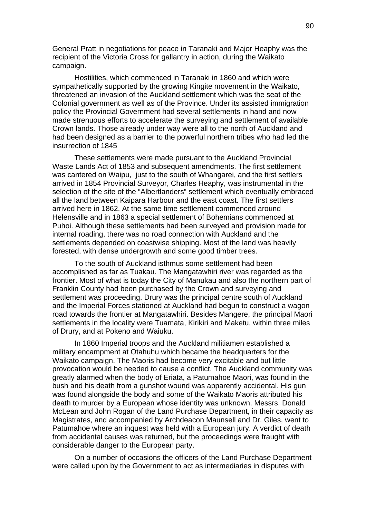General Pratt in negotiations for peace in Taranaki and Major Heaphy was the recipient of the Victoria Cross for gallantry in action, during the Waikato campaign.

Hostilities, which commenced in Taranaki in 1860 and which were sympathetically supported by the growing Kingite movement in the Waikato, threatened an invasion of the Auckland settlement which was the seat of the Colonial government as well as of the Province. Under its assisted immigration policy the Provincial Government had several settlements in hand and now made strenuous efforts to accelerate the surveying and settlement of available Crown lands. Those already under way were all to the north of Auckland and had been designed as a barrier to the powerful northern tribes who had led the insurrection of 1845

These settlements were made pursuant to the Auckland Provincial Waste Lands Act of 1853 and subsequent amendments. The first settlement was cantered on Waipu, just to the south of Whangarei, and the first settlers arrived in 1854 Provincial Surveyor, Charles Heaphy, was instrumental in the selection of the site of the "Albertlanders" settlement which eventually embraced all the land between Kaipara Harbour and the east coast. The first settlers arrived here in 1862. At the same time settlement commenced around Helensville and in 1863 a special settlement of Bohemians commenced at Puhoi. Although these settlements had been surveyed and provision made for internal roading, there was no road connection with Auckland and the settlements depended on coastwise shipping. Most of the land was heavily forested, with dense undergrowth and some good timber trees.

To the south of Auckland isthmus some settlement had been accomplished as far as Tuakau. The Mangatawhiri river was regarded as the frontier. Most of what is today the City of Manukau and also the northern part of Franklin County had been purchased by the Crown and surveying and settlement was proceeding. Drury was the principal centre south of Auckland and the Imperial Forces stationed at Auckland had begun to construct a wagon road towards the frontier at Mangatawhiri. Besides Mangere, the principal Maori settlements in the locality were Tuamata, Kirikiri and Maketu, within three miles of Drury, and at Pokeno and Waiuku.

In 1860 Imperial troops and the Auckland militiamen established a military encampment at Otahuhu which became the headquarters for the Waikato campaign. The Maoris had become very excitable and but little provocation would be needed to cause a conflict. The Auckland community was greatly alarmed when the body of Eriata, a Patumahoe Maori, was found in the bush and his death from a gunshot wound was apparently accidental. His gun was found alongside the body and some of the Waikato Maoris attributed his death to murder by a European whose identity was unknown. Messrs. Donald McLean and John Rogan of the Land Purchase Department, in their capacity as Magistrates, and accompanied by Archdeacon Maunsell and Dr. Giles, went to Patumahoe where an inquest was held with a European jury. A verdict of death from accidental causes was returned, but the proceedings were fraught with considerable danger to the European party.

On a number of occasions the officers of the Land Purchase Department were called upon by the Government to act as intermediaries in disputes with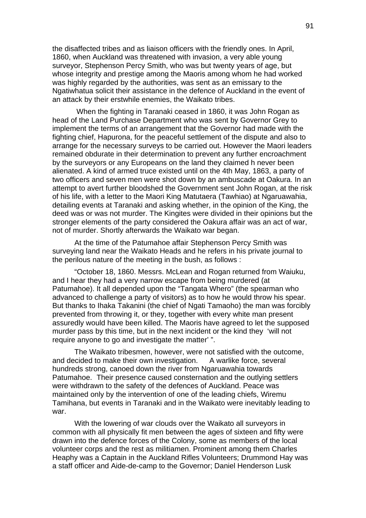the disaffected tribes and as liaison officers with the friendly ones. In April, 1860, when Auckland was threatened with invasion, a very able young surveyor, Stephenson Percy Smith, who was but twenty years of age, but whose integrity and prestige among the Maoris among whom he had worked was highly regarded by the authorities, was sent as an emissary to the Ngatiwhatua solicit their assistance in the defence of Auckland in the event of an attack by their erstwhile enemies, the Waikato tribes.

When the fighting in Taranaki ceased in 1860, it was John Rogan as head of the Land Purchase Department who was sent by Governor Grey to implement the terms of an arrangement that the Governor had made with the fighting chief, Hapurona, for the peaceful settlement of the dispute and also to arrange for the necessary surveys to be carried out. However the Maori leaders remained obdurate in their determination to prevent any further encroachment by the surveyors or any Europeans on the land they claimed h never been alienated. A kind of armed truce existed until on the 4th May, 1863, a party of two officers and seven men were shot down by an ambuscade at Oakura. In an attempt to avert further bloodshed the Government sent John Rogan, at the risk of his life, with a letter to the Maori King Matutaera (Tawhiao) at Ngaruawahia, detailing events at Taranaki and asking whether, in the opinion of the King, the deed was or was not murder. The Kingites were divided in their opinions but the stronger elements of the party considered the Oakura affair was an act of war, not of murder. Shortly afterwards the Waikato war began.

At the time of the Patumahoe affair Stephenson Percy Smith was surveying land near the Waikato Heads and he refers in his private journal to the perilous nature of the meeting in the bush, as follows :

"October 18, 1860. Messrs. McLean and Rogan returned from Waiuku, and I hear they had a very narrow escape from being murdered (at Patumahoe). It all depended upon the "Tangata Whero" (the spearman who advanced to challenge a party of visitors) as to how he would throw his spear. But thanks to Ihaka Takanini (the chief of Ngati Tamaoho) the man was forcibly prevented from throwing it, or they, together with every white man present assuredly would have been killed. The Maoris have agreed to let the supposed murder pass by this time, but in the next incident or the kind they 'will not require anyone to go and investigate the matter' ".

The Waikato tribesmen, however, were not satisfied with the outcome, and decided to make their own investigation. A warlike force, several hundreds strong, canoed down the river from Ngaruawahia towards Patumahoe. Their presence caused consternation and the outlying settlers were withdrawn to the safety of the defences of Auckland. Peace was maintained only by the intervention of one of the leading chiefs, Wiremu Tamihana, but events in Taranaki and in the Waikato were inevitably leading to war.

With the lowering of war clouds over the Waikato all surveyors in common with all physically fit men between the ages of sixteen and fifty were drawn into the defence forces of the Colony, some as members of the local volunteer corps and the rest as militiamen. Prominent among them Charles Heaphy was a Captain in the Auckland Rifles Volunteers; Drummond Hay was a staff officer and Aide-de-camp to the Governor; Daniel Henderson Lusk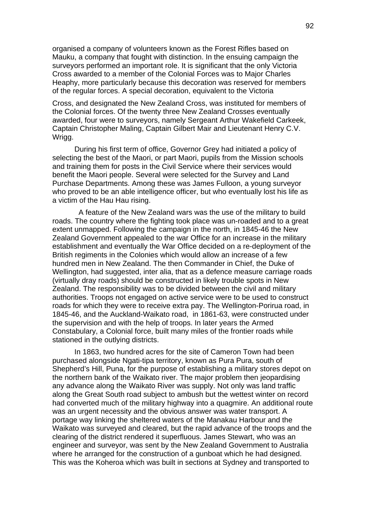organised a company of volunteers known as the Forest Rifles based on Mauku, a company that fought with distinction. In the ensuing campaign the surveyors performed an important role. It is significant that the only Victoria Cross awarded to a member of the Colonial Forces was to Major Charles Heaphy, more particularly because this decoration was reserved for members of the regular forces. A special decoration, equivalent to the Victoria

Cross, and designated the New Zealand Cross, was instituted for members of the Colonial forces. Of the twenty three New Zealand Crosses eventually awarded, four were to surveyors, namely Sergeant Arthur Wakefield Carkeek, Captain Christopher Maling, Captain Gilbert Mair and Lieutenant Henry C.V. Wrigg.

During his first term of office, Governor Grey had initiated a policy of selecting the best of the Maori, or part Maori, pupils from the Mission schools and training them for posts in the Civil Service where their services would benefit the Maori people. Several were selected for the Survey and Land Purchase Departments. Among these was James Fulloon, a young surveyor who proved to be an able intelligence officer, but who eventually lost his life as a victim of the Hau Hau rising.

 A feature of the New Zealand wars was the use of the military to build roads. The country where the fighting took place was un-roaded and to a great extent unmapped. Following the campaign in the north, in 1845-46 the New Zealand Government appealed to the war Office for an increase in the military establishment and eventually the War Office decided on a re-deployment of the British regiments in the Colonies which would allow an increase of a few hundred men in New Zealand. The then Commander in Chief, the Duke of Wellington, had suggested, inter alia, that as a defence measure carriage roads (virtually dray roads) should be constructed in likely trouble spots in New Zealand. The responsibility was to be divided between the civil and military authorities. Troops not engaged on active service were to be used to construct roads for which they were to receive extra pay. The Wellington-Porirua road, in 1845-46, and the Auckland-Waikato road, in 1861-63, were constructed under the supervision and with the help of troops. In later years the Armed Constabulary, a Colonial force, built many miles of the frontier roads while stationed in the outlying districts.

In 1863, two hundred acres for the site of Cameron Town had been purchased alongside Ngati-tipa territory, known as Pura Pura, south of Shepherd's Hill, Puna, for the purpose of establishing a military stores depot on the northern bank of the Waikato river. The major problem then jeopardising any advance along the Waikato River was supply. Not only was land traffic along the Great South road subject to ambush but the wettest winter on record had converted much of the military highway into a quagmire. An additional route was an urgent necessity and the obvious answer was water transport. A portage way linking the sheltered waters of the Manakau Harbour and the Waikato was surveyed and cleared, but the rapid advance of the troops and the clearing of the district rendered it superfluous. James Stewart, who was an engineer and surveyor, was sent by the New Zealand Government to Australia where he arranged for the construction of a gunboat which he had designed. This was the Koheroa which was built in sections at Sydney and transported to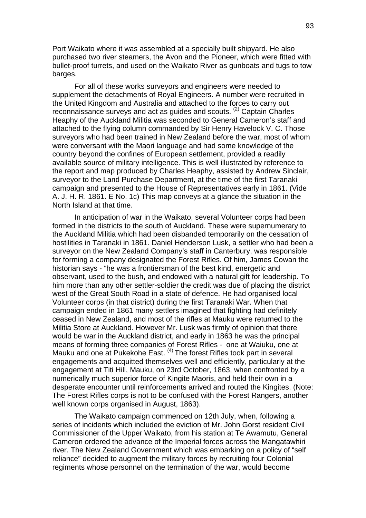Port Waikato where it was assembled at a specially built shipyard. He also purchased two river steamers, the Avon and the Pioneer, which were fitted with bullet-proof turrets, and used on the Waikato River as gunboats and tugs to tow barges.

For all of these works surveyors and engineers were needed to supplement the detachments of Royal Engineers. A number were recruited in the United Kingdom and Australia and attached to the forces to carry out reconnaissance surveys and act as guides and scouts. (2) Captain Charles Heaphy of the Auckland Militia was seconded to General Cameron's staff and attached to the flying column commanded by Sir Henry Havelock V. C. Those surveyors who had been trained in New Zealand before the war, most of whom were conversant with the Maori language and had some knowledge of the country beyond the confines of European settlement, provided a readily available source of military intelligence. This is well illustrated by reference to the report and map produced by Charles Heaphy, assisted by Andrew Sinclair, surveyor to the Land Purchase Department, at the time of the first Taranaki campaign and presented to the House of Representatives early in 1861. (Vide A. J. H. R. 1861. E No. 1c) This map conveys at a glance the situation in the North Island at that time.

In anticipation of war in the Waikato, several Volunteer corps had been formed in the districts to the south of Auckland. These were supernumerary to the Auckland Militia which had been disbanded temporarily on the cessation of hostilities in Taranaki in 1861. Daniel Henderson Lusk, a settler who had been a surveyor on the New Zealand Company's staff in Canterbury, was responsible for forming a company designated the Forest Rifles. Of him, James Cowan the historian says - "he was a frontiersman of the best kind, energetic and observant, used to the bush, and endowed with a natural gift for leadership. To him more than any other settler-soldier the credit was due of placing the district west of the Great South Road in a state of defence. He had organised local Volunteer corps (in that district) during the first Taranaki War. When that campaign ended in 1861 many settlers imagined that fighting had definitely ceased in New Zealand, and most of the rifles at Mauku were returned to the Militia Store at Auckland. However Mr. Lusk was firmly of opinion that there would be war in the Auckland district, and early in 1863 he was the principal means of forming three companies of Forest Rifles - one at Waiuku, one at Mauku and one at Pukekohe East. <sup>(4)</sup> The forest Rifles took part in several engagements and acquitted themselves well and efficiently, particularly at the engagement at Titi Hill, Mauku, on 23rd October, 1863, when confronted by a numerically much superior force of Kingite Maoris, and held their own in a desperate encounter until reinforcements arrived and routed the Kingites. (Note: The Forest Rifles corps is not to be confused with the Forest Rangers, another well known corps organised in August, 1863).

The Waikato campaign commenced on 12th July, when, following a series of incidents which included the eviction of Mr. John Gorst resident Civil Commissioner of the Upper Waikato, from his station at Te Awamutu, General Cameron ordered the advance of the Imperial forces across the Mangatawhiri river. The New Zealand Government which was embarking on a policy of "self reliance" decided to augment the military forces by recruiting four Colonial regiments whose personnel on the termination of the war, would become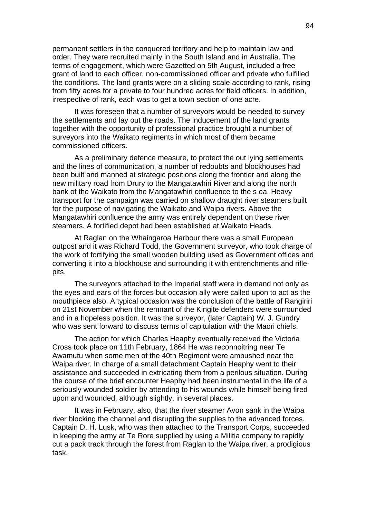permanent settlers in the conquered territory and help to maintain law and order. They were recruited mainly in the South Island and in Australia. The terms of engagement, which were Gazetted on 5th August, included a free grant of land to each officer, non-commissioned officer and private who fulfilled the conditions. The land grants were on a sliding scale according to rank, rising from fifty acres for a private to four hundred acres for field officers. In addition, irrespective of rank, each was to get a town section of one acre.

It was foreseen that a number of surveyors would be needed to survey the settlements and lay out the roads. The inducement of the land grants together with the opportunity of professional practice brought a number of surveyors into the Waikato regiments in which most of them became commissioned officers.

As a preliminary defence measure, to protect the out lying settlements and the lines of communication, a number of redoubts and blockhouses had been built and manned at strategic positions along the frontier and along the new military road from Drury to the Mangatawhiri River and along the north bank of the Waikato from the Mangatawhiri confluence to the s ea. Heavy transport for the campaign was carried on shallow draught river steamers built for the purpose of navigating the Waikato and Waipa rivers. Above the Mangatawhiri confluence the army was entirely dependent on these river steamers. A fortified depot had been established at Waikato Heads.

At Raglan on the Whaingaroa Harbour there was a small European outpost and it was Richard Todd, the Government surveyor, who took charge of the work of fortifying the small wooden building used as Government offices and converting it into a blockhouse and surrounding it with entrenchments and riflepits.

The surveyors attached to the Imperial staff were in demand not only as the eyes and ears of the forces but occasion ally were called upon to act as the mouthpiece also. A typical occasion was the conclusion of the battle of Rangiriri on 21st November when the remnant of the Kingite defenders were surrounded and in a hopeless position. It was the surveyor, (later Captain) W. J. Gundry who was sent forward to discuss terms of capitulation with the Maori chiefs.

The action for which Charles Heaphy eventually received the Victoria Cross took place on 11th February, 1864 He was reconnoitring near Te Awamutu when some men of the 40th Regiment were ambushed near the Waipa river. In charge of a small detachment Captain Heaphy went to their assistance and succeeded in extricating them from a perilous situation. During the course of the brief encounter Heaphy had been instrumental in the life of a seriously wounded soldier by attending to his wounds while himself being fired upon and wounded, although slightly, in several places.

It was in February, also, that the river steamer Avon sank in the Waipa river blocking the channel and disrupting the supplies to the advanced forces. Captain D. H. Lusk, who was then attached to the Transport Corps, succeeded in keeping the army at Te Rore supplied by using a Militia company to rapidly cut a pack track through the forest from Raglan to the Waipa river, a prodigious task.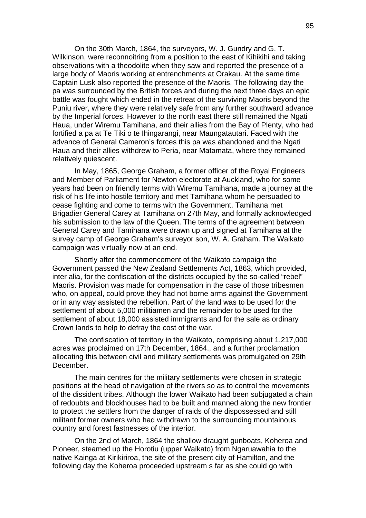On the 30th March, 1864, the surveyors, W. J. Gundry and G. T. Wilkinson, were reconnoitring from a position to the east of Kihikihi and taking observations with a theodolite when they saw and reported the presence of a large body of Maoris working at entrenchments at Orakau. At the same time Captain Lusk also reported the presence of the Maoris. The following day the pa was surrounded by the British forces and during the next three days an epic battle was fought which ended in the retreat of the surviving Maoris beyond the Puniu river, where they were relatively safe from any further southward advance by the Imperial forces. However to the north east there still remained the Ngati Haua, under Wiremu Tamihana, and their allies from the Bay of Plenty, who had fortified a pa at Te Tiki o te Ihingarangi, near Maungatautari. Faced with the advance of General Cameron's forces this pa was abandoned and the Ngati Haua and their allies withdrew to Peria, near Matamata, where they remained relatively quiescent.

In May, 1865, George Graham, a former officer of the Royal Engineers and Member of Parliament for Newton electorate at Auckland, who for some years had been on friendly terms with Wiremu Tamihana, made a journey at the risk of his life into hostile territory and met Tamihana whom he persuaded to cease fighting and come to terms with the Government. Tamihana met Brigadier General Carey at Tamihana on 27th May, and formally acknowledged his submission to the law of the Queen. The terms of the agreement between General Carey and Tamihana were drawn up and signed at Tamihana at the survey camp of George Graham's surveyor son, W. A. Graham. The Waikato campaign was virtually now at an end.

Shortly after the commencement of the Waikato campaign the Government passed the New Zealand Settlements Act, 1863, which provided, inter alia, for the confiscation of the districts occupied by the so-called "rebel" Maoris. Provision was made for compensation in the case of those tribesmen who, on appeal, could prove they had not borne arms against the Government or in any way assisted the rebellion. Part of the land was to be used for the settlement of about 5,000 militiamen and the remainder to be used for the settlement of about 18,000 assisted immigrants and for the sale as ordinary Crown lands to help to defray the cost of the war.

The confiscation of territory in the Waikato, comprising about 1,217,000 acres was proclaimed on 17th December, 1864., and a further proclamation allocating this between civil and military settlements was promulgated on 29th December.

The main centres for the military settlements were chosen in strategic positions at the head of navigation of the rivers so as to control the movements of the dissident tribes. Although the lower Waikato had been subjugated a chain of redoubts and blockhouses had to be built and manned along the new frontier to protect the settlers from the danger of raids of the dispossessed and still militant former owners who had withdrawn to the surrounding mountainous country and forest fastnesses of the interior.

On the 2nd of March, 1864 the shallow draught gunboats, Koheroa and Pioneer, steamed up the Horotiu (upper Waikato) from Ngaruawahia to the native Kainga at Kirikiriroa, the site of the present city of Hamilton, and the following day the Koheroa proceeded upstream s far as she could go with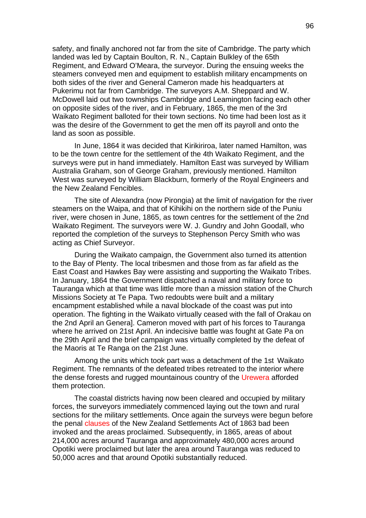safety, and finally anchored not far from the site of Cambridge. The party which landed was led by Captain Boulton, R. N., Captain Bulkley of the 65th Regiment, and Edward O'Meara, the surveyor. During the ensuing weeks the steamers conveyed men and equipment to establish military encampments on both sides of the river and General Cameron made his headquarters at Pukerimu not far from Cambridge. The surveyors A.M. Sheppard and W. McDowell laid out two townships Cambridge and Leamington facing each other on opposite sides of the river, and in February, 1865, the men of the 3rd Waikato Regiment balloted for their town sections. No time had been lost as it was the desire of the Government to get the men off its payroll and onto the land as soon as possible.

In June, 1864 it was decided that Kirikiriroa, later named Hamilton, was to be the town centre for the settlement of the 4th Waikato Regiment, and the surveys were put in hand immediately. Hamilton East was surveyed by William Australia Graham, son of George Graham, previously mentioned. Hamilton West was surveyed by William Blackburn, formerly of the Royal Engineers and the New Zealand Fencibles.

The site of Alexandra (now Pirongia) at the limit of navigation for the river steamers on the Waipa, and that of Kihikihi on the northern side of the Puniu river, were chosen in June, 1865, as town centres for the settlement of the 2nd Waikato Regiment. The surveyors were W. J. Gundry and John Goodall, who reported the completion of the surveys to Stephenson Percy Smith who was acting as Chief Surveyor.

During the Waikato campaign, the Government also turned its attention to the Bay of Plenty. The local tribesmen and those from as far afield as the East Coast and Hawkes Bay were assisting and supporting the Waikato Tribes. In January, 1864 the Government dispatched a naval and military force to Tauranga which at that time was little more than a mission station of the Church Missions Society at Te Papa. Two redoubts were built and a military encampment established while a naval blockade of the coast was put into operation. The fighting in the Waikato virtually ceased with the fall of Orakau on the 2nd April an Genera]. Cameron moved with part of his forces to Tauranga where he arrived on 21st April. An indecisive battle was fought at Gate Pa on the 29th April and the brief campaign was virtually completed by the defeat of the Maoris at Te Ranga on the 21st June.

Among the units which took part was a detachment of the 1st Waikato Regiment. The remnants of the defeated tribes retreated to the interior where the dense forests and rugged mountainous country of the Urewera afforded them protection.

The coastal districts having now been cleared and occupied by military forces, the surveyors immediately commenced laying out the town and rural sections for the military settlements. Once again the surveys were begun before the penal clauses of the New Zealand Settlements Act of 1863 bad been invoked and the areas proclaimed. Subsequently, in 1865, areas of about 214,000 acres around Tauranga and approximately 480,000 acres around Opotiki were proclaimed but later the area around Tauranga was reduced to 50,000 acres and that around Opotiki substantially reduced.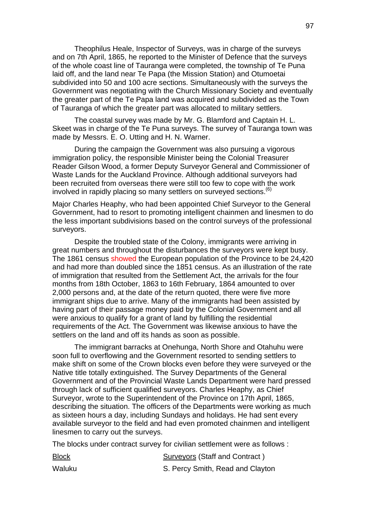Theophilus Heale, Inspector of Surveys, was in charge of the surveys and on 7th April, 1865, he reported to the Minister of Defence that the surveys of the whole coast line of Tauranga were completed, the township of Te Puna laid off, and the land near Te Papa (the Mission Station) and Otumoetai subdivided into 50 and 100 acre sections. Simultaneously with the surveys the Government was negotiating with the Church Missionary Society and eventually the greater part of the Te Papa land was acquired and subdivided as the Town of Tauranga of which the greater part was allocated to military settlers.

The coastal survey was made by Mr. G. Blamford and Captain H. L. Skeet was in charge of the Te Puna surveys. The survey of Tauranga town was made by Messrs. E. O. Utting and H. N. Warner.

During the campaign the Government was also pursuing a vigorous immigration policy, the responsible Minister being the Colonial Treasurer Reader Gilson Wood, a former Deputy Surveyor General and Commissioner of Waste Lands for the Auckland Province. Although additional surveyors had been recruited from overseas there were still too few to cope with the work involved in rapidly placing so many settlers on surveyed sections.  $(6)$ 

Major Charles Heaphy, who had been appointed Chief Surveyor to the General Government, had to resort to promoting intelligent chainmen and linesmen to do the less important subdivisions based on the control surveys of the professional surveyors.

Despite the troubled state of the Colony, immigrants were arriving in great numbers and throughout the disturbances the surveyors were kept busy. The 1861 census showed the European population of the Province to be 24,420 and had more than doubled since the 1851 census. As an illustration of the rate of immigration that resulted from the Settlement Act, the arrivals for the four months from 18th October, 1863 to 16th February, 1864 amounted to over 2,000 persons and, at the date of the return quoted, there were five more immigrant ships due to arrive. Many of the immigrants had been assisted by having part of their passage money paid by the Colonial Government and all were anxious to qualify for a grant of land by fulfilling the residential requirements of the Act. The Government was likewise anxious to have the settlers on the land and off its hands as soon as possible.

The immigrant barracks at Onehunga, North Shore and Otahuhu were soon full to overflowing and the Government resorted to sending settlers to make shift on some of the Crown blocks even before they were surveyed or the Native title totally extinguished. The Survey Departments of the General Government and of the Provincial Waste Lands Department were hard pressed through lack of sufficient qualified surveyors. Charles Heaphy, as Chief Surveyor, wrote to the Superintendent of the Province on 17th April, 1865, describing the situation. The officers of the Departments were working as much as sixteen hours a day, including Sundays and holidays. He had sent every available surveyor to the field and had even promoted chainmen and intelligent linesmen to carry out the surveys.

The blocks under contract survey for civilian settlement were as follows :

| <b>Block</b> | <b>Surveyors (Staff and Contract)</b> |
|--------------|---------------------------------------|
| Waluku       | S. Percy Smith, Read and Clayton      |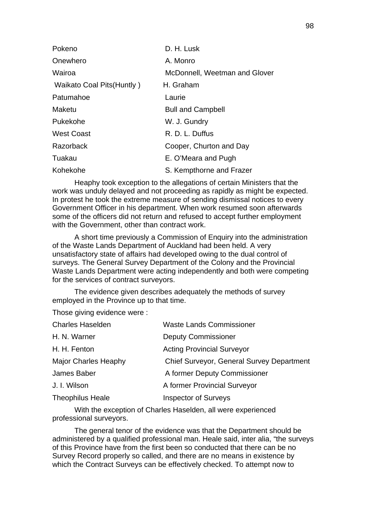| Pokeno                     | D. H. Lusk                    |
|----------------------------|-------------------------------|
| Onewhero                   | A. Monro                      |
| Wairoa                     | McDonnell, Weetman and Glover |
| Waikato Coal Pits (Huntly) | H. Graham                     |
| Patumahoe                  | Laurie                        |
| Maketu                     | <b>Bull and Campbell</b>      |
| Pukekohe                   | W. J. Gundry                  |
| <b>West Coast</b>          | R. D. L. Duffus               |
| Razorback                  | Cooper, Churton and Day       |
| Tuakau                     | E. O'Meara and Pugh           |
| Kohekohe                   | S. Kempthorne and Frazer      |

Heaphy took exception to the allegations of certain Ministers that the work was unduly delayed and not proceeding as rapidly as might be expected. In protest he took the extreme measure of sending dismissal notices to every Government Officer in his department. When work resumed soon afterwards some of the officers did not return and refused to accept further employment with the Government, other than contract work.

A short time previously a Commission of Enquiry into the administration of the Waste Lands Department of Auckland had been held. A very unsatisfactory state of affairs had developed owing to the dual control of surveys. The General Survey Department of the Colony and the Provincial Waste Lands Department were acting independently and both were competing for the services of contract surveyors.

The evidence given describes adequately the methods of survey employed in the Province up to that time.

Those giving evidence were :

| <b>Waste Lands Commissioner</b>                  |
|--------------------------------------------------|
| <b>Deputy Commissioner</b>                       |
| <b>Acting Provincial Surveyor</b>                |
| <b>Chief Surveyor, General Survey Department</b> |
| A former Deputy Commissioner                     |
| A former Provincial Surveyor                     |
| <b>Inspector of Surveys</b>                      |
|                                                  |

With the exception of Charles Haselden, all were experienced professional surveyors.

The general tenor of the evidence was that the Department should be administered by a qualified professional man. Heale said, inter alia, "the surveys of this Province have from the first been so conducted that there can be no Survey Record properly so called, and there are no means in existence by which the Contract Surveys can be effectively checked. To attempt now to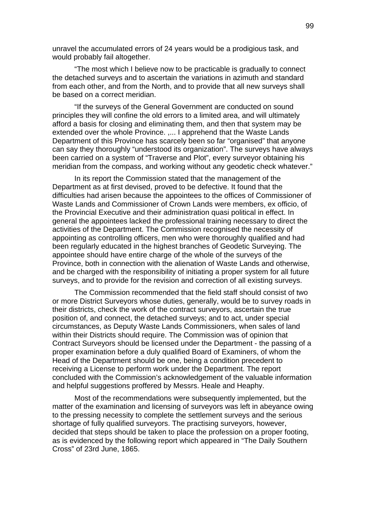unravel the accumulated errors of 24 years would be a prodigious task, and would probably fail altogether.

"The most which I believe now to be practicable is gradually to connect the detached surveys and to ascertain the variations in azimuth and standard from each other, and from the North, and to provide that all new surveys shall be based on a correct meridian.

"If the surveys of the General Government are conducted on sound principles they will confine the old errors to a limited area, and will ultimately afford a basis for closing and eliminating them, and then that system may be extended over the whole Province. ,... I apprehend that the Waste Lands Department of this Province has scarcely been so far "organised" that anyone can say they thoroughly "understood its organization". The surveys have always been carried on a system of "Traverse and Plot", every surveyor obtaining his meridian from the compass, and working without any geodetic check whatever."

In its report the Commission stated that the management of the Department as at first devised, proved to be defective. It found that the difficulties had arisen because the appointees to the offices of Commissioner of Waste Lands and Commissioner of Crown Lands were members, ex officio, of the Provincial Executive and their administration quasi political in effect. In general the appointees lacked the professional training necessary to direct the activities of the Department. The Commission recognised the necessity of appointing as controlling officers, men who were thoroughly qualified and had been regularly educated in the highest branches of Geodetic Surveying. The appointee should have entire charge of the whole of the surveys of the Province, both in connection with the alienation of Waste Lands and otherwise, and be charged with the responsibility of initiating a proper system for all future surveys, and to provide for the revision and correction of all existing surveys.

The Commission recommended that the field staff should consist of two or more District Surveyors whose duties, generally, would be to survey roads in their districts, check the work of the contract surveyors, ascertain the true position of, and connect, the detached surveys; and to act, under special circumstances, as Deputy Waste Lands Commissioners, when sales of land within their Districts should require. The Commission was of opinion that Contract Surveyors should be licensed under the Department - the passing of a proper examination before a duly qualified Board of Examiners, of whom the Head of the Department should be one, being a condition precedent to receiving a License to perform work under the Department. The report concluded with the Commission's acknowledgement of the valuable information and helpful suggestions proffered by Messrs. Heale and Heaphy.

Most of the recommendations were subsequently implemented, but the matter of the examination and licensing of surveyors was left in abeyance owing to the pressing necessity to complete the settlement surveys and the serious shortage of fully qualified surveyors. The practising surveyors, however, decided that steps should be taken to place the profession on a proper footing, as is evidenced by the following report which appeared in "The Daily Southern Cross" of 23rd June, 1865.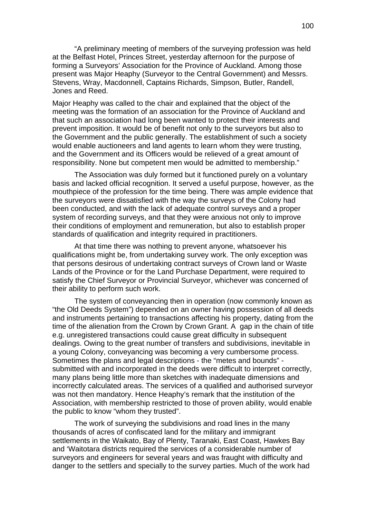"A preliminary meeting of members of the surveying profession was held at the Belfast Hotel, Princes Street, yesterday afternoon for the purpose of forming a Surveyors' Association for the Province of Auckland. Among those present was Major Heaphy (Surveyor to the Central Government) and Messrs. Stevens, Wray, Macdonnell, Captains Richards, Simpson, Butler, Randell, Jones and Reed.

Major Heaphy was called to the chair and explained that the object of the meeting was the formation of an association for the Province of Auckland and that such an association had long been wanted to protect their interests and prevent imposition. It would be of benefit not only to the surveyors but also to the Government and the public generally. The establishment of such a society would enable auctioneers and land agents to learn whom they were trusting, and the Government and its Officers would be relieved of a great amount of responsibility. None but competent men would be admitted to membership."

The Association was duly formed but it functioned purely on a voluntary basis and lacked official recognition. It served a useful purpose, however, as the mouthpiece of the profession for the time being. There was ample evidence that the surveyors were dissatisfied with the way the surveys of the Colony had been conducted, and with the lack of adequate control surveys and a proper system of recording surveys, and that they were anxious not only to improve their conditions of employment and remuneration, but also to establish proper standards of qualification and integrity required in practitioners.

At that time there was nothing to prevent anyone, whatsoever his qualifications might be, from undertaking survey work. The only exception was that persons desirous of undertaking contract surveys of Crown land or Waste Lands of the Province or for the Land Purchase Department, were required to satisfy the Chief Surveyor or Provincial Surveyor, whichever was concerned of their ability to perform such work.

The system of conveyancing then in operation (now commonly known as "the Old Deeds System") depended on an owner having possession of all deeds and instruments pertaining to transactions affecting his property, dating from the time of the alienation from the Crown by Crown Grant. A gap in the chain of title e.g. unregistered transactions could cause great difficulty in subsequent dealings. Owing to the great number of transfers and subdivisions, inevitable in a young Colony, conveyancing was becoming a very cumbersome process. Sometimes the plans and legal descriptions - the "metes and bounds" submitted with and incorporated in the deeds were difficult to interpret correctly, many plans being little more than sketches with inadequate dimensions and incorrectly calculated areas. The services of a qualified and authorised surveyor was not then mandatory. Hence Heaphy's remark that the institution of the Association, with membership restricted to those of proven ability, would enable the public to know "whom they trusted".

The work of surveying the subdivisions and road lines in the many thousands of acres of confiscated land for the military and immigrant settlements in the Waikato, Bay of Plenty, Taranaki, East Coast, Hawkes Bay and 'Waitotara districts required the services of a considerable number of surveyors and engineers for several years and was fraught with difficulty and danger to the settlers and specially to the survey parties. Much of the work had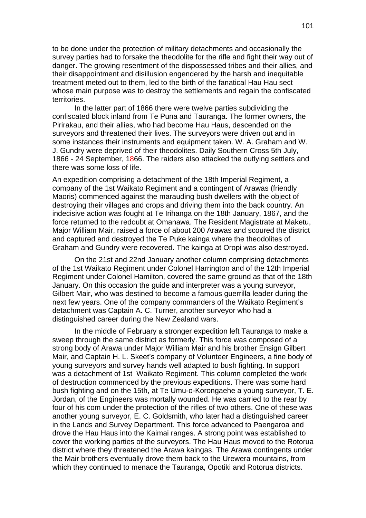to be done under the protection of military detachments and occasionally the survey parties had to forsake the theodolite for the rifle and fight their way out of danger. The growing resentment of the dispossessed tribes and their allies, and their disappointment and disillusion engendered by the harsh and inequitable treatment meted out to them, led to the birth of the fanatical Hau Hau sect whose main purpose was to destroy the settlements and regain the confiscated territories.

In the latter part of 1866 there were twelve parties subdividing the confiscated block inland from Te Puna and Tauranga. The former owners, the Pirirakau, and their allies, who had become Hau Haus, descended on the surveyors and threatened their lives. The surveyors were driven out and in some instances their instruments and equipment taken. W. A. Graham and W. J. Gundry were deprived of their theodolites. Daily Southern Cross 5th July, 1866 - 24 September, 1866. The raiders also attacked the outlying settlers and there was some loss of life.

An expedition comprising a detachment of the 18th Imperial Regiment, a company of the 1st Waikato Regiment and a contingent of Arawas (friendly Maoris) commenced against the marauding bush dwellers with the object of destroying their villages and crops and driving them into the back country. An indecisive action was fought at Te Irihanga on the 18th January, 1867, and the force returned to the redoubt at Omanawa. The Resident Magistrate at Maketu, Major William Mair, raised a force of about 200 Arawas and scoured the district and captured and destroyed the Te Puke kainga where the theodolites of Graham and Gundry were recovered. The kainga at Oropi was also destroyed.

On the 21st and 22nd January another column comprising detachments of the 1st Waikato Regiment under Colonel Harrington and of the 12th Imperial Regiment under Colonel Hamilton, covered the same ground as that of the 18th January. On this occasion the guide and interpreter was a young surveyor, Gilbert Mair, who was destined to become a famous guerrilla leader during the next few years. One of the company commanders of the Waikato Regiment's detachment was Captain A. C. Turner, another surveyor who had a distinguished career during the New Zealand wars.

In the middle of February a stronger expedition left Tauranga to make a sweep through the same district as formerly. This force was composed of a strong body of Arawa under Major William Mair and his brother Ensign Gilbert Mair, and Captain H. L. Skeet's company of Volunteer Engineers, a fine body of young surveyors and survey hands well adapted to bush fighting. In support was a detachment of 1st Waikato Regiment. This column completed the work of destruction commenced by the previous expeditions. There was some hard bush fighting and on the 15th, at Te Umu-o-Korongaehe a young surveyor, T. E. Jordan, of the Engineers was mortally wounded. He was carried to the rear by four of his com under the protection of the rifles of two others. One of these was another young surveyor, E. C. Goldsmith, who later had a distinguished career in the Lands and Survey Department. This force advanced to Paengaroa and drove the Hau Haus into the Kaimai ranges. A strong point was established to cover the working parties of the surveyors. The Hau Haus moved to the Rotorua district where they threatened the Arawa kaingas. The Arawa contingents under the Mair brothers eventually drove them back to the Urewera mountains, from which they continued to menace the Tauranga, Opotiki and Rotorua districts.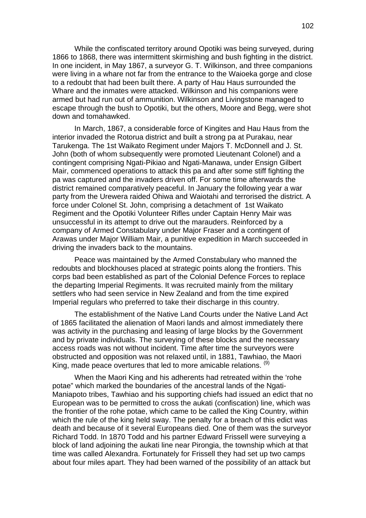While the confiscated territory around Opotiki was being surveyed, during 1866 to 1868, there was intermittent skirmishing and bush fighting in the district. In one incident, in May 1867, a surveyor G. T. Wilkinson, and three companions were living in a whare not far from the entrance to the Waioeka gorge and close to a redoubt that had been built there. A party of Hau Haus surrounded the Whare and the inmates were attacked. Wilkinson and his companions were armed but had run out of ammunition. Wilkinson and Livingstone managed to escape through the bush to Opotiki, but the others, Moore and Begg, were shot down and tomahawked.

In March, 1867, a considerable force of Kingites and Hau Haus from the interior invaded the Rotorua district and built a strong pa at Purakau, near Tarukenga. The 1st Waikato Regiment under Majors T. McDonnell and J. St. John (both of whom subsequently were promoted Lieutenant Colonel) and a contingent comprising Ngati-Pikiao and Ngati-Manawa, under Ensign Gilbert Mair, commenced operations to attack this pa and after some stiff fighting the pa was captured and the invaders driven off. For some time afterwards the district remained comparatively peaceful. In January the following year a war party from the Urewera raided Ohiwa and Waiotahi and terrorised the district. A force under Colonel St. John, comprising a detachment of 1st Waikato Regiment and the Opotiki Volunteer Rifles under Captain Henry Mair was unsuccessful in its attempt to drive out the marauders. Reinforced by a company of Armed Constabulary under Major Fraser and a contingent of Arawas under Major William Mair, a punitive expedition in March succeeded in driving the invaders back to the mountains.

Peace was maintained by the Armed Constabulary who manned the redoubts and blockhouses placed at strategic points along the frontiers. This corps bad been established as part of the Colonial Defence Forces to replace the departing Imperial Regiments. It was recruited mainly from the military settlers who had seen service in New Zealand and from the time expired Imperial regulars who preferred to take their discharge in this country.

The establishment of the Native Land Courts under the Native Land Act of 1865 facilitated the alienation of Maori lands and almost immediately there was activity in the purchasing and leasing of large blocks by the Government and by private individuals. The surveying of these blocks and the necessary access roads was not without incident. Time after time the surveyors were obstructed and opposition was not relaxed until, in 1881, Tawhiao, the Maori King, made peace overtures that led to more amicable relations. <sup>(9)</sup>

When the Maori King and his adherents had retreated within the 'rohe potae" which marked the boundaries of the ancestral lands of the Ngati-Maniapoto tribes, Tawhiao and his supporting chiefs had issued an edict that no European was to be permitted to cross the aukati (confiscation) line, which was the frontier of the rohe potae, which came to be called the King Country, within which the rule of the king held sway. The penalty for a breach of this edict was death and because of it several Europeans died. One of them was the surveyor Richard Todd. In 1870 Todd and his partner Edward Frissell were surveying a block of land adjoining the aukati line near Pirongia, the township which at that time was called Alexandra. Fortunately for Frissell they had set up two camps about four miles apart. They had been warned of the possibility of an attack but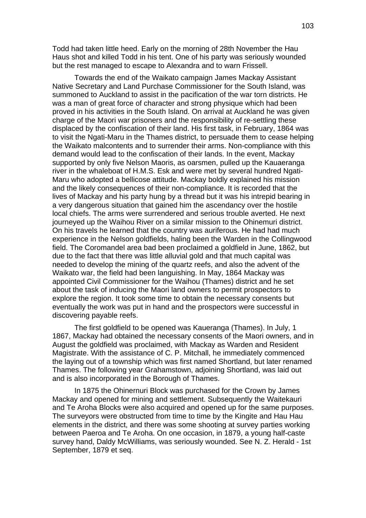Todd had taken little heed. Early on the morning of 28th November the Hau Haus shot and killed Todd in his tent. One of his party was seriously wounded but the rest managed to escape to Alexandra and to warn Frissell.

Towards the end of the Waikato campaign James Mackay Assistant Native Secretary and Land Purchase Commissioner for the South Island, was summoned to Auckland to assist in the pacification of the war torn districts. He was a man of great force of character and strong physique which had been proved in his activities in the South Island. On arrival at Auckland he was given charge of the Maori war prisoners and the responsibility of re-settling these displaced by the confiscation of their land. His first task, in February, 1864 was to visit the Ngati-Maru in the Thames district, to persuade them to cease helping the Waikato malcontents and to surrender their arms. Non-compliance with this demand would lead to the confiscation of their lands. In the event, Mackay supported by only five Nelson Maoris, as oarsmen, pulled up the Kauaeranga river in the whaleboat of H.M.S. Esk and were met by several hundred Ngati-Maru who adopted a bellicose attitude. Mackay boldly explained his mission and the likely consequences of their non-compliance. It is recorded that the lives of Mackay and his party hung by a thread but it was his intrepid bearing in a very dangerous situation that gained him the ascendancy over the hostile local chiefs. The arms were surrendered and serious trouble averted. He next journeyed up the Waihou River on a similar mission to the Ohinemuri district. On his travels he learned that the country was auriferous. He had had much experience in the Nelson goldfields, haling been the Warden in the Collingwood field. The Coromandel area bad been proclaimed a goldfield in June, 1862, but due to the fact that there was little alluvial gold and that much capital was needed to develop the mining of the quartz reefs, and also the advent of the Waikato war, the field had been languishing. In May, 1864 Mackay was appointed Civil Commissioner for the Waihou (Thames) district and he set about the task of inducing the Maori land owners to permit prospectors to explore the region. It took some time to obtain the necessary consents but eventually the work was put in hand and the prospectors were successful in discovering payable reefs.

The first goldfield to be opened was Kaueranga (Thames). In July, 1 1867, Mackay had obtained the necessary consents of the Maori owners, and in August the goldfield was proclaimed, with Mackay as Warden and Resident Magistrate. With the assistance of C. P. Mitchall, he immediately commenced the laying out of a township which was first named Shortland, but later renamed Thames. The following year Grahamstown, adjoining Shortland, was laid out and is also incorporated in the Borough of Thames.

In 1875 the Ohinernuri Block was purchased for the Crown by James Mackay and opened for mining and settlement. Subsequently the Waitekauri and Te Aroha Blocks were also acquired and opened up for the same purposes. The surveyors were obstructed from time to time by the Kingite and Hau Hau elements in the district, and there was some shooting at survey parties working between Paeroa and Te Aroha. On one occasion, in 1879, a young half-caste survey hand, Daldy McWilliams, was seriously wounded. See N. Z. Herald - 1st September, 1879 et seq.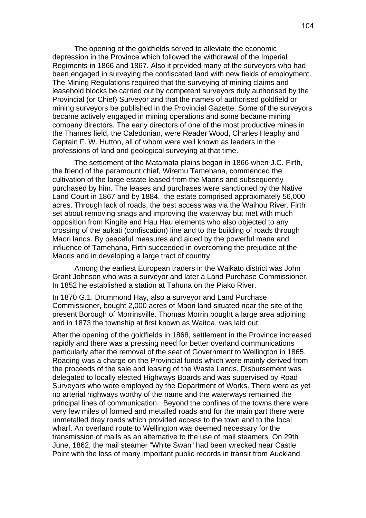The opening of the goldfields served to alleviate the economic depression in the Province which followed the withdrawal of the Imperial Regiments in 1866 and 1867. Also it provided many of the surveyors who had been engaged in surveying the confiscated land with new fields of employment. The Mining Regulations required that the surveying of mining claims and leasehold blocks be carried out by competent surveyors duly authorised by the Provincial (or Chief) Surveyor and that the names of authorised goldfield or mining surveyors be published in the Provincial Gazette. Some of the surveyors became actively engaged in mining operations and some became mining company directors. The early directors of one of the most productive mines in the Thames field, the Caledonian, were Reader Wood, Charles Heaphy and Captain F. W. Hutton, all of whom were well known as leaders in the professions of land and geological surveying at that time.

The settlement of the Matamata plains began in 1866 when J.C. Firth, the friend of the paramount chief, Wiremu Tamehana, commenced the cultivation of the large estate leased from the Maoris and subsequently purchased by him. The leases and purchases were sanctioned by the Native Land Court in 1867 and by 1884, the estate comprised approximately 56,000 acres. Through lack of roads, the best access was via the Waihou River. Firth set about removing snags and improving the waterway but met with much opposition from Kingite and Hau Hau elements who also objected to any crossing of the aukati (confiscation) line and to the building of roads through Maori lands. By peaceful measures and aided by the powerful mana and influence of Tamehana, Firth succeeded in overcoming the prejudice of the Maoris and in developing a large tract of country.

Among the earliest European traders in the Waikato district was John Grant Johnson who was a surveyor and later a Land Purchase Commissioner. In 1852 he established a station at Tahuna on the Piako River.

In 1870 G.1. Drummond Hay, also a surveyor and Land Purchase Commissioner, bought 2,000 acres of Maori land situated near the site of the present Borough of Morrinsville. Thomas Morrin bought a large area adjoining and in 1873 the township at first known as Waitoa, was laid out.

After the opening of the goldfields in 1868, settlement in the Province increased rapidly and there was a pressing need for better overland communications particularly after the removal of the seat of Government to Wellington in 1865. Roading was a charge on the Provincial funds which were mainly derived from the proceeds of the sale and leasing of the Waste Lands. Disbursement was delegated to locally elected Highways Boards and was supervised by Road Surveyors who were employed by the Department of Works. There were as yet no arterial highways worthy of the name and the waterways remained the principal lines of communication. Beyond the confines of the towns there were very few miles of formed and metalled roads and for the main part there were unmetalled dray roads which provided access to the town and to the local wharf. An overland route to Wellington was deemed necessary for the transmission of mails as an alternative to the use of mail steamers. On 29th June, 1862, the mail steamer "White Swan" had been wrecked near Castle Point with the loss of many important public records in transit from Auckland.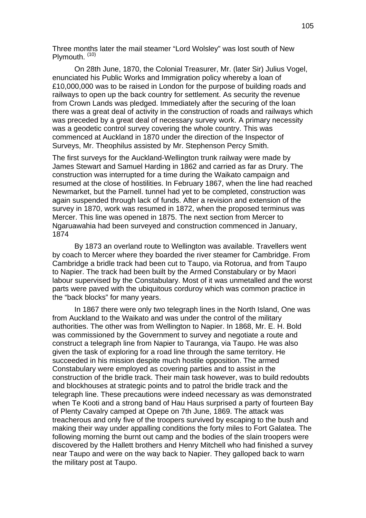Three months later the mail steamer "Lord Wolsley" was lost south of New Plymouth.<sup>(10)</sup>

On 28th June, 1870, the Colonial Treasurer, Mr. (later Sir) Julius Vogel, enunciated his Public Works and Immigration policy whereby a loan of £10,000,000 was to be raised in London for the purpose of building roads and railways to open up the back country for settlement. As security the revenue from Crown Lands was pledged. Immediately after the securing of the loan there was a great deal of activity in the construction of roads and railways which was preceded by a great deal of necessary survey work. A primary necessity was a geodetic control survey covering the whole country. This was commenced at Auckland in 1870 under the direction of the Inspector of Surveys, Mr. Theophilus assisted by Mr. Stephenson Percy Smith.

The first surveys for the Auckland-Wellington trunk railway were made by James Stewart and Samuel Harding in 1862 and carried as far as Drury. The construction was interrupted for a time during the Waikato campaign and resumed at the close of hostilities. In February 1867, when the line had reached Newmarket, but the Parnell. tunnel had yet to be completed, construction was again suspended through lack of funds. After a revision and extension of the survey in 1870, work was resumed in 1872, when the proposed terminus was Mercer. This line was opened in 1875. The next section from Mercer to Ngaruawahia had been surveyed and construction commenced in January, 1874

By 1873 an overland route to Wellington was available. Travellers went by coach to Mercer where they boarded the river steamer for Cambridge. From Cambridge a bridle track had been cut to Taupo, via Rotorua, and from Taupo to Napier. The track had been built by the Armed Constabulary or by Maori labour supervised by the Constabulary. Most of it was unmetalled and the worst parts were paved with the ubiquitous corduroy which was common practice in the "back blocks" for many years.

In 1867 there were only two telegraph lines in the North Island, One was from Auckland to the Waikato and was under the control of the military authorities. The other was from Wellington to Napier. In 1868, Mr. E. H. Bold was commissioned by the Government to survey and negotiate a route and construct a telegraph line from Napier to Tauranga, via Taupo. He was also given the task of exploring for a road line through the same territory. He succeeded in his mission despite much hostile opposition. The armed Constabulary were employed as covering parties and to assist in the construction of the bridle track. Their main task however, was to build redoubts and blockhouses at strategic points and to patrol the bridle track and the telegraph line. These precautions were indeed necessary as was demonstrated when Te Kooti and a strong band of Hau Haus surprised a party of fourteen Bay of Plenty Cavalry camped at Opepe on 7th June, 1869. The attack was treacherous and only five of the troopers survived by escaping to the bush and making their way under appalling conditions the forty miles to Fort Galatea. The following morning the burnt out camp and the bodies of the slain troopers were discovered by the Hallett brothers and Henry Mitchell who had finished a survey near Taupo and were on the way back to Napier. They galloped back to warn the military post at Taupo.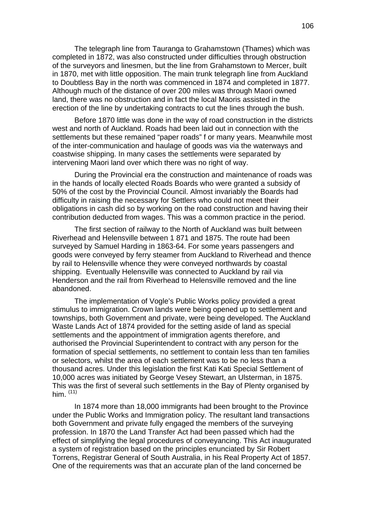The telegraph line from Tauranga to Grahamstown (Thames) which was completed in 1872, was also constructed under difficulties through obstruction of the surveyors and linesmen, but the line from Grahamstown to Mercer, built in 1870, met with little opposition. The main trunk telegraph line from Auckland to Doubtless Bay in the north was commenced in 1874 and completed in 1877. Although much of the distance of over 200 miles was through Maori owned land, there was no obstruction and in fact the local Maoris assisted in the erection of the line by undertaking contracts to cut the lines through the bush.

Before 1870 little was done in the way of road construction in the districts west and north of Auckland. Roads had been laid out in connection with the settlements but these remained "paper roads" f or many years. Meanwhile most of the inter-communication and haulage of goods was via the waterways and coastwise shipping. In many cases the settlements were separated by intervening Maori land over which there was no right of way.

During the Provincial era the construction and maintenance of roads was in the hands of locally elected Roads Boards who were granted a subsidy of 50% of the cost by the Provincial Council. Almost invariably the Boards had difficulty in raising the necessary for Settlers who could not meet their obligations in cash did so by working on the road construction and having their contribution deducted from wages. This was a common practice in the period.

The first section of railway to the North of Auckland was built between Riverhead and Helensville between 1 871 and 1875. The route had been surveyed by Samuel Harding in 1863-64. For some years passengers and goods were conveyed by ferry steamer from Auckland to Riverhead and thence by rail to Helensville whence they were conveyed northwards by coastal shipping. Eventually Helensville was connected to Auckland by rail via Henderson and the rail from Riverhead to Helensville removed and the line abandoned.

The implementation of Vogle's Public Works policy provided a great stimulus to immigration. Crown lands were being opened up to settlement and townships, both Government and private, were being developed. The Auckland Waste Lands Act of 1874 provided for the setting aside of land as special settlements and the appointment of immigration agents therefore, and authorised the Provincial Superintendent to contract with any person for the formation of special settlements, no settlement to contain less than ten families or selectors, whilst the area of each settlement was to be no less than a thousand acres. Under this legislation the first Kati Kati Special Settlement of 10,000 acres was initiated by George Vesey Stewart, an Ulsterman, in 1875. This was the first of several such settlements in the Bay of Plenty organised by him.  $(11)$ 

In 1874 more than 18,000 immigrants had been brought to the Province under the Public Works and Immigration policy. The resultant land transactions both Government and private fully engaged the members of the surveying profession. In 1870 the Land Transfer Act had been passed which had the effect of simplifying the legal procedures of conveyancing. This Act inaugurated a system of registration based on the principles enunciated by Sir Robert Torrens, Registrar General of South Australia, in his Real Property Act of 1857. One of the requirements was that an accurate plan of the land concerned be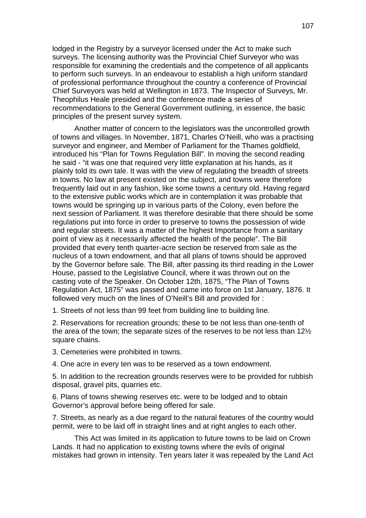lodged in the Registry by a surveyor licensed under the Act to make such surveys. The licensing authority was the Provincial Chief Surveyor who was responsible for examining the credentials and the competence of all applicants to perform such surveys. In an endeavour to establish a high uniform standard of professional performance throughout the country a conference of Provincial Chief Surveyors was held at Wellington in 1873. The Inspector of Surveys, Mr. Theophilus Heale presided and the conference made a series of recommendations to the General Government outlining, in essence, the basic principles of the present survey system.

Another matter of concern to the legislators was the uncontrolled growth of towns and villages. In November, 1871, Charles O'Neill, who was a practising surveyor and engineer, and Member of Parliament for the Thames goldfield, introduced his "Plan for Towns Regulation Bill". In moving the second reading he said - "it was one that required very little explanation at his hands, as it plainly told its own tale. It was with the view of regulating the breadth of streets in towns. No law at present existed on the subject, and towns were therefore frequently laid out in any fashion, like some towns a century old. Having regard to the extensive public works which are in contemplation it was probable that towns would be springing up in various parts of the Colony, even before the next session of Parliament. It was therefore desirable that there should be some regulations put into force in order to preserve to towns the possession of wide and regular streets. It was a matter of the highest Importance from a sanitary point of view as it necessarily affected the health of the people". The Bill provided that every tenth quarter-acre section be reserved from sale as the nucleus of a town endowment, and that all plans of towns should be approved by the Governor before sale. The Bill, after passing its third reading in the Lower House, passed to the Legislative Council, where it was thrown out on the casting vote of the Speaker. On October 12th, 1875, "The Plan of Towns Regulation Act, 1875" was passed and came into force on 1st January, 1876. It followed very much on the lines of O'Neill's Bill and provided for :

1. Streets of not less than 99 feet from building line to building line.

2. Reservations for recreation grounds; these to be not less than one-tenth of the area of the town; the separate sizes of the reserves to be not less than 12½ square chains.

3. Cemeteries were prohibited in towns.

4. One acre in every ten was to be reserved as a town endowment.

5. In addition to the recreation grounds reserves were to be provided for rubbish disposal, gravel pits, quarries etc.

6. Plans of towns shewing reserves etc. were to be lodged and to obtain Governor's approval before being offered for sale.

7. Streets, as nearly as a due regard to the natural features of the country would permit, were to be laid off in straight lines and at right angles to each other.

This Act was limited in its application to future towns to be laid on Crown Lands. It had no application to existing towns where the evils of original mistakes had grown in intensity. Ten years later it was repealed by the Land Act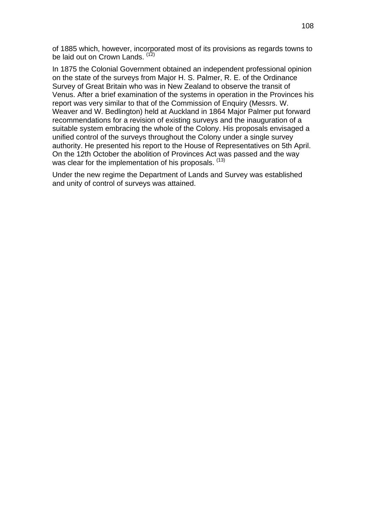of 1885 which, however, incorporated most of its provisions as regards towns to be laid out on Crown Lands. (12)

In 1875 the Colonial Government obtained an independent professional opinion on the state of the surveys from Major H. S. Palmer, R. E. of the Ordinance Survey of Great Britain who was in New Zealand to observe the transit of Venus. After a brief examination of the systems in operation in the Provinces his report was very similar to that of the Commission of Enquiry (Messrs. W. Weaver and W. Bedlington) held at Auckland in 1864 Major Palmer put forward recommendations for a revision of existing surveys and the inauguration of a suitable system embracing the whole of the Colony. His proposals envisaged a unified control of the surveys throughout the Colony under a single survey authority. He presented his report to the House of Representatives on 5th April. On the 12th October the abolition of Provinces Act was passed and the way was clear for the implementation of his proposals. (13)

Under the new regime the Department of Lands and Survey was established and unity of control of surveys was attained.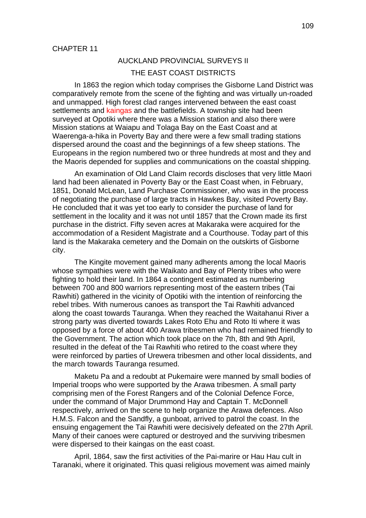# AUCKLAND PROVINCIAL SURVEYS II

## THE EAST COAST DISTRICTS

In 1863 the region which today comprises the Gisborne Land District was comparatively remote from the scene of the fighting and was virtually un-roaded and unmapped. High forest clad ranges intervened between the east coast settlements and kaingas and the battlefields. A township site had been surveyed at Opotiki where there was a Mission station and also there were Mission stations at Waiapu and Tolaga Bay on the East Coast and at Waerenga-a-hika in Poverty Bay and there were a few small trading stations dispersed around the coast and the beginnings of a few sheep stations. The Europeans in the region numbered two or three hundreds at most and they and the Maoris depended for supplies and communications on the coastal shipping.

An examination of Old Land Claim records discloses that very little Maori land had been alienated in Poverty Bay or the East Coast when, in February, 1851, Donald McLean, Land Purchase Commissioner, who was in the process of negotiating the purchase of large tracts in Hawkes Bay, visited Poverty Bay. He concluded that it was yet too early to consider the purchase of land for settlement in the locality and it was not until 1857 that the Crown made its first purchase in the district. Fifty seven acres at Makaraka were acquired for the accommodation of a Resident Magistrate and a Courthouse. Today part of this land is the Makaraka cemetery and the Domain on the outskirts of Gisborne city.

The Kingite movement gained many adherents among the local Maoris whose sympathies were with the Waikato and Bay of Plenty tribes who were fighting to hold their land. In 1864 a contingent estimated as numbering between 700 and 800 warriors representing most of the eastern tribes (Tai Rawhiti) gathered in the vicinity of Opotiki with the intention of reinforcing the rebel tribes. With numerous canoes as transport the Tai Rawhiti advanced along the coast towards Tauranga. When they reached the Waitahanui River a strong party was diverted towards Lakes Roto Ehu and Roto Iti where it was opposed by a force of about 400 Arawa tribesmen who had remained friendly to the Government. The action which took place on the 7th, 8th and 9th April, resulted in the defeat of the Tai Rawhiti who retired to the coast where they were reinforced by parties of Urewera tribesmen and other local dissidents, and the march towards Tauranga resumed.

Maketu Pa and a redoubt at Pukemaire were manned by small bodies of Imperial troops who were supported by the Arawa tribesmen. A small party comprising men of the Forest Rangers and of the Colonial Defence Force, under the command of Major Drummond Hay and Captain T. McDonnell respectively, arrived on the scene to help organize the Arawa defences. Also H.M.S. Falcon and the Sandfly, a gunboat, arrived to patrol the coast. In the ensuing engagement the Tai Rawhiti were decisively defeated on the 27th April. Many of their canoes were captured or destroyed and the surviving tribesmen were dispersed to their kaingas on the east coast.

April, 1864, saw the first activities of the Pai-marire or Hau Hau cult in Taranaki, where it originated. This quasi religious movement was aimed mainly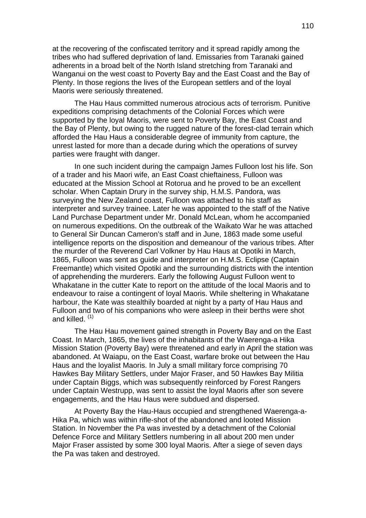at the recovering of the confiscated territory and it spread rapidly among the tribes who had suffered deprivation of land. Emissaries from Taranaki gained adherents in a broad belt of the North Island stretching from Taranaki and Wanganui on the west coast to Poverty Bay and the East Coast and the Bay of Plenty. In those regions the lives of the European settlers and of the loyal Maoris were seriously threatened.

The Hau Haus committed numerous atrocious acts of terrorism. Punitive expeditions comprising detachments of the Colonial Forces which were supported by the loyal Maoris, were sent to Poverty Bay, the East Coast and the Bay of Plenty, but owing to the rugged nature of the forest-clad terrain which afforded the Hau Haus a considerable degree of immunity from capture, the unrest lasted for more than a decade during which the operations of survey parties were fraught with danger.

In one such incident during the campaign James Fulloon lost his life. Son of a trader and his Maori wife, an East Coast chieftainess, Fulloon was educated at the Mission School at Rotorua and he proved to be an excellent scholar. When Captain Drury in the survey ship, H.M.S. Pandora, was surveying the New Zealand coast, Fulloon was attached to his staff as interpreter and survey trainee. Later he was appointed to the staff of the Native Land Purchase Department under Mr. Donald McLean, whom he accompanied on numerous expeditions. On the outbreak of the Waikato War he was attached to General Sir Duncan Cameron's staff and in June, 1863 made some useful intelligence reports on the disposition and demeanour of the various tribes. After the murder of the Reverend Carl Volkner by Hau Haus at Opotiki in March, 1865, Fulloon was sent as guide and interpreter on H.M.S. Eclipse (Captain Freemantle) which visited Opotiki and the surrounding districts with the intention of apprehending the murderers. Early the following August Fulloon went to Whakatane in the cutter Kate to report on the attitude of the local Maoris and to endeavour to raise a contingent of loyal Maoris. While sheltering in Whakatane harbour, the Kate was stealthily boarded at night by a party of Hau Haus and Fulloon and two of his companions who were asleep in their berths were shot and killed.  $(1)$ 

The Hau Hau movement gained strength in Poverty Bay and on the East Coast. In March, 1865, the lives of the inhabitants of the Waerenga-a Hika Mission Station (Poverty Bay) were threatened and early in April the station was abandoned. At Waiapu, on the East Coast, warfare broke out between the Hau Haus and the loyalist Maoris. In July a small military force comprising 70 Hawkes Bay Military Settlers, under Major Fraser, and 50 Hawkes Bay Militia under Captain Biggs, which was subsequently reinforced by Forest Rangers under Captain Westrupp, was sent to assist the loyal Maoris after son severe engagements, and the Hau Haus were subdued and dispersed.

At Poverty Bay the Hau-Haus occupied and strengthened Waerenga-a-Hika Pa, which was within rifle-shot of the abandoned and looted Mission Station. In November the Pa was invested by a detachment of the Colonial Defence Force and Military Settlers numbering in all about 200 men under Major Fraser assisted by some 300 loyal Maoris. After a siege of seven days the Pa was taken and destroyed.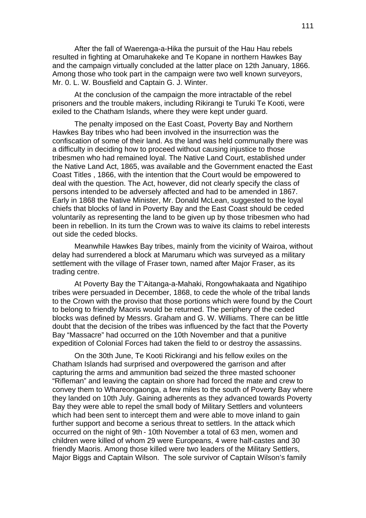After the fall of Waerenga-a-Hika the pursuit of the Hau Hau rebels resulted in fighting at Omaruhakeke and Te Kopane in northern Hawkes Bay and the campaign virtually concluded at the latter place on 12th January, 1866. Among those who took part in the campaign were two well known surveyors, Mr. 0. L. W. Bousfield and Captain G. J. Winter.

At the conclusion of the campaign the more intractable of the rebel prisoners and the trouble makers, including Rikirangi te Turuki Te Kooti, were exiled to the Chatham Islands, where they were kept under guard.

The penalty imposed on the East Coast, Poverty Bay and Northern Hawkes Bay tribes who had been involved in the insurrection was the confiscation of some of their land. As the land was held communally there was a difficulty in deciding how to proceed without causing injustice to those tribesmen who had remained loyal. The Native Land Court, established under the Native Land Act, 1865, was available and the Government enacted the East Coast Titles , 1866, with the intention that the Court would be empowered to deal with the question. The Act, however, did not clearly specify the class of persons intended to be adversely affected and had to be amended in 1867. Early in 1868 the Native Minister, Mr. Donald McLean, suggested to the loyal chiefs that blocks of land in Poverty Bay and the East Coast should be ceded voluntarily as representing the land to be given up by those tribesmen who had been in rebellion. In its turn the Crown was to waive its claims to rebel interests out side the ceded blocks.

Meanwhile Hawkes Bay tribes, mainly from the vicinity of Wairoa, without delay had surrendered a block at Marumaru which was surveyed as a military settlement with the village of Fraser town, named after Major Fraser, as its trading centre.

At Poverty Bay the T'Aitanga-a-Mahaki, Rongowhakaata and Ngatihipo tribes were persuaded in December, 1868, to cede the whole of the tribal lands to the Crown with the proviso that those portions which were found by the Court to belong to friendly Maoris would be returned. The periphery of the ceded blocks was defined by Messrs. Graham and G. W. Williams. There can be little doubt that the decision of the tribes was influenced by the fact that the Poverty Bay "Massacre" had occurred on the 10th November and that a punitive expedition of Colonial Forces had taken the field to or destroy the assassins.

On the 30th June, Te Kooti Rickirangi and his fellow exiles on the Chatham Islands had surprised and overpowered the garrison and after capturing the arms and ammunition bad seized the three masted schooner "Rifleman" and leaving the captain on shore had forced the mate and crew to convey them to Whareongaonga, a few miles to the south of Poverty Bay where they landed on 10th July. Gaining adherents as they advanced towards Poverty Bay they were able to repel the small body of Military Settlers and volunteers which had been sent to intercept them and were able to move inland to gain further support and become a serious threat to settlers. In the attack which occurred on the night of 9th - 10th November a total of 63 men, women and children were killed of whom 29 were Europeans, 4 were half-castes and 30 friendly Maoris. Among those killed were two leaders of the Military Settlers, Major Biggs and Captain Wilson. The sole survivor of Captain Wilson's family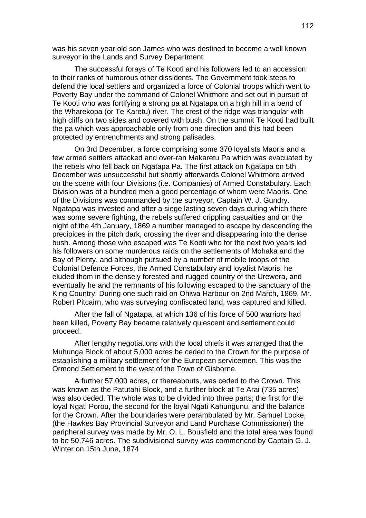was his seven year old son James who was destined to become a well known surveyor in the Lands and Survey Department.

The successful forays of Te Kooti and his followers led to an accession to their ranks of numerous other dissidents. The Government took steps to defend the local settlers and organized a force of Colonial troops which went to Poverty Bay under the command of Colonel Whitmore and set out in pursuit of Te Kooti who was fortifying a strong pa at Ngatapa on a high hill in a bend of the Wharekopa (or Te Karetu) river. The crest of the ridge was triangular with high cliffs on two sides and covered with bush. On the summit Te Kooti had built the pa which was approachable only from one direction and this had been protected by entrenchments and strong palisades.

On 3rd December, a force comprising some 370 loyalists Maoris and a few armed settlers attacked and over-ran Makaretu Pa which was evacuated by the rebels who fell back on Ngatapa Pa. The first attack on Ngatapa on 5th December was unsuccessful but shortly afterwards Colonel Whitmore arrived on the scene with four Divisions (i.e. Companies) of Armed Constabulary. Each Division was of a hundred men a good percentage of whom were Maoris. One of the Divisions was commanded by the surveyor, Captain W. J. Gundry. Ngatapa was invested and after a siege lasting seven days during which there was some severe fighting, the rebels suffered crippling casualties and on the night of the 4th January, 1869 a number managed to escape by descending the precipices in the pitch dark, crossing the river and disappearing into the dense bush. Among those who escaped was Te Kooti who for the next two years led his followers on some murderous raids on the settlements of Mohaka and the Bay of Plenty, and although pursued by a number of mobile troops of the Colonial Defence Forces, the Armed Constabulary and loyalist Maoris, he eluded them in the densely forested and rugged country of the Urewera, and eventually he and the remnants of his following escaped to the sanctuary of the King Country. During one such raid on Ohiwa Harbour on 2nd March, 1869, Mr. Robert Pitcairn, who was surveying confiscated land, was captured and killed.

After the fall of Ngatapa, at which 136 of his force of 500 warriors had been killed, Poverty Bay became relatively quiescent and settlement could proceed.

After lengthy negotiations with the local chiefs it was arranged that the Muhunga Block of about 5,000 acres be ceded to the Crown for the purpose of establishing a military settlement for the European servicemen. This was the Ormond Settlement to the west of the Town of Gisborne.

A further 57,000 acres, or thereabouts, was ceded to the Crown. This was known as the Patutahi Block, and a further block at Te Arai (735 acres) was also ceded. The whole was to be divided into three parts; the first for the loyal Ngati Porou, the second for the loyal Ngati Kahungunu, and the balance for the Crown. After the boundaries were perambulated by Mr. Samuel Locke, (the Hawkes Bay Provincial Surveyor and Land Purchase Commissioner) the peripheral survey was made by Mr. O. L. Bousfield and the total area was found to be 50,746 acres. The subdivisional survey was commenced by Captain G. J. Winter on 15th June, 1874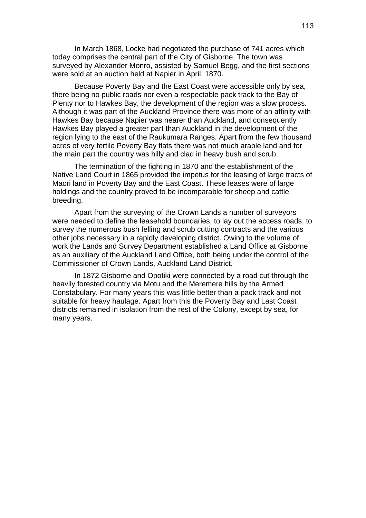In March 1868, Locke had negotiated the purchase of 741 acres which today comprises the central part of the City of Gisborne. The town was surveyed by Alexander Monro, assisted by Samuel Begg, and the first sections were sold at an auction held at Napier in April, 1870.

Because Poverty Bay and the East Coast were accessible only by sea, there being no public roads nor even a respectable pack track to the Bay of Plenty nor to Hawkes Bay, the development of the region was a slow process. Although it was part of the Auckland Province there was more of an affinity with Hawkes Bay because Napier was nearer than Auckland, and consequently Hawkes Bay played a greater part than Auckland in the development of the region lying to the east of the Raukumara Ranges. Apart from the few thousand acres of very fertile Poverty Bay flats there was not much arable land and for the main part the country was hilly and clad in heavy bush and scrub.

The termination of the fighting in 1870 and the establishment of the Native Land Court in 1865 provided the impetus for the leasing of large tracts of Maori land in Poverty Bay and the East Coast. These leases were of large holdings and the country proved to be incomparable for sheep and cattle breeding.

Apart from the surveying of the Crown Lands a number of surveyors were needed to define the leasehold boundaries, to lay out the access roads, to survey the numerous bush felling and scrub cutting contracts and the various other jobs necessary in a rapidly developing district. Owing to the volume of work the Lands and Survey Department established a Land Office at Gisborne as an auxiliary of the Auckland Land Office, both being under the control of the Commissioner of Crown Lands, Auckland Land District.

In 1872 Gisborne and Opotiki were connected by a road cut through the heavily forested country via Motu and the Meremere hills by the Armed Constabulary. For many years this was little better than a pack track and not suitable for heavy haulage. Apart from this the Poverty Bay and Last Coast districts remained in isolation from the rest of the Colony, except by sea, for many years.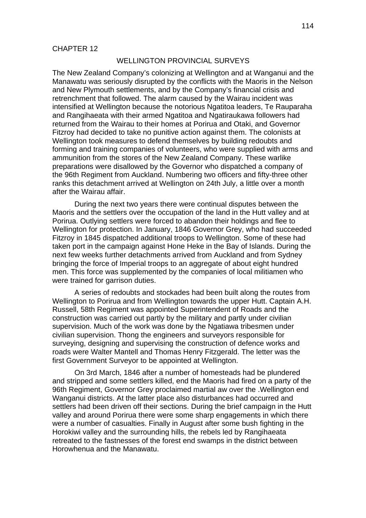### WELLINGTON PROVINCIAL SURVEYS

The New Zealand Company's colonizing at Wellington and at Wanganui and the Manawatu was seriously disrupted by the conflicts with the Maoris in the Nelson and New Plymouth settlements, and by the Company's financial crisis and retrenchment that followed. The alarm caused by the Wairau incident was intensified at Wellington because the notorious Ngatitoa leaders, Te Rauparaha and Rangihaeata with their armed Ngatitoa and Ngatiraukawa followers had returned from the Wairau to their homes at Porirua and Otaki, and Governor Fitzroy had decided to take no punitive action against them. The colonists at Wellington took measures to defend themselves by building redoubts and forming and training companies of volunteers, who were supplied with arms and ammunition from the stores of the New Zealand Company. These warlike preparations were disallowed by the Governor who dispatched a company of the 96th Regiment from Auckland. Numbering two officers and fifty-three other ranks this detachment arrived at Wellington on 24th July, a little over a month after the Wairau affair.

During the next two years there were continual disputes between the Maoris and the settlers over the occupation of the land in the Hutt valley and at Porirua. Outlying settlers were forced to abandon their holdings and flee to Wellington for protection. In January, 1846 Governor Grey, who had succeeded Fitzroy in 1845 dispatched additional troops to Wellington. Some of these had taken port in the campaign against Hone Heke in the Bay of Islands. During the next few weeks further detachments arrived from Auckland and from Sydney bringing the force of Imperial troops to an aggregate of about eight hundred men. This force was supplemented by the companies of local militiamen who were trained for garrison duties.

A series of redoubts and stockades had been built along the routes from Wellington to Porirua and from Wellington towards the upper Hutt. Captain A.H. Russell, 58th Regiment was appointed Superintendent of Roads and the construction was carried out partly by the military and partly under civilian supervision. Much of the work was done by the Ngatiawa tribesmen under civilian supervision. Thong the engineers and surveyors responsible for surveying, designing and supervising the construction of defence works and roads were Walter Mantell and Thomas Henry Fitzgerald. The letter was the first Government Surveyor to be appointed at Wellington.

On 3rd March, 1846 after a number of homesteads had be plundered and stripped and some settlers killed, end the Maoris had fired on a party of the 96th Regiment, Governor Grey proclaimed martial aw over the .Wellington end Wanganui districts. At the latter place also disturbances had occurred and settlers had been driven off their sections. During the brief campaign in the Hutt valley and around Porirua there were some sharp engagements in which there were a number of casualties. Finally in August after some bush fighting in the Horokiwi valley and the surrounding hills, the rebels led by Rangihaeata retreated to the fastnesses of the forest end swamps in the district between Horowhenua and the Manawatu.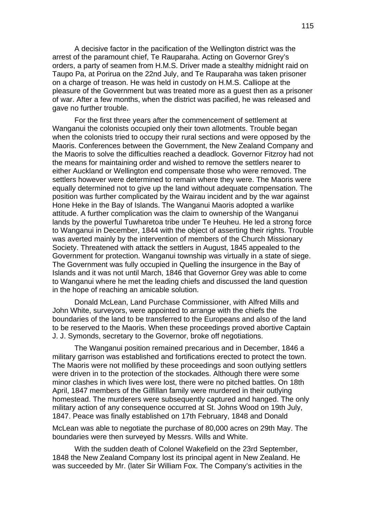A decisive factor in the pacification of the Wellington district was the arrest of the paramount chief, Te Rauparaha. Acting on Governor Grey's orders, a party of seamen from H.M.S. Driver made a stealthy midnight raid on Taupo Pa, at Porirua on the 22nd July, and Te Rauparaha was taken prisoner on a charge of treason. He was held in custody on H.M.S. Calliope at the pleasure of the Government but was treated more as a guest then as a prisoner of war. After a few months, when the district was pacified, he was released and gave no further trouble.

For the first three years after the commencement of settlement at Wanganui the colonists occupied only their town allotments. Trouble began when the colonists tried to occupy their rural sections and were opposed by the Maoris. Conferences between the Government, the New Zealand Company and the Maoris to solve the difficulties reached a deadlock. Governor Fitzroy had not the means for maintaining order and wished to remove the settlers nearer to either Auckland or Wellington end compensate those who were removed. The settlers however were determined to remain where they were. The Maoris were equally determined not to give up the land without adequate compensation. The position was further complicated by the Wairau incident and by the war against Hone Heke in the Bay of Islands. The Wanganui Maoris adopted a warlike attitude. A further complication was the claim to ownership of the Wanganui lands by the powerful Tuwharetoa tribe under Te Heuheu. He led a strong force to Wanganui in December, 1844 with the object of asserting their rights. Trouble was averted mainly by the intervention of members of the Church Missionary Society. Threatened with attack the settlers in August, 1845 appealed to the Government for protection. Wanganui township was virtually in a state of siege. The Government was fully occupied in Quelling the insurgence in the Bay of Islands and it was not until March, 1846 that Governor Grey was able to come to Wanganui where he met the leading chiefs and discussed the land question in the hope of reaching an amicable solution.

Donald McLean, Land Purchase Commissioner, with Alfred Mills and John White, surveyors, were appointed to arrange with the chiefs the boundaries of the land to be transferred to the Europeans and also of the land to be reserved to the Maoris. When these proceedings proved abortive Captain J. J. Symonds, secretary to the Governor, broke off negotiations.

The Wanganui position remained precarious and in December, 1846 a military garrison was established and fortifications erected to protect the town. The Maoris were not mollified by these proceedings and soon outlying settlers were driven in to the protection of the stockades. Although there were some minor clashes in which lives were lost, there were no pitched battles. On 18th April, 1847 members of the Gilfillan family were murdered in their outlying homestead. The murderers were subsequently captured and hanged. The only military action of any consequence occurred at St. Johns Wood on 19th July, 1847. Peace was finally established on 17th February, 1848 and Donald

McLean was able to negotiate the purchase of 80,000 acres on 29th May. The boundaries were then surveyed by Messrs. Wills and White.

With the sudden death of Colonel Wakefield on the 23rd September, 1848 the New Zealand Company lost its principal agent in New Zealand. He was succeeded by Mr. (later Sir William Fox. The Company's activities in the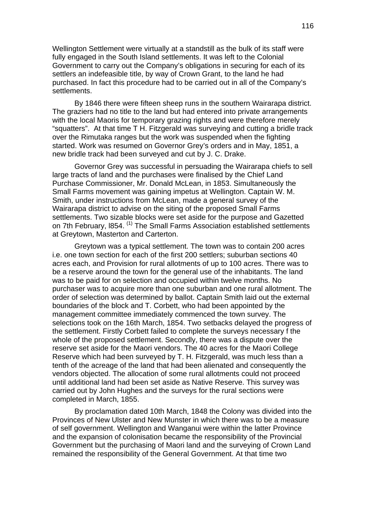Wellington Settlement were virtually at a standstill as the bulk of its staff were fully engaged in the South Island settlements. It was left to the Colonial Government to carry out the Company's obligations in securing for each of its settlers an indefeasible title, by way of Crown Grant, to the land he had purchased. In fact this procedure had to be carried out in all of the Company's settlements.

By 1846 there were fifteen sheep runs in the southern Wairarapa district. The graziers had no title to the land but had entered into private arrangements with the local Maoris for temporary grazing rights and were therefore merely "squatters". At that time T H. Fitzgerald was surveying and cutting a bridle track over the Rimutaka ranges but the work was suspended when the fighting started. Work was resumed on Governor Grey's orders and in May, 1851, a new bridle track had been surveyed and cut by J. C. Drake.

Governor Grey was successful in persuading the Wairarapa chiefs to sell large tracts of land and the purchases were finalised by the Chief Land Purchase Commissioner, Mr. Donald McLean, in 1853. Simultaneously the Small Farms movement was gaining impetus at Wellington. Captain W. M. Smith, under instructions from McLean, made a general survey of the Wairarapa district to advise on the siting of the proposed Small Farms settlements. Two sizable blocks were set aside for the purpose and Gazetted on 7th February, 1854. <sup>(1)</sup> The Small Farms Association established settlements at Greytown, Masterton and Carterton.

Greytown was a typical settlement. The town was to contain 200 acres i.e. one town section for each of the first 200 settlers; suburban sections 40 acres each, and Provision for rural allotments of up to 100 acres. There was to be a reserve around the town for the general use of the inhabitants. The land was to be paid for on selection and occupied within twelve months. No purchaser was to acquire more than one suburban and one rural allotment. The order of selection was determined by ballot. Captain Smith laid out the external boundaries of the block and T. Corbett, who had been appointed by the management committee immediately commenced the town survey. The selections took on the 16th March, 1854. Two setbacks delayed the progress of the settlement. Firstly Corbett failed to complete the surveys necessary f the whole of the proposed settlement. Secondly, there was a dispute over the reserve set aside for the Maori vendors. The 40 acres for the Maori College Reserve which had been surveyed by T. H. Fitzgerald, was much less than a tenth of the acreage of the land that had been alienated and consequently the vendors objected. The allocation of some rural allotments could not proceed until additional land had been set aside as Native Reserve. This survey was carried out by John Hughes and the surveys for the rural sections were completed in March, 1855.

By proclamation dated 10th March, 1848 the Colony was divided into the Provinces of New Ulster and New Munster in which there was to be a measure of self government. Wellington and Wanganui were within the latter Province and the expansion of colonisation became the responsibility of the Provincial Government but the purchasing of Maori land and the surveying of Crown Land remained the responsibility of the General Government. At that time two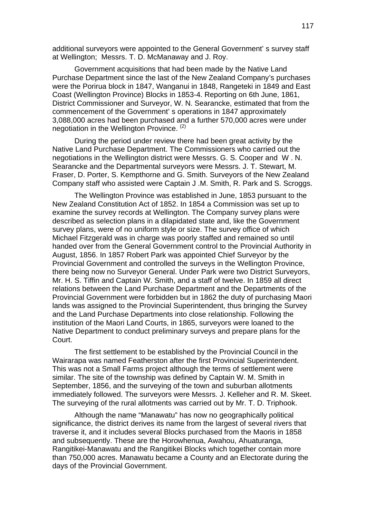additional surveyors were appointed to the General Government' s survey staff at Wellington; Messrs. T. D. McManaway and J. Roy.

Government acquisitions that had been made by the Native Land Purchase Department since the last of the New Zealand Company's purchases were the Porirua block in 1847, Wanganui in 1848, Rangeteki in 1849 and East Coast (Wellington Province) Blocks in 1853-4. Reporting on 6th June, 1861, District Commissioner and Surveyor, W. N. Searancke, estimated that from the commencement of the Government' s operations in 1847 approximately 3,088,000 acres had been purchased and a further 570,000 acres were under negotiation in the Wellington Province.<sup>(2)</sup>

During the period under review there had been great activity by the Native Land Purchase Department. The Commissioners who carried out the negotiations in the Wellington district were Messrs. G. S. Cooper and W . N. Searancke and the Departmental surveyors were Messrs. J. T. Stewart, M. Fraser, D. Porter, S. Kempthorne and G. Smith. Surveyors of the New Zealand Company staff who assisted were Captain J .M. Smith, R. Park and S. Scroggs.

The Wellington Province was established in June, 1853 pursuant to the New Zealand Constitution Act of 1852. In 1854 a Commission was set up to examine the survey records at Wellington. The Company survey plans were described as selection plans in a dilapidated state and, like the Government survey plans, were of no uniform style or size. The survey office of which Michael Fitzgerald was in charge was poorly staffed and remained so until handed over from the General Government control to the Provincial Authority in August, 1856. In 1857 Robert Park was appointed Chief Surveyor by the Provincial Government and controlled the surveys in the Wellington Province, there being now no Surveyor General. Under Park were two District Surveyors, Mr. H. S. Tiffin and Captain W. Smith, and a staff of twelve. In 1859 all direct relations between the Land Purchase Department and the Departments of the Provincial Government were forbidden but in 1862 the duty of purchasing Maori lands was assigned to the Provincial Superintendent, thus bringing the Survey and the Land Purchase Departments into close relationship. Following the institution of the Maori Land Courts, in 1865, surveyors were loaned to the Native Department to conduct preliminary surveys and prepare plans for the Court.

The first settlement to be established by the Provincial Council in the Wairarapa was named Featherston after the first Provincial Superintendent. This was not a Small Farms project although the terms of settlement were similar. The site of the township was defined by Captain W. M. Smith in September, 1856, and the surveying of the town and suburban allotments immediately followed. The surveyors were Messrs. J. Kelleher and R. M. Skeet. The surveying of the rural allotments was carried out by Mr. T. D. Triphook.

Although the name "Manawatu" has now no geographically political significance, the district derives its name from the largest of several rivers that traverse it, and it includes several Blocks purchased from the Maoris in 1858 and subsequently. These are the Horowhenua, Awahou, Ahuaturanga, Rangitikei-Manawatu and the Rangitikei Blocks which together contain more than 750,000 acres. Manawatu became a County and an Electorate during the days of the Provincial Government.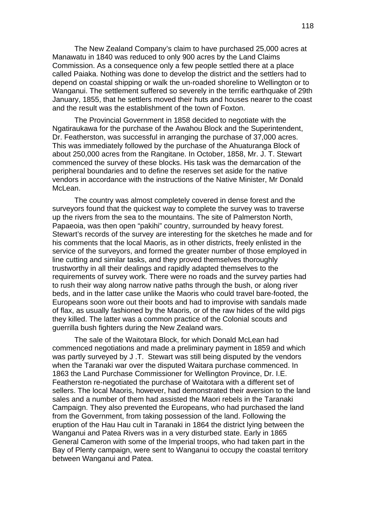The New Zealand Company's claim to have purchased 25,000 acres at Manawatu in 1840 was reduced to only 900 acres by the Land Claims Commission. As a consequence only a few people settled there at a place called Paiaka. Nothing was done to develop the district and the settlers had to depend on coastal shipping or walk the un-roaded shoreline to Wellington or to Wanganui. The settlement suffered so severely in the terrific earthquake of 29th January, 1855, that he settlers moved their huts and houses nearer to the coast and the result was the establishment of the town of Foxton.

The Provincial Government in 1858 decided to negotiate with the Ngatiraukawa for the purchase of the Awahou Block and the Superintendent, Dr. Featherston, was successful in arranging the purchase of 37,000 acres. This was immediately followed by the purchase of the Ahuaturanga Block of about 250,000 acres from the Rangitane. In October, 1858, Mr. J. T. Stewart commenced the survey of these blocks. His task was the demarcation of the peripheral boundaries and to define the reserves set aside for the native vendors in accordance with the instructions of the Native Minister, Mr Donald McLean.

The country was almost completely covered in dense forest and the surveyors found that the quickest way to complete the survey was to traverse up the rivers from the sea to the mountains. The site of Palmerston North, Papaeoia, was then open "pakihi" country, surrounded by heavy forest. Stewart's records of the survey are interesting for the sketches he made and for his comments that the local Maoris, as in other districts, freely enlisted in the service of the surveyors, and formed the greater number of those employed in line cutting and similar tasks, and they proved themselves thoroughly trustworthy in all their dealings and rapidly adapted themselves to the requirements of survey work. There were no roads and the survey parties had to rush their way along narrow native paths through the bush, or along river beds, and in the latter case unlike the Maoris who could travel bare-footed, the Europeans soon wore out their boots and had to improvise with sandals made of flax, as usually fashioned by the Maoris, or of the raw hides of the wild pigs they killed. The latter was a common practice of the Colonial scouts and guerrilla bush fighters during the New Zealand wars.

The sale of the Waitotara Block, for which Donald McLean had commenced negotiations and made a preliminary payment in 1859 and which was partly surveyed by J .T. Stewart was still being disputed by the vendors when the Taranaki war over the disputed Waitara purchase commenced. In 1863 the Land Purchase Commissioner for Wellington Province, Dr. I.E. Featherston re-negotiated the purchase of Waitotara with a different set of sellers. The local Maoris, however, had demonstrated their aversion to the land sales and a number of them had assisted the Maori rebels in the Taranaki Campaign. They also prevented the Europeans, who had purchased the land from the Government, from taking possession of the land. Following the eruption of the Hau Hau cult in Taranaki in 1864 the district lying between the Wanganui and Patea Rivers was in a very disturbed state. Early in 1865 General Cameron with some of the Imperial troops, who had taken part in the Bay of Plenty campaign, were sent to Wanganui to occupy the coastal territory between Wanganui and Patea.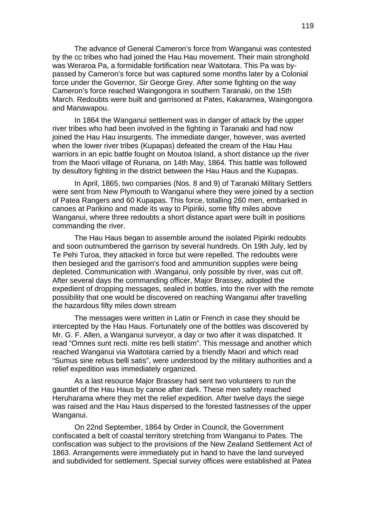The advance of General Cameron's force from Wanganui was contested by the cc tribes who had joined the Hau Hau movement. Their main stronghold was Weraroa Pa, a formidable fortification near Waitotara. This Pa was bypassed by Cameron's force but was captured some months later by a Colonial force under the Governor, Sir George Grey. After some fighting on the way Cameron's force reached Waingongora in southern Taranaki, on the 15th March. Redoubts were built and garrisoned at Pates, Kakaramea, Waingongora and Manawapou.

In 1864 the Wanganui settlement was in danger of attack by the upper river tribes who had been involved in the fighting in Taranaki and had now joined the Hau Hau insurgents. The immediate danger, however, was averted when the lower river tribes (Kupapas) defeated the cream of the Hau Hau warriors in an epic battle fought on Moutoa Island, a short distance up the river from the Maori village of Runana, on 14th May, 1864. This battle was followed by desultory fighting in the district between the Hau Haus and the Kupapas.

In April, 1865, two companies (Nos. 8 and 9) of Taranaki Military Settlers were sent from New Plymouth to Wanganui where they were joined by a section of Patea Rangers and 60 Kupapas. This force, totalling 260 men, embarked in canoes at Parikino and made its way to Pipiriki, some fifty miles above Wanganui, where three redoubts a short distance apart were built in positions commanding the river.

The Hau Haus began to assemble around the isolated Pipiriki redoubts and soon outnumbered the garrison by several hundreds. On 19th July, led by Te Pehi Turoa, they attacked in force but were repelled. The redoubts were then besieged and the garrison's food and ammunition supplies were being depleted. Communication with .Wanganui, only possible by river, was cut off. After several days the commanding officer, Major Brassey, adopted the expedient of dropping messages, sealed in bottles, into the river with the remote possibility that one would be discovered on reaching Wanganui after travelling the hazardous fifty miles down stream

The messages were written in Latin or French in case they should be intercepted by the Hau Haus. Fortunately one of the bottles was discovered by Mr. G. F. Allen, a Wanganui surveyor, a day or two after it was dispatched. It read "Omnes sunt recti. mitte res belli statim". This message and another which reached Wanganui via Waitotara carried by a friendly Maori and which read "Sumus sine rebus belli satis", were understood by the military authorities and a relief expedition was immediately organized.

As a last resource Major Brassey had sent two volunteers to run the gauntlet of the Hau Haus by canoe after dark. These men safety reached Heruharama where they met the relief expedition. After twelve days the siege was raised and the Hau Haus dispersed to the forested fastnesses of the upper Wanganui.

On 22nd September, 1864 by Order in Council, the Government confiscated a belt of coastal territory stretching from Wanganui to Pates. The confiscation was subject to the provisions of the New Zealand Settlement Act of 1863. Arrangements were immediately put in hand to have the land surveyed and subdivided for settlement. Special survey offices were established at Patea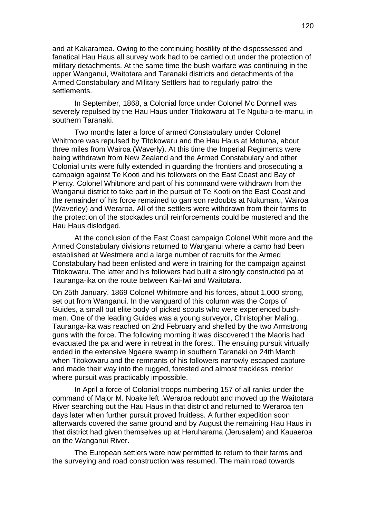and at Kakaramea. Owing to the continuing hostility of the dispossessed and fanatical Hau Haus all survey work had to be carried out under the protection of military detachments. At the same time the bush warfare was continuing in the upper Wanganui, Waitotara and Taranaki districts and detachments of the Armed Constabulary and Military Settlers had to regularly patrol the settlements.

In September, 1868, a Colonial force under Colonel Mc Donnell was severely repulsed by the Hau Haus under Titokowaru at Te Ngutu-o-te-manu, in southern Taranaki.

Two months later a force of armed Constabulary under Colonel Whitmore was repulsed by Titokowaru and the Hau Haus at Moturoa, about three miles from Wairoa (Waverly). At this time the Imperial Regiments were being withdrawn from New Zealand and the Armed Constabulary and other Colonial units were fully extended in guarding the frontiers and prosecuting a campaign against Te Kooti and his followers on the East Coast and Bay of Plenty. Colonel Whitmore and part of his command were withdrawn from the Wanganui district to take part in the pursuit of Te Kooti on the East Coast and the remainder of his force remained to garrison redoubts at Nukumaru, Wairoa (Waverley) and Weraroa. All of the settlers were withdrawn from their farms to the protection of the stockades until reinforcements could be mustered and the Hau Haus dislodged.

At the conclusion of the East Coast campaign Colonel Whit more and the Armed Constabulary divisions returned to Wanganui where a camp had been established at Westmere and a large number of recruits for the Armed Constabulary had been enlisted and were in training for the campaign against Titokowaru. The latter and his followers had built a strongly constructed pa at Tauranga-ika on the route between Kai-Iwi and Waitotara.

On 25th January, 1869 Colonel Whitmore and his forces, about 1,000 strong, set out from Wanganui. In the vanguard of this column was the Corps of Guides, a small but elite body of picked scouts who were experienced bushmen. One of the leading Guides was a young surveyor, Christopher Maling. Tauranga-ika was reached on 2nd February and shelled by the two Armstrong guns with the force. The following morning it was discovered t the Maoris had evacuated the pa and were in retreat in the forest. The ensuing pursuit virtually ended in the extensive Ngaere swamp in southern Taranaki on 24th March when Titokowaru and the remnants of his followers narrowly escaped capture and made their way into the rugged, forested and almost trackless interior where pursuit was practicably impossible.

In April a force of Colonial troops numbering 157 of all ranks under the command of Major M. Noake left .Weraroa redoubt and moved up the Waitotara River searching out the Hau Haus in that district and returned to Weraroa ten days later when further pursuit proved fruitless. A further expedition soon afterwards covered the same ground and by August the remaining Hau Haus in that district had given themselves up at Heruharama (Jerusalem) and Kauaeroa on the Wanganui River.

The European settlers were now permitted to return to their farms and the surveying and road construction was resumed. The main road towards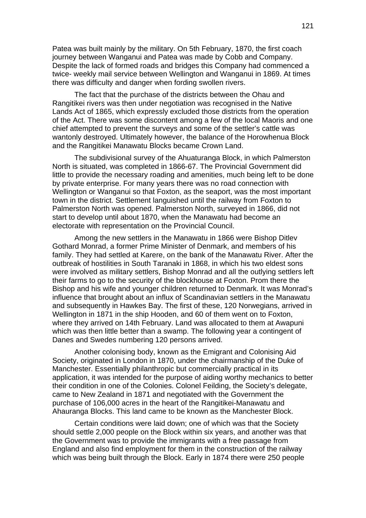Patea was built mainly by the military. On 5th February, 1870, the first coach journey between Wanganui and Patea was made by Cobb and Company. Despite the lack of formed roads and bridges this Company had commenced a twice- weekly mail service between Wellington and Wanganui in 1869. At times there was difficulty and danger when fording swollen rivers.

The fact that the purchase of the districts between the Ohau and Rangitikei rivers was then under negotiation was recognised in the Native Lands Act of 1865, which expressly excluded those districts from the operation of the Act. There was some discontent among a few of the local Maoris and one chief attempted to prevent the surveys and some of the settler's cattle was wantonly destroyed. Ultimately however, the balance of the Horowhenua Block and the Rangitikei Manawatu Blocks became Crown Land.

The subdivisional survey of the Ahuaturanga Block, in which Palmerston North is situated, was completed in 1866-67. The Provincial Government did little to provide the necessary roading and amenities, much being left to be done by private enterprise. For many years there was no road connection with Wellington or Wanganui so that Foxton, as the seaport, was the most important town in the district. Settlement languished until the railway from Foxton to Palmerston North was opened. Palmerston North, surveyed in 1866, did not start to develop until about 1870, when the Manawatu had become an electorate with representation on the Provincial Council.

Among the new settlers in the Manawatu in 1866 were Bishop Ditlev Gothard Monrad, a former Prime Minister of Denmark, and members of his family. They had settled at Karere, on the bank of the Manawatu River. After the outbreak of hostilities in South Taranaki in 1868, in which his two eldest sons were involved as military settlers, Bishop Monrad and all the outlying settlers left their farms to go to the security of the blockhouse at Foxton. Prom there the Bishop and his wife and younger children returned to Denmark. It was Monrad's influence that brought about an influx of Scandinavian settlers in the Manawatu and subsequently in Hawkes Bay. The first of these, 120 Norwegians, arrived in Wellington in 1871 in the ship Hooden, and 60 of them went on to Foxton, where they arrived on 14th February. Land was allocated to them at Awapuni which was then little better than a swamp. The following year a contingent of Danes and Swedes numbering 120 persons arrived.

Another colonising body, known as the Emigrant and Colonising Aid Society, originated in London in 1870, under the chairmanship of the Duke of Manchester. Essentially philanthropic but commercially practical in its application, it was intended for the purpose of aiding worthy mechanics to better their condition in one of the Colonies. Colonel Feilding, the Society's delegate, came to New Zealand in 1871 and negotiated with the Government the purchase of 106,000 acres in the heart of the Rangitikei-Manawatu and Ahauranga Blocks. This land came to be known as the Manchester Block.

Certain conditions were laid down; one of which was that the Society should settle 2,000 people on the Block within six years, and another was that the Government was to provide the immigrants with a free passage from England and also find employment for them in the construction of the railway which was being built through the Block. Early in 1874 there were 250 people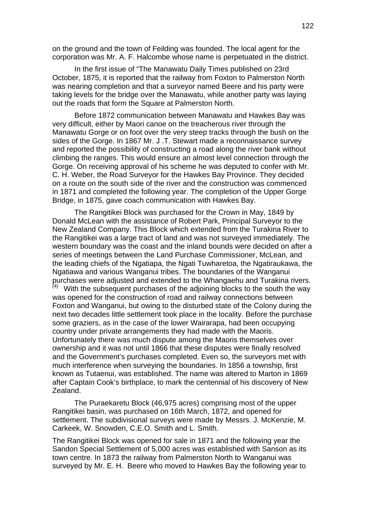on the ground and the town of Feilding was founded. The local agent for the corporation was Mr. A. F. Halcombe whose name is perpetuated in the district.

In the first issue of "The Manawatu Daily Times published on 23rd October, 1875, it is reported that the railway from Foxton to Palmerston North was nearing completion and that a surveyor named Beere and his party were taking levels for the bridge over the Manawatu, while another party was laying out the roads that form the Square at Palmerston North.

Before 1872 communication between Manawatu and Hawkes Bay was very difficult, either by Maori canoe on the treacherous river through the Manawatu Gorge or on foot over the very steep tracks through the bush on the sides of the Gorge. In 1867 Mr. J .T. Stewart made a reconnaissance survey and reported the possibility of constructing a road along the river bank without climbing the ranges. This would ensure an almost level connection through the Gorge. On receiving approval of his scheme he was deputed to confer with Mr. C. H. Weber, the Road Surveyor for the Hawkes Bay Province. They decided on a route on the south side of the river and the construction was commenced in 1871 and completed the following year. The completion of the Upper Gorge Bridge, in 1875, gave coach communication with Hawkes Bay.

The Rangitikei Block was purchased for the Crown in May, 1849 by Donald McLean with the assistance of Robert Park, Principal Surveyor to the New Zealand Company. This Block which extended from the Turakina River to the Rangitikei was a large tract of land and was not surveyed immediately. The western boundary was the coast and the inland bounds were decided on after a series of meetings between the Land Purchase Commissioner, McLean, and the leading chiefs of the Ngatiapa, the Ngati Tuwharetoa, the Ngatiraukawa, the Ngatiawa and various Wanganui tribes. The boundaries of the Wanganui purchases were adjusted and extended to the Whangaehu and Turakina rivers.<br>(4) With the subsequent purchases of the adjoining blocks to the south the way. With the subsequent purchases of the adjoining blocks to the south the way was opened for the construction of road and railway connections between Foxton and Wanganui, but owing to the disturbed state of the Colony during the next two decades little settlement took place in the locality. Before the purchase some graziers, as in the case of the lower Wairarapa, had been occupying country under private arrangements they had made with the Maoris. Unfortunately there was much dispute among the Maoris themselves over ownership and it was not until 1866 that these disputes were finally resolved and the Government's purchases completed. Even so, the surveyors met with much interference when surveying the boundaries. In 1856 a township, first known as Tutaenui, was established. The name was altered to Marton in 1869 after Captain Cook's birthplace, to mark the centennial of his discovery of New Zealand.

The Puraekaretu Block (46,975 acres) comprising most of the upper Rangitikei basin, was purchased on 16th March, 1872, and opened for settlement. The subdivisional surveys were made by Messrs. J. McKenzie, M. Carkeek, W. Snowden, C.E.O. Smith and L. Smith.

The Rangitikei Block was opened for sale in 1871 and the following year the Sandon Special Settlement of 5,000 acres was established with Sanson as its town centre. In 1873 the railway from Palmerston North to Wanganui was surveyed by Mr. E. H. Beere who moved to Hawkes Bay the following year to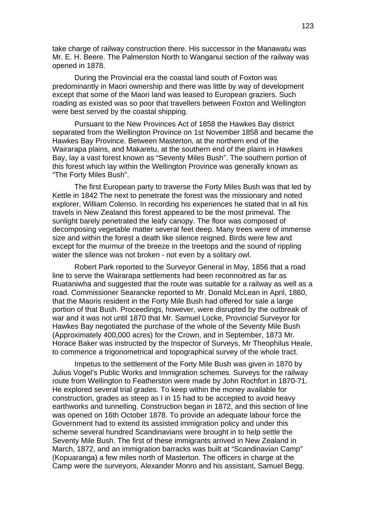take charge of railway construction there. His successor in the Manawatu was Mr. E. H. Beere. The Palmerston North to Wanganui section of the railway was opened in 1878.

During the Provincial era the coastal land south of Foxton was predominantly in Maori ownership and there was little by way of development except that some of the Maori land was leased to European graziers. Such roading as existed was so poor that travellers between Foxton and Wellington were best served by the coastal shipping.

Pursuant to the New Provinces Act of 1858 the Hawkes Bay district separated from the Wellington Province on 1st November 1858 and became the Hawkes Bay Province. Between Masterton, at the northern end of the Wairarapa plains, and Makaretu, at the southern end of the plains in Hawkes Bay, lay a vast forest known as "Seventy Miles Bush". The southern portion of this forest which lay within the Wellington Province was generally known as "The Forty Miles Bush".

The first European party to traverse the Forty Miles Bush was that led by Kettle in 1842 The next to penetrate the forest was the missionary and noted explorer, William Colenso. In recording his experiences he stated that in all his travels in New Zealand this forest appeared to be the most primeval. The sunlight barely penetrated the leafy canopy. The floor was composed of decomposing vegetable matter several feet deep. Many trees were of immense size and within the forest a death like silence reigned. Birds were few and except for the murmur of the breeze in the treetops and the sound of rippling water the silence was not broken - not even by a solitary owl.

Robert Park reported to the Surveyor General in May, 1856 that a road line to serve the Wairarapa settlements had been reconnoitred as far as Ruataniwha and suggested that the route was suitable for a railway as well as a road. Commissioner Searancke reported to Mr. Donald McLean in April, 1860, that the Maoris resident in the Forty Mile Bush had offered for sale a large portion of that Bush. Proceedings, however, were disrupted by the outbreak of war and it was not until 1870 that Mr. Samuel Locke, Provincial Surveyor for Hawkes Bay negotiated the purchase of the whole of the Seventy Mile Bush (Approximately 400,000 acres) for the Crown, and in September, 1873 Mr. Horace Baker was instructed by the Inspector of Surveys, Mr Theophilus Heale, to commence a trigonometrical and topographical survey of the whole tract.

Impetus to the settlement of the Forty Mile Bush was given in 1870 by Julius Vogel's Public Works and Immigration schemes. Surveys for the railway route from Wellington to Featherston were made by John Rochfort in 1870-71. He explored several trial grades. To keep within the money available for construction, grades as steep as I in 15 had to be accepted to avoid heavy earthworks and tunnelling. Construction began in 1872, and this section of line was opened on 16th October 1878. To provide an adequate labour force the Government had to extend its assisted immigration policy and under this scheme several hundred Scandinavians were brought in to help settle the Seventy Mile Bush. The first of these immigrants arrived in New Zealand in March, 1872, and an immigration barracks was built at "Scandinavian Camp" (Kopuaranga) a few miles north of Masterton. The officers in charge at the Camp were the surveyors, Alexander Monro and his assistant, Samuel Begg.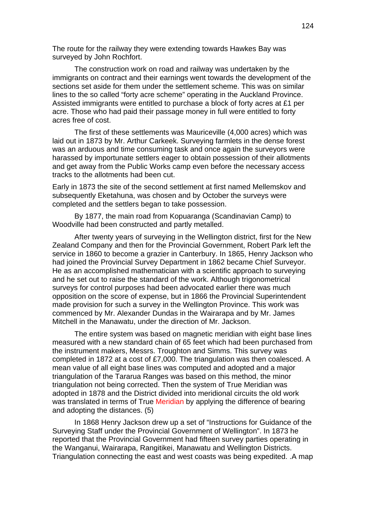The route for the railway they were extending towards Hawkes Bay was surveyed by John Rochfort.

The construction work on road and railway was undertaken by the immigrants on contract and their earnings went towards the development of the sections set aside for them under the settlement scheme. This was on similar lines to the so called "forty acre scheme" operating in the Auckland Province. Assisted immigrants were entitled to purchase a block of forty acres at £1 per acre. Those who had paid their passage money in full were entitled to forty acres free of cost.

The first of these settlements was Mauriceville (4,000 acres) which was laid out in 1873 by Mr. Arthur Carkeek. Surveying farmlets in the dense forest was an arduous and time consuming task and once again the surveyors were harassed by importunate settlers eager to obtain possession of their allotments and get away from the Public Works camp even before the necessary access tracks to the allotments had been cut.

Early in 1873 the site of the second settlement at first named Mellemskov and subsequently Eketahuna, was chosen and by October the surveys were completed and the settlers began to take possession.

By 1877, the main road from Kopuaranga (Scandinavian Camp) to Woodville had been constructed and partly metalled.

After twenty years of surveying in the Wellington district, first for the New Zealand Company and then for the Provincial Government, Robert Park left the service in 1860 to become a grazier in Canterbury. In 1865, Henry Jackson who had joined the Provincial Survey Department in 1862 became Chief Surveyor. He as an accomplished mathematician with a scientific approach to surveying and he set out to raise the standard of the work. Although trigonometrical surveys for control purposes had been advocated earlier there was much opposition on the score of expense, but in 1866 the Provincial Superintendent made provision for such a survey in the Wellington Province. This work was commenced by Mr. Alexander Dundas in the Wairarapa and by Mr. James Mitchell in the Manawatu, under the direction of Mr. Jackson.

The entire system was based on magnetic meridian with eight base lines measured with a new standard chain of 65 feet which had been purchased from the instrument makers, Messrs. Troughton and Simms. This survey was completed in 1872 at a cost of £7,000. The triangulation was then coalesced. A mean value of all eight base lines was computed and adopted and a major triangulation of the Tararua Ranges was based on this method, the minor triangulation not being corrected. Then the system of True Meridian was adopted in 1878 and the District divided into meridional circuits the old work was translated in terms of True Meridian by applying the difference of bearing and adopting the distances. (5)

In 1868 Henry Jackson drew up a set of "Instructions for Guidance of the Surveying Staff under the Provincial Government of Wellington". In 1873 he reported that the Provincial Government had fifteen survey parties operating in the Wanganui, Wairarapa, Rangitikei, Manawatu and Wellington Districts. Triangulation connecting the east and west coasts was being expedited. .A map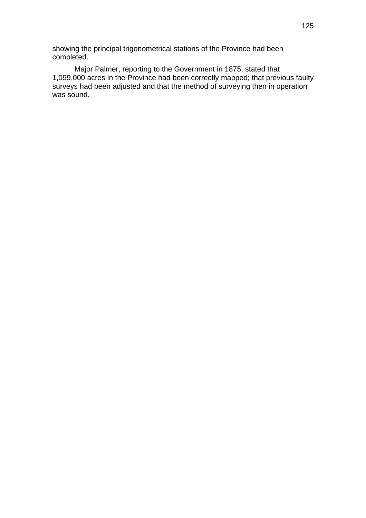showing the principal trigonometrical stations of the Province had been completed.

Major Palmer, reporting to the Government in 1875, stated that 1,099,000 acres in the Province had been correctly mapped; that previous faulty surveys had been adjusted and that the method of surveying then in operation was sound.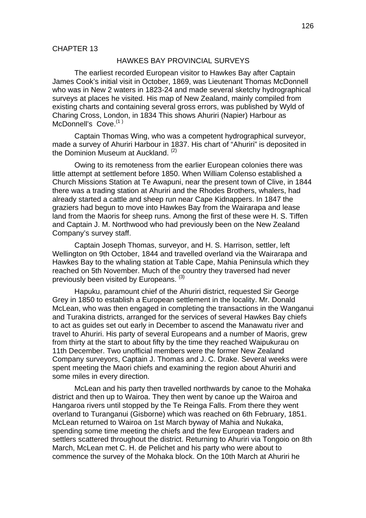#### HAWKES BAY PROVINCIAL SURVEYS

The earliest recorded European visitor to Hawkes Bay after Captain James Cook's initial visit in October, 1869, was Lieutenant Thomas McDonnell who was in New 2 waters in 1823-24 and made several sketchy hydrographical surveys at places he visited. His map of New Zealand, mainly compiled from existing charts and containing several gross errors, was published by Wyld of Charing Cross, London, in 1834 This shows Ahuriri (Napier) Harbour as McDonnell's Cove.<sup>(1)</sup>

Captain Thomas Wing, who was a competent hydrographical surveyor, made a survey of Ahuriri Harbour in 1837. His chart of "Ahuriri" is deposited in the Dominion Museum at Auckland. (2)

Owing to its remoteness from the earlier European colonies there was little attempt at settlement before 1850. When William Colenso established a Church Missions Station at Te Awapuni, near the present town of Clive, in 1844 there was a trading station at Ahuriri and the Rhodes Brothers, whalers, had already started a cattle and sheep run near Cape Kidnappers. In 1847 the graziers had begun to move into Hawkes Bay from the Wairarapa and lease land from the Maoris for sheep runs. Among the first of these were H. S. Tiffen and Captain J. M. Northwood who had previously been on the New Zealand Company's survey staff.

Captain Joseph Thomas, surveyor, and H. S. Harrison, settler, left Wellington on 9th October, 1844 and travelled overland via the Wairarapa and Hawkes Bay to the whaling station at Table Cape, Mahia Peninsula which they reached on 5th November. Much of the country they traversed had never previously been visited by Europeans. (3)

Hapuku, paramount chief of the Ahuriri district, requested Sir George Grey in 1850 to establish a European settlement in the locality. Mr. Donald McLean, who was then engaged in completing the transactions in the Wanganui and Turakina districts, arranged for the services of several Hawkes Bay chiefs to act as guides set out early in December to ascend the Manawatu river and travel to Ahuriri. His party of several Europeans and a number of Maoris, grew from thirty at the start to about fifty by the time they reached Waipukurau on 11th December. Two unofficial members were the former New Zealand Company surveyors, Captain J. Thomas and J. C. Drake. Several weeks were spent meeting the Maori chiefs and examining the region about Ahuriri and some miles in every direction.

McLean and his party then travelled northwards by canoe to the Mohaka district and then up to Wairoa. They then went by canoe up the Wairoa and Hangaroa rivers until stopped by the Te Reinga Falls. From there they went overland to Turanganui (Gisborne) which was reached on 6th February, 1851. McLean returned to Wairoa on 1st March byway of Mahia and Nukaka, spending some time meeting the chiefs and the few European traders and settlers scattered throughout the district. Returning to Ahuriri via Tongoio on 8th March, McLean met C. H. de Pelichet and his party who were about to commence the survey of the Mohaka block. On the 10th March at Ahuriri he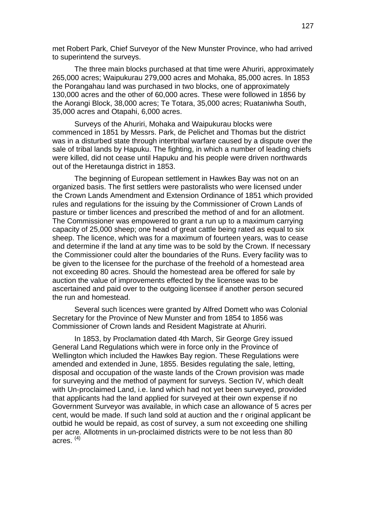met Robert Park, Chief Surveyor of the New Munster Province, who had arrived to superintend the surveys.

The three main blocks purchased at that time were Ahuriri, approximately 265,000 acres; Waipukurau 279,000 acres and Mohaka, 85,000 acres. In 1853 the Porangahau land was purchased in two blocks, one of approximately 130,000 acres and the other of 60,000 acres. These were followed in 1856 by the Aorangi Block, 38,000 acres; Te Totara, 35,000 acres; Ruataniwha South, 35,000 acres and Otapahi, 6,000 acres.

Surveys of the Ahuriri, Mohaka and Waipukurau blocks were commenced in 1851 by Messrs. Park, de Pelichet and Thomas but the district was in a disturbed state through intertribal warfare caused by a dispute over the sale of tribal lands by Hapuku. The fighting, in which a number of leading chiefs were killed, did not cease until Hapuku and his people were driven northwards out of the Heretaunga district in 1853.

The beginning of European settlement in Hawkes Bay was not on an organized basis. The first settlers were pastoralists who were licensed under the Crown Lands Amendment and Extension Ordinance of 1851 which provided rules and regulations for the issuing by the Commissioner of Crown Lands of pasture or timber licences and prescribed the method of and for an allotment. The Commissioner was empowered to grant a run up to a maximum carrying capacity of 25,000 sheep; one head of great cattle being rated as equal to six sheep. The licence, which was for a maximum of fourteen years, was to cease and determine if the land at any time was to be sold by the Crown. If necessary the Commissioner could alter the boundaries of the Runs. Every facility was to be given to the licensee for the purchase of the freehold of a homestead area not exceeding 80 acres. Should the homestead area be offered for sale by auction the value of improvements effected by the licensee was to be ascertained and paid over to the outgoing licensee if another person secured the run and homestead.

Several such licences were granted by Alfred Domett who was Colonial Secretary for the Province of New Munster and from 1854 to 1856 was Commissioner of Crown lands and Resident Magistrate at Ahuriri.

In 1853, by Proclamation dated 4th March, Sir George Grey issued General Land Regulations which were in force only in the Province of Wellington which included the Hawkes Bay region. These Regulations were amended and extended in June, 1855. Besides regulating the sale, letting, disposal and occupation of the waste lands of the Crown provision was made for surveying and the method of payment for surveys. Section IV, which dealt with Un-proclaimed Land, i.e. land which had not yet been surveyed, provided that applicants had the land applied for surveyed at their own expense if no Government Surveyor was available, in which case an allowance of 5 acres per cent, would be made. If such land sold at auction and the r original applicant be outbid he would be repaid, as cost of survey, a sum not exceeding one shilling per acre. Allotments in un-proclaimed districts were to be not less than 80 acres.  $(4)$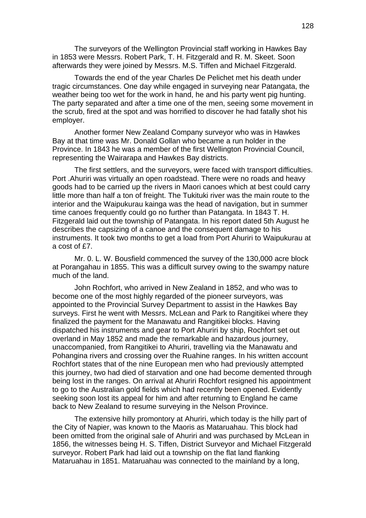The surveyors of the Wellington Provincial staff working in Hawkes Bay in 1853 were Messrs. Robert Park, T. H. Fitzgerald and R. M. Skeet. Soon afterwards they were joined by Messrs. M.S. Tiffen and Michael Fitzgerald.

Towards the end of the year Charles De Pelichet met his death under tragic circumstances. One day while engaged in surveying near Patangata, the weather being too wet for the work in hand, he and his party went pig hunting. The party separated and after a time one of the men, seeing some movement in the scrub, fired at the spot and was horrified to discover he had fatally shot his employer.

Another former New Zealand Company surveyor who was in Hawkes Bay at that time was Mr. Donald Gollan who became a run holder in the Province. In 1843 he was a member of the first Wellington Provincial Council, representing the Wairarapa and Hawkes Bay districts.

The first settlers, and the surveyors, were faced with transport difficulties. Port .Ahuriri was virtually an open roadstead. There were no roads and heavy goods had to be carried up the rivers in Maori canoes which at best could carry little more than half a ton of freight. The Tukituki river was the main route to the interior and the Waipukurau kainga was the head of navigation, but in summer time canoes frequently could go no further than Patangata. In 1843 T. H. Fitzgerald laid out the township of Patangata. In his report dated 5th August he describes the capsizing of a canoe and the consequent damage to his instruments. It took two months to get a load from Port Ahuriri to Waipukurau at a cost of £7.

Mr. 0. L. W. Bousfield commenced the survey of the 130,000 acre block at Porangahau in 1855. This was a difficult survey owing to the swampy nature much of the land.

John Rochfort, who arrived in New Zealand in 1852, and who was to become one of the most highly regarded of the pioneer surveyors, was appointed to the Provincial Survey Department to assist in the Hawkes Bay surveys. First he went with Messrs. McLean and Park to Rangitikei where they finalized the payment for the Manawatu and Rangitikei blocks. Having dispatched his instruments and gear to Port Ahuriri by ship, Rochfort set out overland in May 1852 and made the remarkable and hazardous journey, unaccompanied, from Rangitikei to Ahuriri, travelling via the Manawatu and Pohangina rivers and crossing over the Ruahine ranges. In his written account Rochfort states that of the nine European men who had previously attempted this journey, two had died of starvation and one had become demented through being lost in the ranges. On arrival at Ahuriri Rochfort resigned his appointment to go to the Australian gold fields which had recently been opened. Evidently seeking soon lost its appeal for him and after returning to England he came back to New Zealand to resume surveying in the Nelson Province.

The extensive hilly promontory at Ahuriri, which today is the hilly part of the City of Napier, was known to the Maoris as Mataruahau. This block had been omitted from the original sale of Ahuriri and was purchased by McLean in 1856, the witnesses being H. S. Tiffen, District Surveyor and Michael Fitzgerald surveyor. Robert Park had laid out a township on the flat land flanking Mataruahau in 1851. Mataruahau was connected to the mainland by a long,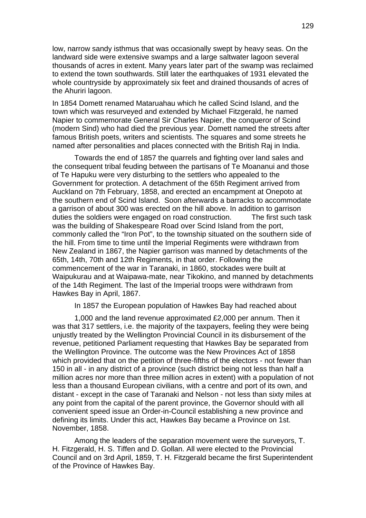low, narrow sandy isthmus that was occasionally swept by heavy seas. On the landward side were extensive swamps and a large saltwater lagoon several thousands of acres in extent. Many years later part of the swamp was reclaimed to extend the town southwards. Still later the earthquakes of 1931 elevated the whole countryside by approximately six feet and drained thousands of acres of the Ahuriri lagoon.

In 1854 Domett renamed Mataruahau which he called Scind Island, and the town which was resurveyed and extended by Michael Fitzgerald, he named Napier to commemorate General Sir Charles Napier, the conqueror of Scind (modern Sind) who had died the previous year. Domett named the streets after famous British poets, writers and scientists. The squares and some streets he named after personalities and places connected with the British Raj in India.

Towards the end of 1857 the quarrels and fighting over land sales and the consequent tribal feuding between the partisans of Te Moananui and those of Te Hapuku were very disturbing to the settlers who appealed to the Government for protection. A detachment of the 65th Regiment arrived from Auckland on 7th February, 1858, and erected an encampment at Onepoto at the southern end of Scind Island. Soon afterwards a barracks to accommodate a garrison of about 300 was erected on the hill above. In addition to garrison duties the soldiers were engaged on road construction. The first such task was the building of Shakespeare Road over Scind Island from the port, commonly called the "Iron Pot", to the township situated on the southern side of the hill. From time to time until the Imperial Regiments were withdrawn from New Zealand in 1867, the Napier garrison was manned by detachments of the 65th, 14th, 70th and 12th Regiments, in that order. Following the commencement of the war in Taranaki, in 1860, stockades were built at Waipukurau and at Waipawa-mate, near Tikokino, and manned by detachments of the 14th Regiment. The last of the Imperial troops were withdrawn from Hawkes Bay in April, 1867.

In 1857 the European population of Hawkes Bay had reached about

1,000 and the land revenue approximated £2,000 per annum. Then it was that 317 settlers, i.e. the majority of the taxpayers, feeling they were being unjustly treated by the Wellington Provincial Council in its disbursement of the revenue, petitioned Parliament requesting that Hawkes Bay be separated from the Wellington Province. The outcome was the New Provinces Act of 1858 which provided that on the petition of three-fifths of the electors - not fewer than 150 in all - in any district of a province (such district being not less than half a million acres nor more than three million acres in extent) with a population of not less than a thousand European civilians, with a centre and port of its own, and distant - except in the case of Taranaki and Nelson - not less than sixty miles at any point from the capital of the parent province, the Governor should with all convenient speed issue an Order-in-Council establishing a new province and defining its limits. Under this act, Hawkes Bay became a Province on 1st. November, 1858.

Among the leaders of the separation movement were the surveyors, T. H. Fitzgerald, H. S. Tiffen and D. Gollan. All were elected to the Provincial Council and on 3rd April, 1859, T. H. Fitzgerald became the first Superintendent of the Province of Hawkes Bay.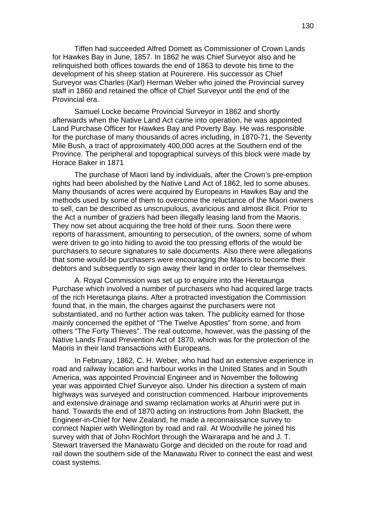Tiffen had succeeded Alfred Domett as Commissioner of Crown Lands for Hawkes Bay in June, 1857. In 1862 he was Chief Surveyor also and he relinquished both offices towards the end of 1863 to devote his time to the development of his sheep station at Pourerere. His successor as Chief Surveyor was Charles (Karl) Herman Weber who joined the Provincial survey staff in 1860 and retained the office of Chief Surveyor until the end of the Provincial era.

Samuel Locke became Provincial Surveyor in 1862 and shortly afterwards when the Native Land Act came into operation, he was appointed Land Purchase Officer for Hawkes Bay and Poverty Bay. He was responsible for the purchase of many thousands of acres including, in 1870-71, the Seventy Mile Bush, a tract of approximately 400,000 acres at the Southern end of the Province. The peripheral and topographical surveys of this block were made by Horace Baker in 1871

The purchase of Maori land by individuals, after the Crown's pre-emption rights had been abolished by the Native Land Act of 1862, led to some abuses. Many thousands of acres were acquired by Europeans in Hawkes Bay and the methods used by some of them to overcome the reluctance of the Maori owners to sell, can be described as unscrupulous, avaricious and almost illicit. Prior to the Act a number of graziers had been illegally leasing land from the Maoris. They now set about acquiring the free hold of their runs. Soon there were reports of harassment, amounting to persecution, of the owners, some of whom were driven to go into hiding to avoid the too pressing efforts of the would be purchasers to secure signatures to sale documents. Also there were allegations that some would-be purchasers were encouraging the Maoris to become their debtors and subsequently to sign away their land in order to clear themselves.

A. Roval Commission was set up to enquire into the Heretaunga Purchase which involved a number of purchasers who had acquired large tracts of the rich Heretaunga plains. After a protracted investigation the Commission found that, in the main, the charges against the purchasers were not substantiated, and no further action was taken. The publicity earned for those mainly concerned the epithet of "The Twelve Apostles" from some, and from others "The Forty Thieves". The real outcome, however, was the passing of the Native Lands Fraud Prevention Act of 1870, which was for the protection of the Maoris in their land transactions with Europeans.

In February, 1862, C. H. Weber, who had had an extensive experience in road and railway location and harbour works in the United States and in South America, was appointed Provincial Engineer and in November the following year was appointed Chief Surveyor also. Under his direction a system of main highways was surveyed and construction commenced. Harbour improvements and extensive drainage and swamp reclamation works at Ahuriri were put in hand. Towards the end of 1870 acting on instructions from John Blackett, the Engineer-in-Chief for New Zealand, he made a reconnaissance survey to connect Napier with Wellington by road and rail. At Woodville he joined his survey with that of John Rochfort through the Wairarapa and he and J. T. Stewart traversed the Manawatu Gorge and decided on the route for road and rail down the southern side of the Manawatu River to connect the east and west coast systems.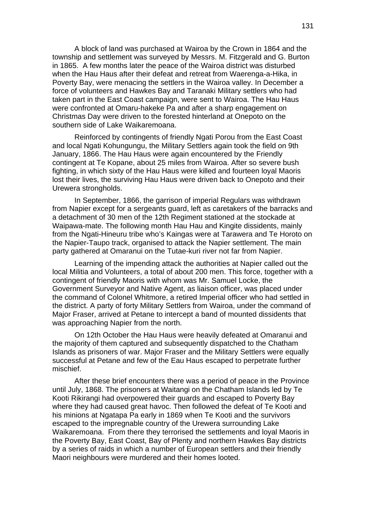A block of land was purchased at Wairoa by the Crown in 1864 and the township and settlement was surveyed by Messrs. M. Fitzgerald and G. Burton in 1865. A few months later the peace of the Wairoa district was disturbed when the Hau Haus after their defeat and retreat from Waerenga-a-Hika, in Poverty Bay, were menacing the settlers in the Wairoa valley. In December a force of volunteers and Hawkes Bay and Taranaki Military settlers who had taken part in the East Coast campaign, were sent to Wairoa. The Hau Haus were confronted at Omaru-hakeke Pa and after a sharp engagement on Christmas Day were driven to the forested hinterland at Onepoto on the southern side of Lake Waikaremoana.

Reinforced by contingents of friendly Ngati Porou from the East Coast and local Ngati Kohungungu, the Military Settlers again took the field on 9th January, 1866. The Hau Haus were again encountered by the Friendly contingent at Te Kopane, about 25 miles from Wairoa. After so severe bush fighting, in which sixty of the Hau Haus were killed and fourteen loyal Maoris lost their lives, the surviving Hau Haus were driven back to Onepoto and their Urewera strongholds.

In September, 1866, the garrison of imperial Regulars was withdrawn from Napier except for a sergeants guard, left as caretakers of the barracks and a detachment of 30 men of the 12th Regiment stationed at the stockade at Waipawa-mate. The following month Hau Hau and Kingite dissidents, mainly from the Ngati-Hineuru tribe who's Kaingas were at Tarawera and Te Horoto on the Napier-Taupo track, organised to attack the Napier settlement. The main party gathered at Omaranui on the Tutae-kuri river not far from Napier.

Learning of the impending attack the authorities at Napier called out the local Militia and Volunteers, a total of about 200 men. This force, together with a contingent of friendly Maoris with whom was Mr. Samuel Locke, the Government Surveyor and Native Agent, as liaison officer, was placed under the command of Colonel Whitmore, a retired Imperial officer who had settled in the district. A party of forty Military Settlers from Wairoa, under the command of Major Fraser, arrived at Petane to intercept a band of mounted dissidents that was approaching Napier from the north.

On 12th October the Hau Haus were heavily defeated at Omaranui and the majority of them captured and subsequently dispatched to the Chatham Islands as prisoners of war. Major Fraser and the Military Settlers were equally successful at Petane and few of the Eau Haus escaped to perpetrate further mischief.

After these brief encounters there was a period of peace in the Province until July, 1868. The prisoners at Waitangi on the Chatham Islands led by Te Kooti Rikirangi had overpowered their guards and escaped to Poverty Bay where they had caused great havoc. Then followed the defeat of Te Kooti and his minions at Ngatapa Pa early in 1869 when Te Kooti and the survivors escaped to the impregnable country of the Urewera surrounding Lake Waikaremoana. From there they terrorised the settlements and loyal Maoris in the Poverty Bay, East Coast, Bay of Plenty and northern Hawkes Bay districts by a series of raids in which a number of European settlers and their friendly Maori neighbours were murdered and their homes looted.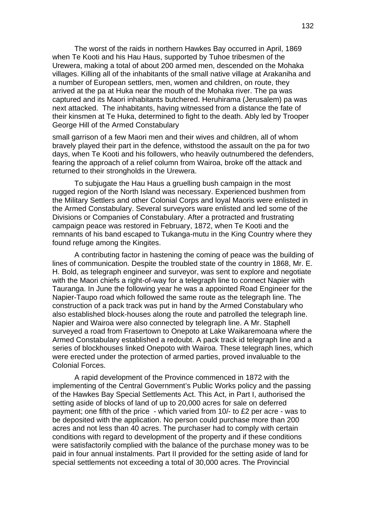The worst of the raids in northern Hawkes Bay occurred in April, 1869 when Te Kooti and his Hau Haus, supported by Tuhoe tribesmen of the Urewera, making a total of about 200 armed men, descended on the Mohaka villages. Killing all of the inhabitants of the small native village at Arakaniha and a number of European settlers, men, women and children, on route, they arrived at the pa at Huka near the mouth of the Mohaka river. The pa was captured and its Maori inhabitants butchered. Heruhirama (Jerusalem) pa was next attacked. The inhabitants, having witnessed from a distance the fate of their kinsmen at Te Huka, determined to fight to the death. Ably led by Trooper George Hill of the Armed Constabulary

small garrison of a few Maori men and their wives and children, all of whom bravely played their part in the defence, withstood the assault on the pa for two days, when Te Kooti and his followers, who heavily outnumbered the defenders, fearing the approach of a relief column from Wairoa, broke off the attack and returned to their strongholds in the Urewera.

To subjugate the Hau Haus a gruelling bush campaign in the most rugged region of the North Island was necessary. Experienced bushmen from the Military Settlers and other Colonial Corps and loyal Maoris were enlisted in the Armed Constabulary. Several surveyors ware enlisted and led some of the Divisions or Companies of Constabulary. After a protracted and frustrating campaign peace was restored in February, 1872, when Te Kooti and the remnants of his band escaped to Tukanga-mutu in the King Country where they found refuge among the Kingites.

A contributing factor in hastening the coming of peace was the building of lines of communication. Despite the troubled state of the country in 1868, Mr. E. H. Bold, as telegraph engineer and surveyor, was sent to explore and negotiate with the Maori chiefs a right-of-way for a telegraph line to connect Napier with Tauranga. In June the following year he was a appointed Road Engineer for the Napier-Taupo road which followed the same route as the telegraph line. The construction of a pack track was put in hand by the Armed Constabulary who also established block-houses along the route and patrolled the telegraph line. Napier and Wairoa were also connected by telegraph line. A Mr. Staphell surveyed a road from Frasertown to Onepoto at Lake Waikaremoana where the Armed Constabulary established a redoubt. A pack track id telegraph line and a series of blockhouses linked Onepoto with Wairoa. These telegraph lines, which were erected under the protection of armed parties, proved invaluable to the Colonial Forces.

A rapid development of the Province commenced in 1872 with the implementing of the Central Government's Public Works policy and the passing of the Hawkes Bay Special Settlements Act. This Act, in Part I, authorised the setting aside of blocks of land of up to 20,000 acres for sale on deferred payment; one fifth of the price - which varied from 10/- to £2 per acre - was to be deposited with the application. No person could purchase more than 200 acres and not less than 40 acres. The purchaser had to comply with certain conditions with regard to development of the property and if these conditions were satisfactorily complied with the balance of the purchase money was to be paid in four annual instalments. Part II provided for the setting aside of land for special settlements not exceeding a total of 30,000 acres. The Provincial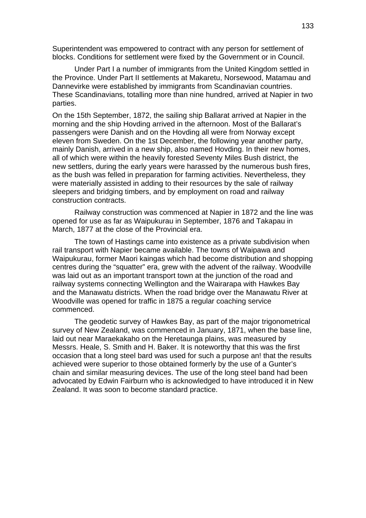Superintendent was empowered to contract with any person for settlement of blocks. Conditions for settlement were fixed by the Government or in Council.

Under Part I a number of immigrants from the United Kingdom settled in the Province. Under Part II settlements at Makaretu, Norsewood, Matamau and Dannevirke were established by immigrants from Scandinavian countries. These Scandinavians, totalling more than nine hundred, arrived at Napier in two parties.

On the 15th September, 1872, the sailing ship Ballarat arrived at Napier in the morning and the ship Hovding arrived in the afternoon. Most of the Ballarat's passengers were Danish and on the Hovding all were from Norway except eleven from Sweden. On the 1st December, the following year another party, mainly Danish, arrived in a new ship, also named Hovding. In their new homes, all of which were within the heavily forested Seventy Miles Bush district, the new settlers, during the early years were harassed by the numerous bush fires, as the bush was felled in preparation for farming activities. Nevertheless, they were materially assisted in adding to their resources by the sale of railway sleepers and bridging timbers, and by employment on road and railway construction contracts.

Railway construction was commenced at Napier in 1872 and the line was opened for use as far as Waipukurau in September, 1876 and Takapau in March, 1877 at the close of the Provincial era.

The town of Hastings came into existence as a private subdivision when rail transport with Napier became available. The towns of Waipawa and Waipukurau, former Maori kaingas which had become distribution and shopping centres during the "squatter" era, grew with the advent of the railway. Woodville was laid out as an important transport town at the junction of the road and railway systems connecting Wellington and the Wairarapa with Hawkes Bay and the Manawatu districts. When the road bridge over the Manawatu River at Woodville was opened for traffic in 1875 a regular coaching service commenced.

The geodetic survey of Hawkes Bay, as part of the major trigonometrical survey of New Zealand, was commenced in January, 1871, when the base line, laid out near Maraekakaho on the Heretaunga plains, was measured by Messrs. Heale, S. Smith and H. Baker. It is noteworthy that this was the first occasion that a long steel bard was used for such a purpose an! that the results achieved were superior to those obtained formerly by the use of a Gunter's chain and similar measuring devices. The use of the long steel band had been advocated by Edwin Fairburn who is acknowledged to have introduced it in New Zealand. It was soon to become standard practice.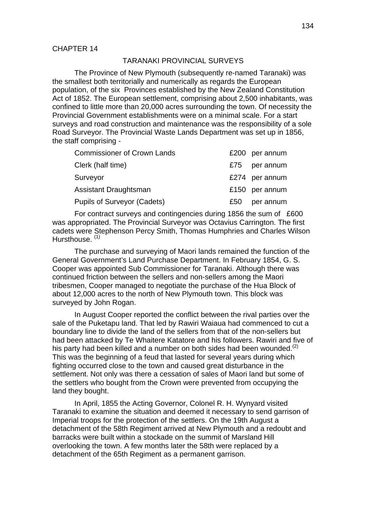#### CHAPTER 14

#### TARANAKI PROVINCIAL SURVEYS

The Province of New Plymouth (subsequently re-named Taranaki) was the smallest both territorially and numerically as regards the European population, of the six Provinces established by the New Zealand Constitution Act of 1852. The European settlement, comprising about 2,500 inhabitants, was confined to little more than 20,000 acres surrounding the town. Of necessity the Provincial Government establishments were on a minimal scale. For a start surveys and road construction and maintenance was the responsibility of a sole Road Surveyor. The Provincial Waste Lands Department was set up in 1856, the staff comprising -

| <b>Commissioner of Crown Lands</b> | £200 | per annum      |
|------------------------------------|------|----------------|
| Clerk (half time)                  | £75  | per annum      |
| Surveyor                           |      | £274 per annum |
| Assistant Draughtsman              |      | £150 per annum |
| <b>Pupils of Surveyor (Cadets)</b> | £50  | per annum      |

For contract surveys and contingencies during 1856 the sum of £600 was appropriated. The Provincial Surveyor was Octavius Carrington. The first cadets were Stephenson Percy Smith, Thomas Humphries and Charles Wilson Hursthouse.<sup>(1)</sup>

The purchase and surveying of Maori lands remained the function of the General Government's Land Purchase Department. In February 1854, G. S. Cooper was appointed Sub Commissioner for Taranaki. Although there was continued friction between the sellers and non-sellers among the Maori tribesmen, Cooper managed to negotiate the purchase of the Hua Block of about 12,000 acres to the north of New Plymouth town. This block was surveyed by John Rogan.

In August Cooper reported the conflict between the rival parties over the sale of the Puketapu land. That led by Rawiri Waiaua had commenced to cut a boundary line to divide the land of the sellers from that of the non-sellers but had been attacked by Te Whaitere Katatore and his followers. Rawiri and five of his party had been killed and a number on both sides had been wounded.<sup>(2)</sup> This was the beginning of a feud that lasted for several years during which fighting occurred close to the town and caused great disturbance in the settlement. Not only was there a cessation of sales of Maori land but some of the settlers who bought from the Crown were prevented from occupying the land they bought.

In April, 1855 the Acting Governor, Colonel R. H. Wynyard visited Taranaki to examine the situation and deemed it necessary to send garrison of Imperial troops for the protection of the settlers. On the 19th August a detachment of the 58th Regiment arrived at New Plymouth and a redoubt and barracks were built within a stockade on the summit of Marsland Hill overlooking the town. A few months later the 58th were replaced by a detachment of the 65th Regiment as a permanent garrison.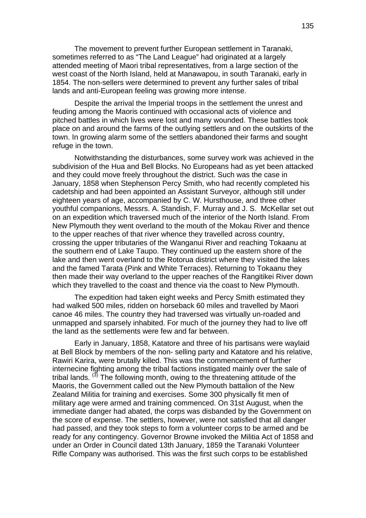The movement to prevent further European settlement in Taranaki, sometimes referred to as "The Land League" had originated at a largely attended meeting of Maori tribal representatives, from a large section of the west coast of the North Island, held at Manawapou, in south Taranaki, early in 1854. The non-sellers were determined to prevent any further sales of tribal lands and anti-European feeling was growing more intense.

Despite the arrival the Imperial troops in the settlement the unrest and feuding among the Maoris continued with occasional acts of violence and pitched battles in which lives were lost and many wounded. These battles took place on and around the farms of the outlying settlers and on the outskirts of the town. In growing alarm some of the settlers abandoned their farms and sought refuge in the town.

Notwithstanding the disturbances, some survey work was achieved in the subdivision of the Hua and Bell Blocks. No Europeans had as yet been attacked and they could move freely throughout the district. Such was the case in January, 1858 when Stephenson Percy Smith, who had recently completed his cadetship and had been appointed an Assistant Surveyor, although still under eighteen years of age, accompanied by C. W. Hursthouse, and three other youthful companions, Messrs. A. Standish, F. Murray and J. S. McKellar set out on an expedition which traversed much of the interior of the North Island. From New Plymouth they went overland to the mouth of the Mokau River and thence to the upper reaches of that river whence they travelled across country, crossing the upper tributaries of the Wanganui River and reaching Tokaanu at the southern end of Lake Taupo. They continued up the eastern shore of the lake and then went overland to the Rotorua district where they visited the lakes and the famed Tarata (Pink and White Terraces). Returning to Tokaanu they then made their way overland to the upper reaches of the Rangitikei River down which they travelled to the coast and thence via the coast to New Plymouth.

The expedition had taken eight weeks and Percy Smith estimated they had walked 500 miles, ridden on horseback 60 miles and travelled by Maori canoe 46 miles. The country they had traversed was virtually un-roaded and unmapped and sparsely inhabited. For much of the journey they had to live off the land as the settlements were few and far between.

Early in January, 1858, Katatore and three of his partisans were waylaid at Bell Block by members of the non- selling party and Katatore and his relative, Rawiri Karira, were brutally killed. This was the commencement of further internecine fighting among the tribal factions instigated mainly over the sale of tribal lands.  $(3)$  The following month, owing to the threatening attitude of the Maoris, the Government called out the New Plymouth battalion of the New Zealand Militia for training and exercises. Some 300 physically fit men of military age were armed and training commenced. On 31st August, when the immediate danger had abated, the corps was disbanded by the Government on the score of expense. The settlers, however, were not satisfied that all danger had passed, and they took steps to form a volunteer corps to be armed and be ready for any contingency. Governor Browne invoked the Militia Act of 1858 and under an Order in Council dated 13th January, 1859 the Taranaki Volunteer Rifle Company was authorised. This was the first such corps to be established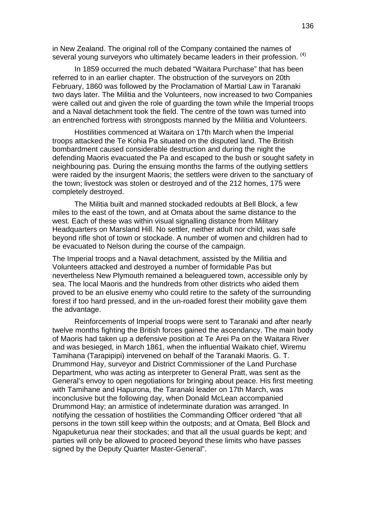in New Zealand. The original roll of the Company contained the names of several young surveyors who ultimately became leaders in their profession. <sup>(4)</sup>

In 1859 occurred the much debated "Waitara Purchase" that has been referred to in an earlier chapter. The obstruction of the surveyors on 20th February, 1860 was followed by the Proclamation of Martial Law in Taranaki two days later. The Militia and the Volunteers, now increased to two Companies were called out and given the role of guarding the town while the Imperial troops and a Naval detachment took the field. The centre of the town was turned into an entrenched fortress with strongposts manned by the Militia and Volunteers.

Hostilities commenced at Waitara on 17th March when the Imperial troops attacked the Te Kohia Pa situated on the disputed land. The British bombardment caused considerable destruction and during the night the defending Maoris evacuated the Pa and escaped to the bush or sought safety in neighbouring pas. During the ensuing months the farms of the outlying settlers were raided by the insurgent Maoris; the settlers were driven to the sanctuary of the town; livestock was stolen or destroyed and of the 212 homes, 175 were completely destroyed.

The Militia built and manned stockaded redoubts at Bell Block, a few miles to the east of the town, and at Omata about the same distance to the west. Each of these was within visual signalling distance from Military Headquarters on Marsland Hill. No settler, neither adult nor child, was safe beyond rifle shot of town or stockade. A number of women and children had to be evacuated to Nelson during the course of the campaign.

The Imperial troops and a Naval detachment, assisted by the Militia and Volunteers attacked and destroyed a number of formidable Pas but nevertheless New Plymouth remained a beleaguered town, accessible only by sea. The local Maoris and the hundreds from other districts who aided them proved to be an elusive enemy who could retire to the safety of the surrounding forest if too hard pressed, and in the un-roaded forest their mobility gave them the advantage.

Reinforcements of Imperial troops were sent to Taranaki and after nearly twelve months fighting the British forces gained the ascendancy. The main body of Maoris had taken up a defensive position at Te Arei Pa on the Waitara River and was besieged, in March 1861, when the influential Waikato chief, Wiremu Tamihana (Tarapipipi) intervened on behalf of the Taranaki Maoris. G. T. Drummond Hay, surveyor and District Commissioner of the Land Purchase Department, who was acting as interpreter to General Pratt, was sent as the General's envoy to open negotiations for bringing about peace. His first meeting with Tamihane and Hapurona, the Taranaki leader on 17th March, was inconclusive but the following day, when Donald McLean accompanied Drummond Hay; an armistice of indeterminate duration was arranged. In notifying the cessation of hostilities the Commanding Officer ordered "that all persons in the town still keep within the outposts; and at Omata, Bell Block and Ngapuketurua near their stockades; and that all the usual guards be kept; and parties will only be allowed to proceed beyond these limits who have passes signed by the Deputy Quarter Master-General".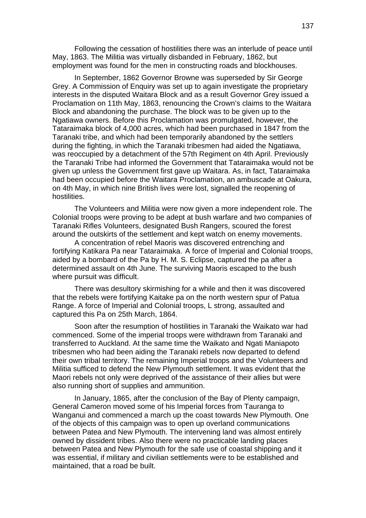Following the cessation of hostilities there was an interlude of peace until May, 1863. The Militia was virtually disbanded in February, 1862, but employment was found for the men in constructing roads and blockhouses.

In September, 1862 Governor Browne was superseded by Sir George Grey. A Commission of Enquiry was set up to again investigate the proprietary interests in the disputed Waitara Block and as a result Governor Grey issued a Proclamation on 11th May, 1863, renouncing the Crown's claims to the Waitara Block and abandoning the purchase. The block was to be given up to the Ngatiawa owners. Before this Proclamation was promulgated, however, the Tataraimaka block of 4,000 acres, which had been purchased in 1847 from the Taranaki tribe, and which had been temporarily abandoned by the settlers during the fighting, in which the Taranaki tribesmen had aided the Ngatiawa, was reoccupied by a detachment of the 57th Regiment on 4th April. Previously the Taranaki Tribe had informed the Government that Tataraimaka would not be given up unless the Government first gave up Waitara. As, in fact, Tataraimaka had been occupied before the Waitara Proclamation, an ambuscade at Oakura, on 4th May, in which nine British lives were lost, signalled the reopening of hostilities.

The Volunteers and Militia were now given a more independent role. The Colonial troops were proving to be adept at bush warfare and two companies of Taranaki Rifles Volunteers, designated Bush Rangers, scoured the forest around the outskirts of the settlement and kept watch on enemy movements.

 A concentration of rebel Maoris was discovered entrenching and fortifying Katikara Pa near Tataraimaka. A force of Imperial and Colonial troops, aided by a bombard of the Pa by H. M. S. Eclipse, captured the pa after a determined assault on 4th June. The surviving Maoris escaped to the bush where pursuit was difficult.

There was desultory skirmishing for a while and then it was discovered that the rebels were fortifying Kaitake pa on the north western spur of Patua Range. A force of Imperial and Colonial troops, L strong, assaulted and captured this Pa on 25th March, 1864.

Soon after the resumption of hostilities in Taranaki the Waikato war had commenced. Some of the imperial troops were withdrawn from Taranaki and transferred to Auckland. At the same time the Waikato and Ngati Maniapoto tribesmen who had been aiding the Taranaki rebels now departed to defend their own tribal territory. The remaining Imperial troops and the Volunteers and Militia sufficed to defend the New Plymouth settlement. It was evident that the Maori rebels not only were deprived of the assistance of their allies but were also running short of supplies and ammunition.

In January, 1865, after the conclusion of the Bay of Plenty campaign, General Cameron moved some of his Imperial forces from Tauranga to Wanganui and commenced a march up the coast towards New Plymouth. One of the objects of this campaign was to open up overland communications between Patea and New Plymouth. The intervening land was almost entirely owned by dissident tribes. Also there were no practicable landing places between Patea and New Plymouth for the safe use of coastal shipping and it was essential, if military and civilian settlements were to be established and maintained, that a road be built.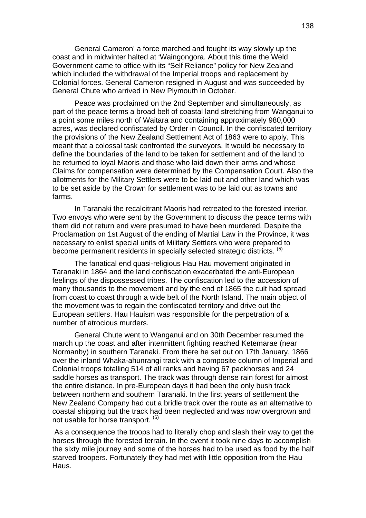General Cameron' a force marched and fought its way slowly up the coast and in midwinter halted at 'Waingongora. About this time the Weld Government came to office with its "Self Reliance" policy for New Zealand which included the withdrawal of the Imperial troops and replacement by Colonial forces. General Cameron resigned in August and was succeeded by General Chute who arrived in New Plymouth in October.

Peace was proclaimed on the 2nd September and simultaneously, as part of the peace terms a broad belt of coastal land stretching from Wanganui to a point some miles north of Waitara and containing approximately 980,000 acres, was declared confiscated by Order in Council. In the confiscated territory the provisions of the New Zealand Settlement Act of 1863 were to apply. This meant that a colossal task confronted the surveyors. It would be necessary to define the boundaries of the land to be taken for settlement and of the land to be returned to loyal Maoris and those who laid down their arms and whose Claims for compensation were determined by the Compensation Court. Also the allotments for the Military Settlers were to be laid out and other land which was to be set aside by the Crown for settlement was to be laid out as towns and farms.

In Taranaki the recalcitrant Maoris had retreated to the forested interior. Two envoys who were sent by the Government to discuss the peace terms with them did not return end were presumed to have been murdered. Despite the Proclamation on 1st August of the ending of Martial Law in the Province, it was necessary to enlist special units of Military Settlers who were prepared to become permanent residents in specially selected strategic districts. <sup>(5)</sup>

The fanatical end quasi-religious Hau Hau movement originated in Taranaki in 1864 and the land confiscation exacerbated the anti-European feelings of the dispossessed tribes. The confiscation led to the accession of many thousands to the movement and by the end of 1865 the cult had spread from coast to coast through a wide belt of the North Island. The main object of the movement was to regain the confiscated territory and drive out the European settlers. Hau Hauism was responsible for the perpetration of a number of atrocious murders.

General Chute went to Wanganui and on 30th December resumed the march up the coast and after intermittent fighting reached Ketemarae (near Normanby) in southern Taranaki. From there he set out on 17th January, 1866 over the inland Whaka-ahunrangi track with a composite column of Imperial and Colonial troops totalling 514 of all ranks and having 67 packhorses and 24 saddle horses as transport. The track was through dense rain forest for almost the entire distance. In pre-European days it had been the only bush track between northern and southern Taranaki. In the first years of settlement the New Zealand Company had cut a bridle track over the route as an alternative to coastal shipping but the track had been neglected and was now overgrown and not usable for horse transport. <sup>(6)</sup>

 As a consequence the troops had to literally chop and slash their way to get the horses through the forested terrain. In the event it took nine days to accomplish the sixty mile journey and some of the horses had to be used as food by the half starved troopers. Fortunately they had met with little opposition from the Hau Haus.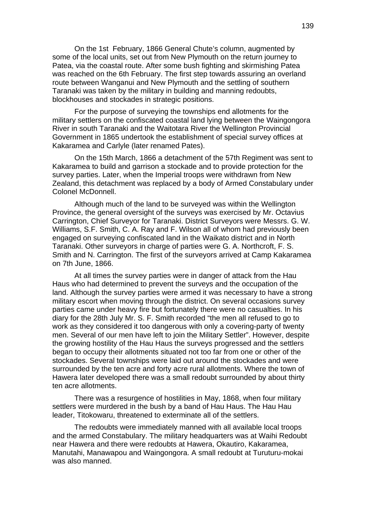On the 1st February, 1866 General Chute's column, augmented by some of the local units, set out from New Plymouth on the return journey to Patea, via the coastal route. After some bush fighting and skirmishing Patea was reached on the 6th February. The first step towards assuring an overland route between Wanganui and New Plymouth and the settling of southern Taranaki was taken by the military in building and manning redoubts, blockhouses and stockades in strategic positions.

For the purpose of surveying the townships end allotments for the military settlers on the confiscated coastal land lying between the Waingongora River in south Taranaki and the Waitotara River the Wellington Provincial Government in 1865 undertook the establishment of special survey offices at Kakaramea and Carlyle (later renamed Pates).

On the 15th March, 1866 a detachment of the 57th Regiment was sent to Kakaramea to build and garrison a stockade and to provide protection for the survey parties. Later, when the Imperial troops were withdrawn from New Zealand, this detachment was replaced by a body of Armed Constabulary under Colonel McDonnell.

Although much of the land to be surveyed was within the Wellington Province, the general oversight of the surveys was exercised by Mr. Octavius Carrington, Chief Surveyor for Taranaki. District Surveyors were Messrs. G. W. Williams, S.F. Smith, C. A. Ray and F. Wilson all of whom had previously been engaged on surveying confiscated land in the Waikato district and in North Taranaki. Other surveyors in charge of parties were G. A. Northcroft, F. S. Smith and N. Carrington. The first of the surveyors arrived at Camp Kakaramea on 7th June, 1866.

At all times the survey parties were in danger of attack from the Hau Haus who had determined to prevent the surveys and the occupation of the land. Although the survey parties were armed it was necessary to have a strong military escort when moving through the district. On several occasions survey parties came under heavy fire but fortunately there were no casualties. In his diary for the 28th July Mr. S. F. Smith recorded "the men all refused to go to work as they considered it too dangerous with only a covering-party of twenty men. Several of our men have left to join the Military Settler". However, despite the growing hostility of the Hau Haus the surveys progressed and the settlers began to occupy their allotments situated not too far from one or other of the stockades. Several townships were laid out around the stockades and were surrounded by the ten acre and forty acre rural allotments. Where the town of Hawera later developed there was a small redoubt surrounded by about thirty ten acre allotments.

There was a resurgence of hostilities in May, 1868, when four military settlers were murdered in the bush by a band of Hau Haus. The Hau Hau leader, Titokowaru, threatened to exterminate all of the settlers.

The redoubts were immediately manned with all available local troops and the armed Constabulary. The military headquarters was at Waihi Redoubt near Hawera and there were redoubts at Hawera, Okautiro, Kakaramea, Manutahi, Manawapou and Waingongora. A small redoubt at Turuturu-mokai was also manned.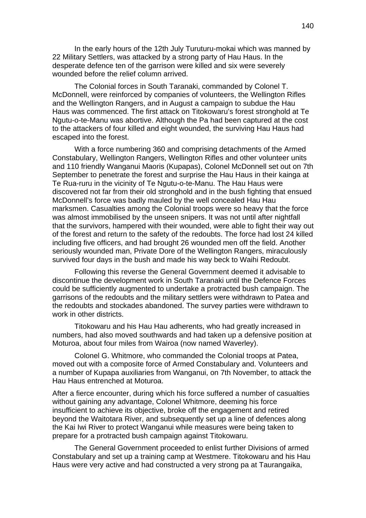In the early hours of the 12th July Turuturu-mokai which was manned by 22 Military Settlers, was attacked by a strong party of Hau Haus. In the desperate defence ten of the garrison were killed and six were severely wounded before the relief column arrived.

The Colonial forces in South Taranaki, commanded by Colonel T. McDonnell, were reinforced by companies of volunteers, the Wellington Rifles and the Wellington Rangers, and in August a campaign to subdue the Hau Haus was commenced. The first attack on Titokowaru's forest stronghold at Te Ngutu-o-te-Manu was abortive. Although the Pa had been captured at the cost to the attackers of four killed and eight wounded, the surviving Hau Haus had escaped into the forest.

With a force numbering 360 and comprising detachments of the Armed Constabulary, Wellington Rangers, Wellington Rifles and other volunteer units and 110 friendly Wanganui Maoris (Kupapas), Colonel McDonnell set out on 7th September to penetrate the forest and surprise the Hau Haus in their kainga at Te Rua-ruru in the vicinity of Te Ngutu-o-te-Manu. The Hau Haus were discovered not far from their old stronghold and in the bush fighting that ensued McDonnell's force was badly mauled by the well concealed Hau Hau marksmen. Casualties among the Colonial troops were so heavy that the force was almost immobilised by the unseen snipers. It was not until after nightfall that the survivors, hampered with their wounded, were able to fight their way out of the forest and return to the safety of the redoubts. The force had lost 24 killed including five officers, and had brought 26 wounded men off the field. Another seriously wounded man, Private Dore of the Wellington Rangers, miraculously survived four days in the bush and made his way beck to Waihi Redoubt.

Following this reverse the General Government deemed it advisable to discontinue the development work in South Taranaki until the Defence Forces could be sufficiently augmented to undertake a protracted bush campaign. The garrisons of the redoubts and the military settlers were withdrawn to Patea and the redoubts and stockades abandoned. The survey parties were withdrawn to work in other districts.

Titokowaru and his Hau Hau adherents, who had greatly increased in numbers, had also moved southwards and had taken up a defensive position at Moturoa, about four miles from Wairoa (now named Waverley).

Colonel G. Whitmore, who commanded the Colonial troops at Patea, moved out with a composite force of Armed Constabulary and. Volunteers and a number of Kupapa auxiliaries from Wanganui, on 7th November, to attack the Hau Haus entrenched at Moturoa.

After a fierce encounter, during which his force suffered a number of casualties without gaining any advantage, Colonel Whitmore, deeming his force insufficient to achieve its objective, broke off the engagement and retired beyond the Waitotara River, and subsequently set up a line of defences along the Kai Iwi River to protect Wanganui while measures were being taken to prepare for a protracted bush campaign against Titokowaru.

The General Government proceeded to enlist further Divisions of armed Constabulary and set up a training camp at Westmere. Titokowaru and his Hau Haus were very active and had constructed a very strong pa at Taurangaika,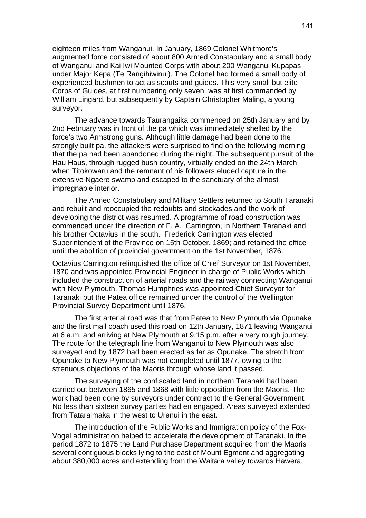eighteen miles from Wanganui. In January, 1869 Colonel Whitmore's augmented force consisted of about 800 Armed Constabulary and a small body of Wanganui and Kai Iwi Mounted Corps with about 200 Wanganui Kupapas under Major Kepa (Te Rangihiwinui). The Colonel had formed a small body of experienced bushmen to act as scouts and guides. This very small but elite Corps of Guides, at first numbering only seven, was at first commanded by William Lingard, but subsequently by Captain Christopher Maling, a young surveyor.

The advance towards Taurangaika commenced on 25th January and by 2nd February was in front of the pa which was immediately shelled by the force's two Armstrong guns. Although little damage had been done to the strongly built pa, the attackers were surprised to find on the following morning that the pa had been abandoned during the night. The subsequent pursuit of the Hau Haus, through rugged bush country, virtually ended on the 24th March when Titokowaru and the remnant of his followers eluded capture in the extensive Ngaere swamp and escaped to the sanctuary of the almost impregnable interior.

The Armed Constabulary and Military Settlers returned to South Taranaki and rebuilt and reoccupied the redoubts and stockades and the work of developing the district was resumed. A programme of road construction was commenced under the direction of F. A. Carrington, in Northern Taranaki and his brother Octavius in the south. Frederick Carrington was elected Superintendent of the Province on 15th October, 1869; and retained the office until the abolition of provincial government on the 1st November, 1876.

Octavius Carrington relinquished the office of Chief Surveyor on 1st November, 1870 and was appointed Provincial Engineer in charge of Public Works which included the construction of arterial roads and the railway connecting Wanganui with New Plymouth. Thomas Humphries was appointed Chief Surveyor for Taranaki but the Patea office remained under the control of the Wellington Provincial Survey Department until 1876.

The first arterial road was that from Patea to New Plymouth via Opunake and the first mail coach used this road on 12th January, 1871 leaving Wanganui at 6 a.m. and arriving at New Plymouth at 9.15 p.m. after a very rough journey. The route for the telegraph line from Wanganui to New Plymouth was also surveyed and by 1872 had been erected as far as Opunake. The stretch from Opunake to New Plymouth was not completed until 1877, owing to the strenuous objections of the Maoris through whose land it passed.

The surveying of the confiscated land in northern Taranaki had been carried out between 1865 and 1868 with little opposition from the Maoris. The work had been done by surveyors under contract to the General Government. No less than sixteen survey parties had en engaged. Areas surveyed extended from Tataraimaka in the west to Urenui in the east.

The introduction of the Public Works and Immigration policy of the Fox-Vogel administration helped to accelerate the development of Taranaki. In the period 1872 to 1875 the Land Purchase Department acquired from the Maoris several contiguous blocks lying to the east of Mount Egmont and aggregating about 380,000 acres and extending from the Waitara valley towards Hawera.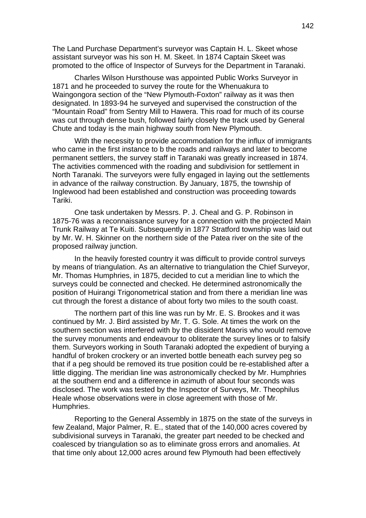The Land Purchase Department's surveyor was Captain H. L. Skeet whose assistant surveyor was his son H. M. Skeet. In 1874 Captain Skeet was promoted to the office of Inspector of Surveys for the Department in Taranaki.

Charles Wilson Hursthouse was appointed Public Works Surveyor in 1871 and he proceeded to survey the route for the Whenuakura to Waingongora section of the "New Plymouth-Foxton" railway as it was then designated. In 1893-94 he surveyed and supervised the construction of the "Mountain Road" from Sentry Mill to Hawera. This road for much of its course was cut through dense bush, followed fairly closely the track used by General Chute and today is the main highway south from New Plymouth.

With the necessity to provide accommodation for the influx of immigrants who came in the first instance to b the roads and railways and later to become permanent settlers, the survey staff in Taranaki was greatly increased in 1874. The activities commenced with the roading and subdivision for settlement in North Taranaki. The surveyors were fully engaged in laying out the settlements in advance of the railway construction. By January, 1875, the township of Inglewood had been established and construction was proceeding towards Tariki.

One task undertaken by Messrs. P. J. Cheal and G. P. Robinson in 1875-76 was a reconnaissance survey for a connection with the projected Main Trunk Railway at Te Kuiti. Subsequently in 1877 Stratford township was laid out by Mr. W. H. Skinner on the northern side of the Patea river on the site of the proposed railway junction.

In the heavily forested country it was difficult to provide control surveys by means of triangulation. As an alternative to triangulation the Chief Surveyor, Mr. Thomas Humphries, in 1875, decided to cut a meridian line to which the surveys could be connected and checked. He determined astronomically the position of Huirangi Trigonometrical station and from there a meridian line was cut through the forest a distance of about forty two miles to the south coast.

The northern part of this line was run by Mr. E. S. Brookes and it was continued by Mr. J. Bird assisted by Mr. T. G. Sole. At times the work on the southern section was interfered with by the dissident Maoris who would remove the survey monuments and endeavour to obliterate the survey lines or to falsify them. Surveyors working in South Taranaki adopted the expedient of burying a handful of broken crockery or an inverted bottle beneath each survey peg so that if a peg should be removed its true position could be re-established after a little digging. The meridian line was astronomically checked by Mr. Humphries at the southern end and a difference in azimuth of about four seconds was disclosed. The work was tested by the Inspector of Surveys, Mr. Theophilus Heale whose observations were in close agreement with those of Mr. Humphries.

Reporting to the General Assembly in 1875 on the state of the surveys in few Zealand, Major Palmer, R. E., stated that of the 140,000 acres covered by subdivisional surveys in Taranaki, the greater part needed to be checked and coalesced by triangulation so as to eliminate gross errors and anomalies. At that time only about 12,000 acres around few Plymouth had been effectively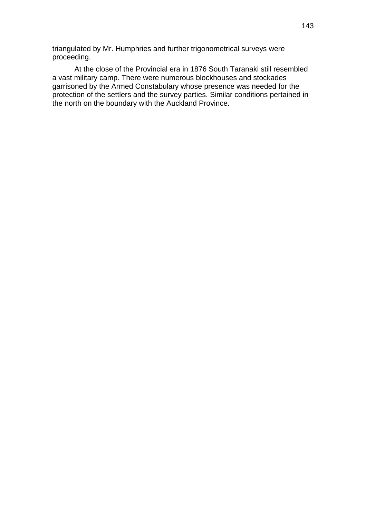triangulated by Mr. Humphries and further trigonometrical surveys were proceeding.

At the close of the Provincial era in 1876 South Taranaki still resembled a vast military camp. There were numerous blockhouses and stockades garrisoned by the Armed Constabulary whose presence was needed for the protection of the settlers and the survey parties. Similar conditions pertained in the north on the boundary with the Auckland Province.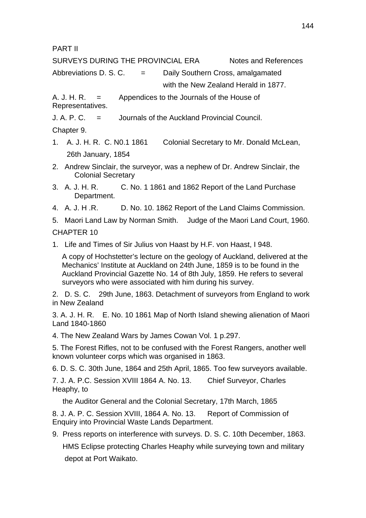PART II

SURVEYS DURING THE PROVINCIAL ERA Notes and References

Abbreviations D. S. C.  $=$  Daily Southern Cross, amalgamated

with the New Zealand Herald in 1877.

A. J. H. R.  $=$  Appendices to the Journals of the House of Representatives.

J. A. P. C. = Journals of the Auckland Provincial Council.

Chapter 9.

- 1. A. J. H. R. C. N0.1 1861 Colonial Secretary to Mr. Donald McLean, 26th January, 1854
- 2. Andrew Sinclair, the surveyor, was a nephew of Dr. Andrew Sinclair, the Colonial Secretary
- 3. A. J. H. R. C. No. 1 1861 and 1862 Report of the Land Purchase Department.
- 4. A. J. H .R. D. No. 10. 1862 Report of the Land Claims Commission.

5. Maori Land Law by Norman Smith. Judge of the Maori Land Court, 1960. CHAPTER 10

1. Life and Times of Sir Julius von Haast by H.F. von Haast, I 948.

A copy of Hochstetter's lecture on the geology of Auckland, delivered at the Mechanics' Institute at Auckland on 24th June, 1859 is to be found in the Auckland Provincial Gazette No. 14 of 8th July, 1859. He refers to several surveyors who were associated with him during his survey.

2. D. S. C. 29th June, 1863. Detachment of surveyors from England to work in New Zealand

3. A. J. H. R. E. No. 10 1861 Map of North Island shewing alienation of Maori Land 1840-1860

4. The New Zealand Wars by James Cowan Vol. 1 p.297.

5. The Forest Rifles, not to be confused with the Forest Rangers, another well known volunteer corps which was organised in 1863.

6. D. S. C. 30th June, 1864 and 25th April, 1865. Too few surveyors available.

7. J. A. P.C. Session XVIII 1864 A. No. 13. Chief Surveyor, Charles Heaphy, to

the Auditor General and the Colonial Secretary, 17th March, 1865

8. J. A. P. C. Session XVIII, 1864 A. No. 13. Report of Commission of Enquiry into Provincial Waste Lands Department.

9. Press reports on interference with surveys. D. S. C. 10th December, 1863. HMS Eclipse protecting Charles Heaphy while surveying town and military depot at Port Waikato.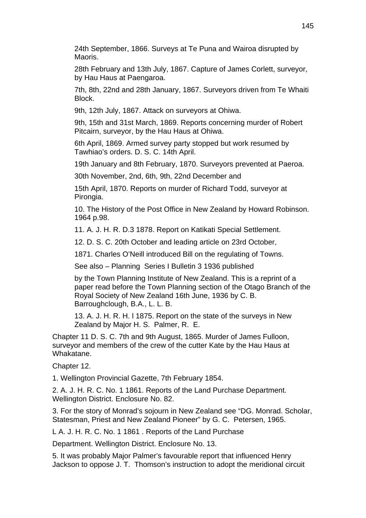24th September, 1866. Surveys at Te Puna and Wairoa disrupted by Maoris.

28th February and 13th July, 1867. Capture of James Corlett, surveyor, by Hau Haus at Paengaroa.

7th, 8th, 22nd and 28th January, 1867. Surveyors driven from Te Whaiti Block.

9th, 12th July, 1867. Attack on surveyors at Ohiwa.

9th, 15th and 31st March, 1869. Reports concerning murder of Robert Pitcairn, surveyor, by the Hau Haus at Ohiwa.

6th April, 1869. Armed survey party stopped but work resumed by Tawhiao's orders. D. S. C. 14th April.

19th January and 8th February, 1870. Surveyors prevented at Paeroa.

30th November, 2nd, 6th, 9th, 22nd December and

15th April, 1870. Reports on murder of Richard Todd, surveyor at Pirongia.

10. The History of the Post Office in New Zealand by Howard Robinson. 1964 p.98.

11. A. J. H. R. D.3 1878. Report on Katikati Special Settlement.

12. D. S. C. 20th October and leading article on 23rd October,

1871. Charles O'Neill introduced Bill on the regulating of Towns.

See also – Planning Series I Bulletin 3 1936 published

by the Town Planning Institute of New Zealand. This is a reprint of a paper read before the Town Planning section of the Otago Branch of the Royal Society of New Zealand 16th June, 1936 by C. B. Barroughclough, B.A., L. L. B.

13. A. J. H. R. H. l 1875. Report on the state of the surveys in New Zealand by Major H. S. Palmer, R. E.

Chapter 11 D. S. C. 7th and 9th August, 1865. Murder of James Fulloon, surveyor and members of the crew of the cutter Kate by the Hau Haus at Whakatane.

Chapter 12.

1. Wellington Provincial Gazette, 7th February 1854.

2. A. J. H. R. C. No. 1 1861. Reports of the Land Purchase Department. Wellington District. Enclosure No. 82.

3. For the story of Monrad's sojourn in New Zealand see "DG. Monrad. Scholar, Statesman, Priest and New Zealand Pioneer" by G. C. Petersen, 1965.

L A. J. H. R. C. No. 1 1861 . Reports of the Land Purchase

Department. Wellington District. Enclosure No. 13.

5. It was probably Major Palmer's favourable report that influenced Henry Jackson to oppose J. T. Thomson's instruction to adopt the meridional circuit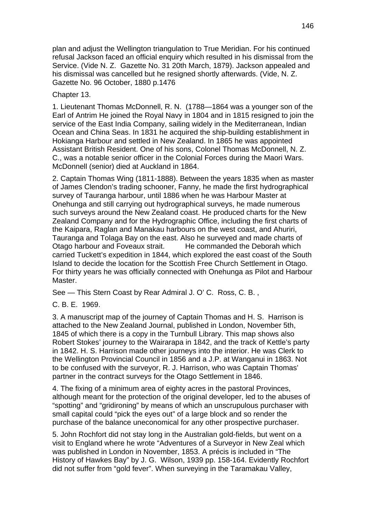plan and adjust the Wellington triangulation to True Meridian. For his continued refusal Jackson faced an official enquiry which resulted in his dismissal from the Service. (Vide N. Z. Gazette No. 31 20th March, 1879). Jackson appealed and his dismissal was cancelled but he resigned shortly afterwards. (Vide, N. Z. Gazette No. 96 October, 1880 p.1476

Chapter 13.

1. Lieutenant Thomas McDonnell, R. N. (1788—1864 was a younger son of the Earl of Antrim He joined the Royal Navy in 1804 and in 1815 resigned to join the service of the East India Company, sailing widely in the Mediterranean, Indian Ocean and China Seas. In 1831 he acquired the ship-building establishment in Hokianga Harbour and settled in New Zealand. In 1865 he was appointed Assistant British Resident. One of his sons, Colonel Thomas McDonnell, N. Z. C., was a notable senior officer in the Colonial Forces during the Maori Wars. McDonnell (senior) died at Auckland in 1864.

2. Captain Thomas Wing (1811-1888). Between the years 1835 when as master of James Clendon's trading schooner, Fanny, he made the first hydrographical survey of Tauranga harbour, until 1886 when he was Harbour Master at Onehunga and still carrying out hydrographical surveys, he made numerous such surveys around the New Zealand coast. He produced charts for the New Zealand Company and for the Hydrographic Office, including the first charts of the Kaipara, Raglan and Manakau harbours on the west coast, and Ahuriri, Tauranga and Tolaga Bay on the east. Also he surveyed and made charts of Otago harbour and Foveaux strait. He commanded the Deborah which carried Tuckett's expedition in 1844, which explored the east coast of the South Island to decide the location for the Scottish Free Church Settlement in Otago. For thirty years he was officially connected with Onehunga as Pilot and Harbour **Master** 

See — This Stern Coast by Rear Admiral J. O' C. Ross, C. B. ,

C. B. E. 1969.

3. A manuscript map of the journey of Captain Thomas and H. S. Harrison is attached to the New Zealand Journal, published in London, November 5th, 1845 of which there is a copy in the Turnbull Library. This map shows also Robert Stokes' journey to the Wairarapa in 1842, and the track of Kettle's party in 1842. H. S. Harrison made other journeys into the interior. He was Clerk to the Wellington Provincial Council in 1856 and a J.P. at Wanganui in 1863. Not to be confused with the surveyor, R. J. Harrison, who was Captain Thomas' partner in the contract surveys for the Otago Settlement in 1846.

4. The fixing of a minimum area of eighty acres in the pastoral Provinces, although meant for the protection of the original developer, led to the abuses of "spotting" and "gridironing" by means of which an unscrupulous purchaser with small capital could "pick the eyes out" of a large block and so render the purchase of the balance uneconomical for any other prospective purchaser.

5. John Rochfort did not stay long in the Australian gold-fields, but went on a visit to England where he wrote "Adventures of a Surveyor in New Zeal which was published in London in November, 1853. A précis is included in "The History of Hawkes Bay" by J. G. Wilson, 1939 pp. 158-164. Evidently Rochfort did not suffer from "gold fever". When surveying in the Taramakau Valley,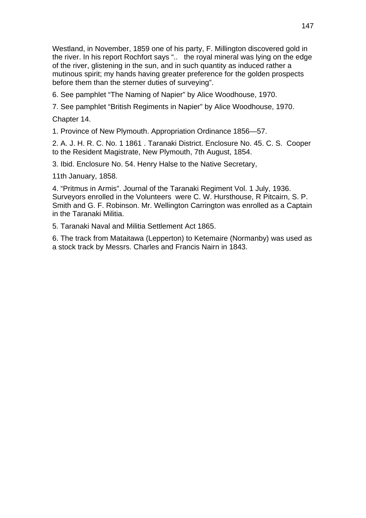Westland, in November, 1859 one of his party, F. Millington discovered gold in the river. In his report Rochfort says ".. the royal mineral was lying on the edge of the river, glistening in the sun, and in such quantity as induced rather a mutinous spirit; my hands having greater preference for the golden prospects before them than the sterner duties of surveying".

6. See pamphlet "The Naming of Napier" by Alice Woodhouse, 1970.

7. See pamphlet "British Regiments in Napier" by Alice Woodhouse, 1970.

Chapter 14.

1. Province of New Plymouth. Appropriation Ordinance 1856—57.

2. A. J. H. R. C. No. 1 1861 . Taranaki District. Enclosure No. 45. C. S. Cooper to the Resident Magistrate, New Plymouth, 7th August, 1854.

3. Ibid. Enclosure No. 54. Henry Halse to the Native Secretary,

11th January, 1858.

4. "Pritmus in Armis". Journal of the Taranaki Regiment Vol. 1 July, 1936. Surveyors enrolled in the Volunteers were C. W. Hursthouse, R Pitcairn, S. P. Smith and G. F. Robinson. Mr. Wellington Carrington was enrolled as a Captain in the Taranaki Militia.

5. Taranaki Naval and Militia Settlement Act 1865.

6. The track from Mataitawa (Lepperton) to Ketemaire (Normanby) was used as a stock track by Messrs. Charles and Francis Nairn in 1843.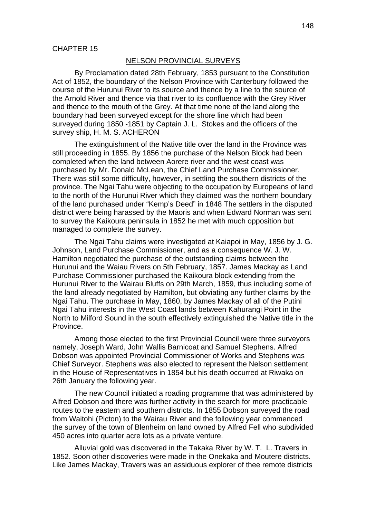### NELSON PROVINCIAL SURVEYS

By Proclamation dated 28th February, 1853 pursuant to the Constitution Act of 1852, the boundary of the Nelson Province with Canterbury followed the course of the Hurunui River to its source and thence by a line to the source of the Arnold River and thence via that river to its confluence with the Grey River and thence to the mouth of the Grey. At that time none of the land along the boundary had been surveyed except for the shore line which had been surveyed during 1850 -1851 by Captain J. L. Stokes and the officers of the survey ship, H. M. S. ACHERON

The extinguishment of the Native title over the land in the Province was still proceeding in 1855. By 1856 the purchase of the Nelson Block had been completed when the land between Aorere river and the west coast was purchased by Mr. Donald McLean, the Chief Land Purchase Commissioner. There was still some difficulty, however, in settling the southern districts of the province. The Ngai Tahu were objecting to the occupation by Europeans of land to the north of the Hurunui River which they claimed was the northern boundary of the land purchased under "Kemp's Deed" in 1848 The settlers in the disputed district were being harassed by the Maoris and when Edward Norman was sent to survey the Kaikoura peninsula in 1852 he met with much opposition but managed to complete the survey.

The Ngai Tahu claims were investigated at Kaiapoi in May, 1856 by J. G. Johnson, Land Purchase Commissioner, and as a consequence W. J. W. Hamilton negotiated the purchase of the outstanding claims between the Hurunui and the Waiau Rivers on 5th February, 1857. James Mackay as Land Purchase Commissioner purchased the Kaikoura block extending from the Hurunui River to the Wairau Bluffs on 29th March, 1859, thus including some of the land already negotiated by Hamilton, but obviating any further claims by the Ngai Tahu. The purchase in May, 1860, by James Mackay of all of the Putini Ngai Tahu interests in the West Coast lands between Kahurangi Point in the North to Milford Sound in the south effectively extinguished the Native title in the Province.

Among those elected to the first Provincial Council were three surveyors namely, Joseph Ward, John Wallis Barnicoat and Samuel Stephens. Alfred Dobson was appointed Provincial Commissioner of Works and Stephens was Chief Surveyor. Stephens was also elected to represent the Nelson settlement in the House of Representatives in 1854 but his death occurred at Riwaka on 26th January the following year.

The new Council initiated a roading programme that was administered by Alfred Dobson and there was further activity in the search for more practicable routes to the eastern and southern districts. In 1855 Dobson surveyed the road from Waitohi (Picton) to the Wairau River and the following year commenced the survey of the town of Blenheim on land owned by Alfred Fell who subdivided 450 acres into quarter acre lots as a private venture.

Alluvial gold was discovered in the Takaka River by W. T. L. Travers in 1852. Soon other discoveries were made in the Onekaka and Moutere districts. Like James Mackay, Travers was an assiduous explorer of thee remote districts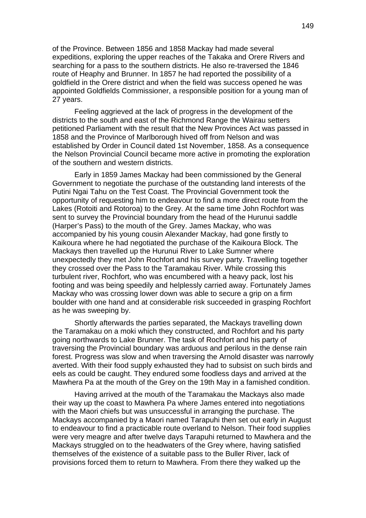of the Province. Between 1856 and 1858 Mackay had made several expeditions, exploring the upper reaches of the Takaka and Orere Rivers and searching for a pass to the southern districts. He also re-traversed the 1846 route of Heaphy and Brunner. In 1857 he had reported the possibility of a goldfield in the Orere district and when the field was success opened he was appointed Goldfields Commissioner, a responsible position for a young man of 27 years.

Feeling aggrieved at the lack of progress in the development of the districts to the south and east of the Richmond Range the Wairau setters petitioned Parliament with the result that the New Provinces Act was passed in 1858 and the Province of Marlborough hived off from Nelson and was established by Order in Council dated 1st November, 1858. As a consequence the Nelson Provincial Council became more active in promoting the exploration of the southern and western districts.

Early in 1859 James Mackay had been commissioned by the General Government to negotiate the purchase of the outstanding land interests of the Putini Ngai Tahu on the Test Coast. The Provincial Government took the opportunity of requesting him to endeavour to find a more direct route from the Lakes (Rotoiti and Rotoroa) to the Grey. At the same time John Rochfort was sent to survey the Provincial boundary from the head of the Hurunui saddle (Harper's Pass) to the mouth of the Grey. James Mackay, who was accompanied by his young cousin Alexander Mackay, had gone firstly to Kaikoura where he had negotiated the purchase of the Kaikoura Block. The Mackays then travelled up the Hurunui River to Lake Sumner where unexpectedly they met John Rochfort and his survey party. Travelling together they crossed over the Pass to the Taramakau River. While crossing this turbulent river, Rochfort, who was encumbered with a heavy pack, lost his footing and was being speedily and helplessly carried away. Fortunately James Mackay who was crossing lower down was able to secure a grip on a firm boulder with one hand and at considerable risk succeeded in grasping Rochfort as he was sweeping by.

Shortly afterwards the parties separated, the Mackays travelling down the Taramakau on a moki which they constructed, and Rochfort and his party going northwards to Lake Brunner. The task of Rochfort and his party of traversing the Provincial boundary was arduous and perilous in the dense rain forest. Progress was slow and when traversing the Arnold disaster was narrowly averted. With their food supply exhausted they had to subsist on such birds and eels as could be caught. They endured some foodless days and arrived at the Mawhera Pa at the mouth of the Grey on the 19th May in a famished condition.

Having arrived at the mouth of the Taramakau the Mackays also made their way up the coast to Mawhera Pa where James entered into negotiations with the Maori chiefs but was unsuccessful in arranging the purchase. The Mackays accompanied by a Maori named Tarapuhi then set out early in August to endeavour to find a practicable route overland to Nelson. Their food supplies were very meagre and after twelve days Tarapuhi returned to Mawhera and the Mackays struggled on to the headwaters of the Grey where, having satisfied themselves of the existence of a suitable pass to the Buller River, lack of provisions forced them to return to Mawhera. From there they walked up the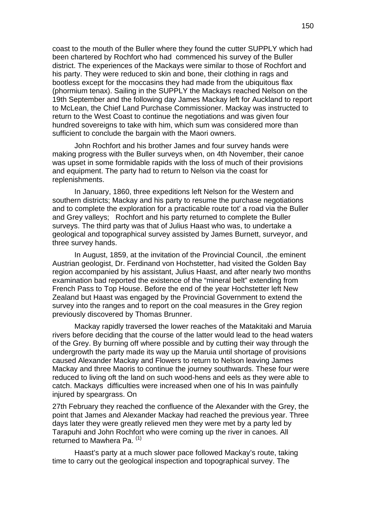coast to the mouth of the Buller where they found the cutter SUPPLY which had been chartered by Rochfort who had commenced his survey of the Buller district. The experiences of the Mackays were similar to those of Rochfort and his party. They were reduced to skin and bone, their clothing in rags and bootless except for the moccasins they had made from the ubiquitous flax (phormium tenax). Sailing in the SUPPLY the Mackays reached Nelson on the 19th September and the following day James Mackay left for Auckland to report to McLean, the Chief Land Purchase Commissioner. Mackay was instructed to return to the West Coast to continue the negotiations and was given four hundred sovereigns to take with him, which sum was considered more than sufficient to conclude the bargain with the Maori owners.

John Rochfort and his brother James and four survey hands were making progress with the Buller surveys when, on 4th November, their canoe was upset in some formidable rapids with the loss of much of their provisions and equipment. The party had to return to Nelson via the coast for replenishments.

In January, 1860, three expeditions left Nelson for the Western and southern districts; Mackay and his party to resume the purchase negotiations and to complete the exploration for a practicable route tot' a road via the Buller and Grey valleys; Rochfort and his party returned to complete the Buller surveys. The third party was that of Julius Haast who was, to undertake a geological and topographical survey assisted by James Burnett, surveyor, and three survey hands.

In August, 1859, at the invitation of the Provincial Council, .the eminent Austrian geologist, Dr. Ferdinand von Hochstetter, had visited the Golden Bay region accompanied by his assistant, Julius Haast, and after nearly two months examination bad reported the existence of the "mineral belt" extending from French Pass to Top House. Before the end of the year Hochstetter left New Zealand but Haast was engaged by the Provincial Government to extend the survey into the ranges and to report on the coal measures in the Grey region previously discovered by Thomas Brunner.

Mackay rapidly traversed the lower reaches of the Matakitaki and Maruia rivers before deciding that the course of the latter would lead to the head waters of the Grey. By burning off where possible and by cutting their way through the undergrowth the party made its way up the Maruia until shortage of provisions caused Alexander Mackay and Flowers to return to Nelson leaving James Mackay and three Maoris to continue the journey southwards. These four were reduced to living oft the land on such wood-hens and eels as they were able to catch. Mackays difficulties were increased when one of his In was painfully injured by speargrass. On

27th February they reached the confluence of the Alexander with the Grey, the point that James and Alexander Mackay had reached the previous year. Three days later they were greatly relieved men they were met by a party led by Tarapuhi and John Rochfort who were coming up the river in canoes. All returned to Mawhera Pa.<sup>(1)</sup>

Haast's party at a much slower pace followed Mackay's route, taking time to carry out the geological inspection and topographical survey. The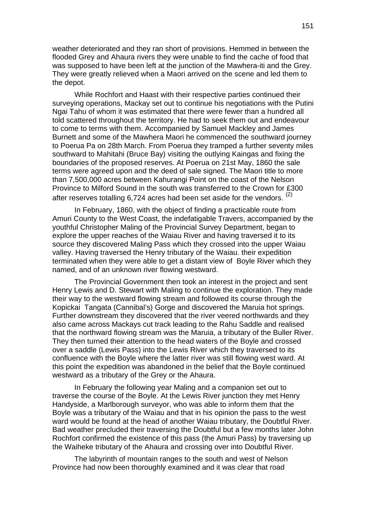weather deteriorated and they ran short of provisions. Hemmed in between the flooded Grey and Ahaura rivers they were unable to find the cache of food that was supposed to have been left at the junction of the Mawhera-iti and the Grey. They were greatly relieved when a Maori arrived on the scene and led them to the depot.

While Rochfort and Haast with their respective parties continued their surveying operations, Mackay set out to continue his negotiations with the Putini Ngai Tahu of whom it was estimated that there were fewer than a hundred all told scattered throughout the territory. He had to seek them out and endeavour to come to terms with them. Accompanied by Samuel Mackley and James Burnett and some of the Mawhera Maori he commenced the southward journey to Poerua Pa on 28th March. From Poerua they tramped a further seventy miles southward to Mahitahi (Bruce Bay) visiting the outlying Kaingas and fixing the boundaries of the proposed reserves. At Poerua on 21st May, 1860 the sale terms were agreed upon and the deed of sale signed. The Maori title to more than 7,500,000 acres between Kahurangi Point on the coast of the Nelson Province to Milford Sound in the south was transferred to the Crown for £300 after reserves totalling 6,724 acres had been set aside for the vendors.  $(2)$ 

In February, 1860, with the object of finding a practicable route from Amuri County to the West Coast, the indefatigable Travers, accompanied by the youthful Christopher Maling of the Provincial Survey Department, began to explore the upper reaches of the Waiau River and having traversed it to its source they discovered Maling Pass which they crossed into the upper Waiau valley. Having traversed the Henry tributary of the Waiau. their expedition terminated when they were able to get a distant view of Boyle River which they named, and of an unknown river flowing westward.

The Provincial Government then took an interest in the project and sent Henry Lewis and D. Stewart with Maling to continue the exploration. They made their way to the westward flowing stream and followed its course through the Kopickai Tangata (Cannibal's) Gorge and discovered the Maruia hot springs. Further downstream they discovered that the river veered northwards and they also came across Mackays cut track leading to the Rahu Saddle and realised that the northward flowing stream was the Maruia, a tributary of the Buller River. They then turned their attention to the head waters of the Boyle and crossed over a saddle (Lewis Pass) into the Lewis River which they traversed to its confluence with the Boyle where the latter river was still flowing west ward. At this point the expedition was abandoned in the belief that the Boyle continued westward as a tributary of the Grey or the Ahaura.

In February the following year Maling and a companion set out to traverse the course of the Boyle. At the Lewis River junction they met Henry Handyside, a Marlborough surveyor, who was able to inform them that the Boyle was a tributary of the Waiau and that in his opinion the pass to the west ward would be found at the head of another Waiau tributary, the Doubtful River. Bad weather precluded their traversing the Doubtful but a few months later John Rochfort confirmed the existence of this pass (the Amuri Pass) by traversing up the Waiheke tributary of the Ahaura and crossing over into Doubtful River.

The labyrinth of mountain ranges to the south and west of Nelson Province had now been thoroughly examined and it was clear that road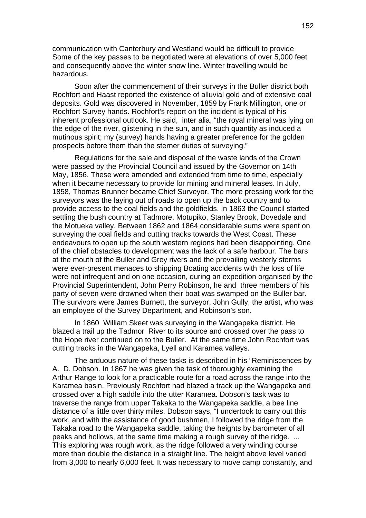communication with Canterbury and Westland would be difficult to provide Some of the key passes to be negotiated were at elevations of over 5,000 feet and consequently above the winter snow line. Winter travelling would be hazardous.

Soon after the commencement of their surveys in the Buller district both Rochfort and Haast reported the existence of alluvial gold and of extensive coal deposits. Gold was discovered in November, 1859 by Frank Millington, one or Rochfort Survey hands. Rochfort's report on the incident is typical of his inherent professional outlook. He said, inter alia, "the royal mineral was lying on the edge of the river, glistening in the sun, and in such quantity as induced a mutinous spirit; my (survey) hands having a greater preference for the golden prospects before them than the sterner duties of surveying."

Regulations for the sale and disposal of the waste lands of the Crown were passed by the Provincial Council and issued by the Governor on 14th May, 1856. These were amended and extended from time to time, especially when it became necessary to provide for mining and mineral leases. In July, 1858, Thomas Brunner became Chief Surveyor. The more pressing work for the surveyors was the laying out of roads to open up the back country and to provide access to the coal fields and the goldfields. In 1863 the Council started settling the bush country at Tadmore, Motupiko, Stanley Brook, Dovedale and the Motueka valley. Between 1862 and 1864 considerable sums were spent on surveying the coal fields and cutting tracks towards the West Coast. These endeavours to open up the south western regions had been disappointing. One of the chief obstacles to development was the lack of a safe harbour. The bars at the mouth of the Buller and Grey rivers and the prevailing westerly storms were ever-present menaces to shipping Boating accidents with the loss of life were not infrequent and on one occasion, during an expedition organised by the Provincial Superintendent, John Perry Robinson, he and three members of his party of seven were drowned when their boat was swamped on the Buller bar. The survivors were James Burnett, the surveyor, John Gully, the artist, who was an employee of the Survey Department, and Robinson's son.

In 1860 William Skeet was surveying in the Wangapeka district. He blazed a trail up the Tadmor River to its source and crossed over the pass to the Hope river continued on to the Buller. At the same time John Rochfort was cutting tracks in the Wangapeka, Lyell and Karamea valleys.

The arduous nature of these tasks is described in his "Reminiscences by A. D. Dobson. In 1867 he was given the task of thoroughly examining the Arthur Range to look for a practicable route for a road across the range into the Karamea basin. Previously Rochfort had blazed a track up the Wangapeka and crossed over a high saddle into the utter Karamea. Dobson's task was to traverse the range from upper Takaka to the Wangapeka saddle, a bee line distance of a little over thirty miles. Dobson says, "I undertook to carry out this work, and with the assistance of good bushmen, I followed the ridge from the Takaka road to the Wangapeka saddle, taking the heights by barometer of all peaks and hollows, at the same time making a rough survey of the ridge. ... This exploring was rough work, as the ridge followed a very winding course more than double the distance in a straight line. The height above level varied from 3,000 to nearly 6,000 feet. It was necessary to move camp constantly, and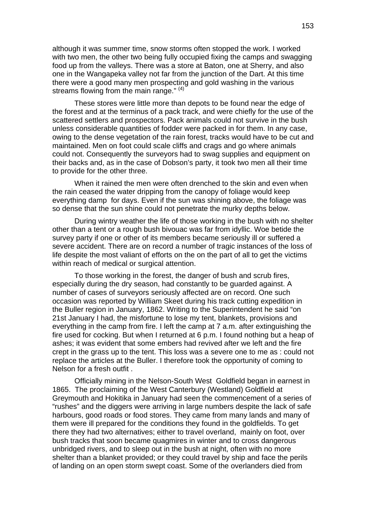although it was summer time, snow storms often stopped the work. I worked with two men, the other two being fully occupied fixing the camps and swagging food up from the valleys. There was a store at Baton, one at Sherry, and also one in the Wangapeka valley not far from the junction of the Dart. At this time there were a good many men prospecting and gold washing in the various streams flowing from the main range."  $(4)$ 

These stores were little more than depots to be found near the edge of the forest and at the terminus of a pack track, and were chiefly for the use of the scattered settlers and prospectors. Pack animals could not survive in the bush unless considerable quantities of fodder were packed in for them. In any case, owing to the dense vegetation of the rain forest, tracks would have to be cut and maintained. Men on foot could scale cliffs and crags and go where animals could not. Consequently the surveyors had to swag supplies and equipment on their backs and, as in the case of Dobson's party, it took two men all their time to provide for the other three.

When it rained the men were often drenched to the skin and even when the rain ceased the water dripping from the canopy of foliage would keep everything damp for days. Even if the sun was shining above, the foliage was so dense that the sun shine could not penetrate the murky depths below.

During wintry weather the life of those working in the bush with no shelter other than a tent or a rough bush bivouac was far from idyllic. Woe betide the survey party if one or other of its members became seriously ill or suffered a severe accident. There are on record a number of tragic instances of the loss of life despite the most valiant of efforts on the on the part of all to get the victims within reach of medical or surgical attention.

To those working in the forest, the danger of bush and scrub fires, especially during the dry season, had constantly to be guarded against. A number of cases of surveyors seriously affected are on record. One such occasion was reported by William Skeet during his track cutting expedition in the Buller region in January, 1862. Writing to the Superintendent he said "on 21st January I had, the misfortune to lose my tent, blankets, provisions and everything in the camp from fire. I left the camp at 7 a.m. after extinguishing the fire used for cocking. But when I returned at 6 p.m. I found nothing but a heap of ashes; it was evident that some embers had revived after we left and the fire crept in the grass up to the tent. This loss was a severe one to me as : could not replace the articles at the Buller. I therefore took the opportunity of coming to Nelson for a fresh outfit .

Officially mining in the Nelson-South West Goldfield began in earnest in 1865. The proclaiming of the West Canterbury (Westland) Goldfield at Greymouth and Hokitika in January had seen the commencement of a series of "rushes" and the diggers were arriving in large numbers despite the lack of safe harbours, good roads or food stores. They came from many lands and many of them were ill prepared for the conditions they found in the goldfields. To get there they had two alternatives; either to travel overland, mainly on foot, over bush tracks that soon became quagmires in winter and to cross dangerous unbridged rivers, and to sleep out in the bush at night, often with no more shelter than a blanket provided; or they could travel by ship and face the perils of landing on an open storm swept coast. Some of the overlanders died from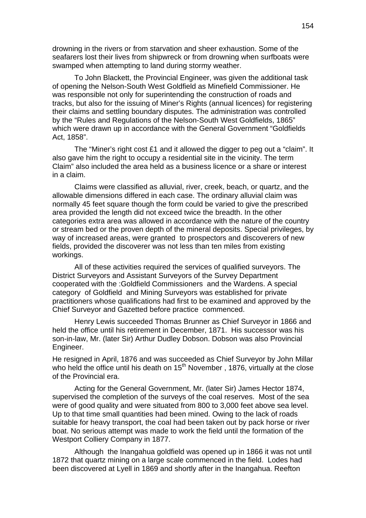drowning in the rivers or from starvation and sheer exhaustion. Some of the seafarers lost their lives from shipwreck or from drowning when surfboats were swamped when attempting to land during stormy weather.

To John Blackett, the Provincial Engineer, was given the additional task of opening the Nelson-South West Goldfield as Minefield Commissioner. He was responsible not only for superintending the construction of roads and tracks, but also for the issuing of Miner's Rights (annual licences) for registering their claims and settling boundary disputes. The administration was controlled by the "Rules and Regulations of the Nelson-South West Goldfields, 1865" which were drawn up in accordance with the General Government "Goldfields Act, 1858".

The "Miner's right cost £1 and it allowed the digger to peg out a "claim". It also gave him the right to occupy a residential site in the vicinity. The term Claim" also included the area held as a business licence or a share or interest in a claim.

Claims were classified as alluvial, river, creek, beach, or quartz, and the allowable dimensions differed in each case. The ordinary alluvial claim was normally 45 feet square though the form could be varied to give the prescribed area provided the length did not exceed twice the breadth. In the other categories extra area was allowed in accordance with the nature of the country or stream bed or the proven depth of the mineral deposits. Special privileges, by way of increased areas, were granted to prospectors and discoverers of new fields, provided the discoverer was not less than ten miles from existing workings.

All of these activities required the services of qualified surveyors. The District Surveyors and Assistant Surveyors of the Survey Department cooperated with the :Goldfield Commissioners and the Wardens. A special category of Goldfield and Mining Surveyors was established for private practitioners whose qualifications had first to be examined and approved by the Chief Surveyor and Gazetted before practice commenced.

Henry Lewis succeeded Thomas Brunner as Chief Surveyor in 1866 and held the office until his retirement in December, 1871. His successor was his son-in-law, Mr. (later Sir) Arthur Dudley Dobson. Dobson was also Provincial Engineer.

He resigned in April, 1876 and was succeeded as Chief Surveyor by John Millar who held the office until his death on  $15<sup>th</sup>$  November, 1876, virtually at the close of the Provincial era.

Acting for the General Government, Mr. (later Sir) James Hector 1874, supervised the completion of the surveys of the coal reserves. Most of the sea were of good quality and were situated from 800 to 3,000 feet above sea level. Up to that time small quantities had been mined. Owing to the lack of roads suitable for heavy transport, the coal had been taken out by pack horse or river boat. No serious attempt was made to work the field until the formation of the Westport Colliery Company in 1877.

Although the Inangahua goldfield was opened up in 1866 it was not until 1872 that quartz mining on a large scale commenced in the field. Lodes had been discovered at Lyell in 1869 and shortly after in the Inangahua. Reefton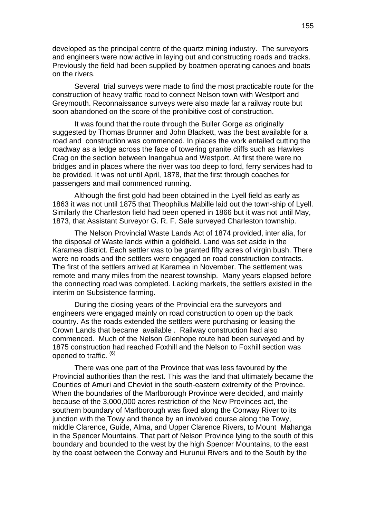developed as the principal centre of the quartz mining industry. The surveyors and engineers were now active in laying out and constructing roads and tracks. Previously the field had been supplied by boatmen operating canoes and boats on the rivers.

Several trial surveys were made to find the most practicable route for the construction of heavy traffic road to connect Nelson town with Westport and Greymouth. Reconnaissance surveys were also made far a railway route but soon abandoned on the score of the prohibitive cost of construction.

It was found that the route through the Buller Gorge as originally suggested by Thomas Brunner and John Blackett, was the best available for a road and construction was commenced. In places the work entailed cutting the roadway as a ledge across the face of towering granite cliffs such as Hawkes Crag on the section between Inangahua and Westport. At first there were no bridges and in places where the river was too deep to ford, ferry services had to be provided. It was not until April, 1878, that the first through coaches for passengers and mail commenced running.

Although the first gold had been obtained in the Lyell field as early as 1863 it was not until 1875 that Theophilus Mabille laid out the town-ship of Lyell. Similarly the Charleston field had been opened in 1866 but it was not until May, 1873, that Assistant Surveyor G. R. F. Sale surveyed Charleston township.

The Nelson Provincial Waste Lands Act of 1874 provided, inter alia, for the disposal of Waste lands within a goldfield. Land was set aside in the Karamea district. Each settler was to be granted fifty acres of virgin bush. There were no roads and the settlers were engaged on road construction contracts. The first of the settlers arrived at Karamea in November. The settlement was remote and many miles from the nearest township. Many years elapsed before the connecting road was completed. Lacking markets, the settlers existed in the interim on Subsistence farming.

During the closing years of the Provincial era the surveyors and engineers were engaged mainly on road construction to open up the back country. As the roads extended the settlers were purchasing or leasing the Crown Lands that became available . Railway construction had also commenced. Much of the Nelson Glenhope route had been surveyed and by 1875 construction had reached Foxhill and the Nelson to Foxhill section was opened to traffic. <sup>(6)</sup>

There was one part of the Province that was less favoured by the Provincial authorities than the rest. This was the land that ultimately became the Counties of Amuri and Cheviot in the south-eastern extremity of the Province. When the boundaries of the Marlborough Province were decided, and mainly because of the 3,000,000 acres restriction of the New Provinces act, the southern boundary of Marlborough was fixed along the Conway River to its junction with the Towy and thence by an involved course along the Towy, middle Clarence, Guide, Alma, and Upper Clarence Rivers, to Mount Mahanga in the Spencer Mountains. That part of Nelson Province lying to the south of this boundary and bounded to the west by the high Spencer Mountains, to the east by the coast between the Conway and Hurunui Rivers and to the South by the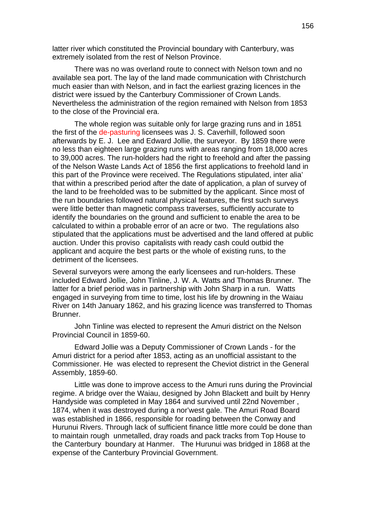latter river which constituted the Provincial boundary with Canterbury, was extremely isolated from the rest of Nelson Province.

There was no was overland route to connect with Nelson town and no available sea port. The lay of the land made communication with Christchurch much easier than with Nelson, and in fact the earliest grazing licences in the district were issued by the Canterbury Commissioner of Crown Lands. Nevertheless the administration of the region remained with Nelson from 1853 to the close of the Provincial era.

The whole region was suitable only for large grazing runs and in 1851 the first of the de-pasturing licensees was J. S. Caverhill, followed soon afterwards by E. J. Lee and Edward Jollie, the surveyor. By 1859 there were no less than eighteen large grazing runs with areas ranging from 18,000 acres to 39,000 acres. The run-holders had the right to freehold and after the passing of the Nelson Waste Lands Act of 1856 the first applications to freehold land in this part of the Province were received. The Regulations stipulated, inter alia' that within a prescribed period after the date of application, a plan of survey of the land to be freeholded was to be submitted by the applicant. Since most of the run boundaries followed natural physical features, the first such surveys were little better than magnetic compass traverses, sufficiently accurate to identify the boundaries on the ground and sufficient to enable the area to be calculated to within a probable error of an acre or two. The regulations also stipulated that the applications must be advertised and the land offered at public auction. Under this proviso capitalists with ready cash could outbid the applicant and acquire the best parts or the whole of existing runs, to the detriment of the licensees.

Several surveyors were among the early licensees and run-holders. These included Edward Jollie, John Tinline, J. W. A. Watts and Thomas Brunner. The latter for a brief period was in partnership with John Sharp in a run. Watts engaged in surveying from time to time, lost his life by drowning in the Waiau River on 14th January 1862, and his grazing licence was transferred to Thomas Brunner.

John Tinline was elected to represent the Amuri district on the Nelson Provincial Council in 1859-60.

Edward Jollie was a Deputy Commissioner of Crown Lands - for the Amuri district for a period after 1853, acting as an unofficial assistant to the Commissioner. He was elected to represent the Cheviot district in the General Assembly, 1859-60.

Little was done to improve access to the Amuri runs during the Provincial regime. A bridge over the Waiau, designed by John Blackett and built by Henry Handyside was completed in May 1864 and survived until 22nd November , 1874, when it was destroyed during a nor'west gale. The Amuri Road Board was established in 1866, responsible for roading between the Conway and Hurunui Rivers. Through lack of sufficient finance little more could be done than to maintain rough unmetalled, dray roads and pack tracks from Top House to the Canterbury boundary at Hanmer. The Hurunui was bridged in 1868 at the expense of the Canterbury Provincial Government.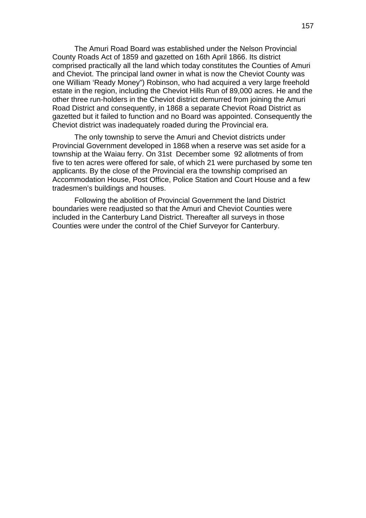The Amuri Road Board was established under the Nelson Provincial County Roads Act of 1859 and gazetted on 16th April 1866. Its district comprised practically all the land which today constitutes the Counties of Amuri and Cheviot. The principal land owner in what is now the Cheviot County was one William 'Ready Money") Robinson, who had acquired a very large freehold estate in the region, including the Cheviot Hills Run of 89,000 acres. He and the other three run-holders in the Cheviot district demurred from joining the Amuri Road District and consequently, in 1868 a separate Cheviot Road District as gazetted but it failed to function and no Board was appointed. Consequently the Cheviot district was inadequately roaded during the Provincial era.

The only township to serve the Amuri and Cheviot districts under Provincial Government developed in 1868 when a reserve was set aside for a township at the Waiau ferry. On 31st December some 92 allotments of from five to ten acres were offered for sale, of which 21 were purchased by some ten applicants. By the close of the Provincial era the township comprised an Accommodation House, Post Office, Police Station and Court House and a few tradesmen's buildings and houses.

Following the abolition of Provincial Government the land District boundaries were readjusted so that the Amuri and Cheviot Counties were included in the Canterbury Land District. Thereafter all surveys in those Counties were under the control of the Chief Surveyor for Canterbury.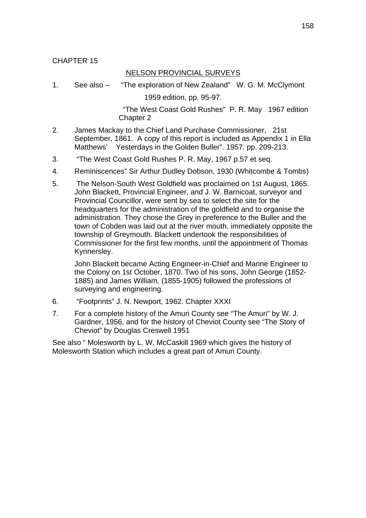# NELSON PROVINCIAL SURVEYS

1. See also – "The exploration of New Zealand" W. G. M. McClymont

1959 edition, pp. 95-97.

 "The West Coast Gold Rushes" P. R. May 1967 edition Chapter 2

- 2. James Mackay to the Chief Land Purchase Commissioner, 21st September, 1861. A copy of this report is included as Appendix 1 in Ella Matthews' Yesterdays in the Golden Buller". 1957. pp. 209-213.
- 3. "The West Coast Gold Rushes P. R. May, 1967 p.57 et seq.
- 4. Reminiscences" Sir Arthur Dudley Dobson, 1930 (Whitcombe & Tombs)
- 5. The Nelson-South West Goldfield was proclaimed on 1st August, 1865. John Blackett, Provincial Engineer, and J. W. Barnicoat, surveyor and Provincial Councillor, were sent by sea to select the site for the headquarters for the administration of the goldfield and to organise the administration. They chose the Grey in preference to the Buller and the town of Cobden was laid out at the river mouth. immediately opposite the township of Greymouth. Blackett undertook the responsibilities of Commissioner for the first few months, until the appointment of Thomas Kynnersley.

John Blackett became Acting Engineer-in-Chief and Marine Engineer to the Colony on 1st October, 1870. Two of his sons, John George (1852- 1885) and James William, (1855-1905) followed the professions of surveying and engineering.

- 6. "Footprints" J. N. Newport, 1962. Chapter XXXI
- 7. For a complete history of the Amuri County see "The Amuri" by W. J. Gardner, 1956, and for the history of Cheviot County see "The Story of Cheviot" by Douglas Creswell 1951

See also " Molesworth by L. W. McCaskill 1969 which gives the history of Molesworth Station which includes a great part of Amuri County.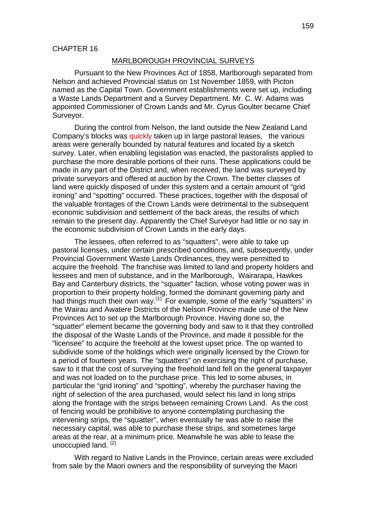#### CHAPTER 16

### MARLBOROUGH PROVINCIAL SURVEYS

Pursuant to the New Provinces Act of 1858, Marlborough separated from Nelson and achieved Provincial status on 1st November 1859, with Picton named as the Capital Town. Government establishments were set up, including a Waste Lands Department and a Survey Department. Mr. C. W. Adams was appointed Commissioner of Crown Lands and Mr. Cyrus Goulter became Chief Surveyor.

During the control from Nelson, the land outside the New Zealand Land Company's blocks was quickly taken up in large pastoral leases, the various areas were generally bounded by natural features and located by a sketch survey. Later, when enabling legislation was enacted, the pastoralists applied to purchase the more desirable portions of their runs. These applications could be made in any part of the District and, when received, the land was surveyed by private surveyors and offered at auction by the Crown. The better classes of land were quickly disposed of under this system and a certain amount of "grid ironing" and "spotting" occurred. These practices, together with the disposal of the valuable frontages of the Crown Lands were detrimental to the subsequent economic subdivision and settlement of the back areas, the results of which remain to the present day. Apparently the Chief Surveyor had little or no say in the economic subdivision of Crown Lands in the early days.

The lessees, often referred to as "squatters", were able to take up pastoral licenses, under certain prescribed conditions, and, subsequently, under Provincial Government Waste Lands Ordinances, they were permitted to acquire the freehold. The franchise was limited to land and property holders and lessees and men of substance, and in the Marlborough, Wairarapa, Hawkes Bay and Canterbury districts, the "squatter" faction, whose voting power was in proportion to their property holding, formed the dominant governing party and had things much their own way.<sup>(1)</sup> For example, some of the early "squatters" in the Wairau and Awatere Districts of the Nelson Province made use of the New Provinces Act to set up the Marlborough Province. Having done so, the "squatter" element became the governing body and saw to it that they controlled the disposal of the Waste Lands of the Province, and made it possible for the "licensee" to acquire the freehold at the lowest upset price. The op wanted to subdivide some of the holdings which were originally licensed by the Crown for a period of fourteen years. The "squatters" on exercising the right of purchase, saw to it that the cost of surveying the freehold land fell on the general taxpayer and was not loaded on to the purchase price. This led to some abuses, in particular the "grid ironing" and "spotting", whereby the purchaser having the right of selection of the area purchased, would select his land in long strips along the frontage with the strips between remaining Crown Land. As the cost of fencing would be prohibitive to anyone contemplating purchasing the intervening strips, the "squatter", when eventually he was able to raise the necessary capital, was able to purchase these strips, and sometimes large areas at the rear, at a minimum price. Meanwhile he was able to lease the unoccupied land.  $(2)$ 

With regard to Native Lands in the Province, certain areas were excluded from sale by the Maori owners and the responsibility of surveying the Maori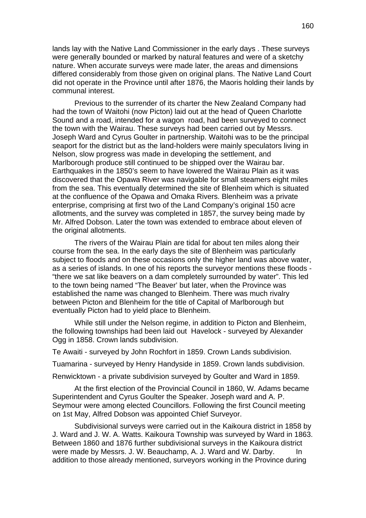lands lay with the Native Land Commissioner in the early days . These surveys were generally bounded or marked by natural features and were of a sketchy nature. When accurate surveys were made later, the areas and dimensions differed considerably from those given on original plans. The Native Land Court did not operate in the Province until after 1876, the Maoris holding their lands by communal interest.

Previous to the surrender of its charter the New Zealand Company had had the town of Waitohi (now Picton) laid out at the head of Queen Charlotte Sound and a road, intended for a wagon road, had been surveyed to connect the town with the Wairau. These surveys had been carried out by Messrs. Joseph Ward and Cyrus Goulter in partnership. Waitohi was to be the principal seaport for the district but as the land-holders were mainly speculators living in Nelson, slow progress was made in developing the settlement, and Marlborough produce still continued to be shipped over the Wairau bar. Earthquakes in the 1850's seem to have lowered the Wairau Plain as it was discovered that the Opawa River was navigable for small steamers eight miles from the sea. This eventually determined the site of Blenheim which is situated at the confluence of the Opawa and Omaka Rivers. Blenheim was a private enterprise, comprising at first two of the Land Company's original 150 acre allotments, and the survey was completed in 1857, the survey being made by Mr. Alfred Dobson. Later the town was extended to embrace about eleven of the original allotments.

The rivers of the Wairau Plain are tidal for about ten miles along their course from the sea. In the early days the site of Blenheim was particularly subject to floods and on these occasions only the higher land was above water, as a series of islands. In one of his reports the surveyor mentions these floods - "there we sat like beavers on a dam completely surrounded by water". This led to the town being named "The Beaver' but later, when the Province was established the name was changed to Blenheim. There was much rivalry between Picton and Blenheim for the title of Capital of Marlborough but eventually Picton had to yield place to Blenheim.

While still under the Nelson regime, in addition to Picton and Blenheim, the following townships had been laid out Havelock - surveyed by Alexander Ogg in 1858. Crown lands subdivision.

Te Awaiti - surveyed by John Rochfort in 1859. Crown Lands subdivision.

Tuamarina - surveyed by Henry Handyside in 1859. Crown lands subdivision.

Renwicktown - a private subdivision surveyed by Goulter and Ward in 1859.

At the first election of the Provincial Council in 1860, W. Adams became Superintendent and Cyrus Goulter the Speaker. Joseph ward and A. P. Seymour were among elected Councillors. Following the first Council meeting on 1st May, Alfred Dobson was appointed Chief Surveyor.

Subdivisional surveys were carried out in the Kaikoura district in 1858 by J. Ward and J. W. A. Watts. Kaikoura Township was surveyed by Ward in 1863. Between 1860 and 1876 further subdivisional surveys in the Kaikoura district were made by Messrs. J. W. Beauchamp, A. J. Ward and W. Darby. In addition to those already mentioned, surveyors working in the Province during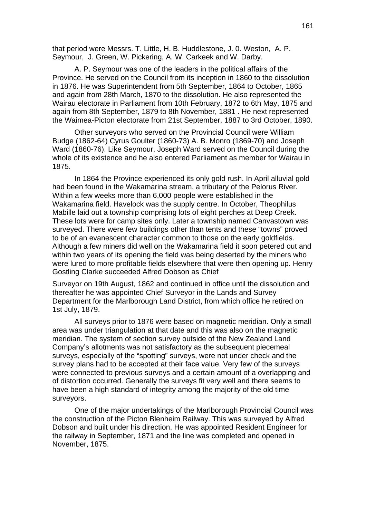that period were Messrs. T. Little, H. B. Huddlestone, J. 0. Weston, A. P. Seymour, J. Green, W. Pickering, A. W. Carkeek and W. Darby.

A. P. Seymour was one of the leaders in the political affairs of the Province. He served on the Council from its inception in 1860 to the dissolution in 1876. He was Superintendent from 5th September, 1864 to October, 1865 and again from 28th March, 1870 to the dissolution. He also represented the Wairau electorate in Parliament from 10th February, 1872 to 6th May, 1875 and again from 8th September, 1879 to 8th November, 1881 . He next represented the Waimea-Picton electorate from 21st September, 1887 to 3rd October, 1890.

Other surveyors who served on the Provincial Council were William Budge (1862-64) Cyrus Goulter (1860-73) A. B. Monro (1869-70) and Joseph Ward (1860-76). Like Seymour, Joseph Ward served on the Council during the whole of its existence and he also entered Parliament as member for Wairau in 1875.

In 1864 the Province experienced its only gold rush. In April alluvial gold had been found in the Wakamarina stream, a tributary of the Pelorus River. Within a few weeks more than 6,000 people were established in the Wakamarina field. Havelock was the supply centre. In October, Theophilus Mabille laid out a township comprising lots of eight perches at Deep Creek. These lots were for camp sites only. Later a township named Canvastown was surveyed. There were few buildings other than tents and these "towns" proved to be of an evanescent character common to those on the early goldfields. Although a few miners did well on the Wakamarina field it soon petered out and within two years of its opening the field was being deserted by the miners who were lured to more profitable fields elsewhere that were then opening up. Henry Gostling Clarke succeeded Alfred Dobson as Chief

Surveyor on 19th August, 1862 and continued in office until the dissolution and thereafter he was appointed Chief Surveyor in the Lands and Survey Department for the Marlborough Land District, from which office he retired on 1st July, 1879.

All surveys prior to 1876 were based on magnetic meridian. Only a small area was under triangulation at that date and this was also on the magnetic meridian. The system of section survey outside of the New Zealand Land Company's allotments was not satisfactory as the subsequent piecemeal surveys, especially of the "spotting" surveys, were not under check and the survey plans had to be accepted at their face value. Very few of the surveys were connected to previous surveys and a certain amount of a overlapping and of distortion occurred. Generally the surveys fit very well and there seems to have been a high standard of integrity among the majority of the old time surveyors.

One of the major undertakings of the Marlborough Provincial Council was the construction of the Picton Blenheim Railway. This was surveyed by Alfred Dobson and built under his direction. He was appointed Resident Engineer for the railway in September, 1871 and the line was completed and opened in November, 1875.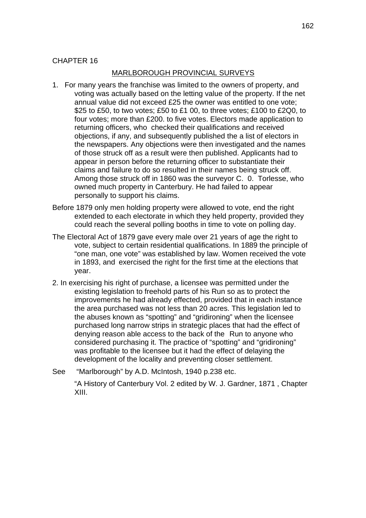## CHAPTER 16

### MARLBOROUGH PROVINCIAL SURVEYS

- 1. For many years the franchise was limited to the owners of property, and voting was actually based on the letting value of the property. If the net annual value did not exceed £25 the owner was entitled to one vote; \$25 to £50, to two votes; £50 to £1 00, to three votes; £100 to £2Q0, to four votes; more than £200. to five votes. Electors made application to returning officers, who checked their qualifications and received objections, if any, and subsequently published the a list of electors in the newspapers. Any objections were then investigated and the names of those struck off as a result were then published. Applicants had to appear in person before the returning officer to substantiate their claims and failure to do so resulted in their names being struck off. Among those struck off in 1860 was the surveyor C. 0. Torlesse, who owned much property in Canterbury. He had failed to appear personally to support his claims.
- Before 1879 only men holding property were allowed to vote, end the right extended to each electorate in which they held property, provided they could reach the several polling booths in time to vote on polling day.
- The Electoral Act of 1879 gave every male over 21 years of age the right to vote, subject to certain residential qualifications. In 1889 the principle of "one man, one vote" was established by law. Women received the vote in 1893, and exercised the right for the first time at the elections that year.
- 2. In exercising his right of purchase, a licensee was permitted under the existing legislation to freehold parts of his Run so as to protect the improvements he had already effected, provided that in each instance the area purchased was not less than 20 acres. This legislation led to the abuses known as "spotting" and "gridironing" when the licensee purchased long narrow strips in strategic places that had the effect of denying reason able access to the back of the Run to anyone who considered purchasing it. The practice of "spotting" and "gridironing" was profitable to the licensee but it had the effect of delaying the development of the locality and preventing closer settlement.
- See "Marlborough" by A.D. McIntosh, 1940 p.238 etc.

"A History of Canterbury Vol. 2 edited by W. J. Gardner, 1871 , Chapter XIII.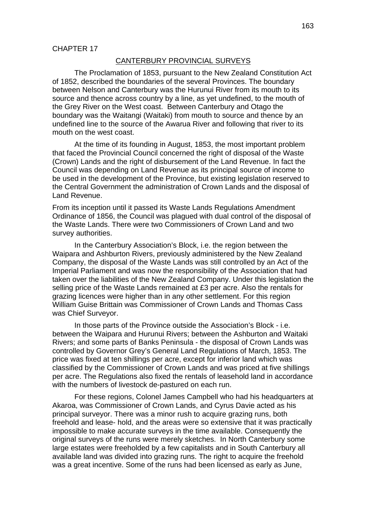### CANTERBURY PROVINCIAL SURVEYS

The Proclamation of 1853, pursuant to the New Zealand Constitution Act of 1852, described the boundaries of the several Provinces. The boundary between Nelson and Canterbury was the Hurunui River from its mouth to its source and thence across country by a line, as yet undefined, to the mouth of the Grey River on the West coast. Between Canterbury and Otago the boundary was the Waitangi (Waitaki) from mouth to source and thence by an undefined line to the source of the Awarua River and following that river to its mouth on the west coast.

At the time of its founding in August, 1853, the most important problem that faced the Provincial Council concerned the right of disposal of the Waste (Crown) Lands and the right of disbursement of the Land Revenue. In fact the Council was depending on Land Revenue as its principal source of income to be used in the development of the Province, but existing legislation reserved to the Central Government the administration of Crown Lands and the disposal of Land Revenue.

From its inception until it passed its Waste Lands Regulations Amendment Ordinance of 1856, the Council was plagued with dual control of the disposal of the Waste Lands. There were two Commissioners of Crown Land and two survey authorities.

In the Canterbury Association's Block, i.e. the region between the Waipara and Ashburton Rivers, previously administered by the New Zealand Company, the disposal of the Waste Lands was still controlled by an Act of the Imperial Parliament and was now the responsibility of the Association that had taken over the liabilities of the New Zealand Company. Under this legislation the selling price of the Waste Lands remained at £3 per acre. Also the rentals for grazing licences were higher than in any other settlement. For this region William Guise Brittain was Commissioner of Crown Lands and Thomas Cass was Chief Surveyor.

In those parts of the Province outside the Association's Block - i.e. between the Waipara and Hurunui Rivers; between the Ashburton and Waitaki Rivers; and some parts of Banks Peninsula - the disposal of Crown Lands was controlled by Governor Grey's General Land Regulations of March, 1853. The price was fixed at ten shillings per acre, except for inferior land which was classified by the Commissioner of Crown Lands and was priced at five shillings per acre. The Regulations also fixed the rentals of leasehold land in accordance with the numbers of livestock de-pastured on each run.

For these regions, Colonel James Campbell who had his headquarters at Akaroa, was Commissioner of Crown Lands, and Cyrus Davie acted as his principal surveyor. There was a minor rush to acquire grazing runs, both freehold and lease- hold, and the areas were so extensive that it was practically impossible to make accurate surveys in the time available. Consequently the original surveys of the runs were merely sketches. In North Canterbury some large estates were freeholded by a few capitalists and in South Canterbury all available land was divided into grazing runs. The right to acquire the freehold was a great incentive. Some of the runs had been licensed as early as June,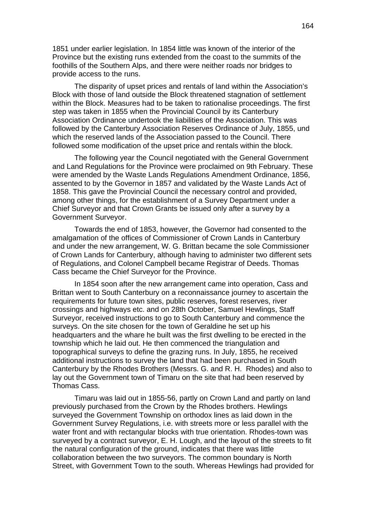1851 under earlier legislation. In 1854 little was known of the interior of the Province but the existing runs extended from the coast to the summits of the foothills of the Southern Alps, and there were neither roads nor bridges to provide access to the runs.

The disparity of upset prices and rentals of land within the Association's Block with those of land outside the Block threatened stagnation of settlement within the Block. Measures had to be taken to rationalise proceedings. The first step was taken in 1855 when the Provincial Council by its Canterbury Association Ordinance undertook the liabilities of the Association. This was followed by the Canterbury Association Reserves Ordinance of July, 1855, und which the reserved lands of the Association passed to the Council. There followed some modification of the upset price and rentals within the block.

The following year the Council negotiated with the General Government and Land Regulations for the Province were proclaimed on 9th February. These were amended by the Waste Lands Regulations Amendment Ordinance, 1856, assented to by the Governor in 1857 and validated by the Waste Lands Act of 1858. This gave the Provincial Council the necessary control and provided, among other things, for the establishment of a Survey Department under a Chief Surveyor and that Crown Grants be issued only after a survey by a Government Surveyor.

Towards the end of 1853, however, the Governor had consented to the amalgamation of the offices of Commissioner of Crown Lands in Canterbury and under the new arrangement, W. G. Brittan became the sole Commissioner of Crown Lands for Canterbury, although having to administer two different sets of Regulations, and Colonel Campbell became Registrar of Deeds. Thomas Cass became the Chief Surveyor for the Province.

In 1854 soon after the new arrangement came into operation, Cass and Brittan went to South Canterbury on a reconnaissance journey to ascertain the requirements for future town sites, public reserves, forest reserves, river crossings and highways etc. and on 28th October, Samuel Hewlings, Staff Surveyor, received instructions to go to South Canterbury and commence the surveys. On the site chosen for the town of Geraldine he set up his headquarters and the whare he built was the first dwelling to be erected in the township which he laid out. He then commenced the triangulation and topographical surveys to define the grazing runs. In July, 1855, he received additional instructions to survey the land that had been purchased in South Canterbury by the Rhodes Brothers (Messrs. G. and R. H. Rhodes) and also to lay out the Government town of Timaru on the site that had been reserved by Thomas Cass.

Timaru was laid out in 1855-56, partly on Crown Land and partly on land previously purchased from the Crown by the Rhodes brothers. Hewlings surveyed the Government Township on orthodox lines as laid down in the Government Survey Regulations, i.e. with streets more or less parallel with the water front and with rectangular blocks with true orientation. Rhodes-town was surveyed by a contract surveyor, E. H. Lough, and the layout of the streets to fit the natural configuration of the ground, indicates that there was little collaboration between the two surveyors. The common boundary is North Street, with Government Town to the south. Whereas Hewlings had provided for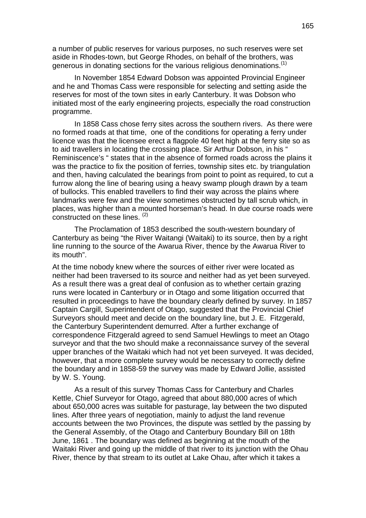a number of public reserves for various purposes, no such reserves were set aside in Rhodes-town, but George Rhodes, on behalf of the brothers, was generous in donating sections for the various religious denominations.<sup>(1)</sup>

In November 1854 Edward Dobson was appointed Provincial Engineer and he and Thomas Cass were responsible for selecting and setting aside the reserves for most of the town sites in early Canterbury. It was Dobson who initiated most of the early engineering projects, especially the road construction programme.

In 1858 Cass chose ferry sites across the southern rivers. As there were no formed roads at that time, one of the conditions for operating a ferry under licence was that the licensee erect a flagpole 40 feet high at the ferry site so as to aid travellers in locating the crossing place. Sir Arthur Dobson, in his " Reminiscence's " states that in the absence of formed roads across the plains it was the practice to fix the position of ferries, township sites etc. by triangulation and then, having calculated the bearings from point to point as required, to cut a furrow along the line of bearing using a heavy swamp plough drawn by a team of bullocks. This enabled travellers to find their way across the plains where landmarks were few and the view sometimes obstructed by tall scrub which, in places, was higher than a mounted horseman's head. In due course roads were constructed on these lines. <sup>(2)</sup>

The Proclamation of 1853 described the south-western boundary of Canterbury as being "the River Waitangi (Waitaki) to its source, then by a right line running to the source of the Awarua River, thence by the Awarua River to its mouth".

At the time nobody knew where the sources of either river were located as neither had been traversed to its source and neither had as yet been surveyed. As a result there was a great deal of confusion as to whether certain grazing runs were located in Canterbury or in Otago and some litigation occurred that resulted in proceedings to have the boundary clearly defined by survey. In 1857 Captain Cargill, Superintendent of Otago, suggested that the Provincial Chief Surveyors should meet and decide on the boundary line, but J. E. Fitzgerald, the Canterbury Superintendent demurred. After a further exchange of correspondence Fitzgerald agreed to send Samuel Hewlings to meet an Otago surveyor and that the two should make a reconnaissance survey of the several upper branches of the Waitaki which had not yet been surveyed. It was decided, however, that a more complete survey would be necessary to correctly define the boundary and in 1858-59 the survey was made by Edward Jollie, assisted by W. S. Young.

As a result of this survey Thomas Cass for Canterbury and Charles Kettle, Chief Surveyor for Otago, agreed that about 880,000 acres of which about 650,000 acres was suitable for pasturage, lay between the two disputed lines. After three years of negotiation, mainly to adjust the land revenue accounts between the two Provinces, the dispute was settled by the passing by the General Assembly, of the Otago and Canterbury Boundary Bill on 18th June, 1861 . The boundary was defined as beginning at the mouth of the Waitaki River and going up the middle of that river to its junction with the Ohau River, thence by that stream to its outlet at Lake Ohau, after which it takes a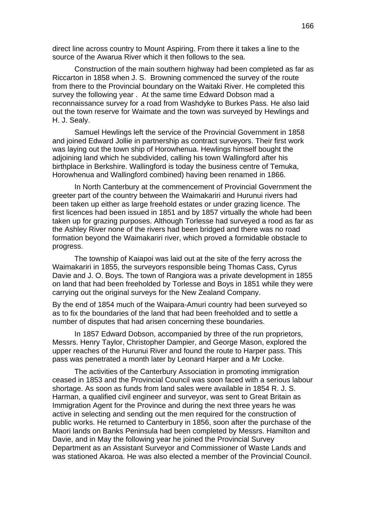direct line across country to Mount Aspiring. From there it takes a line to the source of the Awarua River which it then follows to the sea.

Construction of the main southern highway had been completed as far as Riccarton in 1858 when J. S. Browning commenced the survey of the route from there to the Provincial boundary on the Waitaki River. He completed this survey the following year . At the same time Edward Dobson mad a reconnaissance survey for a road from Washdyke to Burkes Pass. He also laid out the town reserve for Waimate and the town was surveyed by Hewlings and H. J. Sealy.

Samuel Hewlings left the service of the Provincial Government in 1858 and joined Edward Jollie in partnership as contract surveyors. Their first work was laying out the town ship of Horowhenua. Hewlings himself bought the adjoining land which he subdivided, calling his town Wallingford after his birthplace in Berkshire. Wallingford is today the business centre of Temuka, Horowhenua and Wallingford combined) having been renamed in 1866.

In North Canterbury at the commencement of Provincial Government the greeter part of the country between the Waimakariri and Hurunui rivers had been taken up either as large freehold estates or under grazing licence. The first licences had been issued in 1851 and by 1857 virtually the whole had been taken up for grazing purposes. Although Torlesse had surveyed a rood as far as the Ashley River none of the rivers had been bridged and there was no road formation beyond the Waimakariri river, which proved a formidable obstacle to progress.

The township of Kaiapoi was laid out at the site of the ferry across the Waimakariri in 1855, the surveyors responsible being Thomas Cass, Cyrus Davie and J. O. Boys. The town of Rangiora was a private development in 1855 on land that had been freeholded by Torlesse and Boys in 1851 while they were carrying out the original surveys for the New Zealand Company.

By the end of 1854 much of the Waipara-Amuri country had been surveyed so as to fix the boundaries of the land that had been freeholded and to settle a number of disputes that had arisen concerning these boundaries.

In 1857 Edward Dobson, accompanied by three of the run proprietors, Messrs. Henry Taylor, Christopher Dampier, and George Mason, explored the upper reaches of the Hurunui River and found the route to Harper pass. This pass was penetrated a month later by Leonard Harper and a Mr Locke.

The activities of the Canterbury Association in promoting immigration ceased in 1853 and the Provincial Council was soon faced with a serious labour shortage. As soon as funds from land sales were available in 1854 R. J. S. Harman, a qualified civil engineer and surveyor, was sent to Great Britain as Immigration Agent for the Province and during the next three years he was active in selecting and sending out the men required for the construction of public works. He returned to Canterbury in 1856, soon after the purchase of the Maori lands on Banks Peninsula had been completed by Messrs. Hamilton and Davie, and in May the following year he joined the Provincial Survey Department as an Assistant Surveyor and Commissioner of Waste Lands and was stationed Akaroa. He was also elected a member of the Provincial Council.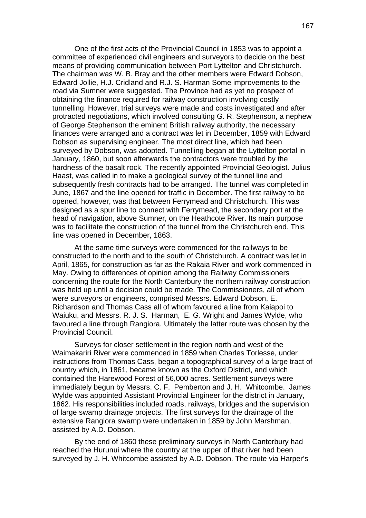One of the first acts of the Provincial Council in 1853 was to appoint a committee of experienced civil engineers and surveyors to decide on the best means of providing communication between Port Lyttelton and Christchurch. The chairman was W. B. Bray and the other members were Edward Dobson, Edward Jollie, H.J. Cridland and R.J. S. Harman Some improvements to the road via Sumner were suggested. The Province had as yet no prospect of obtaining the finance required for railway construction involving costly tunnelling. However, trial surveys were made and costs investigated and after protracted negotiations, which involved consulting G. R. Stephenson, a nephew of George Stephenson the eminent British railway authority, the necessary finances were arranged and a contract was let in December, 1859 with Edward Dobson as supervising engineer. The most direct line, which had been surveyed by Dobson, was adopted. Tunnelling began at the Lyttelton portal in January, 1860, but soon afterwards the contractors were troubled by the hardness of the basalt rock. The recently appointed Provincial Geologist. Julius Haast, was called in to make a geological survey of the tunnel line and subsequently fresh contracts had to be arranged. The tunnel was completed in June, 1867 and the line opened for traffic in December. The first railway to be opened, however, was that between Ferrymead and Christchurch. This was designed as a spur line to connect with Ferrymead, the secondary port at the head of navigation, above Sumner, on the Heathcote River. Its main purpose was to facilitate the construction of the tunnel from the Christchurch end. This line was opened in December, 1863.

At the same time surveys were commenced for the railways to be constructed to the north and to the south of Christchurch. A contract was let in April, 1865, for construction as far as the Rakaia River and work commenced in May. Owing to differences of opinion among the Railway Commissioners concerning the route for the North Canterbury the northern railway construction was held up until a decision could be made. The Commissioners, all of whom were surveyors or engineers, comprised Messrs. Edward Dobson, E. Richardson and Thomas Cass all of whom favoured a line from Kaiapoi to Waiuku, and Messrs. R. J. S. Harman, E. G. Wright and James Wylde, who favoured a line through Rangiora. Ultimately the latter route was chosen by the Provincial Council.

Surveys for closer settlement in the region north and west of the Waimakariri River were commenced in 1859 when Charles Torlesse, under instructions from Thomas Cass, began a topographical survey of a large tract of country which, in 1861, became known as the Oxford District, and which contained the Harewood Forest of 56,000 acres. Settlement surveys were immediately begun by Messrs. C. F. Pemberton and J. H. Whitcombe. James Wylde was appointed Assistant Provincial Engineer for the district in January, 1862. His responsibilities included roads, railways, bridges and the supervision of large swamp drainage projects. The first surveys for the drainage of the extensive Rangiora swamp were undertaken in 1859 by John Marshman, assisted by A.D. Dobson.

By the end of 1860 these preliminary surveys in North Canterbury had reached the Hurunui where the country at the upper of that river had been surveyed by J. H. Whitcombe assisted by A.D. Dobson. The route via Harper's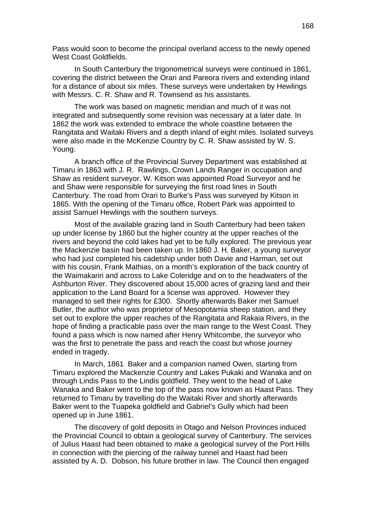Pass would soon to become the principal overland access to the newly opened West Coast Goldfields.

In South Canterbury the trigonometrical surveys were continued in 1861, covering the district between the Orari and Pareora rivers and extending inland for a distance of about six miles. These surveys were undertaken by Hewlings with Messrs. C. R. Shaw and R. Townsend as his assistants.

The work was based on magnetic meridian and much of it was not integrated and subsequently some revision was necessary at a later date. In 1862 the work was extended to embrace the whole coastline between the Rangitata and Waitaki Rivers and a depth inland of eight miles. Isolated surveys were also made in the McKenzie Country by C. R. Shaw assisted by W. S. Young.

A branch office of the Provincial Survey Department was established at Timaru in 1863 with J. R. Rawlings, Crown Lands Ranger in occupation and Shaw as resident surveyor. W. Kitson was appointed Road Surveyor and he and Shaw were responsible for surveying the first road lines in South Canterbury. The road from Orari to Burke's Pass was surveyed by Kitson in 1865. With the opening of the Timaru office, Robert Park was appointed to assist Samuel Hewlings with the southern surveys.

Most of the available grazing land in South Canterbury had been taken up under license by 1860 but the higher country at the upper reaches of the rivers and beyond the cold lakes had yet to be fully explored. The previous year the Mackenzie basin had been taken up. In 1860 J. H. Baker, a young surveyor who had just completed his cadetship under both Davie and Harman, set out with his cousin, Frank Mathias, on a month's exploration of the back country of the Waimakariri and across to Lake Coleridge and on to the headwaters of the Ashburton River. They discovered about 15,000 acres of grazing land and their application to the Land Board for a license was approved. However they managed to sell their rights for £300. Shortly afterwards Baker met Samuel Butler, the author who was proprietor of Mesopotamia sheep station, and they set out to explore the upper reaches of the Rangitata and Rakaia Rivers, in the hope of finding a practicable pass over the main range to the West Coast. They found a pass which is now named after Henry Whitcombe, the surveyor who was the first to penetrate the pass and reach the coast but whose journey ended in tragedy.

In March, 1861 Baker and a companion named Owen, starting from Timaru explored the Mackenzie Country and Lakes Pukaki and Wanaka and on through Lindis Pass to the Lindis goldfield. They went to the head of Lake Wanaka and Baker went to the top of the pass now known as Haast Pass. They returned to Timaru by travelling do the Waitaki River and shortly afterwards Baker went to the Tuapeka goldfield and Gabriel's Gully which had been opened up in June 1861.

The discovery of gold deposits in Otago and Nelson Provinces induced the Provincial Council to obtain a geological survey of Canterbury. The services of Julius Haast had been obtained to make a geological survey of the Port Hills in connection with the piercing of the railway tunnel and Haast had been assisted by A. D. Dobson, his future brother in law. The Council then engaged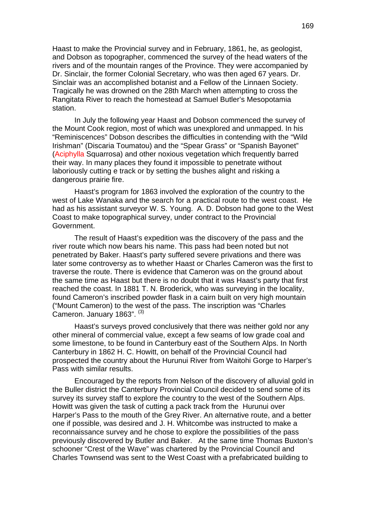Haast to make the Provincial survey and in February, 1861, he, as geologist, and Dobson as topographer, commenced the survey of the head waters of the rivers and of the mountain ranges of the Province. They were accompanied by Dr. Sinclair, the former Colonial Secretary, who was then aged 67 years. Dr. Sinclair was an accomplished botanist and a Fellow of the Linnaen Society. Tragically he was drowned on the 28th March when attempting to cross the Rangitata River to reach the homestead at Samuel Butler's Mesopotamia station.

In July the following year Haast and Dobson commenced the survey of the Mount Cook region, most of which was unexplored and unmapped. In his "Reminiscences" Dobson describes the difficulties in contending with the "Wild Irishman" (Discaria Toumatou) and the "Spear Grass" or "Spanish Bayonet" (Aciphylla Squarrosa) and other noxious vegetation which frequently barred their way. In many places they found it impossible to penetrate without laboriously cutting e track or by setting the bushes alight and risking a dangerous prairie fire.

Haast's program for 1863 involved the exploration of the country to the west of Lake Wanaka and the search for a practical route to the west coast. He had as his assistant surveyor W. S. Young. A. D. Dobson had gone to the West Coast to make topographical survey, under contract to the Provincial Government.

The result of Haast's expedition was the discovery of the pass and the river route which now bears his name. This pass had been noted but not penetrated by Baker. Haast's party suffered severe privations and there was later some controversy as to whether Haast or Charles Cameron was the first to traverse the route. There is evidence that Cameron was on the ground about the same time as Haast but there is no doubt that it was Haast's party that first reached the coast. In 1881 T. N. Broderick, who was surveying in the locality, found Cameron's inscribed powder flask in a cairn built on very high mountain ("Mount Cameron) to the west of the pass. The inscription was "Charles Cameron. January 1863". (3)

Haast's surveys proved conclusively that there was neither gold nor any other mineral of commercial value, except a few seams of low grade coal and some limestone, to be found in Canterbury east of the Southern Alps. In North Canterbury in 1862 H. C. Howitt, on behalf of the Provincial Council had prospected the country about the Hurunui River from Waitohi Gorge to Harper's Pass with similar results.

Encouraged by the reports from Nelson of the discovery of alluvial gold in the Buller district the Canterbury Provincial Council decided to send some of its survey its survey staff to explore the country to the west of the Southern Alps. Howitt was given the task of cutting a pack track from the Hurunui over Harper's Pass to the mouth of the Grey River. An alternative route, and a better one if possible, was desired and J. H. Whitcombe was instructed to make a reconnaissance survey and he chose to explore the possibilities of the pass previously discovered by Butler and Baker. At the same time Thomas Buxton's schooner "Crest of the Wave" was chartered by the Provincial Council and Charles Townsend was sent to the West Coast with a prefabricated building to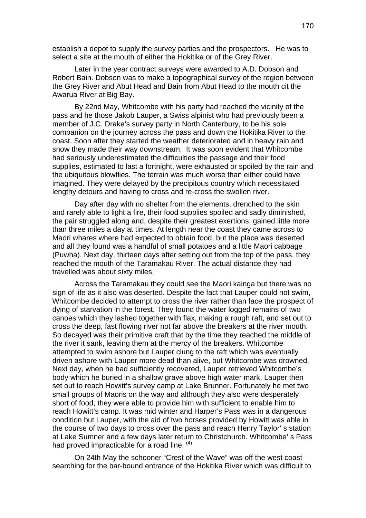establish a depot to supply the survey parties and the prospectors. He was to select a site at the mouth of either the Hokitika or of the Grey River.

Later in the year contract surveys were awarded to A.D. Dobson and Robert Bain. Dobson was to make a topographical survey of the region between the Grey River and Abut Head and Bain from Abut Head to the mouth cit the Awarua River at Big Bay.

By 22nd May, Whitcombe with his party had reached the vicinity of the pass and he those Jakob Lauper, a Swiss alpinist who had previously been a member of J.C. Drake's survey party in North Canterbury, to be his sole companion on the journey across the pass and down the Hokitika River to the coast. Soon after they started the weather deteriorated and in heavy rain and snow they made their way downstream. It was soon evident that Whitcombe had seriously underestimated the difficulties the passage and their food supplies, estimated to last a fortnight, were exhausted or spoiled by the rain and the ubiquitous blowflies. The terrain was much worse than either could have imagined. They were delayed by the precipitous country which necessitated lengthy detours and having to cross and re-cross the swollen river.

Day after day with no shelter from the elements, drenched to the skin and rarely able to light a fire, their food supplies spoiled and sadly diminished, the pair struggled along and, despite their greatest exertions, gained little more than three miles a day at times. At length near the coast they came across to Maori whares where had expected to obtain food, but the place was deserted and all they found was a handful of small potatoes and a little Maori cabbage (Puwha). Next day, thirteen days after setting out from the top of the pass, they reached the mouth of the Taramakau River. The actual distance they had travelled was about sixty miles.

Across the Taramakau they could see the Maori kainga but there was no sign of life as it also was deserted. Despite the fact that Lauper could not swim, Whitcombe decided to attempt to cross the river rather than face the prospect of dying of starvation in the forest. They found the water logged remains of two canoes which they lashed together with flax, making a rough raft, and set out to cross the deep, fast flowing river not far above the breakers at the river mouth. So decayed was their primitive craft that by the time they reached the middle of the river it sank, leaving them at the mercy of the breakers. Whitcombe attempted to swim ashore but Lauper clung to the raft which was eventually driven ashore with Lauper more dead than alive, but Whitcombe was drowned. Next day, when he had sufficiently recovered, Lauper retrieved Whitcombe's body which he buried in a shallow grave above high water mark. Lauper then set out to reach Howitt's survey camp at Lake Brunner. Fortunately he met two small groups of Maoris on the way and although they also were desperately short of food, they were able to provide him with sufficient to enable him to reach Howitt's camp. It was mid winter and Harper's Pass was in a dangerous condition but Lauper, with the aid of two horses provided by Howitt was able in the course of two days to cross over the pass and reach Henry Taylor' s station at Lake Sumner and a few days later return to Christchurch. Whitcombe' s Pass had proved impracticable for a road line.  $(4)$ 

On 24th May the schooner "Crest of the Wave" was off the west coast searching for the bar-bound entrance of the Hokitika River which was difficult to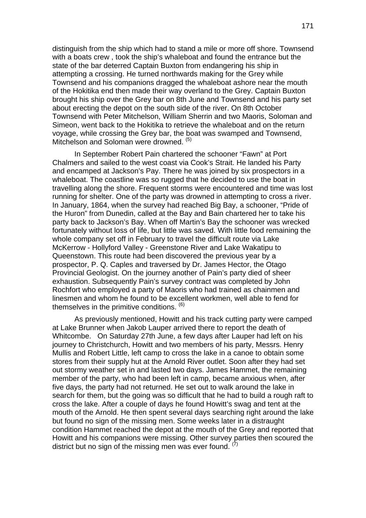distinguish from the ship which had to stand a mile or more off shore. Townsend with a boats crew , took the ship's whaleboat and found the entrance but the state of the bar deterred Captain Buxton from endangering his ship in attempting a crossing. He turned northwards making for the Grey while Townsend and his companions dragged the whaleboat ashore near the mouth of the Hokitika end then made their way overland to the Grey. Captain Buxton brought his ship over the Grey bar on 8th June and Townsend and his party set about erecting the depot on the south side of the river. On 8th October Townsend with Peter Mitchelson, William Sherrin and two Maoris, Soloman and Simeon, went back to the Hokitika to retrieve the whaleboat and on the return voyage, while crossing the Grey bar, the boat was swamped and Townsend, Mitchelson and Soloman were drowned. (5)

In September Robert Pain chartered the schooner "Fawn" at Port Chalmers and sailed to the west coast via Cook's Strait. He landed his Party and encamped at Jackson's Pay. There he was joined by six prospectors in a whaleboat. The coastline was so rugged that he decided to use the boat in travelling along the shore. Frequent storms were encountered and time was lost running for shelter. One of the party was drowned in attempting to cross a river. In January, 1864, when the survey had reached Big Bay, a schooner, "Pride of the Huron" from Dunedin, called at the Bay and Bain chartered her to take his party back to Jackson's Bay. When off Martin's Bay the schooner was wrecked fortunately without loss of life, but little was saved. With little food remaining the whole company set off in February to travel the difficult route via Lake McKerrow - Hollyford Valley - Greenstone River and Lake Wakatipu to Queenstown. This route had been discovered the previous year by a prospector, P. Q. Caples and traversed by Dr. James Hector, the Otago Provincial Geologist. On the journey another of Pain's party died of sheer exhaustion. Subsequently Pain's survey contract was completed by John Rochfort who employed a party of Maoris who had trained as chainmen and linesmen and whom he found to be excellent workmen, well able to fend for themselves in the primitive conditions.  $<sup>(6)</sup>$ </sup>

As previously mentioned, Howitt and his track cutting party were camped at Lake Brunner when Jakob Lauper arrived there to report the death of Whitcombe. On Saturday 27th June, a few days after Lauper had left on his journey to Christchurch, Howitt and two members of his party, Messrs. Henry Mullis and Robert Little, left camp to cross the lake in a canoe to obtain some stores from their supply hut at the Arnold River outlet. Soon after they had set out stormy weather set in and lasted two days. James Hammet, the remaining member of the party, who had been left in camp, became anxious when, after five days, the party had not returned. He set out to walk around the lake in search for them, but the going was so difficult that he had to build a rough raft to cross the lake. After a couple of days he found Howitt's swag and tent at the mouth of the Arnold. He then spent several days searching right around the lake but found no sign of the missing men. Some weeks later in a distraught condition Hammet reached the depot at the mouth of the Grey and reported that Howitt and his companions were missing. Other survey parties then scoured the district but no sign of the missing men was ever found.  $(7)$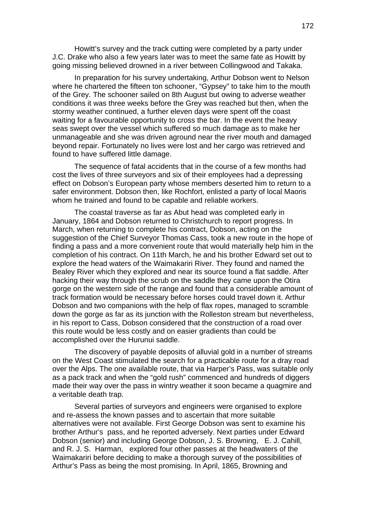Howitt's survey and the track cutting were completed by a party under J.C. Drake who also a few years later was to meet the same fate as Howitt by going missing believed drowned in a river between Collingwood and Takaka.

In preparation for his survey undertaking, Arthur Dobson went to Nelson where he chartered the fifteen ton schooner, "Gypsey" to take him to the mouth of the Grey. The schooner sailed on 8th August but owing to adverse weather conditions it was three weeks before the Grey was reached but then, when the stormy weather continued, a further eleven days were spent off the coast waiting for a favourable opportunity to cross the bar. In the event the heavy seas swept over the vessel which suffered so much damage as to make her unmanageable and she was driven aground near the river mouth and damaged beyond repair. Fortunately no lives were lost and her cargo was retrieved and found to have suffered little damage.

The sequence of fatal accidents that in the course of a few months had cost the lives of three surveyors and six of their employees had a depressing effect on Dobson's European party whose members deserted him to return to a safer environment. Dobson then, like Rochfort, enlisted a party of local Maoris whom he trained and found to be capable and reliable workers.

The coastal traverse as far as Abut head was completed early in January, 1864 and Dobson returned to Christchurch to report progress. In March, when returning to complete his contract, Dobson, acting on the suggestion of the Chief Surveyor Thomas Cass, took a new route in the hope of finding a pass and a more convenient route that would materially help him in the completion of his contract. On 11th March, he and his brother Edward set out to explore the head waters of the Waimakariri River. They found and named the Bealey River which they explored and near its source found a flat saddle. After hacking their way through the scrub on the saddle they came upon the Otira gorge on the western side of the range and found that a considerable amount of track formation would be necessary before horses could travel down it. Arthur Dobson and two companions with the help of flax ropes, managed to scramble down the gorge as far as its junction with the Rolleston stream but nevertheless, in his report to Cass, Dobson considered that the construction of a road over this route would be less costly and on easier gradients than could be accomplished over the Hurunui saddle.

The discovery of payable deposits of alluvial gold in a number of streams on the West Coast stimulated the search for a practicable route for a dray road over the Alps. The one available route, that via Harper's Pass, was suitable only as a pack track and when the "gold rush" commenced and hundreds of diggers made their way over the pass in wintry weather it soon became a quagmire and a veritable death trap.

Several parties of surveyors and engineers were organised to explore and re-assess the known passes and to ascertain that more suitable alternatives were not available. First George Dobson was sent to examine his brother Arthur's pass, and he reported adversely. Next parties under Edward Dobson (senior) and including George Dobson, J. S. Browning, E. J. Cahill, and R. J. S. Harman, explored four other passes at the headwaters of the Waimakariri before deciding to make a thorough survey of the possibilities of Arthur's Pass as being the most promising. In April, 1865, Browning and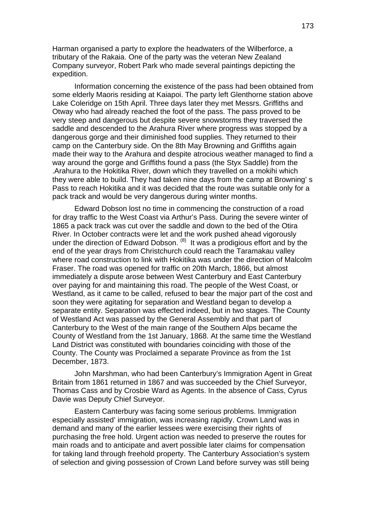Harman organised a party to explore the headwaters of the Wilberforce, a tributary of the Rakaia. One of the party was the veteran New Zealand Company surveyor, Robert Park who made several paintings depicting the expedition.

Information concerning the existence of the pass had been obtained from some elderly Maoris residing at Kaiapoi. The party left Glenthorne station above Lake Coleridge on 15th April. Three days later they met Messrs. Griffiths and Otway who had already reached the foot of the pass. The pass proved to be very steep and dangerous but despite severe snowstorms they traversed the saddle and descended to the Arahura River where progress was stopped by a dangerous gorge and their diminished food supplies. They returned to their camp on the Canterbury side. On the 8th May Browning and Griffiths again made their way to the Arahura and despite atrocious weather managed to find a way around the gorge and Griffiths found a pass (the Styx Saddle) from the .Arahura to the Hokitika River, down which they travelled on a mokihi which they were able to build. They had taken nine days from the camp at Browning' s Pass to reach Hokitika and it was decided that the route was suitable only for a pack track and would be very dangerous during winter months.

Edward Dobson lost no time in commencing the construction of a road for dray traffic to the West Coast via Arthur's Pass. During the severe winter of 1865 a pack track was cut over the saddle and down to the bed of the Otira River. In October contracts were let and the work pushed ahead vigorously under the direction of Edward Dobson.  $(8)$  It was a prodigious effort and by the end of the year drays from Christchurch could reach the Taramakau valley where road construction to link with Hokitika was under the direction of Malcolm Fraser. The road was opened for traffic on 20th March, 1866, but almost immediately a dispute arose between West Canterbury and East Canterbury over paying for and maintaining this road. The people of the West Coast, or Westland, as it came to be called, refused to bear the major part of the cost and soon they were agitating for separation and Westland began to develop a separate entity. Separation was effected indeed, but in two stages. The County of Westland Act was passed by the General Assembly and that part of Canterbury to the West of the main range of the Southern Alps became the County of Westland from the 1st January, 1868. At the same time the Westland Land District was constituted with boundaries coinciding with those of the County. The County was Proclaimed a separate Province as from the 1st December, 1873.

John Marshman, who had been Canterbury's Immigration Agent in Great Britain from 1861 returned in 1867 and was succeeded by the Chief Surveyor, Thomas Cass and by Crosbie Ward as Agents. In the absence of Cass, Cyrus Davie was Deputy Chief Surveyor.

Eastern Canterbury was facing some serious problems. Immigration especially assisted' immigration, was increasing rapidly. Crown Land was in demand and many of the earlier lessees were exercising their rights of purchasing the free hold. Urgent action was needed to preserve the routes for main roads and to anticipate and avert possible later claims for compensation for taking land through freehold property. The Canterbury Association's system of selection and giving possession of Crown Land before survey was still being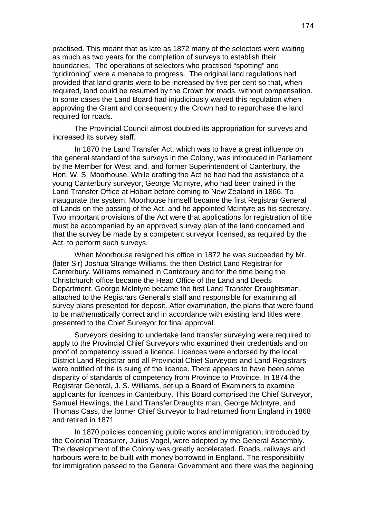practised. This meant that as late as 1872 many of the selectors were waiting as much as two years for the completion of surveys to establish their boundaries. The operations of selectors who practised "spotting" and "gridironing" were a menace to progress. The original land regulations had provided that land grants were to be increased by five per cent so that, when required, land could be resumed by the Crown for roads, without compensation. In some cases the Land Board had injudiciously waived this regulation when approving the Grant and consequently the Crown had to repurchase the land required for roads.

The Provincial Council almost doubled its appropriation for surveys and increased its survey staff.

In 1870 the Land Transfer Act, which was to have a great influence on the general standard of the surveys in the Colony, was introduced in Parliament by the Member for West land, and former Superintendent of Canterbury, the Hon. W. S. Moorhouse. While drafting the Act he had had the assistance of a young Canterbury surveyor, George McIntyre, who had been trained in the Land Transfer Office at Hobart before coming to New Zealand in 1866. To inaugurate the system, Moorhouse himself became the first Registrar General of Lands on the passing of the Act, and he appointed McIntyre as his secretary. Two important provisions of the Act were that applications for registration of title must be accompanied by an approved survey plan of the land concerned and that the survey be made by a competent surveyor licensed, as required by the Act, to perform such surveys.

When Moorhouse resigned his office in 1872 he was succeeded by Mr. (later Sir) Joshua Strange Williams, the then District Land Registrar for Canterbury. Williams remained in Canterbury and for the time being the Christchurch office became the Head Office of the Land and Deeds Department. George McIntyre became the first Land Transfer Draughtsman, attached to the Registrars General's staff and responsible for examining all survey plans presented for deposit. After examination, the plans that were found to be mathematically correct and in accordance with existing land titles were presented to the Chief Surveyor for final approval.

Surveyors desiring to undertake land transfer surveying were required to apply to the Provincial Chief Surveyors who examined their credentials and on proof of competency issued a licence. Licences were endorsed by the local District Land Registrar and all Provincial Chief Surveyors and Land Registrars were notified of the is suing of the licence. There appears to have been some disparity of standards of competency from Province to Province. In 1874 the Registrar General, J. S. Williams, set up a Board of Examiners to examine applicants for licences in Canterbury. This Board comprised the Chief Surveyor, Samuel Hewlings, the Land Transfer Draughts man, George McIntyre, and Thomas Cass, the former Chief Surveyor to had returned from England in 1868 and retired in 1871.

In 1870 policies concerning public works and immigration, introduced by the Colonial Treasurer, Julius Vogel, were adopted by the General Assembly. The development of the Colony was greatly accelerated. Roads, railways and harbours were to be built with money borrowed in England. The responsibility for immigration passed to the General Government and there was the beginning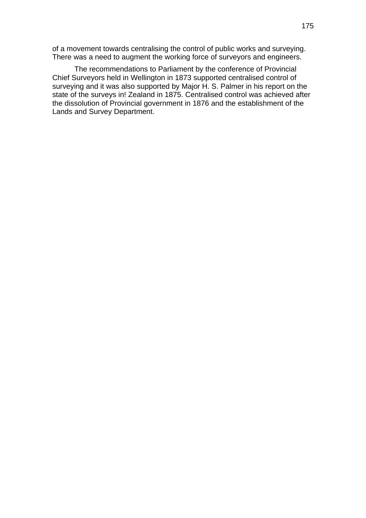of a movement towards centralising the control of public works and surveying. There was a need to augment the working force of surveyors and engineers.

The recommendations to Parliament by the conference of Provincial Chief Surveyors held in Wellington in 1873 supported centralised control of surveying and it was also supported by Major H. S. Palmer in his report on the state of the surveys in! Zealand in 1875. Centralised control was achieved after the dissolution of Provincial government in 1876 and the establishment of the Lands and Survey Department.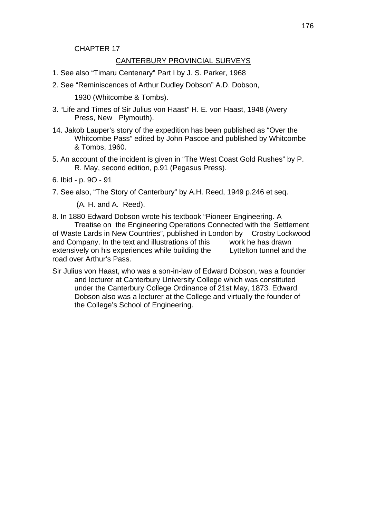#### CHAPTER 17

#### CANTERBURY PROVINCIAL SURVEYS

- 1. See also "Timaru Centenary" Part I by J. S. Parker, 1968
- 2. See "Reminiscences of Arthur Dudley Dobson" A.D. Dobson,

1930 (Whitcombe & Tombs).

- 3. "Life and Times of Sir Julius von Haast" H. E. von Haast, 1948 (Avery Press, New Plymouth).
- 14. Jakob Lauper's story of the expedition has been published as "Over the Whitcombe Pass" edited by John Pascoe and published by Whitcombe & Tombs, 1960.
- 5. An account of the incident is given in "The West Coast Gold Rushes" by P. R. May, second edition, p.91 (Pegasus Press).

6. Ibid - p. 9O - 91

7. See also, "The Story of Canterbury" by A.H. Reed, 1949 p.246 et seq.

(A. H. and A. Reed).

- 8. In 1880 Edward Dobson wrote his textbook "Pioneer Engineering. A Treatise on the Engineering Operations Connected with the Settlement of Waste Lards in New Countries", published in London by Crosby Lockwood and Company. In the text and illustrations of this work he has drawn extensively on his experiences while building the Lyttelton tunnel and the road over Arthur's Pass.
- Sir Julius von Haast, who was a son-in-law of Edward Dobson, was a founder and lecturer at Canterbury University College which was constituted under the Canterbury College Ordinance of 21st May, 1873. Edward Dobson also was a lecturer at the College and virtually the founder of the College's School of Engineering.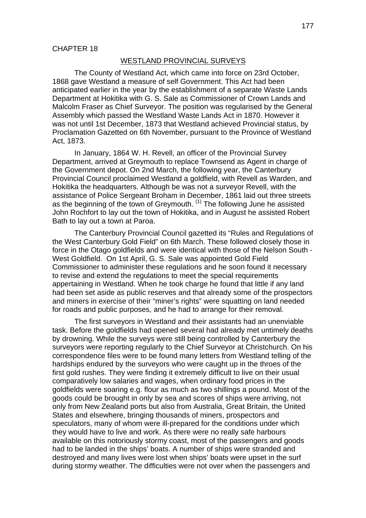#### WESTLAND PROVINCIAL SURVEYS

The County of Westland Act, which came into force on 23rd October, 1868 gave Westland a measure of self Government. This Act had been anticipated earlier in the year by the establishment of a separate Waste Lands Department at Hokitika with G. S. Sale as Commissioner of Crown Lands and Malcolm Fraser as Chief Surveyor. The position was regularised by the General Assembly which passed the Westland Waste Lands Act in 1870. However it was not until 1st December, 1873 that Westland achieved Provincial status, by Proclamation Gazetted on 6th November, pursuant to the Province of Westland Act, 1873.

In January, 1864 W. H. Revell, an officer of the Provincial Survey Department, arrived at Greymouth to replace Townsend as Agent in charge of the Government depot. On 2nd March, the following year, the Canterbury Provincial Council proclaimed Westland a goldfield, with Revell as Warden, and Hokitika the headquarters. Although be was not a surveyor Revell, with the assistance of Police Sergeant Broham in December, 1861 laid out three streets as the beginning of the town of Greymouth.  $(1)$  The following June he assisted John Rochfort to lay out the town of Hokitika, and in August he assisted Robert Bath to lay out a town at Paroa.

The Canterbury Provincial Council gazetted its "Rules and Regulations of the West Canterbury Gold Field" on 6th March. These followed closely those in force in the Otago goldfields and were identical with those of the Nelson South - West Goldfield. On 1st April, G. S. Sale was appointed Gold Field Commissioner to administer these regulations and he soon found it necessary to revise and extend the regulations to meet the special requirements appertaining in Westland. When he took charge he found that little if any land had been set aside as public reserves and that already some of the prospectors and miners in exercise of their "miner's rights" were squatting on land needed for roads and public purposes, and he had to arrange for their removal.

The first surveyors in Westland and their assistants had an unenviable task. Before the goldfields had opened several had already met untimely deaths by drowning. While the surveys were still being controlled by Canterbury the surveyors were reporting regularly to the Chief Surveyor at Christchurch. On his correspondence files were to be found many letters from Westland telling of the hardships endured by the surveyors who were caught up in the throes of the first gold rushes. They were finding it extremely difficult to live on their usual comparatively low salaries and wages, when ordinary food prices in the goldfields were soaring e.g. flour as much as two shillings a pound. Most of the goods could be brought in only by sea and scores of ships were arriving, not only from New Zealand ports but also from Australia, Great Britain, the United States and elsewhere, bringing thousands of miners, prospectors and speculators, many of whom were ill-prepared for the conditions under which they would have to live and work. As there were no really safe harbours available on this notoriously stormy coast, most of the passengers and goods had to be landed in the ships' boats. A number of ships were stranded and destroyed and many lives were lost when ships' boats were upset in the surf during stormy weather. The difficulties were not over when the passengers and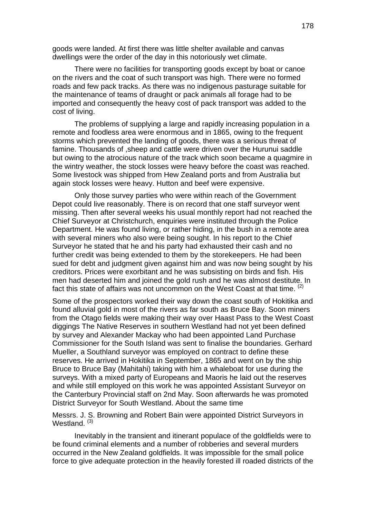goods were landed. At first there was little shelter available and canvas dwellings were the order of the day in this notoriously wet climate.

There were no facilities for transporting goods except by boat or canoe on the rivers and the coat of such transport was high. There were no formed roads and few pack tracks. As there was no indigenous pasturage suitable for the maintenance of teams of draught or pack animals all forage had to be imported and consequently the heavy cost of pack transport was added to the cost of living.

The problems of supplying a large and rapidly increasing population in a remote and foodless area were enormous and in 1865, owing to the frequent storms which prevented the landing of goods, there was a serious threat of famine. Thousands of ,sheep and cattle were driven over the Hurunui saddle but owing to the atrocious nature of the track which soon became a quagmire in the wintry weather, the stock losses were heavy before the coast was reached. Some livestock was shipped from Hew Zealand ports and from Australia but again stock losses were heavy. Hutton and beef were expensive.

Only those survey parties who were within reach of the Government Depot could live reasonably. There is on record that one staff surveyor went missing. Then after several weeks his usual monthly report had not reached the Chief Surveyor at Christchurch, enquiries were instituted through the Police Department. He was found living, or rather hiding, in the bush in a remote area with several miners who also were being sought. In his report to the Chief Surveyor he stated that he and his party had exhausted their cash and no further credit was being extended to them by the storekeepers. He had been sued for debt and judgment given against him and was now being sought by his creditors. Prices were exorbitant and he was subsisting on birds and fish. His men had deserted him and joined the gold rush and he was almost destitute. In fact this state of affairs was not uncommon on the West Coast at that time.  $(2)$ 

Some of the prospectors worked their way down the coast south of Hokitika and found alluvial gold in most of the rivers as far south as Bruce Bay. Soon miners from the Otago fields were making their way over Haast Pass to the West Coast diggings The Native Reserves in southern Westland had not yet been defined by survey and Alexander Mackay who had been appointed Land Purchase Commissioner for the South Island was sent to finalise the boundaries. Gerhard Mueller, a Southland surveyor was employed on contract to define these reserves. He arrived in Hokitika in September, 1865 and went on by the ship Bruce to Bruce Bay (Mahitahi) taking with him a whaleboat for use during the surveys. With a mixed party of Europeans and Maoris he laid out the reserves and while still employed on this work he was appointed Assistant Surveyor on the Canterbury Provincial staff on 2nd May. Soon afterwards he was promoted District Surveyor for South Westland. About the same time

Messrs. J. S. Browning and Robert Bain were appointed District Surveyors in Westland.<sup>(3)</sup>

Inevitably in the transient and itinerant populace of the goldfields were to be found criminal elements and a number of robberies and several murders occurred in the New Zealand goldfields. It was impossible for the small police force to give adequate protection in the heavily forested ill roaded districts of the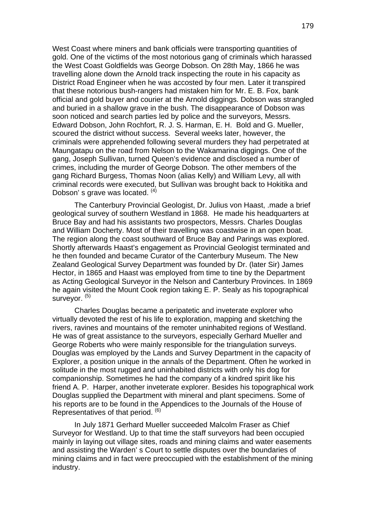West Coast where miners and bank officials were transporting quantities of gold. One of the victims of the most notorious gang of criminals which harassed the West Coast Goldfields was George Dobson. On 28th May, 1866 he was travelling alone down the Arnold track inspecting the route in his capacity as District Road Engineer when he was accosted by four men. Later it transpired that these notorious bush-rangers had mistaken him for Mr. E. B. Fox, bank official and gold buyer and courier at the Arnold diggings. Dobson was strangled and buried in a shallow grave in the bush. The disappearance of Dobson was soon noticed and search parties led by police and the surveyors, Messrs. Edward Dobson, John Rochfort, R. J. S. Harman, E. H. Bold and G. Mueller, scoured the district without success. Several weeks later, however, the criminals were apprehended following several murders they had perpetrated at Maungatapu on the road from Nelson to the Wakamarina diggings. One of the gang, Joseph Sullivan, turned Queen's evidence and disclosed a number of crimes, including the murder of George Dobson. The other members of the gang Richard Burgess, Thomas Noon (alias Kelly) and William Levy, all with criminal records were executed, but Sullivan was brought back to Hokitika and Dobson's grave was located.  $(4)$ 

The Canterbury Provincial Geologist, Dr. Julius von Haast, .made a brief geological survey of southern Westland in 1868. He made his headquarters at Bruce Bay and had his assistants two prospectors, Messrs. Charles Douglas and William Docherty. Most of their travelling was coastwise in an open boat. The region along the coast southward of Bruce Bay and Parings was explored. Shortly afterwards Haast's engagement as Provincial Geologist terminated and he then founded and became Curator of the Canterbury Museum. The New Zealand Geological Survey Department was founded by Dr. (later Sir) James Hector, in 1865 and Haast was employed from time to tine by the Department as Acting Geological Surveyor in the Nelson and Canterbury Provinces. In 1869 he again visited the Mount Cook region taking E. P. Sealy as his topographical surveyor.<sup>(5)</sup>

Charles Douglas became a peripatetic and inveterate explorer who virtually devoted the rest of his life to exploration, mapping and sketching the rivers, ravines and mountains of the remoter uninhabited regions of Westland. He was of great assistance to the surveyors, especially Gerhard Mueller and George Roberts who were mainly responsible for the triangulation surveys. Douglas was employed by the Lands and Survey Department in the capacity of Explorer, a position unique in the annals of the Department. Often he worked in solitude in the most rugged and uninhabited districts with only his dog for companionship. Sometimes he had the company of a kindred spirit like his friend A. P. Harper, another inveterate explorer. Besides his topographical work Douglas supplied the Department with mineral and plant specimens. Some of his reports are to be found in the Appendices to the Journals of the House of Representatives of that period. <sup>(6)</sup>

In July 1871 Gerhard Mueller succeeded Malcolm Fraser as Chief Surveyor for Westland. Up to that time the staff surveyors had been occupied mainly in laying out village sites, roads and mining claims and water easements and assisting the Warden' s Court to settle disputes over the boundaries of mining claims and in fact were preoccupied with the establishment of the mining industry.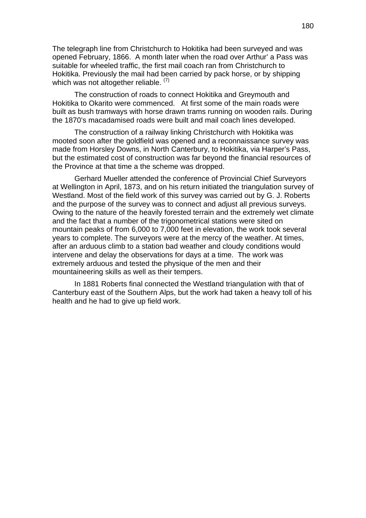The telegraph line from Christchurch to Hokitika had been surveyed and was opened February, 1866. A month later when the road over Arthur' a Pass was suitable for wheeled traffic, the first mail coach ran from Christchurch to Hokitika. Previously the mail had been carried by pack horse, or by shipping which was not altogether reliable.  $(7)$ 

The construction of roads to connect Hokitika and Greymouth and Hokitika to Okarito were commenced. At first some of the main roads were built as bush tramways with horse drawn trams running on wooden rails. During the 1870's macadamised roads were built and mail coach lines developed.

The construction of a railway linking Christchurch with Hokitika was mooted soon after the goldfield was opened and a reconnaissance survey was made from Horsley Downs, in North Canterbury, to Hokitika, via Harper's Pass, but the estimated cost of construction was far beyond the financial resources of the Province at that time a the scheme was dropped.

Gerhard Mueller attended the conference of Provincial Chief Surveyors at Wellington in April, 1873, and on his return initiated the triangulation survey of Westland. Most of the field work of this survey was carried out by G. J. Roberts and the purpose of the survey was to connect and adjust all previous surveys. Owing to the nature of the heavily forested terrain and the extremely wet climate and the fact that a number of the trigonometrical stations were sited on mountain peaks of from 6,000 to 7,000 feet in elevation, the work took several years to complete. The surveyors were at the mercy of the weather. At times, after an arduous climb to a station bad weather and cloudy conditions would intervene and delay the observations for days at a time. The work was extremely arduous and tested the physique of the men and their mountaineering skills as well as their tempers.

 In 1881 Roberts final connected the Westland triangulation with that of Canterbury east of the Southern Alps, but the work had taken a heavy toll of his health and he had to give up field work.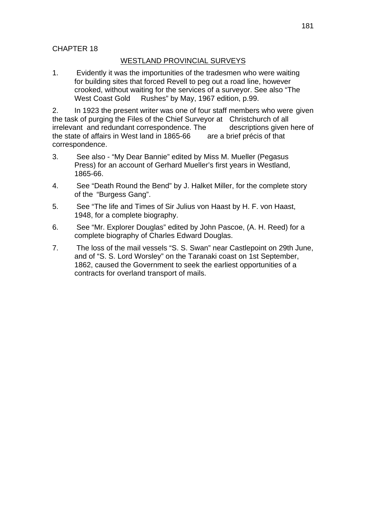# CHAPTER 18

## WESTLAND PROVINCIAL SURVEYS

1. Evidently it was the importunities of the tradesmen who were waiting for building sites that forced Revell to peg out a road line, however crooked, without waiting for the services of a surveyor. See also "The West Coast Gold Rushes" by May, 1967 edition, p.99.

2. In 1923 the present writer was one of four staff members who were given the task of purging the Files of the Chief Surveyor at Christchurch of all irrelevant and redundant correspondence. The descriptions given here of the state of affairs in West land in 1865-66 are a brief précis of that the state of affairs in West land in 1865-66 correspondence.

- 3. See also "My Dear Bannie" edited by Miss M. Mueller (Pegasus Press) for an account of Gerhard Mueller's first years in Westland, 1865-66.
- 4. See "Death Round the Bend" by J. Halket Miller, for the complete story of the "Burgess Gang".
- 5. See "The life and Times of Sir Julius von Haast by H. F. von Haast, 1948, for a complete biography.
- 6. See "Mr. Explorer Douglas" edited by John Pascoe, (A. H. Reed) for a complete biography of Charles Edward Douglas.
- 7. The loss of the mail vessels "S. S. Swan" near Castlepoint on 29th June, and of "S. S. Lord Worsley" on the Taranaki coast on 1st September, 1862, caused the Government to seek the earliest opportunities of a contracts for overland transport of mails.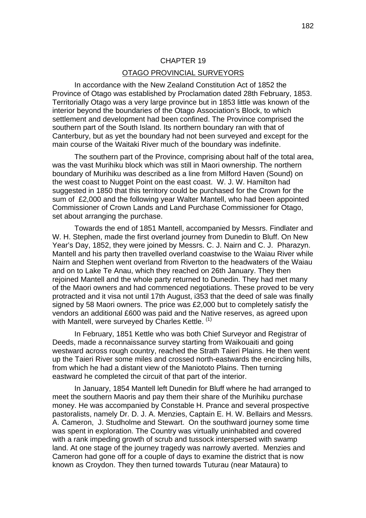# CHAPTER 19 OTAGO PROVINCIAL SURVEYORS

In accordance with the New Zealand Constitution Act of 1852 the Province of Otago was established by Proclamation dated 28th February, 1853. Territorially Otago was a very large province but in 1853 little was known of the interior beyond the boundaries of the Otago Association's Block, to which settlement and development had been confined. The Province comprised the southern part of the South Island. Its northern boundary ran with that of Canterbury, but as yet the boundary had not been surveyed and except for the main course of the Waitaki River much of the boundary was indefinite.

The southern part of the Province, comprising about half of the total area, was the vast Murihiku block which was still in Maori ownership. The northern boundary of Murihiku was described as a line from Milford Haven (Sound) on the west coast to Nugget Point on the east coast. W. J. W. Hamilton had suggested in 1850 that this territory could be purchased for the Crown for the sum of £2,000 and the following year Walter Mantell, who had been appointed Commissioner of Crown Lands and Land Purchase Commissioner for Otago, set about arranging the purchase.

Towards the end of 1851 Mantell, accompanied by Messrs. Findlater and W. H. Stephen, made the first overland journey from Dunedin to Bluff. On New Year's Day, 1852, they were joined by Messrs. C. J. Nairn and C. J. Pharazyn. Mantell and his party then travelled overland coastwise to the Waiau River while Nairn and Stephen went overland from Riverton to the headwaters of the Waiau and on to Lake Te Anau, which they reached on 26th January. They then rejoined Mantell and the whole party returned to Dunedin. They had met many of the Maori owners and had commenced negotiations. These proved to be very protracted and it visa not until 17th August, i353 that the deed of sale was finally signed by 58 Maori owners. The price was £2,000 but to completely satisfy the vendors an additional £600 was paid and the Native reserves, as agreed upon with Mantell, were surveyed by Charles Kettle. (1)

In February, 1851 Kettle who was both Chief Surveyor and Registrar of Deeds, made a reconnaissance survey starting from Waikouaiti and going westward across rough country, reached the Strath Taieri Plains. He then went up the Taieri River some miles and crossed north-eastwards the encircling hills, from which he had a distant view of the Maniototo Plains. Then turning eastward he completed the circuit of that part of the interior.

In January, 1854 Mantell left Dunedin for Bluff where he had arranged to meet the southern Maoris and pay them their share of the Murihiku purchase money. He was accompanied by Constable H. Prance and several prospective pastoralists, namely Dr. D. J. A. Menzies, Captain E. H. W. Bellairs and Messrs. A. Cameron, J. Studholme and Stewart. On the southward journey some time was spent in exploration. The Country was virtually uninhabited and covered with a rank impeding growth of scrub and tussock interspersed with swamp land. At one stage of the journey tragedy was narrowly averted. Menzies and Cameron had gone off for a couple of days to examine the district that is now known as Croydon. They then turned towards Tuturau (near Mataura) to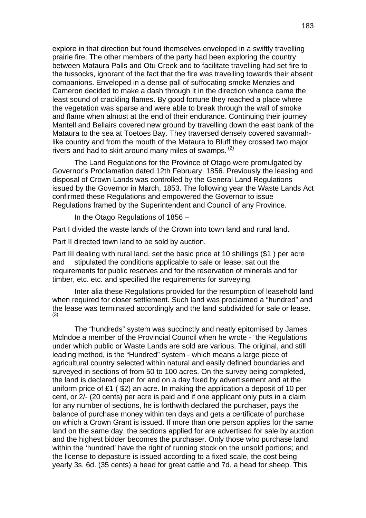explore in that direction but found themselves enveloped in a swiftly travelling prairie fire. The other members of the party had been exploring the country between Mataura Palls and Otu Creek and to facilitate travelling had set fire to the tussocks, ignorant of the fact that the fire was travelling towards their absent companions. Enveloped in a dense pall of suffocating smoke Menzies and Cameron decided to make a dash through it in the direction whence came the least sound of crackling flames. By good fortune they reached a place where the vegetation was sparse and were able to break through the wall of smoke and flame when almost at the end of their endurance. Continuing their journey Mantell and Bellairs covered new ground by travelling down the east bank of the Mataura to the sea at Toetoes Bay. They traversed densely covered savannahlike country and from the mouth of the Mataura to Bluff they crossed two major rivers and had to skirt around many miles of swamps.  $(2)$ 

The Land Regulations for the Province of Otago were promulgated by Governor's Proclamation dated 12th February, 1856. Previously the leasing and disposal of Crown Lands was controlled by the General Land Regulations issued by the Governor in March, 1853. The following year the Waste Lands Act confirmed these Regulations and empowered the Governor to issue Regulations framed by the Superintendent and Council of any Province.

In the Otago Regulations of 1856 –

Part I divided the waste lands of the Crown into town land and rural land.

Part II directed town land to be sold by auction.

Part III dealing with rural land, set the basic price at 10 shillings (\$1 ) per acre and stipulated the conditions applicable to sale or lease; sat out the requirements for public reserves and for the reservation of minerals and for timber, etc. etc. and specified the requirements for surveying.

Inter alia these Regulations provided for the resumption of leasehold land when required for closer settlement. Such land was proclaimed a "hundred" and the lease was terminated accordingly and the land subdivided for sale or lease. (3)

The "hundreds" system was succinctly and neatly epitomised by James Mclndoe a member of the Provincial Council when he wrote - "the Regulations under which public or Waste Lands are sold are various. The original, and still leading method, is the "Hundred" system - which means a large piece of agricultural country selected within natural and easily defined boundaries and surveyed in sections of from 50 to 100 acres. On the survey being completed, the land is declared open for and on a day fixed by advertisement and at the uniform price of £1 ( \$2) an acre. In making the application a deposit of 10 per cent, or 2/- (20 cents) per acre is paid and if one applicant only puts in a claim for any number of sections, he is forthwith declared the purchaser, pays the balance of purchase money within ten days and gets a certificate of purchase on which a Crown Grant is issued. If more than one person applies for the same land on the same day, the sections applied for are advertised for sale by auction and the highest bidder becomes the purchaser. Only those who purchase land within the 'hundred' have the right of running stock on the unsold portions; and the license to depasture is issued according to a fixed scale, the cost being yearly 3s. 6d. (35 cents) a head for great cattle and 7d. a head for sheep. This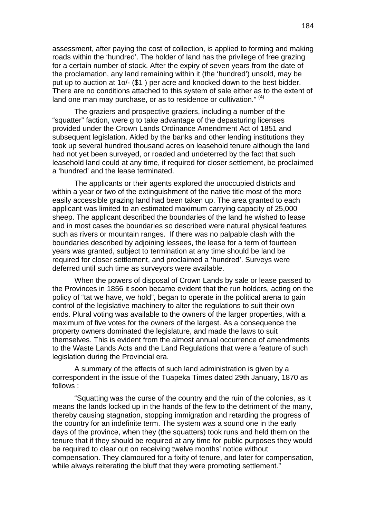assessment, after paying the cost of collection, is applied to forming and making roads within the 'hundred'. The holder of land has the privilege of free grazing for a certain number of stock. After the expiry of seven years from the date of the proclamation, any land remaining within it (the 'hundred') unsold, may be put up to auction at 1o/- (\$1 ) per acre and knocked down to the best bidder. There are no conditions attached to this system of sale either as to the extent of land one man may purchase, or as to residence or cultivation."  $(4)$ 

The graziers and prospective graziers, including a number of the "squatter" faction, were g to take advantage of the depasturing licenses provided under the Crown Lands Ordinance Amendment Act of 1851 and subsequent legislation. Aided by the banks and other lending institutions they took up several hundred thousand acres on leasehold tenure although the land had not yet been surveyed, or roaded and undeterred by the fact that such leasehold land could at any time, if required for closer settlement, be proclaimed a 'hundred' and the lease terminated.

The applicants or their agents explored the unoccupied districts and within a year or two of the extinguishment of the native title most of the more easily accessible grazing land had been taken up. The area granted to each applicant was limited to an estimated maximum carrying capacity of 25,000 sheep. The applicant described the boundaries of the land he wished to lease and in most cases the boundaries so described were natural physical features such as rivers or mountain ranges. If there was no palpable clash with the boundaries described by adjoining lessees, the lease for a term of fourteen years was granted, subject to termination at any time should be land be required for closer settlement, and proclaimed a 'hundred'. Surveys were deferred until such time as surveyors were available.

When the powers of disposal of Crown Lands by sale or lease passed to the Provinces in 1856 it soon became evident that the run holders, acting on the policy of "tat we have, we hold", began to operate in the political arena to gain control of the legislative machinery to alter the regulations to suit their own ends. Plural voting was available to the owners of the larger properties, with a maximum of five votes for the owners of the largest. As a consequence the property owners dominated the legislature, and made the laws to suit themselves. This is evident from the almost annual occurrence of amendments to the Waste Lands Acts and the Land Regulations that were a feature of such legislation during the Provincial era.

A summary of the effects of such land administration is given by a correspondent in the issue of the Tuapeka Times dated 29th January, 1870 as follows :

 "Squatting was the curse of the country and the ruin of the colonies, as it means the lands locked up in the hands of the few to the detriment of the many, thereby causing stagnation, stopping immigration and retarding the progress of the country for an indefinite term. The system was a sound one in the early days of the province, when they (the squatters) took runs and held them on the tenure that if they should be required at any time for public purposes they would be required to clear out on receiving twelve months' notice without compensation. They clamoured for a fixity of tenure, and later for compensation, while always reiterating the bluff that they were promoting settlement."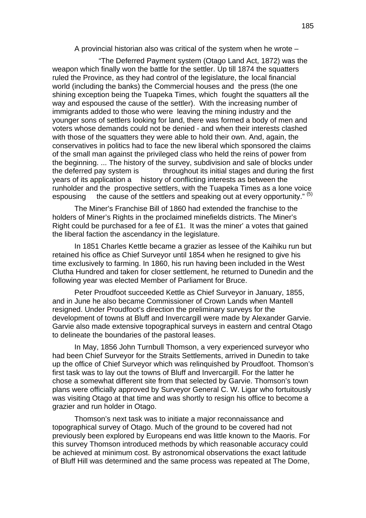A provincial historian also was critical of the system when he wrote –

 "The Deferred Payment system (Otago Land Act, 1872) was the weapon which finally won the battle for the settler. Up till 1874 the squatters ruled the Province, as they had control of the legislature, the local financial world (including the banks) the Commercial houses and the press (the one shining exception being the Tuapeka Times, which fought the squatters all the way and espoused the cause of the settler). With the increasing number of immigrants added to those who were leaving the mining industry and the younger sons of settlers looking for land, there was formed a body of men and voters whose demands could not be denied - and when their interests clashed with those of the squatters they were able to hold their own. And, again, the conservatives in politics had to face the new liberal which sponsored the claims of the small man against the privileged class who held the reins of power from the beginning. ... The history of the survey, subdivision and sale of blocks under the deferred pay system is throughout its initial stages and during the first years of its application a history of conflicting interests as between the runholder and the prospective settlers, with the Tuapeka Times as a lone voice espousing the cause of the settlers and speaking out at every opportunity."  $(5)$ 

The Miner's Franchise Bill of 1860 had extended the franchise to the holders of Miner's Rights in the proclaimed minefields districts. The Miner's Right could be purchased for a fee of £1. It was the miner' a votes that gained the liberal faction the ascendancy in the legislature.

In 1851 Charles Kettle became a grazier as lessee of the Kaihiku run but retained his office as Chief Surveyor until 1854 when he resigned to give his time exclusively to farming. In 1860, his run having been included in the West Clutha Hundred and taken for closer settlement, he returned to Dunedin and the following year was elected Member of Parliament for Bruce.

Peter Proudfoot succeeded Kettle as Chief Surveyor in January, 1855, and in June he also became Commissioner of Crown Lands when Mantell resigned. Under Proudfoot's direction the preliminary surveys for the development of towns at Bluff and Invercargill were made by Alexander Garvie. Garvie also made extensive topographical surveys in eastern and central Otago to delineate the boundaries of the pastoral leases.

In May, 1856 John Turnbull Thomson, a very experienced surveyor who had been Chief Surveyor for the Straits Settlements, arrived in Dunedin to take up the office of Chief Surveyor which was relinquished by Proudfoot. Thomson's first task was to lay out the towns of Bluff and Invercargill. For the latter he chose a somewhat different site from that selected by Garvie. Thomson's town plans were officially approved by Surveyor General C. W. Ligar who fortuitously was visiting Otago at that time and was shortly to resign his office to become a grazier and run holder in Otago.

Thomson's next task was to initiate a major reconnaissance and topographical survey of Otago. Much of the ground to be covered had not previously been explored by Europeans end was little known to the Maoris. For this survey Thomson introduced methods by which reasonable accuracy could be achieved at minimum cost. By astronomical observations the exact latitude of Bluff Hill was determined and the same process was repeated at The Dome,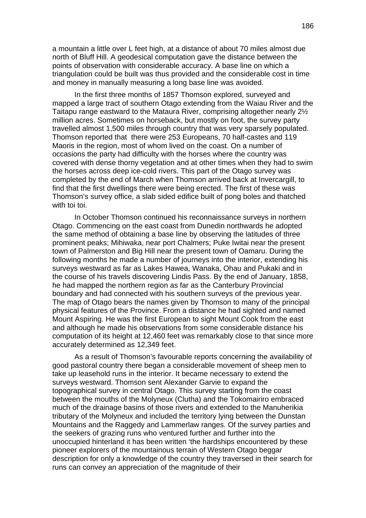a mountain a little over L feet high, at a distance of about 70 miles almost due north of Bluff Hill. A geodesical computation gave the distance between the points of observation with considerable accuracy. A base line on which a triangulation could be built was thus provided and the considerable cost in time and money in manually measuring a long base line was avoided.

In the first three months of 1857 Thomson explored, surveyed and mapped a large tract of southern Otago extending from the Waiau River and the Taitapu range eastward to the Mataura River, comprising altogether nearly 2½ million acres. Sometimes on horseback, but mostly on foot, the survey party travelled almost 1,500 miles through country that was very sparsely populated. Thomson reported that there were 253 Europeans, 70 half-castes and 119 Maoris in the region, most of whom lived on the coast. On a number of occasions the party had difficulty with the horses where the country was covered with dense thorny vegetation and at other times when they had to swim the horses across deep ice-cold rivers. This part of the Otago survey was completed by the end of March when Thomson arrived back at Invercargill, to find that the first dwellings there were being erected. The first of these was Thomson's survey office, a slab sided edifice built of pong boles and thatched with toi toi.

In October Thomson continued his reconnaissance surveys in northern Otago. Commencing on the east coast from Dunedin northwards he adopted the same method of obtaining a base line by observing the latitudes of three prominent peaks; Mihiwaka, near port Chalmers; Puke Iwitai near the present town of Palmerston and Big Hill near the present town of Oamaru. During the following months he made a number of journeys into the interior, extending his surveys westward as far as Lakes Hawea, Wanaka, Ohau and Pukaki and in the course of his travels discovering Lindis Pass. By the end of January, 1858, he had mapped the northern region as far as the Canterbury Provincial boundary and had connected with his southern surveys of the previous year. The map of Otago bears the names given by Thomson to many of the principal physical features of the Province. From a distance he had sighted and named Mount Aspiring. He was the first European to sight Mount Cook from the east and although he made his observations from some considerable distance his computation of its height at 12,460 feet was remarkably close to that since more accurately determined as 12,349 feet.

As a result of Thomson's favourable reports concerning the availability of good pastoral country there began a considerable movement of sheep men to take up leasehold runs in the interior. It became necessary to extend the surveys westward. Thomson sent Alexander Garvie to expand the topographical survey in central Otago. This survey starting from the coast between the mouths of the Molyneux (Clutha) and the Tokomairiro embraced much of the drainage basins of those rivers and extended to the Manuherikia tributary of the Molyneux and included the territory lying between the Dunstan Mountains and the Raggedy and Lammerlaw ranges. Of the survey parties and the seekers of grazing runs who ventured further and further into the unoccupied hinterland it has been written 'the hardships encountered by these pioneer explorers of the mountainous terrain of Western Otago beggar description for only a knowledge of the country they traversed in their search for runs can convey an appreciation of the magnitude of their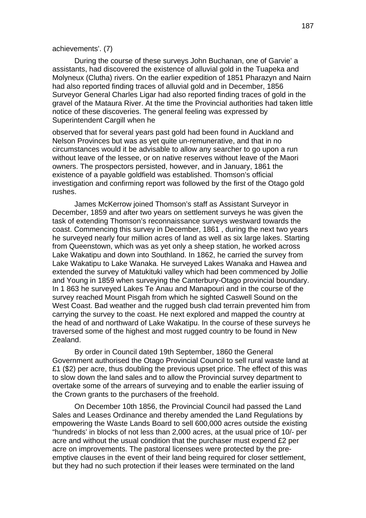#### achievements'. (7)

During the course of these surveys John Buchanan, one of Garvie' a assistants, had discovered the existence of alluvial gold in the Tuapeka and Molyneux (Clutha) rivers. On the earlier expedition of 1851 Pharazyn and Nairn had also reported finding traces of alluvial gold and in December, 1856 Surveyor General Charles Ligar had also reported finding traces of gold in the gravel of the Mataura River. At the time the Provincial authorities had taken little notice of these discoveries. The general feeling was expressed by Superintendent Cargill when he

observed that for several years past gold had been found in Auckland and Nelson Provinces but was as yet quite un-remunerative, and that in no circumstances would it be advisable to allow any searcher to go upon a run without leave of the lessee, or on native reserves without leave of the Maori owners. The prospectors persisted, however, and in January, 1861 the existence of a payable goldfield was established. Thomson's official investigation and confirming report was followed by the first of the Otago gold rushes.

James McKerrow joined Thomson's staff as Assistant Surveyor in December, 1859 and after two years on settlement surveys he was given the task of extending Thomson's reconnaissance surveys westward towards the coast. Commencing this survey in December, 1861 , during the next two years he surveyed nearly four million acres of land as well as six large lakes. Starting from Queenstown, which was as yet only a sheep station, he worked across Lake Wakatipu and down into Southland. In 1862, he carried the survey from Lake Wakatipu to Lake Wanaka. He surveyed Lakes Wanaka and Hawea and extended the survey of Matukituki valley which had been commenced by Jollie and Young in 1859 when surveying the Canterbury-Otago provincial boundary. In 1 863 he surveyed Lakes Te Anau and Manapouri and in the course of the survey reached Mount Pisgah from which he sighted Caswell Sound on the West Coast. Bad weather and the rugged bush clad terrain prevented him from carrying the survey to the coast. He next explored and mapped the country at the head of and northward of Lake Wakatipu. In the course of these surveys he traversed some of the highest and most rugged country to be found in New Zealand.

By order in Council dated 19th September, 1860 the General Government authorised the Otago Provincial Council to sell rural waste land at £1 (\$2) per acre, thus doubling the previous upset price. The effect of this was to slow down the land sales and to allow the Provincial survey department to overtake some of the arrears of surveying and to enable the earlier issuing of the Crown grants to the purchasers of the freehold.

On December 10th 1856, the Provincial Council had passed the Land Sales and Leases Ordinance and thereby amended the Land Regulations by empowering the Waste Lands Board to sell 600,000 acres outside the existing "hundreds' in blocks of not less than 2,000 acres, at the usual price of 10/- per acre and without the usual condition that the purchaser must expend £2 per acre on improvements. The pastoral licensees were protected by the preemptive clauses in the event of their land being required for closer settlement, but they had no such protection if their leases were terminated on the land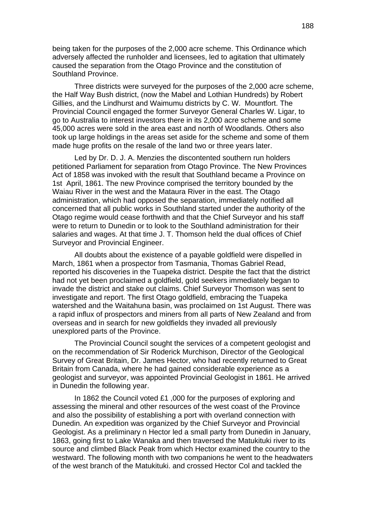being taken for the purposes of the 2,000 acre scheme. This Ordinance which adversely affected the runholder and licensees, led to agitation that ultimately caused the separation from the Otago Province and the constitution of Southland Province.

Three districts were surveyed for the purposes of the 2,000 acre scheme, the Half Way Bush district, (now the Mabel and Lothian Hundreds) by Robert Gillies, and the Lindhurst and Waimumu districts by C. W. Mountfort. The Provincial Council engaged the former Surveyor General Charles W. Ligar, to go to Australia to interest investors there in its 2,000 acre scheme and some 45,000 acres were sold in the area east and north of Woodlands. Others also took up large holdings in the areas set aside for the scheme and some of them made huge profits on the resale of the land two or three years later.

Led by Dr. D. J. A. Menzies the discontented southern run holders petitioned Parliament for separation from Otago Province. The New Provinces Act of 1858 was invoked with the result that Southland became a Province on 1st April, 1861. The new Province comprised the territory bounded by the Waiau River in the west and the Mataura River in the east. The Otago administration, which had opposed the separation, immediately notified all concerned that all public works in Southland started under the authority of the Otago regime would cease forthwith and that the Chief Surveyor and his staff were to return to Dunedin or to look to the Southland administration for their salaries and wages. At that time J. T. Thomson held the dual offices of Chief Surveyor and Provincial Engineer.

All doubts about the existence of a payable goldfield were dispelled in March, 1861 when a prospector from Tasmania, Thomas Gabriel Read, reported his discoveries in the Tuapeka district. Despite the fact that the district had not yet been proclaimed a goldfield, gold seekers immediately began to invade the district and stake out claims. Chief Surveyor Thomson was sent to investigate and report. The first Otago goldfield, embracing the Tuapeka watershed and the Waitahuna basin, was proclaimed on 1st August. There was a rapid influx of prospectors and miners from all parts of New Zealand and from overseas and in search for new goldfields they invaded all previously unexplored parts of the Province.

The Provincial Council sought the services of a competent geologist and on the recommendation of Sir Roderick Murchison, Director of the Geological Survey of Great Britain, Dr. James Hector, who had recently returned to Great Britain from Canada, where he had gained considerable experience as a geologist and surveyor, was appointed Provincial Geologist in 1861. He arrived in Dunedin the following year.

In 1862 the Council voted £1 ,000 for the purposes of exploring and assessing the mineral and other resources of the west coast of the Province and also the possibility of establishing a port with overland connection with Dunedin. An expedition was organized by the Chief Surveyor and Provincial Geologist. As a preliminary n Hector led a small party from Dunedin in January, 1863, going first to Lake Wanaka and then traversed the Matukituki river to its source and climbed Black Peak from which Hector examined the country to the westward. The following month with two companions he went to the headwaters of the west branch of the Matukituki. and crossed Hector Col and tackled the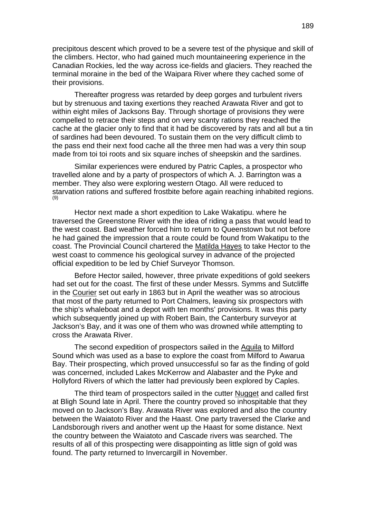precipitous descent which proved to be a severe test of the physique and skill of the climbers. Hector, who had gained much mountaineering experience in the Canadian Rockies, led the way across ice-fields and glaciers. They reached the terminal moraine in the bed of the Waipara River where they cached some of their provisions.

Thereafter progress was retarded by deep gorges and turbulent rivers but by strenuous and taxing exertions they reached Arawata River and got to within eight miles of Jacksons Bay. Through shortage of provisions they were compelled to retrace their steps and on very scanty rations they reached the cache at the glacier only to find that it had be discovered by rats and all but a tin of sardines had been devoured. To sustain them on the very difficult climb to the pass end their next food cache all the three men had was a very thin soup made from toi toi roots and six square inches of sheepskin and the sardines.

Similar experiences were endured by Patric Caples, a prospector who travelled alone and by a party of prospectors of which A. J. Barrington was a member. They also were exploring western Otago. All were reduced to starvation rations and suffered frostbite before again reaching inhabited regions.<br>(9)

Hector next made a short expedition to Lake Wakatipu. where he traversed the Greenstone River with the idea of riding a pass that would lead to the west coast. Bad weather forced him to return to Queenstown but not before he had gained the impression that a route could be found from Wakatipu to the coast. The Provincial Council chartered the Matilda Hayes to take Hector to the west coast to commence his geological survey in advance of the projected official expedition to be led by Chief Surveyor Thomson.

Before Hector sailed, however, three private expeditions of gold seekers had set out for the coast. The first of these under Messrs. Symms and Sutcliffe in the Courier set out early in 1863 but in April the weather was so atrocious that most of the party returned to Port Chalmers, leaving six prospectors with the ship's whaleboat and a depot with ten months' provisions. It was this party which subsequently joined up with Robert Bain, the Canterbury surveyor at Jackson's Bay, and it was one of them who was drowned while attempting to cross the Arawata River.

The second expedition of prospectors sailed in the Aquila to Milford Sound which was used as a base to explore the coast from Milford to Awarua Bay. Their prospecting, which proved unsuccessful so far as the finding of gold was concerned, included Lakes McKerrow and Alabaster and the Pyke and Hollyford Rivers of which the latter had previously been explored by Caples.

The third team of prospectors sailed in the cutter Nugget and called first at Bligh Sound late in April. There the country proved so inhospitable that they moved on to Jackson's Bay. Arawata River was explored and also the country between the Waiatoto River and the Haast. One party traversed the Clarke and Landsborough rivers and another went up the Haast for some distance. Next the country between the Waiatoto and Cascade rivers was searched. The results of all of this prospecting were disappointing as little sign of gold was found. The party returned to Invercargill in November.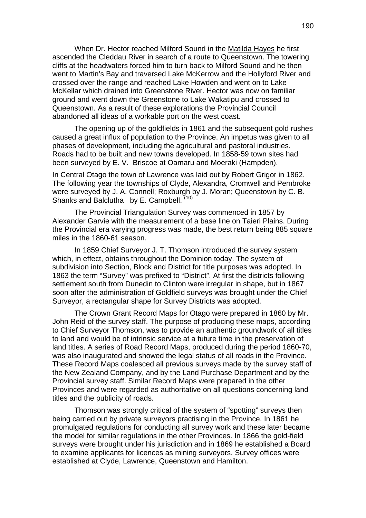When Dr. Hector reached Milford Sound in the Matilda Hayes he first ascended the Cleddau River in search of a route to Queenstown. The towering cliffs at the headwaters forced him to turn back to Milford Sound and he then went to Martin's Bay and traversed Lake McKerrow and the Hollyford River and crossed over the range and reached Lake Howden and went on to Lake McKellar which drained into Greenstone River. Hector was now on familiar ground and went down the Greenstone to Lake Wakatipu and crossed to Queenstown. As a result of these explorations the Provincial Council abandoned all ideas of a workable port on the west coast.

The opening up of the goldfields in 1861 and the subsequent gold rushes caused a great influx of population to the Province. An impetus was given to all phases of development, including the agricultural and pastoral industries. Roads had to be built and new towns developed. In 1858-59 town sites had been surveyed by E. V. Briscoe at Oamaru and Moeraki (Hampden).

In Central Otago the town of Lawrence was laid out by Robert Grigor in 1862. The following year the townships of Clyde, Alexandra, Cromwell and Pembroke were surveyed by J. A. Connell; Roxburgh by J. Moran; Queenstown by C. B. Shanks and Balclutha by E. Campbell. (10)

The Provincial Triangulation Survey was commenced in 1857 by Alexander Garvie with the measurement of a base line on Taieri Plains. During the Provincial era varying progress was made, the best return being 885 square miles in the 1860-61 season.

In 1859 Chief Surveyor J. T. Thomson introduced the survey system which, in effect, obtains throughout the Dominion today. The system of subdivision into Section, Block and District for title purposes was adopted. In 1863 the term "Survey" was prefixed to "District". At first the districts following settlement south from Dunedin to Clinton were irregular in shape, but in 1867 soon after the administration of Goldfield surveys was brought under the Chief Surveyor, a rectangular shape for Survey Districts was adopted.

The Crown Grant Record Maps for Otago were prepared in 1860 by Mr. John Reid of the survey staff. The purpose of producing these maps, according to Chief Surveyor Thomson, was to provide an authentic groundwork of all titles to land and would be of intrinsic service at a future time in the preservation of land titles. A series of Road Record Maps, produced during the period 1860-70, was also inaugurated and showed the legal status of all roads in the Province. These Record Maps coalesced all previous surveys made by the survey staff of the New Zealand Company, and by the Land Purchase Department and by the Provincial survey staff. Similar Record Maps were prepared in the other Provinces and were regarded as authoritative on all questions concerning land titles and the publicity of roads.

Thomson was strongly critical of the system of "spotting" surveys then being carried out by private surveyors practising in the Province. In 1861 he promulgated regulations for conducting all survey work and these later became the model for similar regulations in the other Provinces. In 1866 the gold-field surveys were brought under his jurisdiction and in 1869 he established a Board to examine applicants for licences as mining surveyors. Survey offices were established at Clyde, Lawrence, Queenstown and Hamilton.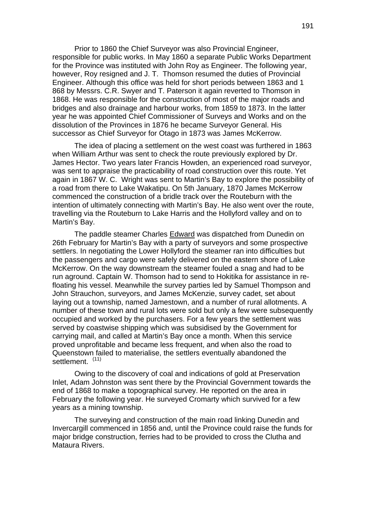Prior to 1860 the Chief Surveyor was also Provincial Engineer, responsible for public works. In May 1860 a separate Public Works Department for the Province was instituted with John Roy as Engineer. The following year, however, Roy resigned and J. T. Thomson resumed the duties of Provincial Engineer. Although this office was held for short periods between 1863 and 1 868 by Messrs. C.R. Swyer and T. Paterson it again reverted to Thomson in 1868. He was responsible for the construction of most of the major roads and bridges and also drainage and harbour works, from 1859 to 1873. In the latter year he was appointed Chief Commissioner of Surveys and Works and on the dissolution of the Provinces in 1876 he became Surveyor General. His successor as Chief Surveyor for Otago in 1873 was James McKerrow.

The idea of placing a settlement on the west coast was furthered in 1863 when William Arthur was sent to check the route previously explored by Dr. James Hector. Two years later Francis Howden, an experienced road surveyor, was sent to appraise the practicability of road construction over this route. Yet again in 1867 W. C. Wright was sent to Martin's Bay to explore the possibility of a road from there to Lake Wakatipu. On 5th January, 1870 James McKerrow commenced the construction of a bridle track over the Routeburn with the intention of ultimately connecting with Martin's Bay. He also went over the route, travelling via the Routeburn to Lake Harris and the Hollyford valley and on to Martin's Bay.

The paddle steamer Charles Edward was dispatched from Dunedin on 26th February for Martin's Bay with a party of surveyors and some prospective settlers. In negotiating the Lower Hollyford the steamer ran into difficulties but the passengers and cargo were safely delivered on the eastern shore of Lake McKerrow. On the way downstream the steamer fouled a snag and had to be run aground. Captain W. Thomson had to send to Hokitika for assistance in refloating his vessel. Meanwhile the survey parties led by Samuel Thompson and John Strauchon, surveyors, and James McKenzie, survey cadet, set about laying out a township, named Jamestown, and a number of rural allotments. A number of these town and rural lots were sold but only a few were subsequently occupied and worked by the purchasers. For a few years the settlement was served by coastwise shipping which was subsidised by the Government for carrying mail, and called at Martin's Bay once a month. When this service proved unprofitable and became less frequent, and when also the road to Queenstown failed to materialise, the settlers eventually abandoned the settlement. (11)

Owing to the discovery of coal and indications of gold at Preservation Inlet, Adam Johnston was sent there by the Provincial Government towards the end of 1868 to make a topographical survey. He reported on the area in February the following year. He surveyed Cromarty which survived for a few years as a mining township.

The surveying and construction of the main road linking Dunedin and Invercargill commenced in 1856 and, until the Province could raise the funds for major bridge construction, ferries had to be provided to cross the Clutha and Mataura Rivers.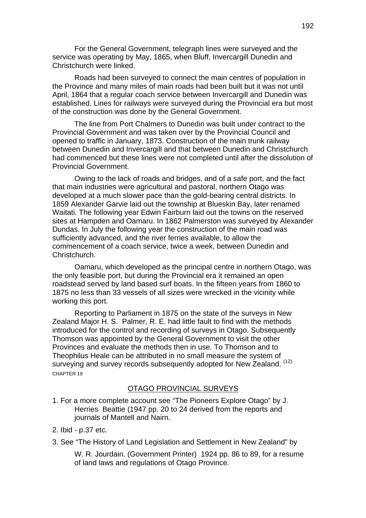For the General Government, telegraph lines were surveyed and the service was operating by May, 1865, when Bluff, Invercargill Dunedin and Christchurch were linked.

Roads had been surveyed to connect the main centres of population in the Province and many miles of main roads had been built but it was not until April, 1864 that a regular coach service between Invercargill and Dunedin was established. Lines for railways were surveyed during the Provincial era but most of the construction was done by the General Government.

The line from Port Chalmers to Dunedin was built under contract to the Provincial Government and was taken over by the Provincial Council and opened to traffic in January, 1873. Construction of the main trunk railway between Dunedin and Invercargill and that between Dunedin and Christchurch had commenced but these lines were not completed until after the dissolution of Provincial Government.

Owing to the lack of roads and bridges, and of a safe port, and the fact that main industries were agricultural and pastoral, northern Otago was developed at a much slower pace than the gold-bearing central districts. In 1859 Alexander Garvie laid out the township at Blueskin Bay, later renamed Waitati. The following year Edwin Fairburn laid out the towns on the reserved sites at Hampden and Oamaru. In 1862 Palmerston was surveyed by Alexander Dundas. In July the following year the construction of the main road was sufficiently advanced, and the river ferries available, to allow the commencement of a coach service, twice a week, between Dunedin and Christchurch.

Oamaru, which developed as the principal centre in northern Otago, was the only feasible port, but during the Provincial era it remained an open roadstead served by land based surf boats. In the fifteen years from 1860 to 1875 no less than 33 vessels of all sizes were wrecked in the vicinity while working this port.

Reporting to Parliament in 1875 on the state of the surveys in New Zealand Major H. S. Palmer, R. E. had little fault to find with the methods introduced for the control and recording of surveys in Otago. Subsequently Thomson was appointed by the General Government to visit the other Provinces and evaluate the methods then in use. To Thomson and to Theophilus Heale can be attributed in no small measure the system of surveying and survey records subsequently adopted for New Zealand. (12) CHAPTER 19

### OTAGO PROVINCIAL SURVEYS

- 1. For a more complete account see "The Pioneers Explore Otago" by J. Herries Beattie (1947 pp. 20 to 24 derived from the reports and journals of Mantell and Nairn.
- 2. Ibid p.37 etc.
- 3. See "The History of Land Legislation and Settlement in New Zealand" by

W. R. Jourdain. (Government Printer) 1924 pp. 86 to 89, for a resume of land laws and regulations of Otago Province.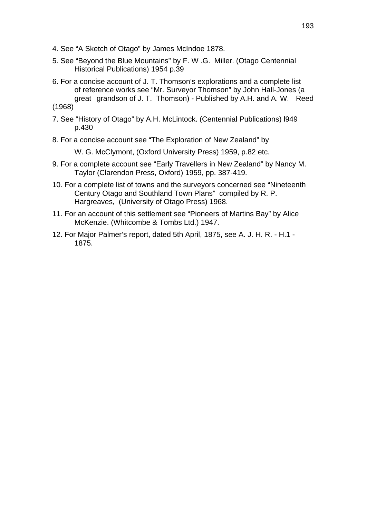- 4. See "A Sketch of Otago" by James McIndoe 1878.
- 5. See "Beyond the Blue Mountains" by F. W .G. Miller. (Otago Centennial Historical Publications) 1954 p.39
- 6. For a concise account of J. T. Thomson's explorations and a complete list of reference works see "Mr. Surveyor Thomson" by John Hall-Jones (a great grandson of J. T. Thomson) - Published by A.H. and A. W. Reed

(1968)

- 7. See "History of Otago" by A.H. McLintock. (Centennial Publications) l949 p.430
- 8. For a concise account see "The Exploration of New Zealand" by

W. G. McClymont, (Oxford University Press) 1959, p.82 etc.

- 9. For a complete account see "Early Travellers in New Zealand" by Nancy M. Taylor (Clarendon Press, Oxford) 1959, pp. 387-419.
- 10. For a complete list of towns and the surveyors concerned see "Nineteenth Century Otago and Southland Town Plans" compiled by R. P. Hargreaves, (University of Otago Press) 1968.
- 11. For an account of this settlement see "Pioneers of Martins Bay" by Alice McKenzie. (Whitcombe & Tombs Ltd.) 1947.
- 12. For Major Palmer's report, dated 5th April, 1875, see A. J. H. R. H.1 1875.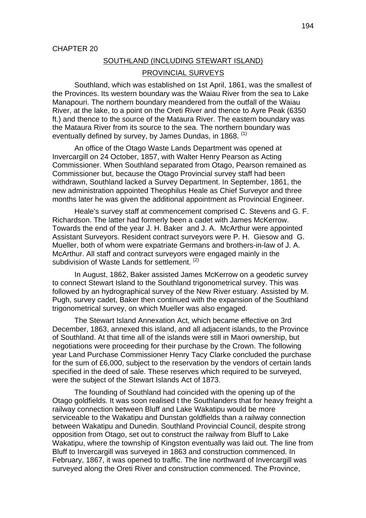#### SOUTHLAND (INCLUDING STEWART ISLAND)

#### PROVINCIAL SURVEYS

Southland, which was established on 1st April, 1861, was the smallest of the Provinces. Its western boundary was the Waiau River from the sea to Lake Manapouri. The northern boundary meandered from the outfall of the Waiau River, at the lake, to a point on the Oreti River and thence to Ayre Peak (6350 ft.) and thence to the source of the Mataura River. The eastern boundary was the Mataura River from its source to the sea. The northern boundary was eventually defined by survey, by James Dundas, in 1868.  $(1)$ 

An office of the Otago Waste Lands Department was opened at Invercargill on 24 October, 1857, with Walter Henry Pearson as Acting Commissioner. When Southland separated from Otago, Pearson remained as Commissioner but, because the Otago Provincial survey staff had been withdrawn, Southland lacked a Survey Department. In September, 1861, the new administration appointed Theophilus Heale as Chief Surveyor and three months later he was given the additional appointment as Provincial Engineer.

Heale's survey staff at commencement comprised C. Stevens and G. F. Richardson. The latter had formerly been a cadet with James McKerrow. Towards the end of the year J. H. Baker and J. A. McArthur were appointed Assistant Surveyors. Resident contract surveyors were P. H. Giesow and G. Mueller, both of whom were expatriate Germans and brothers-in-law of J. A. McArthur. All staff and contract surveyors were engaged mainly in the subdivision of Waste Lands for settlement.<sup>(2)</sup>

In August, 1862, Baker assisted James McKerrow on a geodetic survey to connect Stewart Island to the Southland trigonometrical survey. This was followed by an hydrographical survey of the New River estuary. Assisted by M. Pugh, survey cadet, Baker then continued with the expansion of the Southland trigonometrical survey, on which Mueller was also engaged.

The Stewart Island Annexation Act, which became effective on 3rd December, 1863, annexed this island, and all adjacent islands, to the Province of Southland. At that time all of the islands were still in Maori ownership, but negotiations were proceeding for their purchase by the Crown. The following year Land Purchase Commissioner Henry Tacy Clarke concluded the purchase for the sum of £6,000, subject to the reservation by the vendors of certain lands specified in the deed of sale. These reserves which required to be surveyed, were the subject of the Stewart Islands Act of 1873.

The founding of Southland had coincided with the opening up of the Otago goldfields. It was soon realised t the Southlanders that for heavy freight a railway connection between Bluff and Lake Wakatipu would be more serviceable to the Wakatipu and Dunstan goldfields than a railway connection between Wakatipu and Dunedin. Southland Provincial Council, despite strong opposition from Otago, set out to construct the railway from Bluff to Lake Wakatipu, where the township of Kingston eventually was laid out. The line from Bluff to Invercargill was surveyed in 1863 and construction commenced. In February, 1867, it was opened to traffic. The line northward of Invercargill was surveyed along the Oreti River and construction commenced. The Province,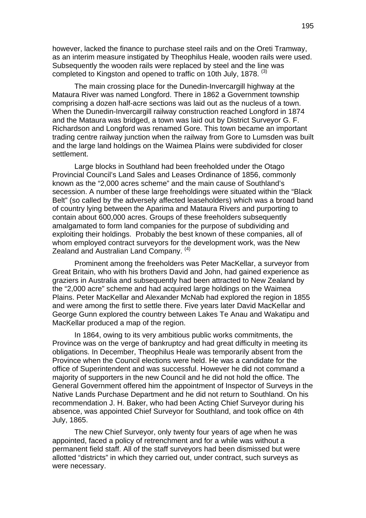however, lacked the finance to purchase steel rails and on the Oreti Tramway, as an interim measure instigated by Theophilus Heale, wooden rails were used. Subsequently the wooden rails were replaced by steel and the line was completed to Kingston and opened to traffic on 10th July, 1878. <sup>(3)</sup>

The main crossing place for the Dunedin-Invercargill highway at the Mataura River was named Longford. There in 1862 a Government township comprising a dozen half-acre sections was laid out as the nucleus of a town. When the Dunedin-Invercargill railway construction reached Longford in 1874 and the Mataura was bridged, a town was laid out by District Surveyor G. F. Richardson and Longford was renamed Gore. This town became an important trading centre railway junction when the railway from Gore to Lumsden was built and the large land holdings on the Waimea Plains were subdivided for closer settlement.

Large blocks in Southland had been freeholded under the Otago Provincial Council's Land Sales and Leases Ordinance of 1856, commonly known as the "2,000 acres scheme" and the main cause of Southland's secession. A number of these large freeholdings were situated within the "Black" Belt" (so called by the adversely affected leaseholders) which was a broad band of country lying between the Aparima and Mataura Rivers and purporting to contain about 600,000 acres. Groups of these freeholders subsequently amalgamated to form land companies for the purpose of subdividing and exploiting their holdings. Probably the best known of these companies, all of whom employed contract surveyors for the development work, was the New Zealand and Australian Land Company. <sup>(4)</sup>

Prominent among the freeholders was Peter MacKellar, a surveyor from Great Britain, who with his brothers David and John, had gained experience as graziers in Australia and subsequently had been attracted to New Zealand by the "2,000 acre" scheme and had acquired large holdings on the Waimea Plains. Peter MacKellar and Alexander McNab had explored the region in 1855 and were among the first to settle there. Five years later David MacKellar and George Gunn explored the country between Lakes Te Anau and Wakatipu and MacKellar produced a map of the region.

In 1864, owing to its very ambitious public works commitments, the Province was on the verge of bankruptcy and had great difficulty in meeting its obligations. In December, Theophilus Heale was temporarily absent from the Province when the Council elections were held. He was a candidate for the office of Superintendent and was successful. However he did not command a majority of supporters in the new Council and he did not hold the office. The General Government offered him the appointment of Inspector of Surveys in the Native Lands Purchase Department and he did not return to Southland. On his recommendation J. H. Baker, who had been Acting Chief Surveyor during his absence, was appointed Chief Surveyor for Southland, and took office on 4th July, 1865.

The new Chief Surveyor, only twenty four years of age when he was appointed, faced a policy of retrenchment and for a while was without a permanent field staff. All of the staff surveyors had been dismissed but were allotted "districts" in which they carried out, under contract, such surveys as were necessary.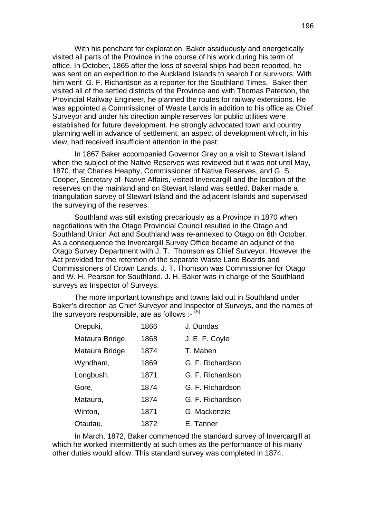With his penchant for exploration, Baker assiduously and energetically visited all parts of the Province in the course of his work during his term of office. In October, 1865 after the loss of several ships had been reported, he was sent on an expedition to the Auckland Islands to search f or survivors. With him went G. F. Richardson as a reporter for the Southland Times. Baker then visited all of the settled districts of the Province and with Thomas Paterson, the Provincial Railway Engineer, he planned the routes for railway extensions. He was appointed a Commissioner of Waste Lands in addition to his office as Chief Surveyor and under his direction ample reserves for public utilities were established for future development. He strongly advocated town and country planning well in advance of settlement, an aspect of development which, in his view, had received insufficient attention in the past.

In 1867 Baker accompanied Governor Grey on a visit to Stewart Island when the subject of the Native Reserves was reviewed but it was not until May, 1870, that Charles Heaphy, Commissioner of Native Reserves, and G. S. Cooper, Secretary of Native Affairs, visited Invercargill and the location of the reserves on the mainland and on Stewart Island was settled. Baker made a triangulation survey of Stewart Island and the adjacent Islands and supervised the surveying of the reserves.

Southland was still existing precariously as a Province in 1870 when negotiations with the Otago Provincial Council resulted in the Otago and Southland Union Act and Southland was re-annexed to Otago on 6th October. As a consequence the Invercargill Survey Office became an adjunct of the Otago Survey Department with J. T. Thomson as Chief Surveyor. However the Act provided for the retention of the separate Waste Land Boards and Commissioners of Crown Lands. J. T. Thomson was Commissioner for Otago and W. H. Pearson for Southland. J. H. Baker was in charge of the Southland surveys as Inspector of Surveys.

The more important townships and towns laid out in Southland under Baker's direction as Chief Surveyor and Inspector of Surveys, and the names of the surveyors responsible, are as follows :-  $(5)$ 

| Orepuki,        | 1866 | J. Dundas        |
|-----------------|------|------------------|
| Mataura Bridge, | 1868 | J. E. F. Coyle   |
| Mataura Bridge, | 1874 | T. Maben         |
| Wyndham,        | 1869 | G. F. Richardson |
| Longbush,       | 1871 | G. F. Richardson |
| Gore,           | 1874 | G. F. Richardson |
| Mataura,        | 1874 | G. F. Richardson |
| Winton,         | 1871 | G. Mackenzie     |
| Otautau,        | 1872 | E. Tanner        |

In March, 1872, Baker commenced the standard survey of Invercargill at which he worked intermittently at such times as the performance of his many other duties would allow. This standard survey was completed in 1874.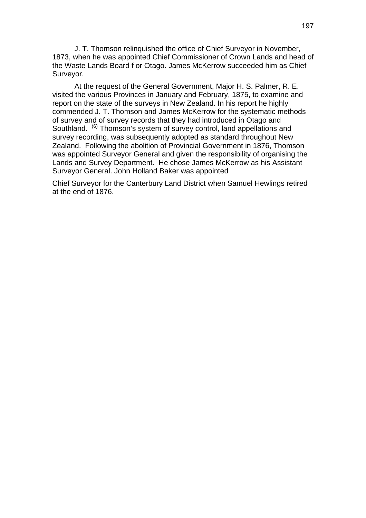J. T. Thomson relinquished the office of Chief Surveyor in November, 1873, when he was appointed Chief Commissioner of Crown Lands and head of the Waste Lands Board f or Otago. James McKerrow succeeded him as Chief Surveyor.

At the request of the General Government, Major H. S. Palmer, R. E. visited the various Provinces in January and February, 1875, to examine and report on the state of the surveys in New Zealand. In his report he highly commended J. T. Thomson and James McKerrow for the systematic methods of survey and of survey records that they had introduced in Otago and Southland. <sup>(6)</sup> Thomson's system of survey control, land appellations and survey recording, was subsequently adopted as standard throughout New Zealand. Following the abolition of Provincial Government in 1876, Thomson was appointed Surveyor General and given the responsibility of organising the Lands and Survey Department. He chose James McKerrow as his Assistant Surveyor General. John Holland Baker was appointed

Chief Surveyor for the Canterbury Land District when Samuel Hewlings retired at the end of 1876.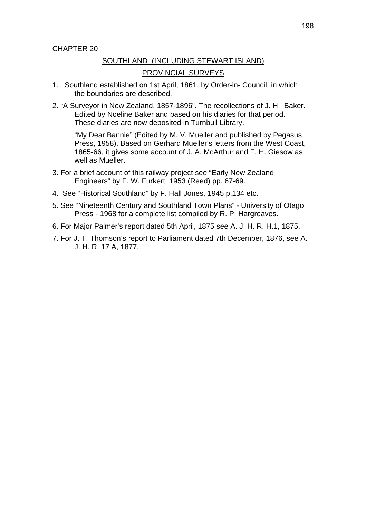#### SOUTHLAND (INCLUDING STEWART ISLAND)

#### PROVINCIAL SURVEYS

- 1. Southland established on 1st April, 1861, by Order-in- Council, in which the boundaries are described.
- 2. "A Surveyor in New Zealand, 1857-1896". The recollections of J. H. Baker. Edited by Noeline Baker and based on his diaries for that period. These diaries are now deposited in Turnbull Library.

 "My Dear Bannie" (Edited by M. V. Mueller and published by Pegasus Press, 1958). Based on Gerhard Mueller's letters from the West Coast, 1865-66, it gives some account of J. A. McArthur and F. H. Giesow as well as Mueller.

- 3. For a brief account of this railway project see "Early New Zealand Engineers" by F. W. Furkert, 1953 (Reed) pp. 67-69.
- 4. See "Historical Southland" by F. Hall Jones, 1945 p.134 etc.
- 5. See "Nineteenth Century and Southland Town Plans" University of Otago Press - 1968 for a complete list compiled by R. P. Hargreaves.
- 6. For Major Palmer's report dated 5th April, 1875 see A. J. H. R. H.1, 1875.
- 7. For J. T. Thomson's report to Parliament dated 7th December, 1876, see A. J. H. R. 17 A, 1877.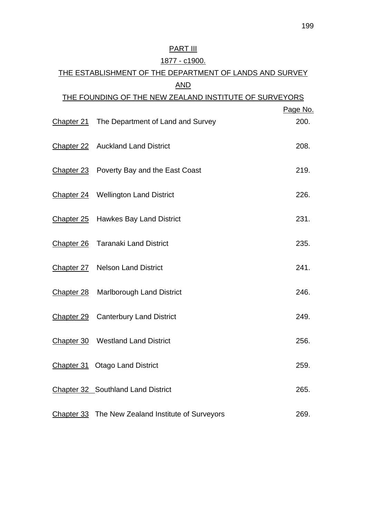# **PART III**

## 1877 - c1900.

# THE ESTABLISHMENT OF THE DEPARTMENT OF LANDS AND SURVEY AND THE FOUNDING OF THE NEW ZEALAND INSTITUTE OF SURVEYORS Page No. Chapter 21 The Department of Land and Survey 200.

| Chapter 22 Auckland Land District                 | 208. |
|---------------------------------------------------|------|
| Chapter 23 Poverty Bay and the East Coast         | 219. |
| Chapter 24 Wellington Land District               | 226. |
| Chapter 25 Hawkes Bay Land District               | 231. |
| Chapter 26 Taranaki Land District                 | 235. |
| Chapter 27 Nelson Land District                   | 241. |
| Chapter 28 Marlborough Land District              | 246. |
| Chapter 29 Canterbury Land District               | 249. |
| Chapter 30 Westland Land District                 | 256. |
| Chapter 31 Otago Land District                    | 259. |
| Chapter 32 Southland Land District                | 265. |
| Chapter 33 The New Zealand Institute of Surveyors | 269. |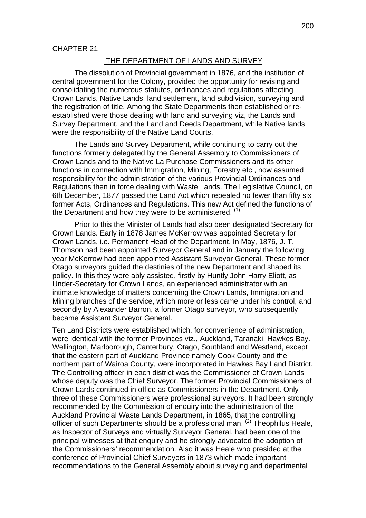#### THE DEPARTMENT OF LANDS AND SURVEY

The dissolution of Provincial government in 1876, and the institution of central government for the Colony, provided the opportunity for revising and consolidating the numerous statutes, ordinances and regulations affecting Crown Lands, Native Lands, land settlement, land subdivision, surveying and the registration of title. Among the State Departments then established or reestablished were those dealing with land and surveying viz, the Lands and Survey Department, and the Land and Deeds Department, while Native lands were the responsibility of the Native Land Courts.

The Lands and Survey Department, while continuing to carry out the functions formerly delegated by the General Assembly to Commissioners of Crown Lands and to the Native La Purchase Commissioners and its other functions in connection with Immigration, Mining, Forestry etc., now assumed responsibility for the administration of the various Provincial Ordinances and Regulations then in force dealing with Waste Lands. The Legislative Council, on 6th December, 1877 passed the Land Act which repealed no fewer than fifty six former Acts, Ordinances and Regulations. This new Act defined the functions of the Department and how they were to be administered.  $(1)$ 

Prior to this the Minister of Lands had also been designated Secretary for Crown Lands. Early in 1878 James McKerrow was appointed Secretary for Crown Lands, i.e. Permanent Head of the Department. In May, 1876, J. T. Thomson had been appointed Surveyor General and in January the following year McKerrow had been appointed Assistant Surveyor General. These former Otago surveyors guided the destinies of the new Department and shaped its policy. In this they were ably assisted, firstly by Huntly John Harry Eliott, as Under-Secretary for Crown Lands, an experienced administrator with an intimate knowledge of matters concerning the Crown Lands, Immigration and Mining branches of the service, which more or less came under his control, and secondly by Alexander Barron, a former Otago surveyor, who subsequently became Assistant Surveyor General.

Ten Land Districts were established which, for convenience of administration, were identical with the former Provinces viz., Auckland, Taranaki, Hawkes Bay. Wellington, Marlborough, Canterbury, Otago, Southland and Westland, except that the eastern part of Auckland Province namely Cook County and the northern part of Wairoa County, were incorporated in Hawkes Bay Land District. The Controlling officer in each district was the Commissioner of Crown Lands whose deputy was the Chief Surveyor. The former Provincial Commissioners of Crown Lards continued in office as Commissioners in the Department. Only three of these Commissioners were professional surveyors. It had been strongly recommended by the Commission of enquiry into the administration of the Auckland Provincial Waste Lands Department, in 1865, that the controlling officer of such Departments should be a professional man. (2) Theophilus Heale, as Inspector of Surveys and virtually Surveyor General, had been one of the principal witnesses at that enquiry and he strongly advocated the adoption of the Commissioners' recommendation. Also it was Heale who presided at the conference of Provincial Chief Surveyors in 1873 which made important recommendations to the General Assembly about surveying and departmental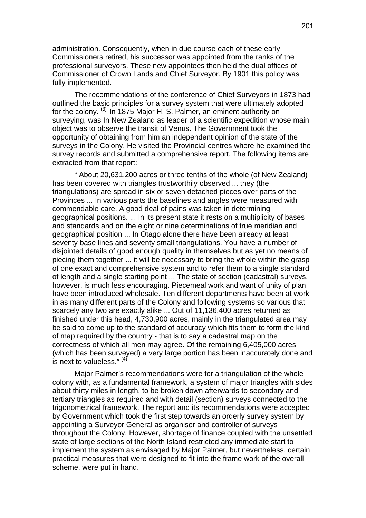administration. Consequently, when in due course each of these early Commissioners retired, his successor was appointed from the ranks of the professional surveyors. These new appointees then held the dual offices of Commissioner of Crown Lands and Chief Surveyor. By 1901 this policy was fully implemented.

The recommendations of the conference of Chief Surveyors in 1873 had outlined the basic principles for a survey system that were ultimately adopted for the colony. (3) In 1875 Major H. S. Palmer, an eminent authority on surveying, was In New Zealand as leader of a scientific expedition whose main object was to observe the transit of Venus. The Government took the opportunity of obtaining from him an independent opinion of the state of the surveys in the Colony. He visited the Provincial centres where he examined the survey records and submitted a comprehensive report. The following items are extracted from that report:

" About 20,631,200 acres or three tenths of the whole (of New Zealand) has been covered with triangles trustworthily observed ... they (the triangulations) are spread in six or seven detached pieces over parts of the Provinces ... In various parts the baselines and angles were measured with commendable care. A good deal of pains was taken in determining geographical positions. ... In its present state it rests on a multiplicity of bases and standards and on the eight or nine determinations of true meridian and geographical position ... In Otago alone there have been already at least seventy base lines and seventy small triangulations. You have a number of disjointed details of good enough quality in themselves but as yet no means of piecing them together ... it will be necessary to bring the whole within the grasp of one exact and comprehensive system and to refer them to a single standard of length and a single starting point ... The state of section (cadastral) surveys, however, is much less encouraging. Piecemeal work and want of unity of plan have been introduced wholesale. Ten different departments have been at work in as many different parts of the Colony and following systems so various that scarcely any two are exactly alike ... Out of 11,136,400 acres returned as finished under this head, 4,730,900 acres, mainly in the triangulated area may be said to come up to the standard of accuracy which fits them to form the kind of map required by the country - that is to say a cadastral map on the correctness of which all men may agree. Of the remaining 6,405,000 acres (which has been surveyed) a very large portion has been inaccurately done and is next to valueless."  $(4)$ 

Major Palmer's recommendations were for a triangulation of the whole colony with, as a fundamental framework, a system of major triangles with sides about thirty miles in length, to be broken down afterwards to secondary and tertiary triangles as required and with detail (section) surveys connected to the trigonometrical framework. The report and its recommendations were accepted by Government which took the first step towards an orderly survey system by appointing a Surveyor General as organiser and controller of surveys throughout the Colony. However, shortage of finance coupled with the unsettled state of large sections of the North Island restricted any immediate start to implement the system as envisaged by Major Palmer, but nevertheless, certain practical measures that were designed to fit into the frame work of the overall scheme, were put in hand.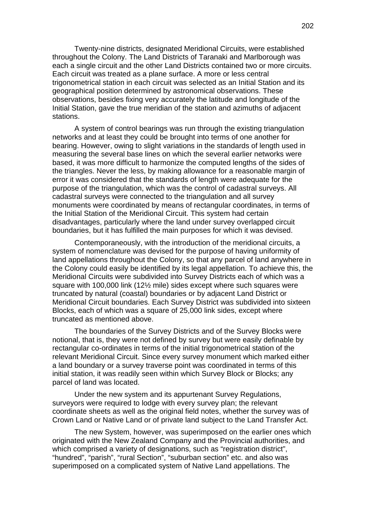Twenty-nine districts, designated Meridional Circuits, were established throughout the Colony. The Land Districts of Taranaki and Marlborough was each a single circuit and the other Land Districts contained two or more circuits. Each circuit was treated as a plane surface. A more or less central trigonometrical station in each circuit was selected as an Initial Station and its geographical position determined by astronomical observations. These observations, besides fixing very accurately the latitude and longitude of the Initial Station, gave the true meridian of the station and azimuths of adjacent stations.

A system of control bearings was run through the existing triangulation networks and at least they could be brought into terms of one another for bearing. However, owing to slight variations in the standards of length used in measuring the several base lines on which the several earlier networks were based, it was more difficult to harmonize the computed lengths of the sides of the triangles. Never the less, by making allowance for a reasonable margin of error it was considered that the standards of length were adequate for the purpose of the triangulation, which was the control of cadastral surveys. All cadastral surveys were connected to the triangulation and all survey monuments were coordinated by means of rectangular coordinates, in terms of the Initial Station of the Meridional Circuit. This system had certain disadvantages, particularly where the land under survey overlapped circuit boundaries, but it has fulfilled the main purposes for which it was devised.

Contemporaneously, with the introduction of the meridional circuits, a system of nomenclature was devised for the purpose of having uniformity of land appellations throughout the Colony, so that any parcel of land anywhere in the Colony could easily be identified by its legal appellation. To achieve this, the Meridional Circuits were subdivided into Survey Districts each of which was a square with 100,000 link (12½ mile) sides except where such squares were truncated by natural (coastal) boundaries or by adjacent Land District or Meridional Circuit boundaries. Each Survey District was subdivided into sixteen Blocks, each of which was a square of 25,000 link sides, except where truncated as mentioned above.

The boundaries of the Survey Districts and of the Survey Blocks were notional, that is, they were not defined by survey but were easily definable by rectangular co-ordinates in terms of the initial trigonometrical station of the relevant Meridional Circuit. Since every survey monument which marked either a land boundary or a survey traverse point was coordinated in terms of this initial station, it was readily seen within which Survey Block or Blocks; any parcel of land was located.

Under the new system and its appurtenant Survey Regulations, surveyors were required to lodge with every survey plan; the relevant coordinate sheets as well as the original field notes, whether the survey was of Crown Land or Native Land or of private land subject to the Land Transfer Act.

The new System, however, was superimposed on the earlier ones which originated with the New Zealand Company and the Provincial authorities, and which comprised a variety of designations, such as "registration district", "hundred", "parish", "rural Section", "suburban section" etc. and also was superimposed on a complicated system of Native Land appellations. The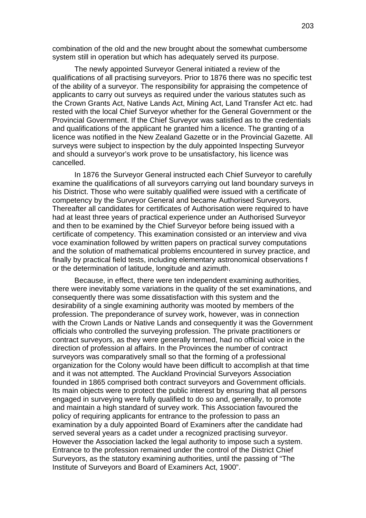combination of the old and the new brought about the somewhat cumbersome system still in operation but which has adequately served its purpose.

The newly appointed Surveyor General initiated a review of the qualifications of all practising surveyors. Prior to 1876 there was no specific test of the ability of a surveyor. The responsibility for appraising the competence of applicants to carry out surveys as required under the various statutes such as the Crown Grants Act, Native Lands Act, Mining Act, Land Transfer Act etc. had rested with the local Chief Surveyor whether for the General Government or the Provincial Government. If the Chief Surveyor was satisfied as to the credentials and qualifications of the applicant he granted him a licence. The granting of a licence was notified in the New Zealand Gazette or in the Provincial Gazette. All surveys were subject to inspection by the duly appointed Inspecting Surveyor and should a surveyor's work prove to be unsatisfactory, his licence was cancelled.

In 1876 the Surveyor General instructed each Chief Surveyor to carefully examine the qualifications of all surveyors carrying out land boundary surveys in his District. Those who were suitably qualified were issued with a certificate of competency by the Surveyor General and became Authorised Surveyors. Thereafter all candidates for certificates of Authorisation were required to have had at least three years of practical experience under an Authorised Surveyor and then to be examined by the Chief Surveyor before being issued with a certificate of competency. This examination consisted or an interview and viva voce examination followed by written papers on practical survey computations and the solution of mathematical problems encountered in survey practice, and finally by practical field tests, including elementary astronomical observations f or the determination of latitude, longitude and azimuth.

Because, in effect, there were ten independent examining authorities, there were inevitably some variations in the quality of the set examinations, and consequently there was some dissatisfaction with this system and the desirability of a single examining authority was mooted by members of the profession. The preponderance of survey work, however, was in connection with the Crown Lands or Native Lands and consequently it was the Government officials who controlled the surveying profession. The private practitioners or contract surveyors, as they were generally termed, had no official voice in the direction of profession al affairs. In the Provinces the number of contract surveyors was comparatively small so that the forming of a professional organization for the Colony would have been difficult to accomplish at that time and it was not attempted. The Auckland Provincial Surveyors Association founded in 1865 comprised both contract surveyors and Government officials. Its main objects were to protect the public interest by ensuring that all persons engaged in surveying were fully qualified to do so and, generally, to promote and maintain a high standard of survey work. This Association favoured the policy of requiring applicants for entrance to the profession to pass an examination by a duly appointed Board of Examiners after the candidate had served several years as a cadet under a recognized practising surveyor. However the Association lacked the legal authority to impose such a system. Entrance to the profession remained under the control of the District Chief Surveyors, as the statutory examining authorities, until the passing of "The Institute of Surveyors and Board of Examiners Act, 1900".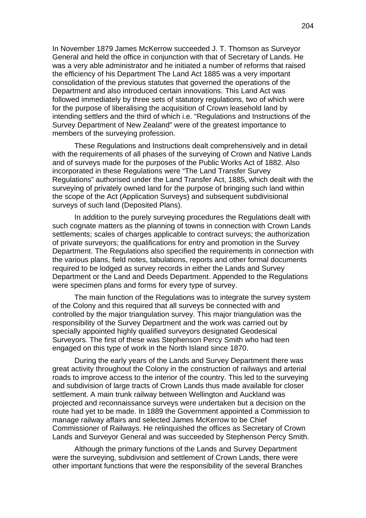In November 1879 James McKerrow succeeded J. T. Thomson as Surveyor General and held the office in conjunction with that of Secretary of Lands. He was a very able administrator and he initiated a number of reforms that raised the efficiency of his Department The Land Act 1885 was a very important consolidation of the previous statutes that governed the operations of the Department and also introduced certain innovations. This Land Act was followed immediately by three sets of statutory regulations, two of which were for the purpose of liberalising the acquisition of Crown leasehold land by intending settlers and the third of which i.e. "Regulations and Instructions of the Survey Department of New Zealand" were of the greatest importance to members of the surveying profession.

These Regulations and Instructions dealt comprehensively and in detail with the requirements of all phases of the surveying of Crown and Native Lands and of surveys made for the purposes of the Public Works Act of 1882. Also incorporated in these Regulations were "The Land Transfer Survey Regulations" authorised under the Land Transfer Act, 1885, which dealt with the surveving of privately owned land for the purpose of bringing such land within the scope of the Act (Application Surveys) and subsequent subdivisional surveys of such land (Deposited Plans).

In addition to the purely surveying procedures the Regulations dealt with such cognate matters as the planning of towns in connection with Crown Lands settlements; scales of charges applicable to contract surveys; the authorization of private surveyors; the qualifications for entry and promotion in the Survey Department. The Regulations also specified the requirements in connection with the various plans, field notes, tabulations, reports and other formal documents required to be lodged as survey records in either the Lands and Survey Department or the Land and Deeds Department. Appended to the Regulations were specimen plans and forms for every type of survey.

The main function of the Regulations was to integrate the survey system of the Colony and this required that all surveys be connected with and controlled by the major triangulation survey. This major triangulation was the responsibility of the Survey Department and the work was carried out by specially appointed highly qualified surveyors designated Geodesical Surveyors. The first of these was Stephenson Percy Smith who had teen engaged on this type of work in the North Island since 1870.

During the early years of the Lands and Survey Department there was great activity throughout the Colony in the construction of railways and arterial roads to improve access to the interior of the country. This led to the surveying and subdivision of large tracts of Crown Lands thus made available for closer settlement. A main trunk railway between Wellington and Auckland was projected and reconnaissance surveys were undertaken but a decision on the route had yet to be made. In 1889 the Government appointed a Commission to manage railway affairs and selected James McKerrow to be Chief Commissioner of Railways. He relinquished the offices as Secretary of Crown Lands and Surveyor General and was succeeded by Stephenson Percy Smith.

Although the primary functions of the Lands and Survey Department were the surveying, subdivision and settlement of Crown Lands, there were other important functions that were the responsibility of the several Branches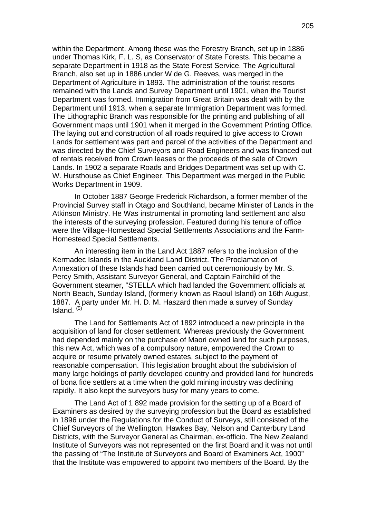within the Department. Among these was the Forestry Branch, set up in 1886 under Thomas Kirk, F. L. S, as Conservator of State Forests. This became a separate Department in 1918 as the State Forest Service. The Agricultural Branch, also set up in 1886 under W de G. Reeves, was merged in the Department of Agriculture in 1893. The administration of the tourist resorts remained with the Lands and Survey Department until 1901, when the Tourist Department was formed. Immigration from Great Britain was dealt with by the Department until 1913, when a separate Immigration Department was formed. The Lithographic Branch was responsible for the printing and publishing of all Government maps until 1901 when it merged in the Government Printing Office. The laying out and construction of all roads required to give access to Crown Lands for settlement was part and parcel of the activities of the Department and was directed by the Chief Surveyors and Road Engineers and was financed out of rentals received from Crown leases or the proceeds of the sale of Crown Lands. In 1902 a separate Roads and Bridges Department was set up with C. W. Hursthouse as Chief Engineer. This Department was merged in the Public Works Department in 1909.

In October 1887 George Frederick Richardson, a former member of the Provincial Survey staff in Otago and Southland, became Minister of Lands in the Atkinson Ministry. He Was instrumental in promoting land settlement and also the interests of the surveying profession. Featured during his tenure of office were the Village-Homestead Special Settlements Associations and the Farm-Homestead Special Settlements.

An interesting item in the Land Act 1887 refers to the inclusion of the Kermadec Islands in the Auckland Land District. The Proclamation of Annexation of these Islands had been carried out ceremoniously by Mr. S. Percy Smith, Assistant Surveyor General, and Captain Fairchild of the Government steamer, "STELLA which had landed the Government officials at North Beach, Sunday Island, (formerly known as Raoul Island) on 16th August, 1887. A party under Mr. H. D. M. Haszard then made a survey of Sunday Island.  $(5)$ 

The Land for Settlements Act of 1892 introduced a new principle in the acquisition of land for closer settlement. Whereas previously the Government had depended mainly on the purchase of Maori owned land for such purposes, this new Act, which was of a compulsory nature, empowered the Crown to acquire or resume privately owned estates, subject to the payment of reasonable compensation. This legislation brought about the subdivision of many large holdings of partly developed country and provided land for hundreds of bona fide settlers at a time when the gold mining industry was declining rapidly. It also kept the surveyors busy for many years to come.

The Land Act of 1 892 made provision for the setting up of a Board of Examiners as desired by the surveying profession but the Board as established in 1896 under the Regulations for the Conduct of Surveys, still consisted of the Chief Surveyors of the Wellington, Hawkes Bay, Nelson and Canterbury Land Districts, with the Surveyor General as Chairman, ex-officio. The New Zealand Institute of Surveyors was not represented on the first Board and it was not until the passing of "The Institute of Surveyors and Board of Examiners Act, 1900" that the Institute was empowered to appoint two members of the Board. By the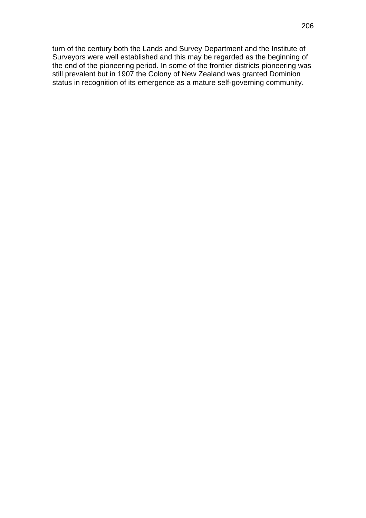turn of the century both the Lands and Survey Department and the Institute of Surveyors were well established and this may be regarded as the beginning of the end of the pioneering period. In some of the frontier districts pioneering was still prevalent but in 1907 the Colony of New Zealand was granted Dominion status in recognition of its emergence as a mature self-governing community.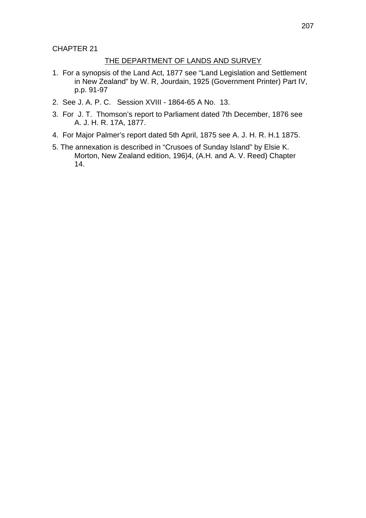CHAPTER 21

#### THE DEPARTMENT OF LANDS AND SURVEY

- 1. For a synopsis of the Land Act, 1877 see "Land Legislation and Settlement in New Zealand" by W. R, Jourdain, 1925 (Government Printer) Part IV, p.p. 91-97
- 2. See J. A. P. C. Session XVIII 1864-65 A No. 13.
- 3. For J. T. Thomson's report to Parliament dated 7th December, 1876 see A. J. H. R. 17A, 1877.
- 4. For Major Palmer's report dated 5th April, 1875 see A. J. H. R. H.1 1875.
- 5. The annexation is described in "Crusoes of Sunday Island" by Elsie K. Morton, New Zealand edition, 196)4, (A.H. and A. V. Reed) Chapter 14.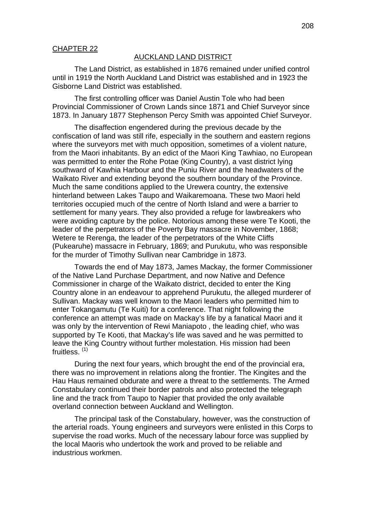#### CHAPTER 22

#### AUCKLAND LAND DISTRICT

The Land District, as established in 1876 remained under unified control until in 1919 the North Auckland Land District was established and in 1923 the Gisborne Land District was established.

The first controlling officer was Daniel Austin Tole who had been Provincial Commissioner of Crown Lands since 1871 and Chief Surveyor since 1873. In January 1877 Stephenson Percy Smith was appointed Chief Surveyor.

The disaffection engendered during the previous decade by the confiscation of land was still rife, especially in the southern and eastern regions where the surveyors met with much opposition, sometimes of a violent nature, from the Maori inhabitants. By an edict of the Maori King Tawhiao, no European was permitted to enter the Rohe Potae (King Country), a vast district lying southward of Kawhia Harbour and the Puniu River and the headwaters of the Waikato River and extending beyond the southern boundary of the Province. Much the same conditions applied to the Urewera country, the extensive hinterland between Lakes Taupo and Waikaremoana. These two Maori held territories occupied much of the centre of North Island and were a barrier to settlement for many years. They also provided a refuge for lawbreakers who were avoiding capture by the police. Notorious among these were Te Kooti, the leader of the perpetrators of the Poverty Bay massacre in November, 1868; Wetere te Rerenga, the leader of the perpetrators of the White Cliffs (Pukearuhe) massacre in February, 1869; and Purukutu, who was responsible for the murder of Timothy Sullivan near Cambridge in 1873.

Towards the end of May 1873, James Mackay, the former Commissioner of the Native Land Purchase Department, and now Native and Defence Commissioner in charge of the Waikato district, decided to enter the King Country alone in an endeavour to apprehend Purukutu, the alleged murderer of Sullivan. Mackay was well known to the Maori leaders who permitted him to enter Tokangamutu (Te Kuiti) for a conference. That night following the conference an attempt was made on Mackay's life by a fanatical Maori and it was only by the intervention of Rewi Maniapoto , the leading chief, who was supported by Te Kooti, that Mackay's life was saved and he was permitted to leave the King Country without further molestation. His mission had been fruitless.<sup>(1)</sup>

During the next four years, which brought the end of the provincial era, there was no improvement in relations along the frontier. The Kingites and the Hau Haus remained obdurate and were a threat to the settlements. The Armed Constabulary continued their border patrols and also protected the telegraph line and the track from Taupo to Napier that provided the only available overland connection between Auckland and Wellington.

The principal task of the Constabulary, however, was the construction of the arterial roads. Young engineers and surveyors were enlisted in this Corps to supervise the road works. Much of the necessary labour force was supplied by the local Maoris who undertook the work and proved to be reliable and industrious workmen.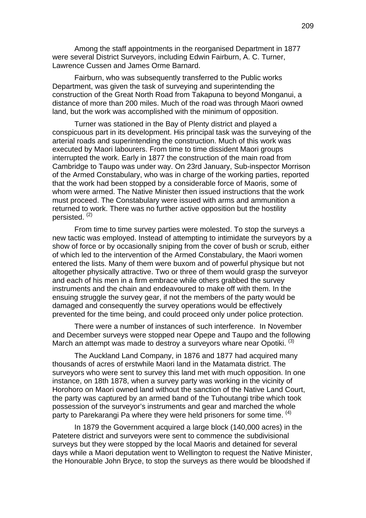Among the staff appointments in the reorganised Department in 1877 were several District Surveyors, including Edwin Fairburn, A. C. Turner, Lawrence Cussen and James Orme Barnard.

Fairburn, who was subsequently transferred to the Public works Department, was given the task of surveying and superintending the construction of the Great North Road from Takapuna to beyond Monganui, a distance of more than 200 miles. Much of the road was through Maori owned land, but the work was accomplished with the minimum of opposition.

Turner was stationed in the Bay of Plenty district and played a conspicuous part in its development. His principal task was the surveying of the arterial roads and superintending the construction. Much of this work was executed by Maori labourers. From time to time dissident Maori groups interrupted the work. Early in 1877 the construction of the main road from Cambridge to Taupo was under way. On 23rd January, Sub-inspector Morrison of the Armed Constabulary, who was in charge of the working parties, reported that the work had been stopped by a considerable force of Maoris, some of whom were armed. The Native Minister then issued instructions that the work must proceed. The Constabulary were issued with arms and ammunition a returned to work. There was no further active opposition but the hostility persisted.<sup>(2)</sup>

From time to time survey parties were molested. To stop the surveys a new tactic was employed. Instead of attempting to intimidate the surveyors by a show of force or by occasionally sniping from the cover of bush or scrub, either of which led to the intervention of the Armed Constabulary, the Maori women entered the lists. Many of them were buxom and of powerful physique but not altogether physically attractive. Two or three of them would grasp the surveyor and each of his men in a firm embrace while others grabbed the survey instruments and the chain and endeavoured to make off with them. In the ensuing struggle the survey gear, if not the members of the party would be damaged and consequently the survey operations would be effectively prevented for the time being, and could proceed only under police protection.

There were a number of instances of such interference. In November and December surveys were stopped near Opepe and Taupo and the following March an attempt was made to destroy a surveyors whare near Opotiki.  $(3)$ 

The Auckland Land Company, in 1876 and 1877 had acquired many thousands of acres of erstwhile Maori land in the Matamata district. The surveyors who were sent to survey this land met with much opposition. In one instance, on 18th 1878, when a survey party was working in the vicinity of Horohoro on Maori owned land without the sanction of the Native Land Court, the party was captured by an armed band of the Tuhoutangi tribe which took possession of the surveyor's instruments and gear and marched the whole party to Parekarangi Pa where they were held prisoners for some time. <sup>(4)</sup>

In 1879 the Government acquired a large block (140,000 acres) in the Patetere district and surveyors were sent to commence the subdivisional surveys but they were stopped by the local Maoris and detained for several days while a Maori deputation went to Wellington to request the Native Minister, the Honourable John Bryce, to stop the surveys as there would be bloodshed if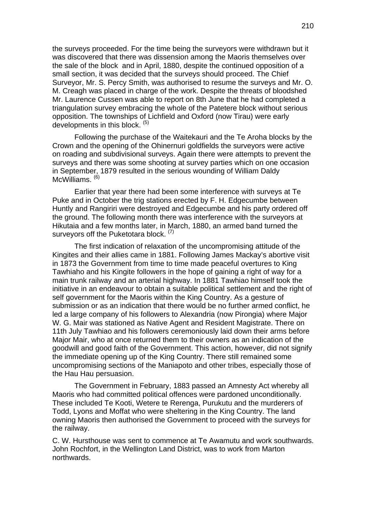the surveys proceeded. For the time being the surveyors were withdrawn but it was discovered that there was dissension among the Maoris themselves over the sale of the block and in April, 1880, despite the continued opposition of a small section, it was decided that the surveys should proceed. The Chief Surveyor, Mr. S. Percy Smith, was authorised to resume the surveys and Mr. O. M. Creagh was placed in charge of the work. Despite the threats of bloodshed Mr. Laurence Cussen was able to report on 8th June that he had completed a triangulation survey embracing the whole of the Patetere block without serious opposition. The townships of Lichfield and Oxford (now Tirau) were early developments in this block. (5)

Following the purchase of the Waitekauri and the Te Aroha blocks by the Crown and the opening of the Ohinernuri goldfields the surveyors were active on roading and subdivisional surveys. Again there were attempts to prevent the surveys and there was some shooting at survey parties which on one occasion in September, 1879 resulted in the serious wounding of William Daldy McWilliams.<sup>(6)</sup>

Earlier that year there had been some interference with surveys at Te Puke and in October the trig stations erected by F. H. Edgecumbe between Huntly and Rangiriri were destroyed and Edgecumbe and his party ordered off the ground. The following month there was interference with the surveyors at Hikutaia and a few months later, in March, 1880, an armed band turned the surveyors off the Puketotara block.<sup>(7)</sup>

The first indication of relaxation of the uncompromising attitude of the Kingites and their allies came in 1881. Following James Mackay's abortive visit in 1873 the Government from time to time made peaceful overtures to King Tawhiaho and his Kingite followers in the hope of gaining a right of way for a main trunk railway and an arterial highway. In 1881 Tawhiao himself took the initiative in an endeavour to obtain a suitable political settlement and the right of self government for the Maoris within the King Country. As a gesture of submission or as an indication that there would be no further armed conflict, he led a large company of his followers to Alexandria (now Pirongia) where Major W. G. Mair was stationed as Native Agent and Resident Magistrate. There on 11th July Tawhiao and his followers ceremoniously laid down their arms before Major Mair, who at once returned them to their owners as an indication of the goodwill and good faith of the Government. This action, however, did not signify the immediate opening up of the King Country. There still remained some uncompromising sections of the Maniapoto and other tribes, especially those of the Hau Hau persuasion.

The Government in February, 1883 passed an Amnesty Act whereby all Maoris who had committed political offences were pardoned unconditionally. These included Te Kooti, Wetere te Rerenga, Purukutu and the murderers of Todd, Lyons and Moffat who were sheltering in the King Country. The land owning Maoris then authorised the Government to proceed with the surveys for the railway.

C. W. Hursthouse was sent to commence at Te Awamutu and work southwards. John Rochfort, in the Wellington Land District, was to work from Marton northwards.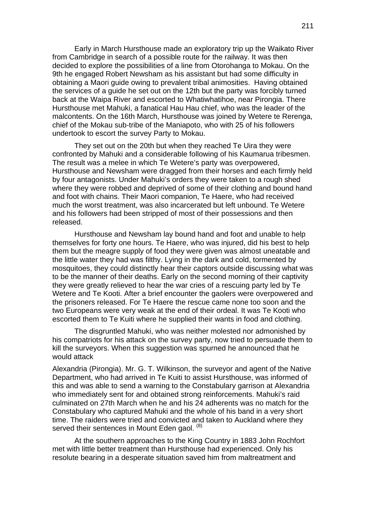Early in March Hursthouse made an exploratory trip up the Waikato River from Cambridge in search of a possible route for the railway. It was then decided to explore the possibilities of a line from Otorohanga to Mokau. On the 9th he engaged Robert Newsham as his assistant but had some difficulty in obtaining a Maori guide owing to prevalent tribal animosities. Having obtained the services of a guide he set out on the 12th but the party was forcibly turned back at the Waipa River and escorted to Whatiwhatihoe, near Pirongia. There Hursthouse met Mahuki, a fanatical Hau Hau chief, who was the leader of the malcontents. On the 16th March, Hursthouse was joined by Wetere te Rerenga, chief of the Mokau sub-tribe of the Maniapoto, who with 25 of his followers undertook to escort the survey Party to Mokau.

They set out on the 20th but when they reached Te Uira they were confronted by Mahuki and a considerable following of his Kaumarua tribesmen. The result was a melee in which Te Wetere's party was overpowered, Hursthouse and Newsham were dragged from their horses and each firmly held by four antagonists. Under Mahuki's orders they were taken to a rough shed where they were robbed and deprived of some of their clothing and bound hand and foot with chains. Their Maori companion, Te Haere, who had received much the worst treatment, was also incarcerated but left unbound. Te Wetere and his followers had been stripped of most of their possessions and then released.

Hursthouse and Newsham lay bound hand and foot and unable to help themselves for forty one hours. Te Haere, who was injured, did his best to help them but the meagre supply of food they were given was almost uneatable and the little water they had was filthy. Lying in the dark and cold, tormented by mosquitoes, they could distinctly hear their captors outside discussing what was to be the manner of their deaths. Early on the second morning of their captivity they were greatly relieved to hear the war cries of a rescuing party led by Te Wetere and Te Kooti. After a brief encounter the gaolers were overpowered and the prisoners released. For Te Haere the rescue came none too soon and the two Europeans were very weak at the end of their ordeal. It was Te Kooti who escorted them to Te Kuiti where he supplied their wants in food and clothing.

The disgruntled Mahuki, who was neither molested nor admonished by his compatriots for his attack on the survey party, now tried to persuade them to kill the surveyors. When this suggestion was spurned he announced that he would attack

Alexandria (Pirongia). Mr. G. T. Wilkinson, the surveyor and agent of the Native Department, who had arrived in Te Kuiti to assist Hursthouse, was informed of this and was able to send a warning to the Constabulary garrison at Alexandria who immediately sent for and obtained strong reinforcements. Mahuki's raid culminated on 27th March when he and his 24 adherents was no match for the Constabulary who captured Mahuki and the whole of his band in a very short time. The raiders were tried and convicted and taken to Auckland where they served their sentences in Mount Eden gaol. (8)

At the southern approaches to the King Country in 1883 John Rochfort met with little better treatment than Hursthouse had experienced. Only his resolute bearing in a desperate situation saved him from maltreatment and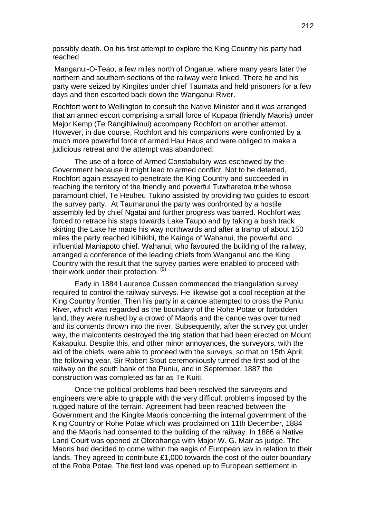possibly death. On his first attempt to explore the King Country his party had reached

 Manganui-O-Teao, a few miles north of Ongarue, where many years later the northern and southern sections of the railway were linked. There he and his party were seized by Kingites under chief Taumata and held prisoners for a few days and then escorted back down the Wanganui River.

Rochfort went to Wellington to consult the Native Minister and it was arranged that an armed escort comprising a small force of Kupapa (friendly Maoris) under Major Kemp (Te Rangihiwinui) accompany Rochfort on another attempt. However, in due course, Rochfort and his companions were confronted by a much more powerful force of armed Hau Haus and were obliged to make a judicious retreat and the attempt was abandoned.

The use of a force of Armed Constabulary was eschewed by the Government because it might lead to armed conflict. Not to be deterred, Rochfort again essayed to penetrate the King Country and succeeded in reaching the territory of the friendly and powerful Tuwharetoa tribe whose paramount chief, Te Heuheu Tukino assisted by providing two guides to escort the survey party. At Taumarunui the party was confronted by a hostile assembly led by chief Ngatai and further progress was barred. Rochfort was forced to retrace his steps towards Lake Taupo and by taking a bush track skirting the Lake he made his way northwards and after a tramp of about 150 miles the party reached Kihikihi, the Kainga of Wahanui, the powerful and influential Maniapoto chief. Wahanui, who favoured the building of the railway, arranged a conference of the leading chiefs from Wanganui and the King Country with the result that the survey parties were enabled to proceed with their work under their protection. (9)

Early in 1884 Laurence Cussen commenced the triangulation survey required to control the railway surveys. He likewise got a cool reception at the King Country frontier. Then his party in a canoe attempted to cross the Puniu River, which was regarded as the boundary of the Rohe Potae or forbidden land, they were rushed by a crowd of Maoris and the canoe was over turned and its contents thrown into the river. Subsequently, after the survey got under way, the malcontents destroyed the trig station that had been erected on Mount Kakapuku. Despite this, and other minor annoyances, the surveyors, with the aid of the chiefs, were able to proceed with the surveys, so that on 15th April, the following year, Sir Robert Stout ceremoniously turned the first sod of the railway on the south bank of the Puniu, and in September, 1887 the construction was completed as far as Te Kuiti.

Once the political problems had been resolved the surveyors and engineers were able to grapple with the very difficult problems imposed by the rugged nature of the terrain. Agreement had been reached between the Government and the Kingite Maoris concerning the internal government of the King Country or Rohe Potae which was proclaimed on 11th December, 1884 and the Maoris had consented to the building of the railway. In 1886 a Native Land Court was opened at Otorohanga with Major W. G. Mair as judge. The Maoris had decided to come within the aegis of European law in relation to their lands. They agreed to contribute £1,000 towards the cost of the outer boundary of the Robe Potae. The first lend was opened up to European settlement in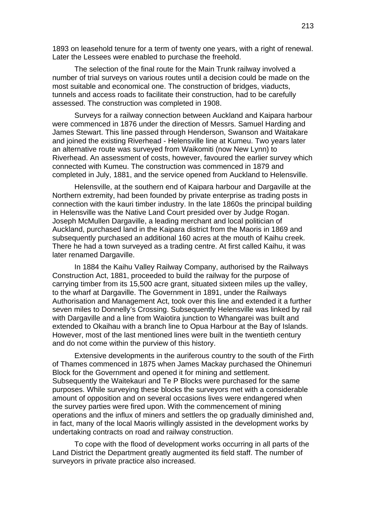1893 on leasehold tenure for a term of twenty one years, with a right of renewal. Later the Lessees were enabled to purchase the freehold.

The selection of the final route for the Main Trunk railway involved a number of trial surveys on various routes until a decision could be made on the most suitable and economical one. The construction of bridges, viaducts, tunnels and access roads to facilitate their construction, had to be carefully assessed. The construction was completed in 1908.

Surveys for a railway connection between Auckland and Kaipara harbour were commenced in 1876 under the direction of Messrs. Samuel Harding and James Stewart. This line passed through Henderson, Swanson and Waitakare and joined the existing Riverhead - Helensville line at Kumeu. Two years later an alternative route was surveyed from Waikomiti (now New Lynn) to Riverhead. An assessment of costs, however, favoured the earlier survey which connected with Kumeu. The construction was commenced in 1879 and completed in July, 1881, and the service opened from Auckland to Helensville.

Helensville, at the southern end of Kaipara harbour and Dargaville at the Northern extremity, had been founded by private enterprise as trading posts in connection with the kauri timber industry. In the late 1860s the principal building in Helensville was the Native Land Court presided over by Judge Rogan. Joseph McMullen Dargaville, a leading merchant and local politician of Auckland, purchased land in the Kaipara district from the Maoris in 1869 and subsequently purchased an additional 160 acres at the mouth of Kaihu creek. There he had a town surveyed as a trading centre. At first called Kaihu, it was later renamed Dargaville.

In 1884 the Kaihu Valley Railway Company, authorised by the Railways Construction Act, 1881, proceeded to build the railway for the purpose of carrying timber from its 15,500 acre grant, situated sixteen miles up the valley, to the wharf at Dargaville. The Government in 1891, under the Railways Authorisation and Management Act, took over this line and extended it a further seven miles to Donnelly's Crossing. Subsequently Helensville was linked by rail with Dargaville and a line from Waiotira junction to Whangarei was built and extended to Okaihau with a branch line to Opua Harbour at the Bay of Islands. However, most of the last mentioned lines were built in the twentieth century and do not come within the purview of this history.

Extensive developments in the auriferous country to the south of the Firth of Thames commenced in 1875 when James Mackay purchased the Ohinemuri Block for the Government and opened it for mining and settlement. Subsequently the Waitekauri and Te P Blocks were purchased for the same purposes. While surveying these blocks the surveyors met with a considerable amount of opposition and on several occasions lives were endangered when the survey parties were fired upon. With the commencement of mining operations and the influx of miners and settlers the op gradually diminished and, in fact, many of the local Maoris willingly assisted in the development works by undertaking contracts on road and railway construction.

To cope with the flood of development works occurring in all parts of the Land District the Department greatly augmented its field staff. The number of surveyors in private practice also increased.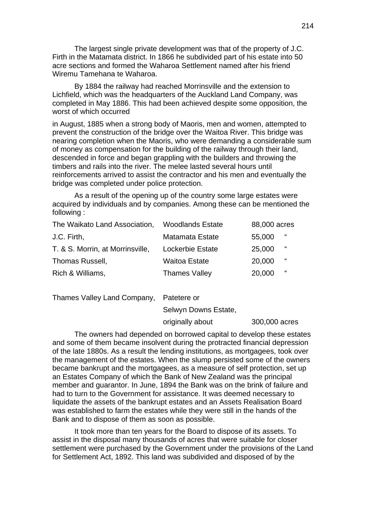The largest single private development was that of the property of J.C. Firth in the Matamata district. In 1866 he subdivided part of his estate into 50 acre sections and formed the Waharoa Settlement named after his friend Wiremu Tamehana te Waharoa.

By 1884 the railway had reached Morrinsville and the extension to Lichfield, which was the headquarters of the Auckland Land Company, was completed in May 1886. This had been achieved despite some opposition, the worst of which occurred

in August, 1885 when a strong body of Maoris, men and women, attempted to prevent the construction of the bridge over the Waitoa River. This bridge was nearing completion when the Maoris, who were demanding a considerable sum of money as compensation for the building of the railway through their land, descended in force and began grappling with the builders and throwing the timbers and rails into the river. The melee lasted several hours until reinforcements arrived to assist the contractor and his men and eventually the bridge was completed under police protection.

As a result of the opening up of the country some large estates were acquired by individuals and by companies. Among these can be mentioned the following :

| The Waikato Land Association,    | <b>Woodlands Estate</b> | 88,000 acres |   |
|----------------------------------|-------------------------|--------------|---|
| J.C. Firth,                      | <b>Matamata Estate</b>  | 55,000       | " |
| T. & S. Morrin, at Morrinsville, | Lockerbie Estate        | 25,000       | " |
| Thomas Russell,                  | <b>Waitoa Estate</b>    | 20,000       | " |
| Rich & Williams,                 | <b>Thames Valley</b>    | 20,000       | " |

Thames Valley Land Company, Patetere or

Selwyn Downs Estate,

#### originally about 300,000 acres

The owners had depended on borrowed capital to develop these estates and some of them became insolvent during the protracted financial depression of the late 1880s. As a result the lending institutions, as mortgagees, took over the management of the estates. When the slump persisted some of the owners became bankrupt and the mortgagees, as a measure of self protection, set up an Estates Company of which the Bank of New Zealand was the principal member and guarantor. In June, 1894 the Bank was on the brink of failure and had to turn to the Government for assistance. It was deemed necessary to liquidate the assets of the bankrupt estates and an Assets Realisation Board was established to farm the estates while they were still in the hands of the Bank and to dispose of them as soon as possible.

It took more than ten years for the Board to dispose of its assets. To assist in the disposal many thousands of acres that were suitable for closer settlement were purchased by the Government under the provisions of the Land for Settlement Act, 1892. This land was subdivided and disposed of by the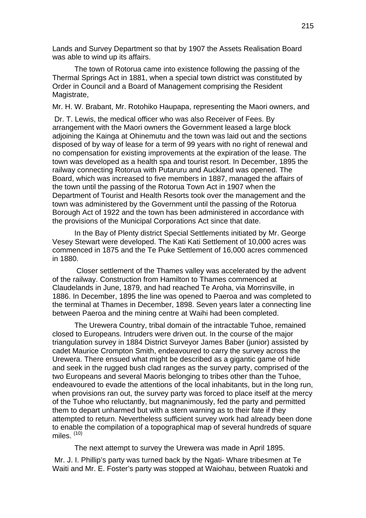Lands and Survey Department so that by 1907 the Assets Realisation Board was able to wind up its affairs.

The town of Rotorua came into existence following the passing of the Thermal Springs Act in 1881, when a special town district was constituted by Order in Council and a Board of Management comprising the Resident Magistrate,

Mr. H. W. Brabant, Mr. Rotohiko Haupapa, representing the Maori owners, and

 Dr. T. Lewis, the medical officer who was also Receiver of Fees. By arrangement with the Maori owners the Government leased a large block adjoining the Kainga at Ohinemutu and the town was laid out and the sections disposed of by way of lease for a term of 99 years with no right of renewal and no compensation for existing improvements at the expiration of the lease. The town was developed as a health spa and tourist resort. In December, 1895 the railway connecting Rotorua with Putaruru and Auckland was opened. The Board, which was increased to five members in 1887, managed the affairs of the town until the passing of the Rotorua Town Act in 1907 when the Department of Tourist and Health Resorts took over the management and the town was administered by the Government until the passing of the Rotorua Borough Act of 1922 and the town has been administered in accordance with the provisions of the Municipal Corporations Act since that date.

In the Bay of Plenty district Special Settlements initiated by Mr. George Vesey Stewart were developed. The Kati Kati Settlement of 10,000 acres was commenced in 1875 and the Te Puke Settlement of 16,000 acres commenced in 1880.

 Closer settlement of the Thames valley was accelerated by the advent of the railway. Construction from Hamilton to Thames commenced at Claudelands in June, 1879, and had reached Te Aroha, via Morrinsville, in 1886. In December, 1895 the line was opened to Paeroa and was completed to the terminal at Thames in December, 1898. Seven years later a connecting line between Paeroa and the mining centre at Waihi had been completed.

The Urewera Country, tribal domain of the intractable Tuhoe, remained closed to Europeans. Intruders were driven out. In the course of the major triangulation survey in 1884 District Surveyor James Baber (junior) assisted by cadet Maurice Crompton Smith, endeavoured to carry the survey across the Urewera. There ensued what might be described as a gigantic game of hide and seek in the rugged bush clad ranges as the survey party, comprised of the two Europeans and several Maoris belonging to tribes other than the Tuhoe, endeavoured to evade the attentions of the local inhabitants, but in the long run, when provisions ran out, the survey party was forced to place itself at the mercy of the Tuhoe who reluctantly, but magnanimously, fed the party and permitted them to depart unharmed but with a stern warning as to their fate if they attempted to return. Nevertheless sufficient survey work had already been done to enable the compilation of a topographical map of several hundreds of square miles. (10)

The next attempt to survey the Urewera was made in April 1895.

 Mr. J. I. Phillip's party was turned back by the Ngati- Whare tribesmen at Te Waiti and Mr. E. Foster's party was stopped at Waiohau, between Ruatoki and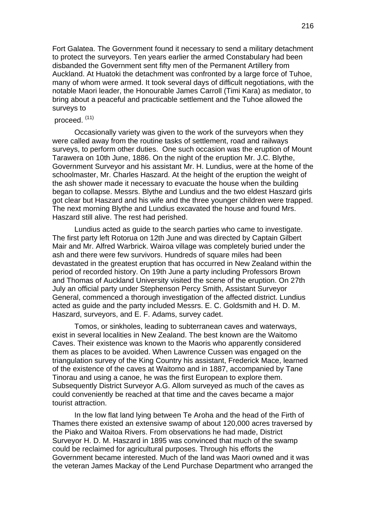Fort Galatea. The Government found it necessary to send a military detachment to protect the surveyors. Ten years earlier the armed Constabulary had been disbanded the Government sent fifty men of the Permanent Artillery from Auckland. At Huatoki the detachment was confronted by a large force of Tuhoe, many of whom were armed. It took several days of difficult negotiations, with the notable Maori leader, the Honourable James Carroll (Timi Kara) as mediator, to bring about a peaceful and practicable settlement and the Tuhoe allowed the surveys to

#### proceed. (11)

Occasionally variety was given to the work of the surveyors when they were called away from the routine tasks of settlement, road and railways surveys, to perform other duties. One such occasion was the eruption of Mount Tarawera on 10th June, 1886. On the night of the eruption Mr. J.C. Blythe, Government Surveyor and his assistant Mr. H. Lundius, were at the home of the schoolmaster, Mr. Charles Haszard. At the height of the eruption the weight of the ash shower made it necessary to evacuate the house when the building began to collapse. Messrs. Blythe and Lundius and the two eldest Haszard girls got clear but Haszard and his wife and the three younger children were trapped. The next morning Blythe and Lundius excavated the house and found Mrs. Haszard still alive. The rest had perished.

Lundius acted as guide to the search parties who came to investigate. The first party left Rotorua on 12th June and was directed by Captain Gilbert Mair and Mr. Alfred Warbrick. Wairoa village was completely buried under the ash and there were few survivors. Hundreds of square miles had been devastated in the greatest eruption that has occurred in New Zealand within the period of recorded history. On 19th June a party including Professors Brown and Thomas of Auckland University visited the scene of the eruption. On 27th July an official party under Stephenson Percy Smith, Assistant Surveyor General, commenced a thorough investigation of the affected district. Lundius acted as guide and the party included Messrs. E. C. Goldsmith and H. D. M. Haszard, surveyors, and E. F. Adams, survey cadet.

Tomos, or sinkholes, leading to subterranean caves and waterways, exist in several localities in New Zealand. The best known are the Waitomo Caves. Their existence was known to the Maoris who apparently considered them as places to be avoided. When Lawrence Cussen was engaged on the triangulation survey of the King Country his assistant, Frederick Mace, learned of the existence of the caves at Waitomo and in 1887, accompanied by Tane Tinorau and using a canoe, he was the first European to explore them. Subsequently District Surveyor A.G. Allom surveyed as much of the caves as could conveniently be reached at that time and the caves became a major tourist attraction.

In the low flat land lying between Te Aroha and the head of the Firth of Thames there existed an extensive swamp of about 120,000 acres traversed by the Piako and Waitoa Rivers. From observations he had made, District Surveyor H. D. M. Haszard in 1895 was convinced that much of the swamp could be reclaimed for agricultural purposes. Through his efforts the Government became interested. Much of the land was Maori owned and it was the veteran James Mackay of the Lend Purchase Department who arranged the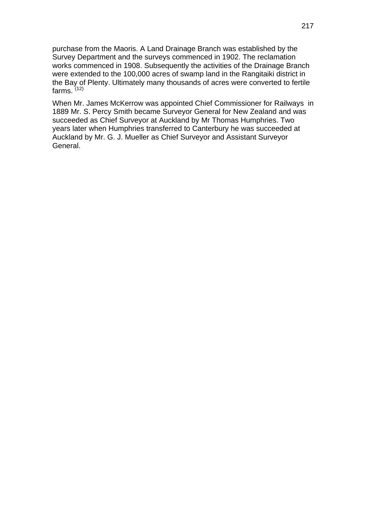purchase from the Maoris. A Land Drainage Branch was established by the Survey Department and the surveys commenced in 1902. The reclamation works commenced in 1908. Subsequently the activities of the Drainage Branch were extended to the 100,000 acres of swamp land in the Rangitaiki district in the Bay of Plenty. Ultimately many thousands of acres were converted to fertile farms. (12)

When Mr. James McKerrow was appointed Chief Commissioner for Railways in 1889 Mr. S. Percy Smith became Surveyor General for New Zealand and was succeeded as Chief Surveyor at Auckland by Mr Thomas Humphries. Two years later when Humphries transferred to Canterbury he was succeeded at Auckland by Mr. G. J. Mueller as Chief Surveyor and Assistant Surveyor General.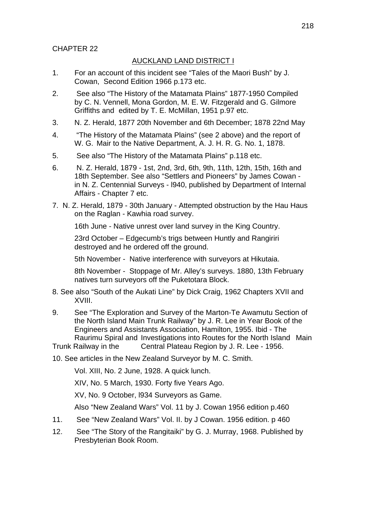# CHAPTER 22

# AUCKLAND LAND DISTRICT I

- 1. For an account of this incident see "Tales of the Maori Bush" by J. Cowan, Second Edition 1966 p.173 etc.
- 2. See also "The History of the Matamata Plains" 1877-1950 Compiled by C. N. Vennell, Mona Gordon, M. E. W. Fitzgerald and G. Gilmore Griffiths and edited by T. E. McMillan, 1951 p.97 etc.
- 3. N. Z. Herald, 1877 20th November and 6th December; 1878 22nd May
- 4. "The History of the Matamata Plains" (see 2 above) and the report of W. G. Mair to the Native Department, A. J. H. R. G. No. 1, 1878.
- 5. See also "The History of the Matamata Plains" p.118 etc.
- 6. N. Z. Herald, 1879 1st, 2nd, 3rd, 6th, 9th, 11th, 12th, 15th, 16th and 18th September. See also "Settlers and Pioneers" by James Cowan in N. Z. Centennial Surveys - l940, published by Department of Internal Affairs - Chapter 7 etc.
- 7. N. Z. Herald, 1879 30th January Attempted obstruction by the Hau Haus on the Raglan - Kawhia road survey.

16th June - Native unrest over land survey in the King Country.

 23rd October – Edgecumb's trigs between Huntly and Rangiriri destroyed and he ordered off the ground.

5th November - Native interference with surveyors at Hikutaia.

8th November - Stoppage of Mr. Alley's surveys. 1880, 13th February natives turn surveyors off the Puketotara Block.

- 8. See also "South of the Aukati Line" by Dick Craig, 1962 Chapters XVII and XVIII.
- 9. See "The Exploration and Survey of the Marton-Te Awamutu Section of the North Island Main Trunk Railway" by J. R. Lee in Year Book of the Engineers and Assistants Association, Hamilton, 1955. Ibid - The Raurimu Spiral and Investigations into Routes for the North Island Main

Trunk Railway in the Central Plateau Region by J. R. Lee - 1956.

10. See articles in the New Zealand Surveyor by M. C. Smith.

Vol. XIII, No. 2 June, 1928. A quick lunch.

XIV, No. 5 March, 1930. Forty five Years Ago.

XV, No. 9 October, l934 Surveyors as Game.

Also "New Zealand Wars" Vol. 11 by J. Cowan 1956 edition p.460

- 11. See "New Zealand Wars" Vol. II. by J Cowan. 1956 edition. p 460
- 12. See "The Story of the Rangitaiki" by G. J. Murray, 1968. Published by Presbyterian Book Room.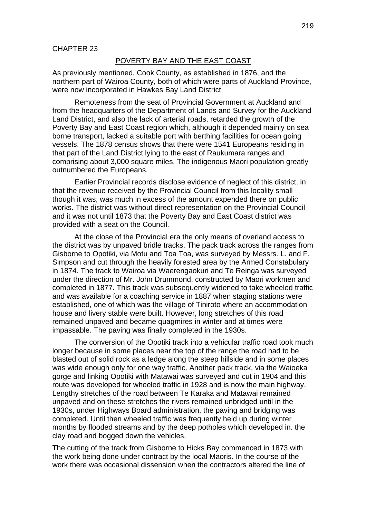### POVERTY BAY AND THE EAST COAST

As previously mentioned, Cook County, as established in 1876, and the northern part of Wairoa County, both of which were parts of Auckland Province, were now incorporated in Hawkes Bay Land District.

Remoteness from the seat of Provincial Government at Auckland and from the headquarters of the Department of Lands and Survey for the Auckland Land District, and also the lack of arterial roads, retarded the growth of the Poverty Bay and East Coast region which, although it depended mainly on sea borne transport, lacked a suitable port with berthing facilities for ocean going vessels. The 1878 census shows that there were 1541 Europeans residing in that part of the Land District lying to the east of Raukumara ranges and comprising about 3,000 square miles. The indigenous Maori population greatly outnumbered the Europeans.

Earlier Provincial records disclose evidence of neglect of this district, in that the revenue received by the Provincial Council from this locality small though it was, was much in excess of the amount expended there on public works. The district was without direct representation on the Provincial Council and it was not until 1873 that the Poverty Bay and East Coast district was provided with a seat on the Council.

At the close of the Provincial era the only means of overland access to the district was by unpaved bridle tracks. The pack track across the ranges from Gisborne to Opotiki, via Motu and Toa Toa, was surveyed by Messrs. L. and F. Simpson and cut through the heavily forested area by the Armed Constabulary in 1874. The track to Wairoa via Waerengaokuri and Te Reinga was surveyed under the direction of Mr. John Drummond, constructed by Maori workmen and completed in 1877. This track was subsequently widened to take wheeled traffic and was available for a coaching service in 1887 when staging stations were established, one of which was the village of Tiniroto where an accommodation house and livery stable were built. However, long stretches of this road remained unpaved and became quagmires in winter and at times were impassable. The paving was finally completed in the 1930s.

The conversion of the Opotiki track into a vehicular traffic road took much longer because in some places near the top of the range the road had to be blasted out of solid rock as a ledge along the steep hillside and in some places was wide enough only for one way traffic. Another pack track, via the Waioeka gorge and linking Opotiki with Matawai was surveyed and cut in 1904 and this route was developed for wheeled traffic in 1928 and is now the main highway. Lengthy stretches of the road between Te Karaka and Matawai remained unpaved and on these stretches the rivers remained unbridged until in the 1930s, under Highways Board administration, the paving and bridging was completed. Until then wheeled traffic was frequently held up during winter months by flooded streams and by the deep potholes which developed in. the clay road and bogged down the vehicles.

The cutting of the track from Gisborne to Hicks Bay commenced in 1873 with the work being done under contract by the local Maoris. In the course of the work there was occasional dissension when the contractors altered the line of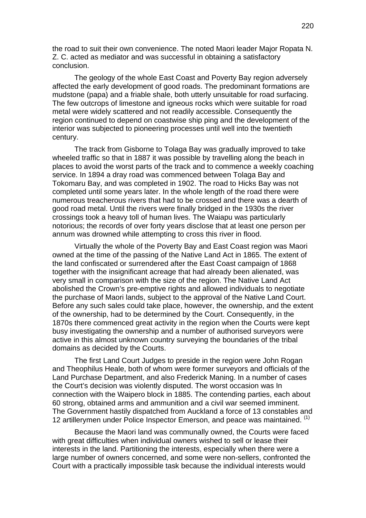the road to suit their own convenience. The noted Maori leader Major Ropata N. Z. C. acted as mediator and was successful in obtaining a satisfactory conclusion.

The geology of the whole East Coast and Poverty Bay region adversely affected the early development of good roads. The predominant formations are mudstone (papa) and a friable shale, both utterly unsuitable for road surfacing. The few outcrops of limestone and igneous rocks which were suitable for road metal were widely scattered and not readily accessible. Consequently the region continued to depend on coastwise ship ping and the development of the interior was subjected to pioneering processes until well into the twentieth century.

The track from Gisborne to Tolaga Bay was gradually improved to take wheeled traffic so that in 1887 it was possible by travelling along the beach in places to avoid the worst parts of the track and to commence a weekly coaching service. In 1894 a dray road was commenced between Tolaga Bay and Tokomaru Bay, and was completed in 1902. The road to Hicks Bay was not completed until some years later. In the whole length of the road there were numerous treacherous rivers that had to be crossed and there was a dearth of good road metal. Until the rivers were finally bridged in the 1930s the river crossings took a heavy toll of human lives. The Waiapu was particularly notorious; the records of over forty years disclose that at least one person per annum was drowned while attempting to cross this river in flood.

Virtually the whole of the Poverty Bay and East Coast region was Maori owned at the time of the passing of the Native Land Act in 1865. The extent of the land confiscated or surrendered after the East Coast campaign of 1868 together with the insignificant acreage that had already been alienated, was very small in comparison with the size of the region. The Native Land Act abolished the Crown's pre-emptive rights and allowed individuals to negotiate the purchase of Maori lands, subject to the approval of the Native Land Court. Before any such sales could take place, however, the ownership, and the extent of the ownership, had to be determined by the Court. Consequently, in the 1870s there commenced great activity in the region when the Courts were kept busy investigating the ownership and a number of authorised surveyors were active in this almost unknown country surveying the boundaries of the tribal domains as decided by the Courts.

The first Land Court Judges to preside in the region were John Rogan and Theophilus Heale, both of whom were former surveyors and officials of the Land Purchase Department, and also Frederick Maning. In a number of cases the Court's decision was violently disputed. The worst occasion was In connection with the Waipero block in 1885. The contending parties, each about 60 strong, obtained arms and ammunition and a civil war seemed imminent. The Government hastily dispatched from Auckland a force of 13 constables and 12 artillerymen under Police Inspector Emerson, and peace was maintained. <sup>(1)</sup>

Because the Maori land was communally owned, the Courts were faced with great difficulties when individual owners wished to sell or lease their interests in the land. Partitioning the interests, especially when there were a large number of owners concerned, and some were non-sellers, confronted the Court with a practically impossible task because the individual interests would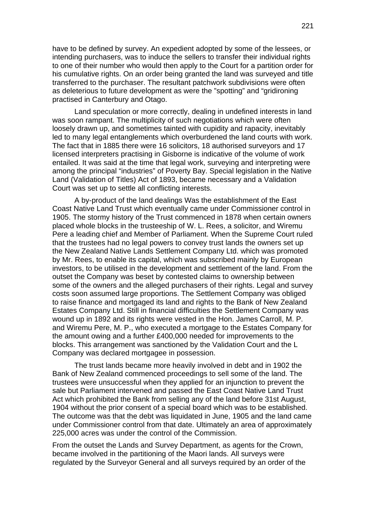have to be defined by survey. An expedient adopted by some of the lessees, or intending purchasers, was to induce the sellers to transfer their individual rights to one of their number who would then apply to the Court for a partition order for his cumulative rights. On an order being granted the land was surveyed and title transferred to the purchaser. The resultant patchwork subdivisions were often as deleterious to future development as were the "spotting" and "gridironing practised in Canterbury and Otago.

Land speculation or more correctly, dealing in undefined interests in land was soon rampant. The multiplicity of such negotiations which were often loosely drawn up, and sometimes tainted with cupidity and rapacity, inevitably led to many legal entanglements which overburdened the land courts with work. The fact that in 1885 there were 16 solicitors, 18 authorised surveyors and 17 licensed interpreters practising in Gisborne is indicative of the volume of work entailed. It was said at the time that legal work, surveying and interpreting were among the principal "industries" of Poverty Bay. Special legislation in the Native Land (Validation of Titles) Act of 1893, became necessary and a Validation Court was set up to settle all conflicting interests.

A by-product of the land dealings Was the establishment of the East Coast Native Land Trust which eventually came under Commissioner control in 1905. The stormy history of the Trust commenced in 1878 when certain owners placed whole blocks in the trusteeship of W. L. Rees, a solicitor, and Wiremu Pere a leading chief and Member of Parliament. When the Supreme Court ruled that the trustees had no legal powers to convey trust lands the owners set up the New Zealand Native Lands Settlement Company Ltd. which was promoted by Mr. Rees, to enable its capital, which was subscribed mainly by European investors, to be utilised in the development and settlement of the land. From the outset the Company was beset by contested claims to ownership between some of the owners and the alleged purchasers of their rights. Legal and survey costs soon assumed large proportions. The Settlement Company was obliged to raise finance and mortgaged its land and rights to the Bank of New Zealand Estates Company Ltd. Still in financial difficulties the Settlement Company was wound up in 1892 and its rights were vested in the Hon. James Carroll, M. P. and Wiremu Pere, M. P., who executed a mortgage to the Estates Company for the amount owing and a further £400,000 needed for improvements to the blocks. This arrangement was sanctioned by the Validation Court and the L Company was declared mortgagee in possession.

The trust lands became more heavily involved in debt and in 1902 the Bank of New Zealand commenced proceedings to sell some of the land. The trustees were unsuccessful when they applied for an injunction to prevent the sale but Parliament intervened and passed the East Coast Native Land Trust Act which prohibited the Bank from selling any of the land before 31st August, 1904 without the prior consent of a special board which was to be established. The outcome was that the debt was liquidated in June, 1905 and the land came under Commissioner control from that date. Ultimately an area of approximately 225,000 acres was under the control of the Commission.

From the outset the Lands and Survey Department, as agents for the Crown, became involved in the partitioning of the Maori lands. All surveys were regulated by the Surveyor General and all surveys required by an order of the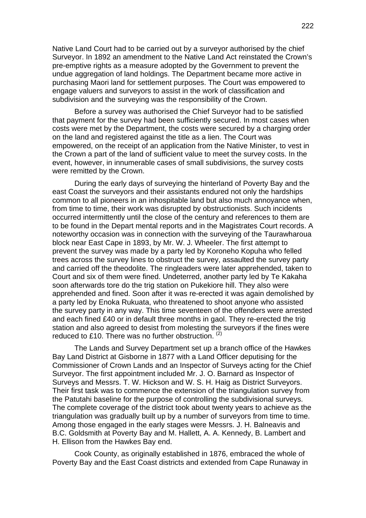Native Land Court had to be carried out by a surveyor authorised by the chief Surveyor. In 1892 an amendment to the Native Land Act reinstated the Crown's pre-emptive rights as a measure adopted by the Government to prevent the undue aggregation of land holdings. The Department became more active in purchasing Maori land for settlement purposes. The Court was empowered to engage valuers and surveyors to assist in the work of classification and subdivision and the surveying was the responsibility of the Crown.

Before a survey was authorised the Chief Surveyor had to be satisfied that payment for the survey had been sufficiently secured. In most cases when costs were met by the Department, the costs were secured by a charging order on the land and registered against the title as a lien. The Court was empowered, on the receipt of an application from the Native Minister, to vest in the Crown a part of the land of sufficient value to meet the survey costs. In the event, however, in innumerable cases of small subdivisions, the survey costs were remitted by the Crown.

During the early days of surveying the hinterland of Poverty Bay and the east Coast the surveyors and their assistants endured not only the hardships common to all pioneers in an inhospitable land but also much annoyance when, from time to time, their work was disrupted by obstructionists. Such incidents occurred intermittently until the close of the century and references to them are to be found in the Depart mental reports and in the Magistrates Court records. A noteworthy occasion was in connection with the surveying of the Taurawharoua block near East Cape in 1893, by Mr. W. J. Wheeler. The first attempt to prevent the survey was made by a party led by Koroneho Kopuha who felled trees across the survey lines to obstruct the survey, assaulted the survey party and carried off the theodolite. The ringleaders were later apprehended, taken to Court and six of them were fined. Undeterred, another party led by Te Kakaha soon afterwards tore do the trig station on Pukekiore hill. They also were apprehended and fined. Soon after it was re-erected it was again demolished by a party led by Enoka Rukuata, who threatened to shoot anyone who assisted the survey party in any way. This time seventeen of the offenders were arrested and each fined £40 or in default three months in gaol. They re-erected the trig station and also agreed to desist from molesting the surveyors if the fines were reduced to £10. There was no further obstruction.  $(2)$ 

The Lands and Survey Department set up a branch office of the Hawkes Bay Land District at Gisborne in 1877 with a Land Officer deputising for the Commissioner of Crown Lands and an Inspector of Surveys acting for the Chief Surveyor. The first appointment included Mr. J. O. Barnard as Inspector of Surveys and Messrs. T. W. Hickson and W. S. H. Haig as District Surveyors. Their first task was to commence the extension of the triangulation survey from the Patutahi baseline for the purpose of controlling the subdivisional surveys. The complete coverage of the district took about twenty years to achieve as the triangulation was gradually built up by a number of surveyors from time to time. Among those engaged in the early stages were Messrs. J. H. Balneavis and B.C. Goldsmith at Poverty Bay and M. Hallett, A. A. Kennedy, B. Lambert and H. Ellison from the Hawkes Bay end.

Cook County, as originally established in 1876, embraced the whole of Poverty Bay and the East Coast districts and extended from Cape Runaway in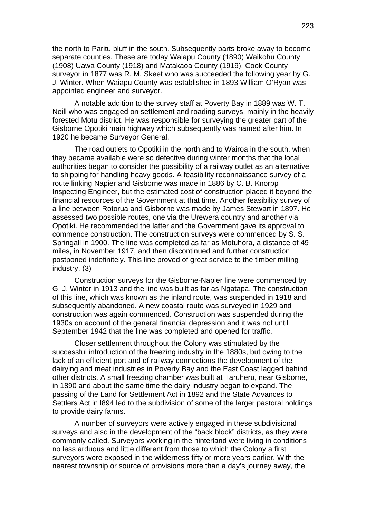the north to Paritu bluff in the south. Subsequently parts broke away to become separate counties. These are today Waiapu County (1890) Waikohu County (1908) Uawa County (1918) and Matakaoa County (1919). Cook County surveyor in 1877 was R. M. Skeet who was succeeded the following year by G. J. Winter. When Waiapu County was established in 1893 William O'Ryan was appointed engineer and surveyor.

A notable addition to the survey staff at Poverty Bay in 1889 was W. T. Neill who was engaged on settlement and roading surveys, mainly in the heavily forested Motu district. He was responsible for surveying the greater part of the Gisborne Opotiki main highway which subsequently was named after him. In 1920 he became Surveyor General.

The road outlets to Opotiki in the north and to Wairoa in the south, when they became available were so defective during winter months that the local authorities began to consider the possibility of a railway outlet as an alternative to shipping for handling heavy goods. A feasibility reconnaissance survey of a route linking Napier and Gisborne was made in 1886 by C. B. Knorpp Inspecting Engineer, but the estimated cost of construction placed it beyond the financial resources of the Government at that time. Another feasibility survey of a line between Rotorua and Gisborne was made by James Stewart in 1897. He assessed two possible routes, one via the Urewera country and another via Opotiki. He recommended the latter and the Government gave its approval to commence construction. The construction surveys were commenced by S. S. Springall in 1900. The line was completed as far as Motuhora, a distance of 49 miles, in November 1917, and then discontinued and further construction postponed indefinitely. This line proved of great service to the timber milling industry. (3)

Construction surveys for the Gisborne-Napier line were commenced by G. J. Winter in 1913 and the line was built as far as Ngatapa. The construction of this line, which was known as the inland route, was suspended in 1918 and subsequently abandoned. A new coastal route was surveyed in 1929 and construction was again commenced. Construction was suspended during the 1930s on account of the general financial depression and it was not until September 1942 that the line was completed and opened for traffic.

Closer settlement throughout the Colony was stimulated by the successful introduction of the freezing industry in the 1880s, but owing to the lack of an efficient port and of railway connections the development of the dairying and meat industries in Poverty Bay and the East Coast lagged behind other districts. A small freezing chamber was built at Taruheru, near Gisborne, in 1890 and about the same time the dairy industry began to expand. The passing of the Land for Settlement Act in 1892 and the State Advances to Settlers Act in l894 led to the subdivision of some of the larger pastoral holdings to provide dairy farms.

A number of surveyors were actively engaged in these subdivisional surveys and also in the development of the "back block" districts, as they were commonly called. Surveyors working in the hinterland were living in conditions no less arduous and little different from those to which the Colony a first surveyors were exposed in the wilderness fifty or more years earlier. With the nearest township or source of provisions more than a day's journey away, the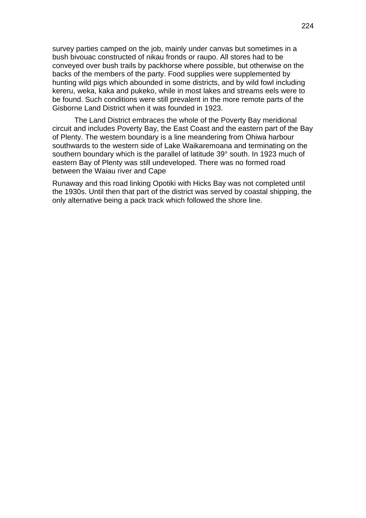survey parties camped on the job, mainly under canvas but sometimes in a bush bivouac constructed of nikau fronds or raupo. All stores had to be conveyed over bush trails by packhorse where possible, but otherwise on the backs of the members of the party. Food supplies were supplemented by hunting wild pigs which abounded in some districts, and by wild fowl including kereru, weka, kaka and pukeko, while in most lakes and streams eels were to be found. Such conditions were still prevalent in the more remote parts of the Gisborne Land District when it was founded in 1923.

The Land District embraces the whole of the Poverty Bay meridional circuit and includes Poverty Bay, the East Coast and the eastern part of the Bay of Plenty. The western boundary is a line meandering from Ohiwa harbour southwards to the western side of Lake Waikaremoana and terminating on the southern boundary which is the parallel of latitude 39° south. In 1923 much of eastern Bay of Plenty was still undeveloped. There was no formed road between the Waiau river and Cape

Runaway and this road linking Opotiki with Hicks Bay was not completed until the 1930s. Until then that part of the district was served by coastal shipping, the only alternative being a pack track which followed the shore line.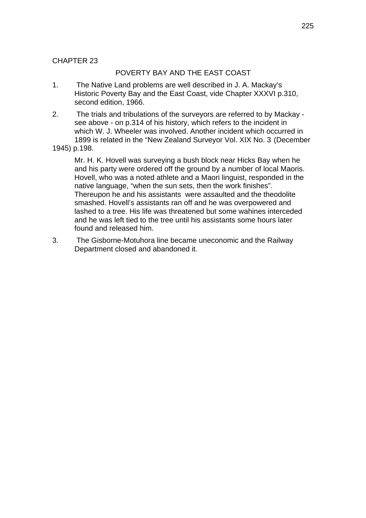# CHAPTER 23

## POVERTY BAY AND THE EAST COAST

- 1. The Native Land problems are well described in J. A. Mackay's Historic Poverty Bay and the East Coast, vide Chapter XXXVI p.310, second edition, 1966.
- 2. The trials and tribulations of the surveyors are referred to by Mackay see above - on p.314 of his history, which refers to the incident in which W. J. Wheeler was involved. Another incident which occurred in 1899 is related in the "New Zealand Surveyor Vol. XIX No. 3 (December
- 1945) p.198.

 Mr. H. K. Hovell was surveying a bush block near Hicks Bay when he and his party were ordered off the ground by a number of local Maoris. Hovell, who was a noted athlete and a Maori linguist, responded in the native language, "when the sun sets, then the work finishes". Thereupon he and his assistants were assaulted and the theodolite smashed. Hovell's assistants ran off and he was overpowered and lashed to a tree. His life was threatened but some wahines interceded and he was left tied to the tree until his assistants some hours later found and released him.

3. The Gisborne-Motuhora line became uneconomic and the Railway Department closed and abandoned it.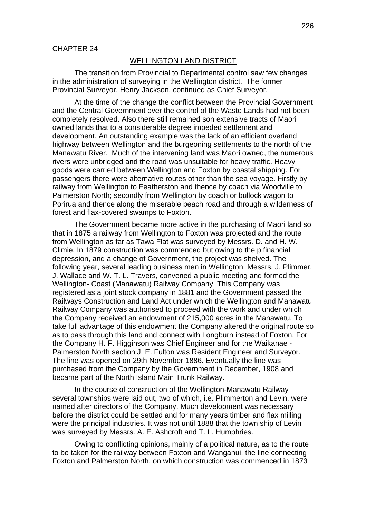### WELLINGTON LAND DISTRICT

The transition from Provincial to Departmental control saw few changes in the administration of surveying in the Wellington district. The former Provincial Surveyor, Henry Jackson, continued as Chief Surveyor.

At the time of the change the conflict between the Provincial Government and the Central Government over the control of the Waste Lands had not been completely resolved. Also there still remained son extensive tracts of Maori owned lands that to a considerable degree impeded settlement and development. An outstanding example was the lack of an efficient overland highway between Wellington and the burgeoning settlements to the north of the Manawatu River. Much of the intervening land was Maori owned, the numerous rivers were unbridged and the road was unsuitable for heavy traffic. Heavy goods were carried between Wellington and Foxton by coastal shipping. For passengers there were alternative routes other than the sea voyage. Firstly by railway from Wellington to Featherston and thence by coach via Woodville to Palmerston North; secondly from Wellington by coach or bullock wagon to Porirua and thence along the miserable beach road and through a wilderness of forest and flax-covered swamps to Foxton.

The Government became more active in the purchasing of Maori land so that in 1875 a railway from Wellington to Foxton was projected and the route from Wellington as far as Tawa Flat was surveyed by Messrs. D. and H. W. Climie. In 1879 construction was commenced but owing to the p financial depression, and a change of Government, the project was shelved. The following year, several leading business men in Wellington, Messrs. J. Plimmer, J. Wallace and W. T. L. Travers, convened a public meeting and formed the Wellington- Coast (Manawatu) Railway Company. This Company was registered as a joint stock company in 1881 and the Government passed the Railways Construction and Land Act under which the Wellington and Manawatu Railway Company was authorised to proceed with the work and under which the Company received an endowment of 215,000 acres in the Manawatu. To take full advantage of this endowment the Company altered the original route so as to pass through this land and connect with Longburn instead of Foxton. For the Company H. F. Higginson was Chief Engineer and for the Waikanae - Palmerston North section J. E. Fulton was Resident Engineer and Surveyor. The line was opened on 29th November 1886. Eventually the line was purchased from the Company by the Government in December, 1908 and became part of the North Island Main Trunk Railway.

In the course of construction of the Wellington-Manawatu Railway several townships were laid out, two of which, i.e. Plimmerton and Levin, were named after directors of the Company. Much development was necessary before the district could be settled and for many years timber and flax milling were the principal industries. It was not until 1888 that the town ship of Levin was surveyed by Messrs. A. E. Ashcroft and T. L. Humphries.

Owing to conflicting opinions, mainly of a political nature, as to the route to be taken for the railway between Foxton and Wanganui, the line connecting Foxton and Palmerston North, on which construction was commenced in 1873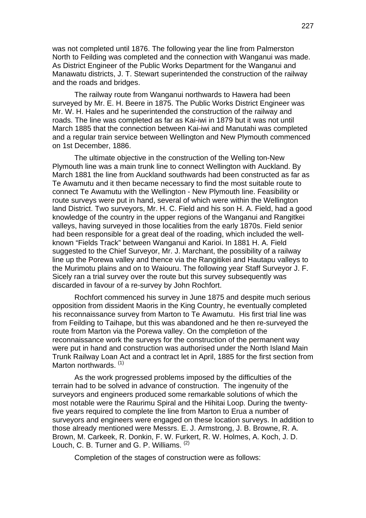was not completed until 1876. The following year the line from Palmerston North to Feilding was completed and the connection with Wanganui was made. As District Engineer of the Public Works Department for the Wanganui and Manawatu districts, J. T. Stewart superintended the construction of the railway and the roads and bridges.

The railway route from Wanganui northwards to Hawera had been surveyed by Mr. E. H. Beere in 1875. The Public Works District Engineer was Mr. W. H. Hales and he superintended the construction of the railway and roads. The line was completed as far as Kai-iwi in 1879 but it was not until March 1885 that the connection between Kai-iwi and Manutahi was completed and a regular train service between Wellington and New Plymouth commenced on 1st December, 1886.

The ultimate objective in the construction of the Welling ton-New Plymouth line was a main trunk line to connect Wellington with Auckland. By March 1881 the line from Auckland southwards had been constructed as far as Te Awamutu and it then became necessary to find the most suitable route to connect Te Awamutu with the Wellington - New Plymouth line. Feasibility or route surveys were put in hand, several of which were within the Wellington land District. Two surveyors, Mr. H. C. Field and his son H. A. Field, had a good knowledge of the country in the upper regions of the Wanganui and Rangitkei valleys, having surveyed in those localities from the early 1870s. Field senior had been responsible for a great deal of the roading, which included the wellknown "Fields Track" between Wanganui and Karioi. In 1881 H. A. Field suggested to the Chief Surveyor, Mr. J. Marchant, the possibility of a railway line up the Porewa valley and thence via the Rangitikei and Hautapu valleys to the Murimotu plains and on to Waiouru. The following year Staff Surveyor J. F. Sicely ran a trial survey over the route but this survey subsequently was discarded in favour of a re-survey by John Rochfort.

Rochfort commenced his survey in June 1875 and despite much serious opposition from dissident Maoris in the King Country, he eventually completed his reconnaissance survey from Marton to Te Awamutu. His first trial line was from Feilding to Taihape, but this was abandoned and he then re-surveyed the route from Marton via the Porewa valley. On the completion of the reconnaissance work the surveys for the construction of the permanent way were put in hand and construction was authorised under the North Island Main Trunk Railway Loan Act and a contract let in April, 1885 for the first section from Marton northwards. (1)

As the work progressed problems imposed by the difficulties of the terrain had to be solved in advance of construction. The ingenuity of the surveyors and engineers produced some remarkable solutions of which the most notable were the Raurimu Spiral and the Hihitai Loop. During the twentyfive years required to complete the line from Marton to Erua a number of surveyors and engineers were engaged on these location surveys. In addition to those already mentioned were Messrs. E. J. Armstrong, J. B. Browne, R. A. Brown, M. Carkeek, R. Donkin, F. W. Furkert, R. W. Holmes, A. Koch, J. D. Louch, C. B. Turner and G. P. Williams. (2)

Completion of the stages of construction were as follows: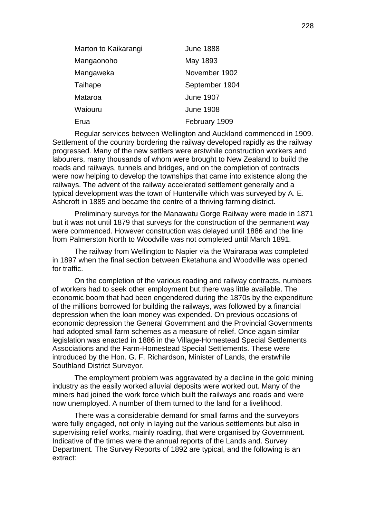| Marton to Kaikarangi | <b>June 1888</b> |  |
|----------------------|------------------|--|
| Mangaonoho           | May 1893         |  |
| Mangaweka            | November 1902    |  |
| Taihape              | September 1904   |  |
| Mataroa              | <b>June 1907</b> |  |
| Waiouru              | <b>June 1908</b> |  |
| Erua                 | February 1909    |  |
|                      |                  |  |

Regular services between Wellington and Auckland commenced in 1909. Settlement of the country bordering the railway developed rapidly as the railway progressed. Many of the new settlers were erstwhile construction workers and labourers, many thousands of whom were brought to New Zealand to build the roads and railways, tunnels and bridges, and on the completion of contracts were now helping to develop the townships that came into existence along the railways. The advent of the railway accelerated settlement generally and a typical development was the town of Hunterville which was surveyed by A. E. Ashcroft in 1885 and became the centre of a thriving farming district.

Preliminary surveys for the Manawatu Gorge Railway were made in 1871 but it was not until 1879 that surveys for the construction of the permanent way were commenced. However construction was delayed until 1886 and the line from Palmerston North to Woodville was not completed until March 1891.

The railway from Wellington to Napier via the Wairarapa was completed in 1897 when the final section between Eketahuna and Woodville was opened for traffic.

On the completion of the various roading and railway contracts, numbers of workers had to seek other employment but there was little available. The economic boom that had been engendered during the 1870s by the expenditure of the millions borrowed for building the railways, was followed by a financial depression when the loan money was expended. On previous occasions of economic depression the General Government and the Provincial Governments had adopted small farm schemes as a measure of relief. Once again similar legislation was enacted in 1886 in the Village-Homestead Special Settlements Associations and the Farm-Homestead Special Settlements. These were introduced by the Hon. G. F. Richardson, Minister of Lands, the erstwhile Southland District Surveyor.

The employment problem was aggravated by a decline in the gold mining industry as the easily worked alluvial deposits were worked out. Many of the miners had joined the work force which built the railways and roads and were now unemployed. A number of them turned to the land for a livelihood.

There was a considerable demand for small farms and the surveyors were fully engaged, not only in laying out the various settlements but also in supervising relief works, mainly roading, that were organised by Government. Indicative of the times were the annual reports of the Lands and. Survey Department. The Survey Reports of 1892 are typical, and the following is an extract: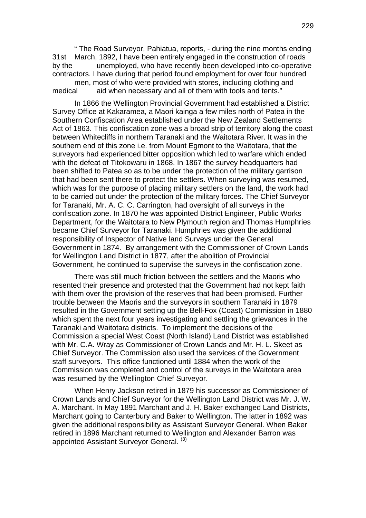" The Road Surveyor, Pahiatua, reports, - during the nine months ending 31st March, 1892, I have been entirely engaged in the construction of roads by the unemployed, who have recently been developed into co-operative contractors. I have during that period found employment for over four hundred men, most of who were provided with stores, including clothing and medical aid when necessary and all of them with tools and tents."

In 1866 the Wellington Provincial Government had established a District Survey Office at Kakaramea, a Maori kainga a few miles north of Patea in the Southern Confiscation Area established under the New Zealand Settlements Act of 1863. This confiscation zone was a broad strip of territory along the coast between Whitecliffs in northern Taranaki and the Waitotara River. It was in the southern end of this zone i.e. from Mount Egmont to the Waitotara, that the surveyors had experienced bitter opposition which led to warfare which ended with the defeat of Titokowaru in 1868. In 1867 the survey headquarters had been shifted to Patea so as to be under the protection of the military garrison that had been sent there to protect the settlers. When surveying was resumed, which was for the purpose of placing military settlers on the land, the work had to be carried out under the protection of the military forces. The Chief Surveyor for Taranaki, Mr. A. C. C. Carrington, had oversight of all surveys in the confiscation zone. In 1870 he was appointed District Engineer, Public Works Department, for the Waitotara to New Plymouth region and Thomas Humphries became Chief Surveyor for Taranaki. Humphries was given the additional responsibility of Inspector of Native land Surveys under the General Government in 1874. By arrangement with the Commissioner of Crown Lands for Wellington Land District in 1877, after the abolition of Provincial Government, he continued to supervise the surveys in the confiscation zone.

There was still much friction between the settlers and the Maoris who resented their presence and protested that the Government had not kept faith with them over the provision of the reserves that had been promised. Further trouble between the Maoris and the surveyors in southern Taranaki in 1879 resulted in the Government setting up the Bell-Fox (Coast) Commission in 1880 which spent the next four years investigating and settling the grievances in the Taranaki and Waitotara districts. To implement the decisions of the Commission a special West Coast (North Island) Land District was established with Mr. C.A. Wray as Commissioner of Crown Lands and Mr. H. L. Skeet as Chief Surveyor. The Commission also used the services of the Government staff surveyors. This office functioned until 1884 when the work of the Commission was completed and control of the surveys in the Waitotara area was resumed by the Wellington Chief Surveyor.

When Henry Jackson retired in 1879 his successor as Commissioner of Crown Lands and Chief Surveyor for the Wellington Land District was Mr. J. W. A. Marchant. In May 1891 Marchant and J. H. Baker exchanged Land Districts, Marchant going to Canterbury and Baker to Wellington. The latter in 1892 was given the additional responsibility as Assistant Surveyor General. When Baker retired in 1896 Marchant returned to Wellington and Alexander Barron was appointed Assistant Surveyor General. (3)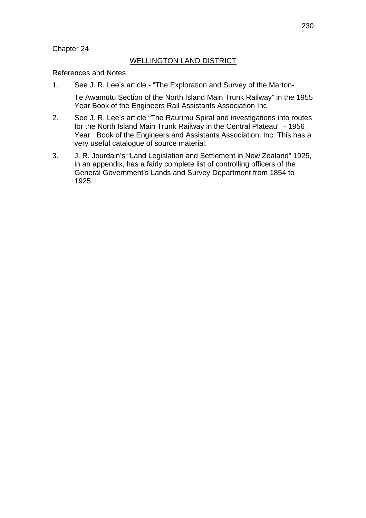## Chapter 24

## WELLINGTON LAND DISTRICT

References and Notes

1. See J. R. Lee's article - "The Exploration and Survey of the Marton-

Te Awamutu Section of the North Island Main Trunk Railway" in the 1955 Year Book of the Engineers Rail Assistants Association Inc.

- 2. See J. R. Lee's article "The Raurimu Spiral and investigations into routes for the North Island Main Trunk Railway in the Central Plateau" - 1956 Year Book of the Engineers and Assistants Association, Inc. This has a very useful catalogue of source material.
- 3. J. R. Jourdain's "Land Legislation and Settlement in New Zealand" 1925, in an appendix, has a fairly complete list of controlling officers of the General Government's Lands and Survey Department from 1854 to 1925.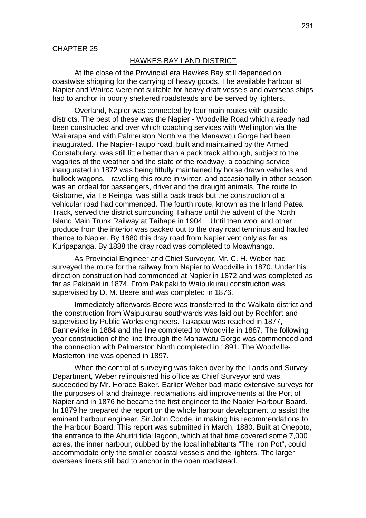### HAWKES BAY LAND DISTRICT

At the close of the Provincial era Hawkes Bay still depended on coastwise shipping for the carrying of heavy goods. The available harbour at Napier and Wairoa were not suitable for heavy draft vessels and overseas ships had to anchor in poorly sheltered roadsteads and be served by lighters.

Overland, Napier was connected by four main routes with outside districts. The best of these was the Napier - Woodville Road which already had been constructed and over which coaching services with Wellington via the Wairarapa and with Palmerston North via the Manawatu Gorge had been inaugurated. The Napier-Taupo road, built and maintained by the Armed Constabulary, was still little better than a pack track although, subject to the vagaries of the weather and the state of the roadway, a coaching service inaugurated in 1872 was being fitfully maintained by horse drawn vehicles and bullock wagons. Travelling this route in winter, and occasionally in other season was an ordeal for passengers, driver and the draught animals. The route to Gisborne, via Te Reinga, was still a pack track but the construction of a vehicular road had commenced. The fourth route, known as the Inland Patea Track, served the district surrounding Taihape until the advent of the North Island Main Trunk Railway at Taihape in 1904. Until then wool and other produce from the interior was packed out to the dray road terminus and hauled thence to Napier. By 1880 this dray road from Napier vent only as far as Kuripapanga. By 1888 the dray road was completed to Moawhango.

As Provincial Engineer and Chief Surveyor, Mr. C. H. Weber had surveyed the route for the railway from Napier to Woodville in 1870. Under his direction construction had commenced at Napier in 1872 and was completed as far as Pakipaki in 1874. From Pakipaki to Waipukurau construction was supervised by D. M. Beere and was completed in 1876.

Immediately afterwards Beere was transferred to the Waikato district and the construction from Waipukurau southwards was laid out by Rochfort and supervised by Public Works engineers. Takapau was reached in 1877, Dannevirke in 1884 and the line completed to Woodville in 1887. The following year construction of the line through the Manawatu Gorge was commenced and the connection with Palmerston North completed in 1891. The Woodville-Masterton line was opened in 1897.

When the control of surveying was taken over by the Lands and Survey Department, Weber relinquished his office as Chief Surveyor and was succeeded by Mr. Horace Baker. Earlier Weber bad made extensive surveys for the purposes of land drainage, reclamations aid improvements at the Port of Napier and in 1876 he became the first engineer to the Napier Harbour Board. In 1879 he prepared the report on the whole harbour development to assist the eminent harbour engineer, Sir John Coode, in making his recommendations to the Harbour Board. This report was submitted in March, 1880. Built at Onepoto, the entrance to the Ahuriri tidal lagoon, which at that time covered some 7,000 acres, the inner harbour, dubbed by the local inhabitants "The Iron Pot", could accommodate only the smaller coastal vessels and the lighters. The larger overseas liners still bad to anchor in the open roadstead.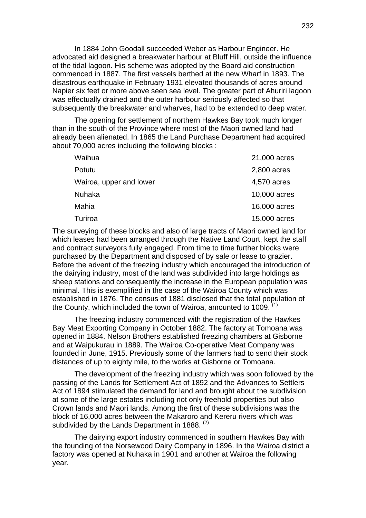In 1884 John Goodall succeeded Weber as Harbour Engineer. He advocated aid designed a breakwater harbour at Bluff Hill, outside the influence of the tidal lagoon. His scheme was adopted by the Board aid construction commenced in 1887. The first vessels berthed at the new Wharf in 1893. The disastrous earthquake in February 1931 elevated thousands of acres around Napier six feet or more above seen sea level. The greater part of Ahuriri lagoon was effectually drained and the outer harbour seriously affected so that subsequently the breakwater and wharves, had to be extended to deep water.

The opening for settlement of northern Hawkes Bay took much longer than in the south of the Province where most of the Maori owned land had already been alienated. In 1865 the Land Purchase Department had acquired about 70,000 acres including the following blocks :

| Waihua                  | 21,000 acres |
|-------------------------|--------------|
| Potutu                  | 2,800 acres  |
| Wairoa, upper and lower | 4,570 acres  |
| Nuhaka                  | 10,000 acres |
| Mahia                   | 16,000 acres |
| Turiroa                 | 15,000 acres |

The surveying of these blocks and also of large tracts of Maori owned land for which leases had been arranged through the Native Land Court, kept the staff and contract surveyors fully engaged. From time to time further blocks were purchased by the Department and disposed of by sale or lease to grazier. Before the advent of the freezing industry which encouraged the introduction of the dairying industry, most of the land was subdivided into large holdings as sheep stations and consequently the increase in the European population was minimal. This is exemplified in the case of the Wairoa County which was established in 1876. The census of 1881 disclosed that the total population of the County, which included the town of Wairoa, amounted to  $1009$ .  $(1)$ 

The freezing industry commenced with the registration of the Hawkes Bay Meat Exporting Company in October 1882. The factory at Tomoana was opened in 1884. Nelson Brothers established freezing chambers at Gisborne and at Waipukurau in 1889. The Wairoa Co-operative Meat Company was founded in June, 1915. Previously some of the farmers had to send their stock distances of up to eighty mile, to the works at Gisborne or Tomoana.

The development of the freezing industry which was soon followed by the passing of the Lands for Settlement Act of 1892 and the Advances to Settlers Act of 1894 stimulated the demand for land and brought about the subdivision at some of the large estates including not only freehold properties but also Crown lands and Maori lands. Among the first of these subdivisions was the block of 16,000 acres between the Makaroro and Kereru rivers which was subdivided by the Lands Department in 1888. <sup>(2)</sup>

The dairying export industry commenced in southern Hawkes Bay with the founding of the Norsewood Dairy Company in 1896. In the Wairoa district a factory was opened at Nuhaka in 1901 and another at Wairoa the following year.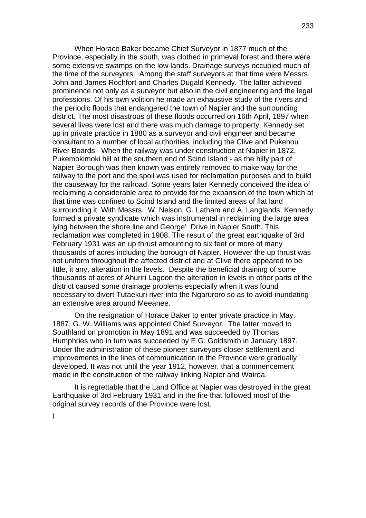When Horace Baker became Chief Surveyor in 1877 much of the Province, especially in the south, was clothed in primeval forest and there were some extensive swamps on the low lands. Drainage surveys occupied much of the time of the surveyors. Among the staff surveyors at that time were Messrs. John and James Rochfort and Charles Dugald Kennedy. The latter achieved prominence not only as a surveyor but also in the civil engineering and the legal professions. Of his own volition he made an exhaustive study of the rivers and the periodic floods that endangered the town of Napier and the surrounding district. The most disastrous of these floods occurred on 16th April, 1897 when several lives were lost and there was much damage to property. Kennedy set up in private practice in 1880 as a surveyor and civil engineer and became consultant to a number of local authorities, including the Clive and Pukehou River Boards. When the railway was under construction at Napier in 1872, Pukemokimoki hill at the southern end of Scind Island - as the hilly part of Napier Borough was then known was entirely removed to make way for the railway to the port and the spoil was used for reclamation purposes and to build the causeway for the railroad. Some years later Kennedy conceived the idea of reclaiming a considerable area to provide for the expansion of the town which at that time was confined to Scind Island and the limited areas of flat land surrounding it. With Messrs. W. Nelson, G. Latham and A. Langlands, Kennedy formed a private syndicate which was instrumental in reclaiming the large area lying between the shore line and George' Drive in Napier South. This reclamation was completed in 1908. The result of the great earthquake of 3rd February 1931 was an up thrust amounting to six feet or more of many thousands of acres including the borough of Napier. However the up thrust was not uniform throughout the affected district and at Clive there appeared to be little, it any, alteration in the levels. Despite the beneficial draining of some thousands of acres of Ahuriri Lagoon the alteration in levels in other parts of the district caused some drainage problems especially when it was found necessary to divert Tutaekuri river into the Ngaruroro so as to avoid inundating an extensive area around Meeanee.

On the resignation of Horace Baker to enter private practice in May, 1887, G. W. Williams was appointed Chief Surveyor. The latter moved to Southland on promotion in May 1891 and was succeeded by Thomas Humphries who in turn was succeeded by E.G. Goldsmith in January 1897. Under the administration of these pioneer surveyors closer settlement and improvements in the lines of communication in the Province were gradually developed. It was not until the year 1912, however, that a commencement made in the construction of the railway linking Napier and Wairoa.

It is regrettable that the Land Office at Napier was destroyed in the great Earthquake of 3rd February 1931 and in the fire that followed most of the original survey records of the Province were lost.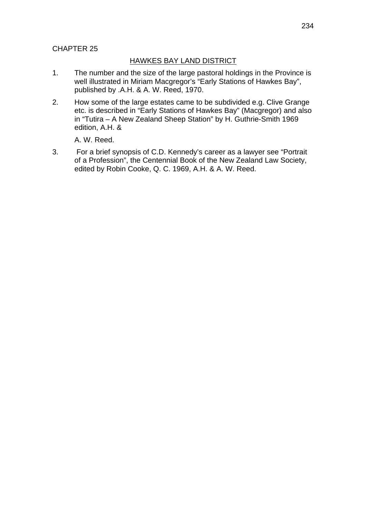# CHAPTER 25

## HAWKES BAY LAND DISTRICT

- 1. The number and the size of the large pastoral holdings in the Province is well illustrated in Miriam Macgregor's "Early Stations of Hawkes Bay", published by .A.H. & A. W. Reed, 1970.
- 2. How some of the large estates came to be subdivided e.g. Clive Grange etc. is described in "Early Stations of Hawkes Bay" (Macgregor) and also in "Tutira – A New Zealand Sheep Station" by H. Guthrie-Smith 1969 edition, A.H. &

A. W. Reed.

3. For a brief synopsis of C.D. Kennedy's career as a lawyer see "Portrait of a Profession", the Centennial Book of the New Zealand Law Society, edited by Robin Cooke, Q. C. 1969, A.H. & A. W. Reed.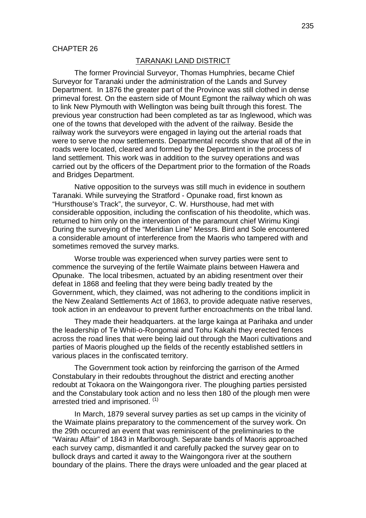### TARANAKI LAND DISTRICT

The former Provincial Surveyor, Thomas Humphries, became Chief Surveyor for Taranaki under the administration of the Lands and Survey Department. In 1876 the greater part of the Province was still clothed in dense primeval forest. On the eastern side of Mount Egmont the railway which oh was to link New Plymouth with Wellington was being built through this forest. The previous year construction had been completed as tar as Inglewood, which was one of the towns that developed with the advent of the railway. Beside the railway work the surveyors were engaged in laying out the arterial roads that were to serve the now settlements. Departmental records show that all of the in roads were located, cleared and formed by the Department in the process of land settlement. This work was in addition to the survey operations and was carried out by the officers of the Department prior to the formation of the Roads and Bridges Department.

Native opposition to the surveys was still much in evidence in southern Taranaki. While surveying the Stratford - Opunake road, first known as "Hursthouse's Track", the surveyor, C. W. Hursthouse, had met with considerable opposition, including the confiscation of his theodolite, which was. returned to him only on the intervention of the paramount chief Wirimu Kingi During the surveying of the "Meridian Line" Messrs. Bird and Sole encountered a considerable amount of interference from the Maoris who tampered with and sometimes removed the survey marks.

Worse trouble was experienced when survey parties were sent to commence the surveying of the fertile Waimate plains between Hawera and Opunake. The local tribesmen, actuated by an abiding resentment over their defeat in 1868 and feeling that they were being badly treated by the Government, which, they claimed, was not adhering to the conditions implicit in the New Zealand Settlements Act of 1863, to provide adequate native reserves, took action in an endeavour to prevent further encroachments on the tribal land.

They made their headquarters. at the large kainga at Parihaka and under the leadership of Te Whiti-o-Rongomai and Tohu Kakahi they erected fences across the road lines that were being laid out through the Maori cultivations and parties of Maoris ploughed up the fields of the recently established settlers in various places in the confiscated territory.

The Government took action by reinforcing the garrison of the Armed Constabulary in their redoubts throughout the district and erecting another redoubt at Tokaora on the Waingongora river. The ploughing parties persisted and the Constabulary took action and no less then 180 of the plough men were arrested tried and imprisoned. (1)

In March, 1879 several survey parties as set up camps in the vicinity of the Waimate plains preparatory to the commencement of the survey work. On the 29th occurred an event that was reminiscent of the preliminaries to the "Wairau Affair" of 1843 in Marlborough. Separate bands of Maoris approached each survey camp, dismantled it and carefully packed the survey gear on to bullock drays and carted it away to the Waingongora river at the southern boundary of the plains. There the drays were unloaded and the gear placed at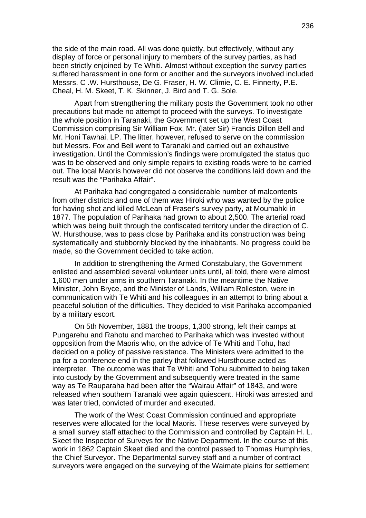the side of the main road. All was done quietly, but effectively, without any display of force or personal injury to members of the survey parties, as had been strictly enjoined by Te Whiti. Almost without exception the survey parties suffered harassment in one form or another and the surveyors involved included Messrs. C .W. Hursthouse, De G. Fraser, H. W. Climie, C. E. Finnerty, P.E. Cheal, H. M. Skeet, T. K. Skinner, J. Bird and T. G. Sole.

Apart from strengthening the military posts the Government took no other precautions but made no attempt to proceed with the surveys. To investigate the whole position in Taranaki, the Government set up the West Coast Commission comprising Sir William Fox, Mr. (later Sir) Francis Dillon Bell and Mr. Honi Tawhai, LP. The litter, however, refused to serve on the commission but Messrs. Fox and Bell went to Taranaki and carried out an exhaustive investigation. Until the Commission's findings were promulgated the status quo was to be observed and only simple repairs to existing roads were to be carried out. The local Maoris however did not observe the conditions laid down and the result was the "Parihaka Affair".

At Parihaka had congregated a considerable number of malcontents from other districts and one of them was Hiroki who was wanted by the police for having shot and killed McLean of Fraser's survey party, at Moumahki in 1877. The population of Parihaka had grown to about 2,500. The arterial road which was being built through the confiscated territory under the direction of C. W. Hursthouse, was to pass close by Parihaka and its construction was being systematically and stubbornly blocked by the inhabitants. No progress could be made, so the Government decided to take action.

In addition to strengthening the Armed Constabulary, the Government enlisted and assembled several volunteer units until, all told, there were almost 1,600 men under arms in southern Taranaki. In the meantime the Native Minister, John Bryce, and the Minister of Lands, William Rolleston, were in communication with Te Whiti and his colleagues in an attempt to bring about a peaceful solution of the difficulties. They decided to visit Parihaka accompanied by a military escort.

On 5th November, 1881 the troops, 1,300 strong, left their camps at Pungarehu and Rahotu and marched to Parihaka which was invested without opposition from the Maoris who, on the advice of Te Whiti and Tohu, had decided on a policy of passive resistance. The Ministers were admitted to the pa for a conference end in the parley that followed Hursthouse acted as interpreter. The outcome was that Te Whiti and Tohu submitted to being taken into custody by the Government and subsequently were treated in the same way as Te Rauparaha had been after the "Wairau Affair" of 1843, and were released when southern Taranaki wee again quiescent. Hiroki was arrested and was later tried, convicted of murder and executed.

The work of the West Coast Commission continued and appropriate reserves were allocated for the local Maoris. These reserves were surveyed by a small survey staff attached to the Commission and controlled by Captain H. L. Skeet the Inspector of Surveys for the Native Department. In the course of this work in 1862 Captain Skeet died and the control passed to Thomas Humphries, the Chief Surveyor. The Departmental survey staff and a number of contract surveyors were engaged on the surveying of the Waimate plains for settlement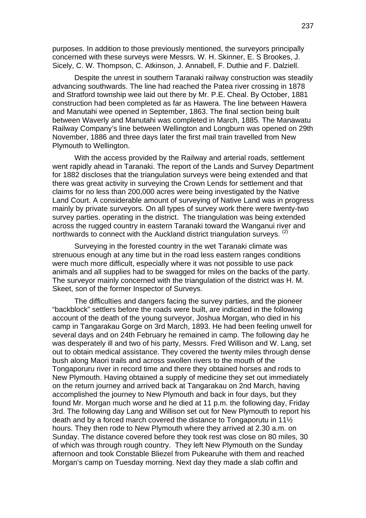purposes. In addition to those previously mentioned, the surveyors principally concerned with these surveys were Messrs. W. H. Skinner, E. S Brookes, J. Sicely, C. W. Thompson, C. Atkinson, J. Annabell, F. Duthie and F. Dalziell.

Despite the unrest in southern Taranaki railway construction was steadily advancing southwards. The line had reached the Patea river crossing in 1878 and Stratford township wee laid out there by Mr. P.E. Cheal. By October, 1881 construction had been completed as far as Hawera. The line between Hawera and Manutahi wee opened in September, 1863. The final section being built between Waverly and Manutahi was completed in March, 1885. The Manawatu Railway Company's line between Wellington and Longburn was opened on 29th November, 1886 and three days later the first mail train travelled from New Plymouth to Wellington.

With the access provided by the Railway and arterial roads, settlement went rapidly ahead in Taranaki. The report of the Lands and Survey Department for 1882 discloses that the triangulation surveys were being extended and that there was great activity in surveying the Crown Lends for settlement and that claims for no less than 200,000 acres were being investigated by the Native Land Court. A considerable amount of surveying of Native Land was in progress mainly by private surveyors. On all types of survey work there were twenty-two survey parties. operating in the district. The triangulation was being extended across the rugged country in eastern Taranaki toward the Wanganui river and northwards to connect with the Auckland district triangulation surveys.  $(2)$ 

Surveying in the forested country in the wet Taranaki climate was strenuous enough at any time but in the road less eastern ranges conditions were much more difficult, especially where it was not possible to use pack animals and all supplies had to be swagged for miles on the backs of the party. The surveyor mainly concerned with the triangulation of the district was H. M. Skeet, son of the former Inspector of Surveys.

The difficulties and dangers facing the survey parties, and the pioneer "backblock" settlers before the roads were built, are indicated in the following account of the death of the young surveyor, Joshua Morgan, who died in his camp in Tangarakau Gorge on 3rd March, 1893. He had been feeling unwell for several days and on 24th February he remained in camp. The following day he was desperately ill and two of his party, Messrs. Fred Willison and W. Lang, set out to obtain medical assistance. They covered the twenty miles through dense bush along Maori trails and across swollen rivers to the mouth of the Tongaporuru river in record time and there they obtained horses and rods to New Plymouth. Having obtained a supply of medicine they set out immediately on the return journey and arrived back at Tangarakau on 2nd March, having accomplished the journey to New Plymouth and back in four days, but they found Mr. Morgan much worse and he died at 11 p.m. the following day, Friday 3rd. The following day Lang and Willison set out for New Plymouth to report his death and by a forced march covered the distance to Tongaporutu in 11½ hours. They then rode to New Plymouth where they arrived at 2.30 a.m. on Sunday. The distance covered before they took rest was close on 80 miles, 30 of which was through rough country. They left New Plymouth on the Sunday afternoon and took Constable Bliezel from Pukearuhe with them and reached Morgan's camp on Tuesday morning. Next day they made a slab coffin and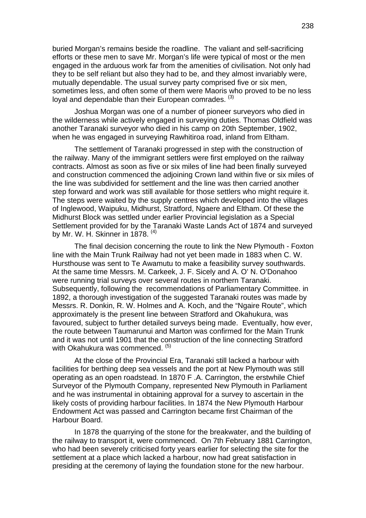buried Morgan's remains beside the roadline. The valiant and self-sacrificing efforts or these men to save Mr. Morgan's life were typical of most or the men engaged in the arduous work far from the amenities of civilisation. Not only had they to be self reliant but also they had to be, and they almost invariably were, mutually dependable. The usual survey party comprised five or six men, sometimes less, and often some of them were Maoris who proved to be no less loval and dependable than their European comrades. (3)

Joshua Morgan was one of a number of pioneer surveyors who died in the wilderness while actively engaged in surveying duties. Thomas Oldfield was another Taranaki surveyor who died in his camp on 20th September, 1902, when he was engaged in surveying Rawhitiroa road, inland from Eltham.

The settlement of Taranaki progressed in step with the construction of the railway. Many of the immigrant settlers were first employed on the railway contracts. Almost as soon as five or six miles of line had been finally surveyed and construction commenced the adjoining Crown land within five or six miles of the line was subdivided for settlement and the line was then carried another step forward and work was still available for those settlers who might require it. The steps were waited by the supply centres which developed into the villages of Inglewood, Waipuku, Midhurst, Stratford, Ngaere and Eltham. Of these the Midhurst Block was settled under earlier Provincial legislation as a Special Settlement provided for by the Taranaki Waste Lands Act of 1874 and surveyed by Mr. W. H. Skinner in 1878.  $(4)$ 

The final decision concerning the route to link the New Plymouth - Foxton line with the Main Trunk Railway had not yet been made in 1883 when C. W. Hursthouse was sent to Te Awamutu to make a feasibility survey southwards. At the same time Messrs. M. Carkeek, J. F. Sicely and A. O' N. O'Donahoo were running trial surveys over several routes in northern Taranaki. Subsequently, following the recommendations of Parliamentary Committee. in 1892, a thorough investigation of the suggested Taranaki routes was made by Messrs. R. Donkin, R. W. Holmes and A. Koch, and the "Ngaire Route", which approximately is the present line between Stratford and Okahukura, was favoured, subject to further detailed surveys being made. Eventually, how ever, the route between Taumarunui and Marton was confirmed for the Main Trunk and it was not until 1901 that the construction of the line connecting Stratford with Okahukura was commenced. (5)

At the close of the Provincial Era, Taranaki still lacked a harbour with facilities for berthing deep sea vessels and the port at New Plymouth was still operating as an open roadstead. In 1870 F .A. Carrington, the erstwhile Chief Surveyor of the Plymouth Company, represented New Plymouth in Parliament and he was instrumental in obtaining approval for a survey to ascertain in the likely costs of providing harbour facilities. In 1874 the New Plymouth Harbour Endowment Act was passed and Carrington became first Chairman of the Harbour Board.

In 1878 the quarrying of the stone for the breakwater, and the building of the railway to transport it, were commenced. On 7th February 1881 Carrington, who had been severely criticised forty years earlier for selecting the site for the settlement at a place which lacked a harbour, now had great satisfaction in presiding at the ceremony of laying the foundation stone for the new harbour.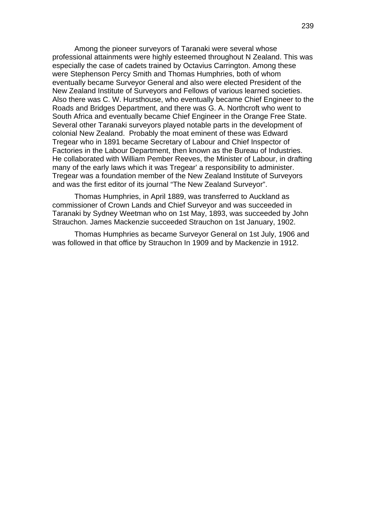Among the pioneer surveyors of Taranaki were several whose professional attainments were highly esteemed throughout N Zealand. This was especially the case of cadets trained by Octavius Carrington. Among these were Stephenson Percy Smith and Thomas Humphries, both of whom eventually became Surveyor General and also were elected President of the New Zealand Institute of Surveyors and Fellows of various learned societies. Also there was C. W. Hursthouse, who eventually became Chief Engineer to the Roads and Bridges Department, and there was G. A. Northcroft who went to South Africa and eventually became Chief Engineer in the Orange Free State. Several other Taranaki surveyors played notable parts in the development of colonial New Zealand. Probably the moat eminent of these was Edward Tregear who in 1891 became Secretary of Labour and Chief Inspector of Factories in the Labour Department, then known as the Bureau of Industries. He collaborated with William Pember Reeves, the Minister of Labour, in drafting many of the early laws which it was Tregear' a responsibility to administer. Tregear was a foundation member of the New Zealand Institute of Surveyors and was the first editor of its journal "The New Zealand Surveyor".

Thomas Humphries, in April 1889, was transferred to Auckland as commissioner of Crown Lands and Chief Surveyor and was succeeded in Taranaki by Sydney Weetman who on 1st May, 1893, was succeeded by John Strauchon. James Mackenzie succeeded Strauchon on 1st January, 1902.

Thomas Humphries as became Surveyor General on 1st July, 1906 and was followed in that office by Strauchon In 1909 and by Mackenzie in 1912.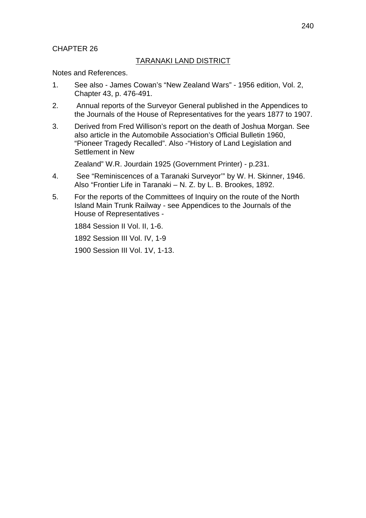# CHAPTER 26

# TARANAKI LAND DISTRICT

Notes and References.

- 1. See also James Cowan's "New Zealand Wars" 1956 edition, Vol. 2, Chapter 43, p. 476-491.
- 2. Annual reports of the Surveyor General published in the Appendices to the Journals of the House of Representatives for the years 1877 to 1907.
- 3. Derived from Fred Willison's report on the death of Joshua Morgan. See also article in the Automobile Association's Official Bulletin 1960, "Pioneer Tragedy Recalled". Also -"History of Land Legislation and Settlement in New

Zealand" W.R. Jourdain 1925 (Government Printer) - p.231.

- 4. See "Reminiscences of a Taranaki Surveyor'" by W. H. Skinner, 1946. Also "Frontier Life in Taranaki – N. Z. by L. B. Brookes, 1892.
- 5. For the reports of the Committees of Inquiry on the route of the North Island Main Trunk Railway - see Appendices to the Journals of the House of Representatives -

1884 Session II Vol. II, 1-6.

1892 Session III Vol. IV, 1-9

1900 Session III Vol. 1V, 1-13.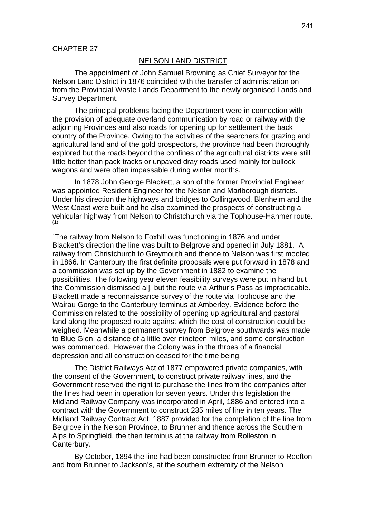#### NELSON LAND DISTRICT

The appointment of John Samuel Browning as Chief Surveyor for the Nelson Land District in 1876 coincided with the transfer of administration on from the Provincial Waste Lands Department to the newly organised Lands and Survey Department.

The principal problems facing the Department were in connection with the provision of adequate overland communication by road or railway with the adjoining Provinces and also roads for opening up for settlement the back country of the Province. Owing to the activities of the searchers for grazing and agricultural land and of the gold prospectors, the province had been thoroughly explored but the roads beyond the confines of the agricultural districts were still little better than pack tracks or unpaved dray roads used mainly for bullock wagons and were often impassable during winter months.

In 1878 John George Blackett, a son of the former Provincial Engineer, was appointed Resident Engineer for the Nelson and Marlborough districts. Under his direction the highways and bridges to Collingwood, Blenheim and the West Coast were built and he also examined the prospects of constructing a vehicular highway from Nelson to Christchurch via the Tophouse-Hanmer route. (1)

`The railway from Nelson to Foxhill was functioning in 1876 and under Blackett's direction the line was built to Belgrove and opened in July 1881. A railway from Christchurch to Greymouth and thence to Nelson was first mooted in 1866. In Canterbury the first definite proposals were put forward in 1878 and a commission was set up by the Government in 1882 to examine the possibilities. The following year eleven feasibility surveys were put in hand but the Commission dismissed all, but the route via Arthur's Pass as impracticable. Blackett made a reconnaissance survey of the route via Tophouse and the Wairau Gorge to the Canterbury terminus at Amberley. Evidence before the Commission related to the possibility of opening up agricultural and pastoral land along the proposed route against which the cost of construction could be weighed. Meanwhile a permanent survey from Belgrove southwards was made to Blue Glen, a distance of a little over nineteen miles, and some construction was commenced. However the Colony was in the throes of a financial depression and all construction ceased for the time being.

The District Railways Act of 1877 empowered private companies, with the consent of the Government, to construct private railway lines, and the Government reserved the right to purchase the lines from the companies after the lines had been in operation for seven years. Under this legislation the Midland Railway Company was incorporated in April, 1886 and entered into a contract with the Government to construct 235 miles of line in ten years. The Midland Railway Contract Act, 1887 provided for the completion of the line from Belgrove in the Nelson Province, to Brunner and thence across the Southern Alps to Springfield, the then terminus at the railway from Rolleston in Canterbury.

By October, 1894 the line had been constructed from Brunner to Reefton and from Brunner to Jackson's, at the southern extremity of the Nelson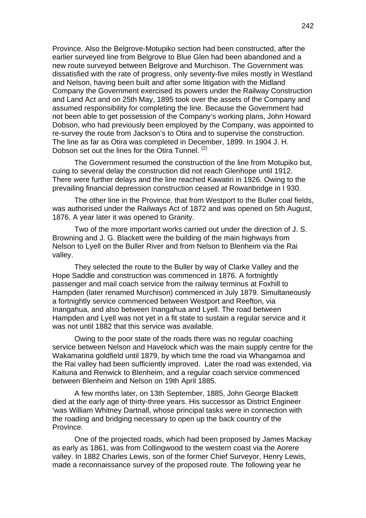Province. Also the Belgrove-Motupiko section had been constructed, after the earlier surveyed line from Belgrove to Blue Glen had been abandoned and a new route surveyed between Belgrove and Murchison. The Government was dissatisfied with the rate of progress, only seventy-five miles mostly in Westland and Nelson, having been built and after some litigation with the Midland Company the Government exercised its powers under the Railway Construction and Land Act and on 25th May, 1895 took over the assets of the Company and assumed responsibility for completing the line. Because the Government had not been able to get possession of the Company's working plans, John Howard Dobson, who had previously been employed by the Company, was appointed to re-survey the route from Jackson's to Otira and to supervise the construction. The line as far as Otira was completed in December, 1899. In 1904 J. H. Dobson set out the lines for the Otira Tunnel. (2)

The Government resumed the construction of the line from Motupiko but, cuing to several delay the construction did not reach Glenhope until 1912. There were further delays and the line reached Kawatiri in 1926. Owing to the prevailing financial depression construction ceased at Rowanbridge in I 930.

The other line in the Province, that from Westport to the Buller coal fields, was authorised under the Railways Act of 1872 and was opened on 5th August, 1876. A year later it was opened to Granity.

Two of the more important works carried out under the direction of J. S. Browning and J. G. Blackett were the building of the main highways from Nelson to Lyell on the Buller River and from Nelson to Blenheim via the Rai valley.

They selected the route to the Buller by way of Clarke Valley and the Hope Saddle and construction was commenced in 1876. A fortnightly passenger and mail coach service from the railway terminus at Foxhill to Hampden (later renamed Murchison) commenced in July 1879. Simultaneously a fortnightly service commenced between Westport and Reefton, via Inangahua, and also between Inangahua and Lyell. The road between Hampden and Lyell was not yet in a fit state to sustain a regular service and it was not until 1882 that this service was available.

Owing to the poor state of the roads there was no regular coaching service between Nelson and Havelock which was the main supply centre for the Wakamarina goldfield until 1879, by which time the road via Whangamoa and the Rai valley had been sufficiently improved. Later the road was extended, via Kaituna and Renwick to Blenheim, and a regular coach service commenced between Blenheim and Nelson on 19th April 1885.

A few months later, on 13th September, 1885, John George Blackett died at the early age of thirty-three years. His successor as District Engineer 'was William Whitney Dartnall, whose principal tasks were in connection with the roading and bridging necessary to open up the back country of the Province.

One of the projected roads, which had been proposed by James Mackay as early as 1861, was from Collingwood to the western coast via the Aorere valley. In 1882 Charles Lewis, son of the former Chief Surveyor, Henry Lewis, made a reconnaissance survey of the proposed route. The following year he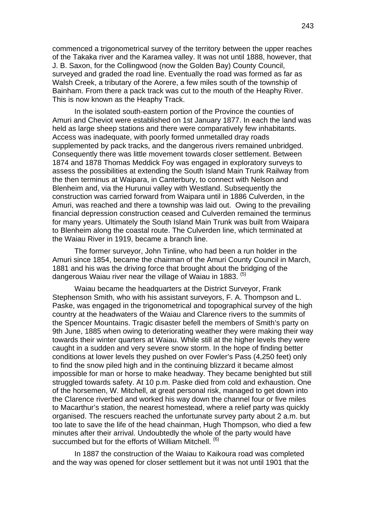commenced a trigonometrical survey of the territory between the upper reaches of the Takaka river and the Karamea valley. It was not until 1888, however, that J. B. Saxon, for the Collingwood (now the Golden Bay) County Council, surveyed and graded the road line. Eventually the road was formed as far as Walsh Creek, a tributary of the Aorere, a few miles south of the township of Bainham. From there a pack track was cut to the mouth of the Heaphy River. This is now known as the Heaphy Track.

In the isolated south-eastern portion of the Province the counties of Amuri and Cheviot were established on 1st January 1877. In each the land was held as large sheep stations and there were comparatively few inhabitants. Access was inadequate, with poorly formed unmetalled dray roads supplemented by pack tracks, and the dangerous rivers remained unbridged. Consequently there was little movement towards closer settlement. Between 1874 and 1878 Thomas Meddick Foy was engaged in exploratory surveys to assess the possibilities at extending the South Island Main Trunk Railway from the then terminus at Waipara, in Canterbury, to connect with Nelson and Blenheim and, via the Hurunui valley with Westland. Subsequently the construction was carried forward from Waipara until in 1886 Culverden, in the Amuri, was reached and there a township was laid out. Owing to the prevailing financial depression construction ceased and Culverden remained the terminus for many years. Ultimately the South Island Main Trunk was built from Waipara to Blenheim along the coastal route. The Culverden line, which terminated at the Waiau River in 1919, became a branch line.

The former surveyor, John Tinline, who had been a run holder in the Amuri since 1854, became the chairman of the Amuri County Council in March, 1881 and his was the driving force that brought about the bridging of the dangerous Waiau river near the village of Waiau in 1883. <sup>(5)</sup>

Waiau became the headquarters at the District Surveyor, Frank Stephenson Smith, who with his assistant surveyors, F. A. Thompson and L. Paske, was engaged in the trigonometrical and topographical survey of the high country at the headwaters of the Waiau and Clarence rivers to the summits of the Spencer Mountains. Tragic disaster befell the members of Smith's party on 9th June, 1885 when owing to deteriorating weather they were making their way towards their winter quarters at Waiau. While still at the higher levels they were caught in a sudden and very severe snow storm. In the hope of finding better conditions at lower levels they pushed on over Fowler's Pass (4,250 feet) only to find the snow piled high and in the continuing blizzard it became almost impossible for man or horse to make headway. They became benighted but still struggled towards safety. At 10 p.m. Paske died from cold and exhaustion. One of the horsemen, W. Mitchell, at great personal risk, managed to get down into the Clarence riverbed and worked his way down the channel four or five miles to Macarthur's station, the nearest homestead, where a relief party was quickly organised. The rescuers reached the unfortunate survey party about 2 a.m. but too late to save the life of the head chainman, Hugh Thompson, who died a few minutes after their arrival. Undoubtedly the whole of the party would have succumbed but for the efforts of William Mitchell. <sup>(6)</sup>

In 1887 the construction of the Waiau to Kaikoura road was completed and the way was opened for closer settlement but it was not until 1901 that the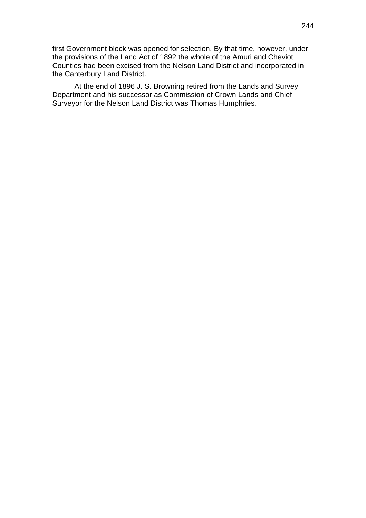first Government block was opened for selection. By that time, however, under the provisions of the Land Act of 1892 the whole of the Amuri and Cheviot Counties had been excised from the Nelson Land District and incorporated in the Canterbury Land District.

At the end of 1896 J. S. Browning retired from the Lands and Survey Department and his successor as Commission of Crown Lands and Chief Surveyor for the Nelson Land District was Thomas Humphries.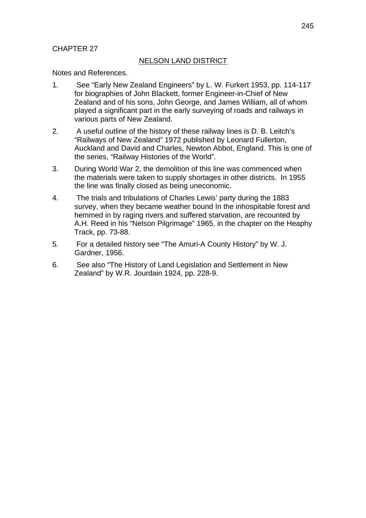# CHAPTER 27

## NELSON LAND DISTRICT

Notes and References.

- 1. See "Early New Zealand Engineers" by L. W. Furkert 1953, pp. 114-117 for biographies of John Blackett, former Engineer-in-Chief of New Zealand and of his sons, John George, and James William, all of whom played a significant part in the early surveying of roads and railways in various parts of New Zealand.
- 2. A useful outline of the history of these railway lines is D. B. Leitch's "Railways of New Zealand" 1972 published by Leonard Fullerton, Auckland and David and Charles, Newton Abbot, England. This is one of the series, "Railway Histories of the World".
- 3. During World War 2, the demolition of this line was commenced when the materials were taken to supply shortages in other districts. In 1955 the line was finally closed as being uneconomic.
- 4. The trials and tribulations of Charles Lewis' party during the 1883 survey, when they became weather bound In the inhospitable forest and hemmed in by raging rivers and suffered starvation, are recounted by A.H. Reed in his "Nelson Pilgrimage" 1965, in the chapter on the Heaphy Track, pp. 73-88.
- 5. For a detailed history see "The Amuri-A County History" by W. J. Gardner, 1956.
- 6. See also "The History of Land Legislation and Settlement in New Zealand" by W.R. Jourdain 1924, pp. 228-9.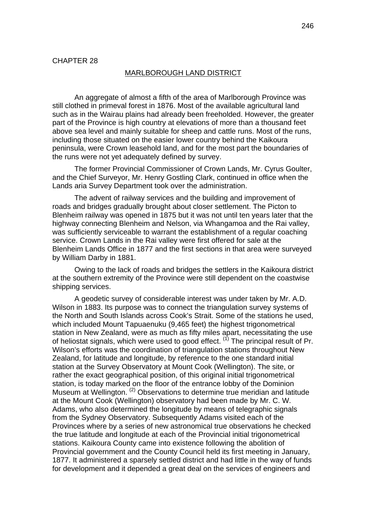#### MARLBOROUGH LAND DISTRICT

An aggregate of almost a fifth of the area of Marlborough Province was still clothed in primeval forest in 1876. Most of the available agricultural land such as in the Wairau plains had already been freeholded. However, the greater part of the Province is high country at elevations of more than a thousand feet above sea level and mainly suitable for sheep and cattle runs. Most of the runs, including those situated on the easier lower country behind the Kaikoura peninsula, were Crown leasehold land, and for the most part the boundaries of the runs were not yet adequately defined by survey.

The former Provincial Commissioner of Crown Lands, Mr. Cyrus Goulter, and the Chief Surveyor, Mr. Henry Gostling Clark, continued in office when the Lands aria Survey Department took over the administration.

The advent of railway services and the building and improvement of roads and bridges gradually brought about closer settlement. The Picton to Blenheim railway was opened in 1875 but it was not until ten years later that the highway connecting Blenheim and Nelson, via Whangamoa and the Rai valley, was sufficiently serviceable to warrant the establishment of a regular coaching service. Crown Lands in the Rai valley were first offered for sale at the Blenheim Lands Office in 1877 and the first sections in that area were surveyed by William Darby in 1881.

Owing to the lack of roads and bridges the settlers in the Kaikoura district at the southern extremity of the Province were still dependent on the coastwise shipping services.

A geodetic survey of considerable interest was under taken by Mr. A.D. Wilson in 1883. Its purpose was to connect the triangulation survey systems of the North and South Islands across Cook's Strait. Some of the stations he used, which included Mount Tapuaenuku (9,465 feet) the highest trigonometrical station in New Zealand, were as much as fifty miles apart, necessitating the use of heliostat signals, which were used to good effect.  $(1)$  The principal result of Pr. Wilson's efforts was the coordination of triangulation stations throughout New Zealand, for latitude and longitude, by reference to the one standard initial station at the Survey Observatory at Mount Cook (Wellington). The site, or rather the exact geographical position, of this original initial trigonometrical station, is today marked on the floor of the entrance lobby of the Dominion Museum at Wellington. <sup>(2)</sup> Observations to determine true meridian and latitude at the Mount Cook (Wellington) observatory had been made by Mr. C. W. Adams, who also determined the longitude by means of telegraphic signals from the Sydney Observatory. Subsequently Adams visited each of the Provinces where by a series of new astronomical true observations he checked the true latitude and longitude at each of the Provincial initial trigonometrical stations. Kaikoura County came into existence following the abolition of Provincial government and the County Council held its first meeting in January, 1877. It administered a sparsely settled district and had little in the way of funds for development and it depended a great deal on the services of engineers and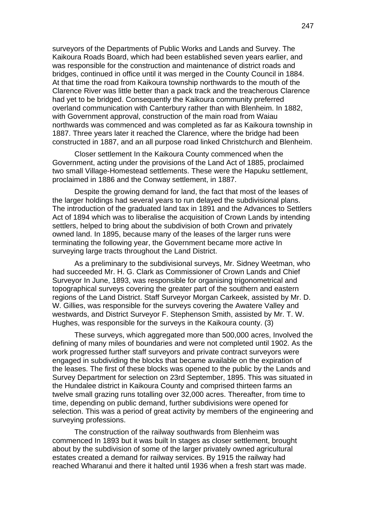surveyors of the Departments of Public Works and Lands and Survey. The Kaikoura Roads Board, which had been established seven years earlier, and was responsible for the construction and maintenance of district roads and bridges, continued in office until it was merged in the County Council in 1884. At that time the road from Kaikoura township northwards to the mouth of the Clarence River was little better than a pack track and the treacherous Clarence had vet to be bridged. Consequently the Kaikoura community preferred overland communication with Canterbury rather than with Blenheim. In 1882, with Government approval, construction of the main road from Waiau northwards was commenced and was completed as far as Kaikoura township in 1887. Three years later it reached the Clarence, where the bridge had been constructed in 1887, and an all purpose road linked Christchurch and Blenheim.

Closer settlement In the Kaikoura County commenced when the Government, acting under the provisions of the Land Act of 1885, proclaimed two small Village-Homestead settlements. These were the Hapuku settlement, proclaimed in 1886 and the Conway settlement, in 1887.

Despite the growing demand for land, the fact that most of the leases of the larger holdings had several years to run delayed the subdivisional plans. The introduction of the graduated land tax in 1891 and the Advances to Settlers Act of 1894 which was to liberalise the acquisition of Crown Lands by intending settlers, helped to bring about the subdivision of both Crown and privately owned land. In 1895, because many of the leases of the larger runs were terminating the following year, the Government became more active In surveying large tracts throughout the Land District.

As a preliminary to the subdivisional surveys, Mr. Sidney Weetman, who had succeeded Mr. H. G. Clark as Commissioner of Crown Lands and Chief Surveyor In June, 1893, was responsible for organising trigonometrical and topographical surveys covering the greater part of the southern and eastern regions of the Land District. Staff Surveyor Morgan Carkeek, assisted by Mr. D. W. Gillies, was responsible for the surveys covering the Awatere Valley and westwards, and District Surveyor F. Stephenson Smith, assisted by Mr. T. W. Hughes, was responsible for the surveys in the Kaikoura county. (3)

These surveys, which aggregated more than 500,000 acres, Involved the defining of many miles of boundaries and were not completed until 1902. As the work progressed further staff surveyors and private contract surveyors were engaged in subdividing the blocks that became available on the expiration of the leases. The first of these blocks was opened to the public by the Lands and Survey Department for selection on 23rd September, 1895. This was situated in the Hundalee district in Kaikoura County and comprised thirteen farms an twelve small grazing runs totalling over 32,000 acres. Thereafter, from time to time, depending on public demand, further subdivisions were opened for selection. This was a period of great activity by members of the engineering and surveying professions.

The construction of the railway southwards from Blenheim was commenced In 1893 but it was built In stages as closer settlement, brought about by the subdivision of some of the larger privately owned agricultural estates created a demand for railway services. By 1915 the railway had reached Wharanui and there it halted until 1936 when a fresh start was made.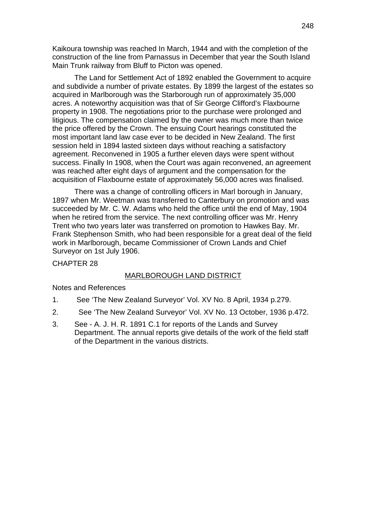Kaikoura township was reached In March, 1944 and with the completion of the construction of the line from Parnassus in December that year the South Island Main Trunk railway from Bluff to Picton was opened.

The Land for Settlement Act of 1892 enabled the Government to acquire and subdivide a number of private estates. By 1899 the largest of the estates so acquired in Marlborough was the Starborough run of approximately 35,000 acres. A noteworthy acquisition was that of Sir George Clifford's Flaxbourne property in 1908. The negotiations prior to the purchase were prolonged and litigious. The compensation claimed by the owner was much more than twice the price offered by the Crown. The ensuing Court hearings constituted the most important land law case ever to be decided in New Zealand. The first session held in 1894 lasted sixteen days without reaching a satisfactory agreement. Reconvened in 1905 a further eleven days were spent without success. Finally In 1908, when the Court was again reconvened, an agreement was reached after eight days of argument and the compensation for the acquisition of Flaxbourne estate of approximately 56,000 acres was finalised.

There was a change of controlling officers in Marl borough in January, 1897 when Mr. Weetman was transferred to Canterbury on promotion and was succeeded by Mr. C. W. Adams who held the office until the end of May, 1904 when he retired from the service. The next controlling officer was Mr. Henry Trent who two years later was transferred on promotion to Hawkes Bay. Mr. Frank Stephenson Smith, who had been responsible for a great deal of the field work in Marlborough, became Commissioner of Crown Lands and Chief Surveyor on 1st July 1906.

CHAPTER 28

#### MARLBOROUGH LAND DISTRICT

Notes and References

- 1. See 'The New Zealand Surveyor' Vol. XV No. 8 April, 1934 p.279.
- 2. See 'The New Zealand Surveyor' Vol. XV No. 13 October, 1936 p.472.
- 3. See A. J. H. R. 1891 C.1 for reports of the Lands and Survey Department. The annual reports give details of the work of the field staff of the Department in the various districts.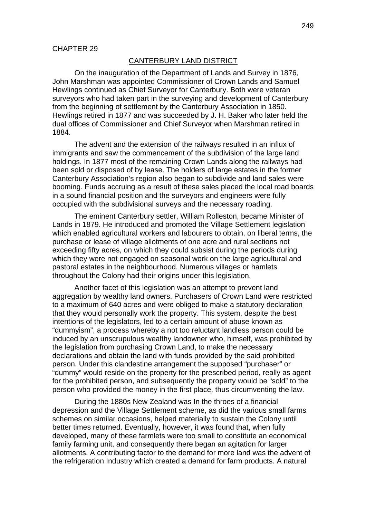### CANTERBURY LAND DISTRICT

On the inauguration of the Department of Lands and Survey in 1876, John Marshman was appointed Commissioner of Crown Lands and Samuel Hewlings continued as Chief Surveyor for Canterbury. Both were veteran surveyors who had taken part in the surveying and development of Canterbury from the beginning of settlement by the Canterbury Association in 1850. Hewlings retired in 1877 and was succeeded by J. H. Baker who later held the dual offices of Commissioner and Chief Surveyor when Marshman retired in 1884.

The advent and the extension of the railways resulted in an influx of immigrants and saw the commencement of the subdivision of the large land holdings. In 1877 most of the remaining Crown Lands along the railways had been sold or disposed of by lease. The holders of large estates in the former Canterbury Association's region also began to subdivide and land sales were booming. Funds accruing as a result of these sales placed the local road boards in a sound financial position and the surveyors and engineers were fully occupied with the subdivisional surveys and the necessary roading.

The eminent Canterbury settler, William Rolleston, became Minister of Lands in 1879. He introduced and promoted the Village Settlement legislation which enabled agricultural workers and labourers to obtain, on liberal terms, the purchase or lease of village allotments of one acre and rural sections not exceeding fifty acres, on which they could subsist during the periods during which they were not engaged on seasonal work on the large agricultural and pastoral estates in the neighbourhood. Numerous villages or hamlets throughout the Colony had their origins under this legislation.

Another facet of this legislation was an attempt to prevent land aggregation by wealthy land owners. Purchasers of Crown Land were restricted to a maximum of 640 acres and were obliged to make a statutory declaration that they would personally work the property. This system, despite the best intentions of the legislators, led to a certain amount of abuse known as "dummyism", a process whereby a not too reluctant landless person could be induced by an unscrupulous wealthy landowner who, himself, was prohibited by the legislation from purchasing Crown Land, to make the necessary declarations and obtain the land with funds provided by the said prohibited person. Under this clandestine arrangement the supposed "purchaser" or "dummy" would reside on the property for the prescribed period, really as agent for the prohibited person, and subsequently the property would be "sold" to the person who provided the money in the first place, thus circumventing the law.

During the 1880s New Zealand was In the throes of a financial depression and the Village Settlement scheme, as did the various small farms schemes on similar occasions, helped materially to sustain the Colony until better times returned. Eventually, however, it was found that, when fully developed, many of these farmlets were too small to constitute an economical family farming unit, and consequently there began an agitation for larger allotments. A contributing factor to the demand for more land was the advent of the refrigeration Industry which created a demand for farm products. A natural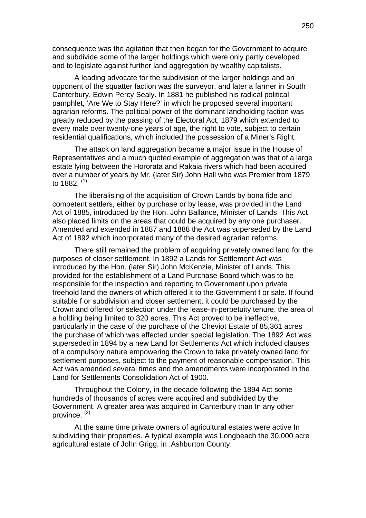consequence was the agitation that then began for the Government to acquire and subdivide some of the larger holdings which were only partly developed and to legislate against further land aggregation by wealthy capitalists.

A leading advocate for the subdivision of the larger holdings and an opponent of the squatter faction was the surveyor, and later a farmer in South Canterbury, Edwin Percy Sealy. In 1881 he published his radical political pamphlet, 'Are We to Stay Here?' in which he proposed several important agrarian reforms. The political power of the dominant landholding faction was greatly reduced by the passing of the Electoral Act, 1879 which extended to every male over twenty-one years of age, the right to vote, subject to certain residential qualifications, which included the possession of a Miner's Right.

The attack on land aggregation became a major issue in the House of Representatives and a much quoted example of aggregation was that of a large estate lying between the Hororata and Rakaia rivers which had been acquired over a number of years by Mr. (later Sir) John Hall who was Premier from 1879 to  $1882^{(1)}$ 

The liberalising of the acquisition of Crown Lands by bona fide and competent settlers, either by purchase or by lease, was provided in the Land Act of 1885, introduced by the Hon. John Ballance, Minister of Lands. This Act also placed limits on the areas that could be acquired by any one purchaser. Amended and extended in 1887 and 1888 the Act was superseded by the Land Act of 1892 which incorporated many of the desired agrarian reforms.

There still remained the problem of acquiring privately owned land for the purposes of closer settlement. In 1892 a Lands for Settlement Act was introduced by the Hon. (later Sir) John McKenzie, Minister of Lands. This provided for the establishment of a Land Purchase Board which was to be responsible for the inspection and reporting to Government upon private freehold land the owners of which offered it to the Government f or sale. If found suitable f or subdivision and closer settlement, it could be purchased by the Crown and offered for selection under the lease-in-perpetuity tenure, the area of a holding being limited to 320 acres. This Act proved to be ineffective, particularly in the case of the purchase of the Cheviot Estate of 85,361 acres the purchase of which was effected under special legislation. The 1892 Act was superseded in 1894 by a new Land for Settlements Act which included clauses of a compulsory nature empowering the Crown to take privately owned land for settlement purposes, subject to the payment of reasonable compensation. This Act was amended several times and the amendments were incorporated In the Land for Settlements Consolidation Act of 1900.

Throughout the Colony, in the decade following the 1894 Act some hundreds of thousands of acres were acquired and subdivided by the Government. A greater area was acquired in Canterbury than In any other province.<sup>(2)</sup>

At the same time private owners of agricultural estates were active In subdividing their properties. A typical example was Longbeach the 30,000 acre agricultural estate of John Grigg, in .Ashburton County.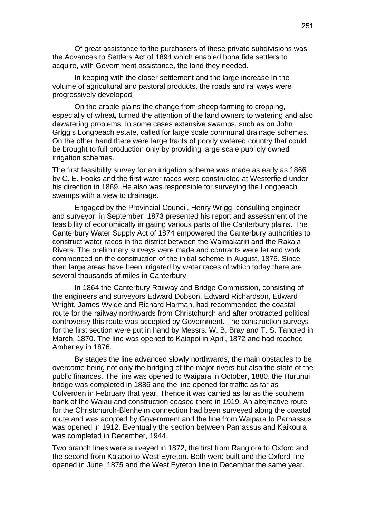Of great assistance to the purchasers of these private subdivisions was the Advances to Settlers Act of 1894 which enabled bona fide settlers to acquire, with Government assistance, the land they needed.

In keeping with the closer settlement and the large increase In the volume of agricultural and pastoral products, the roads and railways were progressively developed.

On the arable plains the change from sheep farming to cropping, especially of wheat, turned the attention of the land owners to watering and also dewatering problems. In some cases extensive swamps, such as on John Grlgg's Longbeach estate, called for large scale communal drainage schemes. On the other hand there were large tracts of poorly watered country that could be brought to full production only by providing large scale publicly owned irrigation schemes.

The first feasibility survey for an irrigation scheme was made as early as 1866 by C. E. Fooks and the first water races were constructed at Westerfield under his direction in 1869. He also was responsible for surveying the Longbeach swamps with a view to drainage.

Engaged by the Provincial Council, Henry Wrigg, consulting engineer and surveyor, in September, 1873 presented his report and assessment of the feasibility of economically irrigating various parts of the Canterbury plains. The Canterbury Water Supply Act of 1874 empowered the Canterbury authorities to construct water races in the district between the Waimakariri and the Rakaia Rivers. The preliminary surveys were made and contracts were let and work commenced on the construction of the initial scheme in August, 1876. Since then large areas have been irrigated by water races of which today there are several thousands of miles in Canterbury.

In 1864 the Canterbury Railway and Bridge Commission, consisting of the engineers and surveyors Edward Dobson, Edward Richardson, Edward Wright, James Wylde and Richard Harman, had recommended the coastal route for the railway northwards from Christchurch and after protracted political controversy this route was accepted by Government. The construction surveys for the first section were put in hand by Messrs. W. B. Bray and T. S. Tancred in March, 1870. The line was opened to Kaiapoi in April, 1872 and had reached Amberley in 1876.

By stages the line advanced slowly northwards, the main obstacles to be overcome being not only the bridging of the major rivers but also the state of the public finances. The line was opened to Waipara in October, 1880, the Hurunui bridge was completed in 1886 and the line opened for traffic as far as Culverden in February that year. Thence it was carried as far as the southern bank of the Waiau and construction ceased there in 1919. An alternative route for the Christchurch-Blenheim connection had been surveyed along the coastal route and was adopted by Government and the line from Waipara to Parnassus was opened in 1912. Eventually the section between Parnassus and Kaikoura was completed in December, 1944.

Two branch lines were surveyed in 1872, the first from Rangiora to Oxford and the second from Kaiapoi to West Eyreton. Both were built and the Oxford line opened in June, 1875 and the West Eyreton line in December the same year.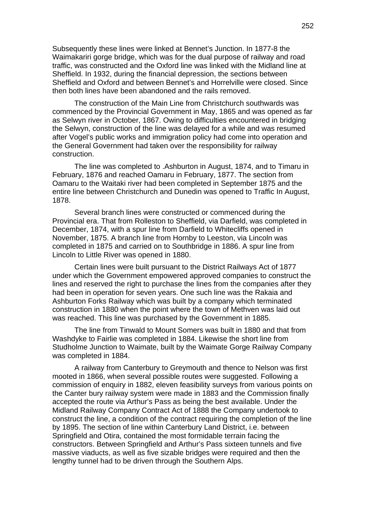Subsequently these lines were linked at Bennet's Junction. In 1877-8 the Waimakariri gorge bridge, which was for the dual purpose of railway and road traffic, was constructed and the Oxford line was linked with the Midland line at Sheffield. In 1932, during the financial depression, the sections between Sheffield and Oxford and between Bennet's and Horrelville were closed. Since then both lines have been abandoned and the rails removed.

The construction of the Main Line from Christchurch southwards was commenced by the Provincial Government in May, 1865 and was opened as far as Selwyn river in October, 1867. Owing to difficulties encountered in bridging the Selwyn, construction of the line was delayed for a while and was resumed after Vogel's public works and immigration policy had come into operation and the General Government had taken over the responsibility for railway construction.

The line was completed to .Ashburton in August, 1874, and to Timaru in February, 1876 and reached Oamaru in February, 1877. The section from Oamaru to the Waitaki river had been completed in September 1875 and the entire line between Christchurch and Dunedin was opened to Traffic In August, 1878.

Several branch lines were constructed or commenced during the Provincial era. That from Rolleston to Sheffield, via Darfield, was completed in December, 1874, with a spur line from Darfield to Whitecliffs opened in November, 1875. A branch line from Hornby to Leeston, via Lincoln was completed in 1875 and carried on to Southbridge in 1886. A spur line from Lincoln to Little River was opened in 1880.

Certain lines were built pursuant to the District Railways Act of 1877 under which the Government empowered approved companies to construct the lines and reserved the right to purchase the lines from the companies after they had been in operation for seven years. One such line was the Rakaia and Ashburton Forks Railway which was built by a company which terminated construction in 1880 when the point where the town of Methven was laid out was reached. This line was purchased by the Government in 1885.

The line from Tinwald to Mount Somers was built in 1880 and that from Washdyke to Fairlie was completed in 1884. Likewise the short line from Studholme Junction to Waimate, built by the Waimate Gorge Railway Company was completed in 1884.

A railway from Canterbury to Greymouth and thence to Nelson was first mooted in 1866, when several possible routes were suggested. Following a commission of enquiry in 1882, eleven feasibility surveys from various points on the Canter bury railway system were made in 1883 and the Commission finally accepted the route via Arthur's Pass as being the best available. Under the Midland Railway Company Contract Act of 1888 the Company undertook to construct the line, a condition of the contract requiring the completion of the line by 1895. The section of line within Canterbury Land District, i.e. between Springfield and Otira, contained the most formidable terrain facing the constructors. Between Springfield and Arthur's Pass sixteen tunnels and five massive viaducts, as well as five sizable bridges were required and then the lengthy tunnel had to be driven through the Southern Alps.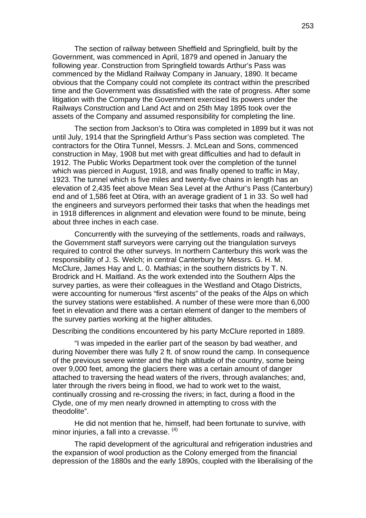The section of railway between Sheffield and Springfield, built by the Government, was commenced in April, 1879 and opened in January the following year. Construction from Springfield towards Arthur's Pass was commenced by the Midland Railway Company in January, 1890. It became obvious that the Company could not complete its contract within the prescribed time and the Government was dissatisfied with the rate of progress. After some litigation with the Company the Government exercised its powers under the Railways Construction and Land Act and on 25th May 1895 took over the assets of the Company and assumed responsibility for completing the line.

The section from Jackson's to Otira was completed in 1899 but it was not until July, 1914 that the Springfield Arthur's Pass section was completed. The contractors for the Otira Tunnel, Messrs. J. McLean and Sons, commenced construction in May, 1908 but met with great difficulties and had to default in 1912. The Public Works Department took over the completion of the tunnel which was pierced in August, 1918, and was finally opened to traffic in May, 1923. The tunnel which is five miles and twenty-five chains in length has an elevation of 2,435 feet above Mean Sea Level at the Arthur's Pass (Canterbury) end and of 1,586 feet at Otira, with an average gradient of 1 in 33. So well had the engineers and surveyors performed their tasks that when the headings met in 1918 differences in alignment and elevation were found to be minute, being about three inches in each case.

Concurrently with the surveying of the settlements, roads and railways, the Government staff surveyors were carrying out the triangulation surveys required to control the other surveys. In northern Canterbury this work was the responsibility of J. S. Welch; in central Canterbury by Messrs. G. H. M. McClure, James Hay and L. 0. Mathias; in the southern districts by T. N. Brodrick and H. Maitland. As the work extended into the Southern Alps the survey parties, as were their colleagues in the Westland and Otago Districts, were accounting for numerous "first ascents" of the peaks of the Alps on which the survey stations were established. A number of these were more than 6,000 feet in elevation and there was a certain element of danger to the members of the survey parties working at the higher altitudes.

Describing the conditions encountered by his party McClure reported in 1889.

"I was impeded in the earlier part of the season by bad weather, and during November there was fully 2 ft. of snow round the camp. In consequence of the previous severe winter and the high altitude of the country, some being over 9,000 feet, among the glaciers there was a certain amount of danger attached to traversing the head waters of the rivers, through avalanches; and, later through the rivers being in flood, we had to work wet to the waist, continually crossing and re-crossing the rivers; in fact, during a flood in the Clyde, one of my men nearly drowned in attempting to cross with the theodolite".

He did not mention that he, himself, had been fortunate to survive, with minor injuries, a fall into a crevasse.  $(4)$ 

The rapid development of the agricultural and refrigeration industries and the expansion of wool production as the Colony emerged from the financial depression of the 1880s and the early 1890s, coupled with the liberalising of the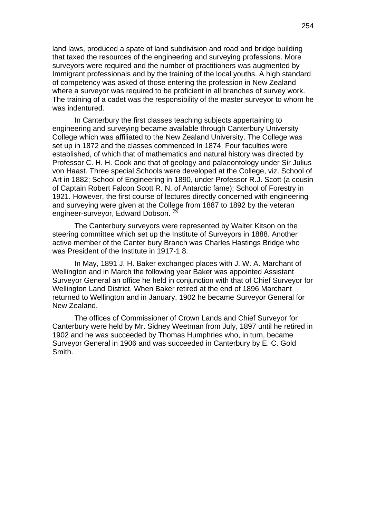land laws, produced a spate of land subdivision and road and bridge building that taxed the resources of the engineering and surveying professions. More surveyors were required and the number of practitioners was augmented by Immigrant professionals and by the training of the local youths. A high standard of competency was asked of those entering the profession in New Zealand where a surveyor was required to be proficient in all branches of survey work. The training of a cadet was the responsibility of the master surveyor to whom he was indentured.

In Canterbury the first classes teaching subjects appertaining to engineering and surveying became available through Canterbury University College which was affiliated to the New Zealand University. The College was set up in 1872 and the classes commenced In 1874. Four faculties were established, of which that of mathematics and natural history was directed by Professor C. H. H. Cook and that of geology and palaeontology under Sir Julius von Haast. Three special Schools were developed at the College, viz. School of Art in 1882; School of Engineering in 1890, under Professor R.J. Scott (a cousin of Captain Robert Falcon Scott R. N. of Antarctic fame); School of Forestry in 1921. However, the first course of lectures directly concerned with engineering and surveying were given at the College from 1887 to 1892 by the veteran engineer-surveyor, Edward Dobson. (5)

The Canterbury surveyors were represented by Walter Kitson on the steering committee which set up the Institute of Surveyors in 1888. Another active member of the Canter bury Branch was Charles Hastings Bridge who was President of the Institute in 1917-1 8.

In May, 1891 J. H. Baker exchanged places with J. W. A. Marchant of Wellington and in March the following year Baker was appointed Assistant Surveyor General an office he held in conjunction with that of Chief Surveyor for Wellington Land District. When Baker retired at the end of 1896 Marchant returned to Wellington and in January, 1902 he became Surveyor General for New Zealand.

The offices of Commissioner of Crown Lands and Chief Surveyor for Canterbury were held by Mr. Sidney Weetman from July, 1897 until he retired in 1902 and he was succeeded by Thomas Humphries who, in turn, became Surveyor General in 1906 and was succeeded in Canterbury by E. C. Gold Smith.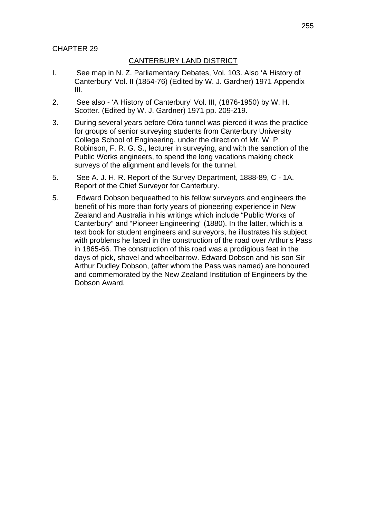# CHAPTER 29

# CANTERBURY LAND DISTRICT

- I. See map in N. Z. Parliamentary Debates, Vol. 103. Also 'A History of Canterbury' Vol. II (1854-76) (Edited by W. J. Gardner) 1971 Appendix III.
- 2. See also 'A History of Canterbury' Vol. III, (1876-1950) by W. H. Scotter. (Edited by W. J. Gardner) 1971 pp. 209-219.
- 3. During several years before Otira tunnel was pierced it was the practice for groups of senior surveying students from Canterbury University College School of Engineering, under the direction of Mr. W. P. Robinson, F. R. G. S., lecturer in surveying, and with the sanction of the Public Works engineers, to spend the long vacations making check surveys of the alignment and levels for the tunnel.
- 5. See A. J. H. R. Report of the Survey Department, 1888-89, C 1A. Report of the Chief Surveyor for Canterbury.
- 5. Edward Dobson bequeathed to his fellow surveyors and engineers the benefit of his more than forty years of pioneering experience in New Zealand and Australia in his writings which include "Public Works of Canterbury" and "Pioneer Engineering" (1880). In the latter, which is a text book for student engineers and surveyors, he illustrates his subject with problems he faced in the construction of the road over Arthur's Pass in 1865-66. The construction of this road was a prodigious feat in the days of pick, shovel and wheelbarrow. Edward Dobson and his son Sir Arthur Dudley Dobson, (after whom the Pass was named) are honoured and commemorated by the New Zealand Institution of Engineers by the Dobson Award.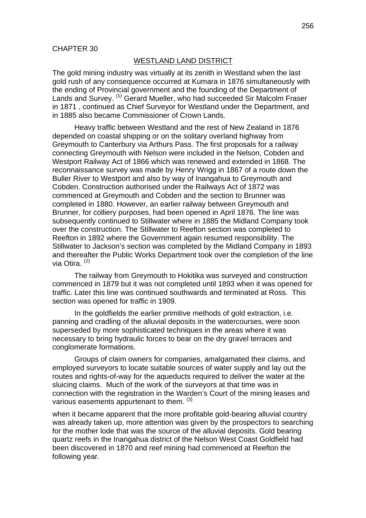### WESTLAND LAND DISTRICT

The gold mining industry was virtually at its zenith in Westland when the last gold rush of any consequence occurred at Kumara in 1876 simultaneously with the ending of Provincial government and the founding of the Department of Lands and Survey. (1) Gerard Mueller, who had succeeded Sir Malcolm Fraser in 1871 , continued as Chief Surveyor for Westland under the Department, and in 1885 also became Commissioner of Crown Lands.

Heavy traffic between Westland and the rest of New Zealand in 1876 depended on coastal shipping or on the solitary overland highway from Greymouth to Canterbury via Arthurs Pass. The first proposals for a railway connecting Greymouth with Nelson were included in the Nelson, Cobden and Westport Railway Act of 1866 which was renewed and extended in 1868. The reconnaissance survey was made by Henry Wrigg in 1867 of a route down the Buller River to Westport and also by way of Inangahua to Greymouth and Cobden. Construction authorised under the Railways Act of 1872 was commenced at Greymouth and Cobden and the section to Brunner was completed in 1880. However, an earlier railway between Greymouth and Brunner, for colliery purposes, had been opened in April 1876. The line was subsequently continued to Stillwater where in 1885 the Midland Company took over the construction. The Stillwater to Reefton section was completed to Reefton in 1892 where the Government again resumed responsibility. The Stillwater to Jackson's section was completed by the Midland Company in 1893 and thereafter the Public Works Department took over the completion of the line via Otira.<sup>(2)</sup>

The railway from Greymouth to Hokitika was surveyed and construction commenced in 1879 but it was not completed until 1893 when it was opened for traffic. Later this line was continued southwards and terminated at Ross. This section was opened for traffic in 1909.

In the goldfields the earlier primitive methods of gold extraction, i.e. panning and cradling of the alluvial deposits in the watercourses, were soon superseded by more sophisticated techniques in the areas where it was necessary to bring hydraulic forces to bear on the dry gravel terraces and conglomerate formations.

Groups of claim owners for companies, amalgamated their claims, and employed surveyors to locate suitable sources of water supply and lay out the routes and rights-of-way for the aqueducts required to deliver the water at the sluicing claims. Much of the work of the surveyors at that time was in connection with the registration in the Warden's Court of the mining leases and various easements appurtenant to them. (3)

when it became apparent that the more profitable gold-bearing alluvial country was already taken up, more attention was given by the prospectors to searching for the mother lode that was the source of the alluvial deposits. Gold bearing quartz reefs in the Inangahua district of the Nelson West Coast Goldfield had been discovered in 1870 and reef mining had commenced at Reefton the following year.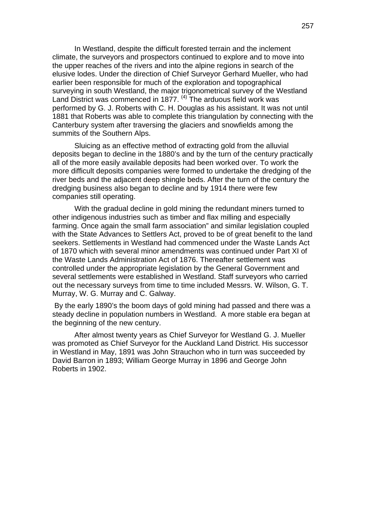In Westland, despite the difficult forested terrain and the inclement climate, the surveyors and prospectors continued to explore and to move into the upper reaches of the rivers and into the alpine regions in search of the elusive lodes. Under the direction of Chief Surveyor Gerhard Mueller, who had earlier been responsible for much of the exploration and topographical surveying in south Westland, the major trigonometrical survey of the Westland Land District was commenced in 1877.  $(4)$  The arduous field work was performed by G. J. Roberts with C. H. Douglas as his assistant. It was not until 1881 that Roberts was able to complete this triangulation by connecting with the Canterbury system after traversing the glaciers and snowfields among the summits of the Southern Alps.

Sluicing as an effective method of extracting gold from the alluvial deposits began to decline in the 1880's and by the turn of the century practically all of the more easily available deposits had been worked over. To work the more difficult deposits companies were formed to undertake the dredging of the river beds and the adjacent deep shingle beds. After the turn of the century the dredging business also began to decline and by 1914 there were few companies still operating.

With the gradual decline in gold mining the redundant miners turned to other indigenous industries such as timber and flax milling and especially farming. Once again the small farm association" and similar legislation coupled with the State Advances to Settlers Act, proved to be of great benefit to the land seekers. Settlements in Westland had commenced under the Waste Lands Act of 1870 which with several minor amendments was continued under Part XI of the Waste Lands Administration Act of 1876. Thereafter settlement was controlled under the appropriate legislation by the General Government and several settlements were established in Westland. Staff surveyors who carried out the necessary surveys from time to time included Messrs. W. Wilson, G. T. Murray, W. G. Murray and C. Galway.

 By the early 1890's the boom days of gold mining had passed and there was a steady decline in population numbers in Westland. A more stable era began at the beginning of the new century.

After almost twenty years as Chief Surveyor for Westland G. J. Mueller was promoted as Chief Surveyor for the Auckland Land District. His successor in Westland in May, 1891 was John Strauchon who in turn was succeeded by David Barron in 1893; William George Murray in 1896 and George John Roberts in 1902.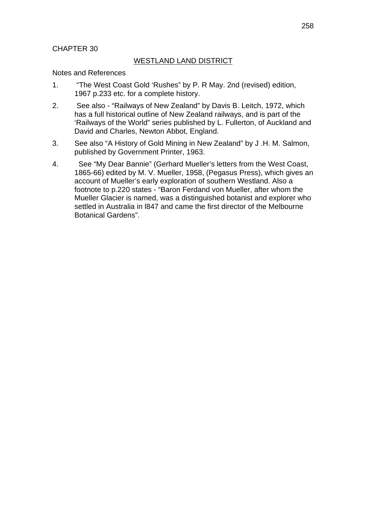## CHAPTER 30

### WESTLAND LAND DISTRICT

Notes and References

- 1. "The West Coast Gold 'Rushes" by P. R May. 2nd (revised) edition, 1967 p.233 etc. for a complete history.
- 2. See also "Railways of New Zealand" by Davis B. Leitch, 1972, which has a full historical outline of New Zealand railways, and is part of the 'Railways of the World" series published by L. Fullerton, of Auckland and David and Charles, Newton Abbot, England.
- 3. See also "A History of Gold Mining in New Zealand" by J .H. M. Salmon, published by Government Printer, 1963.
- 4. See "My Dear Bannie" (Gerhard Mueller's letters from the West Coast, 1865-66) edited by M. V. Mueller, 1958, (Pegasus Press), which gives an account of Mueller's early exploration of southern Westland. Also a footnote to p.220 states - "Baron Ferdand von Mueller, after whom the Mueller Glacier is named, was a distinguished botanist and explorer who settled in Australia in l847 and came the first director of the Melbourne Botanical Gardens".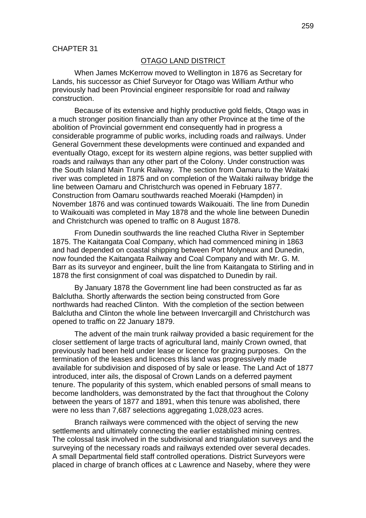#### OTAGO LAND DISTRICT

When James McKerrow moved to Wellington in 1876 as Secretary for Lands, his successor as Chief Surveyor for Otago was William Arthur who previously had been Provincial engineer responsible for road and railway construction.

Because of its extensive and highly productive gold fields, Otago was in a much stronger position financially than any other Province at the time of the abolition of Provincial government end consequently had in progress a considerable programme of public works, including roads and railways. Under General Government these developments were continued and expanded and eventually Otago, except for its western alpine regions, was better supplied with roads and railways than any other part of the Colony. Under construction was the South Island Main Trunk Railway. The section from Oamaru to the Waitaki river was completed in 1875 and on completion of the Waitaki railway bridge the line between Oamaru and Christchurch was opened in February 1877. Construction from Oamaru southwards reached Moeraki (Hampden) in November 1876 and was continued towards Waikouaiti. The line from Dunedin to Waikouaiti was completed in May 1878 and the whole line between Dunedin and Christchurch was opened to traffic on 8 August 1878.

From Dunedin southwards the line reached Clutha River in September 1875. The Kaitangata Coal Company, which had commenced mining in 1863 and had depended on coastal shipping between Port Molyneux and Dunedin, now founded the Kaitangata Railway and Coal Company and with Mr. G. M. Barr as its surveyor and engineer, built the line from Kaitangata to Stirling and in 1878 the first consignment of coal was dispatched to Dunedin by rail.

By January 1878 the Government line had been constructed as far as Balclutha. Shortly afterwards the section being constructed from Gore northwards had reached Clinton. With the completion of the section between Balclutha and Clinton the whole line between Invercargill and Christchurch was opened to traffic on 22 January 1879.

The advent of the main trunk railway provided a basic requirement for the closer settlement of large tracts of agricultural land, mainly Crown owned, that previously had been held under lease or licence for grazing purposes. On the termination of the leases and licences this land was progressively made available for subdivision and disposed of by sale or lease. The Land Act of 1877 introduced, inter ails, the disposal of Crown Lands on a deferred payment tenure. The popularity of this system, which enabled persons of small means to become landholders, was demonstrated by the fact that throughout the Colony between the years of 1877 and 1891, when this tenure was abolished, there were no less than 7,687 selections aggregating 1,028,023 acres.

Branch railways were commenced with the object of serving the new settlements and ultimately connecting the earlier established mining centres. The colossal task involved in the subdivisional and triangulation surveys and the surveying of the necessary roads and railways extended over several decades. A small Departmental field staff controlled operations. District Surveyors were placed in charge of branch offices at c Lawrence and Naseby, where they were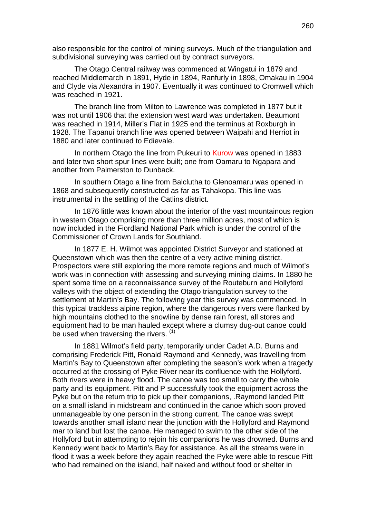also responsible for the control of mining surveys. Much of the triangulation and subdivisional surveying was carried out by contract surveyors.

The Otago Central railway was commenced at Wingatui in 1879 and reached Middlemarch in 1891, Hyde in 1894, Ranfurly in 1898, Omakau in 1904 and Clyde via Alexandra in 1907. Eventually it was continued to Cromwell which was reached in 1921.

The branch line from Milton to Lawrence was completed in 1877 but it was not until 1906 that the extension west ward was undertaken. Beaumont was reached in 1914, Miller's Flat in 1925 end the terminus at Roxburgh in 1928. The Tapanui branch line was opened between Waipahi and Herriot in 1880 and later continued to Edievale.

In northern Otago the line from Pukeuri to Kurow was opened in 1883 and later two short spur lines were built; one from Oamaru to Ngapara and another from Palmerston to Dunback.

In southern Otago a line from Balclutha to Glenoamaru was opened in 1868 and subsequently constructed as far as Tahakopa. This line was instrumental in the settling of the Catlins district.

In 1876 little was known about the interior of the vast mountainous region in western Otago comprising more than three million acres, most of which is now included in the Fiordland National Park which is under the control of the Commissioner of Crown Lands for Southland.

In 1877 E. H. Wilmot was appointed District Surveyor and stationed at Queenstown which was then the centre of a very active mining district. Prospectors were still exploring the more remote regions and much of Wilmot's work was in connection with assessing and surveying mining claims. In 1880 he spent some time on a reconnaissance survey of the Routeburn and Hollyford valleys with the object of extending the Otago triangulation survey to the settlement at Martin's Bay. The following year this survey was commenced. In this typical trackless alpine region, where the dangerous rivers were flanked by high mountains clothed to the snowline by dense rain forest, all stores and equipment had to be man hauled except where a clumsy dug-out canoe could be used when traversing the rivers.  $(1)$ 

In 1881 Wilmot's field party, temporarily under Cadet A.D. Burns and comprising Frederick Pitt, Ronald Raymond and Kennedy, was travelling from Martin's Bay to Queenstown after completing the season's work when a tragedy occurred at the crossing of Pyke River near its confluence with the Hollyford. Both rivers were in heavy flood. The canoe was too small to carry the whole party and its equipment. Pitt and P successfully took the equipment across the Pyke but on the return trip to pick up their companions, .Raymond landed Pitt on a small island in midstream and continued in the canoe which soon proved unmanageable by one person in the strong current. The canoe was swept towards another small island near the junction with the Hollyford and Raymond mar to land but lost the canoe. He managed to swim to the other side of the Hollyford but in attempting to rejoin his companions he was drowned. Burns and Kennedy went back to Martin's Bay for assistance. As all the streams were in flood it was a week before they again reached the Pyke were able to rescue Pitt who had remained on the island, half naked and without food or shelter in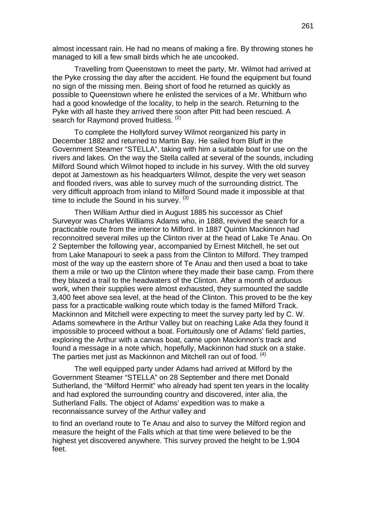almost incessant rain. He had no means of making a fire. By throwing stones he managed to kill a few small birds which he ate uncooked.

Travelling from Queenstown to meet the party, Mr. Wilmot had arrived at the Pyke crossing the day after the accident. He found the equipment but found no sign of the missing men. Being short of food he returned as quickly as possible to Queenstown where he enlisted the services of a Mr. Whitburn who had a good knowledge of the locality, to help in the search. Returning to the Pyke with all haste they arrived there soon after Pitt had been rescued. A search for Raymond proved fruitless. (2)

To complete the Hollyford survey Wilmot reorganized his party in December 1882 and returned to Martin Bay. He sailed from Bluff in the Government Steamer "STELLA", taking with him a suitable boat for use on the rivers and lakes. On the way the Stella called at several of the sounds, including Milford Sound which Wilmot hoped to include in his survey. With the old survey depot at Jamestown as his headquarters Wilmot, despite the very wet season and flooded rivers, was able to survey much of the surrounding district. The very difficult approach from inland to Milford Sound made it impossible at that time to include the Sound in his survey.  $(3)$ 

Then William Arthur died in August 1885 his successor as Chief Surveyor was Charles Williams Adams who, in 1888, revived the search for a practicable route from the interior to Milford. In 1887 Quintin Mackinnon had reconnoitred several miles up the Clinton river at the head of Lake Te Anau. On 2 September the following year, accompanied by Ernest Mitchell, he set out from Lake Manapouri to seek a pass from the Clinton to Milford. They tramped most of the way up the eastern shore of Te Anau and then used a boat to take them a mile or two up the Clinton where they made their base camp. From there they blazed a trail to the headwaters of the Clinton. After a month of arduous work, when their supplies were almost exhausted, they surmounted the saddle 3,400 feet above sea level, at the head of the Clinton. This proved to be the key pass for a practicable walking route which today is the famed Milford Track. Mackinnon and Mitchell were expecting to meet the survey party led by C. W. Adams somewhere in the Arthur Valley but on reaching Lake Ada they found it impossible to proceed without a boat. Fortuitously one of Adams' field parties, exploring the Arthur with a canvas boat, came upon Mackinnon's track and found a message in a note which, hopefully, Mackinnon had stuck on a stake. The parties met just as Mackinnon and Mitchell ran out of food. <sup>(4)</sup>

The well equipped party under Adams had arrived at Milford by the Government Steamer "STELLA" on 28 September and there met Donald Sutherland, the "Milford Hermit" who already had spent ten years in the locality and had explored the surrounding country and discovered, inter alia, the Sutherland Falls. The object of Adams' expedition was to make a reconnaissance survey of the Arthur valley and

to find an overland route to Te Anau and also to survey the Milford region and measure the height of the Falls which at that time were believed to be the highest yet discovered anywhere. This survey proved the height to be 1,904 feet.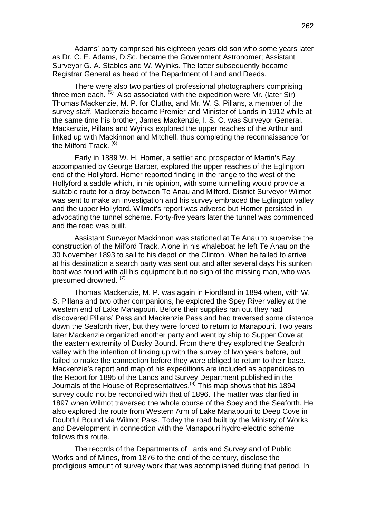Adams' party comprised his eighteen years old son who some years later as Dr. C. E. Adams, D.Sc. became the Government Astronomer; Assistant Surveyor G. A. Stables and W. Wyinks. The latter subsequently became Registrar General as head of the Department of Land and Deeds.

There were also two parties of professional photographers comprising three men each.  $(5)$  Also associated with the expedition were Mr. (later Sir) Thomas Mackenzie, M. P. for Clutha, and Mr. W. S. Pillans, a member of the survey staff. Mackenzie became Premier and Minister of Lands in 1912 while at the same time his brother, James Mackenzie, I. S. O. was Surveyor General. Mackenzie, Pillans and Wyinks explored the upper reaches of the Arthur and linked up with Mackinnon and Mitchell, thus completing the reconnaissance for the Milford Track.<sup>(6)</sup>

Early in 1889 W. H. Homer, a settler and prospector of Martin's Bay, accompanied by George Barber, explored the upper reaches of the Eglington end of the Hollyford. Homer reported finding in the range to the west of the Hollyford a saddle which, in his opinion, with some tunnelling would provide a suitable route for a dray between Te Anau and Milford. District Surveyor Wilmot was sent to make an investigation and his survey embraced the Eglington valley and the upper Hollyford. Wilmot's report was adverse but Homer persisted in advocating the tunnel scheme. Forty-five years later the tunnel was commenced and the road was built.

Assistant Surveyor Mackinnon was stationed at Te Anau to supervise the construction of the Milford Track. Alone in his whaleboat he left Te Anau on the 30 November 1893 to sail to his depot on the Clinton. When he failed to arrive at his destination a search party was sent out and after several days his sunken boat was found with all his equipment but no sign of the missing man, who was presumed drowned. (7)

Thomas Mackenzie, M. P. was again in Fiordland in 1894 when, with W. S. Pillans and two other companions, he explored the Spey River valley at the western end of Lake Manapouri. Before their supplies ran out they had discovered Pillans' Pass and Mackenzie Pass and had traversed some distance down the Seaforth river, but they were forced to return to Manapouri. Two years later Mackenzie organized another party and went by ship to Supper Cove at the eastern extremity of Dusky Bound. From there they explored the Seaforth valley with the intention of linking up with the survey of two years before, but failed to make the connection before they were obliged to return to their base. Mackenzie's report and map of his expeditions are included as appendices to the Report for 1895 of the Lands and Survey Department published in the Journals of the House of Representatives.<sup>(8)</sup> This map shows that his 1894 survey could not be reconciled with that of 1896. The matter was clarified in 1897 when Wilmot traversed the whole course of the Spey and the Seaforth. He also explored the route from Western Arm of Lake Manapouri to Deep Cove in Doubtful Bound via Wilmot Pass. Today the road built by the Ministry of Works and Development in connection with the Manapouri hydro-electric scheme follows this route.

The records of the Departments of Lards and Survey and of Public Works and of Mines, from 1876 to the end of the century, disclose the prodigious amount of survey work that was accomplished during that period. In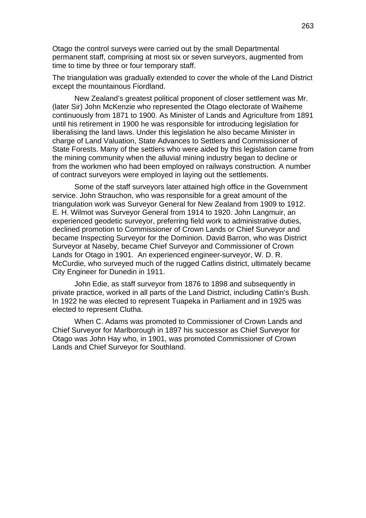Otago the control surveys were carried out by the small Departmental permanent staff, comprising at most six or seven surveyors, augmented from time to time by three or four temporary staff.

The triangulation was gradually extended to cover the whole of the Land District except the mountainous Fiordland.

New Zealand's greatest political proponent of closer settlement was Mr. (later Sir) John McKenzie who represented the Otago electorate of Waiheme continuously from 1871 to 1900. As Minister of Lands and Agriculture from 1891 until his retirement in 1900 he was responsible for introducing legislation for liberalising the land laws. Under this legislation he also became Minister in charge of Land Valuation, State Advances to Settlers and Commissioner of State Forests. Many of the settlers who were aided by this legislation came from the mining community when the alluvial mining industry began to decline or from the workmen who had been employed on railways construction. A number of contract surveyors were employed in laying out the settlements.

Some of the staff surveyors later attained high office in the Government service. John Strauchon, who was responsible for a great amount of the triangulation work was Surveyor General for New Zealand from 1909 to 1912. E. H. Wilmot was Surveyor General from 1914 to 1920. John Langmuir, an experienced geodetic surveyor, preferring field work to administrative duties, declined promotion to Commissioner of Crown Lands or Chief Surveyor and became Inspecting Surveyor for the Dominion. David Barron, who was District Surveyor at Naseby, became Chief Surveyor and Commissioner of Crown Lands for Otago in 1901. An experienced engineer-surveyor, W. D. R. McCurdie, who surveyed much of the rugged Catlins district, ultimately became City Engineer for Dunedin in 1911.

John Edie, as staff surveyor from 1876 to 1898 and subsequently in private practice, worked in all parts of the Land District, including Catlin's Bush. In 1922 he was elected to represent Tuapeka in Parliament and in 1925 was elected to represent Clutha.

When C. Adams was promoted to Commissioner of Crown Lands and Chief Surveyor for Marlborough in 1897 his successor as Chief Surveyor for Otago was John Hay who, in 1901, was promoted Commissioner of Crown Lands and Chief Surveyor for Southland.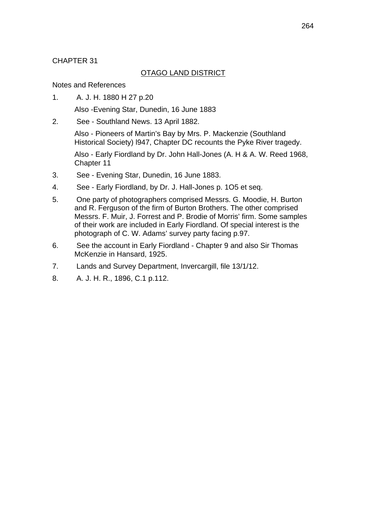# CHAPTER 31

# OTAGO LAND DISTRICT

## Notes and References

1. A. J. H. 1880 H 27 p.20

Also -Evening Star, Dunedin, 16 June 1883

2. See - Southland News. 13 April 1882.

Also - Pioneers of Martin's Bay by Mrs. P. Mackenzie (Southland Historical Society) l947, Chapter DC recounts the Pyke River tragedy.

Also - Early Fiordland by Dr. John Hall-Jones (A. H & A. W. Reed 1968, Chapter 11

- 3. See Evening Star, Dunedin, 16 June 1883.
- 4. See Early Fiordland, by Dr. J. Hall-Jones p. 1O5 et seq.
- 5. One party of photographers comprised Messrs. G. Moodie, H. Burton and R. Ferguson of the firm of Burton Brothers. The other comprised Messrs. F. Muir, J. Forrest and P. Brodie of Morris' firm. Some samples of their work are included in Early Fiordland. Of special interest is the photograph of C. W. Adams' survey party facing p.97.
- 6. See the account in Early Fiordland Chapter 9 and also Sir Thomas McKenzie in Hansard, 1925.
- 7. Lands and Survey Department, Invercargill, file 13/1/12.
- 8. A. J. H. R., 1896, C.1 p.112.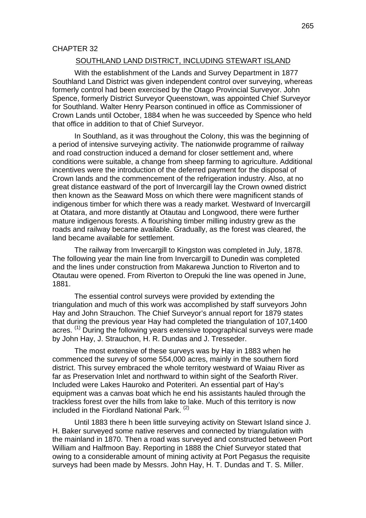#### CHAPTER 32

#### SOUTHLAND LAND DISTRICT, INCLUDING STEWART ISLAND

With the establishment of the Lands and Survey Department in 1877 Southland Land District was given independent control over surveying, whereas formerly control had been exercised by the Otago Provincial Surveyor. John Spence, formerly District Surveyor Queenstown, was appointed Chief Surveyor for Southland. Walter Henry Pearson continued in office as Commissioner of Crown Lands until October, 1884 when he was succeeded by Spence who held that office in addition to that of Chief Surveyor.

In Southland, as it was throughout the Colony, this was the beginning of a period of intensive surveying activity. The nationwide programme of railway and road construction induced a demand for closer settlement and, where conditions were suitable, a change from sheep farming to agriculture. Additional incentives were the introduction of the deferred payment for the disposal of Crown lands and the commencement of the refrigeration industry. Also, at no great distance eastward of the port of Invercargill lay the Crown owned district then known as the Seaward Moss on which there were magnificent stands of indigenous timber for which there was a ready market. Westward of Invercargill at Otatara, and more distantly at Otautau and Longwood, there were further mature indigenous forests. A flourishing timber milling industry grew as the roads and railway became available. Gradually, as the forest was cleared, the land became available for settlement.

The railway from Invercargill to Kingston was completed in July, 1878. The following year the main line from Invercargill to Dunedin was completed and the lines under construction from Makarewa Junction to Riverton and to Otautau were opened. From Riverton to Orepuki the line was opened in June, 1881.

The essential control surveys were provided by extending the triangulation and much of this work was accomplished by staff surveyors John Hay and John Strauchon. The Chief Surveyor's annual report for 1879 states that during the previous year Hay had completed the triangulation of 107,1400 acres. <sup>(1)</sup> During the following years extensive topographical surveys were made by John Hay, J. Strauchon, H. R. Dundas and J. Tresseder.

The most extensive of these surveys was by Hay in 1883 when he commenced the survey of some 554,000 acres, mainly in the southern fiord district. This survey embraced the whole territory westward of Waiau River as far as Preservation Inlet and northward to within sight of the Seaforth River. Included were Lakes Hauroko and Poteriteri. An essential part of Hay's equipment was a canvas boat which he end his assistants hauled through the trackless forest over the hills from lake to lake. Much of this territory is now included in the Fiordland National Park.<sup>(2)</sup>

Until 1883 there h been little surveying activity on Stewart Island since J. H. Baker surveyed some native reserves and connected by triangulation with the mainland in 1870. Then a road was surveyed and constructed between Port William and Halfmoon Bay. Reporting in 1888 the Chief Surveyor stated that owing to a considerable amount of mining activity at Port Pegasus the requisite surveys had been made by Messrs. John Hay, H. T. Dundas and T. S. Miller.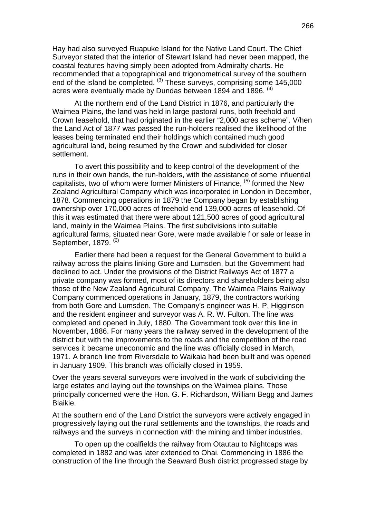Hay had also surveyed Ruapuke Island for the Native Land Court. The Chief Surveyor stated that the interior of Stewart Island had never been mapped, the coastal features having simply been adopted from Admiralty charts. He recommended that a topographical and trigonometrical survey of the southern end of the island be completed. <sup>(3)</sup> These surveys, comprising some 145,000 acres were eventually made by Dundas between 1894 and 1896.  $(4)$ 

At the northern end of the Land District in 1876, and particularly the Waimea Plains, the land was held in large pastoral runs, both freehold and Crown leasehold, that had originated in the earlier "2,000 acres scheme". V/hen the Land Act of 1877 was passed the run-holders realised the likelihood of the leases being terminated end their holdings which contained much good agricultural land, being resumed by the Crown and subdivided for closer settlement.

To avert this possibility and to keep control of the development of the runs in their own hands, the run-holders, with the assistance of some influential capitalists, two of whom were former Ministers of Finance,  $(5)$  formed the New Zealand Agricultural Company which was incorporated in London in December, 1878. Commencing operations in 1879 the Company began by establishing ownership over 170,000 acres of freehold end 139,000 acres of leasehold. Of this it was estimated that there were about 121,500 acres of good agricultural land, mainly in the Waimea Plains. The first subdivisions into suitable agricultural farms, situated near Gore, were made available f or sale or lease in September, 1879. <sup>(6)</sup>

Earlier there had been a request for the General Government to build a railway across the plains linking Gore and Lumsden, but the Government had declined to act. Under the provisions of the District Railways Act of 1877 a private company was formed, most of its directors and shareholders being also those of the New Zealand Agricultural Company. The Waimea Plains Railway Company commenced operations in January, 1879, the contractors working from both Gore and Lumsden. The Company's engineer was H. P. Higginson and the resident engineer and surveyor was A. R. W. Fulton. The line was completed and opened in July, 1880. The Government took over this line in November, 1886. For many years the railway served in the development of the district but with the improvements to the roads and the competition of the road services it became uneconomic and the line was officially closed in March, 1971. A branch line from Riversdale to Waikaia had been built and was opened in January 1909. This branch was officially closed in 1959.

Over the years several surveyors were involved in the work of subdividing the large estates and laying out the townships on the Waimea plains. Those principally concerned were the Hon. G. F. Richardson, William Begg and James Blaikie.

At the southern end of the Land District the surveyors were actively engaged in progressively laying out the rural settlements and the townships, the roads and railways and the surveys in connection with the mining and timber industries.

To open up the coalfields the railway from Otautau to Nightcaps was completed in 1882 and was later extended to Ohai. Commencing in 1886 the construction of the line through the Seaward Bush district progressed stage by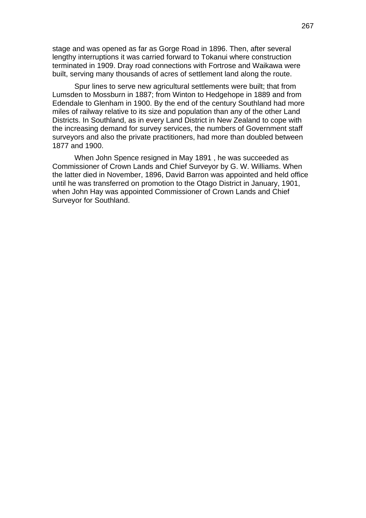stage and was opened as far as Gorge Road in 1896. Then, after several lengthy interruptions it was carried forward to Tokanui where construction terminated in 1909. Dray road connections with Fortrose and Waikawa were built, serving many thousands of acres of settlement land along the route.

Spur lines to serve new agricultural settlements were built; that from Lumsden to Mossburn in 1887; from Winton to Hedgehope in 1889 and from Edendale to Glenham in 1900. By the end of the century Southland had more miles of railway relative to its size and population than any of the other Land Districts. In Southland, as in every Land District in New Zealand to cope with the increasing demand for survey services, the numbers of Government staff surveyors and also the private practitioners, had more than doubled between 1877 and 1900.

When John Spence resigned in May 1891 , he was succeeded as Commissioner of Crown Lands and Chief Surveyor by G. W. Williams. When the latter died in November, 1896, David Barron was appointed and held office until he was transferred on promotion to the Otago District in January, 1901, when John Hay was appointed Commissioner of Crown Lands and Chief Surveyor for Southland.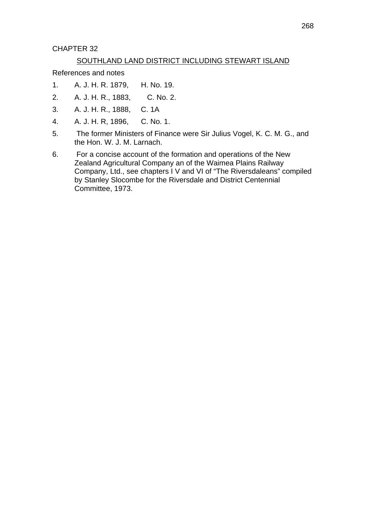CHAPTER 32

# SOUTHLAND LAND DISTRICT INCLUDING STEWART ISLAND

References and notes

- 1. A. J. H. R. 1879, H. No. 19.
- 2. A. J. H. R., 1883, C. No. 2.
- 3. A. J. H. R., 1888, C. 1A
- 4. A. J. H. R, 1896, C. No. 1.
- 5. The former Ministers of Finance were Sir Julius Vogel, K. C. M. G., and the Hon. W. J. M. Larnach.
- 6. For a concise account of the formation and operations of the New Zealand Agricultural Company an of the Waimea Plains Railway Company, Ltd., see chapters I V and VI of "The Riversdaleans" compiled by Stanley Slocombe for the Riversdale and District Centennial Committee, 1973.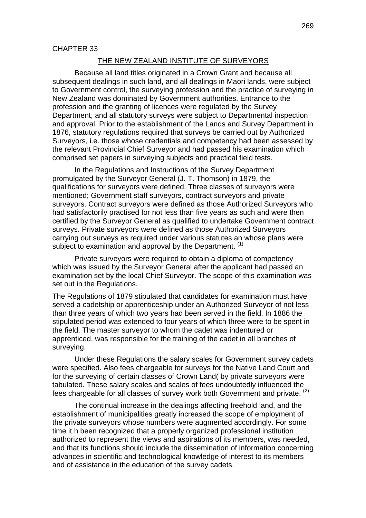### THE NEW ZEALAND INSTITUTE OF SURVEYORS

Because all land titles originated in a Crown Grant and because all subsequent dealings in such land, and all dealings in Maori lands, were subject to Government control, the surveying profession and the practice of surveying in New Zealand was dominated by Government authorities. Entrance to the profession and the granting of licences were regulated by the Survey Department, and all statutory surveys were subject to Departmental inspection and approval. Prior to the establishment of the Lands and Survey Department in 1876, statutory regulations required that surveys be carried out by Authorized Surveyors, i.e. those whose credentials and competency had been assessed by the relevant Provincial Chief Surveyor and had passed his examination which comprised set papers in surveying subjects and practical field tests.

In the Regulations and Instructions of the Survey Department promulgated by the Surveyor General (J. T. Thomson) in 1879, the qualifications for surveyors were defined. Three classes of surveyors were mentioned; Government staff surveyors, contract surveyors and private surveyors. Contract surveyors were defined as those Authorized Surveyors who had satisfactorily practised for not less than five years as such and were then certified by the Surveyor General as qualified to undertake Government contract surveys. Private surveyors were defined as those Authorized Surveyors carrying out surveys as required under various statutes an whose plans were subject to examination and approval by the Department.  $(1)$ 

Private surveyors were required to obtain a diploma of competency which was issued by the Surveyor General after the applicant had passed an examination set by the local Chief Surveyor. The scope of this examination was set out in the Regulations.

The Regulations of 1879 stipulated that candidates for examination must have served a cadetship or apprenticeship under an Authorized Surveyor of not less than three years of which two years had been served in the field. In 1886 the stipulated period was extended to four years of which three were to be spent in the field. The master surveyor to whom the cadet was indentured or apprenticed, was responsible for the training of the cadet in all branches of surveying.

Under these Regulations the salary scales for Government survey cadets were specified. Also fees chargeable for surveys for the Native Land Court and for the surveying of certain classes of Crown Land( by private surveyors were tabulated. These salary scales and scales of fees undoubtedly influenced the fees chargeable for all classes of survey work both Government and private. (2)

The continual increase in the dealings affecting freehold land, and the establishment of municipalities greatly increased the scope of employment of the private surveyors whose numbers were augmented accordingly. For some time it h been recognized that a properly organized professional institution authorized to represent the views and aspirations of its members, was needed, and that its functions should include the dissemination of information concerning advances in scientific and technological knowledge of interest to its members and of assistance in the education of the survey cadets.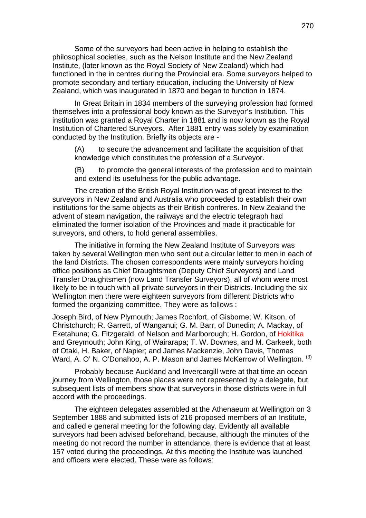Some of the surveyors had been active in helping to establish the philosophical societies, such as the Nelson Institute and the New Zealand Institute, (later known as the Royal Society of New Zealand) which had functioned in the in centres during the Provincial era. Some surveyors helped to promote secondary and tertiary education, including the University of New Zealand, which was inaugurated in 1870 and began to function in 1874.

In Great Britain in 1834 members of the surveying profession had formed themselves into a professional body known as the Surveyor's Institution. This institution was granted a Royal Charter in 1881 and is now known as the Royal Institution of Chartered Surveyors. After 1881 entry was solely by examination conducted by the Institution. Briefly its objects are -

(A) to secure the advancement and facilitate the acquisition of that knowledge which constitutes the profession of a Surveyor.

(B) to promote the general interests of the profession and to maintain and extend its usefulness for the public advantage.

The creation of the British Royal Institution was of great interest to the surveyors in New Zealand and Australia who proceeded to establish their own institutions for the same objects as their British confreres. In New Zealand the advent of steam navigation, the railways and the electric telegraph had eliminated the former isolation of the Provinces and made it practicable for surveyors, and others, to hold general assemblies.

The initiative in forming the New Zealand Institute of Surveyors was taken by several Wellington men who sent out a circular letter to men in each of the land Districts. The chosen correspondents were mainly surveyors holding office positions as Chief Draughtsmen (Deputy Chief Surveyors) and Land Transfer Draughtsmen (now Land Transfer Surveyors), all of whom were most likely to be in touch with all private surveyors in their Districts. Including the six Wellington men there were eighteen surveyors from different Districts who formed the organizing committee. They were as follows :

Joseph Bird, of New Plymouth; James Rochfort, of Gisborne; W. Kitson, of Christchurch; R. Garrett, of Wanganui; G. M. Barr, of Dunedin; A. Mackay, of Eketahuna; G. Fitzgerald, of Nelson and Marlborough; H. Gordon, of Hokitika and Greymouth; John King, of Wairarapa; T. W. Downes, and M. Carkeek, both of Otaki, H. Baker, of Napier; and James Mackenzie, John Davis, Thomas Ward, A. O' N. O'Donahoo, A. P. Mason and James McKerrow of Wellington. <sup>(3)</sup>

Probably because Auckland and Invercargill were at that time an ocean journey from Wellington, those places were not represented by a delegate, but subsequent lists of members show that surveyors in those districts were in full accord with the proceedings.

The eighteen delegates assembled at the Athenaeum at Wellington on 3 September 1888 and submitted lists of 216 proposed members of an Institute, and called e general meeting for the following day. Evidently all available surveyors had been advised beforehand, because, although the minutes of the meeting do not record the number in attendance, there is evidence that at least 157 voted during the proceedings. At this meeting the Institute was launched and officers were elected. These were as follows: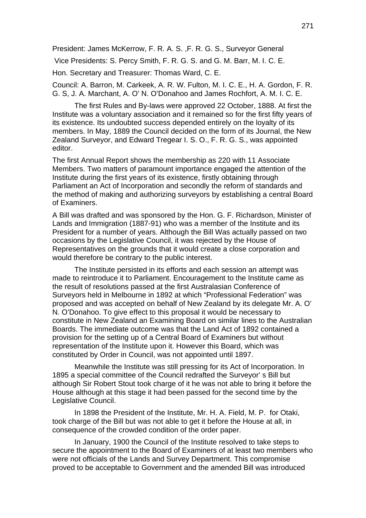President: James McKerrow, F. R. A. S. ,F. R. G. S., Surveyor General

Vice Presidents: S. Percy Smith, F. R. G. S. and G. M. Barr, M. I. C. E.

Hon. Secretary and Treasurer: Thomas Ward, C. E.

Council: A. Barron, M. Carkeek, A. R. W. Fulton, M. I. C. E., H. A. Gordon, F. R. G. S, J. A. Marchant, A. O' N. O'Donahoo and James Rochfort, A. M. I. C. E.

The first Rules and By-laws were approved 22 October, 1888. At first the Institute was a voluntary association and it remained so for the first fifty years of its existence. Its undoubted success depended entirely on the loyalty of its members. In May, 1889 the Council decided on the form of its Journal, the New Zealand Surveyor, and Edward Tregear I. S. O., F. R. G. S., was appointed editor.

The first Annual Report shows the membership as 220 with 11 Associate Members. Two matters of paramount importance engaged the attention of the Institute during the first years of its existence, firstly obtaining through Parliament an Act of Incorporation and secondly the reform of standards and the method of making and authorizing surveyors by establishing a central Board of Examiners.

A Bill was drafted and was sponsored by the Hon. G. F. Richardson, Minister of Lands and Immigration (1887-91) who was a member of the Institute and its President for a number of years. Although the Bill Was actually passed on two occasions by the Legislative Council, it was rejected by the House of Representatives on the grounds that it would create a close corporation and would therefore be contrary to the public interest.

The Institute persisted in its efforts and each session an attempt was made to reintroduce it to Parliament. Encouragement to the Institute came as the result of resolutions passed at the first Australasian Conference of Surveyors held in Melbourne in 1892 at which "Professional Federation" was proposed and was accepted on behalf of New Zealand by its delegate Mr. A. O' N. O'Donahoo. To give effect to this proposal it would be necessary to constitute in New Zealand an Examining Board on similar lines to the Australian Boards. The immediate outcome was that the Land Act of 1892 contained a provision for the setting up of a Central Board of Examiners but without representation of the Institute upon it. However this Board, which was constituted by Order in Council, was not appointed until 1897.

Meanwhile the Institute was still pressing for its Act of Incorporation. In 1895 a special committee of the Council redrafted the Surveyor' s Bill but although Sir Robert Stout took charge of it he was not able to bring it before the House although at this stage it had been passed for the second time by the Legislative Council.

In 1898 the President of the Institute, Mr. H. A. Field, M. P. for Otaki, took charge of the Bill but was not able to get it before the House at all, in consequence of the crowded condition of the order paper.

In January, 1900 the Council of the Institute resolved to take steps to secure the appointment to the Board of Examiners of at least two members who were not officials of the Lands and Survey Department. This compromise proved to be acceptable to Government and the amended Bill was introduced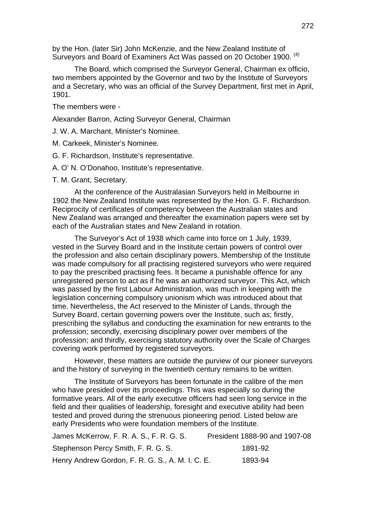by the Hon. (later Sir) John McKenzie, and the New Zealand Institute of Surveyors and Board of Examiners Act Was passed on 20 October 1900. <sup>(4)</sup>

The Board, which comprised the Surveyor General, Chairman ex officio, two members appointed by the Governor and two by the Institute of Surveyors and a Secretary, who was an official of the Survey Department, first met in April, 1901.

The members were -

Alexander Barron, Acting Surveyor General, Chairman

J. W. A. Marchant, Minister's Nominee.

M. Carkeek, Minister's Nominee.

G. F. Richardson, Institute's representative.

A. O' N. O'Donahoo, Institute's representative.

T. M. Grant, Secretary.

At the conference of the Australasian Surveyors held in Melbourne in 1902 the New Zealand Institute was represented by the Hon. G. F. Richardson. Reciprocity of certificates of competency between the Australian states and New Zealand was arranged and thereafter the examination papers were set by each of the Australian states and New Zealand in rotation.

The Surveyor's Act of 1938 which came into force on 1 July, 1939, vested in the Survey Board and in the Institute certain powers of control over the profession and also certain disciplinary powers. Membership of the Institute was made compulsory for all practising registered surveyors who were required to pay the prescribed practising fees. It became a punishable offence for any unregistered person to act as if he was an authorized surveyor. This Act, which was passed by the first Labour Administration, was much in keeping with the legislation concerning compulsory unionism which was introduced about that time. Nevertheless, the Act reserved to the Minister of Lands, through the Survey Board, certain governing powers over the Institute, such as; firstly, prescribing the syllabus and conducting the examination for new entrants to the profession; secondly, exercising disciplinary power over members of the profession; and thirdly, exercising statutory authority over the Scale of Charges covering work performed by registered surveyors.

However, these matters are outside the purview of our pioneer surveyors and the history of surveying in the twentieth century remains to be written.

The Institute of Surveyors has been fortunate in the calibre of the men who have presided over its proceedings. This was especially so during the formative years. All of the early executive officers had seen long service in the field and their qualities of leadership, foresight and executive ability had been tested and proved during the strenuous pioneering period. Listed below are early Presidents who were foundation members of the Institute.

| James McKerrow, F. R. A. S., F. R. G. S.         | President 1888-90 and 1907-08 |
|--------------------------------------------------|-------------------------------|
| Stephenson Percy Smith, F. R. G. S.              | 1891-92                       |
| Henry Andrew Gordon, F. R. G. S., A. M. I. C. E. | 1893-94                       |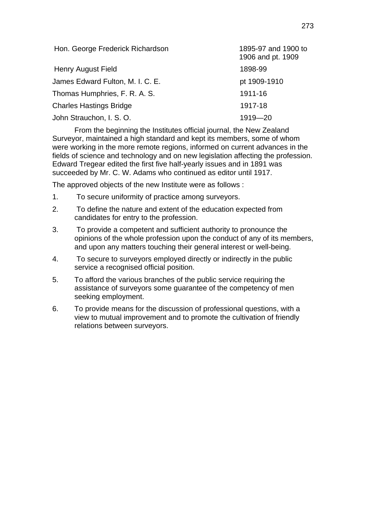| Hon. George Frederick Richardson | 1895-97 and 1900 to<br>1906 and pt. 1909 |
|----------------------------------|------------------------------------------|
| <b>Henry August Field</b>        | 1898-99                                  |
| James Edward Fulton, M. I. C. E. | pt 1909-1910                             |
| Thomas Humphries, F. R. A. S.    | 1911-16                                  |
| <b>Charles Hastings Bridge</b>   | 1917-18                                  |
| John Strauchon, I. S. O.         | 1919-20                                  |

From the beginning the Institutes official journal, the New Zealand Surveyor, maintained a high standard and kept its members, some of whom were working in the more remote regions, informed on current advances in the fields of science and technology and on new legislation affecting the profession. Edward Tregear edited the first five half-yearly issues and in 1891 was succeeded by Mr. C. W. Adams who continued as editor until 1917.

The approved objects of the new Institute were as follows :

- 1. To secure uniformity of practice among surveyors.
- 2. To define the nature and extent of the education expected from candidates for entry to the profession.
- 3. To provide a competent and sufficient authority to pronounce the opinions of the whole profession upon the conduct of any of its members, and upon any matters touching their general interest or well-being.
- 4. To secure to surveyors employed directly or indirectly in the public service a recognised official position.
- 5. To afford the various branches of the public service requiring the assistance of surveyors some guarantee of the competency of men seeking employment.
- 6. To provide means for the discussion of professional questions, with a view to mutual improvement and to promote the cultivation of friendly relations between surveyors.